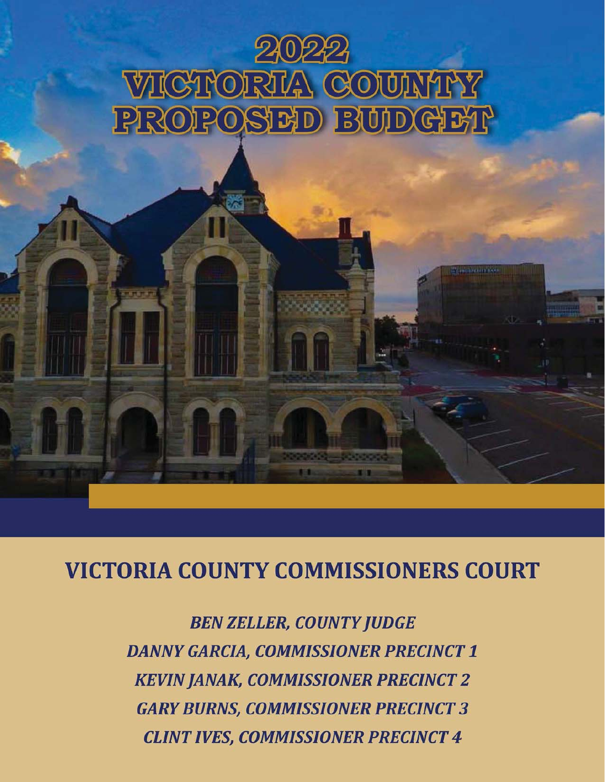

# **VICTORIA COUNTY COMMISSIONERS COURT**

**BEN ZELLER, COUNTY JUDGE DANNY GARCIA, COMMISSIONER PRECINCT 1 KEVIN JANAK, COMMISSIONER PRECINCT 2 GARY BURNS, COMMISSIONER PRECINCT 3 CLINT IVES, COMMISSIONER PRECINCT 4**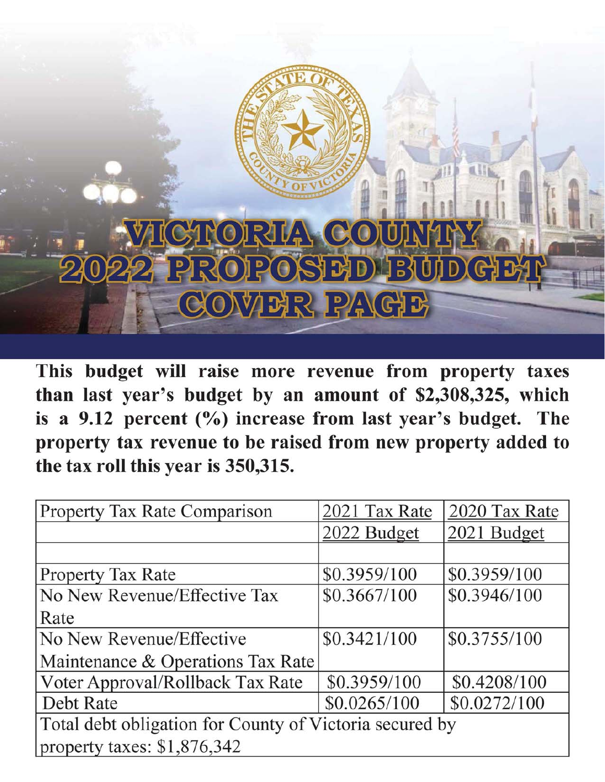

This budget will raise more revenue from property taxes than last year's budget by an amount of \$2,308,325, which is a 9.12 percent  $(\% )$  increase from last year's budget. The property tax revenue to be raised from new property added to the tax roll this year is 350,315.

| <b>Property Tax Rate Comparison</b>                     | 2021 Tax Rate | 2020 Tax Rate |  |  |  |
|---------------------------------------------------------|---------------|---------------|--|--|--|
|                                                         | 2022 Budget   | 2021 Budget   |  |  |  |
|                                                         |               |               |  |  |  |
| <b>Property Tax Rate</b>                                | \$0.3959/100  | \$0.3959/100  |  |  |  |
| No New Revenue/Effective Tax                            | \$0.3667/100  | \$0.3946/100  |  |  |  |
| Rate                                                    |               |               |  |  |  |
| No New Revenue/Effective                                | \$0.3421/100  | \$0.3755/100  |  |  |  |
| Maintenance & Operations Tax Rate                       |               |               |  |  |  |
| Voter Approval/Rollback Tax Rate                        | \$0.3959/100  | \$0.4208/100  |  |  |  |
| Debt Rate                                               | \$0.0265/100  | \$0.0272/100  |  |  |  |
| Total debt obligation for County of Victoria secured by |               |               |  |  |  |
| property taxes: $$1,876,342$                            |               |               |  |  |  |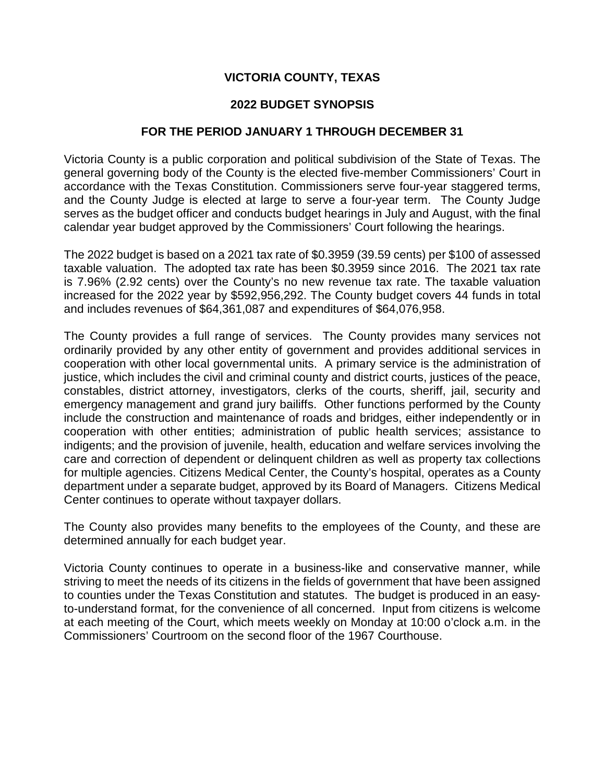## **VICTORIA COUNTY, TEXAS**

## **2022 BUDGET SYNOPSIS**

## **FOR THE PERIOD JANUARY 1 THROUGH DECEMBER 31**

Victoria County is a public corporation and political subdivision of the State of Texas. The general governing body of the County is the elected five-member Commissioners' Court in accordance with the Texas Constitution. Commissioners serve four-year staggered terms, and the County Judge is elected at large to serve a four-year term. The County Judge serves as the budget officer and conducts budget hearings in July and August, with the final calendar year budget approved by the Commissioners' Court following the hearings.

The 2022 budget is based on a 2021 tax rate of \$0.3959 (39.59 cents) per \$100 of assessed taxable valuation. The adopted tax rate has been \$0.3959 since 2016. The 2021 tax rate is 7.96% (2.92 cents) over the County's no new revenue tax rate. The taxable valuation increased for the 2022 year by \$592,956,292. The County budget covers 44 funds in total and includes revenues of \$64,361,087 and expenditures of \$64,076,958.

The County provides a full range of services. The County provides many services not ordinarily provided by any other entity of government and provides additional services in cooperation with other local governmental units. A primary service is the administration of justice, which includes the civil and criminal county and district courts, justices of the peace, constables, district attorney, investigators, clerks of the courts, sheriff, jail, security and emergency management and grand jury bailiffs. Other functions performed by the County include the construction and maintenance of roads and bridges, either independently or in cooperation with other entities; administration of public health services; assistance to indigents; and the provision of juvenile, health, education and welfare services involving the care and correction of dependent or delinquent children as well as property tax collections for multiple agencies. Citizens Medical Center, the County's hospital, operates as a County department under a separate budget, approved by its Board of Managers. Citizens Medical Center continues to operate without taxpayer dollars.

The County also provides many benefits to the employees of the County, and these are determined annually for each budget year.

Victoria County continues to operate in a business-like and conservative manner, while striving to meet the needs of its citizens in the fields of government that have been assigned to counties under the Texas Constitution and statutes. The budget is produced in an easyto-understand format, for the convenience of all concerned. Input from citizens is welcome at each meeting of the Court, which meets weekly on Monday at 10:00 o'clock a.m. in the Commissioners' Courtroom on the second floor of the 1967 Courthouse.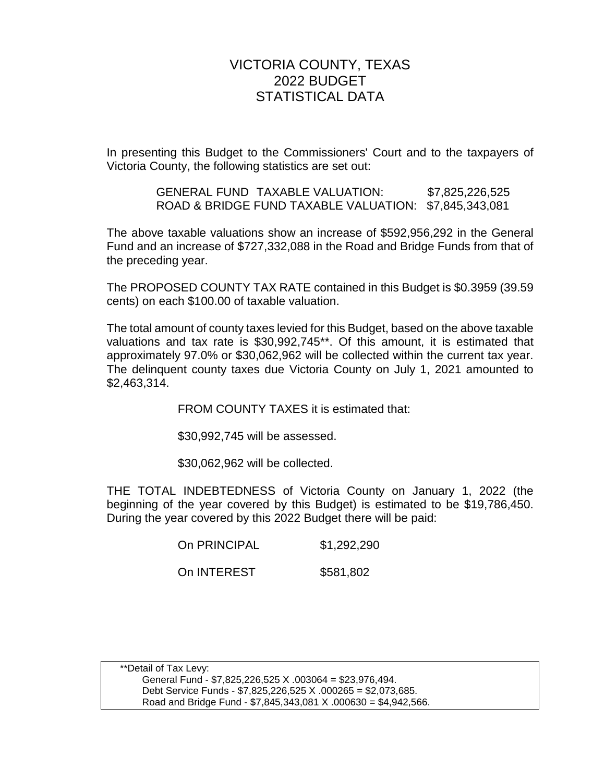# VICTORIA COUNTY, TEXAS 2022 BUDGET STATISTICAL DATA

In presenting this Budget to the Commissioners' Court and to the taxpayers of Victoria County, the following statistics are set out:

> GENERAL FUND TAXABLE VALUATION: \$7,825,226,525 ROAD & BRIDGE FUND TAXABLE VALUATION: \$7,845,343,081

The above taxable valuations show an increase of \$592,956,292 in the General Fund and an increase of \$727,332,088 in the Road and Bridge Funds from that of the preceding year.

The PROPOSED COUNTY TAX RATE contained in this Budget is \$0.3959 (39.59 cents) on each \$100.00 of taxable valuation.

The total amount of county taxes levied for this Budget, based on the above taxable valuations and tax rate is \$30,992,745\*\*. Of this amount, it is estimated that approximately 97.0% or \$30,062,962 will be collected within the current tax year. The delinquent county taxes due Victoria County on July 1, 2021 amounted to \$2,463,314.

FROM COUNTY TAXES it is estimated that:

\$30,992,745 will be assessed.

\$30,062,962 will be collected.

THE TOTAL INDEBTEDNESS of Victoria County on January 1, 2022 (the beginning of the year covered by this Budget) is estimated to be \$19,786,450. During the year covered by this 2022 Budget there will be paid:

On PRINCIPAL \$1,292,290

On INTEREST \$581,802

 \*\*Detail of Tax Levy: General Fund - \$7,825,226,525 X .003064 = \$23,976,494. Debt Service Funds - \$7,825,226,525 X .000265 = \$2,073,685. Road and Bridge Fund - \$7,845,343,081 X .000630 = \$4,942,566.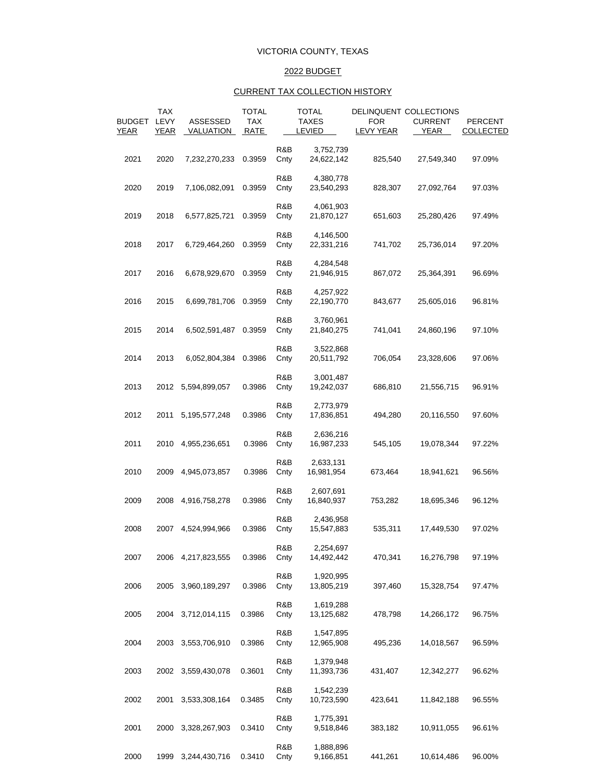### VICTORIA COUNTY, TEXAS

### 2022 BUDGET

### CURRENT TAX COLLECTION HISTORY

|                              | <b>TAX</b>          |                              | <b>TOTAL</b>       |             | <b>TOTAL</b>                  |                         | DELINQUENT COLLECTIONS |                             |
|------------------------------|---------------------|------------------------------|--------------------|-------------|-------------------------------|-------------------------|------------------------|-----------------------------|
| <b>BUDGET</b><br><b>YEAR</b> | LEVY<br><b>YEAR</b> | ASSESSED<br><b>VALUATION</b> | <b>TAX</b><br>RATE |             | <b>TAXES</b><br><b>LEVIED</b> | <b>FOR</b><br>LEVY YEAR | <b>CURRENT</b><br>YEAR | PERCENT<br><b>COLLECTED</b> |
|                              |                     |                              |                    |             |                               |                         |                        |                             |
| 2021                         | 2020                | 7,232,270,233                | 0.3959             | R&B<br>Cnty | 3,752,739<br>24,622,142       | 825,540                 | 27,549,340             | 97.09%                      |
| 2020                         | 2019                | 7,106,082,091                | 0.3959             | R&B<br>Cnty | 4,380,778<br>23,540,293       | 828,307                 | 27,092,764             | 97.03%                      |
| 2019                         | 2018                | 6,577,825,721                | 0.3959             | R&B<br>Cnty | 4,061,903<br>21,870,127       | 651,603                 | 25,280,426             | 97.49%                      |
| 2018                         | 2017                | 6,729,464,260                | 0.3959             | R&B<br>Cnty | 4,146,500<br>22,331,216       | 741,702                 | 25,736,014             | 97.20%                      |
| 2017                         | 2016                | 6,678,929,670                | 0.3959             | R&B<br>Cnty | 4,284,548<br>21,946,915       | 867,072                 | 25,364,391             | 96.69%                      |
| 2016                         | 2015                | 6,699,781,706                | 0.3959             | R&B<br>Cnty | 4,257,922<br>22,190,770       | 843,677                 | 25,605,016             | 96.81%                      |
| 2015                         | 2014                | 6,502,591,487                | 0.3959             | R&B<br>Cnty | 3,760,961<br>21,840,275       | 741,041                 | 24,860,196             | 97.10%                      |
| 2014                         | 2013                | 6,052,804,384                | 0.3986             | R&B<br>Cnty | 3,522,868<br>20,511,792       | 706,054                 | 23,328,606             | 97.06%                      |
| 2013                         | 2012                | 5,594,899,057                | 0.3986             | R&B<br>Cnty | 3,001,487<br>19,242,037       | 686,810                 | 21,556,715             | 96.91%                      |
| 2012                         | 2011                | 5, 195, 577, 248             | 0.3986             | R&B<br>Cnty | 2,773,979<br>17,836,851       | 494,280                 | 20,116,550             | 97.60%                      |
| 2011                         | 2010                | 4,955,236,651                | 0.3986             | R&B<br>Cnty | 2,636,216<br>16,987,233       | 545,105                 | 19,078,344             | 97.22%                      |
| 2010                         | 2009                | 4,945,073,857                | 0.3986             | R&B<br>Cnty | 2,633,131<br>16,981,954       | 673,464                 | 18,941,621             | 96.56%                      |
| 2009                         | 2008                | 4,916,758,278                | 0.3986             | R&B<br>Cnty | 2,607,691<br>16,840,937       | 753,282                 | 18,695,346             | 96.12%                      |
| 2008                         | 2007                | 4,524,994,966                | 0.3986             | R&B<br>Cnty | 2,436,958<br>15,547,883       | 535,311                 | 17,449,530             | 97.02%                      |
| 2007                         | 2006                | 4,217,823,555                | 0.3986             | R&B<br>Cnty | 2,254,697<br>14,492,442       | 470,341                 | 16,276,798             | 97.19%                      |
| 2006                         | 2005                | 3,960,189,297                | 0.3986             | R&B<br>Cnty | 1,920,995<br>13,805,219       | 397,460                 | 15,328,754             | 97.47%                      |
| 2005                         | 2004                | 3,712,014,115                | 0.3986             | R&B<br>Cnty | 1,619,288<br>13,125,682       | 478,798                 | 14,266,172             | 96.75%                      |
| 2004                         | 2003                | 3,553,706,910                | 0.3986             | R&B<br>Cnty | 1,547,895<br>12,965,908       | 495,236                 | 14,018,567             | 96.59%                      |
| 2003                         |                     | 2002 3,559,430,078           | 0.3601             | R&B<br>Cnty | 1,379,948<br>11,393,736       | 431,407                 | 12,342,277             | 96.62%                      |
| 2002                         | 2001                | 3,533,308,164                | 0.3485             | R&B<br>Cnty | 1,542,239<br>10,723,590       | 423,641                 | 11,842,188             | 96.55%                      |
| 2001                         | 2000                | 3,328,267,903                | 0.3410             | R&B<br>Cnty | 1,775,391<br>9,518,846        | 383,182                 | 10,911,055             | 96.61%                      |
| 2000                         | 1999                | 3,244,430,716                | 0.3410             | R&B<br>Cnty | 1,888,896<br>9,166,851        | 441,261                 | 10,614,486             | 96.00%                      |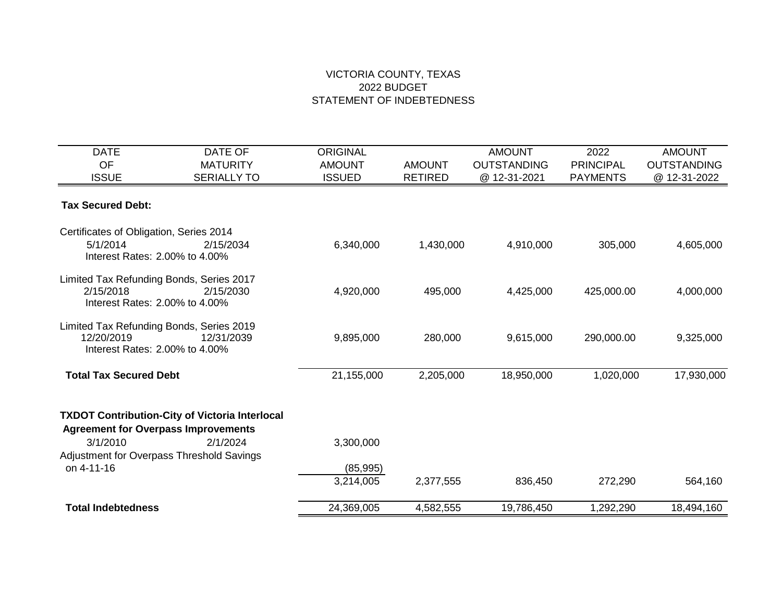| <b>DATE</b>                                           | DATE OF                                               | <b>ORIGINAL</b> |                | <b>AMOUNT</b>      | 2022             | <b>AMOUNT</b>      |
|-------------------------------------------------------|-------------------------------------------------------|-----------------|----------------|--------------------|------------------|--------------------|
| <b>OF</b>                                             | <b>MATURITY</b>                                       | <b>AMOUNT</b>   | <b>AMOUNT</b>  | <b>OUTSTANDING</b> | <b>PRINCIPAL</b> | <b>OUTSTANDING</b> |
| <b>ISSUE</b>                                          | <b>SERIALLY TO</b>                                    | <b>ISSUED</b>   | <b>RETIRED</b> | @ 12-31-2021       | <b>PAYMENTS</b>  | @ 12-31-2022       |
| <b>Tax Secured Debt:</b>                              |                                                       |                 |                |                    |                  |                    |
| Certificates of Obligation, Series 2014               |                                                       |                 |                |                    |                  |                    |
| 5/1/2014<br>Interest Rates: 2,00% to 4,00%            | 2/15/2034                                             | 6,340,000       | 1,430,000      | 4,910,000          | 305,000          | 4,605,000          |
|                                                       |                                                       |                 |                |                    |                  |                    |
| Limited Tax Refunding Bonds, Series 2017<br>2/15/2018 | 2/15/2030                                             | 4,920,000       | 495,000        | 4,425,000          | 425,000.00       | 4,000,000          |
| Interest Rates: 2,00% to 4,00%                        |                                                       |                 |                |                    |                  |                    |
| Limited Tax Refunding Bonds, Series 2019              |                                                       |                 |                |                    |                  |                    |
| 12/20/2019<br>Interest Rates: 2,00% to 4,00%          | 12/31/2039                                            | 9,895,000       | 280,000        | 9,615,000          | 290,000.00       | 9,325,000          |
| <b>Total Tax Secured Debt</b>                         |                                                       | 21,155,000      | 2,205,000      | 18,950,000         | 1,020,000        | 17,930,000         |
|                                                       | <b>TXDOT Contribution-City of Victoria Interlocal</b> |                 |                |                    |                  |                    |
| <b>Agreement for Overpass Improvements</b>            |                                                       |                 |                |                    |                  |                    |
| 3/1/2010                                              | 2/1/2024                                              | 3,300,000       |                |                    |                  |                    |
| Adjustment for Overpass Threshold Savings             |                                                       |                 |                |                    |                  |                    |
| on 4-11-16                                            |                                                       | (85, 995)       |                |                    |                  |                    |
|                                                       |                                                       | 3,214,005       | 2,377,555      | 836,450            | 272,290          | 564,160            |
| <b>Total Indebtedness</b>                             |                                                       | 24,369,005      | 4,582,555      | 19,786,450         | 1,292,290        | 18,494,160         |
|                                                       |                                                       |                 |                |                    |                  |                    |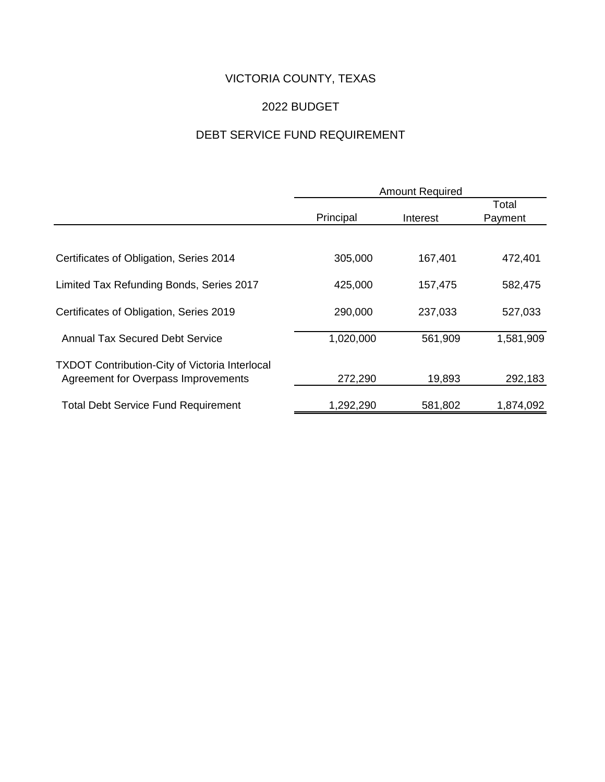# VICTORIA COUNTY, TEXAS

## 2022 BUDGET

# DEBT SERVICE FUND REQUIREMENT

|                                                       | <b>Amount Required</b> |          |                  |  |  |
|-------------------------------------------------------|------------------------|----------|------------------|--|--|
|                                                       | Principal              | Interest | Total<br>Payment |  |  |
|                                                       |                        |          |                  |  |  |
| Certificates of Obligation, Series 2014               | 305,000                | 167,401  | 472,401          |  |  |
| Limited Tax Refunding Bonds, Series 2017              | 425,000                | 157,475  | 582,475          |  |  |
| Certificates of Obligation, Series 2019               | 290,000                | 237,033  | 527,033          |  |  |
| <b>Annual Tax Secured Debt Service</b>                | 1,020,000              | 561,909  | 1,581,909        |  |  |
| <b>TXDOT Contribution-City of Victoria Interlocal</b> |                        |          |                  |  |  |
| Agreement for Overpass Improvements                   | 272,290                | 19,893   | 292,183          |  |  |
| <b>Total Debt Service Fund Requirement</b>            | 1,292,290              | 581,802  | 1,874,092        |  |  |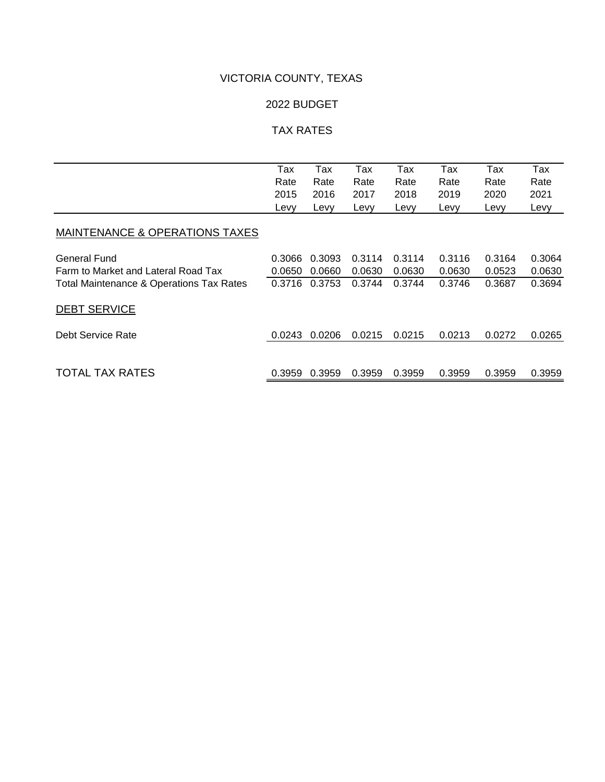## VICTORIA COUNTY, TEXAS

## 2022 BUDGET

## TAX RATES

|                                                     | Tax    | Tax    | Tax    | Tax    | Tax    | Tax    | Tax    |
|-----------------------------------------------------|--------|--------|--------|--------|--------|--------|--------|
|                                                     | Rate   | Rate   | Rate   | Rate   | Rate   | Rate   | Rate   |
|                                                     | 2015   | 2016   | 2017   | 2018   | 2019   | 2020   | 2021   |
|                                                     | Levy   | Levy   | Levy   | Levy   | Levy   | Levy   | Levy   |
| <b>MAINTENANCE &amp; OPERATIONS TAXES</b>           |        |        |        |        |        |        |        |
| General Fund                                        | 0.3066 | 0.3093 | 0.3114 | 0.3114 | 0.3116 | 0.3164 | 0.3064 |
| Farm to Market and Lateral Road Tax                 | 0.0650 | 0.0660 | 0.0630 | 0.0630 | 0.0630 | 0.0523 | 0.0630 |
| <b>Total Maintenance &amp; Operations Tax Rates</b> | 0.3716 | 0.3753 | 0.3744 | 0.3744 | 0.3746 | 0.3687 | 0.3694 |
| <b>DEBT SERVICE</b>                                 |        |        |        |        |        |        |        |
| Debt Service Rate                                   | 0.0243 | 0.0206 | 0.0215 | 0.0215 | 0.0213 | 0.0272 | 0.0265 |
|                                                     |        |        |        |        |        |        |        |
| <b>TOTAL TAX RATES</b>                              | 0.3959 | 0.3959 | 0.3959 | 0.3959 | 0.3959 | 0.3959 | 0.3959 |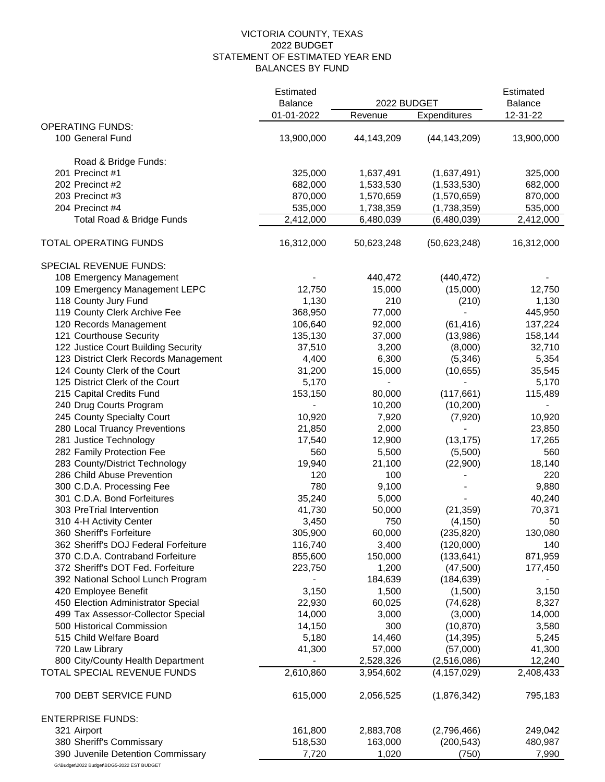## 2022 BUDGET STATEMENT OF ESTIMATED YEAR END BALANCES BY FUND VICTORIA COUNTY, TEXAS

|                                                             | Estimated                    | 2022 BUDGET     |                          | Estimated                  |  |
|-------------------------------------------------------------|------------------------------|-----------------|--------------------------|----------------------------|--|
|                                                             | <b>Balance</b><br>01-01-2022 | Revenue         | Expenditures             | <b>Balance</b><br>12-31-22 |  |
| <b>OPERATING FUNDS:</b>                                     |                              |                 |                          |                            |  |
| 100 General Fund                                            | 13,900,000                   | 44,143,209      | (44, 143, 209)           | 13,900,000                 |  |
| Road & Bridge Funds:                                        |                              |                 |                          |                            |  |
| 201 Precinct #1                                             | 325,000                      | 1,637,491       | (1,637,491)              | 325,000                    |  |
| 202 Precinct #2                                             | 682,000                      | 1,533,530       | (1,533,530)              | 682,000                    |  |
| 203 Precinct #3                                             | 870,000                      | 1,570,659       | (1,570,659)              | 870,000                    |  |
| 204 Precinct #4                                             | 535,000                      | 1,738,359       | (1,738,359)              | 535,000                    |  |
| Total Road & Bridge Funds                                   | 2,412,000                    | 6,480,039       | (6,480,039)              | 2,412,000                  |  |
| TOTAL OPERATING FUNDS                                       | 16,312,000                   | 50,623,248      | (50,623,248)             | 16,312,000                 |  |
| SPECIAL REVENUE FUNDS:                                      |                              |                 |                          |                            |  |
| 108 Emergency Management                                    |                              | 440,472         | (440, 472)               |                            |  |
| 109 Emergency Management LEPC                               | 12,750                       | 15,000          | (15,000)                 | 12,750                     |  |
| 118 County Jury Fund                                        | 1,130                        | 210             | (210)                    | 1,130                      |  |
| 119 County Clerk Archive Fee                                | 368,950                      | 77,000          | $\overline{\phantom{a}}$ | 445,950                    |  |
| 120 Records Management                                      | 106,640                      | 92,000          | (61, 416)                | 137,224                    |  |
| 121 Courthouse Security                                     | 135,130                      | 37,000          | (13,986)                 | 158,144                    |  |
| 122 Justice Court Building Security                         | 37,510                       | 3,200           | (8,000)                  | 32,710                     |  |
| 123 District Clerk Records Management                       | 4,400                        | 6,300           | (5, 346)                 | 5,354                      |  |
| 124 County Clerk of the Court                               | 31,200                       | 15,000          | (10, 655)                | 35,545                     |  |
| 125 District Clerk of the Court                             | 5,170                        |                 |                          | 5,170                      |  |
| 215 Capital Credits Fund                                    | 153,150                      | 80,000          | (117, 661)               | 115,489                    |  |
| 240 Drug Courts Program                                     | 10,920                       | 10,200<br>7,920 | (10, 200)                | $\overline{\phantom{0}}$   |  |
| 245 County Specialty Court<br>280 Local Truancy Preventions | 21,850                       | 2,000           | (7,920)                  | 10,920<br>23,850           |  |
| 281 Justice Technology                                      | 17,540                       | 12,900          | (13, 175)                | 17,265                     |  |
| 282 Family Protection Fee                                   | 560                          | 5,500           | (5,500)                  | 560                        |  |
| 283 County/District Technology                              | 19,940                       | 21,100          | (22,900)                 | 18,140                     |  |
| 286 Child Abuse Prevention                                  | 120                          | 100             |                          | 220                        |  |
| 300 C.D.A. Processing Fee                                   | 780                          | 9,100           |                          | 9,880                      |  |
| 301 C.D.A. Bond Forfeitures                                 | 35,240                       | 5,000           |                          | 40,240                     |  |
| 303 PreTrial Intervention                                   | 41,730                       | 50,000          | (21, 359)                | 70,371                     |  |
| 310 4-H Activity Center                                     | 3,450                        | 750             | (4, 150)                 | 50                         |  |
| 360 Sheriff's Forfeiture                                    | 305,900                      | 60,000          | (235, 820)               | 130,080                    |  |
| 362 Sheriff's DOJ Federal Forfeiture                        | 116,740                      | 3,400           | (120,000)                | 140                        |  |
| 370 C.D.A. Contraband Forfeiture                            | 855,600                      | 150,000         | (133, 641)               | 871,959                    |  |
| 372 Sheriff's DOT Fed. Forfeiture                           | 223,750                      | 1,200           | (47,500)                 | 177,450                    |  |
| 392 National School Lunch Program                           |                              | 184,639         | (184, 639)               |                            |  |
| 420 Employee Benefit                                        | 3,150                        | 1,500           | (1,500)                  | 3,150                      |  |
| 450 Election Administrator Special                          | 22,930                       | 60,025          | (74, 628)                | 8,327                      |  |
| 499 Tax Assessor-Collector Special                          | 14,000                       | 3,000           | (3,000)                  | 14,000                     |  |
| 500 Historical Commission                                   | 14,150                       | 300             | (10, 870)                | 3,580                      |  |
| 515 Child Welfare Board                                     | 5,180                        | 14,460          | (14, 395)                | 5,245                      |  |
| 720 Law Library                                             | 41,300                       | 57,000          | (57,000)                 | 41,300                     |  |
| 800 City/County Health Department                           |                              | 2,528,326       | (2,516,086)              | 12,240                     |  |
| TOTAL SPECIAL REVENUE FUNDS                                 | 2,610,860                    | 3,954,602       | (4, 157, 029)            | 2,408,433                  |  |
| 700 DEBT SERVICE FUND                                       | 615,000                      | 2,056,525       | (1,876,342)              | 795,183                    |  |
| <b>ENTERPRISE FUNDS:</b>                                    |                              |                 |                          |                            |  |
| 321 Airport                                                 | 161,800                      | 2,883,708       | (2,796,466)              | 249,042                    |  |
| 380 Sheriff's Commissary                                    | 518,530                      | 163,000         | (200, 543)               | 480,987                    |  |
| 390 Juvenile Detention Commissary                           | 7,720                        | 1,020           | (750)                    | 7,990                      |  |

G:\Budget\2022 Budget\BDG5-2022 EST BUDGET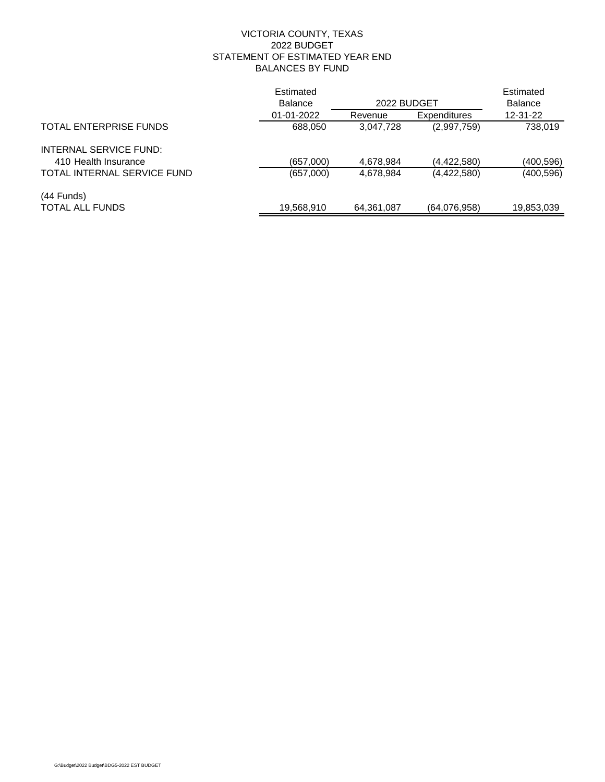## 2022 BUDGET STATEMENT OF ESTIMATED YEAR END BALANCES BY FUND VICTORIA COUNTY, TEXAS

|                             | Estimated      |             |                     | Estimated      |
|-----------------------------|----------------|-------------|---------------------|----------------|
|                             | <b>Balance</b> | 2022 BUDGET |                     | <b>Balance</b> |
|                             | 01-01-2022     | Revenue     | <b>Expenditures</b> | 12-31-22       |
| TOTAL ENTERPRISE FUNDS      | 688,050        | 3,047,728   | (2,997,759)         | 738,019        |
| INTERNAL SERVICE FUND:      |                |             |                     |                |
| 410 Health Insurance        | (657,000)      | 4,678,984   | (4,422,580)         | (400, 596)     |
| TOTAL INTERNAL SERVICE FUND | (657,000)      | 4,678,984   | (4,422,580)         | (400, 596)     |
| $(44$ Funds)                |                |             |                     |                |
| <b>TOTAL ALL FUNDS</b>      | 19,568,910     | 64,361,087  | (64,076,958)        | 19,853,039     |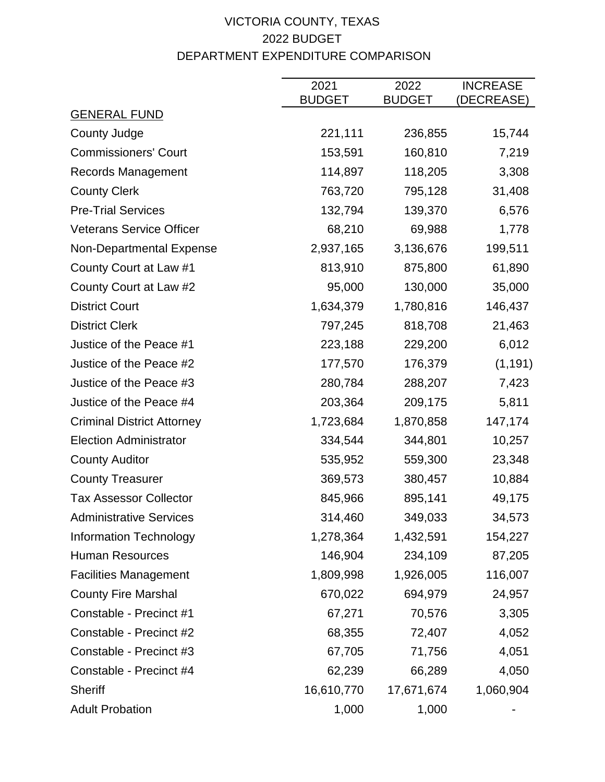# VICTORIA COUNTY, TEXAS 2022 BUDGET DEPARTMENT EXPENDITURE COMPARISON

|                                   | 2021          | 2022          | <b>INCREASE</b> |
|-----------------------------------|---------------|---------------|-----------------|
| <b>GENERAL FUND</b>               | <b>BUDGET</b> | <b>BUDGET</b> | (DECREASE)      |
| County Judge                      | 221,111       | 236,855       | 15,744          |
| <b>Commissioners' Court</b>       | 153,591       | 160,810       | 7,219           |
| <b>Records Management</b>         | 114,897       | 118,205       | 3,308           |
| <b>County Clerk</b>               | 763,720       | 795,128       | 31,408          |
| <b>Pre-Trial Services</b>         | 132,794       | 139,370       | 6,576           |
| <b>Veterans Service Officer</b>   | 68,210        | 69,988        | 1,778           |
| Non-Departmental Expense          | 2,937,165     | 3,136,676     | 199,511         |
| County Court at Law #1            | 813,910       | 875,800       | 61,890          |
| County Court at Law #2            | 95,000        | 130,000       | 35,000          |
| <b>District Court</b>             | 1,634,379     | 1,780,816     | 146,437         |
| <b>District Clerk</b>             | 797,245       | 818,708       | 21,463          |
| Justice of the Peace #1           | 223,188       | 229,200       | 6,012           |
| Justice of the Peace #2           | 177,570       | 176,379       | (1, 191)        |
| Justice of the Peace #3           | 280,784       | 288,207       | 7,423           |
| Justice of the Peace #4           | 203,364       | 209,175       | 5,811           |
| <b>Criminal District Attorney</b> | 1,723,684     | 1,870,858     | 147,174         |
| <b>Election Administrator</b>     | 334,544       | 344,801       | 10,257          |
| <b>County Auditor</b>             | 535,952       | 559,300       | 23,348          |
| <b>County Treasurer</b>           | 369,573       | 380,457       | 10,884          |
| <b>Tax Assessor Collector</b>     | 845,966       | 895,141       | 49,175          |
| <b>Administrative Services</b>    | 314,460       | 349,033       | 34,573          |
| <b>Information Technology</b>     | 1,278,364     | 1,432,591     | 154,227         |
| <b>Human Resources</b>            | 146,904       | 234,109       | 87,205          |
| <b>Facilities Management</b>      | 1,809,998     | 1,926,005     | 116,007         |
| <b>County Fire Marshal</b>        | 670,022       | 694,979       | 24,957          |
| Constable - Precinct #1           | 67,271        | 70,576        | 3,305           |
| Constable - Precinct #2           | 68,355        | 72,407        | 4,052           |
| Constable - Precinct #3           | 67,705        | 71,756        | 4,051           |
| Constable - Precinct #4           | 62,239        | 66,289        | 4,050           |
| <b>Sheriff</b>                    | 16,610,770    | 17,671,674    | 1,060,904       |
| <b>Adult Probation</b>            | 1,000         | 1,000         |                 |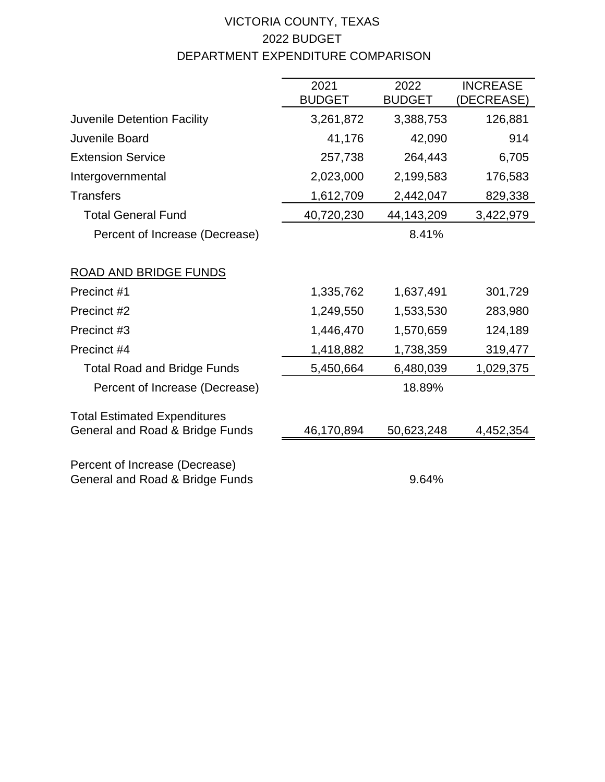# VICTORIA COUNTY, TEXAS 2022 BUDGET DEPARTMENT EXPENDITURE COMPARISON

|                                                                        | 2021          | 2022          | <b>INCREASE</b> |
|------------------------------------------------------------------------|---------------|---------------|-----------------|
|                                                                        | <b>BUDGET</b> | <b>BUDGET</b> | (DECREASE)      |
| <b>Juvenile Detention Facility</b>                                     | 3,261,872     | 3,388,753     | 126,881         |
| Juvenile Board                                                         | 41,176        | 42,090        | 914             |
| <b>Extension Service</b>                                               | 257,738       | 264,443       | 6,705           |
| Intergovernmental                                                      | 2,023,000     | 2,199,583     | 176,583         |
| <b>Transfers</b>                                                       | 1,612,709     | 2,442,047     | 829,338         |
| <b>Total General Fund</b>                                              | 40,720,230    | 44,143,209    | 3,422,979       |
| Percent of Increase (Decrease)                                         |               | 8.41%         |                 |
|                                                                        |               |               |                 |
| <b>ROAD AND BRIDGE FUNDS</b>                                           |               |               |                 |
| Precinct #1                                                            | 1,335,762     | 1,637,491     | 301,729         |
| Precinct #2                                                            | 1,249,550     | 1,533,530     | 283,980         |
| Precinct #3                                                            | 1,446,470     | 1,570,659     | 124,189         |
| Precinct #4                                                            | 1,418,882     | 1,738,359     | 319,477         |
| <b>Total Road and Bridge Funds</b>                                     | 5,450,664     | 6,480,039     | 1,029,375       |
| Percent of Increase (Decrease)                                         |               | 18.89%        |                 |
|                                                                        |               |               |                 |
| <b>Total Estimated Expenditures</b><br>General and Road & Bridge Funds | 46,170,894    | 50,623,248    | 4,452,354       |
|                                                                        |               |               |                 |
| Percent of Increase (Decrease)                                         |               |               |                 |
| General and Road & Bridge Funds                                        |               | 9.64%         |                 |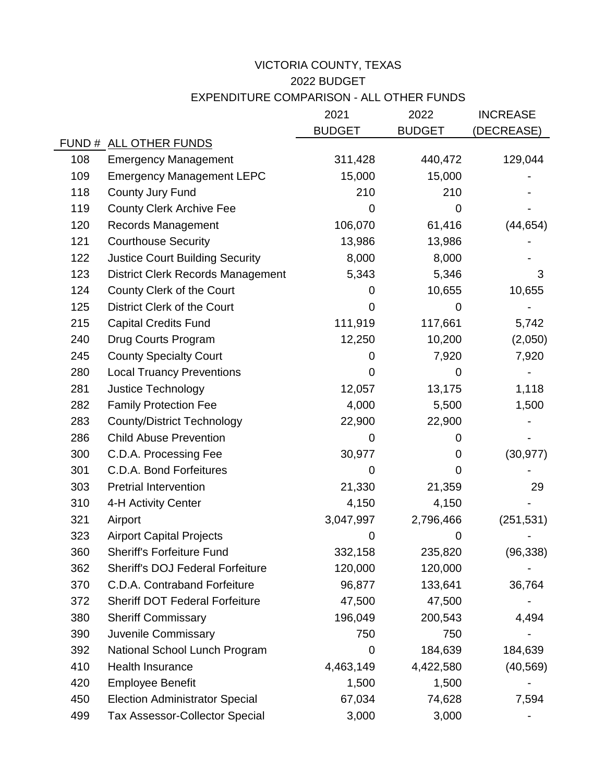## 2022 BUDGET EXPENDITURE COMPARISON - ALL OTHER FUNDS VICTORIA COUNTY, TEXAS

|     |                                          | 2021          | 2022          | <b>INCREASE</b> |
|-----|------------------------------------------|---------------|---------------|-----------------|
|     |                                          | <b>BUDGET</b> | <b>BUDGET</b> | (DECREASE)      |
|     | FUND # ALL OTHER FUNDS                   |               |               |                 |
| 108 | <b>Emergency Management</b>              | 311,428       | 440,472       | 129,044         |
| 109 | <b>Emergency Management LEPC</b>         | 15,000        | 15,000        |                 |
| 118 | County Jury Fund                         | 210           | 210           |                 |
| 119 | <b>County Clerk Archive Fee</b>          | 0             | 0             |                 |
| 120 | <b>Records Management</b>                | 106,070       | 61,416        | (44, 654)       |
| 121 | <b>Courthouse Security</b>               | 13,986        | 13,986        |                 |
| 122 | <b>Justice Court Building Security</b>   | 8,000         | 8,000         |                 |
| 123 | <b>District Clerk Records Management</b> | 5,343         | 5,346         | 3               |
| 124 | County Clerk of the Court                | 0             | 10,655        | 10,655          |
| 125 | District Clerk of the Court              | 0             | 0             |                 |
| 215 | <b>Capital Credits Fund</b>              | 111,919       | 117,661       | 5,742           |
| 240 | Drug Courts Program                      | 12,250        | 10,200        | (2,050)         |
| 245 | <b>County Specialty Court</b>            | 0             | 7,920         | 7,920           |
| 280 | <b>Local Truancy Preventions</b>         | 0             | 0             |                 |
| 281 | Justice Technology                       | 12,057        | 13,175        | 1,118           |
| 282 | <b>Family Protection Fee</b>             | 4,000         | 5,500         | 1,500           |
| 283 | <b>County/District Technology</b>        | 22,900        | 22,900        |                 |
| 286 | <b>Child Abuse Prevention</b>            | 0             | 0             |                 |
| 300 | C.D.A. Processing Fee                    | 30,977        | 0             | (30, 977)       |
| 301 | C.D.A. Bond Forfeitures                  | 0             | 0             |                 |
| 303 | <b>Pretrial Intervention</b>             | 21,330        | 21,359        | 29              |
| 310 | 4-H Activity Center                      | 4,150         | 4,150         |                 |
| 321 | Airport                                  | 3,047,997     | 2,796,466     | (251, 531)      |
| 323 | <b>Airport Capital Projects</b>          | 0             | 0             |                 |
| 360 | <b>Sheriff's Forfeiture Fund</b>         | 332,158       | 235,820       | (96, 338)       |
| 362 | <b>Sheriff's DOJ Federal Forfeiture</b>  | 120,000       | 120,000       |                 |
| 370 | C.D.A. Contraband Forfeiture             | 96,877        | 133,641       | 36,764          |
| 372 | <b>Sheriff DOT Federal Forfeiture</b>    | 47,500        | 47,500        |                 |
| 380 | <b>Sheriff Commissary</b>                | 196,049       | 200,543       | 4,494           |
| 390 | Juvenile Commissary                      | 750           | 750           |                 |
| 392 | National School Lunch Program            | $\mathbf 0$   | 184,639       | 184,639         |
| 410 | <b>Health Insurance</b>                  | 4,463,149     | 4,422,580     | (40, 569)       |
| 420 | <b>Employee Benefit</b>                  | 1,500         | 1,500         |                 |
| 450 | <b>Election Administrator Special</b>    | 67,034        | 74,628        | 7,594           |
| 499 | <b>Tax Assessor-Collector Special</b>    | 3,000         | 3,000         |                 |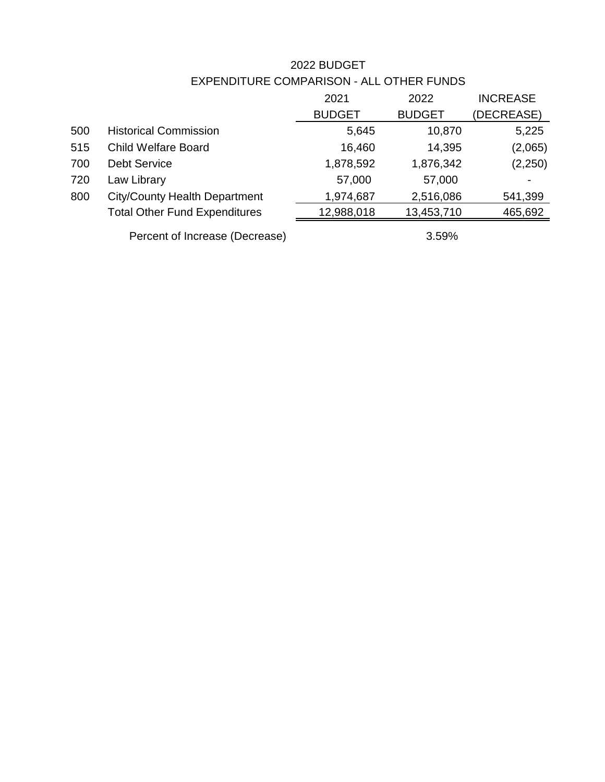# 2022 BUDGET

|     |                                      | 2021          | 2022          | <b>INCREASE</b> |
|-----|--------------------------------------|---------------|---------------|-----------------|
|     |                                      | <b>BUDGET</b> | <b>BUDGET</b> | (DECREASE)      |
| 500 | <b>Historical Commission</b>         | 5,645         | 10,870        | 5,225           |
| 515 | <b>Child Welfare Board</b>           | 16,460        | 14,395        | (2,065)         |
| 700 | <b>Debt Service</b>                  | 1,878,592     | 1,876,342     | (2,250)         |
| 720 | Law Library                          | 57,000        | 57,000        |                 |
| 800 | <b>City/County Health Department</b> | 1,974,687     | 2,516,086     | 541,399         |
|     | <b>Total Other Fund Expenditures</b> | 12,988,018    | 13,453,710    | 465,692         |
|     |                                      |               |               |                 |

EXPENDITURE COMPARISON - ALL OTHER FUNDS

Percent of Increase (Decrease) 3.59%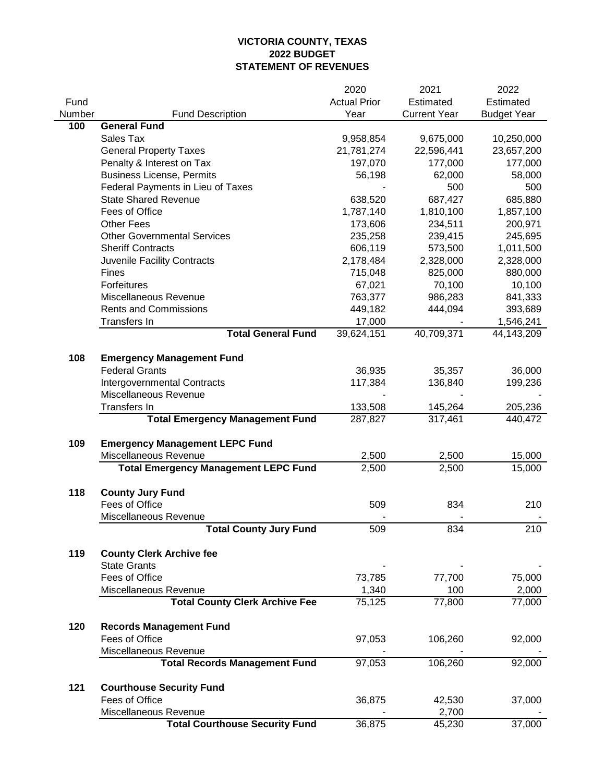|        |                                             | 2020                | 2021                | 2022               |
|--------|---------------------------------------------|---------------------|---------------------|--------------------|
| Fund   |                                             | <b>Actual Prior</b> | Estimated           | Estimated          |
| Number | <b>Fund Description</b>                     | Year                | <b>Current Year</b> | <b>Budget Year</b> |
| 100    | <b>General Fund</b>                         |                     |                     |                    |
|        | Sales Tax                                   | 9,958,854           | 9,675,000           | 10,250,000         |
|        | <b>General Property Taxes</b>               | 21,781,274          | 22,596,441          | 23,657,200         |
|        | Penalty & Interest on Tax                   | 197,070             | 177,000             | 177,000            |
|        | <b>Business License, Permits</b>            | 56,198              | 62,000              | 58,000             |
|        | Federal Payments in Lieu of Taxes           |                     | 500                 | 500                |
|        | <b>State Shared Revenue</b>                 | 638,520             | 687,427             | 685,880            |
|        | Fees of Office                              | 1,787,140           | 1,810,100           | 1,857,100          |
|        | <b>Other Fees</b>                           | 173,606             | 234,511             | 200,971            |
|        | <b>Other Governmental Services</b>          | 235,258             | 239,415             | 245,695            |
|        | <b>Sheriff Contracts</b>                    | 606,119             | 573,500             | 1,011,500          |
|        | Juvenile Facility Contracts                 | 2,178,484           | 2,328,000           | 2,328,000          |
|        | Fines                                       | 715,048             | 825,000             | 880,000            |
|        | Forfeitures                                 | 67,021              | 70,100              | 10,100             |
|        | Miscellaneous Revenue                       | 763,377             | 986,283             | 841,333            |
|        | <b>Rents and Commissions</b>                | 449,182             | 444,094             | 393,689            |
|        | Transfers In                                | 17,000              |                     | 1,546,241          |
|        | <b>Total General Fund</b>                   | 39,624,151          | 40,709,371          | 44,143,209         |
|        |                                             |                     |                     |                    |
| 108    | <b>Emergency Management Fund</b>            |                     |                     |                    |
|        | <b>Federal Grants</b>                       | 36,935              | 35,357              | 36,000             |
|        | <b>Intergovernmental Contracts</b>          | 117,384             | 136,840             | 199,236            |
|        | Miscellaneous Revenue                       |                     |                     |                    |
|        | <b>Transfers In</b>                         | 133,508             | 145,264             | 205,236            |
|        | <b>Total Emergency Management Fund</b>      | 287,827             | 317,461             | 440,472            |
|        |                                             |                     |                     |                    |
| 109    | <b>Emergency Management LEPC Fund</b>       |                     |                     |                    |
|        | Miscellaneous Revenue                       | 2,500               | 2,500               | 15,000             |
|        | <b>Total Emergency Management LEPC Fund</b> | 2,500               | 2,500               | 15,000             |
|        |                                             |                     |                     |                    |
| 118    | <b>County Jury Fund</b>                     |                     |                     |                    |
|        | Fees of Office                              | 509                 | 834                 | 210                |
|        | Miscellaneous Revenue                       |                     |                     |                    |
|        | <b>Total County Jury Fund</b>               | 509                 | 834                 | 210                |
|        |                                             |                     |                     |                    |
| 119    | <b>County Clerk Archive fee</b>             |                     |                     |                    |
|        | <b>State Grants</b>                         |                     |                     |                    |
|        | Fees of Office                              | 73,785              | 77,700              | 75,000             |
|        | Miscellaneous Revenue                       | 1,340               | 100                 | 2,000              |
|        | <b>Total County Clerk Archive Fee</b>       | 75,125              | 77,800              | 77,000             |
|        |                                             |                     |                     |                    |
| 120    | <b>Records Management Fund</b>              |                     |                     |                    |
|        | Fees of Office                              | 97,053              | 106,260             | 92,000             |
|        | Miscellaneous Revenue                       |                     |                     |                    |
|        | <b>Total Records Management Fund</b>        | 97,053              | 106,260             | 92,000             |
|        |                                             |                     |                     |                    |
| 121    | <b>Courthouse Security Fund</b>             |                     |                     |                    |
|        | Fees of Office                              | 36,875              | 42,530              | 37,000             |
|        | Miscellaneous Revenue                       |                     | 2,700               |                    |
|        | <b>Total Courthouse Security Fund</b>       | 36,875              | 45,230              | 37,000             |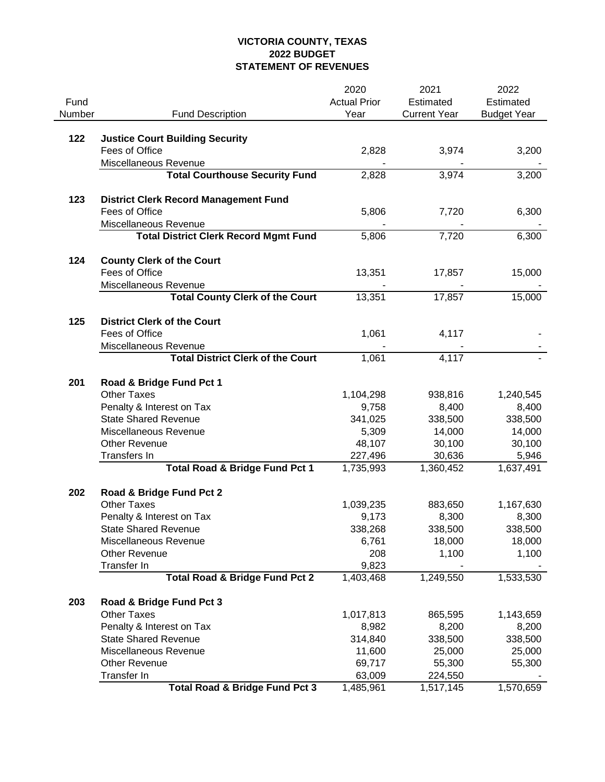|        |                                                | 2020                | 2021                | 2022               |
|--------|------------------------------------------------|---------------------|---------------------|--------------------|
| Fund   |                                                | <b>Actual Prior</b> | Estimated           | Estimated          |
| Number | <b>Fund Description</b>                        | Year                | <b>Current Year</b> | <b>Budget Year</b> |
|        |                                                |                     |                     |                    |
| 122    | <b>Justice Court Building Security</b>         |                     |                     |                    |
|        | Fees of Office                                 | 2,828               | 3,974               | 3,200              |
|        | Miscellaneous Revenue                          |                     |                     |                    |
|        | <b>Total Courthouse Security Fund</b>          | 2,828               | 3,974               | 3,200              |
|        |                                                |                     |                     |                    |
| 123    | <b>District Clerk Record Management Fund</b>   |                     |                     |                    |
|        | Fees of Office                                 | 5,806               | 7,720               | 6,300              |
|        | Miscellaneous Revenue                          |                     |                     |                    |
|        | <b>Total District Clerk Record Mgmt Fund</b>   | 5,806               | 7,720               | 6,300              |
| 124    | <b>County Clerk of the Court</b>               |                     |                     |                    |
|        | Fees of Office                                 | 13,351              | 17,857              | 15,000             |
|        | Miscellaneous Revenue                          |                     |                     |                    |
|        | <b>Total County Clerk of the Court</b>         | 13,351              | 17,857              | 15,000             |
|        |                                                |                     |                     |                    |
| 125    | <b>District Clerk of the Court</b>             |                     |                     |                    |
|        | Fees of Office                                 | 1,061               | 4,117               |                    |
|        | Miscellaneous Revenue                          |                     |                     |                    |
|        | <b>Total District Clerk of the Court</b>       | 1,061               | 4,117               |                    |
|        |                                                |                     |                     |                    |
| 201    | Road & Bridge Fund Pct 1<br><b>Other Taxes</b> |                     | 938,816             |                    |
|        | Penalty & Interest on Tax                      | 1,104,298<br>9,758  | 8,400               | 1,240,545<br>8,400 |
|        | <b>State Shared Revenue</b>                    | 341,025             | 338,500             | 338,500            |
|        | Miscellaneous Revenue                          | 5,309               | 14,000              | 14,000             |
|        | <b>Other Revenue</b>                           | 48,107              | 30,100              | 30,100             |
|        | Transfers In                                   | 227,496             | 30,636              | 5,946              |
|        | <b>Total Road &amp; Bridge Fund Pct 1</b>      | 1,735,993           | 1,360,452           | 1,637,491          |
|        |                                                |                     |                     |                    |
| 202    | Road & Bridge Fund Pct 2                       |                     |                     |                    |
|        | <b>Other Taxes</b>                             | 1,039,235           | 883,650             | 1,167,630          |
|        | Penalty & Interest on Tax                      | 9,173               | 8,300               | 8,300              |
|        | <b>State Shared Revenue</b>                    | 338,268             | 338,500             | 338,500            |
|        | Miscellaneous Revenue                          | 6,761               | 18,000              | 18,000             |
|        | <b>Other Revenue</b>                           | 208                 | 1,100               | 1,100              |
|        | Transfer In                                    | 9,823               |                     |                    |
|        | <b>Total Road &amp; Bridge Fund Pct 2</b>      | 1,403,468           | 1,249,550           | 1,533,530          |
| 203    |                                                |                     |                     |                    |
|        | Road & Bridge Fund Pct 3<br><b>Other Taxes</b> | 1,017,813           | 865,595             | 1,143,659          |
|        | Penalty & Interest on Tax                      | 8,982               | 8,200               | 8,200              |
|        | <b>State Shared Revenue</b>                    | 314,840             | 338,500             | 338,500            |
|        | Miscellaneous Revenue                          | 11,600              | 25,000              | 25,000             |
|        | <b>Other Revenue</b>                           | 69,717              | 55,300              | 55,300             |
|        | Transfer In                                    | 63,009              | 224,550             |                    |
|        | <b>Total Road &amp; Bridge Fund Pct 3</b>      | 1,485,961           | 1,517,145           | 1,570,659          |
|        |                                                |                     |                     |                    |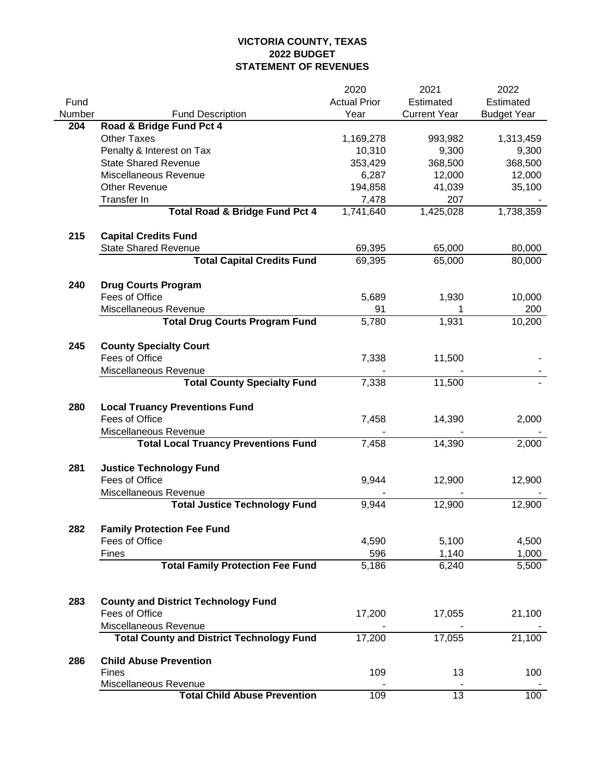|        |                                                                           | 2020                | 2021                | 2022               |
|--------|---------------------------------------------------------------------------|---------------------|---------------------|--------------------|
| Fund   |                                                                           | <b>Actual Prior</b> | Estimated           | Estimated          |
| Number | <b>Fund Description</b>                                                   | Year                | <b>Current Year</b> | <b>Budget Year</b> |
| 204    | Road & Bridge Fund Pct 4                                                  |                     |                     |                    |
|        | <b>Other Taxes</b>                                                        | 1,169,278           | 993,982             | 1,313,459          |
|        | Penalty & Interest on Tax                                                 | 10,310              | 9,300               | 9,300              |
|        | <b>State Shared Revenue</b>                                               | 353,429             | 368,500             | 368,500            |
|        | Miscellaneous Revenue                                                     | 6,287               | 12,000              | 12,000             |
|        | <b>Other Revenue</b>                                                      | 194,858             | 41,039              | 35,100             |
|        | Transfer In                                                               | 7,478               | 207                 |                    |
|        | <b>Total Road &amp; Bridge Fund Pct 4</b>                                 | 1,741,640           | 1,425,028           | 1,738,359          |
| 215    | <b>Capital Credits Fund</b>                                               |                     |                     |                    |
|        | <b>State Shared Revenue</b>                                               | 69,395              | 65,000              | 80,000             |
|        | <b>Total Capital Credits Fund</b>                                         | 69,395              | 65,000              | 80,000             |
|        |                                                                           |                     |                     |                    |
| 240    | <b>Drug Courts Program</b>                                                |                     |                     |                    |
|        | Fees of Office                                                            | 5,689               | 1,930               | 10,000             |
|        | Miscellaneous Revenue                                                     | 91                  |                     | 200                |
|        | <b>Total Drug Courts Program Fund</b>                                     | 5,780               | 1,931               | 10,200             |
|        |                                                                           |                     |                     |                    |
| 245    | <b>County Specialty Court</b>                                             |                     |                     |                    |
|        | Fees of Office                                                            | 7,338               | 11,500              |                    |
|        | Miscellaneous Revenue                                                     |                     |                     |                    |
|        | <b>Total County Specialty Fund</b>                                        | 7,338               | 11,500              |                    |
|        |                                                                           |                     |                     |                    |
| 280    | <b>Local Truancy Preventions Fund</b>                                     |                     |                     |                    |
|        | Fees of Office                                                            | 7,458               | 14,390              | 2,000              |
|        | Miscellaneous Revenue<br><b>Total Local Truancy Preventions Fund</b>      | 7,458               | 14,390              | 2,000              |
|        |                                                                           |                     |                     |                    |
| 281    | <b>Justice Technology Fund</b>                                            |                     |                     |                    |
|        | Fees of Office                                                            | 9,944               | 12,900              | 12,900             |
|        | Miscellaneous Revenue                                                     |                     |                     |                    |
|        | <b>Total Justice Technology Fund</b>                                      | 9,944               | 12,900              | 12,900             |
|        |                                                                           |                     |                     |                    |
| 282    | <b>Family Protection Fee Fund</b>                                         |                     |                     |                    |
|        | Fees of Office                                                            | 4,590               | 5,100               | 4,500              |
|        | <b>Fines</b>                                                              | 596                 | 1,140               | 1,000              |
|        | <b>Total Family Protection Fee Fund</b>                                   | 5,186               | 6,240               | 5,500              |
|        |                                                                           |                     |                     |                    |
|        |                                                                           |                     |                     |                    |
| 283    | <b>County and District Technology Fund</b>                                |                     |                     |                    |
|        | Fees of Office                                                            | 17,200              | 17,055              | 21,100             |
|        | Miscellaneous Revenue<br><b>Total County and District Technology Fund</b> | 17,200              | 17,055              | 21,100             |
|        |                                                                           |                     |                     |                    |
| 286    | <b>Child Abuse Prevention</b>                                             |                     |                     |                    |
|        | <b>Fines</b>                                                              | 109                 | 13                  | 100                |
|        | Miscellaneous Revenue                                                     |                     |                     |                    |
|        | <b>Total Child Abuse Prevention</b>                                       | 109                 | $\overline{13}$     | 100                |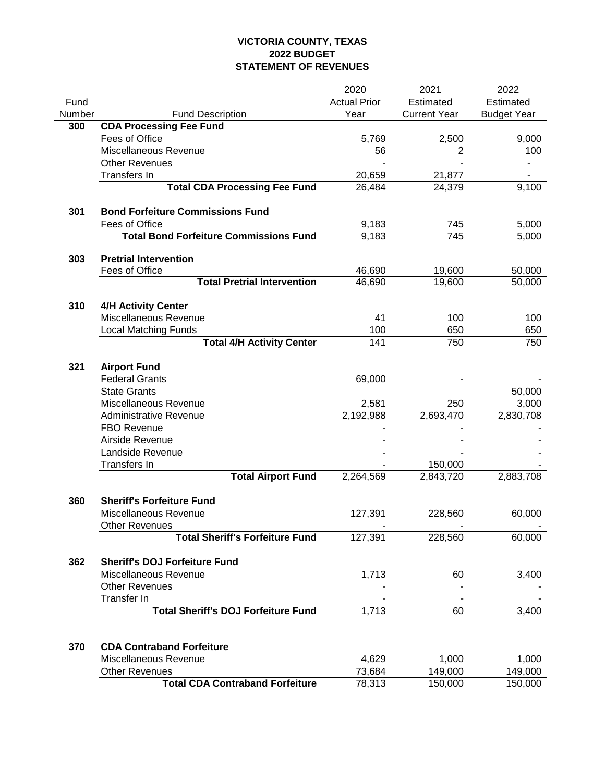|        |                                               | 2020                | 2021                | 2022               |
|--------|-----------------------------------------------|---------------------|---------------------|--------------------|
| Fund   |                                               | <b>Actual Prior</b> | Estimated           | Estimated          |
| Number | <b>Fund Description</b>                       | Year                | <b>Current Year</b> | <b>Budget Year</b> |
| 300    | <b>CDA Processing Fee Fund</b>                |                     |                     |                    |
|        | Fees of Office                                | 5,769               | 2,500               | 9,000              |
|        | Miscellaneous Revenue                         | 56                  | 2                   | 100                |
|        | <b>Other Revenues</b>                         |                     |                     |                    |
|        | Transfers In                                  | 20,659              | 21,877              |                    |
|        | <b>Total CDA Processing Fee Fund</b>          | 26,484              | 24,379              | 9,100              |
| 301    | <b>Bond Forfeiture Commissions Fund</b>       |                     |                     |                    |
|        | Fees of Office                                | 9,183               | 745                 | 5,000              |
|        | <b>Total Bond Forfeiture Commissions Fund</b> | 9,183               | 745                 | 5,000              |
| 303    | <b>Pretrial Intervention</b>                  |                     |                     |                    |
|        | Fees of Office                                | 46,690              | 19,600              | 50,000             |
|        | <b>Total Pretrial Intervention</b>            | 46,690              | 19,600              | 50,000             |
| 310    | <b>4/H Activity Center</b>                    |                     |                     |                    |
|        | Miscellaneous Revenue                         | 41                  | 100                 | 100                |
|        | <b>Local Matching Funds</b>                   | 100                 | 650                 | 650                |
|        | <b>Total 4/H Activity Center</b>              | 141                 | 750                 | 750                |
| 321    | <b>Airport Fund</b>                           |                     |                     |                    |
|        | <b>Federal Grants</b>                         | 69,000              |                     |                    |
|        | <b>State Grants</b>                           |                     |                     | 50,000             |
|        | Miscellaneous Revenue                         | 2,581               | 250                 | 3,000              |
|        | <b>Administrative Revenue</b>                 | 2,192,988           | 2,693,470           | 2,830,708          |
|        | <b>FBO Revenue</b>                            |                     |                     |                    |
|        | Airside Revenue                               |                     |                     |                    |
|        | Landside Revenue                              |                     |                     |                    |
|        | Transfers In                                  |                     | 150,000             |                    |
|        | <b>Total Airport Fund</b>                     | 2,264,569           | 2,843,720           | 2,883,708          |
| 360    | <b>Sheriff's Forfeiture Fund</b>              |                     |                     |                    |
|        | Miscellaneous Revenue                         | 127,391             | 228,560             | 60,000             |
|        | <b>Other Revenues</b>                         |                     |                     |                    |
|        | <b>Total Sheriff's Forfeiture Fund</b>        | 127,391             | 228,560             | 60,000             |
| 362    | <b>Sheriff's DOJ Forfeiture Fund</b>          |                     |                     |                    |
|        | Miscellaneous Revenue                         | 1,713               | 60                  | 3,400              |
|        | <b>Other Revenues</b>                         |                     |                     |                    |
|        | <b>Transfer In</b>                            |                     |                     |                    |
|        | <b>Total Sheriff's DOJ Forfeiture Fund</b>    | 1,713               | 60                  | 3,400              |
|        |                                               |                     |                     |                    |
| 370    | <b>CDA Contraband Forfeiture</b>              |                     |                     |                    |
|        | Miscellaneous Revenue                         | 4,629               | 1,000               | 1,000              |
|        | <b>Other Revenues</b>                         | 73,684              | 149,000             | 149,000            |
|        | <b>Total CDA Contraband Forfeiture</b>        | 78,313              | 150,000             | 150,000            |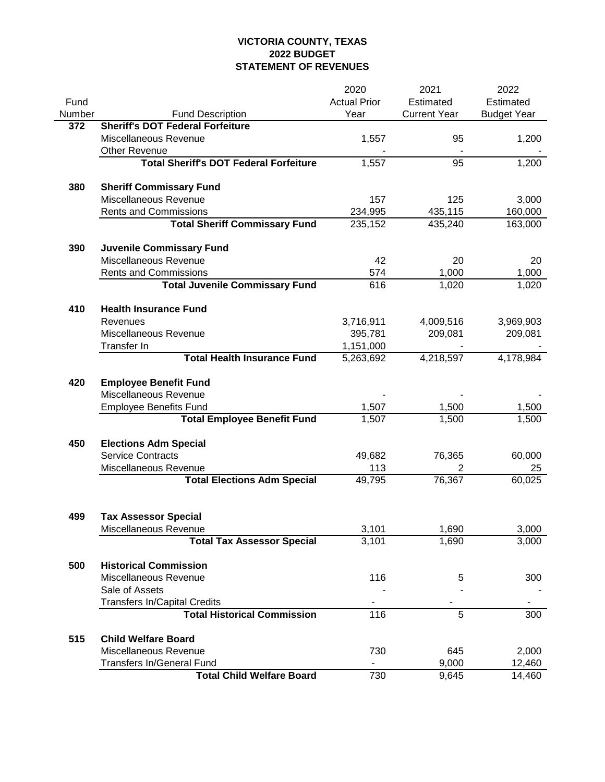|        |                                                     | 2020                 | 2021                | 2022               |
|--------|-----------------------------------------------------|----------------------|---------------------|--------------------|
| Fund   |                                                     | <b>Actual Prior</b>  | Estimated           | Estimated          |
| Number | <b>Fund Description</b>                             | Year                 | <b>Current Year</b> | <b>Budget Year</b> |
| 372    | <b>Sheriff's DOT Federal Forfeiture</b>             |                      |                     |                    |
|        | Miscellaneous Revenue                               | 1,557                | 95                  | 1,200              |
|        | <b>Other Revenue</b>                                |                      |                     |                    |
|        | <b>Total Sheriff's DOT Federal Forfeiture</b>       | 1,557                | 95                  | 1,200              |
|        |                                                     |                      |                     |                    |
| 380    | <b>Sheriff Commissary Fund</b>                      |                      |                     |                    |
|        | Miscellaneous Revenue                               | 157                  | 125                 | 3,000              |
|        | <b>Rents and Commissions</b>                        | 234,995              | 435,115             | 160,000            |
|        | <b>Total Sheriff Commissary Fund</b>                | 235,152              | 435,240             | 163,000            |
|        |                                                     |                      |                     |                    |
| 390    | <b>Juvenile Commissary Fund</b>                     |                      |                     |                    |
|        | Miscellaneous Revenue                               | 42                   | 20                  | 20                 |
|        | <b>Rents and Commissions</b>                        | 574                  | 1,000               | 1,000              |
|        | <b>Total Juvenile Commissary Fund</b>               | 616                  | 1,020               | 1,020              |
|        |                                                     |                      |                     |                    |
| 410    | <b>Health Insurance Fund</b><br>Revenues            |                      | 4,009,516           | 3,969,903          |
|        | Miscellaneous Revenue                               | 3,716,911<br>395,781 | 209,081             | 209,081            |
|        | Transfer In                                         | 1,151,000            |                     |                    |
|        | <b>Total Health Insurance Fund</b>                  | 5,263,692            | 4,218,597           | 4,178,984          |
|        |                                                     |                      |                     |                    |
| 420    | <b>Employee Benefit Fund</b>                        |                      |                     |                    |
|        | Miscellaneous Revenue                               |                      |                     |                    |
|        | <b>Employee Benefits Fund</b>                       | 1,507                | 1,500               | 1,500              |
|        | <b>Total Employee Benefit Fund</b>                  | 1,507                | 1,500               | 1,500              |
|        |                                                     |                      |                     |                    |
| 450    | <b>Elections Adm Special</b>                        |                      |                     |                    |
|        | <b>Service Contracts</b>                            | 49,682               | 76,365              | 60,000             |
|        | Miscellaneous Revenue                               | 113                  | 2                   | 25                 |
|        | <b>Total Elections Adm Special</b>                  | 49,795               | 76,367              | 60,025             |
|        |                                                     |                      |                     |                    |
|        |                                                     |                      |                     |                    |
| 499    | <b>Tax Assessor Special</b>                         |                      |                     |                    |
|        | Miscellaneous Revenue                               | 3,101                | 1,690               | 3,000              |
|        | <b>Total Tax Assessor Special</b>                   | 3,101                | 1,690               | 3,000              |
|        |                                                     |                      |                     |                    |
| 500    | <b>Historical Commission</b>                        |                      |                     |                    |
|        | Miscellaneous Revenue                               | 116                  | 5                   | 300                |
|        | Sale of Assets                                      |                      |                     |                    |
|        | <b>Transfers In/Capital Credits</b>                 |                      |                     |                    |
|        | <b>Total Historical Commission</b>                  | 116                  | 5                   | 300                |
| 515    |                                                     |                      |                     |                    |
|        | <b>Child Welfare Board</b><br>Miscellaneous Revenue | 730                  | 645                 | 2,000              |
|        | <b>Transfers In/General Fund</b>                    |                      | 9,000               | 12,460             |
|        | <b>Total Child Welfare Board</b>                    | 730                  | 9,645               | 14,460             |
|        |                                                     |                      |                     |                    |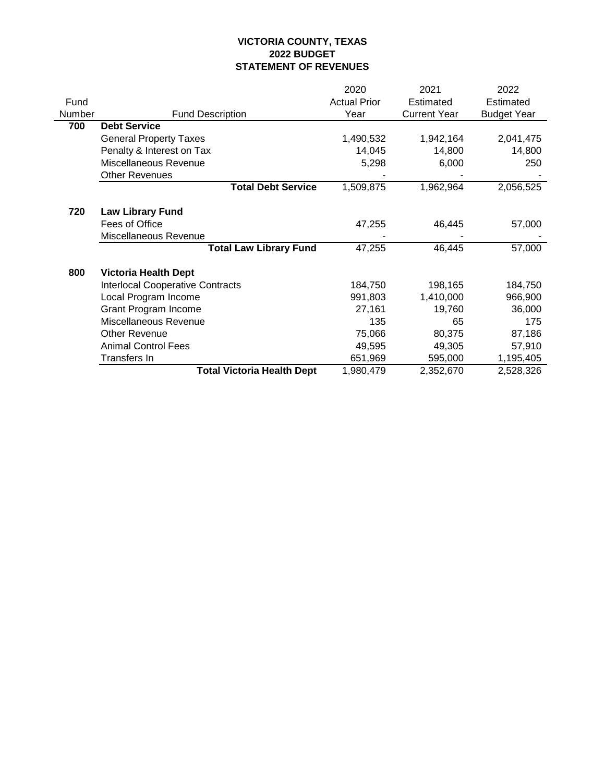|        |                                         | 2020                | 2021                | 2022               |
|--------|-----------------------------------------|---------------------|---------------------|--------------------|
| Fund   |                                         | <b>Actual Prior</b> | Estimated           | Estimated          |
| Number | <b>Fund Description</b>                 | Year                | <b>Current Year</b> | <b>Budget Year</b> |
| 700    | <b>Debt Service</b>                     |                     |                     |                    |
|        | <b>General Property Taxes</b>           | 1,490,532           | 1,942,164           | 2,041,475          |
|        | Penalty & Interest on Tax               | 14,045              | 14,800              | 14,800             |
|        | Miscellaneous Revenue                   | 5,298               | 6,000               | 250                |
|        | <b>Other Revenues</b>                   |                     |                     |                    |
|        | <b>Total Debt Service</b>               | 1,509,875           | 1,962,964           | 2,056,525          |
| 720    | <b>Law Library Fund</b>                 |                     |                     |                    |
|        | Fees of Office                          | 47,255              | 46,445              | 57,000             |
|        | Miscellaneous Revenue                   |                     |                     |                    |
|        | <b>Total Law Library Fund</b>           | 47,255              | 46,445              | 57,000             |
| 800    | <b>Victoria Health Dept</b>             |                     |                     |                    |
|        | <b>Interlocal Cooperative Contracts</b> | 184,750             | 198,165             | 184,750            |
|        | Local Program Income                    | 991,803             | 1,410,000           | 966,900            |
|        | Grant Program Income                    | 27,161              | 19,760              | 36,000             |
|        | Miscellaneous Revenue                   | 135                 | 65                  | 175                |
|        | <b>Other Revenue</b>                    | 75,066              | 80,375              | 87,186             |
|        | <b>Animal Control Fees</b>              | 49,595              | 49,305              | 57,910             |
|        | Transfers In                            | 651,969             | 595,000             | 1,195,405          |
|        | <b>Total Victoria Health Dept</b>       | 1,980,479           | 2,352,670           | 2,528,326          |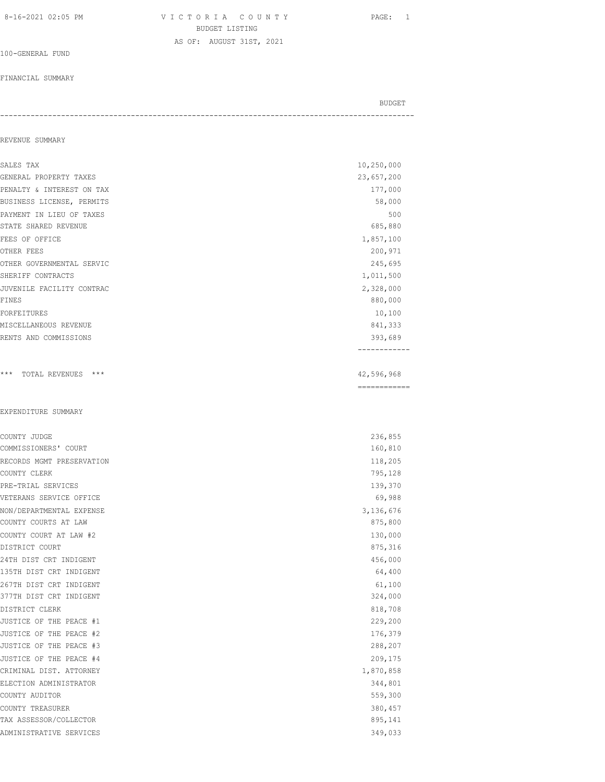8-16-2021 02:05 PM V I C T O R I A C O U N T Y PAGE: 1 BUDGET LISTING AS OF: AUGUST 31ST, 2021

100-GENERAL FUND

#### FINANCIAL SUMMARY

BUDGET AND RESERVE AND RESERVE AND RESERVE AND RESERVE AND RESERVE AND RESERVE AND RESERVE AND RESERVE AND RESERVE AND RESERVE AND RESERVE AND RESERVE AND RESERVE AND RESERVE AND RESPONDING A REPORT OF A REPORT OF A REPORT -----------------------------------------------------------------------------------------------

#### REVENUE SUMMARY

| SALES TAX                 | 10,250,000                 |
|---------------------------|----------------------------|
| GENERAL PROPERTY TAXES    | 23,657,200                 |
| PENALTY & INTEREST ON TAX | 177,000                    |
| BUSINESS LICENSE, PERMITS | 58,000                     |
| PAYMENT IN LIEU OF TAXES  | 500                        |
| STATE SHARED REVENUE      | 685,880                    |
| FEES OF OFFICE            | 1,857,100                  |
| OTHER FEES                | 200,971                    |
| OTHER GOVERNMENTAL SERVIC | 245,695                    |
| SHERIFF CONTRACTS         | 1,011,500                  |
| JUVENILE FACILITY CONTRAC | 2,328,000                  |
| <b>FINES</b>              | 880,000                    |
| FORFEITURES               | 10,100                     |
| MISCELLANEOUS REVENUE     | 841,333                    |
| RENTS AND COMMISSIONS     | 393,689                    |
|                           |                            |
| *** TOTAL REVENUES ***    | 42,596,968<br>------------ |
|                           |                            |
| EXPENDITURE SUMMARY       |                            |
| COUNTY JUDGE              | 236,855                    |
| COMMISSIONERS' COURT      | 160,810                    |
| RECORDS MGMT PRESERVATION | 118,205                    |
| COUNTY CLERK              | 795,128                    |
| PRE-TRIAL SERVICES        | 139,370                    |
| VETERANS SERVICE OFFICE   | 69,988                     |
| NON/DEPARTMENTAL EXPENSE  | 3,136,676                  |
| COUNTY COURTS AT LAW      | 875,800                    |
| COUNTY COURT AT LAW #2    | 130,000                    |
| DISTRICT COURT            | 875,316                    |
| 24TH DIST CRT INDIGENT    | 456,000                    |
| 135TH DIST CRT INDIGENT   | 64,400                     |
| 267TH DIST CRT INDIGENT   | 61,100                     |
| 377TH DIST CRT INDIGENT   | 324,000                    |
| DISTRICT CLERK            | 818,708                    |
| JUSTICE OF THE PEACE #1   | 229,200                    |
| JUSTICE OF THE PEACE #2   | 176,379                    |
| JUSTICE OF THE PEACE #3   | 288,207                    |
| JUSTICE OF THE PEACE #4   | 209,175                    |
| CRIMINAL DIST. ATTORNEY   | 1,870,858                  |
| ELECTION ADMINISTRATOR    | 344,801                    |
| COUNTY AUDITOR            | 559,300                    |
| COUNTY TREASURER          | 380,457                    |
| TAX ASSESSOR/COLLECTOR    | 895,141                    |
| ADMINISTRATIVE SERVICES   | 349,033                    |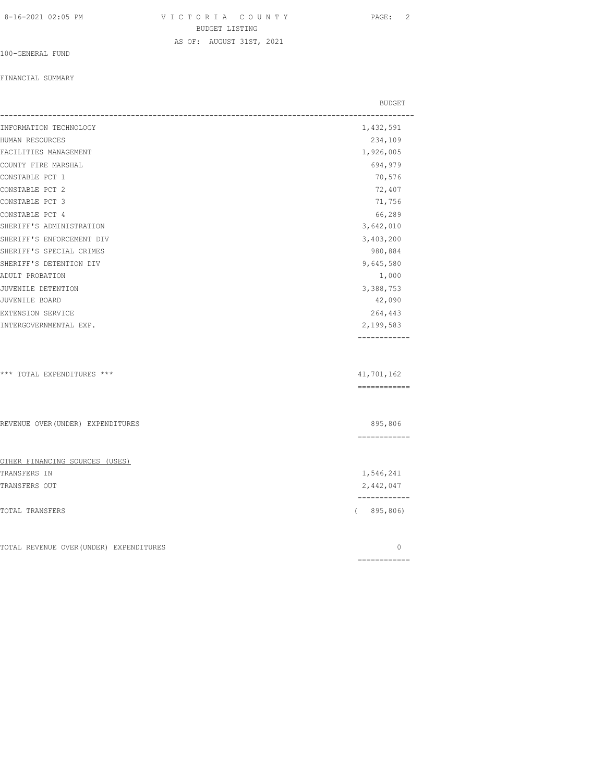AS OF: AUGUST 31ST, 2021

100-GENERAL FUND

#### FINANCIAL SUMMARY

|                                         | BUDGET                     |
|-----------------------------------------|----------------------------|
| INFORMATION TECHNOLOGY                  | 1,432,591                  |
| HUMAN RESOURCES                         | 234,109                    |
| FACILITIES MANAGEMENT                   | 1,926,005                  |
| COUNTY FIRE MARSHAL                     | 694,979                    |
| CONSTABLE PCT 1                         | 70,576                     |
| CONSTABLE PCT 2                         | 72,407                     |
| CONSTABLE PCT 3                         | 71,756                     |
| CONSTABLE PCT 4                         | 66,289                     |
| SHERIFF'S ADMINISTRATION                | 3,642,010                  |
| SHERIFF'S ENFORCEMENT DIV               | 3,403,200                  |
| SHERIFF'S SPECIAL CRIMES                | 980,884                    |
| SHERIFF'S DETENTION DIV                 | 9,645,580                  |
| ADULT PROBATION                         | 1,000                      |
| JUVENILE DETENTION                      | 3,388,753                  |
| <b>JUVENILE BOARD</b>                   | 42,090                     |
| EXTENSION SERVICE                       | 264,443                    |
| INTERGOVERNMENTAL EXP.                  | 2,199,583                  |
| *** TOTAL EXPENDITURES ***              | 41,701,162<br>------------ |
| REVENUE OVER (UNDER) EXPENDITURES       | 895,806<br>============    |
| OTHER FINANCING SOURCES (USES)          |                            |
| TRANSFERS IN                            | 1,546,241                  |
| TRANSFERS OUT                           | 2,442,047<br>------------  |
| TOTAL TRANSFERS                         | (895, 806)                 |
| TOTAL REVENUE OVER (UNDER) EXPENDITURES | 0                          |
|                                         | -------------              |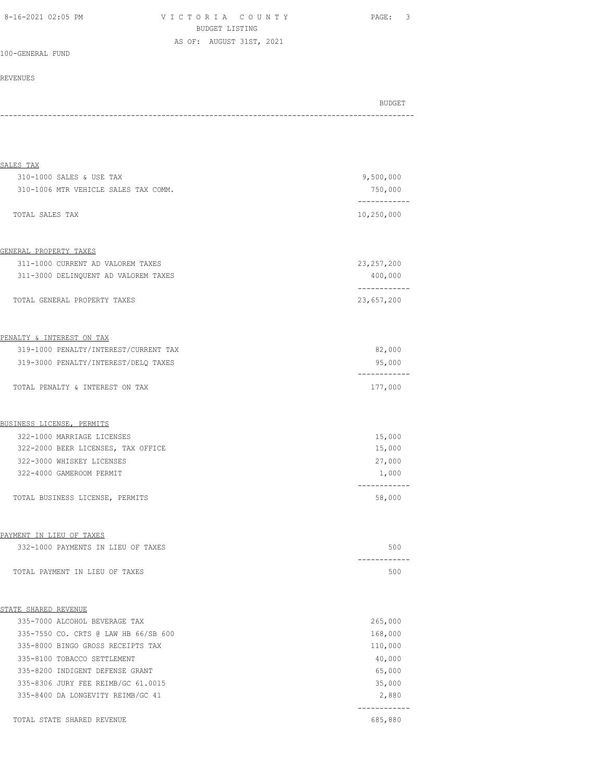| 8-16-2021 02:05 PM |  |  |
|--------------------|--|--|
|--------------------|--|--|

V I C T O R I A C O U N T Y Y PAGE: 3 BUDGET LISTING AS OF: AUGUST 31ST, 2021

100-GENERAL FUND

#### REVENUES

BUDGET AND RESERVE AND RESERVE AND RESERVE AND RESERVE AND RESERVE AND RESERVE AND RESERVE AND RESERVE AND RESERVE AND RESERVE AND RESERVE AND RESERVE AND RESERVE AND RESERVE AND RESPONDING A REPORT OF A REPORT OF A REPORT -----------------------------------------------------------------------------------------------

| SALES TAX                             |                            |
|---------------------------------------|----------------------------|
| 310-1000 SALES & USE TAX              | 9,500,000                  |
| 310-1006 MTR VEHICLE SALES TAX COMM.  | 750,000<br>------------    |
| TOTAL SALES TAX                       | 10,250,000                 |
| GENERAL PROPERTY TAXES                |                            |
| 311-1000 CURRENT AD VALOREM TAXES     | 23, 257, 200               |
| 311-3000 DELINQUENT AD VALOREM TAXES  | 400,000                    |
| TOTAL GENERAL PROPERTY TAXES          | ------------<br>23,657,200 |
| PENALTY & INTEREST ON TAX             |                            |
| 319-1000 PENALTY/INTEREST/CURRENT TAX | 82,000                     |
| 319-3000 PENALTY/INTEREST/DELQ TAXES  | 95,000                     |
| TOTAL PENALTY & INTEREST ON TAX       | 177,000                    |
| BUSINESS LICENSE, PERMITS             |                            |
| 322-1000 MARRIAGE LICENSES            | 15,000                     |
| 322-2000 BEER LICENSES, TAX OFFICE    | 15,000                     |
| 322-3000 WHISKEY LICENSES             | 27,000                     |
| 322-4000 GAMEROOM PERMIT              | 1,000                      |
| TOTAL BUSINESS LICENSE, PERMITS       | --------<br>58,000         |
| PAYMENT IN LIEU OF TAXES              |                            |
| 332-1000 PAYMENTS IN LIEU OF TAXES    | 500                        |
| TOTAL PAYMENT IN LIEU OF TAXES        | 500                        |
| STATE SHARED REVENUE                  |                            |
| 335-7000 ALCOHOL BEVERAGE TAX         | 265,000                    |
| 335-7550 CO. CRTS @ LAW HB 66/SB 600  | 168,000                    |
| 335-8000 BINGO GROSS RECEIPTS TAX     | 110,000                    |
| 335-8100 TOBACCO SETTLEMENT           | 40,000                     |
| 335-8200 INDIGENT DEFENSE GRANT       | 65,000                     |
| 335-8306 JURY FEE REIMB/GC 61.0015    | 35,000                     |
| 335-8400 DA LONGEVITY REIMB/GC 41     | 2,880<br>------------      |
| TOTAL STATE SHARED REVENUE            | 685,880                    |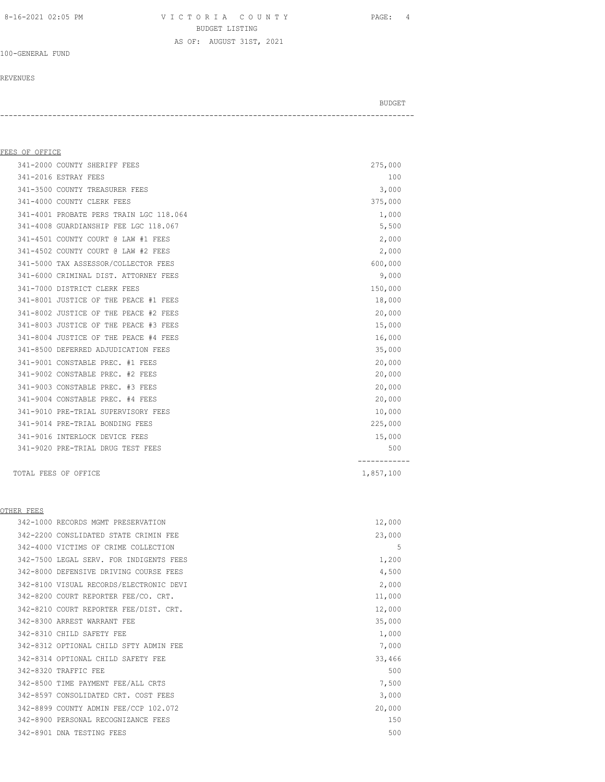8-16-2021 02:05 PM V I C T O R I A C O U N T Y PAGE: 4 BUDGET LISTING AS OF: AUGUST 31ST, 2021

#### 100-GENERAL FUND

#### REVENUES

BUDGET AND RESERVE AND RESERVE AND RESERVE AND RESERVE AND RESERVE AND RESERVE AND RESERVE AND RESERVE AND RESERVE AND RESERVE AND RESERVE AND RESERVE AND RESERVE AND RESERVE AND RESPONDING A REPORT OF A REPORT OF A REPORT -----------------------------------------------------------------------------------------------

#### FEES OF OFFICE

| 341-2000 COUNTY SHERIFF FEES            | 275,000   |  |
|-----------------------------------------|-----------|--|
| 341-2016 ESTRAY FEES                    | 100       |  |
| 341-3500 COUNTY TREASURER FEES          | 3,000     |  |
| 341-4000 COUNTY CLERK FEES              | 375,000   |  |
| 341-4001 PROBATE PERS TRAIN LGC 118.064 | 1,000     |  |
| 341-4008 GUARDIANSHIP FEE LGC 118.067   | 5,500     |  |
| 341-4501 COUNTY COURT @ LAW #1 FEES     | 2,000     |  |
| 341-4502 COUNTY COURT @ LAW #2 FEES     | 2,000     |  |
| 341-5000 TAX ASSESSOR/COLLECTOR FEES    | 600,000   |  |
| 341-6000 CRIMINAL DIST. ATTORNEY FEES   | 9,000     |  |
| 341-7000 DISTRICT CLERK FEES            | 150,000   |  |
| 341-8001 JUSTICE OF THE PEACE #1 FEES   | 18,000    |  |
| 341-8002 JUSTICE OF THE PEACE #2 FEES   | 20,000    |  |
| 341-8003 JUSTICE OF THE PEACE #3 FEES   | 15,000    |  |
| 341-8004 JUSTICE OF THE PEACE #4 FEES   | 16,000    |  |
| 341-8500 DEFERRED ADJUDICATION FEES     | 35,000    |  |
| 341-9001 CONSTABLE PREC. #1 FEES        | 20,000    |  |
| 341-9002 CONSTABLE PREC. #2 FEES        | 20,000    |  |
| 341-9003 CONSTABLE PREC. #3 FEES        | 20,000    |  |
| 341-9004 CONSTABLE PREC. #4 FEES        | 20,000    |  |
| 341-9010 PRE-TRIAL SUPERVISORY FEES     | 10,000    |  |
| 341-9014 PRE-TRIAL BONDING FEES         | 225,000   |  |
| 341-9016 INTERLOCK DEVICE FEES          | 15,000    |  |
| 341-9020 PRE-TRIAL DRUG TEST FEES       | 500       |  |
| TOTAL FEES OF OFFICE                    | 1,857,100 |  |

#### OTHER FEES

|  | 342-1000 RECORDS MGMT PRESERVATION      | 12,000 |
|--|-----------------------------------------|--------|
|  | 342-2200 CONSLIDATED STATE CRIMIN FEE   | 23,000 |
|  | 342-4000 VICTIMS OF CRIME COLLECTION    | 5      |
|  | 342-7500 LEGAL SERV. FOR INDIGENTS FEES | 1,200  |
|  | 342-8000 DEFENSIVE DRIVING COURSE FEES  | 4,500  |
|  | 342-8100 VISUAL RECORDS/ELECTRONIC DEVI | 2,000  |
|  | 342-8200 COURT REPORTER FEE/CO. CRT.    | 11,000 |
|  | 342-8210 COURT REPORTER FEE/DIST. CRT.  | 12,000 |
|  | 342-8300 ARREST WARRANT FEE             | 35,000 |
|  | 342-8310 CHILD SAFETY FEE               | 1,000  |
|  | 342-8312 OPTIONAL CHILD SFTY ADMIN FEE  | 7,000  |
|  | 342-8314 OPTIONAL CHILD SAFETY FEE      | 33,466 |
|  | 342-8320 TRAFFIC FEE                    | 500    |
|  | 342-8500 TIME PAYMENT FEE/ALL CRTS      | 7,500  |
|  | 342-8597 CONSOLIDATED CRT. COST FEES    | 3,000  |
|  | 342-8899 COUNTY ADMIN FEE/CCP 102.072   | 20,000 |
|  | 342-8900 PERSONAL RECOGNIZANCE FEES     | 150    |
|  | 342-8901 DNA TESTING FEES               | 500    |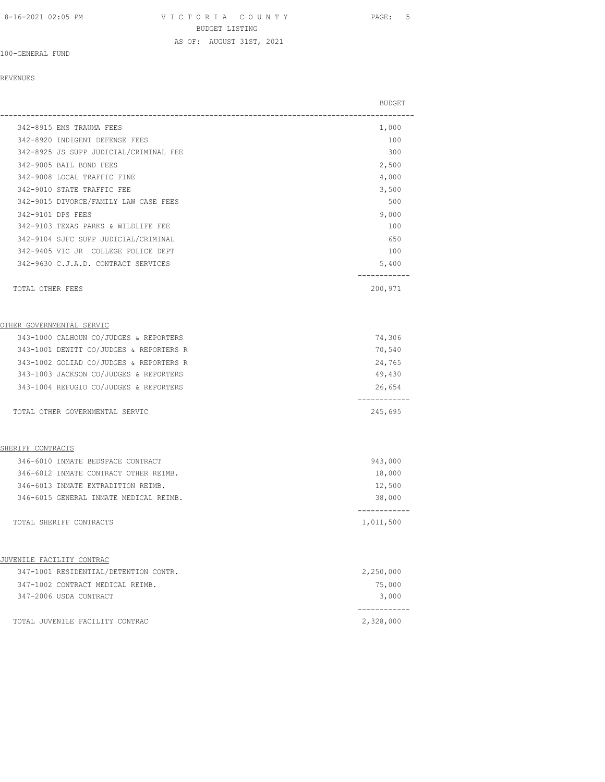8-16-2021 02:05 PM V I C T O R I A C O U N T Y PAGE: 5 BUDGET LISTING AS OF: AUGUST 31ST, 2021

100-GENERAL FUND

#### REVENUES

|                                         | <b>BUDGET</b>           |
|-----------------------------------------|-------------------------|
| 342-8915 EMS TRAUMA FEES                | 1,000                   |
| 342-8920 INDIGENT DEFENSE FEES          | 100                     |
| 342-8925 JS SUPP JUDICIAL/CRIMINAL FEE  | 300                     |
| 342-9005 BAIL BOND FEES                 | 2,500                   |
| 342-9008 LOCAL TRAFFIC FINE             | 4,000                   |
| 342-9010 STATE TRAFFIC FEE              | 3,500                   |
| 342-9015 DIVORCE/FAMILY LAW CASE FEES   | 500                     |
| 342-9101 DPS FEES                       | 9,000                   |
| 342-9103 TEXAS PARKS & WILDLIFE FEE     | 100                     |
| 342-9104 SJFC SUPP JUDICIAL/CRIMINAL    | 650                     |
| 342-9405 VIC JR COLLEGE POLICE DEPT     | 100                     |
| 342-9630 C.J.A.D. CONTRACT SERVICES     | 5,400                   |
| TOTAL OTHER FEES                        | 200,971                 |
| OTHER GOVERNMENTAL SERVIC               |                         |
| 343-1000 CALHOUN CO/JUDGES & REPORTERS  | 74,306                  |
| 343-1001 DEWITT CO/JUDGES & REPORTERS R | 70,540                  |
| 343-1002 GOLIAD CO/JUDGES & REPORTERS R | 24,765                  |
| 343-1003 JACKSON CO/JUDGES & REPORTERS  | 49,430                  |
| 343-1004 REFUGIO CO/JUDGES & REPORTERS  | 26,654                  |
| TOTAL OTHER GOVERNMENTAL SERVIC         | 245,695                 |
| SHERIFF CONTRACTS                       |                         |
| 346-6010 INMATE BEDSPACE CONTRACT       | 943,000                 |
| 346-6012 INMATE CONTRACT OTHER REIMB.   | 18,000                  |
| 346-6013 INMATE EXTRADITION REIMB.      | 12,500                  |
| 346-6015 GENERAL INMATE MEDICAL REIMB.  | 38,000                  |
| TOTAL SHERIFF CONTRACTS                 | ----------<br>1,011,500 |
| JUVENILE FACILITY CONTRAC               |                         |
| 347-1001 RESIDENTIAL/DETENTION CONTR.   | 2,250,000               |
| 347-1002 CONTRACT MEDICAL REIMB.        | 75,000                  |
| 347-2006 USDA CONTRACT                  | 3,000                   |
| TOTAL JUVENILE FACILITY CONTRAC         | 2,328,000               |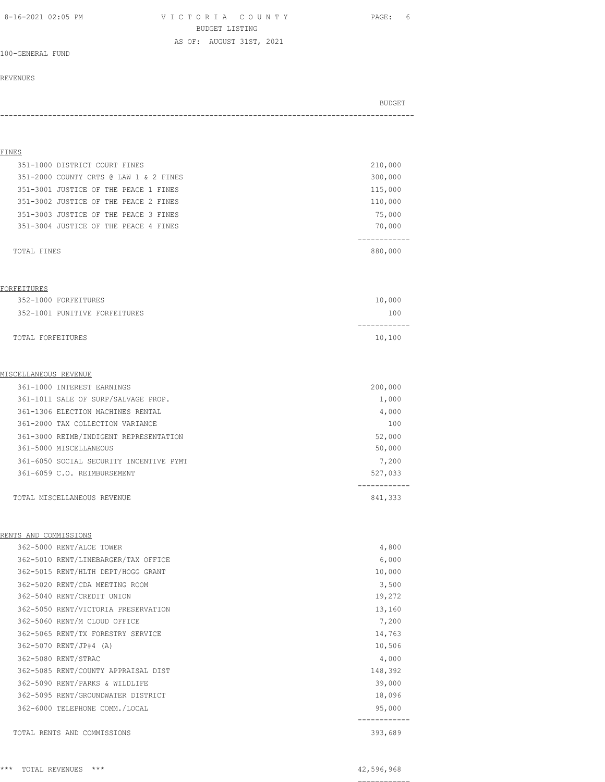8-16-2021 02:05 PM V I C T O R I A C O U N T Y PAGE: 6 BUDGET LISTING AS OF: AUGUST 31ST, 2021

100-GENERAL FUND

#### REVENUES

# BUDGET AND RESERVE AND RESERVE AND RESERVE AND RESERVE AND RESERVE AND RESERVE AND RESERVE AND RESERVE AND RESERVE AND RESERVE AND RESERVE AND RESERVE AND RESERVE AND RESERVE AND RESPONDING A REPORT OF A REPORT OF A REPORT -----------------------------------------------------------------------------------------------

## FINES 351-1000 DISTRICT COURT FINES 210,000 351-2000 COUNTY CRTS @ LAW 1 & 2 FINES 300,000 351-3001 JUSTICE OF THE PEACE 1 FINES 115,000 351-3002 JUSTICE OF THE PEACE 2 FINES 110,000 351-3003 JUSTICE OF THE PEACE 3 FINES 75,000 351-3004 JUSTICE OF THE PEACE 4 FINES 70,000 ------------ TOTAL FINES 880,000 FORFEITURES 352-1000 FORFEITURES 10,000 352-1001 PUNITIVE FORFEITURES 100 ------------ TOTAL FORFEITURES 10,100 MISCELLANEOUS REVENUE 361-1000 INTEREST EARNINGS 200,000 361-1011 SALE OF SURP/SALVAGE PROP. 1,000 361-1306 ELECTION MACHINES RENTAL 4,000 361-2000 TAX COLLECTION VARIANCE 100 361-3000 REIMB/INDIGENT REPRESENTATION 52,000 361-5000 MISCELLANEOUS 50,000 361-6050 SOCIAL SECURITY INCENTIVE PYMT 7,200 361-6059 C.O. REIMBURSEMENT 527,033 ------------ TOTAL MISCELLANEOUS REVENUE **841,333** RENTS AND COMMISSIONS 362-5000 RENT/ALOE TOWER 4,800 362-5010 RENT/LINEBARGER/TAX OFFICE 6,000 362-5015 RENT/HLTH DEPT/HOGG GRANT 10,000 362-5020 RENT/CDA MEETING ROOM 3,500 362-5040 RENT/CREDIT UNION 19,272 362-5050 RENT/VICTORIA PRESERVATION 13,160 362-5060 RENT/M CLOUD OFFICE 7,200 362-5065 RENT/TX FORESTRY SERVICE 14,763 362-5070 RENT/JP#4 (A) 10,506 362-5080 RENT/STRAC 4,000 362-5085 RENT/COUNTY APPRAISAL DIST 148,392 362-5090 RENT/PARKS & WILDLIFE 39,000 362-5095 RENT/GROUNDWATER DISTRICT 18,096 362-6000 TELEPHONE COMM./LOCAL 95,000

 ------------ TOTAL RENTS AND COMMISSIONS 393,689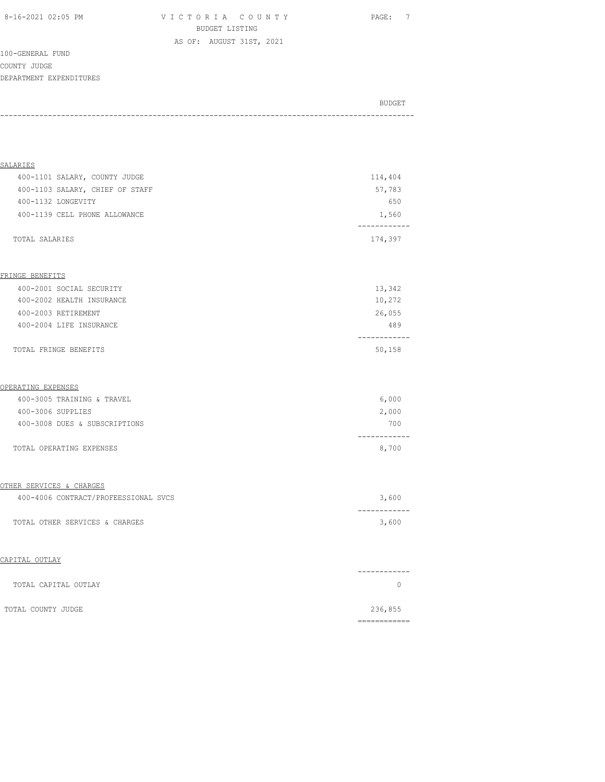8-16-2021 02:05 PM V I C T O R I A C O U N T Y PAGE: 7 BUDGET LISTING

AS OF: AUGUST 31ST, 2021

100-GENERAL FUND COUNTY JUDGE DEPARTMENT EXPENDITURES

BUDGET AND RESERVE AND RESERVE AND RESERVE AND RESERVE AND RESERVE AND RESERVE AND RESERVE AND RESERVE AND RESERVE AND RESERVE AND RESERVE AND RESERVE AND RESERVE AND RESERVE AND RESPONDING A REPORT OF A REPORT OF A REPORT -----------------------------------------------------------------------------------------------

| SALARIES                             |              |
|--------------------------------------|--------------|
| 400-1101 SALARY, COUNTY JUDGE        | 114,404      |
| 400-1103 SALARY, CHIEF OF STAFF      | 57,783       |
| 400-1132 LONGEVITY                   | 650          |
| 400-1139 CELL PHONE ALLOWANCE        | 1,560        |
|                                      |              |
| TOTAL SALARIES                       | 174,397      |
|                                      |              |
| FRINGE BENEFITS                      |              |
| 400-2001 SOCIAL SECURITY             | 13,342       |
| 400-2002 HEALTH INSURANCE            | 10,272       |
| 400-2003 RETIREMENT                  | 26,055       |
| 400-2004 LIFE INSURANCE              | 489          |
|                                      |              |
| TOTAL FRINGE BENEFITS                | 50,158       |
|                                      |              |
| OPERATING EXPENSES                   |              |
| 400-3005 TRAINING & TRAVEL           | 6,000        |
| 400-3006 SUPPLIES                    | 2,000        |
| 400-3008 DUES & SUBSCRIPTIONS        | 700          |
|                                      | ----------   |
| TOTAL OPERATING EXPENSES             | 8,700        |
|                                      |              |
| OTHER SERVICES & CHARGES             |              |
| 400-4006 CONTRACT/PROFEESSIONAL SVCS | 3,600        |
|                                      |              |
| TOTAL OTHER SERVICES & CHARGES       | 3,600        |
|                                      |              |
| CAPITAL OUTLAY                       |              |
|                                      | ------------ |
| TOTAL CAPITAL OUTLAY                 | $\circ$      |
|                                      |              |
| TOTAL COUNTY JUDGE                   | 236,855      |
|                                      | ============ |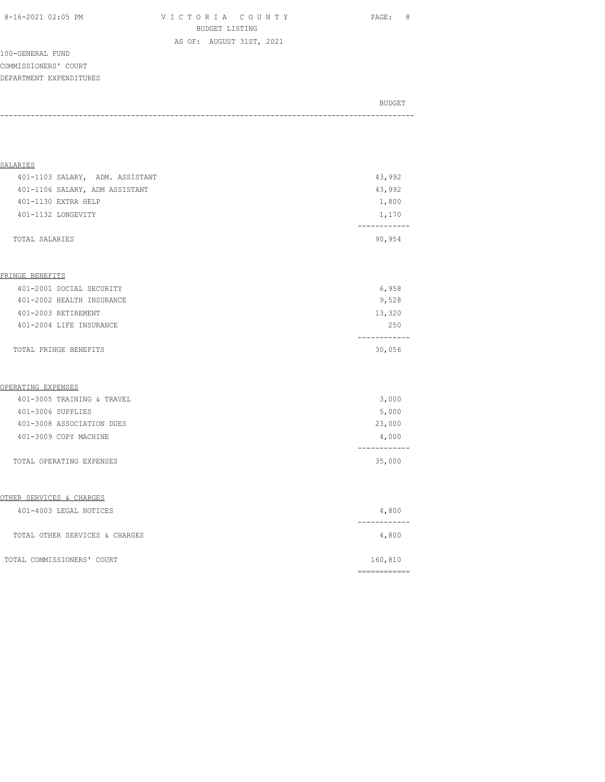8-16-2021 02:05 PM V I C T O R I A C O U N T Y PAGE: 8 BUDGET LISTING

AS OF: AUGUST 31ST, 2021

100-GENERAL FUND COMMISSIONERS' COURT DEPARTMENT EXPENDITURES

| BUDGET |
|--------|
|        |
|        |
|        |

| <b>SALARIES</b>                     |                                                                                                                                                                                                                                                                                                                                                                                                                                                                                        |
|-------------------------------------|----------------------------------------------------------------------------------------------------------------------------------------------------------------------------------------------------------------------------------------------------------------------------------------------------------------------------------------------------------------------------------------------------------------------------------------------------------------------------------------|
| 401-1103 SALARY, ADM. ASSISTANT     | 43,992                                                                                                                                                                                                                                                                                                                                                                                                                                                                                 |
| 401-1106 SALARY, ADM ASSISTANT      | 43,992                                                                                                                                                                                                                                                                                                                                                                                                                                                                                 |
| 401-1130 EXTRA HELP                 | 1,800                                                                                                                                                                                                                                                                                                                                                                                                                                                                                  |
| 401-1132 LONGEVITY                  | 1,170<br>----------                                                                                                                                                                                                                                                                                                                                                                                                                                                                    |
| TOTAL SALARIES                      | 90,954                                                                                                                                                                                                                                                                                                                                                                                                                                                                                 |
| FRINGE BENEFITS                     |                                                                                                                                                                                                                                                                                                                                                                                                                                                                                        |
| 401-2001 SOCIAL SECURITY            | 6,958                                                                                                                                                                                                                                                                                                                                                                                                                                                                                  |
| 401-2002 HEALTH INSURANCE           | 9,528                                                                                                                                                                                                                                                                                                                                                                                                                                                                                  |
| 401-2003 RETIREMENT                 | 13,320                                                                                                                                                                                                                                                                                                                                                                                                                                                                                 |
| 401-2004 LIFE INSURANCE             | 250                                                                                                                                                                                                                                                                                                                                                                                                                                                                                    |
| TOTAL FRINGE BENEFITS               | ------------<br>30,056                                                                                                                                                                                                                                                                                                                                                                                                                                                                 |
| OPERATING EXPENSES                  |                                                                                                                                                                                                                                                                                                                                                                                                                                                                                        |
| 401-3005 TRAINING & TRAVEL          | 3,000                                                                                                                                                                                                                                                                                                                                                                                                                                                                                  |
| 401-3006 SUPPLIES                   | 5,000                                                                                                                                                                                                                                                                                                                                                                                                                                                                                  |
| 401-3008 ASSOCIATION DUES           | 23,000                                                                                                                                                                                                                                                                                                                                                                                                                                                                                 |
| 401-3009 COPY MACHINE               | 4,000<br>------------                                                                                                                                                                                                                                                                                                                                                                                                                                                                  |
| TOTAL OPERATING EXPENSES            | 35,000                                                                                                                                                                                                                                                                                                                                                                                                                                                                                 |
| <u>OTHER SERVICES &amp; CHARGES</u> |                                                                                                                                                                                                                                                                                                                                                                                                                                                                                        |
| 401-4003 LEGAL NOTICES              | 4,800<br>------------                                                                                                                                                                                                                                                                                                                                                                                                                                                                  |
| TOTAL OTHER SERVICES & CHARGES      | 4,800                                                                                                                                                                                                                                                                                                                                                                                                                                                                                  |
| TOTAL COMMISSIONERS' COURT          | 160,810                                                                                                                                                                                                                                                                                                                                                                                                                                                                                |
|                                     | $\begin{array}{cccccccccc} \multicolumn{2}{c}{} & \multicolumn{2}{c}{} & \multicolumn{2}{c}{} & \multicolumn{2}{c}{} & \multicolumn{2}{c}{} & \multicolumn{2}{c}{} & \multicolumn{2}{c}{} & \multicolumn{2}{c}{} & \multicolumn{2}{c}{} & \multicolumn{2}{c}{} & \multicolumn{2}{c}{} & \multicolumn{2}{c}{} & \multicolumn{2}{c}{} & \multicolumn{2}{c}{} & \multicolumn{2}{c}{} & \multicolumn{2}{c}{} & \multicolumn{2}{c}{} & \multicolumn{2}{c}{} & \multicolumn{2}{c}{} & \mult$ |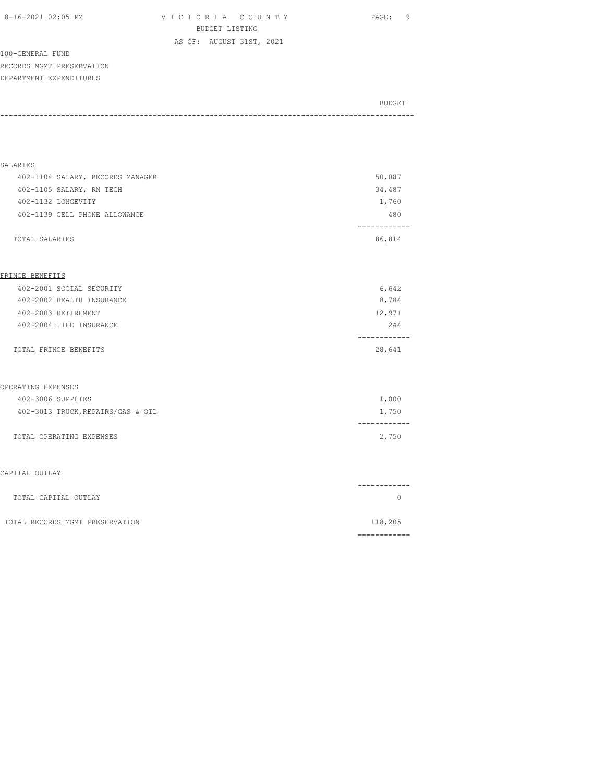| 8-16-2021 02:05 PM |  |
|--------------------|--|
|                    |  |

V I C T O R I A C O U N T Y PAGE: 9 BUDGET LISTING AS OF: AUGUST 31ST, 2021

100-GENERAL FUND RECORDS MGMT PRESERVATION DEPARTMENT EXPENDITURES

| BUDGET |
|--------|
|        |
|        |
|        |

| <b>SALARIES</b>                   |              |
|-----------------------------------|--------------|
| 402-1104 SALARY, RECORDS MANAGER  | 50,087       |
| 402-1105 SALARY, RM TECH          | 34,487       |
| 402-1132 LONGEVITY                | 1,760        |
| 402-1139 CELL PHONE ALLOWANCE     | 480          |
|                                   | ------------ |
| TOTAL SALARIES                    | 86,814       |
|                                   |              |
|                                   |              |
| FRINGE BENEFITS                   |              |
| 402-2001 SOCIAL SECURITY          | 6,642        |
| 402-2002 HEALTH INSURANCE         | 8,784        |
| 402-2003 RETIREMENT               | 12,971       |
| 402-2004 LIFE INSURANCE           | 244          |
|                                   | -----------  |
| TOTAL FRINGE BENEFITS             | 28,641       |
|                                   |              |
| <u>OPERATING EXPENSES</u>         |              |
| 402-3006 SUPPLIES                 | 1,000        |
| 402-3013 TRUCK, REPAIRS/GAS & OIL | 1,750        |
|                                   |              |
| TOTAL OPERATING EXPENSES          | 2,750        |
|                                   |              |
|                                   |              |
| CAPITAL OUTLAY                    |              |
|                                   | -----------  |
| TOTAL CAPITAL OUTLAY              | $\Omega$     |
|                                   |              |
| TOTAL RECORDS MGMT PRESERVATION   | 118,205      |
|                                   | ============ |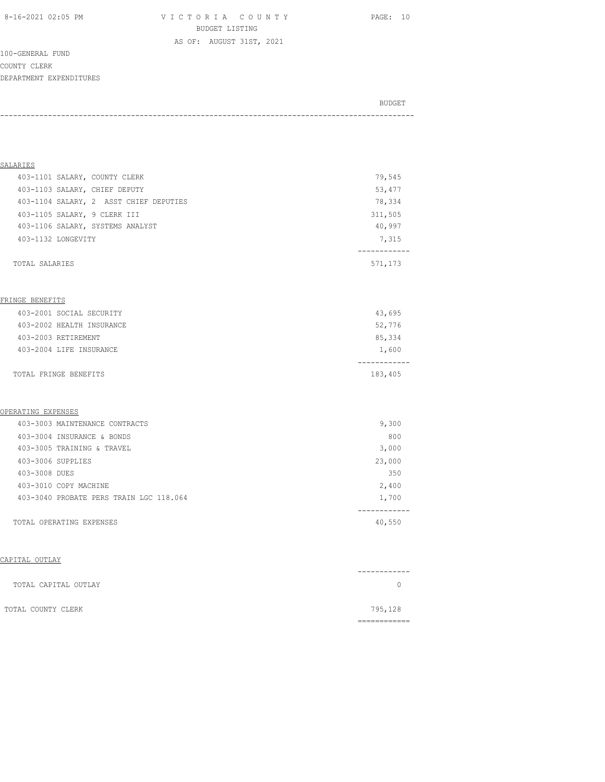8-16-2021 02:05 PM V I C T O R I A C O U N T Y PAGE: 10 BUDGET LISTING

100-GENERAL FUND COUNTY CLERK DEPARTMENT EXPENDITURES

BUDGET AND RESERVE AND RESERVE AND RESERVE AND RESERVE AND RESERVE AND RESERVE AND RESERVE AND RESERVE AND RESERVE AND RESERVE AND RESERVE AND RESERVE AND RESERVE AND RESERVE AND RESPONDING A REPORT OF A REPORT OF A REPORT -----------------------------------------------------------------------------------------------

AS OF: AUGUST 31ST, 2021

| SALARIES                               |         |
|----------------------------------------|---------|
| 403-1101 SALARY, COUNTY CLERK          | 79,545  |
| 403-1103 SALARY, CHIEF DEPUTY          | 53,477  |
| 403-1104 SALARY, 2 ASST CHIEF DEPUTIES | 78,334  |
| 403-1105 SALARY, 9 CLERK III           | 311,505 |
| 403-1106 SALARY, SYSTEMS ANALYST       | 40,997  |
| 403-1132 LONGEVITY                     | 7,315   |
|                                        |         |
| TOTAL SALARIES                         | 571,173 |

#### FRINGE BENEFITS

| TOTAL FRINGE BENEFITS     | 183,405 |
|---------------------------|---------|
| 403-2004 LIFE INSURANCE   | 1,600   |
| 403-2003 RETIREMENT       | 85,334  |
| 403-2002 HEALTH INSURANCE | 52,776  |
| 403-2001 SOCIAL SECURITY  | 43,695  |

#### OPERATING EXPENSES

|               | 403-3003 MAINTENANCE CONTRACTS          | 9,300  |  |
|---------------|-----------------------------------------|--------|--|
|               | 403-3004 INSURANCE & BONDS              | 800    |  |
|               | 403-3005 TRAINING & TRAVEL              | 3,000  |  |
|               | 403-3006 SUPPLIES                       | 23,000 |  |
| 403-3008 DUES |                                         | 350    |  |
|               | 403-3010 COPY MACHINE                   | 2,400  |  |
|               | 403-3040 PROBATE PERS TRAIN LGC 118.064 | 1,700  |  |
|               |                                         |        |  |
|               | TOTAL OPERATING EXPENSES                | 40,550 |  |

#### CAPITAL OUTLAY

| TOTAL CAPITAL OUTLAY |         |
|----------------------|---------|
| TOTAL COUNTY CLERK   | 795,128 |
|                      |         |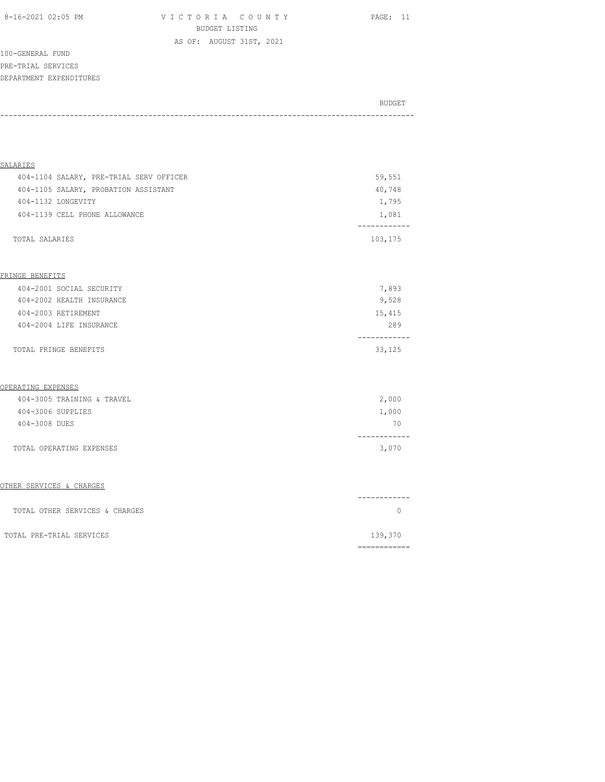8-16-2021 02:05 PM V I C T O R I A C O U N T Y PAGE: 11 BUDGET LISTING AS OF: AUGUST 31ST, 2021

100-GENERAL FUND PRE-TRIAL SERVICES DEPARTMENT EXPENDITURES

| BUDGET |
|--------|
|        |
|        |

| SALARIES                                |                         |
|-----------------------------------------|-------------------------|
| 404-1104 SALARY, PRE-TRIAL SERV OFFICER | 59,551                  |
| 404-1105 SALARY, PROBATION ASSISTANT    | 40,748                  |
| 404-1132 LONGEVITY                      | 1,795                   |
| 404-1139 CELL PHONE ALLOWANCE           | 1,081                   |
| TOTAL SALARIES                          | ------------<br>103,175 |
|                                         |                         |
| FRINGE BENEFITS                         |                         |
| 404-2001 SOCIAL SECURITY                | 7,893                   |
| 404-2002 HEALTH INSURANCE               | 9,528                   |
| 404-2003 RETIREMENT                     | 15,415                  |
| 404-2004 LIFE INSURANCE                 | 289                     |
| TOTAL FRINGE BENEFITS                   | ----------<br>33,125    |
| OPERATING EXPENSES                      |                         |
| 404-3005 TRAINING & TRAVEL              | 2,000                   |
| 404-3006 SUPPLIES                       | 1,000                   |
| 404-3008 DUES                           | 70                      |
| TOTAL OPERATING EXPENSES                | --------<br>3,070       |
| OTHER SERVICES & CHARGES                |                         |
|                                         | ----------              |
| TOTAL OTHER SERVICES & CHARGES          | $\circ$                 |
| TOTAL PRE-TRIAL SERVICES                | 139,370                 |
|                                         | ============            |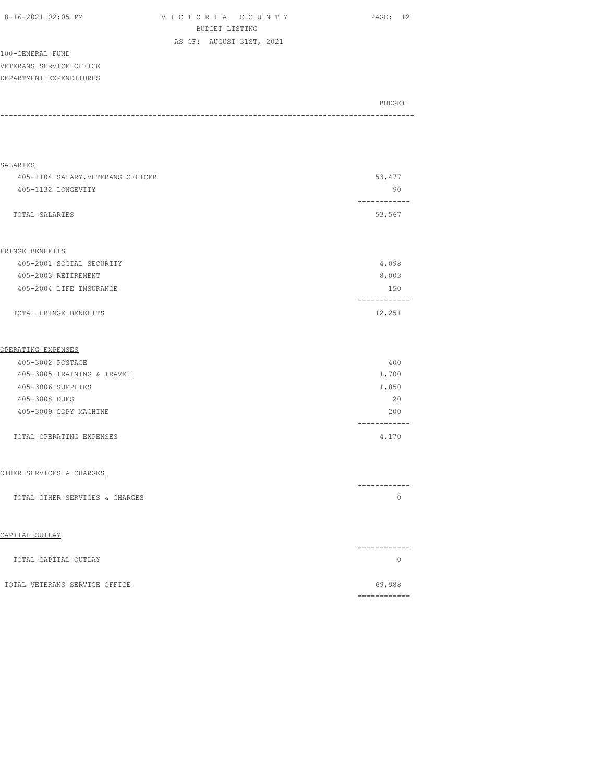| 8-16-2021 02:05 PM |  |
|--------------------|--|
|                    |  |

VICTORIA COUNTY PAGE: 12 BUDGET LISTING AS OF: AUGUST 31ST, 2021

100-GENERAL FUND VETERANS SERVICE OFFICE DEPARTMENT EXPENDITURES

| BUDGET |
|--------|
|        |

| SALARIES                          |                              |
|-----------------------------------|------------------------------|
| 405-1104 SALARY, VETERANS OFFICER | 53, 477                      |
| 405-1132 LONGEVITY                | 90                           |
| TOTAL SALARIES                    | 53,567                       |
| FRINGE BENEFITS                   |                              |
| 405-2001 SOCIAL SECURITY          | 4,098                        |
| 405-2003 RETIREMENT               | 8,003                        |
| 405-2004 LIFE INSURANCE           | 150                          |
| TOTAL FRINGE BENEFITS             | ------------<br>12,251       |
| OPERATING EXPENSES                |                              |
| 405-3002 POSTAGE                  | 400                          |
| 405-3005 TRAINING & TRAVEL        | 1,700                        |
| 405-3006 SUPPLIES                 | 1,850                        |
| 405-3008 DUES                     | 20                           |
| 405-3009 COPY MACHINE             | 200<br>--------              |
| TOTAL OPERATING EXPENSES          | 4,170                        |
| OTHER SERVICES & CHARGES          |                              |
| TOTAL OTHER SERVICES & CHARGES    | ------------<br>$\mathbf{0}$ |
| CAPITAL OUTLAY                    |                              |
| TOTAL CAPITAL OUTLAY              | -----------<br>$\mathbf{0}$  |
| TOTAL VETERANS SERVICE OFFICE     | 69,988                       |
|                                   | -------------                |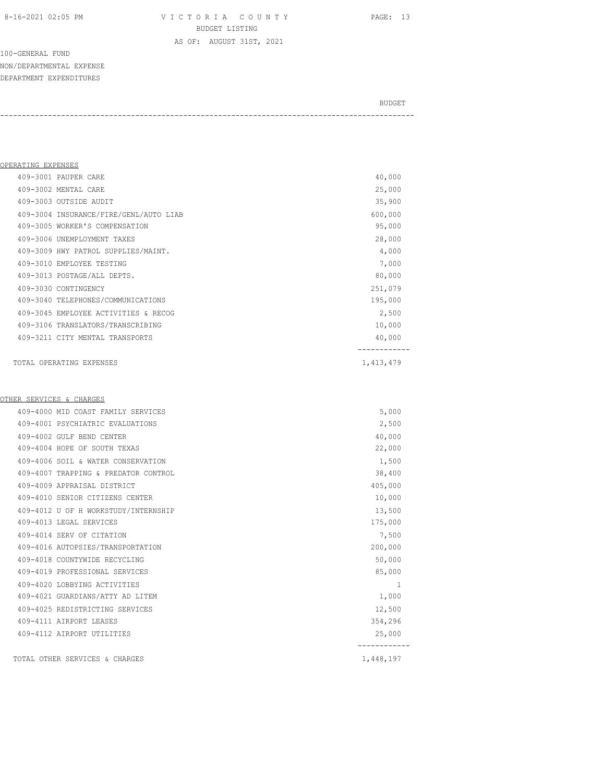8-16-2021 02:05 PM V I C T O R I A C O U N T Y PAGE: 13 BUDGET LISTING

100-GENERAL FUND NON/DEPARTMENTAL EXPENSE DEPARTMENT EXPENDITURES

BUDGET AND RESERVE AND RESERVE AND RESERVE AND RESERVE AND RESERVE AND RESERVE AND RESERVE AND RESERVE AND RESERVE AND RESERVE AND RESERVE AND RESERVE AND RESERVE AND RESERVE AND RESPONDING A REPORT OF A REPORT OF A REPORT -----------------------------------------------------------------------------------------------

AS OF: AUGUST 31ST, 2021

| OPERATING EXPENSES |                                        |           |
|--------------------|----------------------------------------|-----------|
|                    | 409-3001 PAUPER CARE                   | 40,000    |
|                    | 409-3002 MENTAL CARE                   | 25,000    |
|                    | 409-3003 OUTSIDE AUDIT                 | 35,900    |
|                    | 409-3004 INSURANCE/FIRE/GENL/AUTO LIAB | 600,000   |
|                    | 409-3005 WORKER'S COMPENSATION         | 95,000    |
|                    | 409-3006 UNEMPLOYMENT TAXES            | 28,000    |
|                    | 409-3009 HWY PATROL SUPPLIES/MAINT.    | 4,000     |
|                    | 409-3010 EMPLOYEE TESTING              | 7,000     |
|                    | 409-3013 POSTAGE/ALL DEPTS.            | 80,000    |
|                    | 409-3030 CONTINGENCY                   | 251,079   |
|                    | 409-3040 TELEPHONES/COMMUNICATIONS     | 195,000   |
|                    | 409-3045 EMPLOYEE ACTIVITIES & RECOG   | 2,500     |
|                    | 409-3106 TRANSLATORS/TRANSCRIBING      | 10,000    |
|                    | 409-3211 CITY MENTAL TRANSPORTS        | 40,000    |
|                    |                                        |           |
|                    | TOTAL OPERATING EXPENSES               | 1,413,479 |

#### OTHER SERVICES & CHARGES

| 409-4000 MTD COAST FAMILY SERVICES   | 5,000     |
|--------------------------------------|-----------|
| 409-4001 PSYCHIATRIC EVALUATIONS     | 2,500     |
| 409-4002 GULF BEND CENTER            | 40,000    |
| 409-4004 HOPE OF SOUTH TEXAS         | 22,000    |
| 409-4006 SOIL & WATER CONSERVATION   | 1,500     |
| 409-4007 TRAPPING & PREDATOR CONTROL | 38,400    |
| 409-4009 APPRAISAL DISTRICT          | 405,000   |
| 409-4010 SENIOR CITIZENS CENTER      | 10,000    |
| 409-4012 U OF H WORKSTUDY/INTERNSHIP | 13,500    |
| 409-4013 LEGAL SERVICES              | 175,000   |
| 409-4014 SERV OF CITATION            | 7,500     |
| 409-4016 AUTOPSIES/TRANSPORTATION    | 200,000   |
| 409-4018 COUNTYWIDE RECYCLING        | 50,000    |
| 409-4019 PROFESSIONAL SERVICES       | 85,000    |
| 409-4020 LOBBYING ACTIVITIES         | 1         |
| 409-4021 GUARDIANS/ATTY AD LITEM     | 1,000     |
| 409-4025 REDISTRICTING SERVICES      | 12,500    |
| 409-4111 AIRPORT LEASES              | 354,296   |
| 409-4112 AIRPORT UTILITIES           | 25,000    |
| TOTAL OTHER SERVICES & CHARGES       | 1,448,197 |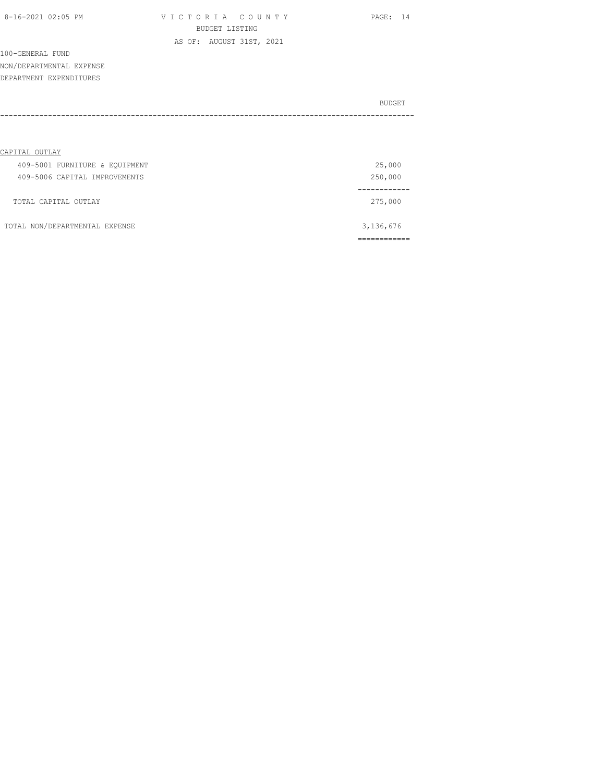| 8-16-2021 02:05 PM |  |
|--------------------|--|
|                    |  |

VICTORIA COUNTY PAGE: 14 BUDGET LISTING AS OF: AUGUST 31ST, 2021

100-GENERAL FUND NON/DEPARTMENTAL EXPENSE DEPARTMENT EXPENDITURES

| BUDGET |
|--------|
|        |

| CAPITAL OUTLAY                 |           |
|--------------------------------|-----------|
| 409-5001 FURNITURE & EQUIPMENT | 25,000    |
| 409-5006 CAPITAL IMPROVEMENTS  | 250,000   |
|                                |           |
| TOTAL CAPITAL OUTLAY           | 275,000   |
|                                |           |
| TOTAL NON/DEPARTMENTAL EXPENSE | 3,136,676 |
|                                |           |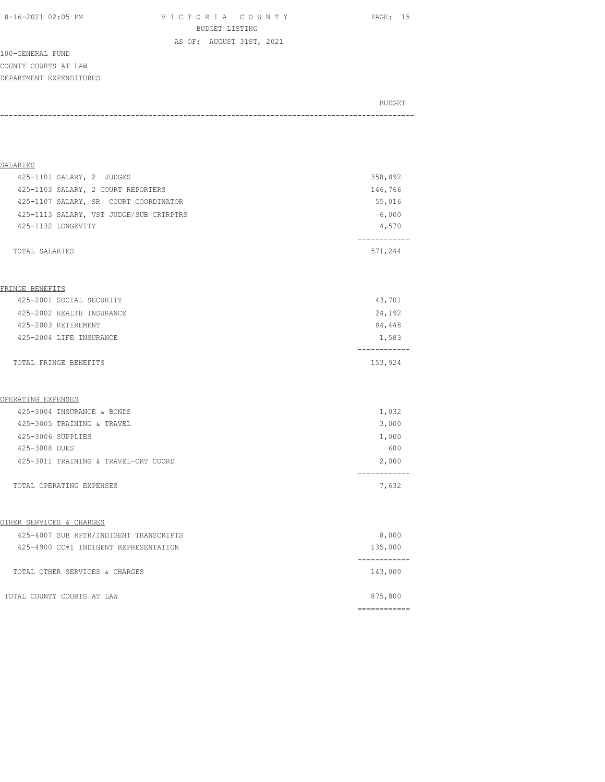8-16-2021 02:05 PM V I C T O R I A C O U N T Y PAGE: 15 BUDGET LISTING

100-GENERAL FUND COUNTY COURTS AT LAW DEPARTMENT EXPENDITURES

# BUDGET AND RESERVE AND RESERVE AND RESERVE AND RESERVE AND RESERVE AND RESERVE AND RESERVE AND RESERVE AND RESERVE AND RESERVE AND RESERVE AND RESERVE AND RESERVE AND RESERVE AND RESPONDING A REPORT OF A REPORT OF A REPORT -----------------------------------------------------------------------------------------------

AS OF: AUGUST 31ST, 2021

| SALARIES                                |         |
|-----------------------------------------|---------|
| 425-1101 SALARY, 2 JUDGES               | 358,892 |
| 425-1103 SALARY, 2 COURT REPORTERS      | 146,766 |
| 425-1107 SALARY, SR COURT COORDINATOR   | 55,016  |
| 425-1113 SALARY, VST JUDGE/SUB CRTRPTRS | 6,000   |
| 425-1132 LONGEVITY                      | 4,570   |
|                                         |         |
| TOTAL SALARIES                          | 571,244 |

#### FRINGE BENEFITS

| 425-2003 RETIREMENT<br>425-2004 LIFE INSURANCE | 84,448<br>1,583 |
|------------------------------------------------|-----------------|
|                                                |                 |
| TOTAL FRINGE BENEFITS                          | 153,924         |

#### OPERATING EXPENSES

| TOTAL OPERATING EXPENSES             | 7,632 |
|--------------------------------------|-------|
| 425-3011 TRAINING & TRAVEL-CRT COORD | 2,000 |
| 425-3008 DUES                        | 600   |
| 425-3006 SUPPLIES                    | 1,000 |
| 425-3005 TRAINING & TRAVEL           | 3,000 |
| 425-3004 INSURANCE & BONDS           | 1,032 |

#### OTHER SERVICES & CHARGES

| 425-4007 SUB RPTR/INDIGENT TRANSCRIPTS | 8,000   |
|----------------------------------------|---------|
| 425-4900 CC#1 INDIGENT REPRESENTATION  | 135,000 |
|                                        |         |
| TOTAL OTHER SERVICES & CHARGES         | 143,000 |
|                                        |         |
| TOTAL COUNTY COURTS AT LAW             | 875,800 |
|                                        |         |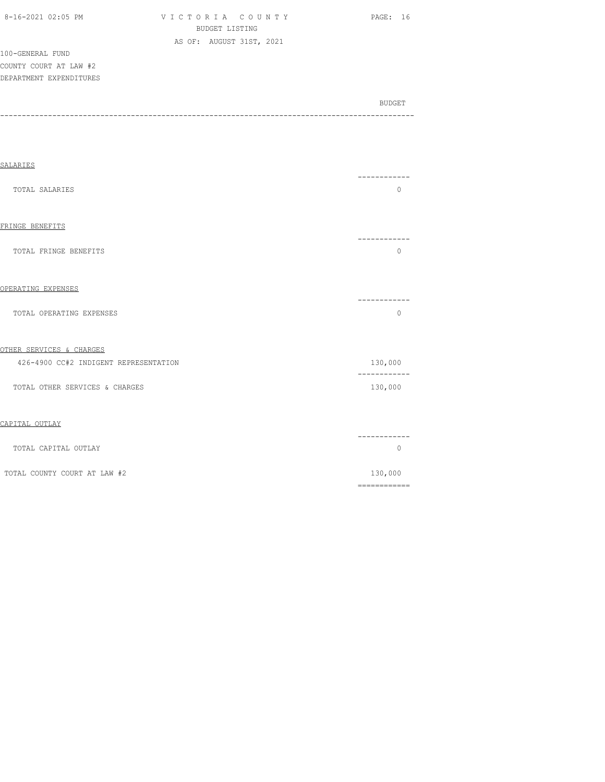| 8-16-2021 02:05 PM |  |  |
|--------------------|--|--|

VICTORIA COUNTY PAGE: 16 BUDGET LISTING AS OF: AUGUST 31ST, 2021

100-GENERAL FUND COUNTY COURT AT LAW #2 DEPARTMENT EXPENDITURES

BUDGET AND RESERVE AND RESERVE AND RESERVE AND RESERVE AND RESERVE AND RESERVE AND RESERVE AND RESERVE AND RESERVE AND RESERVE AND RESERVE AND RESERVE AND RESERVE AND RESERVE AND RESPONDING A REPORT OF A REPORT OF A REPORT -----------------------------------------------------------------------------------------------

| SALARIES                              |                                                                                                                                                                                                                                                                                                                                                                                                                                                                                                   |
|---------------------------------------|---------------------------------------------------------------------------------------------------------------------------------------------------------------------------------------------------------------------------------------------------------------------------------------------------------------------------------------------------------------------------------------------------------------------------------------------------------------------------------------------------|
| TOTAL SALARIES                        | ------<br>$\mathbf 0$                                                                                                                                                                                                                                                                                                                                                                                                                                                                             |
| FRINGE BENEFITS                       |                                                                                                                                                                                                                                                                                                                                                                                                                                                                                                   |
| TOTAL FRINGE BENEFITS                 | 0                                                                                                                                                                                                                                                                                                                                                                                                                                                                                                 |
| OPERATING EXPENSES                    |                                                                                                                                                                                                                                                                                                                                                                                                                                                                                                   |
| TOTAL OPERATING EXPENSES              | ---------<br>$\mathbf{0}$                                                                                                                                                                                                                                                                                                                                                                                                                                                                         |
| OTHER SERVICES & CHARGES              |                                                                                                                                                                                                                                                                                                                                                                                                                                                                                                   |
| 426-4900 CC#2 INDIGENT REPRESENTATION | 130,000<br>--------<br>---                                                                                                                                                                                                                                                                                                                                                                                                                                                                        |
| TOTAL OTHER SERVICES & CHARGES        | 130,000                                                                                                                                                                                                                                                                                                                                                                                                                                                                                           |
| CAPITAL OUTLAY                        |                                                                                                                                                                                                                                                                                                                                                                                                                                                                                                   |
| TOTAL CAPITAL OUTLAY                  | -------<br>$\circ$                                                                                                                                                                                                                                                                                                                                                                                                                                                                                |
| TOTAL COUNTY COURT AT LAW #2          | 130,000<br>$\begin{array}{cccccccccc} \multicolumn{2}{c}{} & \multicolumn{2}{c}{} & \multicolumn{2}{c}{} & \multicolumn{2}{c}{} & \multicolumn{2}{c}{} & \multicolumn{2}{c}{} & \multicolumn{2}{c}{} & \multicolumn{2}{c}{} & \multicolumn{2}{c}{} & \multicolumn{2}{c}{} & \multicolumn{2}{c}{} & \multicolumn{2}{c}{} & \multicolumn{2}{c}{} & \multicolumn{2}{c}{} & \multicolumn{2}{c}{} & \multicolumn{2}{c}{} & \multicolumn{2}{c}{} & \multicolumn{2}{c}{} & \multicolumn{2}{c}{} & \mult$ |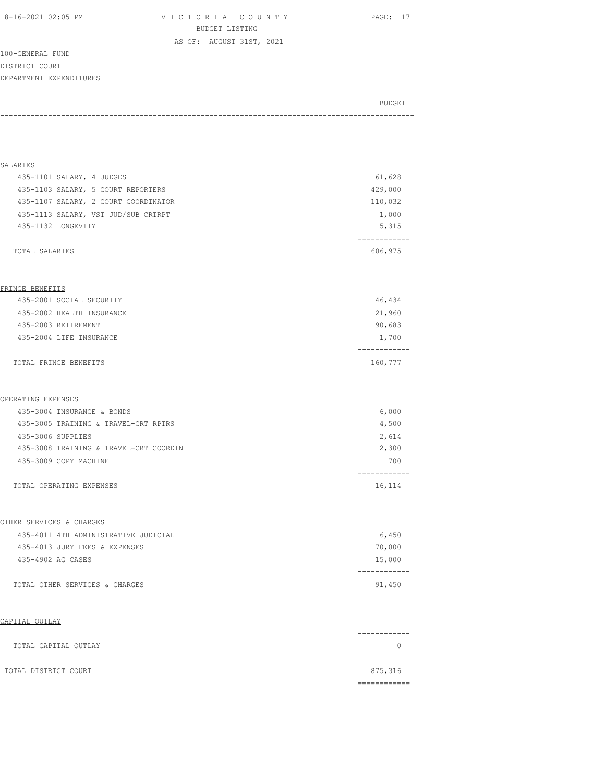8-16-2021 02:05 PM V I C T O R I A C O U N T Y PAGE: 17 BUDGET LISTING

100-GENERAL FUND DISTRICT COURT DEPARTMENT EXPENDITURES

BUDGET AND RESERVE AND RESERVE AND RESERVE AND RESERVE AND RESERVE AND RESERVE AND RESERVE AND RESERVE AND RESERVE AND RESERVE AND RESERVE AND RESERVE AND RESERVE AND RESERVE AND RESPONDING A REPORT OF A REPORT OF A REPORT -----------------------------------------------------------------------------------------------

AS OF: AUGUST 31ST, 2021

| <b>SALARIES</b>                        |                        |
|----------------------------------------|------------------------|
| 435-1101 SALARY, 4 JUDGES              | 61,628                 |
| 435-1103 SALARY, 5 COURT REPORTERS     | 429,000                |
| 435-1107 SALARY, 2 COURT COORDINATOR   | 110,032                |
| 435-1113 SALARY, VST JUD/SUB CRTRPT    | 1,000                  |
| 435-1132 LONGEVITY                     | 5,315                  |
| TOTAL SALARIES                         | -----------<br>606,975 |
|                                        |                        |
| FRINGE BENEFITS                        |                        |
| 435-2001 SOCIAL SECURITY               | 46,434                 |
| 435-2002 HEALTH INSURANCE              | 21,960                 |
| 435-2003 RETIREMENT                    | 90,683                 |
| 435-2004 LIFE INSURANCE                | 1,700                  |
| TOTAL FRINGE BENEFITS                  | ------<br>160,777      |
| OPERATING EXPENSES                     |                        |
| 435-3004 INSURANCE & BONDS             | 6,000                  |
| 435-3005 TRAINING & TRAVEL-CRT RPTRS   | 4,500                  |
| 435-3006 SUPPLIES                      | 2,614                  |
| 435-3008 TRAINING & TRAVEL-CRT COORDIN | 2,300                  |
| 435-3009 COPY MACHINE                  | 700                    |
| TOTAL OPERATING EXPENSES               | 16,114                 |
| OTHER SERVICES & CHARGES               |                        |
| 435-4011 4TH ADMINISTRATIVE JUDICIAL   | 6,450                  |
| 435-4013 JURY FEES & EXPENSES          | 70,000                 |
| 435-4902 AG CASES                      | 15,000                 |
| TOTAL OTHER SERVICES & CHARGES         | ----------<br>91,450   |
| CAPITAL OUTLAY                         |                        |
| TOTAL CAPITAL OUTLAY                   | $\circ$                |
| TOTAL DISTRICT COURT                   | 875,316                |

============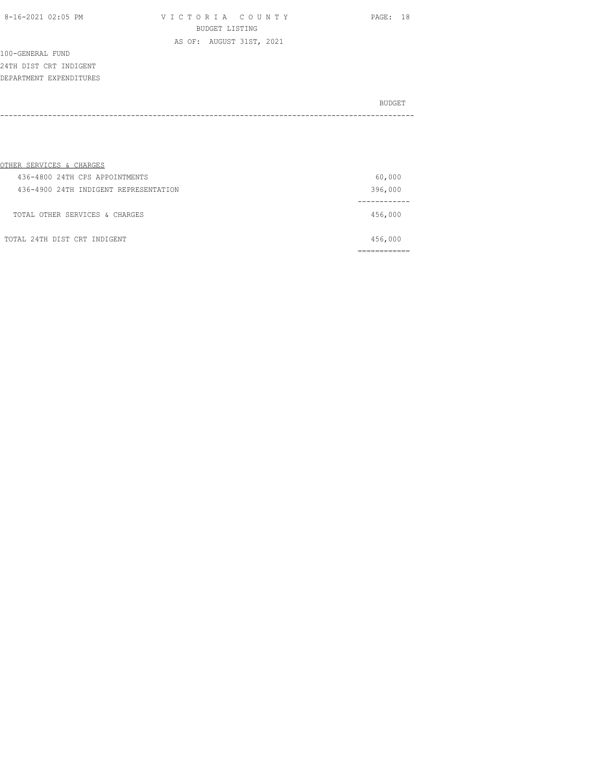VICTORIA COUNTY PAGE: 18 BUDGET LISTING AS OF: AUGUST 31ST, 2021

100-GENERAL FUND 24TH DIST CRT INDIGENT DEPARTMENT EXPENDITURES

|      | BUDGET |
|------|--------|
| ---- |        |

| OTHER SERVICES & CHARGES              |         |
|---------------------------------------|---------|
| 436-4800 24TH CPS APPOINTMENTS        | 60,000  |
| 436-4900 24TH INDIGENT REPRESENTATION | 396,000 |
| TOTAL OTHER SERVICES & CHARGES        | 456,000 |
| TOTAL 24TH DIST CRT INDIGENT          | 456,000 |
|                                       |         |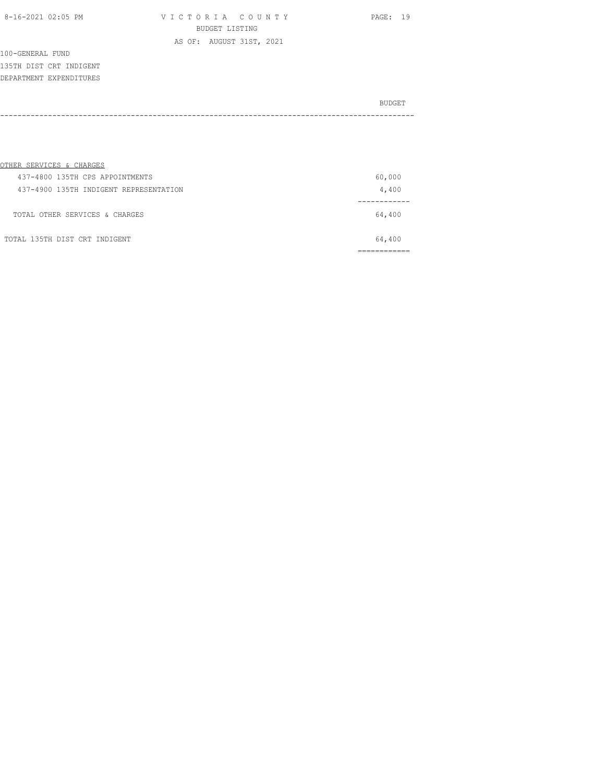VICTORIA COUNTY PAGE: 19 BUDGET LISTING AS OF: AUGUST 31ST, 2021

100-GENERAL FUND 135TH DIST CRT INDIGENT DEPARTMENT EXPENDITURES

|          | BUDGET |
|----------|--------|
| -------- |        |
|          |        |

| OTHER SERVICES & CHARGES               |        |
|----------------------------------------|--------|
| 437-4800 135TH CPS APPOINTMENTS        | 60,000 |
| 437-4900 135TH INDIGENT REPRESENTATION | 4,400  |
| TOTAL OTHER SERVICES & CHARGES         | 64,400 |
| TOTAL 135TH DIST CRT INDIGENT          | 64,400 |
|                                        |        |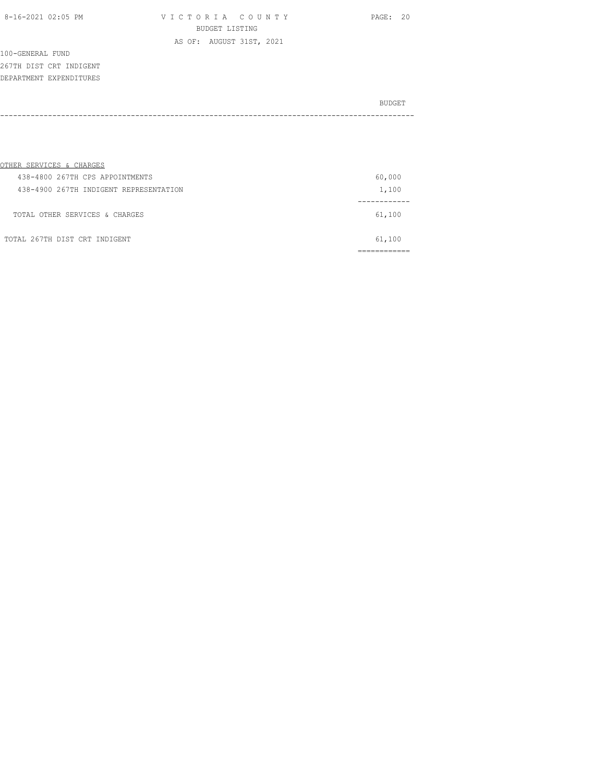VICTORIA COUNTY PAGE: 20 BUDGET LISTING AS OF: AUGUST 31ST, 2021

100-GENERAL FUND 267TH DIST CRT INDIGENT DEPARTMENT EXPENDITURES

|      | BUDGET |
|------|--------|
| ---- |        |
|      |        |

| OTHER SERVICES & CHARGES               |        |
|----------------------------------------|--------|
| 438-4800 267TH CPS APPOINTMENTS        | 60,000 |
| 438-4900 267TH INDIGENT REPRESENTATION | 1,100  |
| TOTAL OTHER SERVICES & CHARGES         | 61,100 |
| TOTAL 267TH DIST CRT INDIGENT          | 61,100 |
|                                        |        |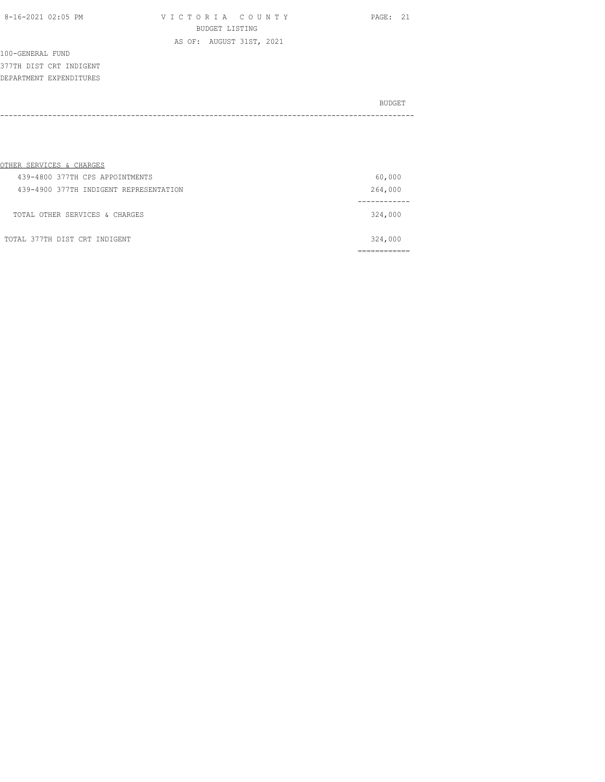VICTORIA COUNTY PAGE: 21 BUDGET LISTING AS OF: AUGUST 31ST, 2021

100-GENERAL FUND 377TH DIST CRT INDIGENT DEPARTMENT EXPENDITURES

|      | BUDGET |
|------|--------|
| ---- |        |
|      |        |

| OTHER SERVICES & CHARGES               |         |
|----------------------------------------|---------|
| 439-4800 377TH CPS APPOINTMENTS        | 60,000  |
| 439-4900 377TH INDIGENT REPRESENTATION | 264,000 |
| TOTAL OTHER SERVICES & CHARGES         | 324,000 |
| TOTAL 377TH DIST CRT INDIGENT          | 324,000 |
|                                        |         |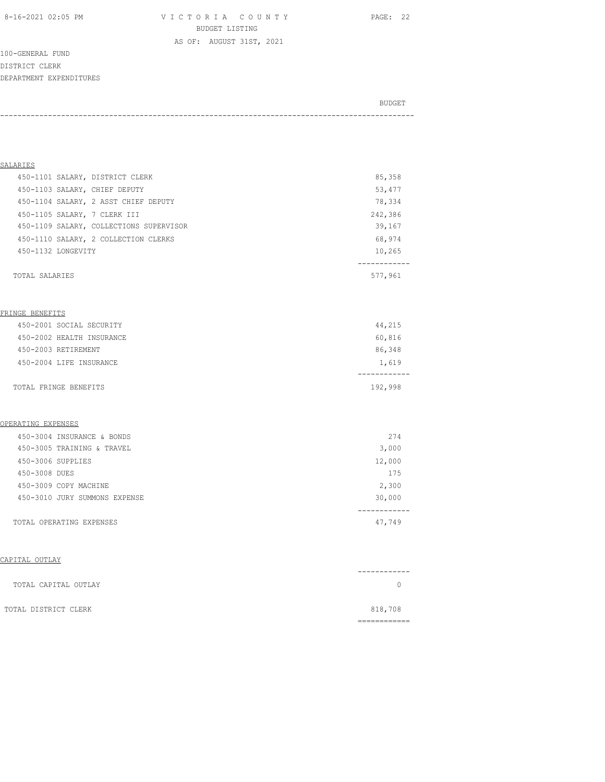8-16-2021 02:05 PM V I C T O R I A C O U N T Y PAGE: 22 BUDGET LISTING

AS OF: AUGUST 31ST, 2021

100-GENERAL FUND DISTRICT CLERK DEPARTMENT EXPENDITURES

BUDGET AND RESERVE AND RESERVE AND RESERVE AND RESERVE AND RESERVE AND RESERVE AND RESERVE AND RESERVE AND RESERVE AND RESERVE AND RESERVE AND RESERVE AND RESERVE AND RESERVE AND RESPONDING A REPORT OF A REPORT OF A REPORT -----------------------------------------------------------------------------------------------

| SALARIES                                |             |
|-----------------------------------------|-------------|
| 450-1101 SALARY, DISTRICT CLERK         | 85,358      |
| 450-1103 SALARY, CHIEF DEPUTY           | 53,477      |
| 450-1104 SALARY, 2 ASST CHIEF DEPUTY    | 78,334      |
| 450-1105 SALARY, 7 CLERK III            | 242,386     |
| 450-1109 SALARY, COLLECTIONS SUPERVISOR | 39,167      |
| 450-1110 SALARY, 2 COLLECTION CLERKS    | 68,974      |
| 450-1132 LONGEVITY                      | 10,265      |
|                                         | --------    |
| TOTAL SALARIES                          | 577,961     |
|                                         |             |
|                                         |             |
| FRINGE BENEFITS                         |             |
| 450-2001 SOCIAL SECURITY                | 44,215      |
| 450-2002 HEALTH INSURANCE               | 60,816      |
| 450-2003 RETIREMENT                     | 86,348      |
| 450-2004 LIFE INSURANCE                 | 1,619       |
|                                         |             |
| TOTAL FRINGE BENEFITS                   | 192,998     |
|                                         |             |
|                                         |             |
| OPERATING EXPENSES                      |             |
| 450-3004 INSURANCE & BONDS              | 274         |
| 450-3005 TRAINING & TRAVEL              | 3,000       |
| 450-3006 SUPPLIES                       | 12,000      |
| 450-3008 DUES                           | 175         |
| 450-3009 COPY MACHINE                   | 2,300       |
| 450-3010 JURY SUMMONS EXPENSE           | 30,000      |
| TOTAL OPERATING EXPENSES                | .<br>47,749 |

|                      | ---------- |
|----------------------|------------|
| TOTAL CAPITAL OUTLAY |            |
| TOTAL DISTRICT CLERK | 818,708    |
|                      |            |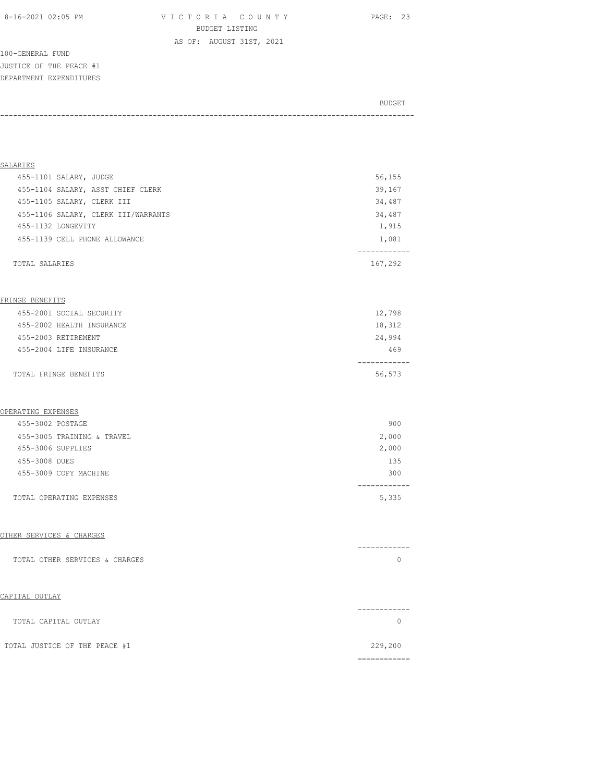100-GENERAL FUND JUSTICE OF THE PEACE #1 DEPARTMENT EXPENDITURES

## BUDGET AND RESERVE AND RESERVE AND RESERVE AND RESERVE AND RESERVE AND RESERVE AND RESERVE AND RESERVE AND RESERVE AND RESERVE AND RESERVE AND RESERVE AND RESERVE AND RESERVE AND RESPONDING A REPORT OF A REPORT OF A REPORT -----------------------------------------------------------------------------------------------

| SALARIES                            |         |
|-------------------------------------|---------|
| 455-1101 SALARY, JUDGE              | 56,155  |
| 455-1104 SALARY, ASST CHIEF CLERK   | 39,167  |
| 455-1105 SALARY, CLERK III          | 34,487  |
| 455-1106 SALARY, CLERK III/WARRANTS | 34,487  |
| 455-1132 LONGEVITY                  | 1,915   |
| 455-1139 CELL PHONE ALLOWANCE       | 1,081   |
|                                     |         |
| TOTAL SALARIES                      | 167,292 |

#### FRINGE BENEFITS

| TOTAL FRINGE BENEFITS     | 56,573 |
|---------------------------|--------|
| 455-2004 LIFE INSURANCE   | 469    |
| 455-2003 RETIREMENT       | 24,994 |
| 455-2002 HEALTH INSURANCE | 18,312 |
| 455-2001 SOCIAL SECURITY  | 12,798 |

#### OPERATING EXPENSES

| TOTAL OPERATING EXPENSES   | 5,335 |
|----------------------------|-------|
| 455-3009 COPY MACHINE      | 300   |
| 455-3008 DUES              | 135   |
| 455-3006 SUPPLIES          | 2,000 |
| 455-3005 TRAINING & TRAVEL | 2,000 |
| 455-3002 POSTAGE           | 900   |

## OTHER SERVICES & CHARGES

| ------------                   |  |
|--------------------------------|--|
| TOTAL OTHER SERVICES & CHARGES |  |

|                               | - - - - - - - |
|-------------------------------|---------------|
| TOTAL CAPITAL OUTLAY          |               |
| TOTAL JUSTICE OF THE PEACE #1 | 229,200       |
|                               |               |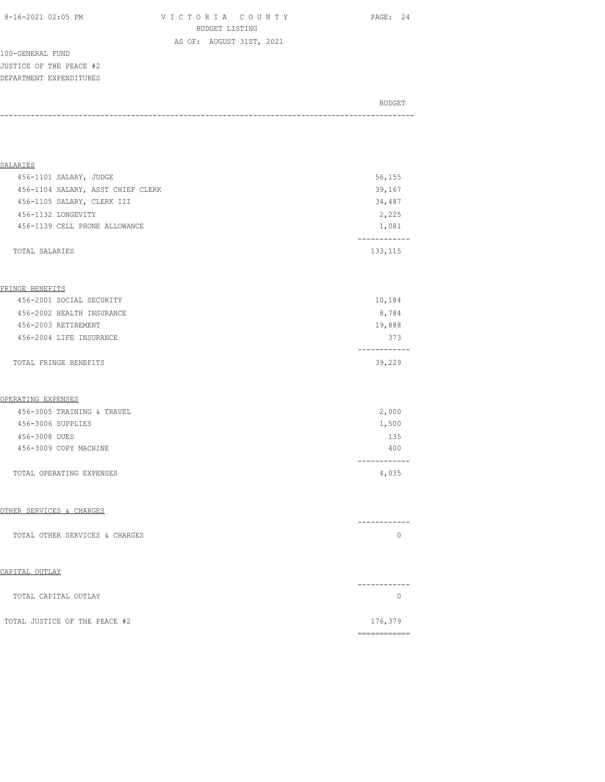8-16-2021 02:05 PM V I C T O R I A C O U N T Y PAGE: 24 BUDGET LISTING AS OF: AUGUST 31ST, 2021

100-GENERAL FUND JUSTICE OF THE PEACE #2 DEPARTMENT EXPENDITURES

| BUDGET |
|--------|
|        |

| SALARIES                          |          |
|-----------------------------------|----------|
| 456-1101 SALARY, JUDGE            | 56,155   |
| 456-1104 SALARY, ASST CHIEF CLERK | 39,167   |
| 456-1105 SALARY, CLERK III        | 34,487   |
| 456-1132 LONGEVITY                | 2,225    |
| 456-1139 CELL PHONE ALLOWANCE     | 1,081    |
|                                   |          |
| TOTAL SALARIES                    | 133, 115 |

#### FRINGE BENEFITS

| TOTAL FRINGE BENEFITS     | 39,229 |
|---------------------------|--------|
|                           |        |
| 456-2004 LIFE INSURANCE   | 373    |
| 456-2003 RETIREMENT       | 19,888 |
| 456-2002 HEALTH INSURANCE | 8,784  |
| 456-2001 SOCIAL SECURITY  | 10,184 |
|                           |        |

#### OPERATING EXPENSES

| 456-3009 COPY MACHINE    | 400   |
|--------------------------|-------|
|                          |       |
| TOTAL OPERATING EXPENSES | 4,035 |

#### OTHER SERVICES & CHARGES

|                                | ------------ |
|--------------------------------|--------------|
| TOTAL OTHER SERVICES & CHARGES |              |

| TOTAL CAPITAL OUTLAY          |         |
|-------------------------------|---------|
| TOTAL JUSTICE OF THE PEACE #2 | 176,379 |
|                               |         |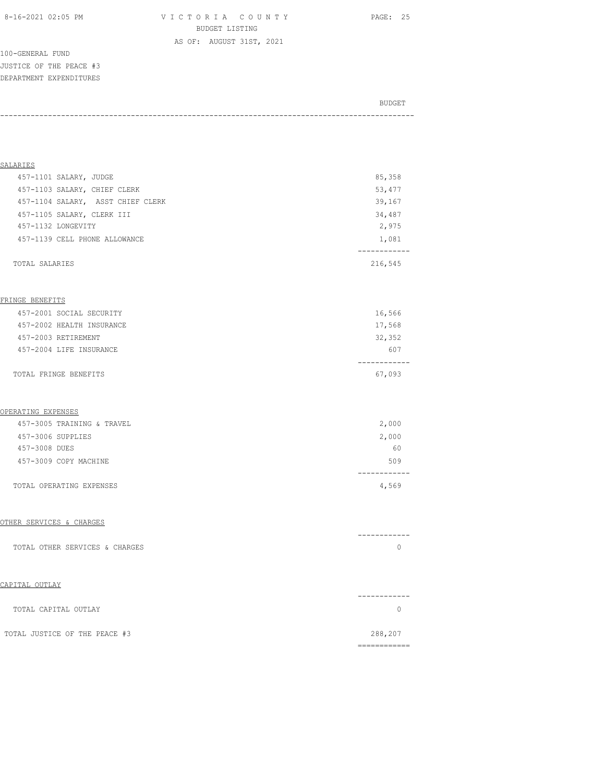100-GENERAL FUND JUSTICE OF THE PEACE #3 DEPARTMENT EXPENDITURES

# BUDGET AND RESERVE AND RESERVE AND RESERVE AND RESERVE AND RESERVE AND RESERVE AND RESERVE AND RESERVE AND RESERVE AND RESERVE AND RESERVE AND RESERVE AND RESERVE AND RESERVE AND RESPONDING A REPORT OF A REPORT OF A REPORT -----------------------------------------------------------------------------------------------

| SALARIES                          |         |
|-----------------------------------|---------|
| 457-1101 SALARY, JUDGE            | 85,358  |
| 457-1103 SALARY, CHIEF CLERK      | 53,477  |
| 457-1104 SALARY, ASST CHIEF CLERK | 39,167  |
| 457-1105 SALARY, CLERK III        | 34,487  |
| 457-1132 LONGEVITY                | 2,975   |
| 457-1139 CELL PHONE ALLOWANCE     | 1,081   |
|                                   |         |
| TOTAL SALARIES                    | 216,545 |

#### FRINGE BENEFITS

| TOTAL FRINGE BENEFITS     | 67,093 |
|---------------------------|--------|
| 457-2004 LIFE INSURANCE   | 607    |
| 457-2003 RETIREMENT       | 32,352 |
| 457-2002 HEALTH INSURANCE | 17,568 |
| 457-2001 SOCIAL SECURITY  | 16,566 |
|                           |        |

#### OPERATING EXPENSES

| TOTAL OPERATING EXPENSES   | 4,569 |
|----------------------------|-------|
| 457-3009 COPY MACHINE      | 509   |
| 457-3008 DUES              | 60    |
| 457-3006 SUPPLIES          | 2,000 |
| 457-3005 TRAINING & TRAVEL | 2,000 |

#### OTHER SERVICES & CHARGES

|                                | ------------ |
|--------------------------------|--------------|
| TOTAL OTHER SERVICES & CHARGES |              |

| TOTAL CAPITAL OUTLAY          |         |
|-------------------------------|---------|
| TOTAL JUSTICE OF THE PEACE #3 | 288,207 |
|                               |         |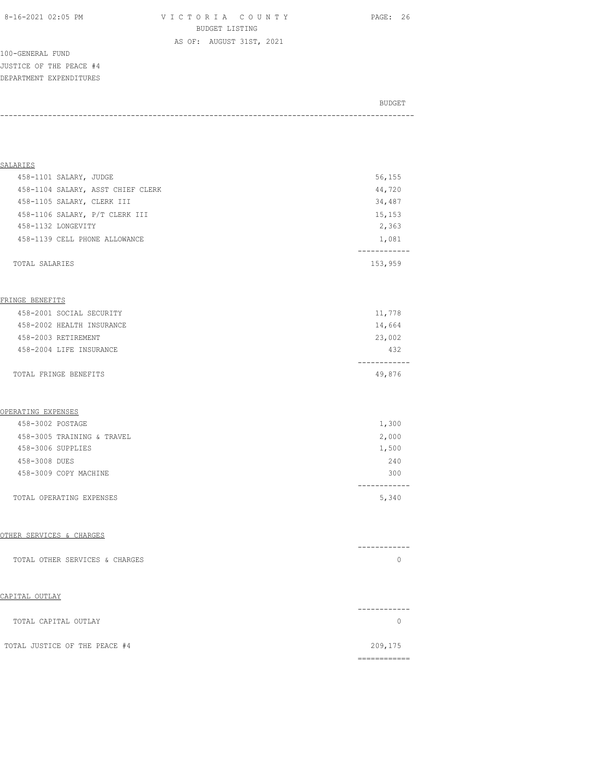8-16-2021 02:05 PM V I C T O R I A C O U N T Y PAGE: 26 BUDGET LISTING AS OF: AUGUST 31ST, 2021

100-GENERAL FUND JUSTICE OF THE PEACE #4 DEPARTMENT EXPENDITURES

BUDGET AND RESERVE AND RESERVE AND RESERVE AND RESERVE AND RESERVE AND RESERVE AND RESERVE AND RESERVE AND RESERVE AND RESERVE AND RESERVE AND RESERVE AND RESERVE AND RESERVE AND RESPONDING A REPORT OF A REPORT OF A REPORT -----------------------------------------------------------------------------------------------

| SALARIES                          |         |
|-----------------------------------|---------|
| 458-1101 SALARY, JUDGE            | 56,155  |
| 458-1104 SALARY, ASST CHIEF CLERK | 44,720  |
| 458-1105 SALARY, CLERK III        | 34,487  |
| 458-1106 SALARY, P/T CLERK III    | 15,153  |
| 458-1132 LONGEVITY                | 2,363   |
| 458-1139 CELL PHONE ALLOWANCE     | 1,081   |
|                                   |         |
| TOTAL SALARIES                    | 153,959 |
|                                   |         |

#### FRINGE BENEFITS

| TOTAL FRINGE BENEFITS     | 49,876 |
|---------------------------|--------|
| 458-2004 LIFE INSURANCE   | 432    |
| 458-2003 RETIREMENT       | 23,002 |
| 458-2002 HEALTH INSURANCE | 14,664 |
| 458-2001 SOCIAL SECURITY  | 11,778 |

#### OPERATING EXPENSES

| 1,300 |
|-------|
| 2,000 |
| 1,500 |
| 240   |
| 300   |
| 5,340 |
|       |

## OTHER SERVICES & CHARGES

|                                | ------------ |
|--------------------------------|--------------|
| TOTAL OTHER SERVICES & CHARGES |              |

| TOTAL CAPITAL OUTLAY          |         |
|-------------------------------|---------|
| TOTAL JUSTICE OF THE PEACE #4 | 209,175 |
|                               |         |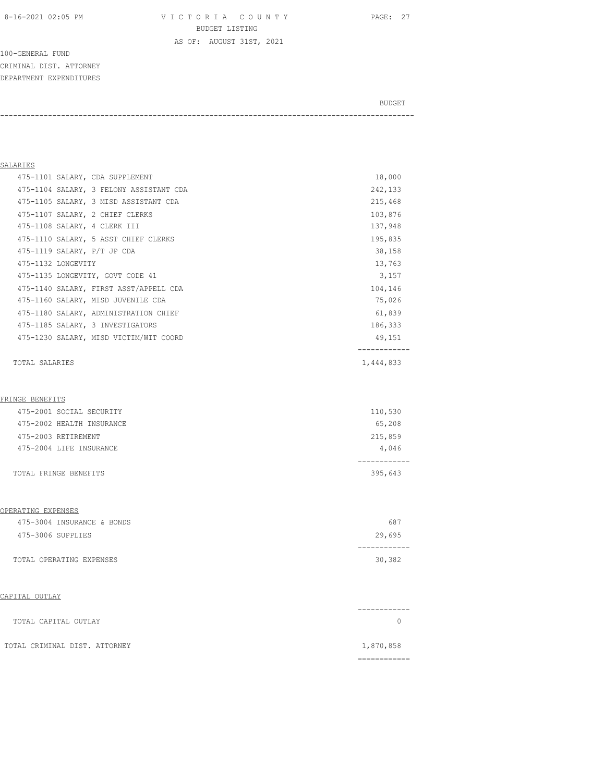8-16-2021 02:05 PM V I C T O R I A C O U N T Y PAGE: 27 BUDGET LISTING AS OF: AUGUST 31ST, 2021

-----------------------------------------------------------------------------------------------

100-GENERAL FUND CRIMINAL DIST. ATTORNEY DEPARTMENT EXPENDITURES

BUDGET AND RESERVE AND RESERVE AND RESERVE AND RESERVE AND RESERVE AND RESERVE AND RESERVE AND RESERVE AND RESERVE AND RESERVE AND RESERVE AND RESERVE AND RESERVE AND RESERVE AND RESPONDING A REPORT OF A REPORT OF A REPORT

## SALARIES 475-1101 SALARY, CDA SUPPLEMENT 18,000 475-1104 SALARY, 3 FELONY ASSISTANT CDA 242,133 475-1105 SALARY, 3 MISD ASSISTANT CDA 215,468 475-1107 SALARY, 2 CHIEF CLERKS 103,876 475-1108 SALARY, 4 CLERK III 137,948 475-1110 SALARY, 5 ASST CHIEF CLERKS 195,835 475-1119 SALARY, P/T JP CDA 38,158 475-1132 LONGEVITY 13,763 475-1135 LONGEVITY, GOVT CODE 41 3,157 475-1140 SALARY, FIRST ASST/APPELL CDA 104,146 475-1160 SALARY, MISD JUVENILE CDA 75,026 475-1180 SALARY, ADMINISTRATION CHIEF 61,839 475-1185 SALARY, 3 INVESTIGATORS 186,333 475-1230 SALARY, MISD VICTIM/WIT COORD 49,151 ------------ TOTAL SALARIES 1,444,833

#### FRINGE BENEFITS

| TOTAL FRINGE BENEFITS     | 395,643 |
|---------------------------|---------|
|                           |         |
| 475-2004 LIFE INSURANCE   | 4,046   |
| 475-2003 RETIREMENT       | 215,859 |
| 475-2002 HEALTH INSURANCE | 65,208  |
| 475-2001 SOCIAL SECURITY  | 110,530 |

#### OPERATING EXPENSES

| 475-3004 INSURANCE & BONDS | 687    |
|----------------------------|--------|
| 475-3006 SUPPLIES          | 29,695 |
|                            |        |
| TOTAL OPERATING EXPENSES   | 30,382 |

| TOTAL CAPITAL OUTLAY          |           |
|-------------------------------|-----------|
|                               |           |
| TOTAL CRIMINAL DIST. ATTORNEY | 1,870,858 |
|                               |           |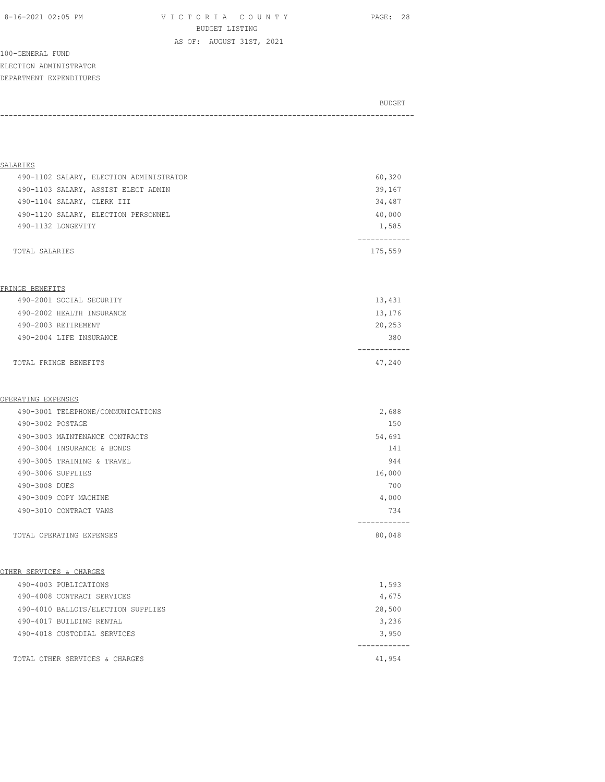8-16-2021 02:05 PM V I C T O R I A C O U N T Y PAGE: 28 BUDGET LISTING AS OF: AUGUST 31ST, 2021

100-GENERAL FUND ELECTION ADMINISTRATOR DEPARTMENT EXPENDITURES

| BUDGET |
|--------|
|        |

| SALARIES                   |                                         |         |
|----------------------------|-----------------------------------------|---------|
|                            | 490-1102 SALARY, ELECTION ADMINISTRATOR | 60,320  |
|                            | 490-1103 SALARY, ASSIST ELECT ADMIN     | 39,167  |
| 490-1104 SALARY, CLERK III |                                         | 34,487  |
|                            | 490-1120 SALARY, ELECTION PERSONNEL     | 40,000  |
| 490-1132 LONGEVITY         |                                         | 1,585   |
|                            |                                         |         |
| TOTAL SALARIES             |                                         | 175,559 |

#### FRINGE BENEFITS

| TOTAL FRINGE BENEFITS     | 47,240 |
|---------------------------|--------|
| 490-2004 LIFE INSURANCE   | 380    |
| 490-2003 RETIREMENT       | 20,253 |
| 490-2002 HEALTH INSURANCE | 13,176 |
| 490-2001 SOCIAL SECURITY  | 13,431 |

#### OPERATING EXPENSES

|                  | 490-3001 TELEPHONE/COMMUNICATIONS | 2,688  |  |
|------------------|-----------------------------------|--------|--|
| 490-3002 POSTAGE |                                   | 150    |  |
|                  | 490-3003 MAINTENANCE CONTRACTS    | 54,691 |  |
|                  | 490-3004 INSURANCE & BONDS        | 141    |  |
|                  | 490-3005 TRAINING & TRAVEL        | 944    |  |
|                  | 490-3006 SUPPLIES                 | 16,000 |  |
| 490-3008 DUES    |                                   | 700    |  |
|                  | 490-3009 COPY MACHINE             | 4,000  |  |
|                  | 490-3010 CONTRACT VANS            | 734    |  |
|                  |                                   |        |  |
|                  | TOTAL OPERATING EXPENSES          | 80,048 |  |

## OTHER SERVICES & CHARGES

|  | TOTAL OTHER SERVICES & CHARGES     | 41,954 |
|--|------------------------------------|--------|
|  | 490-4018 CUSTODIAL SERVICES        | 3,950  |
|  | 490-4017 BUILDING RENTAL           | 3,236  |
|  | 490-4010 BALLOTS/ELECTION SUPPLIES | 28,500 |
|  | 490-4008 CONTRACT SERVICES         | 4,675  |
|  | 490-4003 PUBLICATIONS              | 1,593  |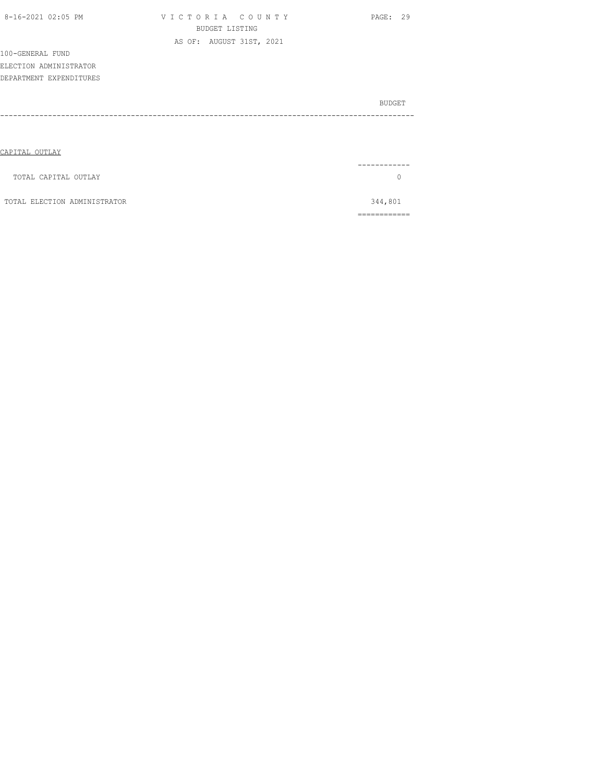| 8-16-2021 02:05 PM           | VICTORIA COUNTY          | PAGE: 29      |
|------------------------------|--------------------------|---------------|
|                              | <b>BUDGET LISTING</b>    |               |
|                              | AS OF: AUGUST 31ST, 2021 |               |
| 100-GENERAL FUND             |                          |               |
| ELECTION ADMINISTRATOR       |                          |               |
| DEPARTMENT EXPENDITURES      |                          |               |
|                              |                          |               |
|                              |                          | <b>BUDGET</b> |
|                              |                          |               |
|                              |                          |               |
|                              |                          |               |
| CAPITAL OUTLAY               |                          |               |
|                              |                          |               |
| TOTAL CAPITAL OUTLAY         |                          | $\mathbf 0$   |
|                              |                          |               |
| TOTAL ELECTION ADMINISTRATOR |                          | 344,801       |

============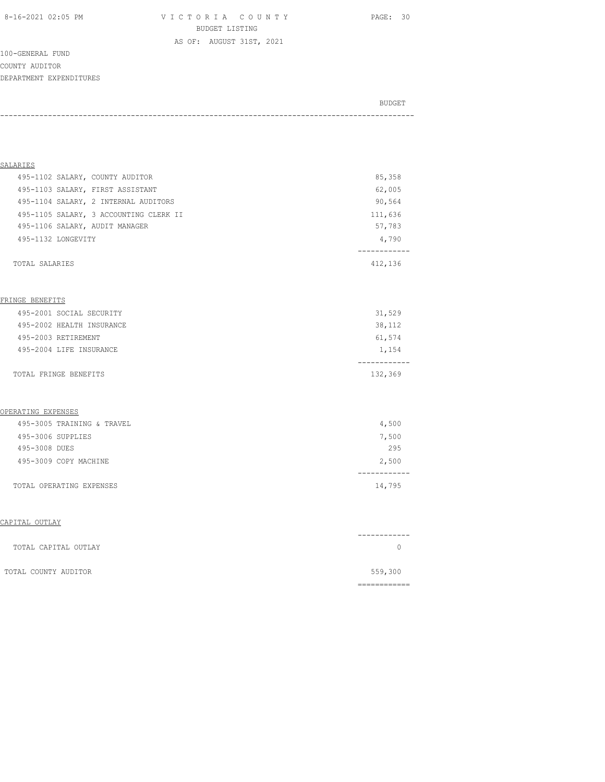8-16-2021 02:05 PM V I C T O R I A C O U N T Y PAGE: 30 BUDGET LISTING

AS OF: AUGUST 31ST, 2021

100-GENERAL FUND COUNTY AUDITOR DEPARTMENT EXPENDITURES

BUDGET AND RESERVE AND RESERVE AND RESERVE AND RESERVE AND RESERVE AND RESERVE AND RESERVE AND RESERVE AND RESERVE AND RESERVE AND RESERVE AND RESERVE AND RESERVE AND RESERVE AND RESPONDING A REPORT OF A REPORT OF A REPORT -----------------------------------------------------------------------------------------------

| SALARIES                        |                                        |         |
|---------------------------------|----------------------------------------|---------|
| 495-1102 SALARY, COUNTY AUDITOR |                                        | 85,358  |
|                                 | 495-1103 SALARY, FIRST ASSISTANT       | 62,005  |
|                                 | 495-1104 SALARY, 2 INTERNAL AUDITORS   | 90,564  |
|                                 | 495-1105 SALARY, 3 ACCOUNTING CLERK II | 111,636 |
| 495-1106 SALARY, AUDIT MANAGER  |                                        | 57,783  |
| 495-1132 LONGEVITY              |                                        | 4,790   |
|                                 |                                        |         |
| TOTAL SALARIES                  |                                        | 412,136 |

#### FRINGE BENEFITS

| TOTAL FRINGE BENEFITS     | 132,369 |
|---------------------------|---------|
| 495-2004 LIFE INSURANCE   | 1,154   |
| 495-2003 RETIREMENT       | 61,574  |
| 495-2002 HEALTH INSURANCE | 38,112  |
| 495-2001 SOCIAL SECURITY  | 31,529  |

#### OPERATING EXPENSES

| TOTAL OPERATING EXPENSES   | 14,795 |
|----------------------------|--------|
| 495-3009 COPY MACHINE      | 2,500  |
| 495-3008 DUES              | 295    |
| 495-3006 SUPPLIES          | 7,500  |
| 495-3005 TRAINING & TRAVEL | 4,500  |

|                      | ---------- |
|----------------------|------------|
| TOTAL CAPITAL OUTLAY |            |
| TOTAL COUNTY AUDITOR | 559,300    |
|                      |            |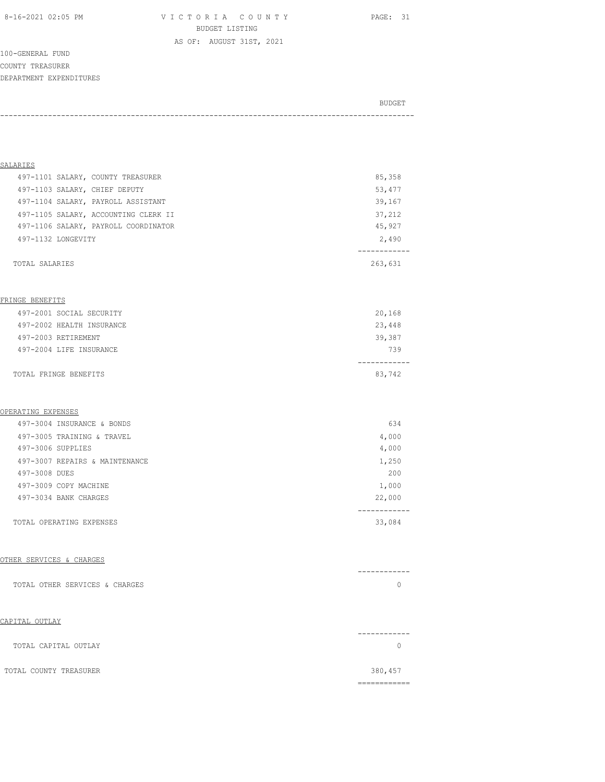8-16-2021 02:05 PM V I C T O R I A C O U N T Y PAGE: 31 BUDGET LISTING

AS OF: AUGUST 31ST, 2021

100-GENERAL FUND COUNTY TREASURER DEPARTMENT EXPENDITURES

BUDGET AND RESERVE AND RESERVE AND RESERVE AND RESERVE AND RESERVE AND RESERVE AND RESERVE AND RESERVE AND RESERVE AND RESERVE AND RESERVE AND RESERVE AND RESERVE AND RESERVE AND RESPONDING A REPORT OF A REPORT OF A REPORT -----------------------------------------------------------------------------------------------

| SALARIES                      |                                      |         |
|-------------------------------|--------------------------------------|---------|
|                               | 497-1101 SALARY, COUNTY TREASURER    | 85,358  |
| 497-1103 SALARY, CHIEF DEPUTY |                                      | 53,477  |
|                               | 497-1104 SALARY, PAYROLL ASSISTANT   | 39,167  |
|                               | 497-1105 SALARY, ACCOUNTING CLERK II | 37,212  |
|                               | 497-1106 SALARY, PAYROLL COORDINATOR | 45,927  |
| 497-1132 LONGEVITY            |                                      | 2,490   |
|                               |                                      |         |
| TOTAL SALARIES                |                                      | 263,631 |

#### FRINGE BENEFITS

| TOTAL FRINGE BENEFITS     | 83,742 |
|---------------------------|--------|
| 497-2004 LIFE INSURANCE   | 739    |
| 497-2003 RETIREMENT       | 39,387 |
| 497-2002 HEALTH INSURANCE | 23,448 |
| 497-2001 SOCIAL SECURITY  | 20,168 |

#### OPERATING EXPENSES

| TOTAL OPERATING EXPENSES       | 33,084 |
|--------------------------------|--------|
| 497-3034 BANK CHARGES          | 22,000 |
| 497-3009 COPY MACHINE          | 1,000  |
| 497-3008 DUES                  | 200    |
| 497-3007 REPAIRS & MAINTENANCE | 1,250  |
| 497-3006 SUPPLIES              | 4,000  |
| 497-3005 TRAINING & TRAVEL     | 4,000  |
| 497-3004 INSURANCE & BONDS     | 634    |

#### OTHER SERVICES & CHARGES

|                                | ------------ |
|--------------------------------|--------------|
| TOTAL OTHER SERVICES & CHARGES |              |

| TOTAL CAPITAL OUTLAY   | ------- |
|------------------------|---------|
| TOTAL COUNTY TREASURER | 380,457 |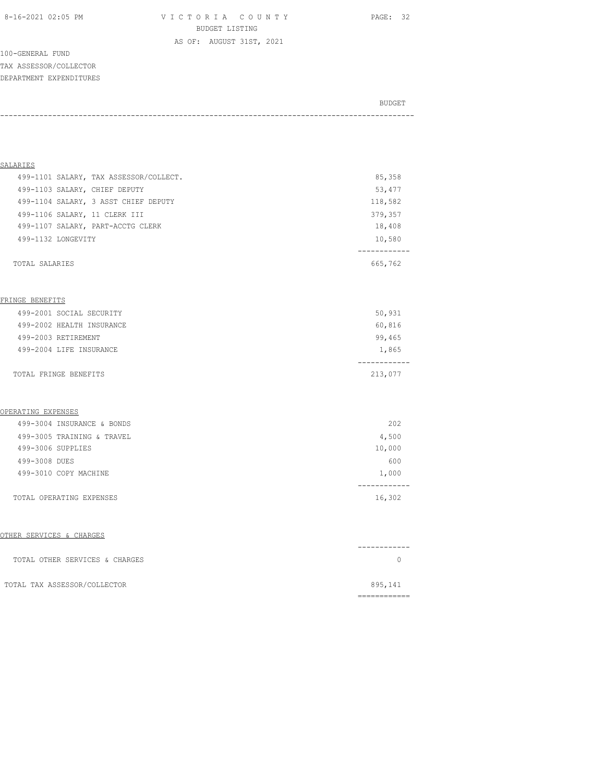8-16-2021 02:05 PM V I C T O R I A C O U N T Y PAGE: 32 BUDGET LISTING AS OF: AUGUST 31ST, 2021

100-GENERAL FUND TAX ASSESSOR/COLLECTOR DEPARTMENT EXPENDITURES

BUDGET AND RESERVE AND RESERVE AND RESERVE AND RESERVE AND RESERVE AND RESERVE AND RESERVE AND RESERVE AND RESERVE AND RESERVE AND RESERVE AND RESERVE AND RESERVE AND RESERVE AND RESPONDING A REPORT OF A REPORT OF A REPORT -----------------------------------------------------------------------------------------------

| SALARIES                               |         |
|----------------------------------------|---------|
| 499-1101 SALARY, TAX ASSESSOR/COLLECT. | 85,358  |
| 499-1103 SALARY, CHIEF DEPUTY          | 53,477  |
| 499-1104 SALARY, 3 ASST CHIEF DEPUTY   | 118,582 |
| 499-1106 SALARY, 11 CLERK III          | 379,357 |
| 499-1107 SALARY, PART-ACCTG CLERK      | 18,408  |
| 499-1132 LONGEVITY                     | 10,580  |
|                                        |         |
| TOTAL SALARIES                         | 665,762 |
|                                        |         |

#### FRINGE BENEFITS

| TOTAL FRINGE BENEFITS     | 213,077 |
|---------------------------|---------|
| 499-2004 LIFE INSURANCE   | 1,865   |
| 499-2003 RETIREMENT       | 99,465  |
| 499-2002 HEALTH INSURANCE | 60,816  |
| 499-2001 SOCIAL SECURITY  | 50,931  |

#### OPERATING EXPENSES

| TOTAL OPERATING EXPENSES   | 16,302 |
|----------------------------|--------|
| 499-3010 COPY MACHINE      | 1,000  |
| 499-3008 DUES              | 600    |
| 499-3006 SUPPLIES          | 10,000 |
| 499-3005 TRAINING & TRAVEL | 4,500  |
| 499-3004 INSURANCE & BONDS | 202    |

#### OTHER SERVICES & CHARGES

| TOTAL OTHER SERVICES & CHARGES |         |
|--------------------------------|---------|
| TOTAL TAX ASSESSOR/COLLECTOR   | 895,141 |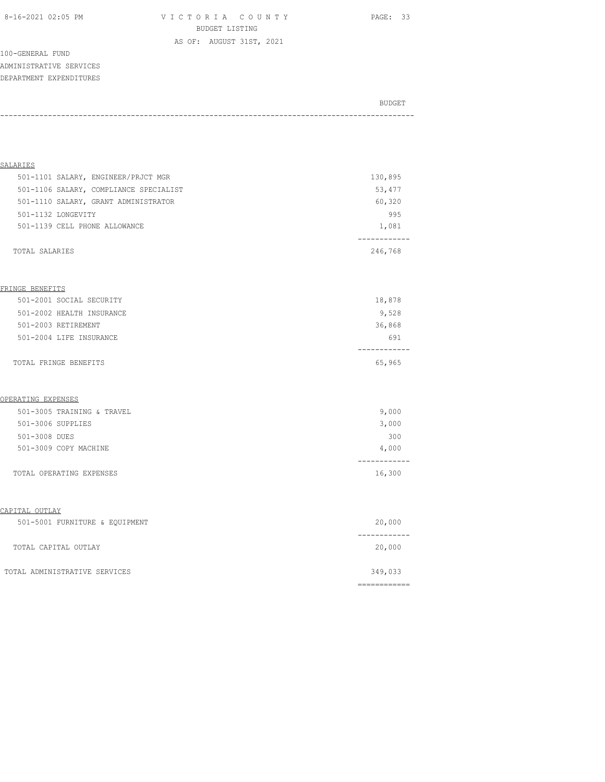8-16-2021 02:05 PM V I C T O R I A C O U N T Y PAGE: 33 BUDGET LISTING AS OF: AUGUST 31ST, 2021

100-GENERAL FUND ADMINISTRATIVE SERVICES DEPARTMENT EXPENDITURES

| BUDGET |
|--------|
|        |

| SALARIES                               |         |
|----------------------------------------|---------|
| 501-1101 SALARY, ENGINEER/PRJCT MGR    | 130,895 |
| 501-1106 SALARY, COMPLIANCE SPECIALIST | 53,477  |
| 501-1110 SALARY, GRANT ADMINISTRATOR   | 60,320  |
| 501-1132 LONGEVITY                     | 995     |
| 501-1139 CELL PHONE ALLOWANCE          | 1,081   |
|                                        |         |
| TOTAL SALARIES                         | 246,768 |

#### FRINGE BENEFITS

| 501-2001 SOCIAL SECURITY  | 18,878 |
|---------------------------|--------|
| 501-2002 HEALTH INSURANCE | 9,528  |
| 501-2003 RETIREMENT       | 36,868 |
| 501-2004 LIFE INSURANCE   | 691    |
|                           |        |
| TOTAL FRINGE BENEFITS     | 65,965 |

#### OPERATING EXPENSES

| 501-3005 TRAINING & TRAVEL | 9,000  |
|----------------------------|--------|
| 501-3006 SUPPLIES          | 3,000  |
| 501-3008 DUES              | 300    |
| 501-3009 COPY MACHINE      | 4,000  |
|                            |        |
| TOTAL OPERATING EXPENSES   | 16,300 |

| 501-5001 FURNITURE & EQUIPMENT | 20,000           |
|--------------------------------|------------------|
| TOTAL CAPITAL OUTLAY           | ------<br>20,000 |
| TOTAL ADMINISTRATIVE SERVICES  | 349,033          |
|                                |                  |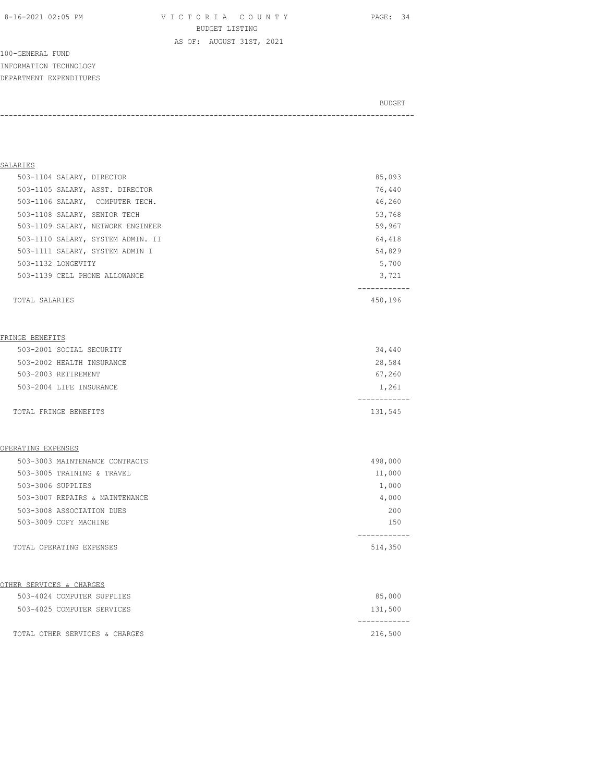8-16-2021 02:05 PM V I C T O R I A C O U N T Y PAGE: 34 BUDGET LISTING

AS OF: AUGUST 31ST, 2021

100-GENERAL FUND INFORMATION TECHNOLOGY DEPARTMENT EXPENDITURES

## BUDGET AND RESERVE AND RESERVE AND RESERVE AND RESERVE AND RESERVE AND RESERVE AND RESERVE AND RESERVE AND RESERVE AND RESERVE AND RESERVE AND RESERVE AND RESERVE AND RESERVE AND RESPONDING A REPORT OF A REPORT OF A REPORT -----------------------------------------------------------------------------------------------

| SALARIES                          |         |
|-----------------------------------|---------|
| 503-1104 SALARY, DIRECTOR         | 85,093  |
| 503-1105 SALARY, ASST. DIRECTOR   | 76,440  |
| 503-1106 SALARY, COMPUTER TECH.   | 46,260  |
| 503-1108 SALARY, SENIOR TECH      | 53,768  |
| 503-1109 SALARY, NETWORK ENGINEER | 59,967  |
| 503-1110 SALARY, SYSTEM ADMIN. II | 64,418  |
| 503-1111 SALARY, SYSTEM ADMIN I   | 54,829  |
| 503-1132 LONGEVITY                | 5,700   |
| 503-1139 CELL PHONE ALLOWANCE     | 3,721   |
| TOTAL SALARIES                    | 450,196 |
| FRINGE BENEFITS                   |         |
| 503-2001 SOCIAL SECURITY          | 34,440  |
| 503-2002 HEALTH INSURANCE         | 28,584  |
| 503-2003 RETIREMENT               | 67,260  |
| 503-2004 LIFE INSURANCE           | 1,261   |
| TOTAL FRINGE BENEFITS             | 131,545 |
| OPERATING EXPENSES                |         |
| 503-3003 MAINTENANCE CONTRACTS    | 498,000 |

| 503-3007 REPAIRS & MAINTENANCE | 4,000   |
|--------------------------------|---------|
| 503-3008 ASSOCIATION DUES      | 200     |
| 503-3009 COPY MACHINE          | 150     |
|                                |         |
| TOTAL OPERATING EXPENSES       | 514,350 |

#### OTHER SERVICES & CHARGES

| 503-4024 COMPUTER SUPPLIES     | 85,000  |
|--------------------------------|---------|
| 503-4025 COMPUTER SERVICES     | 131,500 |
|                                |         |
| TOTAL OTHER SERVICES & CHARGES | 216,500 |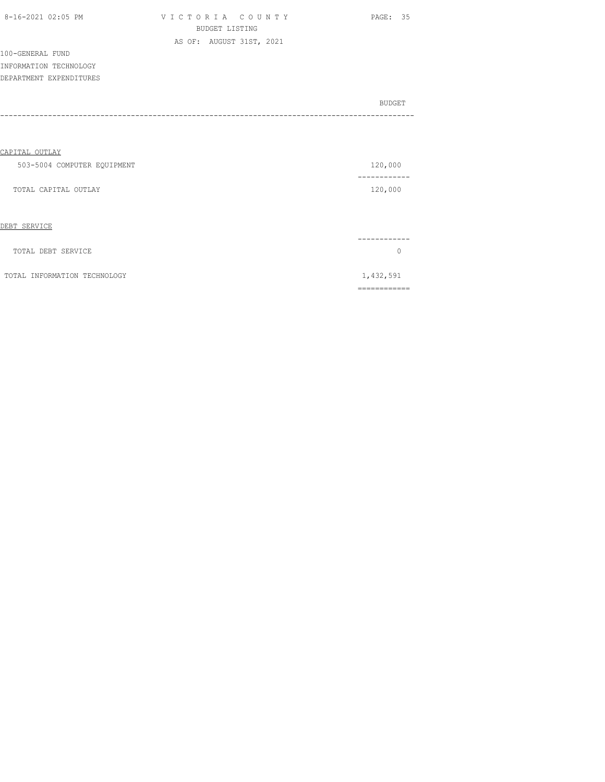| 8-16-2021 02:05 PM |  |
|--------------------|--|

V I C T O R I A C O U N T Y PAGE: 35 BUDGET LISTING AS OF: AUGUST 31ST, 2021

100-GENERAL FUND INFORMATION TECHNOLOGY DEPARTMENT EXPENDITURES

BUDGET AND RESERVE AND RESERVE AND RESERVE AND RESERVE AND RESERVE AND RESERVE AND RESERVE AND RESERVE AND RESERVE AND RESERVE AND RESERVE AND RESERVE AND RESERVE AND RESERVE AND RESPONDING A REPORT OF A REPORT OF A REPORT -----------------------------------------------------------------------------------------------

## CAPITAL OUTLAY

| 503-5004 COMPUTER EQUIPMENT | 120,000 |
|-----------------------------|---------|
| TOTAL CAPITAL OUTLAY        | 120,000 |
|                             |         |

#### DEBT SERVICE

| TOTAL DEBT SERVICE           |           |
|------------------------------|-----------|
| TOTAL INFORMATION TECHNOLOGY | 1,432,591 |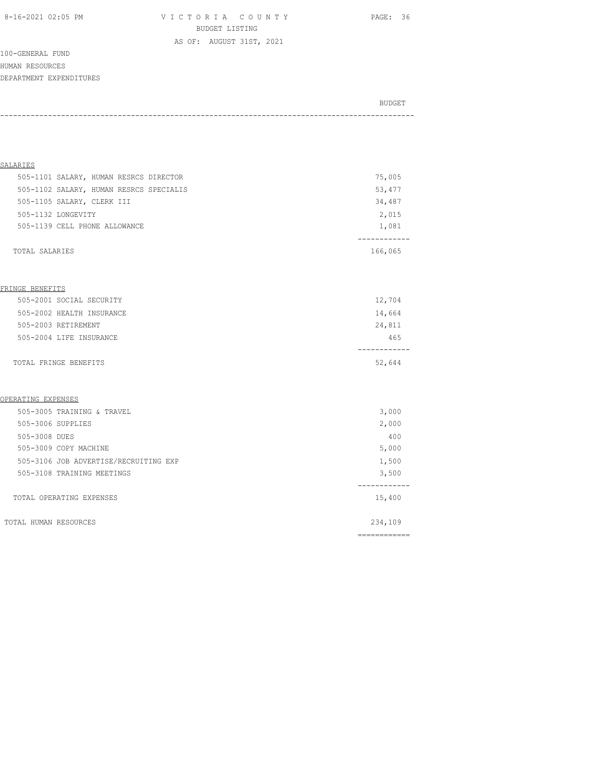8-16-2021 02:05 PM V I C T O R I A C O U N T Y PAGE: 36 BUDGET LISTING

100-GENERAL FUND HUMAN RESOURCES DEPARTMENT EXPENDITURES

BUDGET AND RESERVE AND RESERVE AND RESERVE AND RESERVE AND RESERVE AND RESERVE AND RESERVE AND RESERVE AND RESERVE AND RESERVE AND RESERVE AND RESERVE AND RESERVE AND RESERVE AND RESPONDING A REPORT OF A REPORT OF A REPORT -----------------------------------------------------------------------------------------------

AS OF: AUGUST 31ST, 2021

| SALARIES                                |         |
|-----------------------------------------|---------|
| 505-1101 SALARY, HUMAN RESRCS DIRECTOR  | 75,005  |
| 505-1102 SALARY, HUMAN RESRCS SPECIALIS | 53,477  |
| 505-1105 SALARY, CLERK III              | 34,487  |
| 505-1132 LONGEVITY                      | 2,015   |
| 505-1139 CELL PHONE ALLOWANCE           | 1,081   |
|                                         |         |
| TOTAL SALARIES                          | 166,065 |

#### FRINGE BENEFITS

| 505-2001 SOCIAL SECURITY  | 12,704 |
|---------------------------|--------|
| 505-2002 HEALTH INSURANCE | 14,664 |
| 505-2003 RETIREMENT       | 24,811 |
| 505-2004 LIFE INSURANCE   | 465    |
|                           |        |
| TOTAL FRINGE BENEFITS     | 52,644 |

#### OPERATING EXPENSES

|                                       | ---------- |
|---------------------------------------|------------|
| TOTAL HUMAN RESOURCES                 | 234,109    |
| TOTAL OPERATING EXPENSES              | 15,400     |
| 505-3108 TRAINING MEETINGS            | 3,500      |
| 505-3106 JOB ADVERTISE/RECRUITING EXP | 1,500      |
| 505-3009 COPY MACHINE                 | 5,000      |
| 505-3008 DUES                         | 400        |
| 505-3006 SUPPLIES                     | 2,000      |
| 505-3005 TRAINING & TRAVEL            | 3,000      |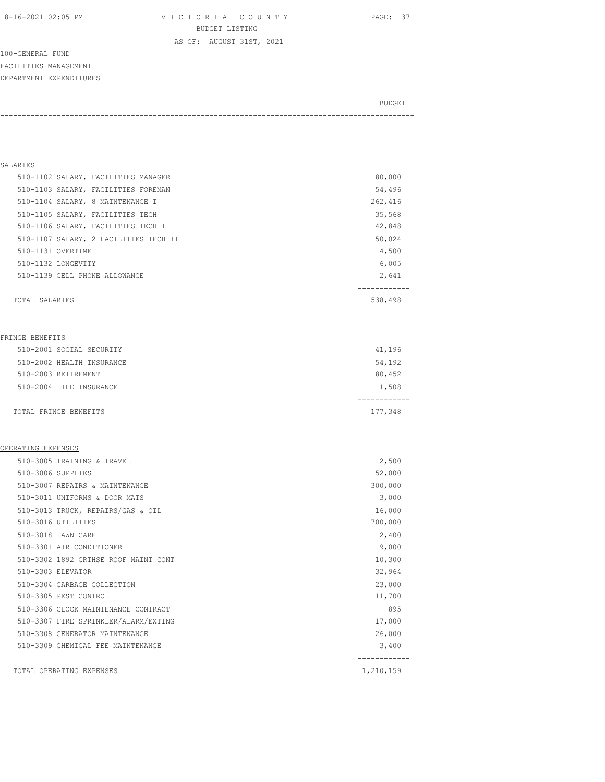8-16-2021 02:05 PM V I C T O R I A C O U N T Y PAGE: 37 BUDGET LISTING

AS OF: AUGUST 31ST, 2021

100-GENERAL FUND FACILITIES MANAGEMENT DEPARTMENT EXPENDITURES

BUDGET AND RESERVE AND RESERVE AND RESERVE AND RESERVE AND RESERVE AND RESERVE AND RESERVE AND RESERVE AND RESERVE AND RESERVE AND RESERVE AND RESERVE AND RESERVE AND RESERVE AND RESPONDING A REPORT OF A REPORT OF A REPORT -----------------------------------------------------------------------------------------------

#### SALARIES

| 510-1102 SALARY, FACILITIES MANAGER   | 80,000  |
|---------------------------------------|---------|
| 510-1103 SALARY, FACILITIES FOREMAN   | 54,496  |
| 510-1104 SALARY, 8 MAINTENANCE I      | 262,416 |
| 510-1105 SALARY, FACILITIES TECH      | 35,568  |
| 510-1106 SALARY, FACILITIES TECH I    | 42,848  |
| 510-1107 SALARY, 2 FACILITIES TECH II | 50,024  |
| 510-1131 OVERTIME                     | 4,500   |
| 510-1132 LONGEVITY                    | 6,005   |
| 510-1139 CELL PHONE ALLOWANCE         | 2,641   |
|                                       |         |
| TOTAL SALARIES                        | 538,498 |

#### FRINGE BENEFITS

| TOTAL FRINGE BENEFITS     | 177,348 |
|---------------------------|---------|
| 510-2004 LIFE INSURANCE   | 1,508   |
| 510-2003 RETIREMENT       | 80,452  |
| 510-2002 HEALTH INSURANCE | 54,192  |
| 510-2001 SOCIAL SECURITY  | 41,196  |

#### OPERATING EXPENSES

| 510-3005 TRAINING & TRAVEL           | 2,500     |
|--------------------------------------|-----------|
| 510-3006 SUPPLIES                    | 52,000    |
| 510-3007 REPAIRS & MAINTENANCE       | 300,000   |
| 510-3011 UNIFORMS & DOOR MATS        | 3,000     |
| 510-3013 TRUCK, REPAIRS/GAS & OIL    | 16,000    |
| 510-3016 UTILITIES                   | 700,000   |
| 510-3018 LAWN CARE                   | 2,400     |
| 510-3301 AIR CONDITIONER             | 9,000     |
| 510-3302 1892 CRTHSE ROOF MAINT CONT | 10,300    |
| 510-3303 ELEVATOR                    | 32,964    |
| 510-3304 GARBAGE COLLECTION          | 23,000    |
| 510-3305 PEST CONTROL                | 11,700    |
| 510-3306 CLOCK MAINTENANCE CONTRACT  | 895       |
| 510-3307 FIRE SPRINKLER/ALARM/EXTING | 17,000    |
| 510-3308 GENERATOR MAINTENANCE       | 26,000    |
| 510-3309 CHEMICAL FEE MAINTENANCE    | 3,400     |
| TOTAL OPERATING EXPENSES             | 1,210,159 |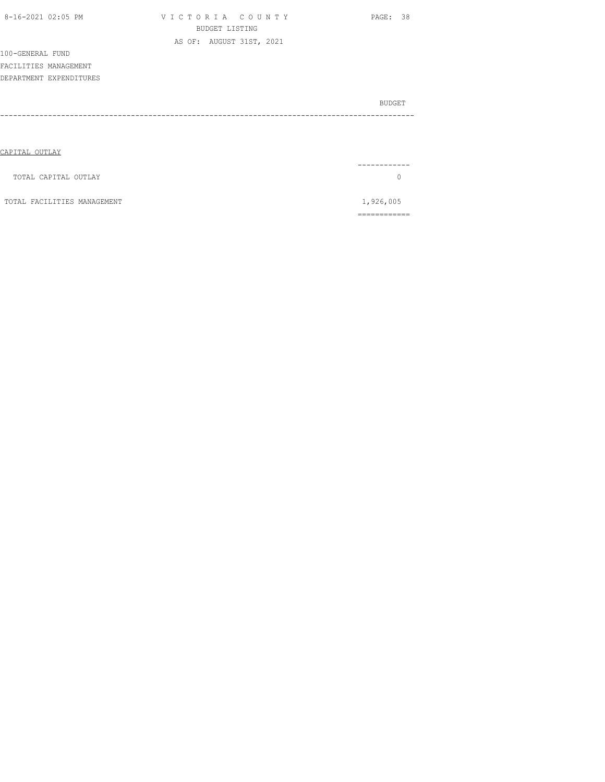| 8-16-2021 02:05 PM          | VICTORIA COUNTY          | PAGE: 38  |
|-----------------------------|--------------------------|-----------|
|                             | <b>BUDGET LISTING</b>    |           |
|                             | AS OF: AUGUST 31ST, 2021 |           |
| 100-GENERAL FUND            |                          |           |
| FACILITIES MANAGEMENT       |                          |           |
| DEPARTMENT EXPENDITURES     |                          |           |
|                             |                          |           |
|                             |                          | BUDGET    |
|                             |                          |           |
|                             |                          |           |
|                             |                          |           |
| CAPITAL OUTLAY              |                          |           |
|                             |                          |           |
| TOTAL CAPITAL OUTLAY        |                          | 0         |
|                             |                          |           |
| TOTAL FACILITIES MANAGEMENT |                          | 1,926,005 |
|                             |                          |           |

============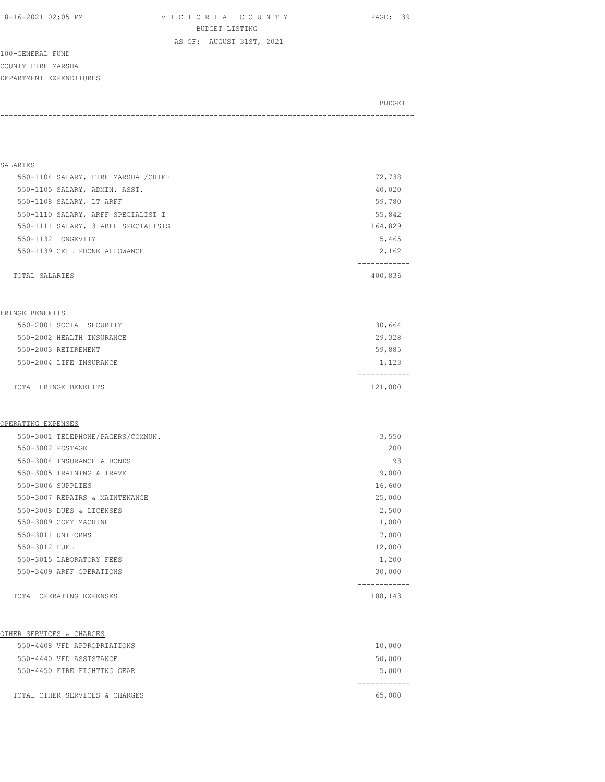8-16-2021 02:05 PM V I C T O R I A C O U N T Y PAGE: 39 BUDGET LISTING

AS OF: AUGUST 31ST, 2021

100-GENERAL FUND COUNTY FIRE MARSHAL DEPARTMENT EXPENDITURES

| BUDGET |
|--------|
|        |

| <u>SALARIES</u>                     |                        |
|-------------------------------------|------------------------|
| 550-1104 SALARY, FIRE MARSHAL/CHIEF | 72,738                 |
| 550-1105 SALARY, ADMIN. ASST.       | 40,020                 |
| 550-1108 SALARY, LT ARFF            | 59,780                 |
| 550-1110 SALARY, ARFF SPECIALIST I  | 55,842                 |
| 550-1111 SALARY, 3 ARFF SPECIALISTS | 164,829                |
| 550-1132 LONGEVITY                  | 5,465                  |
| 550-1139 CELL PHONE ALLOWANCE       | 2,162                  |
|                                     | ------------           |
| TOTAL SALARIES                      | 400,836                |
|                                     |                        |
| FRINGE BENEFITS                     |                        |
| 550-2001 SOCIAL SECURITY            | 30,664                 |
| 550-2002 HEALTH INSURANCE           | 29,328                 |
| 550-2003 RETIREMENT                 | 59,885                 |
| 550-2004 LIFE INSURANCE             | 1,123                  |
|                                     | -----------            |
| TOTAL FRINGE BENEFITS               | 121,000                |
|                                     |                        |
| OPERATING EXPENSES                  |                        |
| 550-3001 TELEPHONE/PAGERS/COMMUN.   | 3,550                  |
| 550-3002 POSTAGE                    | 200                    |
| 550-3004 INSURANCE & BONDS          | 93                     |
| 550-3005 TRAINING & TRAVEL          | 9,000                  |
| 550-3006 SUPPLIES                   | 16,600                 |
| 550-3007 REPAIRS & MAINTENANCE      | 25,000                 |
| 550-3008 DUES & LICENSES            | 2,500                  |
| 550-3009 COPY MACHINE               | 1,000                  |
| 550-3011 UNIFORMS                   | 7,000                  |
| 550-3012 FUEL                       | 12,000                 |
| 550-3015 LABORATORY FEES            | 1,200                  |
| 550-3409 ARFF OPERATIONS            | 30,000                 |
| TOTAL OPERATING EXPENSES            | -----------<br>108,143 |
|                                     |                        |
| OTHER SERVICES & CHARGES            |                        |
| 550-4408 VFD APPROPRIATIONS         | 10,000                 |
| 550-4440 VFD ASSISTANCE             | 50,000                 |
| 550-4450 FIRE FIGHTING GEAR         | 5,000                  |
| TOTAL OTHER SERVICES & CHARGES      | 65,000                 |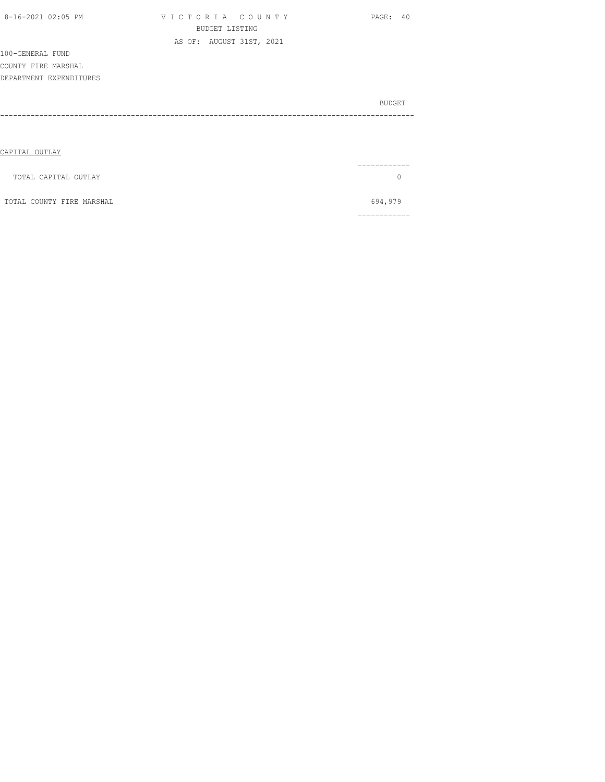| 8-16-2021 02:05 PM        | VICTORIA COUNTY<br><b>BUDGET LISTING</b> | PAGE: 40 |
|---------------------------|------------------------------------------|----------|
|                           | AS OF: AUGUST 31ST, 2021                 |          |
| 100-GENERAL FUND          |                                          |          |
| COUNTY FIRE MARSHAL       |                                          |          |
| DEPARTMENT EXPENDITURES   |                                          |          |
|                           |                                          |          |
|                           |                                          | BUDGET   |
|                           |                                          |          |
|                           |                                          |          |
|                           |                                          |          |
| CAPITAL OUTLAY            |                                          |          |
|                           |                                          |          |
| TOTAL CAPITAL OUTLAY      |                                          | $\Omega$ |
|                           |                                          |          |
| TOTAL COUNTY FIRE MARSHAL |                                          | 694,979  |

============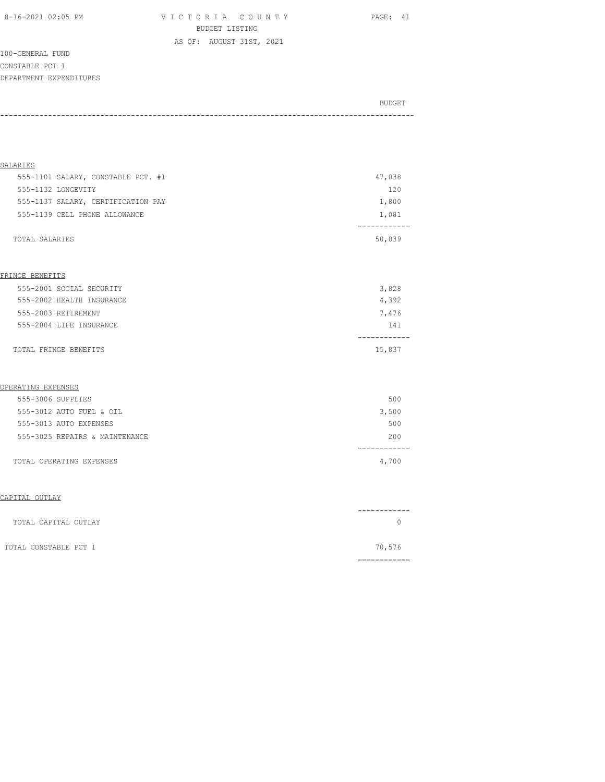8-16-2021 02:05 PM V I C T O R I A C O U N T Y PAGE: 41 BUDGET LISTING AS OF: AUGUST 31ST, 2021

100-GENERAL FUND CONSTABLE PCT 1 DEPARTMENT EXPENDITURES

| ____<br>_______ |  |        |
|-----------------|--|--------|
|                 |  | BUDGET |
|                 |  |        |

| SALARIES                           |                      |
|------------------------------------|----------------------|
| 555-1101 SALARY, CONSTABLE PCT. #1 | 47,038               |
| 555-1132 LONGEVITY                 | 120                  |
| 555-1137 SALARY, CERTIFICATION PAY | 1,800                |
| 555-1139 CELL PHONE ALLOWANCE      | 1,081                |
| TOTAL SALARIES                     | ----------<br>50,039 |
| FRINGE BENEFITS                    |                      |
| 555-2001 SOCIAL SECURITY           | 3,828                |
| 555-2002 HEALTH INSURANCE          | 4,392                |
| 555-2003 RETIREMENT                | 7,476                |
| 555-2004 LIFE INSURANCE            | 141                  |
| TOTAL FRINGE BENEFITS              | 15,837               |
| OPERATING EXPENSES                 |                      |
| 555-3006 SUPPLIES                  | 500                  |
| 555-3012 AUTO FUEL & OIL           | 3,500                |
| 555-3013 AUTO EXPENSES             | 500                  |
|                                    | 200                  |
| 555-3025 REPAIRS & MAINTENANCE     | ---------            |

| TOTAL CAPITAL OUTLAY  | ------- |
|-----------------------|---------|
| TOTAL CONSTABLE PCT 1 | 70,576  |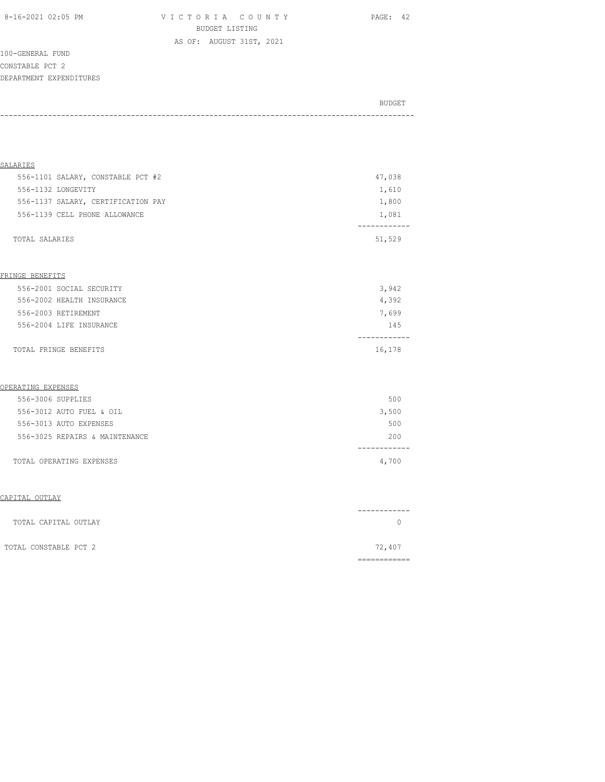8-16-2021 02:05 PM V I C T O R I A C O U N T Y PAGE: 42 BUDGET LISTING

100-GENERAL FUND CONSTABLE PCT 2 DEPARTMENT EXPENDITURES

| BUDGET |
|--------|
|        |

AS OF: AUGUST 31ST, 2021

| SALARIES                           |                     |
|------------------------------------|---------------------|
| 556-1101 SALARY, CONSTABLE PCT #2  | 47,038              |
| 556-1132 LONGEVITY                 |                     |
|                                    | 1,610               |
| 556-1137 SALARY, CERTIFICATION PAY | 1,800               |
| 556-1139 CELL PHONE ALLOWANCE      | 1,081               |
| TOTAL SALARIES                     | 51,529              |
|                                    |                     |
| FRINGE BENEFITS                    |                     |
| 556-2001 SOCIAL SECURITY           | 3,942               |
| 556-2002 HEALTH INSURANCE          | 4,392               |
| 556-2003 RETIREMENT                | 7,699               |
| 556-2004 LIFE INSURANCE            | 145                 |
| TOTAL FRINGE BENEFITS              | ---------<br>16,178 |
| OPERATING EXPENSES                 |                     |
| 556-3006 SUPPLIES                  | 500                 |
| 556-3012 AUTO FUEL & OIL           | 3,500               |
| 556-3013 AUTO EXPENSES             | 500                 |
|                                    | 200                 |
| 556-3025 REPAIRS & MAINTENANCE     |                     |

| TOTAL CAPITAL OUTLAY  | ------ |
|-----------------------|--------|
| TOTAL CONSTABLE PCT 2 | 72,407 |
|                       |        |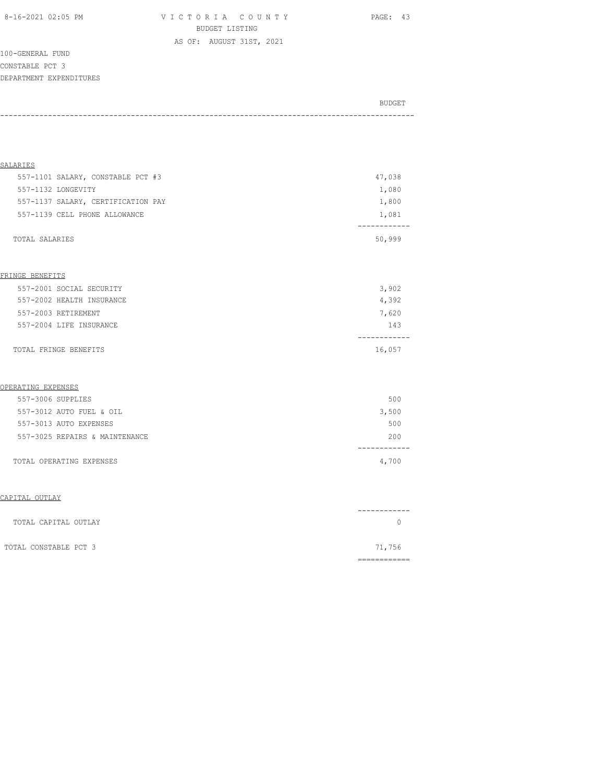8-16-2021 02:05 PM V I C T O R I A C O U N T Y PAGE: 43 BUDGET LISTING

100-GENERAL FUND CONSTABLE PCT 3 DEPARTMENT EXPENDITURES

BUDGET AND RESERVE AND RESERVE AND RESERVE AND RESERVE AND RESERVE AND RESERVE AND RESERVE AND RESERVE AND RESERVE AND RESERVE AND RESERVE AND RESERVE AND RESERVE AND RESERVE AND RESPONDING A REPORT OF A REPORT OF A REPORT -----------------------------------------------------------------------------------------------

AS OF: AUGUST 31ST, 2021

| SALARIES                           |                       |
|------------------------------------|-----------------------|
| 557-1101 SALARY, CONSTABLE PCT #3  | 47,038                |
| 557-1132 LONGEVITY                 | 1,080                 |
| 557-1137 SALARY, CERTIFICATION PAY | 1,800                 |
| 557-1139 CELL PHONE ALLOWANCE      | 1,081                 |
|                                    |                       |
| TOTAL SALARIES                     | 50,999                |
|                                    |                       |
| FRINGE BENEFITS                    |                       |
| 557-2001 SOCIAL SECURITY           | 3,902                 |
| 557-2002 HEALTH INSURANCE          | 4,392                 |
| 557-2003 RETIREMENT                | 7,620                 |
| 557-2004 LIFE INSURANCE            | 143                   |
| TOTAL FRINGE BENEFITS              | -----------<br>16,057 |
| OPERATING EXPENSES                 |                       |
| 557-3006 SUPPLIES                  | 500                   |
| 557-3012 AUTO FUEL & OIL           | 3,500                 |
| 557-3013 AUTO EXPENSES             | 500                   |
| 557-3025 REPAIRS & MAINTENANCE     | 200                   |
| TOTAL OPERATING EXPENSES           | 4,700                 |
|                                    |                       |

| TOTAL CAPITAL OUTLAY  | ------ |
|-----------------------|--------|
| TOTAL CONSTABLE PCT 3 | 71,756 |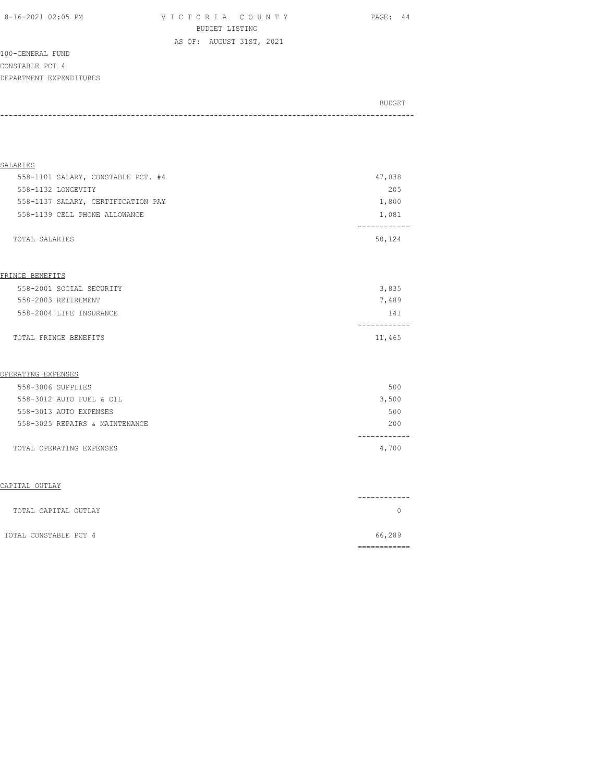8-16-2021 02:05 PM V I C T O R I A C O U N T Y PAGE: 44 BUDGET LISTING AS OF: AUGUST 31ST, 2021

100-GENERAL FUND CONSTABLE PCT 4 DEPARTMENT EXPENDITURES

| BUDGET |
|--------|
|        |

| SALARIES                           |                      |
|------------------------------------|----------------------|
| 558-1101 SALARY, CONSTABLE PCT. #4 | 47,038               |
| 558-1132 LONGEVITY                 | 205                  |
| 558-1137 SALARY, CERTIFICATION PAY | 1,800                |
| 558-1139 CELL PHONE ALLOWANCE      | 1,081                |
|                                    |                      |
| TOTAL SALARIES                     | 50,124               |
|                                    |                      |
|                                    |                      |
| FRINGE BENEFITS                    |                      |
| 558-2001 SOCIAL SECURITY           | 3,835                |
| 558-2003 RETIREMENT                | 7,489                |
| 558-2004 LIFE INSURANCE            | 141                  |
| TOTAL FRINGE BENEFITS              | 11,465               |
|                                    |                      |
| OPERATING EXPENSES                 |                      |
| 558-3006 SUPPLIES                  | 500                  |
| 558-3012 AUTO FUEL & OIL           | 3,500                |
| 558-3013 AUTO EXPENSES             | 500                  |
| 558-3025 REPAIRS & MAINTENANCE     | 200                  |
| TOTAL OPERATING EXPENSES           | -----------<br>4,700 |
|                                    |                      |
| CAPITAL OUTLAY                     |                      |
|                                    |                      |
| TOTAL CAPITAL OUTLAY               | $\Omega$             |

| TOTAL CONSTABLE PCT 4 | 66,289 |
|-----------------------|--------|
|                       |        |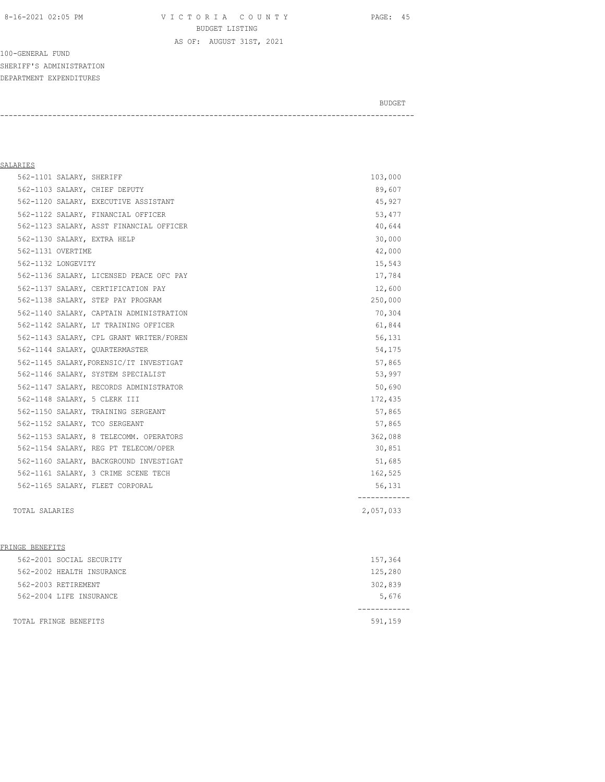8-16-2021 02:05 PM V I C T O R I A C O U N T Y PAGE: 45 BUDGET LISTING AS OF: AUGUST 31ST, 2021

100-GENERAL FUND SHERIFF'S ADMINISTRATION DEPARTMENT EXPENDITURES

BUDGET AND RESERVE AND RESERVE AND RESERVE AND RESERVE AND RESERVE AND RESERVE AND RESERVE AND RESERVE AND RESERVE AND RESERVE AND RESERVE AND RESERVE AND RESERVE AND RESERVE AND RESPONDING A REPORT OF A REPORT OF A REPORT

-----------------------------------------------------------------------------------------------

## SALARIES

| 562-1101 SALARY, SHERIFF        |                                         | 103,000        |
|---------------------------------|-----------------------------------------|----------------|
| 562-1103 SALARY, CHIEF DEPUTY   |                                         | 89,607         |
|                                 | 562-1120 SALARY, EXECUTIVE ASSISTANT    | 45,927         |
|                                 | 562-1122 SALARY, FINANCIAL OFFICER      | 53,477         |
|                                 | 562-1123 SALARY, ASST FINANCIAL OFFICER | 40,644         |
| 562-1130 SALARY, EXTRA HELP     |                                         | 30,000         |
| 562-1131 OVERTIME               |                                         | 42,000         |
| 562-1132 LONGEVITY              |                                         | 15,543         |
|                                 | 562-1136 SALARY, LICENSED PEACE OFC PAY | 17,784         |
|                                 | 562-1137 SALARY, CERTIFICATION PAY      | 12,600         |
|                                 | 562-1138 SALARY, STEP PAY PROGRAM       | 250,000        |
|                                 | 562-1140 SALARY, CAPTAIN ADMINISTRATION | 70,304         |
|                                 | 562-1142 SALARY, LT TRAINING OFFICER    | 61,844         |
|                                 | 562-1143 SALARY, CPL GRANT WRITER/FOREN | 56,131         |
| 562-1144 SALARY, QUARTERMASTER  |                                         | 54,175         |
|                                 | 562-1145 SALARY, FORENSIC/IT INVESTIGAT | 57,865         |
|                                 | 562-1146 SALARY, SYSTEM SPECIALIST      | 53,997         |
|                                 | 562-1147 SALARY, RECORDS ADMINISTRATOR  | 50,690         |
| 562-1148 SALARY, 5 CLERK III    |                                         | 172,435        |
|                                 | 562-1150 SALARY, TRAINING SERGEANT      | 57,865         |
| 562-1152 SALARY, TCO SERGEANT   |                                         | 57,865         |
|                                 | 562-1153 SALARY, 8 TELECOMM. OPERATORS  | 362,088        |
|                                 | 562-1154 SALARY, REG PT TELECOM/OPER    | 30,851         |
|                                 | 562-1160 SALARY, BACKGROUND INVESTIGAT  | 51,685         |
|                                 | 562-1161 SALARY, 3 CRIME SCENE TECH     | 162,525        |
| 562-1165 SALARY, FLEET CORPORAL |                                         | 56,131         |
| TOTAL SALARIES                  |                                         | .<br>2,057,033 |

#### FRINGE BENEFITS

| 562-2004 LIFE INSURANCE   | 5,676   |
|---------------------------|---------|
|                           |         |
|                           |         |
| 562-2003 RETIREMENT       | 302,839 |
| 562-2002 HEALTH INSURANCE | 125,280 |
| 562-2001 SOCIAL SECURITY  | 157,364 |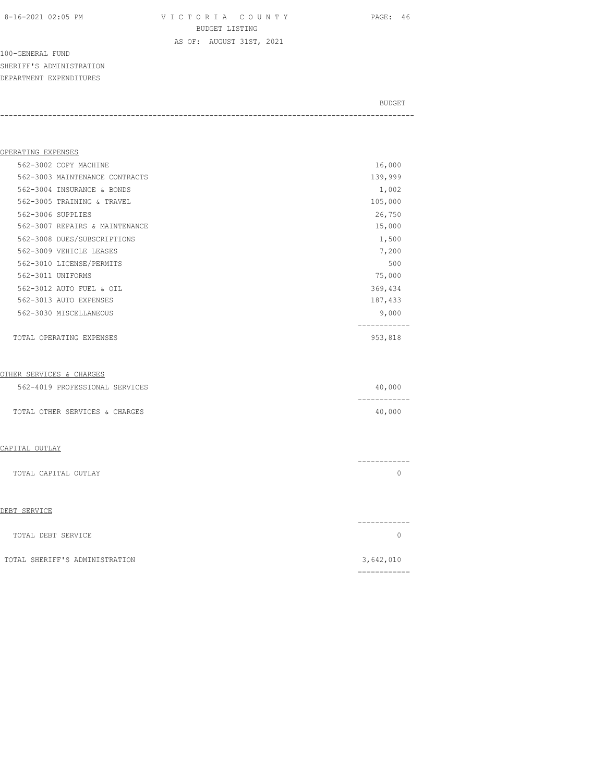8-16-2021 02:05 PM V I C T O R I A C O U N T Y PAGE: 46 BUDGET LISTING AS OF: AUGUST 31ST, 2021

100-GENERAL FUND SHERIFF'S ADMINISTRATION DEPARTMENT EXPENDITURES

BUDGET AND RESERVE AND RESERVE AND RESERVE AND RESERVE AND RESERVE AND RESERVE AND RESERVE AND RESERVE AND RESERVE AND RESERVE AND RESERVE AND RESERVE AND RESERVE AND RESERVE AND RESPONDING A REPORT OF A REPORT OF A REPORT -----------------------------------------------------------------------------------------------

| OPERATING EXPENSES             |         |
|--------------------------------|---------|
| 562-3002 COPY MACHINE          | 16,000  |
| 562-3003 MAINTENANCE CONTRACTS | 139,999 |
| 562-3004 INSURANCE & BONDS     | 1,002   |
| 562-3005 TRAINING & TRAVEL     | 105,000 |
| 562-3006 SUPPLIES              | 26,750  |
| 562-3007 REPAIRS & MAINTENANCE | 15,000  |
| 562-3008 DUES/SUBSCRIPTIONS    | 1,500   |
| 562-3009 VEHICLE LEASES        | 7,200   |
| 562-3010 LICENSE/PERMITS       | 500     |
| 562-3011 UNIFORMS              | 75,000  |
| 562-3012 AUTO FUEL & OIL       | 369,434 |
| 562-3013 AUTO EXPENSES         | 187,433 |
| 562-3030 MISCELLANEOUS         | 9,000   |
|                                |         |
| TOTAL OPERATING EXPENSES       | 953,818 |
|                                |         |

#### OTHER SERVICES & CHARGES

| 562-4019 PROFESSIONAL SERVICES | 40,000 |
|--------------------------------|--------|
|                                |        |
| TOTAL OTHER SERVICES & CHARGES | 40,000 |

#### CAPITAL OUTLAY

|                      | ________ |
|----------------------|----------|
| TOTAL CAPITAL OUTLAY |          |
|                      |          |

#### DEBT SERVICE

|                    | ------------ |
|--------------------|--------------|
| TOTAL DEBT SERVICE |              |
|                    |              |

| TOTAL SHERIFF'S ADMINISTRATION |  | 3,642,010    |
|--------------------------------|--|--------------|
|                                |  | ____________ |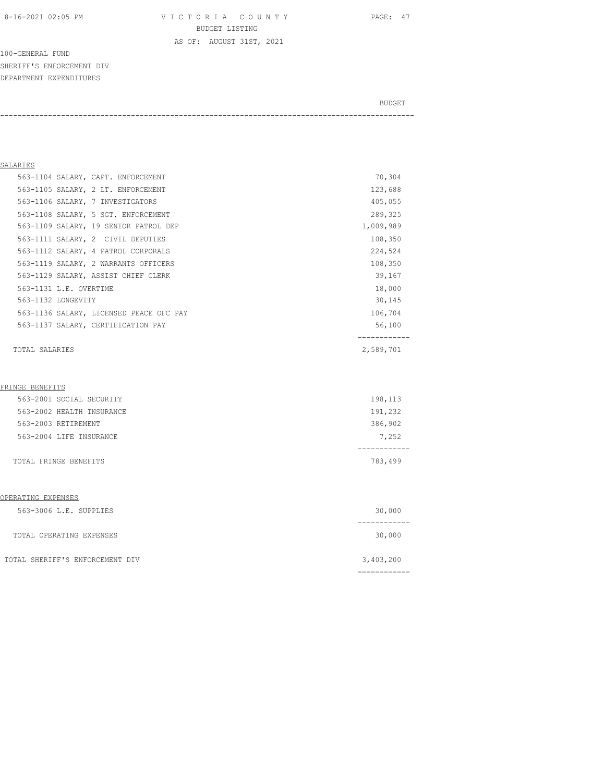8-16-2021 02:05 PM V I C T O R I A C O U N T Y PAGE: 47 BUDGET LISTING

AS OF: AUGUST 31ST, 2021

100-GENERAL FUND SHERIFF'S ENFORCEMENT DIV DEPARTMENT EXPENDITURES

BUDGET AND RESERVE AND RESERVE AND RESERVE AND RESERVE AND RESERVE AND RESERVE AND RESERVE AND RESERVE AND RESERVE AND RESERVE AND RESERVE AND RESERVE AND RESERVE AND RESERVE AND RESPONDING A REPORT OF A REPORT OF A REPORT

-----------------------------------------------------------------------------------------------

## SALARIES

| 563-1104 SALARY, CAPT. ENFORCEMENT      | 70,304    |
|-----------------------------------------|-----------|
| 563-1105 SALARY, 2 LT. ENFORCEMENT      | 123,688   |
| 563-1106 SALARY, 7 INVESTIGATORS        | 405,055   |
| 563-1108 SALARY, 5 SGT. ENFORCEMENT     | 289,325   |
| 563-1109 SALARY, 19 SENIOR PATROL DEP   | 1,009,989 |
| 563-1111 SALARY, 2 CIVIL DEPUTIES       | 108,350   |
| 563-1112 SALARY, 4 PATROL CORPORALS     | 224,524   |
| 563-1119 SALARY, 2 WARRANTS OFFICERS    | 108,350   |
| 563-1129 SALARY, ASSIST CHIEF CLERK     | 39,167    |
| 563-1131 L.E. OVERTIME                  | 18,000    |
| 563-1132 LONGEVITY                      | 30,145    |
| 563-1136 SALARY, LICENSED PEACE OFC PAY | 106,704   |
| 563-1137 SALARY, CERTIFICATION PAY      | 56,100    |
|                                         |           |
| TOTAL SALARIES                          | 2,589,701 |

#### FRINGE BENEFITS

| TOTAL FRINGE BENEFITS     | 783,499 |
|---------------------------|---------|
|                           |         |
| 563-2004 LIFE INSURANCE   | 7,252   |
| 563-2003 RETIREMENT       | 386,902 |
| 563-2002 HEALTH INSURANCE | 191,232 |
| 563-2001 SOCIAL SECURITY  | 198,113 |

#### OPERATING EXPENSES

| 563-3006 L.E. SUPPLIES          | 30,000    |
|---------------------------------|-----------|
| TOTAL OPERATING EXPENSES        | 30,000    |
| TOTAL SHERIFF'S ENFORCEMENT DIV | 3,403,200 |

============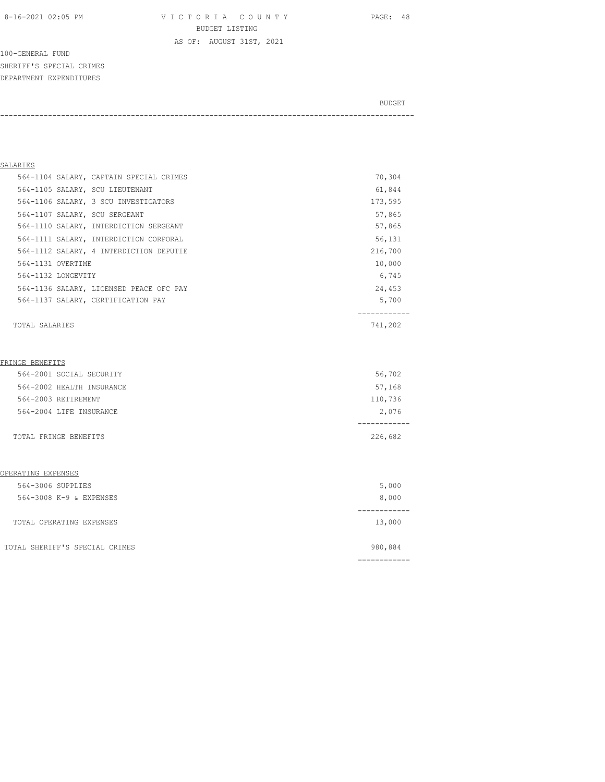8-16-2021 02:05 PM V I C T O R I A C O U N T Y PAGE: 48 BUDGET LISTING

AS OF: AUGUST 31ST, 2021

100-GENERAL FUND SHERIFF'S SPECIAL CRIMES DEPARTMENT EXPENDITURES

BUDGET AND RESERVE AND RESERVE AND RESERVE AND RESERVE AND RESERVE AND RESERVE AND RESERVE AND RESERVE AND RESERVE AND RESERVE AND RESERVE AND RESERVE AND RESERVE AND RESERVE AND RESPONDING A REPORT OF A REPORT OF A REPORT

-----------------------------------------------------------------------------------------------

## SALARIES

|                    | 564-1137 SALARY, CERTIFICATION PAY      | 5,700   |
|--------------------|-----------------------------------------|---------|
|                    | 564-1136 SALARY, LICENSED PEACE OFC PAY | 24,453  |
| 564-1132 LONGEVITY |                                         | 6,745   |
| 564-1131 OVERTIME  |                                         | 10,000  |
|                    | 564-1112 SALARY, 4 INTERDICTION DEPUTIE | 216,700 |
|                    | 564-1111 SALARY, INTERDICTION CORPORAL  | 56,131  |
|                    | 564-1110 SALARY, INTERDICTION SERGEANT  | 57,865  |
|                    | 564-1107 SALARY, SCU SERGEANT           | 57,865  |
|                    | 564-1106 SALARY, 3 SCU INVESTIGATORS    | 173,595 |
|                    | 564-1105 SALARY, SCU LIEUTENANT         | 61,844  |
|                    | 564-1104 SALARY, CAPTAIN SPECIAL CRIMES | 70,304  |
|                    |                                         |         |

TOTAL SALARIES 741,202

#### FRINGE BENEFITS

| TOTAL FRINGE BENEFITS     | 226,682 |
|---------------------------|---------|
| 564-2004 LIFE INSURANCE   | 2,076   |
| 564-2003 RETIREMENT       | 110,736 |
| 564-2002 HEALTH INSURANCE | 57,168  |
| 564-2001 SOCIAL SECURITY  | 56,702  |

## OPERATING EXPENSES

| 564-3006 SUPPLIES              | 5,000   |
|--------------------------------|---------|
| 564-3008 K-9 & EXPENSES        | 8,000   |
|                                |         |
| TOTAL OPERATING EXPENSES       | 13,000  |
|                                |         |
| TOTAL SHERIFF'S SPECIAL CRIMES | 980,884 |
|                                |         |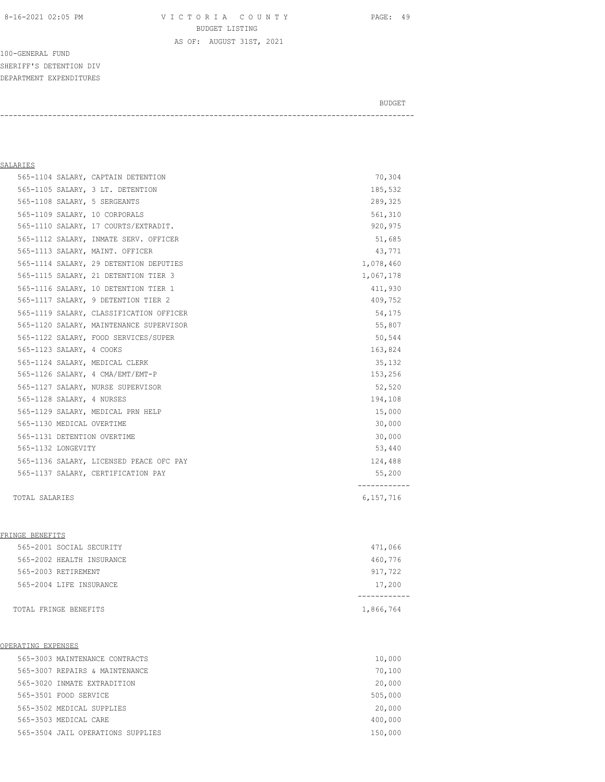8-16-2021 02:05 PM V I C T O R I A C O U N T Y PAGE: 49 BUDGET LISTING

AS OF: AUGUST 31ST, 2021

100-GENERAL FUND SHERIFF'S DETENTION DIV DEPARTMENT EXPENDITURES

BUDGET AND RESERVE AND RESERVE AND RESERVE AND RESERVE AND RESERVE AND RESERVE AND RESERVE AND RESERVE AND RESERVE AND RESERVE AND RESERVE AND RESERVE AND RESERVE AND RESERVE AND RESPONDING A REPORT OF A REPORT OF A REPORT

-----------------------------------------------------------------------------------------------

## SALARIES

| 565-1128 SALARY, 4 NURSES      |                                         | 194,108   |
|--------------------------------|-----------------------------------------|-----------|
|                                | 565-1127 SALARY, NURSE SUPERVISOR       | 52,520    |
|                                | 565-1126 SALARY, 4 CMA/EMT/EMT-P        | 153,256   |
| 565-1124 SALARY, MEDICAL CLERK |                                         | 35,132    |
| 565-1123 SALARY, 4 COOKS       |                                         | 163,824   |
|                                | 565-1122 SALARY, FOOD SERVICES/SUPER    | 50,544    |
|                                | 565-1120 SALARY, MAINTENANCE SUPERVISOR | 55,807    |
|                                | 565-1119 SALARY, CLASSIFICATION OFFICER | 54,175    |
|                                | 565-1117 SALARY, 9 DETENTION TIER 2     | 409,752   |
|                                |                                         |           |
|                                | 565-1116 SALARY, 10 DETENTION TIER 1    | 411,930   |
|                                | 565-1115 SALARY, 21 DETENTION TIER 3    | 1,067,178 |
|                                | 565-1114 SALARY, 29 DETENTION DEPUTIES  | 1,078,460 |
|                                | 565-1113 SALARY, MAINT. OFFICER         | 43,771    |
|                                | 565-1112 SALARY, INMATE SERV. OFFICER   | 51,685    |
|                                | 565-1110 SALARY, 17 COURTS/EXTRADIT.    | 920,975   |
| 565-1109 SALARY, 10 CORPORALS  |                                         | 561,310   |
| 565-1108 SALARY, 5 SERGEANTS   |                                         | 289,325   |
|                                | 565-1105 SALARY, 3 LT. DETENTION        | 185,532   |
|                                | 565-1104 SALARY, CAPTAIN DETENTION      | 70,304    |

#### FRINGE BENEFITS

| TOTAL FRINGE BENEFITS     | 1,866,764 |
|---------------------------|-----------|
| 565-2004 LIFE INSURANCE   | 17,200    |
| 565-2003 RETIREMENT       | 917,722   |
| 565-2002 HEALTH INSURANCE | 460,776   |
| 565-2001 SOCIAL SECURITY  | 471,066   |

#### OPERATING EXPENSES

| 565-3003 MAINTENANCE CONTRACTS    | 10,000  |
|-----------------------------------|---------|
| 565-3007 REPAIRS & MAINTENANCE    | 70,100  |
| 565-3020 INMATE EXTRADITION       | 20,000  |
| 565-3501 FOOD SERVICE             | 505,000 |
| 565-3502 MEDICAL SUPPLIES         | 20,000  |
| 565-3503 MEDICAL CARE             | 400,000 |
| 565-3504 JAIL OPERATIONS SUPPLIES | 150,000 |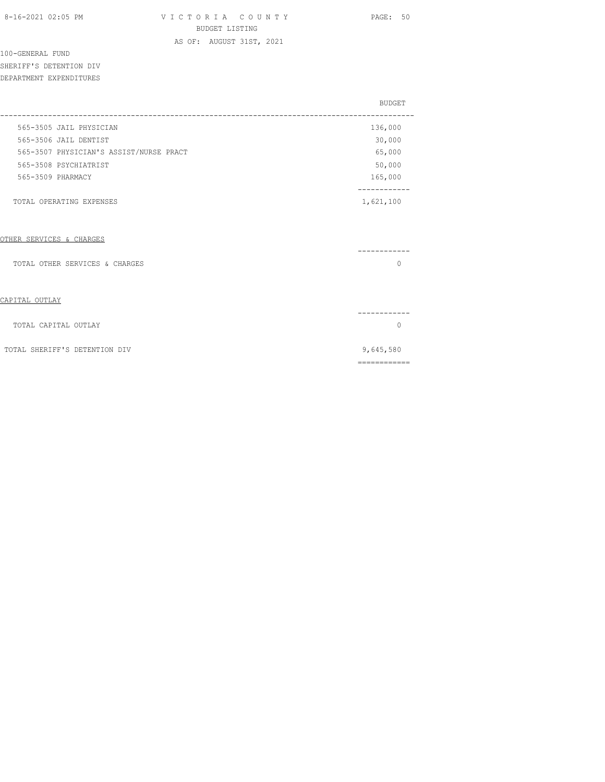AS OF: AUGUST 31ST, 2021

## 100-GENERAL FUND SHERIFF'S DETENTION DIV

DEPARTMENT EXPENDITURES

|  |                                         | <b>BUDGET</b> |
|--|-----------------------------------------|---------------|
|  | 565-3505 JAIL PHYSICIAN                 | 136,000       |
|  | 565-3506 JAIL DENTIST                   | 30,000        |
|  | 565-3507 PHYSICIAN'S ASSIST/NURSE PRACT | 65,000        |
|  | 565-3508 PSYCHTATRIST                   | 50,000        |
|  | 565-3509 PHARMACY                       | 165,000       |
|  |                                         |               |
|  | TOTAL OPERATING EXPENSES                | 1,621,100     |

## OTHER SERVICES & CHARGES

| TOTAL OTHER SERVICES & CHARGES |           |
|--------------------------------|-----------|
|                                |           |
| CAPITAL OUTLAY                 |           |
|                                |           |
| TOTAL CAPITAL OUTLAY           |           |
| TOTAL SHERIFF'S DETENTION DIV  | 9,645,580 |
|                                |           |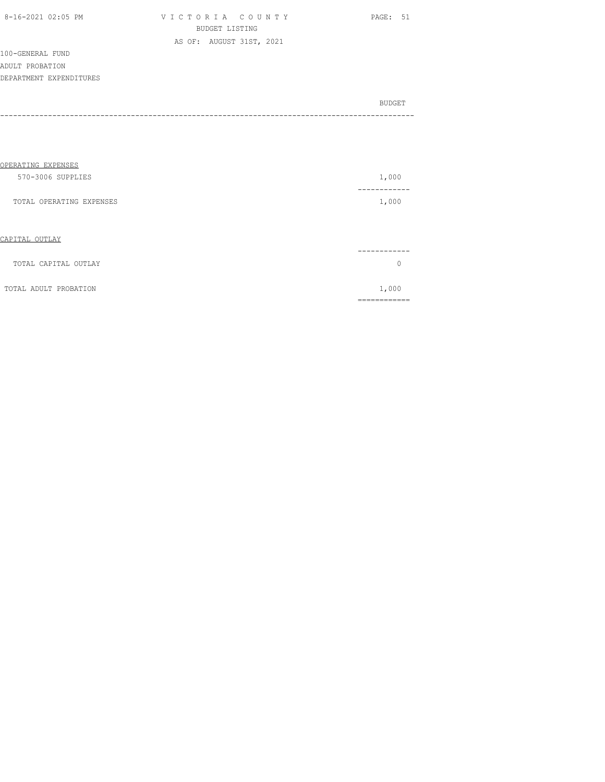| 8-16-2021 02:05 PM |  |
|--------------------|--|

| 8-16-2021 02:05 PM | VICTORIA COUNTY          | PAGE: 51 |
|--------------------|--------------------------|----------|
|                    | BUDGET LISTING           |          |
|                    | AS OF: AUGUST 31ST, 2021 |          |

100-GENERAL FUND ADULT PROBATION DEPARTMENT EXPENDITURES

| BUDGET |
|--------|
|        |
|        |

| OPERATING EXPENSES       |              |
|--------------------------|--------------|
| 570-3006 SUPPLIES        | 1,000        |
| TOTAL OPERATING EXPENSES | 1,000        |
| CAPITAL OUTLAY           |              |
| TOTAL CAPITAL OUTLAY     | $\Omega$     |
| TOTAL ADULT PROBATION    | 1,000        |
|                          | ------------ |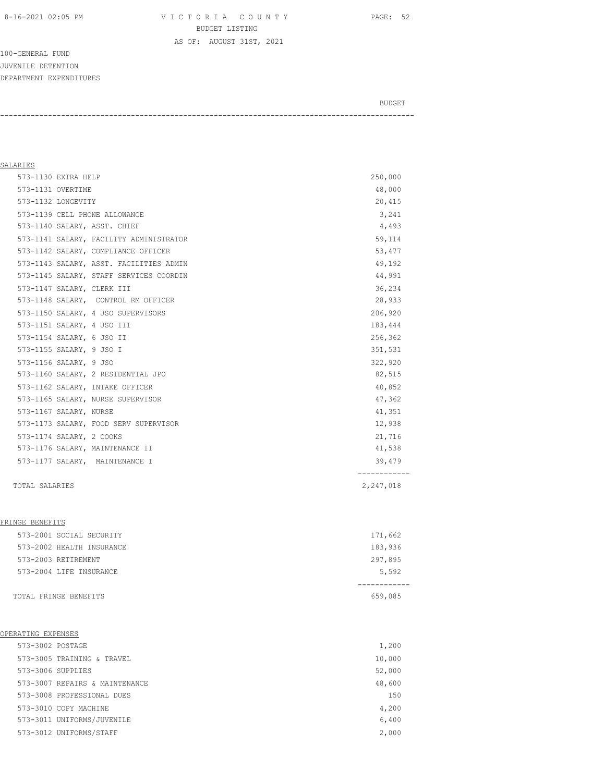8-16-2021 02:05 PM V I C T O R I A C O U N T Y PAGE: 52 BUDGET LISTING AS OF: AUGUST 31ST, 2021

-----------------------------------------------------------------------------------------------

100-GENERAL FUND JUVENILE DETENTION DEPARTMENT EXPENDITURES

BUDGET AND RESERVE AND RESERVE AND RESERVE AND RESERVE AND RESERVE AND RESERVE AND RESERVE AND RESERVE AND RESERVE AND RESERVE AND RESERVE AND RESERVE AND RESERVE AND RESERVE AND RESPONDING A REPORT OF A REPORT OF A REPORT

## SALARIES 573-1130 EXTRA HELP 250,000 573-1131 OVERTIME 48,000 573-1132 LONGEVITY 20,415 573-1139 CELL PHONE ALLOWANCE 3,241 573-1140 SALARY, ASST. CHIEF 4,493 573-1141 SALARY, FACILITY ADMINISTRATOR 59,114 573-1142 SALARY, COMPLIANCE OFFICER 53,477 573-1143 SALARY, ASST. FACILITIES ADMIN 49,192 573-1145 SALARY, STAFF SERVICES COORDIN 44,991 573-1147 SALARY, CLERK III 36,234 573-1148 SALARY, CONTROL RM OFFICER 28,933 573-1150 SALARY, 4 JSO SUPERVISORS 206,920 573-1151 SALARY, 4 JSO III 183,444 573-1154 SALARY, 6 JSO II 256,362 573-1155 SALARY, 9 JSO I 351,531 573-1156 SALARY, 9 JSO 322,920 573-1160 SALARY, 2 RESIDENTIAL JPO 82,515 573-1162 SALARY, INTAKE OFFICER 40,852 573-1165 SALARY, NURSE SUPERVISOR 47,362 573-1167 SALARY, NURSE 41,351 573-1173 SALARY, FOOD SERV SUPERVISOR 12, 938 573-1174 SALARY, 2 COOKS 21,716 573-1176 SALARY, MAINTENANCE II 41,538 573-1177 SALARY, MAINTENANCE I 39,479 ------------ TOTAL SALARIES 2,247,018

| TOTAL FRINGE BENEFITS     | 659,085 |
|---------------------------|---------|
| 573-2004 LIFE INSURANCE   | 5,592   |
| 573-2003 RETIREMENT       | 297,895 |
| 573-2002 HEALTH INSURANCE | 183,936 |
| 573-2001 SOCIAL SECURITY  | 171,662 |
|                           |         |

#### OPERATING EXPENSES

FRINGE BENEFITS

| 573-3002 POSTAGE |                                | 1,200  |
|------------------|--------------------------------|--------|
|                  | 573-3005 TRAINING & TRAVEL     | 10,000 |
|                  | 573-3006 SUPPLIES              | 52,000 |
|                  | 573-3007 REPAIRS & MAINTENANCE | 48,600 |
|                  | 573-3008 PROFESSIONAL DUES     | 150    |
|                  | 573-3010 COPY MACHINE          | 4,200  |
|                  | 573-3011 UNIFORMS/JUVENILE     | 6,400  |
|                  | 573-3012 UNIFORMS/STAFF        | 2,000  |
|                  |                                |        |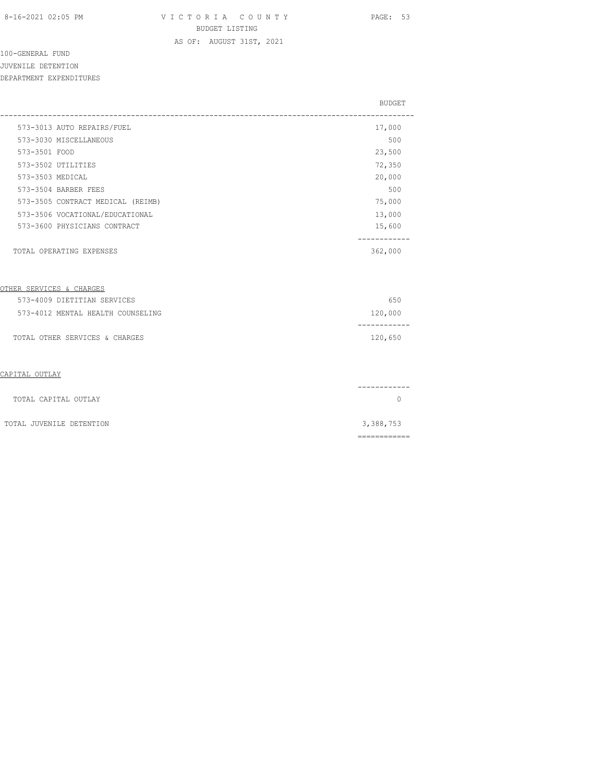AS OF: AUGUST 31ST, 2021

# 100-GENERAL FUND

JUVENILE DETENTION

DEPARTMENT EXPENDITURES

|                                   | <b>BUDGET</b>                  |
|-----------------------------------|--------------------------------|
| 573-3013 AUTO REPAIRS/FUEL        | 17,000                         |
| 573-3030 MISCELLANEOUS            | 500                            |
| 573-3501 FOOD                     | 23,500                         |
| 573-3502 UTILITIES                | 72,350                         |
| 573-3503 MEDICAL                  | 20,000                         |
| 573-3504 BARBER FEES              | 500                            |
| 573-3505 CONTRACT MEDICAL (REIMB) | 75,000                         |
| 573-3506 VOCATIONAL/EDUCATIONAL   | 13,000                         |
| 573-3600 PHYSICIANS CONTRACT      | 15,600                         |
| TOTAL OPERATING EXPENSES          | . _ _ _ _ _ _ _ _ _<br>362,000 |
| OTHER SERVICES & CHARGES          |                                |
| 573-4009 DIETITIAN SERVICES       | 650                            |
| 573-4012 MENTAL HEALTH COUNSELING | 120,000<br>---------           |
| TOTAL OTHER SERVICES & CHARGES    | 120,650                        |
| CAPITAL OUTLAY                    |                                |
| TOTAL CAPITAL OUTLAY              | $\Omega$                       |
| TOTAL JUVENILE DETENTION          | 3,388,753                      |
|                                   |                                |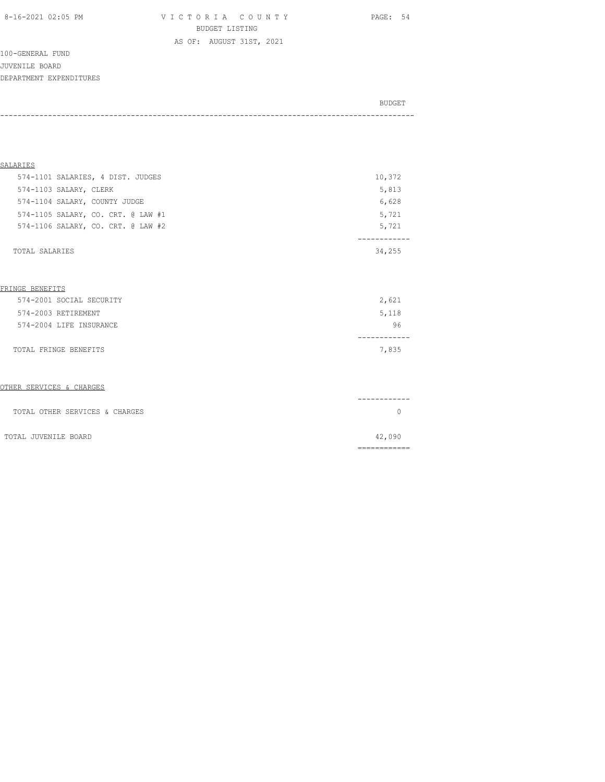8-16-2021 02:05 PM V I C T O R I A C O U N T Y PAGE: 54 BUDGET LISTING

100-GENERAL FUND JUVENILE BOARD DEPARTMENT EXPENDITURES

BUDGET AND RESERVE AND RESERVE AND RESERVE AND RESERVE AND RESERVE AND RESERVE AND RESERVE AND RESERVE AND RESERVE AND RESERVE AND RESERVE AND RESERVE AND RESERVE AND RESERVE AND RESPONDING A REPORT OF A REPORT OF A REPORT -----------------------------------------------------------------------------------------------

AS OF: AUGUST 31ST, 2021

| SALARIES                           |        |
|------------------------------------|--------|
| 574-1101 SALARIES, 4 DIST. JUDGES  | 10,372 |
| 574-1103 SALARY, CLERK             | 5,813  |
| 574-1104 SALARY, COUNTY JUDGE      | 6,628  |
| 574-1105 SALARY, CO. CRT. @ LAW #1 | 5,721  |
| 574-1106 SALARY, CO. CRT. @ LAW #2 | 5,721  |
|                                    |        |
| TOTAL SALARIES                     | 34,255 |

#### FRINGE BENEFITS

| 574-2001 SOCIAL SECURITY | 2,621 |
|--------------------------|-------|
| 574-2003 RETIREMENT      | 5,118 |
| 574-2004 LIFE INSURANCE  | 96    |
|                          |       |
| TOTAL FRINGE BENEFITS    | 7,835 |

### OTHER SERVICES & CHARGES

|                                | _______ |
|--------------------------------|---------|
| TOTAL OTHER SERVICES & CHARGES |         |
| TOTAL JUVENILE BOARD           | 42,090  |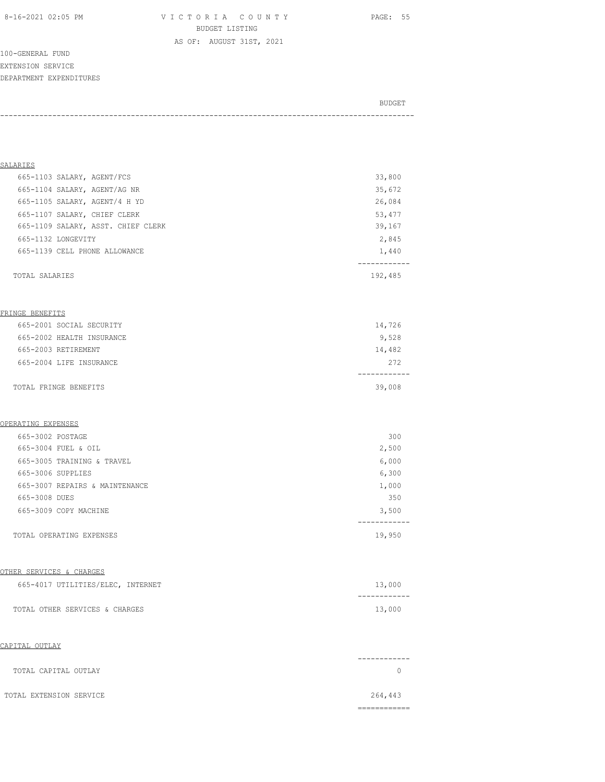8-16-2021 02:05 PM V I C T O R I A C O U N T Y PAGE: 55 BUDGET LISTING

AS OF: AUGUST 31ST, 2021

100-GENERAL FUND EXTENSION SERVICE DEPARTMENT EXPENDITURES

| BUDGET |
|--------|
|        |

| SALARIES                            |              |
|-------------------------------------|--------------|
| 665-1103 SALARY, AGENT/FCS          | 33,800       |
| 665-1104 SALARY, AGENT/AG NR        | 35,672       |
| 665-1105 SALARY, AGENT/4 H YD       | 26,084       |
| 665-1107 SALARY, CHIEF CLERK        | 53, 477      |
| 665-1109 SALARY, ASST. CHIEF CLERK  | 39,167       |
| 665-1132 LONGEVITY                  | 2,845        |
| 665-1139 CELL PHONE ALLOWANCE       | 1,440        |
|                                     |              |
| TOTAL SALARIES                      | 192,485      |
|                                     |              |
| FRINGE BENEFITS                     |              |
| 665-2001 SOCIAL SECURITY            | 14,726       |
| 665-2002 HEALTH INSURANCE           | 9,528        |
| 665-2003 RETIREMENT                 | 14,482       |
| 665-2004 LIFE INSURANCE             | 272          |
|                                     | ------------ |
| TOTAL FRINGE BENEFITS               | 39,008       |
|                                     |              |
|                                     |              |
| <u>OPERATING EXPENSES</u>           |              |
| 665-3002 POSTAGE                    | 300          |
| 665-3004 FUEL & OIL                 | 2,500        |
| 665-3005 TRAINING & TRAVEL          | 6,000        |
| 665-3006 SUPPLIES                   | 6,300        |
| 665-3007 REPAIRS & MAINTENANCE      | 1,000        |
| 665-3008 DUES                       | 350          |
| 665-3009 COPY MACHINE               | 3,500        |
|                                     |              |
| TOTAL OPERATING EXPENSES            | 19,950       |
|                                     |              |
| <u>OTHER SERVICES &amp; CHARGES</u> |              |
| 665-4017 UTILITIES/ELEC, INTERNET   | 13,000       |
|                                     | ------------ |
| TOTAL OTHER SERVICES & CHARGES      | 13,000       |
|                                     |              |
| CAPITAL OUTLAY                      |              |
|                                     | ----------   |
| TOTAL CAPITAL OUTLAY                | $\circ$      |
|                                     |              |
| TOTAL EXTENSION SERVICE             | 264,443      |
|                                     | ===========  |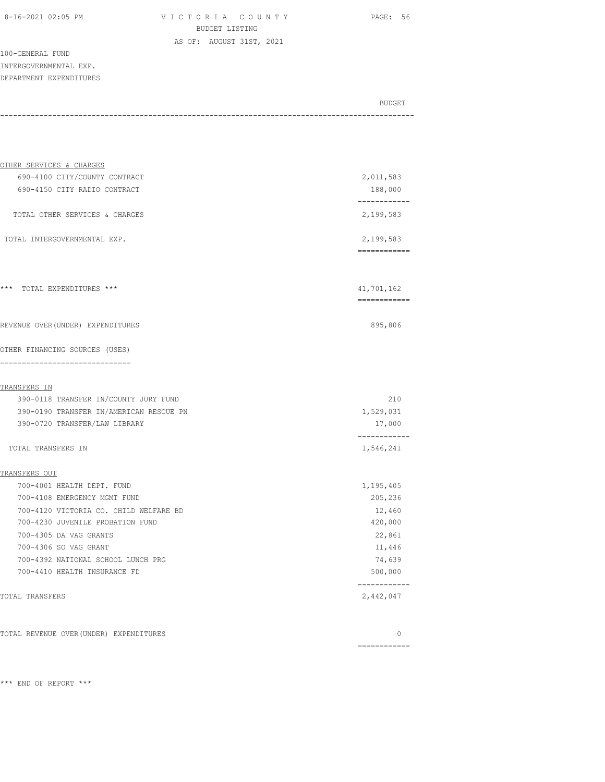8-16-2021 02:05 PM V I C T O R I A C O U N T Y PAGE: 56 BUDGET LISTING AS OF: AUGUST 31ST, 2021

100-GENERAL FUND INTERGOVERNMENTAL EXP. DEPARTMENT EXPENDITURES

| OTHER SERVICES & CHARGES                                |                            |
|---------------------------------------------------------|----------------------------|
| 690-4100 CITY/COUNTY CONTRACT                           | 2,011,583                  |
| 690-4150 CITY RADIO CONTRACT                            | 188,000                    |
| TOTAL OTHER SERVICES & CHARGES                          | 2,199,583                  |
| TOTAL INTERGOVERNMENTAL EXP.                            | 2,199,583<br>============  |
|                                                         |                            |
| *** TOTAL EXPENDITURES ***                              | 41,701,162<br>============ |
| REVENUE OVER (UNDER) EXPENDITURES                       | 895,806                    |
| OTHER FINANCING SOURCES (USES)<br>_____________________ |                            |
| TRANSFERS IN                                            |                            |
| 390-0118 TRANSFER IN/COUNTY JURY FUND                   | 210                        |
| 390-0190 TRANSFER IN/AMERICAN RESCUE PN                 | 1,529,031                  |
| 390-0720 TRANSFER/LAW LIBRARY                           | 17,000                     |
| TOTAL TRANSFERS IN                                      | ------------<br>1,546,241  |
| TRANSFERS OUT                                           |                            |
| 700-4001 HEALTH DEPT. FUND                              | 1,195,405                  |
| 700-4108 EMERGENCY MGMT FUND                            | 205,236                    |
| 700-4120 VICTORIA CO. CHILD WELFARE BD                  | 12,460                     |
| 700-4230 JUVENILE PROBATION FUND                        | 420,000                    |
| 700-4305 DA VAG GRANTS                                  | 22,861                     |
| 700-4306 SO VAG GRANT                                   | 11,446                     |
| 700-4392 NATIONAL SCHOOL LUNCH PRG                      | 74,639                     |
| 700-4410 HEALTH INSURANCE FD                            | 500,000                    |
| TOTAL TRANSFERS                                         | 2,442,047                  |
| TOTAL REVENUE OVER (UNDER) EXPENDITURES                 | $\Omega$                   |

============

BUDGET AND RESERVE AND RESERVE AND RESERVE AND RESERVE AND RESERVE AND RESERVE AND RESERVE AND RESERVE AND RESERVE AND RESERVE AND RESERVE AND RESERVE AND RESERVE AND RESERVE AND RESPONDING A REPORT OF A REPORT OF A REPORT -----------------------------------------------------------------------------------------------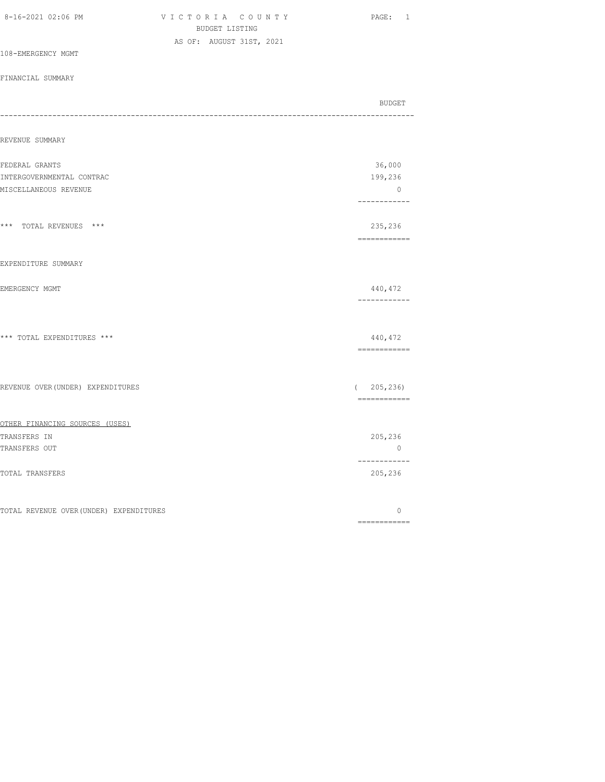| 8-16-2021 02:06 PM                      | VICTORIA COUNTY<br>BUDGET LISTING | PAGE: 1                                                                                                                                                                                                                                                                                                                                                                                                                                                                                           |
|-----------------------------------------|-----------------------------------|---------------------------------------------------------------------------------------------------------------------------------------------------------------------------------------------------------------------------------------------------------------------------------------------------------------------------------------------------------------------------------------------------------------------------------------------------------------------------------------------------|
|                                         | AS OF: AUGUST 31ST, 2021          |                                                                                                                                                                                                                                                                                                                                                                                                                                                                                                   |
| 108-EMERGENCY MGMT                      |                                   |                                                                                                                                                                                                                                                                                                                                                                                                                                                                                                   |
| FINANCIAL SUMMARY                       |                                   |                                                                                                                                                                                                                                                                                                                                                                                                                                                                                                   |
|                                         |                                   | BUDGET<br>--------------                                                                                                                                                                                                                                                                                                                                                                                                                                                                          |
| REVENUE SUMMARY                         |                                   |                                                                                                                                                                                                                                                                                                                                                                                                                                                                                                   |
| FEDERAL GRANTS                          |                                   | 36,000                                                                                                                                                                                                                                                                                                                                                                                                                                                                                            |
| INTERGOVERNMENTAL CONTRAC               |                                   | 199,236                                                                                                                                                                                                                                                                                                                                                                                                                                                                                           |
| MISCELLANEOUS REVENUE                   |                                   | $\mathbf{0}$<br>------------                                                                                                                                                                                                                                                                                                                                                                                                                                                                      |
| *** TOTAL REVENUES ***                  |                                   | 235,236<br>============                                                                                                                                                                                                                                                                                                                                                                                                                                                                           |
| EXPENDITURE SUMMARY                     |                                   |                                                                                                                                                                                                                                                                                                                                                                                                                                                                                                   |
| EMERGENCY MGMT                          |                                   | 440,472<br>------------                                                                                                                                                                                                                                                                                                                                                                                                                                                                           |
| *** TOTAL EXPENDITURES ***              |                                   | 440,472<br>$\begin{array}{cccccccccc} \multicolumn{2}{c}{} & \multicolumn{2}{c}{} & \multicolumn{2}{c}{} & \multicolumn{2}{c}{} & \multicolumn{2}{c}{} & \multicolumn{2}{c}{} & \multicolumn{2}{c}{} & \multicolumn{2}{c}{} & \multicolumn{2}{c}{} & \multicolumn{2}{c}{} & \multicolumn{2}{c}{} & \multicolumn{2}{c}{} & \multicolumn{2}{c}{} & \multicolumn{2}{c}{} & \multicolumn{2}{c}{} & \multicolumn{2}{c}{} & \multicolumn{2}{c}{} & \multicolumn{2}{c}{} & \multicolumn{2}{c}{} & \mult$ |
| REVENUE OVER (UNDER) EXPENDITURES       |                                   | (205, 236)<br>============                                                                                                                                                                                                                                                                                                                                                                                                                                                                        |
| OTHER FINANCING SOURCES (USES)          |                                   |                                                                                                                                                                                                                                                                                                                                                                                                                                                                                                   |
| TRANSFERS IN                            |                                   | 205,236                                                                                                                                                                                                                                                                                                                                                                                                                                                                                           |
| TRANSFERS OUT                           |                                   | $\overline{0}$<br>------------                                                                                                                                                                                                                                                                                                                                                                                                                                                                    |
| TOTAL TRANSFERS                         |                                   | 205,236                                                                                                                                                                                                                                                                                                                                                                                                                                                                                           |
| TOTAL REVENUE OVER (UNDER) EXPENDITURES |                                   | $\circ$<br>$=$ = = = = = = = = = = = =                                                                                                                                                                                                                                                                                                                                                                                                                                                            |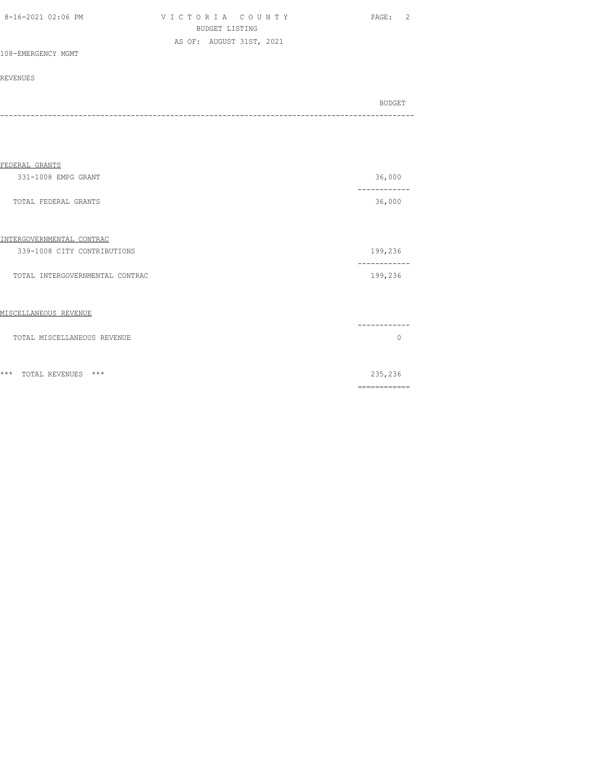| 8-16-2021 02:06 PM | VICTORIA COUNTY          |                |  | PAGE: | - 2 |
|--------------------|--------------------------|----------------|--|-------|-----|
|                    |                          | BUDGET LISTING |  |       |     |
|                    | AS OF: AUGUST 31ST, 2021 |                |  |       |     |
| 108-EMERGENCY MGMT |                          |                |  |       |     |

|  | ∩ דום |
|--|-------|
|  |       |

| FEDERAL GRANTS                   |                         |
|----------------------------------|-------------------------|
| 331-1008 EMPG GRANT              | 36,000                  |
| TOTAL FEDERAL GRANTS             | 36,000                  |
| INTERGOVERNMENTAL CONTRAC        |                         |
| 339-1008 CITY CONTRIBUTIONS      | 199,236                 |
| TOTAL INTERGOVERNMENTAL CONTRAC  | 199,236                 |
| MISCELLANEOUS REVENUE            |                         |
| TOTAL MISCELLANEOUS REVENUE      | $\Omega$                |
| $***$<br>$***$<br>TOTAL REVENUES | 235,236<br>============ |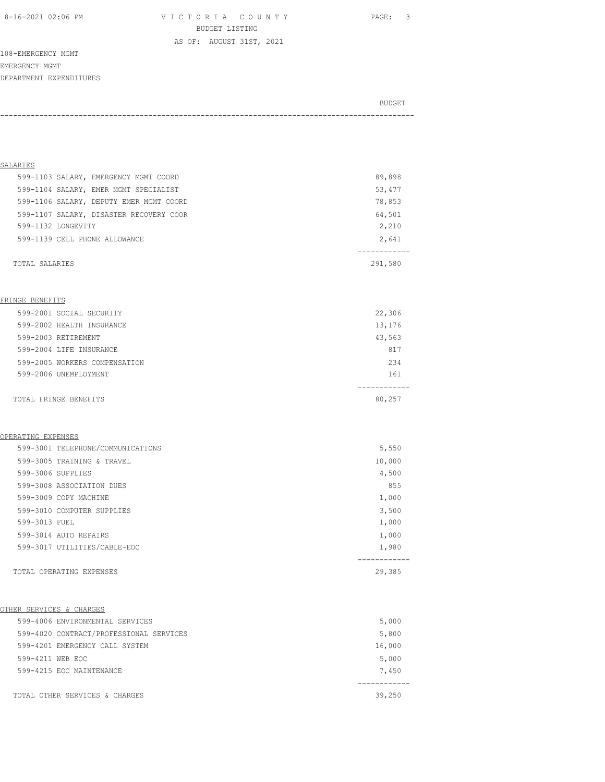8-16-2021 02:06 PM V I C T O R I A C O U N T Y PAGE: 3 BUDGET LISTING

AS OF: AUGUST 31ST, 2021

108-EMERGENCY MGMT EMERGENCY MGMT DEPARTMENT EXPENDITURES

BUDGET AND RESERVE AND RESERVE AND RESERVE AND RESERVE AND RESERVE AND RESERVE AND RESERVE AND RESERVE AND RESERVE AND RESERVE AND RESERVE AND RESERVE AND RESERVE AND RESERVE AND RESPONDING A REPORT OF A REPORT OF A REPORT -----------------------------------------------------------------------------------------------

| SALARIES                                |         |
|-----------------------------------------|---------|
| 599-1103 SALARY, EMERGENCY MGMT COORD   | 89,898  |
| 599-1104 SALARY, EMER MGMT SPECIALIST   | 53,477  |
| 599-1106 SALARY, DEPUTY EMER MGMT COORD | 78,853  |
| 599-1107 SALARY, DISASTER RECOVERY COOR | 64,501  |
| 599-1132 LONGEVITY                      | 2,210   |
| 599-1139 CELL PHONE ALLOWANCE           | 2,641   |
|                                         |         |
| TOTAL SALARIES                          | 291,580 |

#### FRINGE BENEFITS

| 599-2001 SOCIAL SECURITY      | 22,306 |
|-------------------------------|--------|
| 599-2002 HEALTH INSURANCE     | 13,176 |
| 599-2003 RETIREMENT           | 43,563 |
| 599-2004 LIFE INSURANCE       | 817    |
| 599-2005 WORKERS COMPENSATION | 234    |
| 599-2006 UNEMPLOYMENT         | 161    |
|                               |        |
| TOTAL FRINGE BENEFITS         | 80,257 |

#### OPERATING EXPENSES

|               | 599-3001 TELEPHONE/COMMUNICATIONS | 5,550  |
|---------------|-----------------------------------|--------|
|               | 599-3005 TRAINING & TRAVEL        | 10,000 |
|               | 599-3006 SUPPLIES                 | 4,500  |
|               | 599-3008 ASSOCIATION DUES         | 855    |
|               | 599-3009 COPY MACHINE             | 1,000  |
|               | 599-3010 COMPUTER SUPPLIES        | 3,500  |
| 599-3013 FUEL |                                   | 1,000  |
|               | 599-3014 AUTO REPAIRS             | 1,000  |
|               | 599-3017 UTILITIES/CABLE-EOC      | 1,980  |
|               |                                   |        |
|               | TOTAL OPERATING EXPENSES          | 29,385 |

#### OTHER SERVICES & CHARGES

| 599-4006 ENVIRONMENTAL SERVICES         | 5,000  |
|-----------------------------------------|--------|
| 599-4020 CONTRACT/PROFESSIONAL SERVICES | 5,800  |
| 599-4201 EMERGENCY CALL SYSTEM          | 16,000 |
| 599-4211 WEB EOC                        | 5,000  |
| 599-4215 EOC MAINTENANCE                | 7,450  |
| TOTAL OTHER SERVICES & CHARGES          | 39,250 |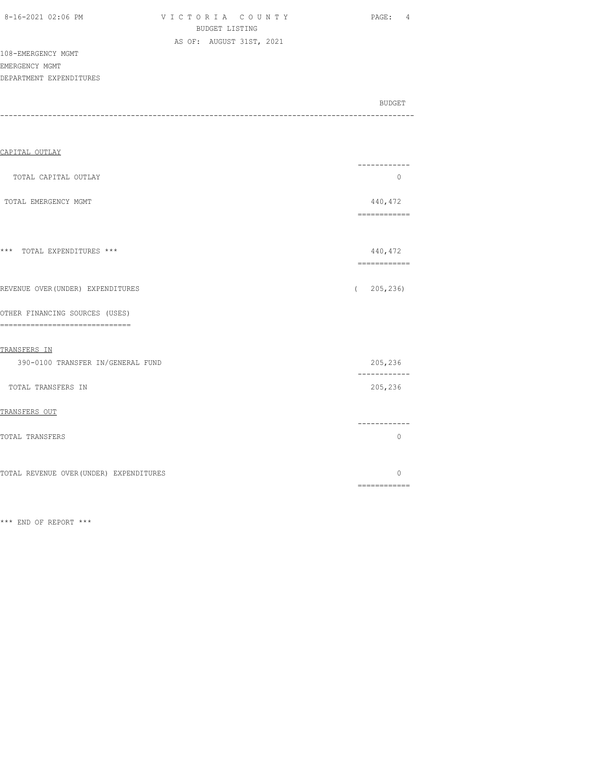| 8-16-2021 02:06 PM |  |
|--------------------|--|
|                    |  |

VICTORIA COUNTY PAGE: 4 BUDGET LISTING AS OF: AUGUST 31ST, 2021

108-EMERGENCY MGMT EMERGENCY MGMT

DEPARTMENT EXPENDITURES

|       | BUDGET |
|-------|--------|
| ----- |        |
|       |        |

| CAPITAL OUTLAY                                                     |                                                                                                                                                                                                                                                                                                                                                                                                                                                                                                   |
|--------------------------------------------------------------------|---------------------------------------------------------------------------------------------------------------------------------------------------------------------------------------------------------------------------------------------------------------------------------------------------------------------------------------------------------------------------------------------------------------------------------------------------------------------------------------------------|
| TOTAL CAPITAL OUTLAY                                               | -----------<br>$\circ$                                                                                                                                                                                                                                                                                                                                                                                                                                                                            |
| TOTAL EMERGENCY MGMT                                               | 440,472<br>$\begin{array}{cccccccccc} \multicolumn{2}{c}{} & \multicolumn{2}{c}{} & \multicolumn{2}{c}{} & \multicolumn{2}{c}{} & \multicolumn{2}{c}{} & \multicolumn{2}{c}{} & \multicolumn{2}{c}{} & \multicolumn{2}{c}{} & \multicolumn{2}{c}{} & \multicolumn{2}{c}{} & \multicolumn{2}{c}{} & \multicolumn{2}{c}{} & \multicolumn{2}{c}{} & \multicolumn{2}{c}{} & \multicolumn{2}{c}{} & \multicolumn{2}{c}{} & \multicolumn{2}{c}{} & \multicolumn{2}{c}{} & \multicolumn{2}{c}{} & \mult$ |
|                                                                    |                                                                                                                                                                                                                                                                                                                                                                                                                                                                                                   |
| *** TOTAL EXPENDITURES ***                                         | 440,472<br>$\begin{array}{cccccccccc} \multicolumn{2}{c}{} & \multicolumn{2}{c}{} & \multicolumn{2}{c}{} & \multicolumn{2}{c}{} & \multicolumn{2}{c}{} & \multicolumn{2}{c}{} & \multicolumn{2}{c}{} & \multicolumn{2}{c}{} & \multicolumn{2}{c}{} & \multicolumn{2}{c}{} & \multicolumn{2}{c}{} & \multicolumn{2}{c}{} & \multicolumn{2}{c}{} & \multicolumn{2}{c}{} & \multicolumn{2}{c}{} & \multicolumn{2}{c}{} & \multicolumn{2}{c}{} & \multicolumn{2}{c}{} & \multicolumn{2}{c}{} & \mult$ |
| REVENUE OVER (UNDER) EXPENDITURES                                  | 205, 236<br>$\left($                                                                                                                                                                                                                                                                                                                                                                                                                                                                              |
| OTHER FINANCING SOURCES (USES)<br>-------------------------------- |                                                                                                                                                                                                                                                                                                                                                                                                                                                                                                   |
| TRANSFERS IN                                                       |                                                                                                                                                                                                                                                                                                                                                                                                                                                                                                   |
| 390-0100 TRANSFER IN/GENERAL FUND                                  | 205,236<br>------------                                                                                                                                                                                                                                                                                                                                                                                                                                                                           |
| TOTAL TRANSFERS IN                                                 | 205,236                                                                                                                                                                                                                                                                                                                                                                                                                                                                                           |
| TRANSFERS OUT                                                      |                                                                                                                                                                                                                                                                                                                                                                                                                                                                                                   |
| TOTAL TRANSFERS                                                    | ------------<br>$\circ$                                                                                                                                                                                                                                                                                                                                                                                                                                                                           |
| TOTAL REVENUE OVER (UNDER) EXPENDITURES                            | $\Omega$                                                                                                                                                                                                                                                                                                                                                                                                                                                                                          |
|                                                                    | $\begin{array}{cccccccccccccc} \multicolumn{2}{c}{} & \multicolumn{2}{c}{} & \multicolumn{2}{c}{} & \multicolumn{2}{c}{} & \multicolumn{2}{c}{} & \multicolumn{2}{c}{} & \multicolumn{2}{c}{} & \multicolumn{2}{c}{} & \multicolumn{2}{c}{} & \multicolumn{2}{c}{} & \multicolumn{2}{c}{} & \multicolumn{2}{c}{} & \multicolumn{2}{c}{} & \multicolumn{2}{c}{} & \multicolumn{2}{c}{} & \multicolumn{2}{c}{} & \multicolumn{2}{c}{} & \multicolumn{2}{c}{} & \multicolumn{2}{c}{} & \$            |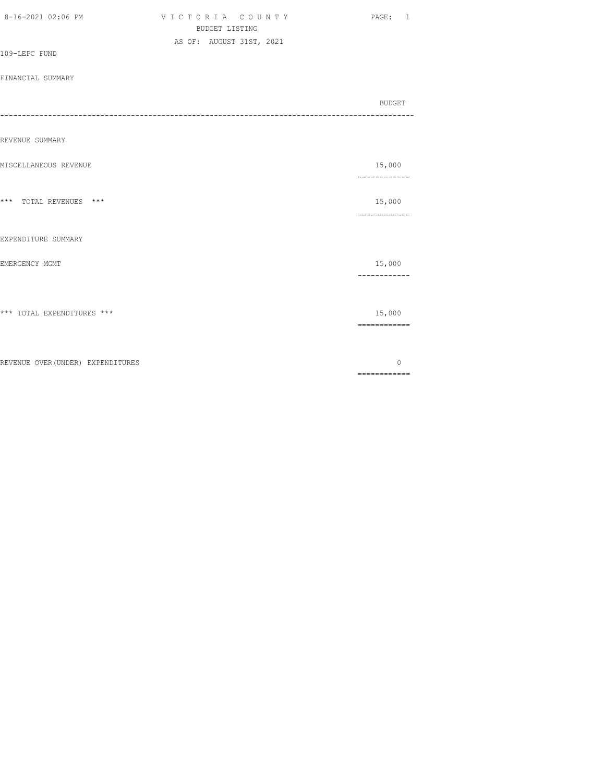| 8-16-2021 02:06 PM                | VICTORIA COUNTY<br><b>BUDGET LISTING</b><br>AS OF: AUGUST 31ST, 2021 | PAGE: 1                                                                                                                                                                                                                                                                                                                                                                                                                                                                                          |
|-----------------------------------|----------------------------------------------------------------------|--------------------------------------------------------------------------------------------------------------------------------------------------------------------------------------------------------------------------------------------------------------------------------------------------------------------------------------------------------------------------------------------------------------------------------------------------------------------------------------------------|
| 109-LEPC FUND                     |                                                                      |                                                                                                                                                                                                                                                                                                                                                                                                                                                                                                  |
| FINANCIAL SUMMARY                 |                                                                      |                                                                                                                                                                                                                                                                                                                                                                                                                                                                                                  |
|                                   |                                                                      | BUDGET                                                                                                                                                                                                                                                                                                                                                                                                                                                                                           |
| ---                               |                                                                      |                                                                                                                                                                                                                                                                                                                                                                                                                                                                                                  |
| REVENUE SUMMARY                   |                                                                      |                                                                                                                                                                                                                                                                                                                                                                                                                                                                                                  |
| MISCELLANEOUS REVENUE             |                                                                      | 15,000<br>------------                                                                                                                                                                                                                                                                                                                                                                                                                                                                           |
| *** TOTAL REVENUES ***            |                                                                      | 15,000                                                                                                                                                                                                                                                                                                                                                                                                                                                                                           |
| EXPENDITURE SUMMARY               |                                                                      | $\begin{array}{cccccccccc} \multicolumn{2}{c}{} & \multicolumn{2}{c}{} & \multicolumn{2}{c}{} & \multicolumn{2}{c}{} & \multicolumn{2}{c}{} & \multicolumn{2}{c}{} & \multicolumn{2}{c}{} & \multicolumn{2}{c}{} & \multicolumn{2}{c}{} & \multicolumn{2}{c}{} & \multicolumn{2}{c}{} & \multicolumn{2}{c}{} & \multicolumn{2}{c}{} & \multicolumn{2}{c}{} & \multicolumn{2}{c}{} & \multicolumn{2}{c}{} & \multicolumn{2}{c}{} & \multicolumn{2}{c}{} & \multicolumn{2}{c}{} & \mult$           |
| EMERGENCY MGMT                    |                                                                      | 15,000<br>------------                                                                                                                                                                                                                                                                                                                                                                                                                                                                           |
| *** TOTAL EXPENDITURES ***        |                                                                      | 15,000<br>$\begin{array}{cccccccccc} \multicolumn{2}{c}{} & \multicolumn{2}{c}{} & \multicolumn{2}{c}{} & \multicolumn{2}{c}{} & \multicolumn{2}{c}{} & \multicolumn{2}{c}{} & \multicolumn{2}{c}{} & \multicolumn{2}{c}{} & \multicolumn{2}{c}{} & \multicolumn{2}{c}{} & \multicolumn{2}{c}{} & \multicolumn{2}{c}{} & \multicolumn{2}{c}{} & \multicolumn{2}{c}{} & \multicolumn{2}{c}{} & \multicolumn{2}{c}{} & \multicolumn{2}{c}{} & \multicolumn{2}{c}{} & \multicolumn{2}{c}{} & \mult$ |
| REVENUE OVER (UNDER) EXPENDITURES |                                                                      | $\circ$                                                                                                                                                                                                                                                                                                                                                                                                                                                                                          |
|                                   |                                                                      | $\begin{array}{cccccccccc} \multicolumn{2}{c}{} & \multicolumn{2}{c}{} & \multicolumn{2}{c}{} & \multicolumn{2}{c}{} & \multicolumn{2}{c}{} & \multicolumn{2}{c}{} & \multicolumn{2}{c}{} & \multicolumn{2}{c}{} & \multicolumn{2}{c}{} & \multicolumn{2}{c}{} & \multicolumn{2}{c}{} & \multicolumn{2}{c}{} & \multicolumn{2}{c}{} & \multicolumn{2}{c}{} & \multicolumn{2}{c}{} & \multicolumn{2}{c}{} & \multicolumn{2}{c}{} & \multicolumn{2}{c}{} & \multicolumn{2}{c}{} & \mult$           |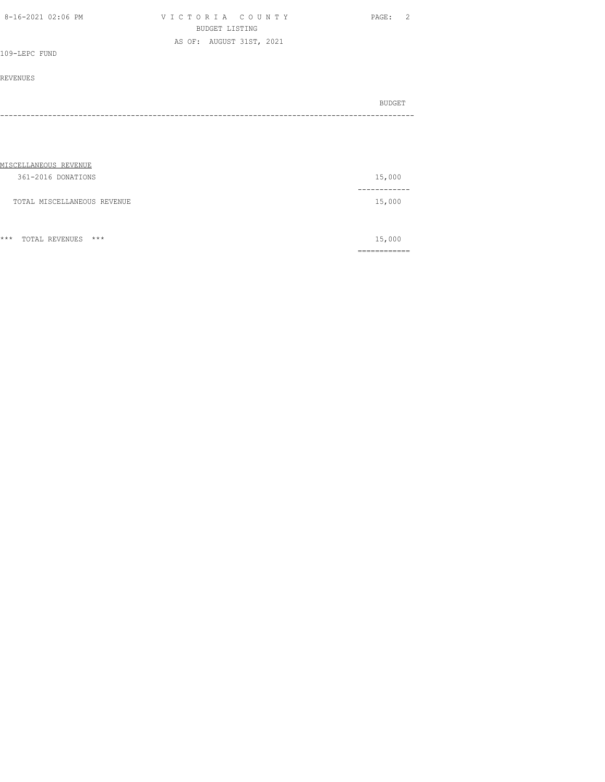| 8-16-2021 02:06 PM | VICTORIA COUNTY          | - 2<br>PAGE: |
|--------------------|--------------------------|--------------|
|                    | BUDGET LISTING           |              |
|                    | AS OF: AUGUST 31ST, 2021 |              |
| 109-LEPC FUND      |                          |              |

|  | BUDGET |
|--|--------|
|  |        |
|  |        |

| MISCELLANEOUS REVENUE       |        |
|-----------------------------|--------|
| 361-2016 DONATIONS          | 15,000 |
|                             |        |
| TOTAL MISCELLANEOUS REVENUE | 15,000 |
|                             |        |
|                             |        |

|       |                |     |   | ____________<br>______________ |
|-------|----------------|-----|---|--------------------------------|
| $***$ | TOTAL REVENUES | *** | . | . In the                       |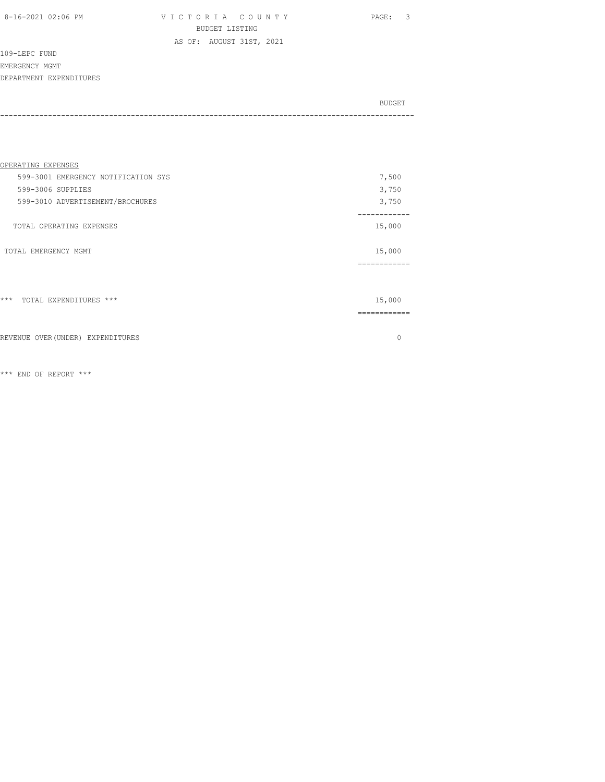8-16-2021 02:06 PM V I C T O R I A C O U N T Y PAGE: 3 BUDGET LISTING AS OF: AUGUST 31ST, 2021

109-LEPC FUND

EMERGENCY MGMT

DEPARTMENT EXPENDITURES

| BUDGET |
|--------|
|        |

| OPERATING EXPENSES                  |          |
|-------------------------------------|----------|
| 599-3001 EMERGENCY NOTIFICATION SYS | 7,500    |
| 599-3006 SUPPLIES                   | 3,750    |
| 599-3010 ADVERTISEMENT/BROCHURES    | 3,750    |
| TOTAL OPERATING EXPENSES            | 15,000   |
| TOTAL EMERGENCY MGMT                | 15,000   |
|                                     | -------  |
| $***$<br>TOTAL EXPENDITURES ***     | 15,000   |
|                                     |          |
| REVENUE OVER (UNDER) EXPENDITURES   | $\Omega$ |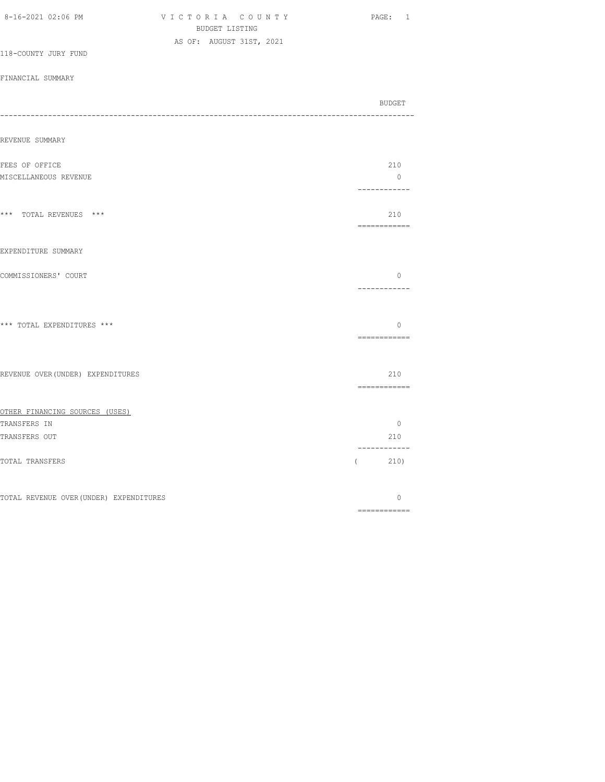| <b>BUDGET LISTING</b>    |                                                                              |                                |
|--------------------------|------------------------------------------------------------------------------|--------------------------------|
| AS OF: AUGUST 31ST, 2021 |                                                                              |                                |
|                          |                                                                              |                                |
|                          |                                                                              |                                |
|                          |                                                                              | BUDGET                         |
|                          |                                                                              |                                |
|                          |                                                                              | 210                            |
|                          |                                                                              | $\overline{0}$<br>------------ |
|                          |                                                                              | 210<br>============            |
|                          |                                                                              |                                |
|                          |                                                                              | $\circ$<br>------------        |
|                          |                                                                              | $\circ$<br>============        |
|                          |                                                                              | 210                            |
|                          |                                                                              | ------------                   |
|                          |                                                                              |                                |
|                          |                                                                              | $\circ$<br>210                 |
|                          |                                                                              | ------------<br>(210)          |
|                          |                                                                              | $\circ$<br>------------        |
|                          | REVENUE OVER (UNDER) EXPENDITURES<br>TOTAL REVENUE OVER (UNDER) EXPENDITURES |                                |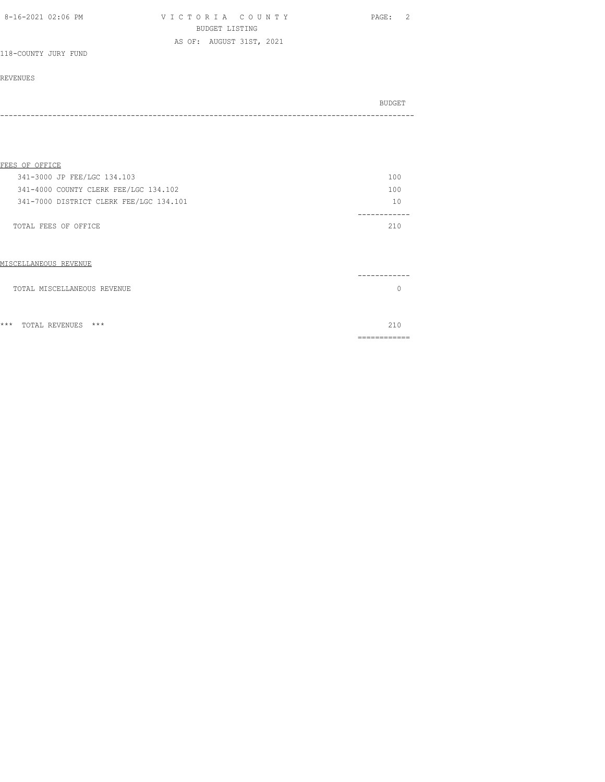| 8-16-2021 02:06 PM   | VICTORIA COUNTY          | - 2<br>PAGE: |
|----------------------|--------------------------|--------------|
|                      | BUDGET LISTING           |              |
|                      | AS OF: AUGUST 31ST, 2021 |              |
| 118-COUNTY JURY FUND |                          |              |

| BUDGET |
|--------|
|        |
|        |

| FEES OF OFFICE                          |     |
|-----------------------------------------|-----|
| 341-3000 JP FEE/LGC 134.103             | 100 |
| 341-4000 COUNTY CLERK FEE/LGC 134.102   | 100 |
| 341-7000 DISTRICT CLERK FEE/LGC 134.101 | 10  |
|                                         |     |
| TOTAL FEES OF OFFICE                    | 210 |
|                                         |     |
|                                         |     |
| MISCELLANEOUS REVENUE                   |     |
|                                         |     |
| TOTAL MISCELLANEOUS REVENUE             |     |
|                                         |     |
|                                         |     |
| $***$<br>$***$<br>TOTAL REVENUES        | 210 |

============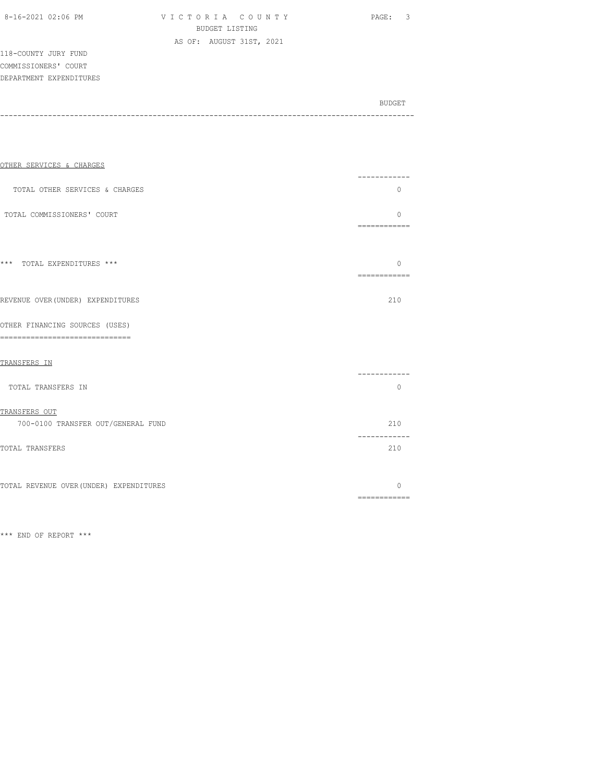| 8-16-2021 02:06 PM |  |
|--------------------|--|
|                    |  |

VICTORIA COUNTY PAGE: 3 BUDGET LISTING AS OF: AUGUST 31ST, 2021

118-COUNTY JURY FUND COMMISSIONERS' COURT DEPARTMENT EXPENDITURES

BUDGET AND RESERVE AND RESERVE AND RESERVE AND RESERVE AND RESERVE AND RESERVE AND RESERVE AND RESERVE AND RESERVE AND RESERVE AND RESERVE AND RESERVE AND RESERVE AND RESERVE AND RESPONDING A REPORT OF A REPORT OF A REPORT -----------------------------------------------------------------------------------------------

| OTHER SERVICES & CHARGES                                              | -------                                                                                                                                                                                                                                                                                                                                                                                                                                                                                            |
|-----------------------------------------------------------------------|----------------------------------------------------------------------------------------------------------------------------------------------------------------------------------------------------------------------------------------------------------------------------------------------------------------------------------------------------------------------------------------------------------------------------------------------------------------------------------------------------|
| TOTAL OTHER SERVICES & CHARGES                                        | $\Omega$                                                                                                                                                                                                                                                                                                                                                                                                                                                                                           |
| TOTAL COMMISSIONERS' COURT                                            | <sup>0</sup>                                                                                                                                                                                                                                                                                                                                                                                                                                                                                       |
|                                                                       |                                                                                                                                                                                                                                                                                                                                                                                                                                                                                                    |
| *** TOTAL EXPENDITURES ***                                            | $\Omega$<br>-------------                                                                                                                                                                                                                                                                                                                                                                                                                                                                          |
| REVENUE OVER (UNDER) EXPENDITURES                                     | 210                                                                                                                                                                                                                                                                                                                                                                                                                                                                                                |
| OTHER FINANCING SOURCES (USES)<br>----------------------------<br>=== |                                                                                                                                                                                                                                                                                                                                                                                                                                                                                                    |
| TRANSFERS IN                                                          |                                                                                                                                                                                                                                                                                                                                                                                                                                                                                                    |
| TOTAL TRANSFERS IN                                                    | ------<br>$\Omega$                                                                                                                                                                                                                                                                                                                                                                                                                                                                                 |
| TRANSFERS OUT                                                         |                                                                                                                                                                                                                                                                                                                                                                                                                                                                                                    |
| 700-0100 TRANSFER OUT/GENERAL FUND                                    | 210<br>-------                                                                                                                                                                                                                                                                                                                                                                                                                                                                                     |
| TOTAL TRANSFERS                                                       | 210                                                                                                                                                                                                                                                                                                                                                                                                                                                                                                |
| TOTAL REVENUE OVER (UNDER) EXPENDITURES                               | $\Omega$<br>$\begin{array}{cccccccccc} \multicolumn{2}{c}{} & \multicolumn{2}{c}{} & \multicolumn{2}{c}{} & \multicolumn{2}{c}{} & \multicolumn{2}{c}{} & \multicolumn{2}{c}{} & \multicolumn{2}{c}{} & \multicolumn{2}{c}{} & \multicolumn{2}{c}{} & \multicolumn{2}{c}{} & \multicolumn{2}{c}{} & \multicolumn{2}{c}{} & \multicolumn{2}{c}{} & \multicolumn{2}{c}{} & \multicolumn{2}{c}{} & \multicolumn{2}{c}{} & \multicolumn{2}{c}{} & \multicolumn{2}{c}{} & \multicolumn{2}{c}{} & \mult$ |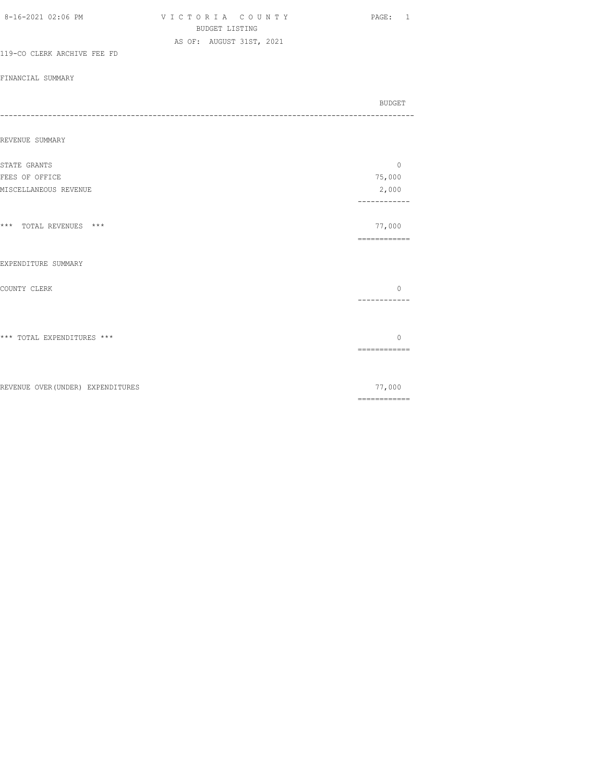| 8-16-2021 02:06 PM                | VICTORIA COUNTY          | PAGE:<br>$\mathbf{1}$                                                                                                                                                                                                                                                                                                                                                                                                                                                                  |
|-----------------------------------|--------------------------|----------------------------------------------------------------------------------------------------------------------------------------------------------------------------------------------------------------------------------------------------------------------------------------------------------------------------------------------------------------------------------------------------------------------------------------------------------------------------------------|
|                                   | <b>BUDGET LISTING</b>    |                                                                                                                                                                                                                                                                                                                                                                                                                                                                                        |
|                                   | AS OF: AUGUST 31ST, 2021 |                                                                                                                                                                                                                                                                                                                                                                                                                                                                                        |
| 119-CO CLERK ARCHIVE FEE FD       |                          |                                                                                                                                                                                                                                                                                                                                                                                                                                                                                        |
| FINANCIAL SUMMARY                 |                          |                                                                                                                                                                                                                                                                                                                                                                                                                                                                                        |
|                                   |                          |                                                                                                                                                                                                                                                                                                                                                                                                                                                                                        |
|                                   |                          | BUDGET                                                                                                                                                                                                                                                                                                                                                                                                                                                                                 |
| ----                              |                          |                                                                                                                                                                                                                                                                                                                                                                                                                                                                                        |
|                                   |                          |                                                                                                                                                                                                                                                                                                                                                                                                                                                                                        |
| REVENUE SUMMARY                   |                          |                                                                                                                                                                                                                                                                                                                                                                                                                                                                                        |
|                                   |                          |                                                                                                                                                                                                                                                                                                                                                                                                                                                                                        |
| STATE GRANTS                      |                          | $\circ$                                                                                                                                                                                                                                                                                                                                                                                                                                                                                |
| FEES OF OFFICE                    |                          | 75,000                                                                                                                                                                                                                                                                                                                                                                                                                                                                                 |
| MISCELLANEOUS REVENUE             |                          | 2,000<br>------------                                                                                                                                                                                                                                                                                                                                                                                                                                                                  |
|                                   |                          |                                                                                                                                                                                                                                                                                                                                                                                                                                                                                        |
| *** TOTAL REVENUES ***            |                          | 77,000                                                                                                                                                                                                                                                                                                                                                                                                                                                                                 |
|                                   |                          | ============                                                                                                                                                                                                                                                                                                                                                                                                                                                                           |
|                                   |                          |                                                                                                                                                                                                                                                                                                                                                                                                                                                                                        |
| EXPENDITURE SUMMARY               |                          |                                                                                                                                                                                                                                                                                                                                                                                                                                                                                        |
|                                   |                          |                                                                                                                                                                                                                                                                                                                                                                                                                                                                                        |
| COUNTY CLERK                      |                          | $\circ$                                                                                                                                                                                                                                                                                                                                                                                                                                                                                |
|                                   |                          | ------------                                                                                                                                                                                                                                                                                                                                                                                                                                                                           |
|                                   |                          |                                                                                                                                                                                                                                                                                                                                                                                                                                                                                        |
| *** TOTAL EXPENDITURES ***        |                          | $\Omega$                                                                                                                                                                                                                                                                                                                                                                                                                                                                               |
|                                   |                          | $\begin{array}{cccccccccc} \multicolumn{2}{c}{} & \multicolumn{2}{c}{} & \multicolumn{2}{c}{} & \multicolumn{2}{c}{} & \multicolumn{2}{c}{} & \multicolumn{2}{c}{} & \multicolumn{2}{c}{} & \multicolumn{2}{c}{} & \multicolumn{2}{c}{} & \multicolumn{2}{c}{} & \multicolumn{2}{c}{} & \multicolumn{2}{c}{} & \multicolumn{2}{c}{} & \multicolumn{2}{c}{} & \multicolumn{2}{c}{} & \multicolumn{2}{c}{} & \multicolumn{2}{c}{} & \multicolumn{2}{c}{} & \multicolumn{2}{c}{} & \mult$ |
|                                   |                          |                                                                                                                                                                                                                                                                                                                                                                                                                                                                                        |
|                                   |                          |                                                                                                                                                                                                                                                                                                                                                                                                                                                                                        |
| REVENUE OVER (UNDER) EXPENDITURES |                          | 77,000                                                                                                                                                                                                                                                                                                                                                                                                                                                                                 |
|                                   |                          | $\begin{array}{cccccccccc} \multicolumn{2}{c}{} & \multicolumn{2}{c}{} & \multicolumn{2}{c}{} & \multicolumn{2}{c}{} & \multicolumn{2}{c}{} & \multicolumn{2}{c}{} & \multicolumn{2}{c}{} & \multicolumn{2}{c}{} & \multicolumn{2}{c}{} & \multicolumn{2}{c}{} & \multicolumn{2}{c}{} & \multicolumn{2}{c}{} & \multicolumn{2}{c}{} & \multicolumn{2}{c}{} & \multicolumn{2}{c}{} & \multicolumn{2}{c}{} & \multicolumn{2}{c}{} & \multicolumn{2}{c}{} & \multicolumn{2}{c}{} & \mult$ |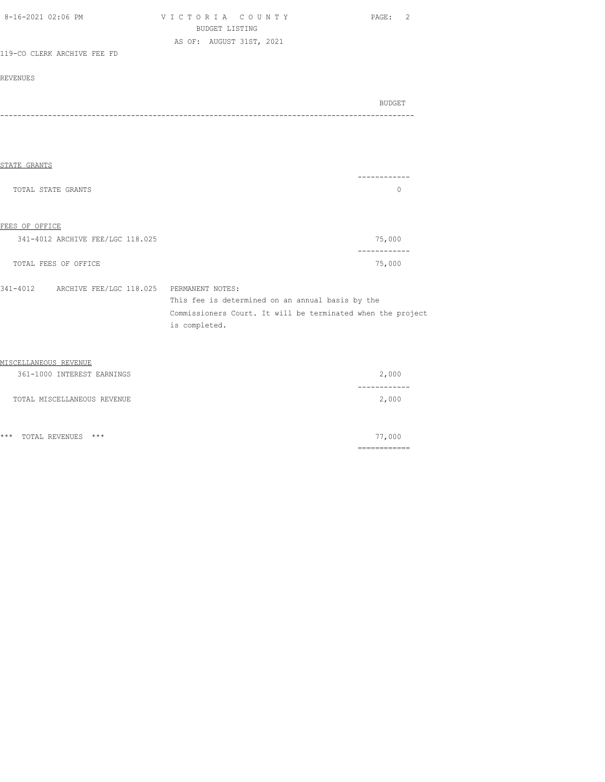| 8-16-2021 02:06 PM                                | VICTORIA COUNTY<br><b>BUDGET LISTING</b>                    | 2<br>PAGE:    |
|---------------------------------------------------|-------------------------------------------------------------|---------------|
|                                                   | AS OF: AUGUST 31ST, 2021                                    |               |
| 119-CO CLERK ARCHIVE FEE FD                       |                                                             |               |
|                                                   |                                                             |               |
| <b>REVENUES</b>                                   |                                                             |               |
|                                                   |                                                             |               |
|                                                   |                                                             | <b>BUDGET</b> |
|                                                   |                                                             |               |
|                                                   |                                                             |               |
|                                                   |                                                             |               |
|                                                   |                                                             |               |
| STATE GRANTS                                      |                                                             |               |
|                                                   |                                                             | ----------    |
| TOTAL STATE GRANTS                                |                                                             | 0             |
|                                                   |                                                             |               |
|                                                   |                                                             |               |
| FEES OF OFFICE                                    |                                                             |               |
| 341-4012 ARCHIVE FEE/LGC 118.025                  |                                                             | 75,000        |
|                                                   |                                                             | ------------  |
| TOTAL FEES OF OFFICE                              |                                                             | 75,000        |
|                                                   |                                                             |               |
| 341-4012 ARCHIVE FEE/LGC 118.025 PERMANENT NOTES: |                                                             |               |
|                                                   | This fee is determined on an annual basis by the            |               |
|                                                   | Commissioners Court. It will be terminated when the project |               |
|                                                   | is completed.                                               |               |
|                                                   |                                                             |               |
| MISCELLANEOUS REVENUE                             |                                                             |               |
|                                                   |                                                             |               |
| 361-1000 INTEREST EARNINGS                        |                                                             | 2,000         |

| OUI IUUU INIBREUI BARNINGO  | 2,000 |
|-----------------------------|-------|
|                             |       |
| TOTAL MISCELLANEOUS REVENUE | 2,000 |

|                        | -----------<br>------------ |
|------------------------|-----------------------------|
| *** TOTAL REVENUES *** | 77,000                      |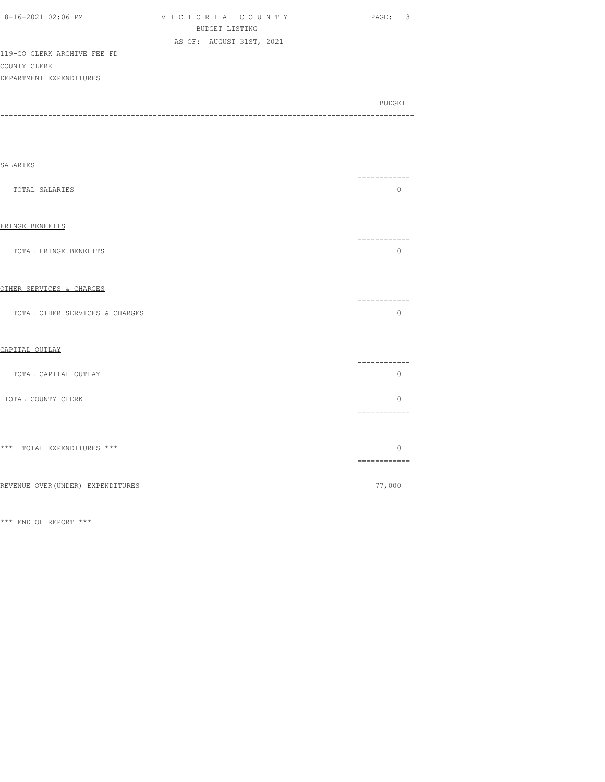| 8-16-2021 02:06 PM          | VICTORIA COUNTY          | - 3<br>PAGE:  |
|-----------------------------|--------------------------|---------------|
|                             | BUDGET LISTING           |               |
|                             | AS OF: AUGUST 31ST, 2021 |               |
| 119-CO CLERK ARCHIVE FEE FD |                          |               |
| COUNTY CLERK                |                          |               |
| DEPARTMENT EXPENDITURES     |                          |               |
|                             |                          |               |
|                             |                          | <b>BUDGET</b> |

-----------------------------------------------------------------------------------------------

| <b>SALARIES</b>                   |                                                                                                                                                                                                                                                                                                                                                                                                                                                                                                    |
|-----------------------------------|----------------------------------------------------------------------------------------------------------------------------------------------------------------------------------------------------------------------------------------------------------------------------------------------------------------------------------------------------------------------------------------------------------------------------------------------------------------------------------------------------|
| TOTAL SALARIES                    | $\circ$                                                                                                                                                                                                                                                                                                                                                                                                                                                                                            |
| FRINGE BENEFITS                   |                                                                                                                                                                                                                                                                                                                                                                                                                                                                                                    |
| TOTAL FRINGE BENEFITS             | ----------<br>$\circ$                                                                                                                                                                                                                                                                                                                                                                                                                                                                              |
| OTHER SERVICES & CHARGES          | ----------                                                                                                                                                                                                                                                                                                                                                                                                                                                                                         |
| TOTAL OTHER SERVICES & CHARGES    | $\mathbf{0}$                                                                                                                                                                                                                                                                                                                                                                                                                                                                                       |
| CAPITAL OUTLAY                    |                                                                                                                                                                                                                                                                                                                                                                                                                                                                                                    |
| TOTAL CAPITAL OUTLAY              | ---------<br>$\mathbf{0}$                                                                                                                                                                                                                                                                                                                                                                                                                                                                          |
| TOTAL COUNTY CLERK                | $\Omega$<br>============                                                                                                                                                                                                                                                                                                                                                                                                                                                                           |
| *** TOTAL EXPENDITURES ***        | $\Omega$<br>$\begin{array}{cccccccccc} \multicolumn{2}{c}{} & \multicolumn{2}{c}{} & \multicolumn{2}{c}{} & \multicolumn{2}{c}{} & \multicolumn{2}{c}{} & \multicolumn{2}{c}{} & \multicolumn{2}{c}{} & \multicolumn{2}{c}{} & \multicolumn{2}{c}{} & \multicolumn{2}{c}{} & \multicolumn{2}{c}{} & \multicolumn{2}{c}{} & \multicolumn{2}{c}{} & \multicolumn{2}{c}{} & \multicolumn{2}{c}{} & \multicolumn{2}{c}{} & \multicolumn{2}{c}{} & \multicolumn{2}{c}{} & \multicolumn{2}{c}{} & \mult$ |
| REVENUE OVER (UNDER) EXPENDITURES | 77,000                                                                                                                                                                                                                                                                                                                                                                                                                                                                                             |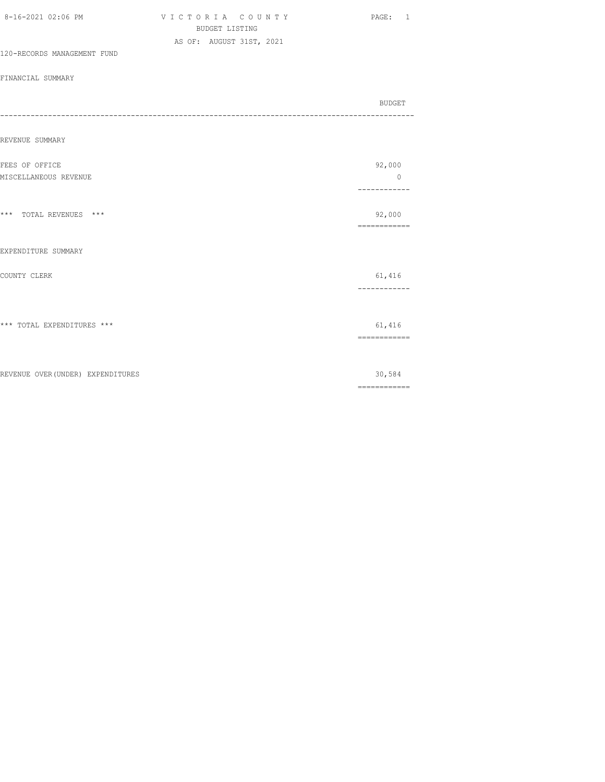|                                         | <b>BUDGET LISTING</b>    |  |                                                                                                                                                                                                                                                                                                                                                                                                                                                                                                  |
|-----------------------------------------|--------------------------|--|--------------------------------------------------------------------------------------------------------------------------------------------------------------------------------------------------------------------------------------------------------------------------------------------------------------------------------------------------------------------------------------------------------------------------------------------------------------------------------------------------|
| 120-RECORDS MANAGEMENT FUND             | AS OF: AUGUST 31ST, 2021 |  |                                                                                                                                                                                                                                                                                                                                                                                                                                                                                                  |
| FINANCIAL SUMMARY                       |                          |  |                                                                                                                                                                                                                                                                                                                                                                                                                                                                                                  |
| -------------------                     |                          |  | BUDGET                                                                                                                                                                                                                                                                                                                                                                                                                                                                                           |
| REVENUE SUMMARY                         |                          |  |                                                                                                                                                                                                                                                                                                                                                                                                                                                                                                  |
| FEES OF OFFICE<br>MISCELLANEOUS REVENUE |                          |  | 92,000<br>$\circ$<br>-----------                                                                                                                                                                                                                                                                                                                                                                                                                                                                 |
| *** TOTAL REVENUES ***                  |                          |  | 92,000<br>------------                                                                                                                                                                                                                                                                                                                                                                                                                                                                           |
| EXPENDITURE SUMMARY                     |                          |  |                                                                                                                                                                                                                                                                                                                                                                                                                                                                                                  |
| COUNTY CLERK                            |                          |  | 61,416<br>------------                                                                                                                                                                                                                                                                                                                                                                                                                                                                           |
| *** TOTAL EXPENDITURES ***              |                          |  | 61,416<br>$\begin{array}{cccccccccc} \multicolumn{2}{c}{} & \multicolumn{2}{c}{} & \multicolumn{2}{c}{} & \multicolumn{2}{c}{} & \multicolumn{2}{c}{} & \multicolumn{2}{c}{} & \multicolumn{2}{c}{} & \multicolumn{2}{c}{} & \multicolumn{2}{c}{} & \multicolumn{2}{c}{} & \multicolumn{2}{c}{} & \multicolumn{2}{c}{} & \multicolumn{2}{c}{} & \multicolumn{2}{c}{} & \multicolumn{2}{c}{} & \multicolumn{2}{c}{} & \multicolumn{2}{c}{} & \multicolumn{2}{c}{} & \multicolumn{2}{c}{} & \mult$ |
| REVENUE OVER (UNDER) EXPENDITURES       |                          |  | 30,584<br>$\begin{array}{cccccccccc} \multicolumn{2}{c}{} & \multicolumn{2}{c}{} & \multicolumn{2}{c}{} & \multicolumn{2}{c}{} & \multicolumn{2}{c}{} & \multicolumn{2}{c}{} & \multicolumn{2}{c}{} & \multicolumn{2}{c}{} & \multicolumn{2}{c}{} & \multicolumn{2}{c}{} & \multicolumn{2}{c}{} & \multicolumn{2}{c}{} & \multicolumn{2}{c}{} & \multicolumn{2}{c}{} & \multicolumn{2}{c}{} & \multicolumn{2}{c}{} & \multicolumn{2}{c}{} & \multicolumn{2}{c}{} & \multicolumn{2}{c}{} & \mult$ |

8-16-2021 02:06 PM V I C T O R I A C O U N T Y PAGE: 1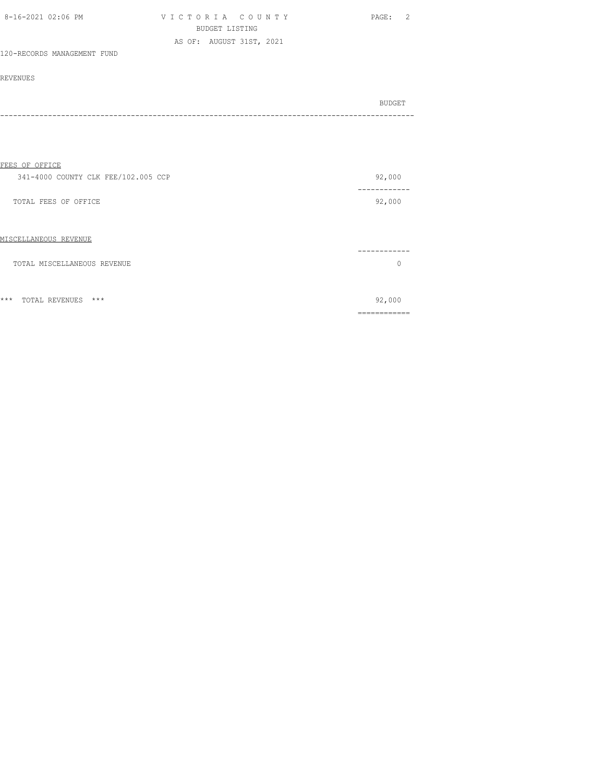| 8-16-2021 02:06 PM          | VICTORIA COUNTY          | PAGE: |
|-----------------------------|--------------------------|-------|
|                             | BUDGET LISTING           |       |
|                             | AS OF: AUGUST 31ST, 2021 |       |
| 120-RECORDS MANAGEMENT FUND |                          |       |

| BUDGET |
|--------|
|        |

| FEES OF OFFICE                      |           |
|-------------------------------------|-----------|
| 341-4000 COUNTY CLK FEE/102.005 CCP | 92,000    |
| TOTAL FEES OF OFFICE                | 92,000    |
| MISCELLANEOUS REVENUE               |           |
| TOTAL MISCELLANEOUS REVENUE         | $\bigcap$ |
| $***$<br>$***$<br>TOTAL REVENUES    | 92,000    |

============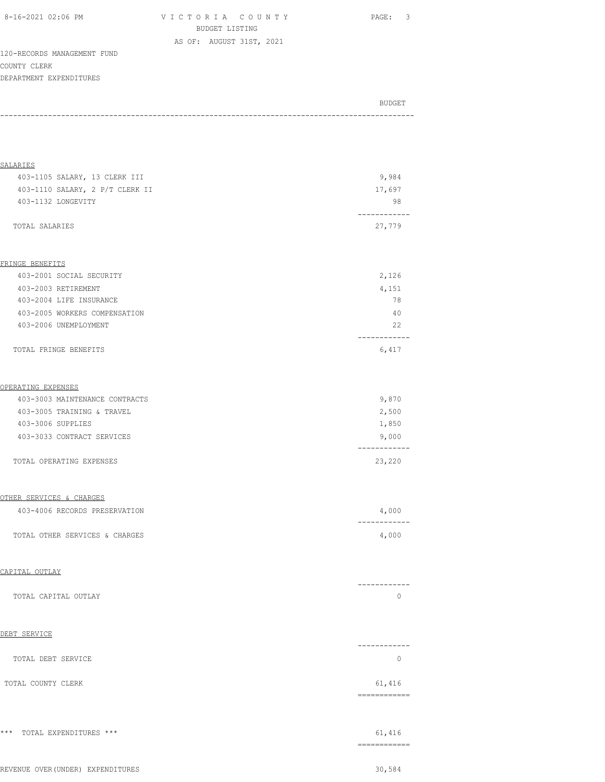| 8-16-2021 02:06 PM |
|--------------------|
|--------------------|

V I C T O R I A C O U N T Y PAGE: 3 BUDGET LISTING AS OF: AUGUST 31ST, 2021

120-RECORDS MANAGEMENT FUND COUNTY CLERK DEPARTMENT EXPENDITURES

| BUDGET |
|--------|
|        |

| SALARIES                          |                         |
|-----------------------------------|-------------------------|
| 403-1105 SALARY, 13 CLERK III     | 9,984                   |
| 403-1110 SALARY, 2 P/T CLERK II   | 17,697                  |
| 403-1132 LONGEVITY                | 98                      |
| TOTAL SALARIES                    | 27,779                  |
| FRINGE BENEFITS                   |                         |
| 403-2001 SOCIAL SECURITY          | 2,126                   |
| 403-2003 RETIREMENT               | 4,151                   |
| 403-2004 LIFE INSURANCE           | 78                      |
| 403-2005 WORKERS COMPENSATION     | 40                      |
| 403-2006 UNEMPLOYMENT             | 22<br>-----------       |
| TOTAL FRINGE BENEFITS             | 6,417                   |
| OPERATING EXPENSES                |                         |
| 403-3003 MAINTENANCE CONTRACTS    | 9,870                   |
| 403-3005 TRAINING & TRAVEL        | 2,500                   |
| 403-3006 SUPPLIES                 | 1,850                   |
| 403-3033 CONTRACT SERVICES        | 9,000                   |
| TOTAL OPERATING EXPENSES          | 23,220                  |
| OTHER SERVICES & CHARGES          |                         |
| 403-4006 RECORDS PRESERVATION     | 4,000                   |
| TOTAL OTHER SERVICES & CHARGES    | 4,000                   |
| CAPITAL OUTLAY                    |                         |
| TOTAL CAPITAL OUTLAY              | -------<br>0            |
| DEBT SERVICE                      |                         |
| TOTAL DEBT SERVICE                | ------------<br>$\circ$ |
| TOTAL COUNTY CLERK                | 61,416<br>------------  |
| *** TOTAL EXPENDITURES ***        | 61,416                  |
|                                   | ------------            |
| REVENUE OVER (UNDER) EXPENDITURES | 30,584                  |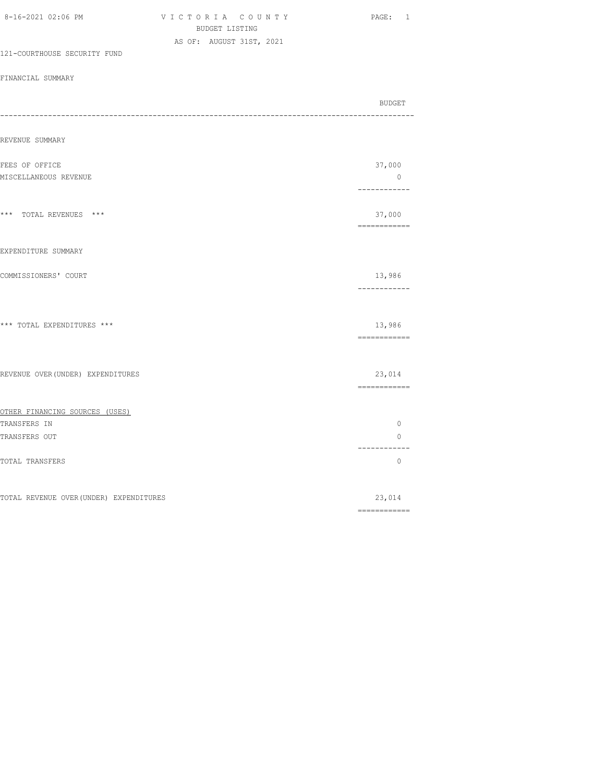| <b>BUDGET LISTING</b>                                 |                                |
|-------------------------------------------------------|--------------------------------|
| AS OF: AUGUST 31ST, 2021                              |                                |
| 121-COURTHOUSE SECURITY FUND                          |                                |
| FINANCIAL SUMMARY                                     |                                |
|                                                       | BUDGET                         |
| ---------------------------------<br>---------------- |                                |
| REVENUE SUMMARY                                       |                                |
| FEES OF OFFICE                                        | 37,000                         |
| MISCELLANEOUS REVENUE                                 | $\overline{0}$<br>------------ |
| *** TOTAL REVENUES ***                                | 37,000<br>-------------        |
| EXPENDITURE SUMMARY                                   |                                |
| COMMISSIONERS' COURT                                  | 13,986<br>------------         |
| *** TOTAL EXPENDITURES ***                            | 13,986<br>============         |
| REVENUE OVER (UNDER) EXPENDITURES                     | 23,014<br>============         |
| OTHER FINANCING SOURCES (USES)                        |                                |
| TRANSFERS IN                                          | $\circ$                        |
| TRANSFERS OUT                                         | 0                              |
| TOTAL TRANSFERS                                       | . <u>.</u> .<br>$\circ$        |
| TOTAL REVENUE OVER (UNDER) EXPENDITURES               | 23,014                         |
|                                                       |                                |

8-16-2021 02:06 PM V I C T O R I A C O U N T Y PAGE: 1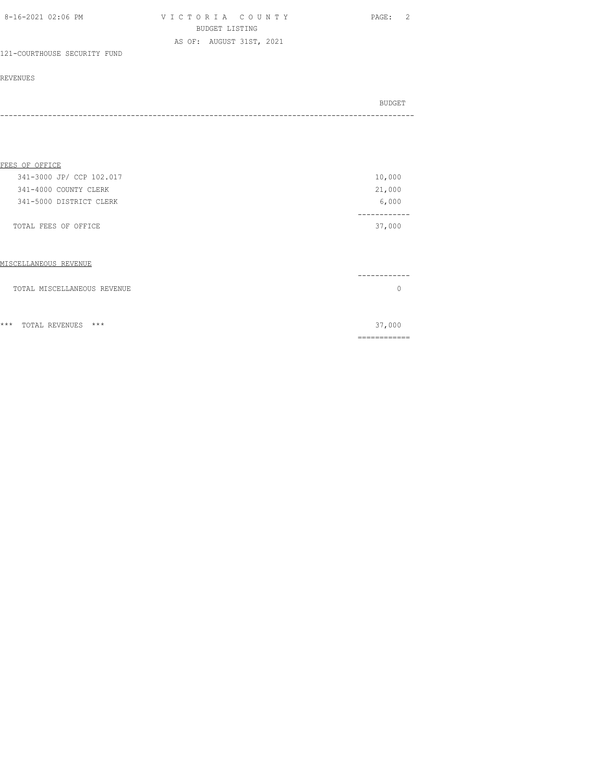| 8-16-2021 02:06 PM | VICTORIA COUNTY          | PAGE: |
|--------------------|--------------------------|-------|
|                    | BUDGET LISTING           |       |
|                    | AS OF: AUGUST 31ST, 2021 |       |

## 121-COURTHOUSE SECURITY FUND

#### REVENUES

| BUDGET |
|--------|
|        |

| FEES OF OFFICE           |        |
|--------------------------|--------|
| 341-3000 JP/ CCP 102.017 | 10,000 |
| 341-4000 COUNTY CLERK    | 21,000 |
| 341-5000 DISTRICT CLERK  | 6,000  |
|                          |        |
| TOTAL FEES OF OFFICE     | 37,000 |
|                          |        |
|                          |        |
|                          |        |

| MISCELLANEOUS REVENUE          |        |
|--------------------------------|--------|
|                                |        |
| TOTAL MISCELLANEOUS REVENUE    |        |
|                                |        |
|                                |        |
| $***$<br>***<br>TOTAL REVENUES | 37,000 |
|                                |        |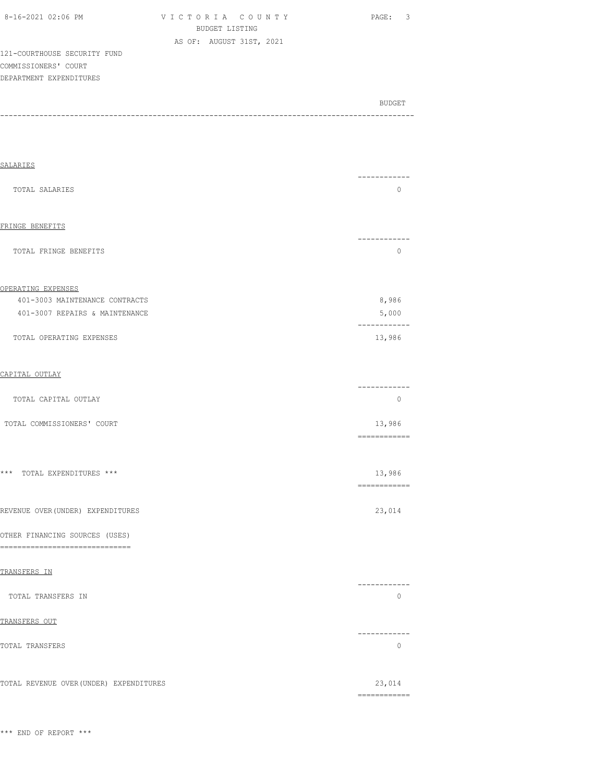| 8-16-2021 02:06 PM |  |
|--------------------|--|

VICTORIA COUNTY PAGE: 3 BUDGET LISTING AS OF: AUGUST 31ST, 2021

BUDGET AND RESERVE AND RESERVE AND RESERVE AND RESERVE AND RESERVE AND RESERVE AND RESERVE AND RESERVE AND RESERVE AND RESERVE AND RESERVE AND RESERVE AND RESERVE AND RESERVE AND RESPONDING A REPORT OF A REPORT OF A REPORT -----------------------------------------------------------------------------------------------

121-COURTHOUSE SECURITY FUND COMMISSIONERS' COURT DEPARTMENT EXPENDITURES

SALARIES ------------ TOTAL SALARIES 0 FRINGE BENEFITS ------------ TOTAL FRINGE BENEFITS 0 OPERATING EXPENSES 401-3003 MAINTENANCE CONTRACTS 8,986 401-3007 REPAIRS & MAINTENANCE 5,000 ------------ TOTAL OPERATING EXPENSES 13,986 CAPITAL OUTLAY ------------ TOTAL CAPITAL OUTLAY 0 TOTAL COMMISSIONERS' COURT COURT COURT COURT COMMISSIONERS' COURT COURT COMMISSIONERS' COURT ============ \*\*\* TOTAL EXPENDITURES \*\*\* 13,986 ============ REVENUE OVER(UNDER) EXPENDITURES 23,014

OTHER FINANCING SOURCES (USES)

==============================

TRANSFERS IN ------------ TOTAL TRANSFERS IN 0 TRANSFERS OUT ------------ TOTAL TRANSFERS **0** 

TOTAL REVENUE OVER(UNDER) EXPENDITURES 23,014 ============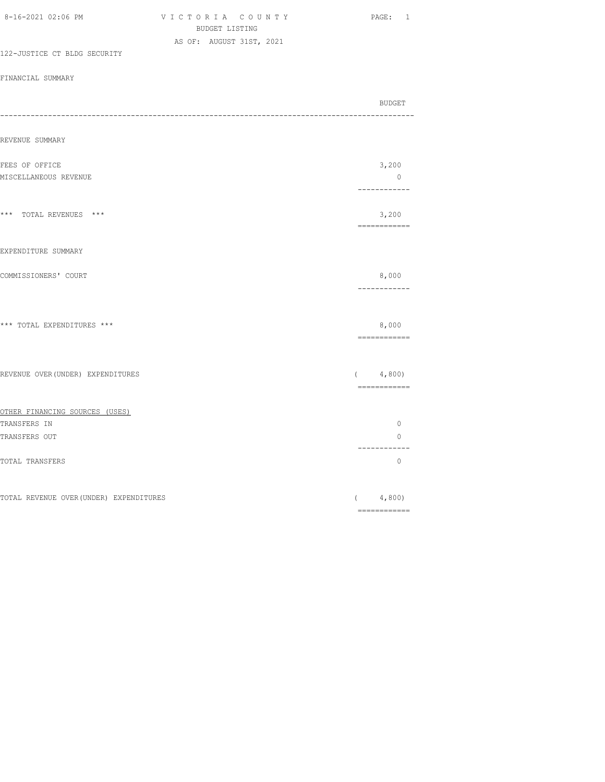| 8-16-2021 02:06 PM                                                         | VICTORIA COUNTY<br>BUDGET LISTING | PAGE: 1                                                                                                                                                                                                                                                                                                                                                                                                                                                                                         |
|----------------------------------------------------------------------------|-----------------------------------|-------------------------------------------------------------------------------------------------------------------------------------------------------------------------------------------------------------------------------------------------------------------------------------------------------------------------------------------------------------------------------------------------------------------------------------------------------------------------------------------------|
|                                                                            | AS OF: AUGUST 31ST, 2021          |                                                                                                                                                                                                                                                                                                                                                                                                                                                                                                 |
| 122-JUSTICE CT BLDG SECURITY                                               |                                   |                                                                                                                                                                                                                                                                                                                                                                                                                                                                                                 |
| FINANCIAL SUMMARY                                                          |                                   |                                                                                                                                                                                                                                                                                                                                                                                                                                                                                                 |
|                                                                            |                                   | BUDGET<br>---------------------------                                                                                                                                                                                                                                                                                                                                                                                                                                                           |
| REVENUE SUMMARY                                                            |                                   |                                                                                                                                                                                                                                                                                                                                                                                                                                                                                                 |
| FEES OF OFFICE                                                             |                                   | 3,200                                                                                                                                                                                                                                                                                                                                                                                                                                                                                           |
| MISCELLANEOUS REVENUE                                                      |                                   | $\circ$<br>------------                                                                                                                                                                                                                                                                                                                                                                                                                                                                         |
| $^{\star\;\star\;\star}$ $\;$ TOTAL REVENUES $\;$ $^{\star\;\star\;\star}$ |                                   | 3,200<br>$\begin{array}{cccccccccc} \multicolumn{2}{c}{} & \multicolumn{2}{c}{} & \multicolumn{2}{c}{} & \multicolumn{2}{c}{} & \multicolumn{2}{c}{} & \multicolumn{2}{c}{} & \multicolumn{2}{c}{} & \multicolumn{2}{c}{} & \multicolumn{2}{c}{} & \multicolumn{2}{c}{} & \multicolumn{2}{c}{} & \multicolumn{2}{c}{} & \multicolumn{2}{c}{} & \multicolumn{2}{c}{} & \multicolumn{2}{c}{} & \multicolumn{2}{c}{} & \multicolumn{2}{c}{} & \multicolumn{2}{c}{} & \multicolumn{2}{c}{} & \mult$ |
| EXPENDITURE SUMMARY                                                        |                                   |                                                                                                                                                                                                                                                                                                                                                                                                                                                                                                 |
| COMMISSIONERS' COURT                                                       |                                   | 8,000<br>------------                                                                                                                                                                                                                                                                                                                                                                                                                                                                           |
| *** TOTAL EXPENDITURES ***                                                 |                                   | 8,000<br>$\begin{array}{cccccccccc} \multicolumn{2}{c}{} & \multicolumn{2}{c}{} & \multicolumn{2}{c}{} & \multicolumn{2}{c}{} & \multicolumn{2}{c}{} & \multicolumn{2}{c}{} & \multicolumn{2}{c}{} & \multicolumn{2}{c}{} & \multicolumn{2}{c}{} & \multicolumn{2}{c}{} & \multicolumn{2}{c}{} & \multicolumn{2}{c}{} & \multicolumn{2}{c}{} & \multicolumn{2}{c}{} & \multicolumn{2}{c}{} & \multicolumn{2}{c}{} & \multicolumn{2}{c}{} & \multicolumn{2}{c}{} & \multicolumn{2}{c}{} & \mult$ |
| REVENUE OVER (UNDER) EXPENDITURES                                          |                                   | (4, 800)                                                                                                                                                                                                                                                                                                                                                                                                                                                                                        |
|                                                                            |                                   | $\begin{minipage}{0.99\linewidth} \begin{tabular}{l} \multicolumn{2}{l}{} & \multicolumn{2}{l}{} & \multicolumn{2}{l}{} \\ \multicolumn{2}{l}{} & \multicolumn{2}{l}{} & \multicolumn{2}{l}{} \\ \multicolumn{2}{l}{} & \multicolumn{2}{l}{} & \multicolumn{2}{l}{} \\ \multicolumn{2}{l}{} & \multicolumn{2}{l}{} & \multicolumn{2}{l}{} \\ \multicolumn{2}{l}{} & \multicolumn{2}{l}{} & \multicolumn{2}{l}{} \\ \multicolumn{2}{l}{} & \multicolumn{2}{l}{} & \multicolumn{2}{l}{} \\$       |
| OTHER FINANCING SOURCES (USES)<br>TRANSFERS IN                             |                                   | $\circ$                                                                                                                                                                                                                                                                                                                                                                                                                                                                                         |
| TRANSFERS OUT                                                              |                                   | 0                                                                                                                                                                                                                                                                                                                                                                                                                                                                                               |
| TOTAL TRANSFERS                                                            |                                   | ------------<br>$\circ$                                                                                                                                                                                                                                                                                                                                                                                                                                                                         |
| TOTAL REVENUE OVER (UNDER) EXPENDITURES                                    |                                   | (4, 800)                                                                                                                                                                                                                                                                                                                                                                                                                                                                                        |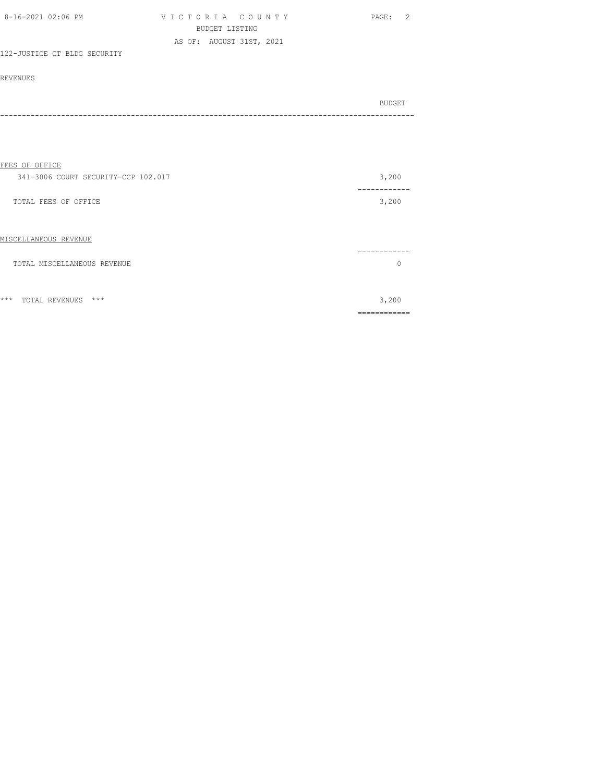| 8-16-2021 02:06 PM           | VICTORIA COUNTY          | PAGE: |
|------------------------------|--------------------------|-------|
|                              | BUDGET LISTING           |       |
|                              | AS OF: AUGUST 31ST, 2021 |       |
| 122-JUSTICE CT BLDG SECURITY |                          |       |

| BUDGET |
|--------|
|        |

## FEES OF OFFICE

| 341-3006 COURT SECURITY-CCP 102.017 | 3,200                  |
|-------------------------------------|------------------------|
| TOTAL FEES OF OFFICE                | 3,200                  |
| MISCELLANEOUS REVENUE               | -------                |
| TOTAL MISCELLANEOUS REVENUE         |                        |
| ***<br>$***$<br>TOTAL REVENUES      | 3,200                  |
|                                     | ------------<br>------ |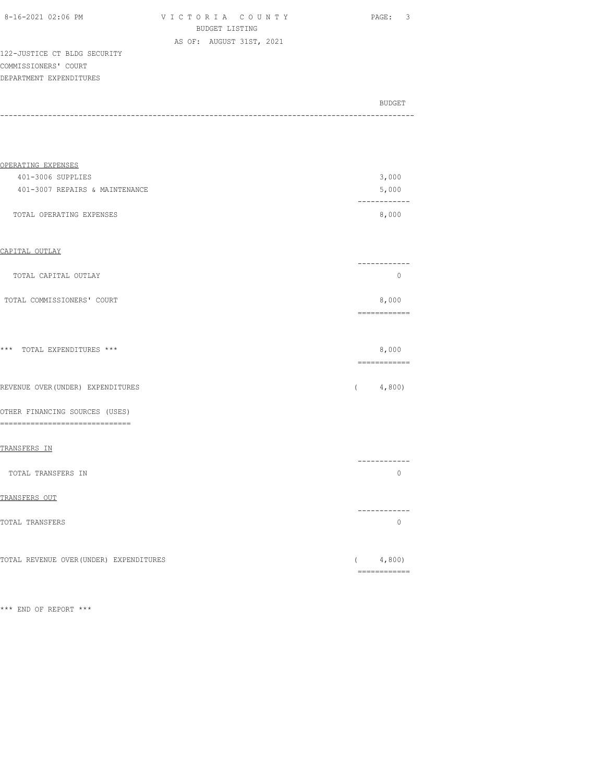| 8-16-2021 02:06 PM |  |
|--------------------|--|
|                    |  |

V I C T O R I A C O U N T Y PAGE: 3 BUDGET LISTING AS OF: AUGUST 31ST, 2021

122-JUSTICE CT BLDG SECURITY COMMISSIONERS' COURT DEPARTMENT EXPENDITURES

| BUDGET |
|--------|
|        |

| OPERATING EXPENSES             |       |
|--------------------------------|-------|
| 401-3006 SUPPLIES              | 3,000 |
| 401-3007 REPAIRS & MAINTENANCE | 5,000 |
|                                |       |
| TOTAL OPERATING EXPENSES       | 8,000 |

## CAPITAL OUTLAY

|                            | _____ |
|----------------------------|-------|
| TOTAL CAPITAL OUTLAY       |       |
| TOTAL COMMISSIONERS' COURT | 8,000 |
|                            |       |

| *** TOTAL EXPENDITURES *** |  | 8,000 |
|----------------------------|--|-------|
|                            |  |       |
|                            |  |       |

|  | REVENUE OVER (UNDER) EXPENDITURES | (4,800) |
|--|-----------------------------------|---------|
|  |                                   |         |

## OTHER FINANCING SOURCES (USES) ==============================

#### TRANSFERS IN

|                    | ------       |
|--------------------|--------------|
| TOTAL TRANSFERS IN |              |
| TRANSFERS OUT      |              |
|                    | ------------ |

| TOTAL TRANSFERS |  |
|-----------------|--|
|                 |  |
|                 |  |

|  | TOTAL REVENUE OVER(UNDER) EXPENDITURES | 4.800 |
|--|----------------------------------------|-------|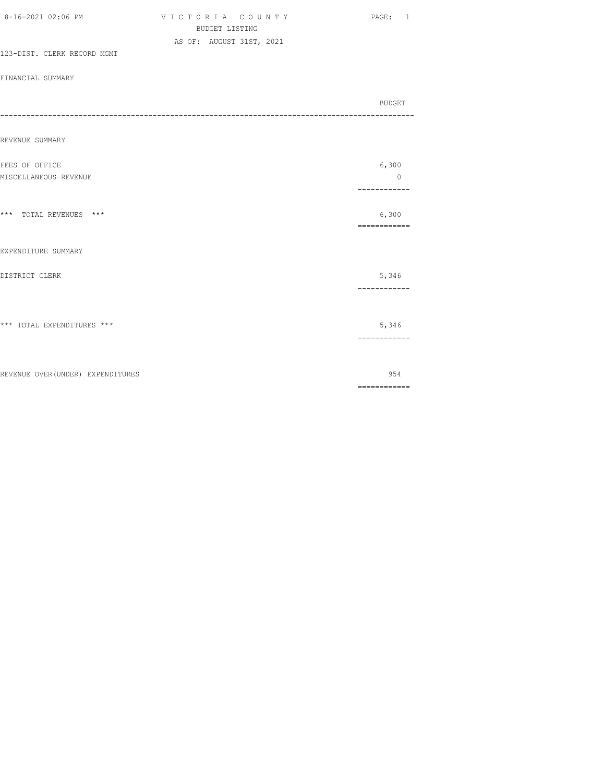|                                   | <b>BUDGET LISTING</b>    |                                                                                                                                                                                                                                                                                                                                                                                                                                                                                        |
|-----------------------------------|--------------------------|----------------------------------------------------------------------------------------------------------------------------------------------------------------------------------------------------------------------------------------------------------------------------------------------------------------------------------------------------------------------------------------------------------------------------------------------------------------------------------------|
|                                   | AS OF: AUGUST 31ST, 2021 |                                                                                                                                                                                                                                                                                                                                                                                                                                                                                        |
| 123-DIST. CLERK RECORD MGMT       |                          |                                                                                                                                                                                                                                                                                                                                                                                                                                                                                        |
| FINANCIAL SUMMARY                 |                          |                                                                                                                                                                                                                                                                                                                                                                                                                                                                                        |
|                                   |                          | BUDGET                                                                                                                                                                                                                                                                                                                                                                                                                                                                                 |
|                                   |                          |                                                                                                                                                                                                                                                                                                                                                                                                                                                                                        |
|                                   |                          |                                                                                                                                                                                                                                                                                                                                                                                                                                                                                        |
| REVENUE SUMMARY                   |                          |                                                                                                                                                                                                                                                                                                                                                                                                                                                                                        |
| FEES OF OFFICE                    |                          | 6,300                                                                                                                                                                                                                                                                                                                                                                                                                                                                                  |
| MISCELLANEOUS REVENUE             |                          | $\circ$                                                                                                                                                                                                                                                                                                                                                                                                                                                                                |
|                                   |                          | ------------                                                                                                                                                                                                                                                                                                                                                                                                                                                                           |
| *** TOTAL REVENUES ***            |                          | 6,300                                                                                                                                                                                                                                                                                                                                                                                                                                                                                  |
|                                   |                          | ------------                                                                                                                                                                                                                                                                                                                                                                                                                                                                           |
|                                   |                          |                                                                                                                                                                                                                                                                                                                                                                                                                                                                                        |
| EXPENDITURE SUMMARY               |                          |                                                                                                                                                                                                                                                                                                                                                                                                                                                                                        |
| DISTRICT CLERK                    |                          | 5,346                                                                                                                                                                                                                                                                                                                                                                                                                                                                                  |
|                                   |                          | ------------                                                                                                                                                                                                                                                                                                                                                                                                                                                                           |
|                                   |                          |                                                                                                                                                                                                                                                                                                                                                                                                                                                                                        |
| *** TOTAL EXPENDITURES ***        |                          | 5,346                                                                                                                                                                                                                                                                                                                                                                                                                                                                                  |
|                                   |                          | ============                                                                                                                                                                                                                                                                                                                                                                                                                                                                           |
|                                   |                          |                                                                                                                                                                                                                                                                                                                                                                                                                                                                                        |
| REVENUE OVER (UNDER) EXPENDITURES |                          | 954                                                                                                                                                                                                                                                                                                                                                                                                                                                                                    |
|                                   |                          | $\begin{array}{cccccccccc} \multicolumn{2}{c}{} & \multicolumn{2}{c}{} & \multicolumn{2}{c}{} & \multicolumn{2}{c}{} & \multicolumn{2}{c}{} & \multicolumn{2}{c}{} & \multicolumn{2}{c}{} & \multicolumn{2}{c}{} & \multicolumn{2}{c}{} & \multicolumn{2}{c}{} & \multicolumn{2}{c}{} & \multicolumn{2}{c}{} & \multicolumn{2}{c}{} & \multicolumn{2}{c}{} & \multicolumn{2}{c}{} & \multicolumn{2}{c}{} & \multicolumn{2}{c}{} & \multicolumn{2}{c}{} & \multicolumn{2}{c}{} & \mult$ |

8-16-2021 02:06 PM V I C T O R I A C O U N T Y PAGE: 1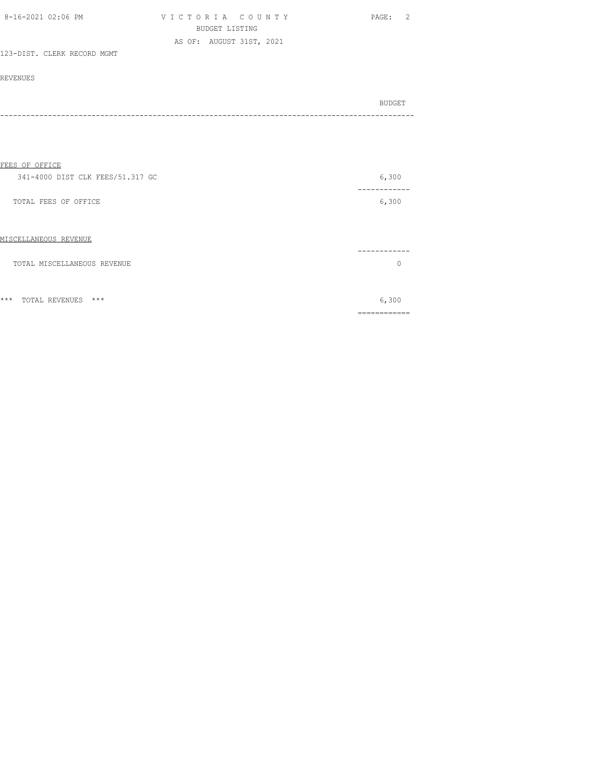| 8-16-2021 02:06 PM          | VICTORIA COUNTY          | PAGE: |  |
|-----------------------------|--------------------------|-------|--|
|                             | BUDGET LISTING           |       |  |
|                             | AS OF: AUGUST 31ST, 2021 |       |  |
| 123-DIST. CLERK RECORD MGMT |                          |       |  |

| <b>BUDGET</b> |
|---------------|
|               |

| FEES OF OFFICE                   |       |
|----------------------------------|-------|
| 341-4000 DIST CLK FEES/51.317 GC | 6,300 |
| TOTAL FEES OF OFFICE             | 6,300 |
| MISCELLANEOUS REVENUE            |       |
| TOTAL MISCELLANEOUS REVENUE      |       |
|                                  |       |
| $***$<br>$***$<br>TOTAL REVENUES | 6,300 |
|                                  |       |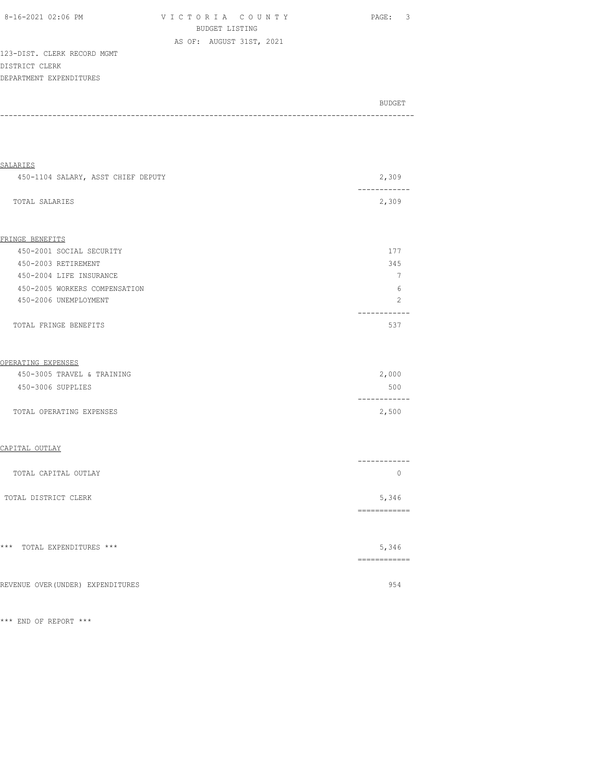| 8-16-2021 02:06 PM          | VICTORIA COUNTY          | $\overline{\mathbf{3}}$<br>PAGE: |
|-----------------------------|--------------------------|----------------------------------|
|                             | BUDGET LISTING           |                                  |
|                             | AS OF: AUGUST 31ST, 2021 |                                  |
| 123-DIST. CLERK RECORD MGMT |                          |                                  |
| DISTRICT CLERK              |                          |                                  |
| DEPARTMENT EXPENDITURES     |                          |                                  |
|                             |                          |                                  |
|                             |                          | BUDGET                           |
|                             |                          |                                  |

-----------------------------------------------------------------------------------------------

| <b>SALARIES</b>                    |                                                                                                                                                                                                                                                                                                                                                                                                                                                                                                                 |
|------------------------------------|-----------------------------------------------------------------------------------------------------------------------------------------------------------------------------------------------------------------------------------------------------------------------------------------------------------------------------------------------------------------------------------------------------------------------------------------------------------------------------------------------------------------|
| 450-1104 SALARY, ASST CHIEF DEPUTY | 2,309                                                                                                                                                                                                                                                                                                                                                                                                                                                                                                           |
| TOTAL SALARIES                     | 2,309                                                                                                                                                                                                                                                                                                                                                                                                                                                                                                           |
|                                    |                                                                                                                                                                                                                                                                                                                                                                                                                                                                                                                 |
| FRINGE BENEFITS                    |                                                                                                                                                                                                                                                                                                                                                                                                                                                                                                                 |
| 450-2001 SOCIAL SECURITY           | 177                                                                                                                                                                                                                                                                                                                                                                                                                                                                                                             |
| 450-2003 RETIREMENT                | 345                                                                                                                                                                                                                                                                                                                                                                                                                                                                                                             |
| 450-2004 LIFE INSURANCE            | $\overline{7}$                                                                                                                                                                                                                                                                                                                                                                                                                                                                                                  |
| 450-2005 WORKERS COMPENSATION      | 6                                                                                                                                                                                                                                                                                                                                                                                                                                                                                                               |
| 450-2006 UNEMPLOYMENT              | 2                                                                                                                                                                                                                                                                                                                                                                                                                                                                                                               |
| TOTAL FRINGE BENEFITS              | -----<br>537                                                                                                                                                                                                                                                                                                                                                                                                                                                                                                    |
| OPERATING EXPENSES                 |                                                                                                                                                                                                                                                                                                                                                                                                                                                                                                                 |
| 450-3005 TRAVEL & TRAINING         | 2,000                                                                                                                                                                                                                                                                                                                                                                                                                                                                                                           |
| 450-3006 SUPPLIES                  | 500<br>------------                                                                                                                                                                                                                                                                                                                                                                                                                                                                                             |
| TOTAL OPERATING EXPENSES           | 2,500                                                                                                                                                                                                                                                                                                                                                                                                                                                                                                           |
| CAPITAL OUTLAY                     |                                                                                                                                                                                                                                                                                                                                                                                                                                                                                                                 |
| TOTAL CAPITAL OUTLAY               | ------------<br>$\circ$                                                                                                                                                                                                                                                                                                                                                                                                                                                                                         |
| TOTAL DISTRICT CLERK               | 5,346                                                                                                                                                                                                                                                                                                                                                                                                                                                                                                           |
| *** TOTAL EXPENDITURES ***         | ============<br>5,346<br>$\begin{array}{cccccccccc} \multicolumn{2}{c}{} & \multicolumn{2}{c}{} & \multicolumn{2}{c}{} & \multicolumn{2}{c}{} & \multicolumn{2}{c}{} & \multicolumn{2}{c}{} & \multicolumn{2}{c}{} & \multicolumn{2}{c}{} & \multicolumn{2}{c}{} & \multicolumn{2}{c}{} & \multicolumn{2}{c}{} & \multicolumn{2}{c}{} & \multicolumn{2}{c}{} & \multicolumn{2}{c}{} & \multicolumn{2}{c}{} & \multicolumn{2}{c}{} & \multicolumn{2}{c}{} & \multicolumn{2}{c}{} & \multicolumn{2}{c}{} & \mult$ |
| REVENUE OVER (UNDER) EXPENDITURES  | 954                                                                                                                                                                                                                                                                                                                                                                                                                                                                                                             |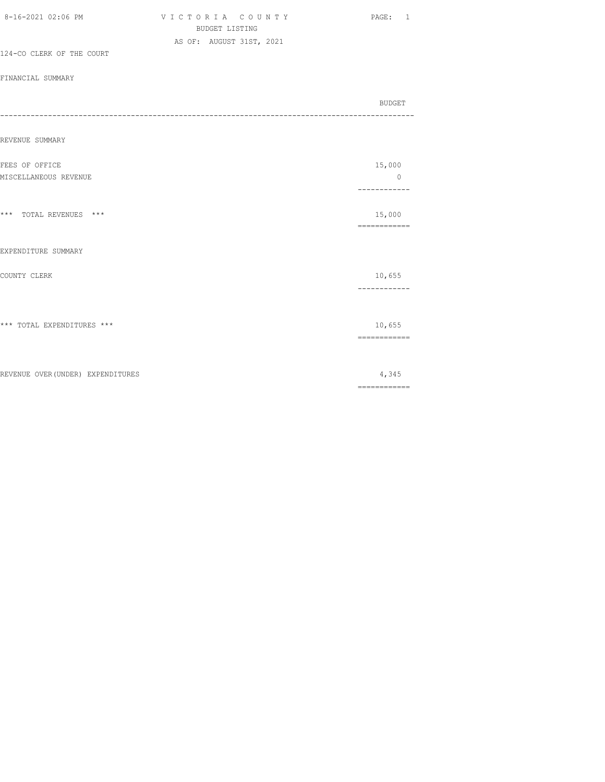|                                   | <b>BUDGET LISTING</b>    |  |                        |
|-----------------------------------|--------------------------|--|------------------------|
|                                   | AS OF: AUGUST 31ST, 2021 |  |                        |
| 124-CO CLERK OF THE COURT         |                          |  |                        |
| FINANCIAL SUMMARY                 |                          |  |                        |
|                                   |                          |  | BUDGET                 |
|                                   |                          |  |                        |
| REVENUE SUMMARY                   |                          |  |                        |
| FEES OF OFFICE                    |                          |  | 15,000                 |
| MISCELLANEOUS REVENUE             |                          |  | $\circ$<br>----------- |
|                                   |                          |  |                        |
| *** TOTAL REVENUES ***            |                          |  | 15,000<br>============ |
| EXPENDITURE SUMMARY               |                          |  |                        |
|                                   |                          |  |                        |
| COUNTY CLERK                      |                          |  | 10,655                 |
|                                   |                          |  | ------------           |
| *** TOTAL EXPENDITURES ***        |                          |  | 10,655                 |
|                                   |                          |  | ------------           |
|                                   |                          |  |                        |
| REVENUE OVER (UNDER) EXPENDITURES |                          |  | 4,345                  |

8-16-2021 02:06 PM V I C T O R I A C O U N T Y PAGE: 1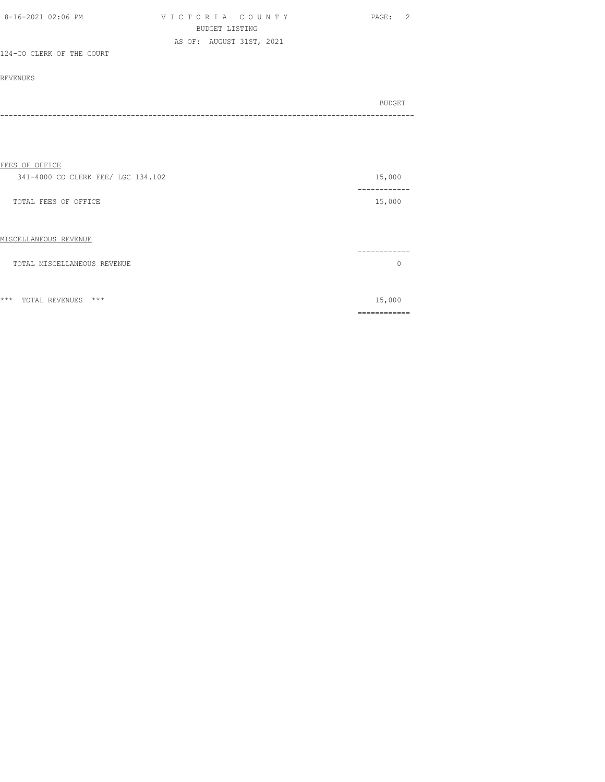| 8-16-2021 02:06 PM        | VICTORIA COUNTY          | PAGE: |
|---------------------------|--------------------------|-------|
|                           | BUDGET LISTING           |       |
|                           | AS OF: AUGUST 31ST, 2021 |       |
| 124-CO CLERK OF THE COURT |                          |       |

| BUDGET |
|--------|
|        |

| FEES OF OFFICE                          |          |
|-----------------------------------------|----------|
| 341-4000 CO CLERK FEE/ LGC 134.102      | 15,000   |
| TOTAL FEES OF OFFICE                    | 15,000   |
| MISCELLANEOUS REVENUE                   |          |
| TOTAL MISCELLANEOUS REVENUE             | $\Omega$ |
| $***$<br>$***$<br><b>TOTAL REVENUES</b> | 15,000   |
|                                         |          |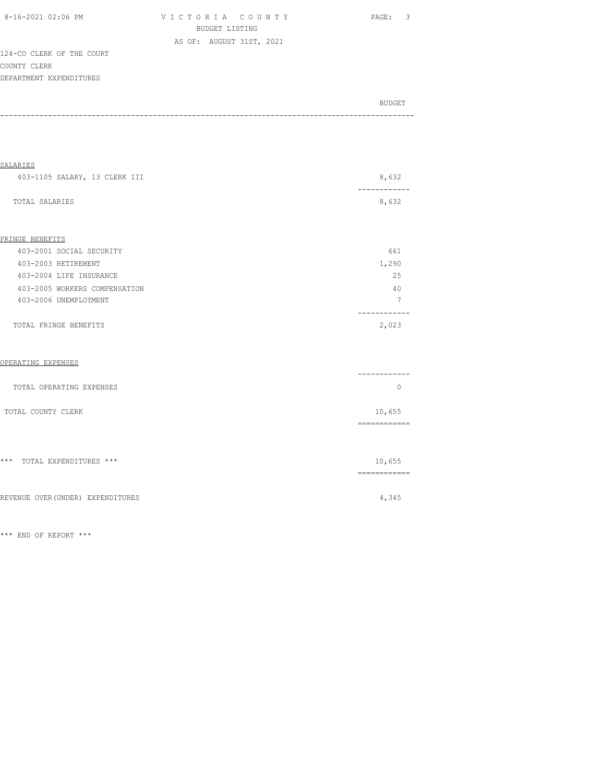| 8-16-2021 02:06 PM        | VICTORIA COUNTY          | - 3<br>PAGE: |
|---------------------------|--------------------------|--------------|
|                           | BUDGET LISTING           |              |
|                           | AS OF: AUGUST 31ST, 2021 |              |
| 124-CO CLERK OF THE COURT |                          |              |

 $124 - CO$ COUNTY CLERK DEPARTMENT EXPENDITURES

| BUDGET |
|--------|
|        |

| 8,632<br>403-1105 SALARY, 13 CLERK III<br>8,632<br>TOTAL SALARIES<br>661<br>403-2001 SOCIAL SECURITY<br>1,290<br>403-2003 RETIREMENT<br>25<br>403-2004 LIFE INSURANCE<br>403-2005 WORKERS COMPENSATION<br>40<br>$7\phantom{.0}$<br>403-2006 UNEMPLOYMENT<br>. <u>.</u> .<br>2,023<br>TOTAL FRINGE BENEFITS<br>--------<br>$\mathbf{0}$<br>TOTAL OPERATING EXPENSES<br>10,655<br>TOTAL COUNTY CLERK<br>10,655<br>-------------<br>4,345 | SALARIES |                                                                                                                                                                                                                                                                                                                                                                                                                                                                                        |
|----------------------------------------------------------------------------------------------------------------------------------------------------------------------------------------------------------------------------------------------------------------------------------------------------------------------------------------------------------------------------------------------------------------------------------------|----------|----------------------------------------------------------------------------------------------------------------------------------------------------------------------------------------------------------------------------------------------------------------------------------------------------------------------------------------------------------------------------------------------------------------------------------------------------------------------------------------|
|                                                                                                                                                                                                                                                                                                                                                                                                                                        |          |                                                                                                                                                                                                                                                                                                                                                                                                                                                                                        |
| FRINGE BENEFITS<br>OPERATING EXPENSES<br>*** TOTAL EXPENDITURES ***<br>REVENUE OVER (UNDER) EXPENDITURES                                                                                                                                                                                                                                                                                                                               |          |                                                                                                                                                                                                                                                                                                                                                                                                                                                                                        |
|                                                                                                                                                                                                                                                                                                                                                                                                                                        |          |                                                                                                                                                                                                                                                                                                                                                                                                                                                                                        |
|                                                                                                                                                                                                                                                                                                                                                                                                                                        |          |                                                                                                                                                                                                                                                                                                                                                                                                                                                                                        |
|                                                                                                                                                                                                                                                                                                                                                                                                                                        |          |                                                                                                                                                                                                                                                                                                                                                                                                                                                                                        |
|                                                                                                                                                                                                                                                                                                                                                                                                                                        |          |                                                                                                                                                                                                                                                                                                                                                                                                                                                                                        |
|                                                                                                                                                                                                                                                                                                                                                                                                                                        |          |                                                                                                                                                                                                                                                                                                                                                                                                                                                                                        |
|                                                                                                                                                                                                                                                                                                                                                                                                                                        |          |                                                                                                                                                                                                                                                                                                                                                                                                                                                                                        |
|                                                                                                                                                                                                                                                                                                                                                                                                                                        |          |                                                                                                                                                                                                                                                                                                                                                                                                                                                                                        |
|                                                                                                                                                                                                                                                                                                                                                                                                                                        |          |                                                                                                                                                                                                                                                                                                                                                                                                                                                                                        |
|                                                                                                                                                                                                                                                                                                                                                                                                                                        |          |                                                                                                                                                                                                                                                                                                                                                                                                                                                                                        |
|                                                                                                                                                                                                                                                                                                                                                                                                                                        |          |                                                                                                                                                                                                                                                                                                                                                                                                                                                                                        |
|                                                                                                                                                                                                                                                                                                                                                                                                                                        |          |                                                                                                                                                                                                                                                                                                                                                                                                                                                                                        |
|                                                                                                                                                                                                                                                                                                                                                                                                                                        |          |                                                                                                                                                                                                                                                                                                                                                                                                                                                                                        |
|                                                                                                                                                                                                                                                                                                                                                                                                                                        |          |                                                                                                                                                                                                                                                                                                                                                                                                                                                                                        |
|                                                                                                                                                                                                                                                                                                                                                                                                                                        |          | $\begin{array}{cccccccccc} \multicolumn{2}{c}{} & \multicolumn{2}{c}{} & \multicolumn{2}{c}{} & \multicolumn{2}{c}{} & \multicolumn{2}{c}{} & \multicolumn{2}{c}{} & \multicolumn{2}{c}{} & \multicolumn{2}{c}{} & \multicolumn{2}{c}{} & \multicolumn{2}{c}{} & \multicolumn{2}{c}{} & \multicolumn{2}{c}{} & \multicolumn{2}{c}{} & \multicolumn{2}{c}{} & \multicolumn{2}{c}{} & \multicolumn{2}{c}{} & \multicolumn{2}{c}{} & \multicolumn{2}{c}{} & \multicolumn{2}{c}{} & \mult$ |
|                                                                                                                                                                                                                                                                                                                                                                                                                                        |          |                                                                                                                                                                                                                                                                                                                                                                                                                                                                                        |
|                                                                                                                                                                                                                                                                                                                                                                                                                                        |          |                                                                                                                                                                                                                                                                                                                                                                                                                                                                                        |
|                                                                                                                                                                                                                                                                                                                                                                                                                                        |          |                                                                                                                                                                                                                                                                                                                                                                                                                                                                                        |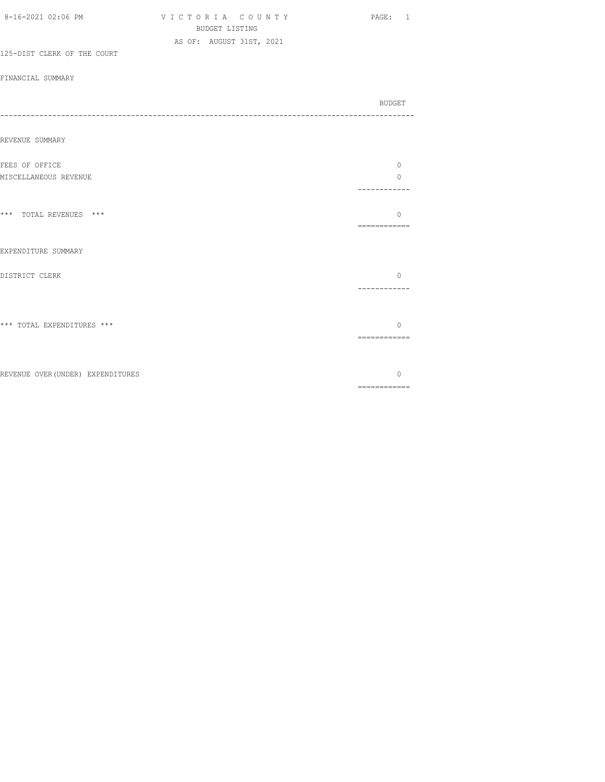| 8-16-2021 02:06 PM                | VICTORIA COUNTY<br>BUDGET LISTING | PAGE: 1                  |
|-----------------------------------|-----------------------------------|--------------------------|
| 125-DIST CLERK OF THE COURT       | AS OF: AUGUST 31ST, 2021          |                          |
| FINANCIAL SUMMARY                 |                                   |                          |
|                                   |                                   | BUDGET                   |
| REVENUE SUMMARY                   |                                   |                          |
| FEES OF OFFICE                    |                                   | $\circ$                  |
| MISCELLANEOUS REVENUE             |                                   | $\Omega$<br>------------ |
| *** TOTAL REVENUES ***            |                                   | $\Omega$<br>============ |
| EXPENDITURE SUMMARY               |                                   |                          |
| DISTRICT CLERK                    |                                   | $\circ$<br>------------  |
| *** TOTAL EXPENDITURES ***        |                                   | $\Omega$                 |
|                                   |                                   | ============             |
| REVENUE OVER (UNDER) EXPENDITURES |                                   | $\circ$                  |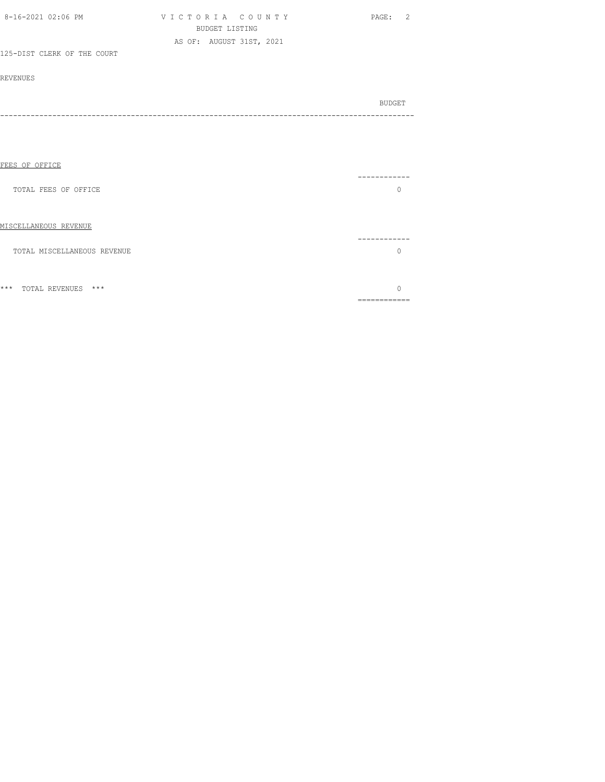| 8-16-2021 02:06 PM          | VICTORIA COUNTY          | PAGE: 2 |
|-----------------------------|--------------------------|---------|
|                             | <b>BUDGET LISTING</b>    |         |
|                             | AS OF: AUGUST 31ST, 2021 |         |
| 125-DIST CLERK OF THE COURT |                          |         |
|                             |                          |         |
| <b>REVENUES</b>             |                          |         |
|                             |                          | BUDGET  |
|                             |                          |         |
|                             |                          |         |
|                             |                          |         |
|                             |                          |         |
| FEES OF OFFICE              |                          |         |
|                             |                          | ------- |
| TOTAL FEES OF OFFICE        |                          | $\circ$ |
|                             |                          |         |
| MISCELLANEOUS REVENUE       |                          |         |
|                             |                          | ------- |
| TOTAL MISCELLANEOUS REVENUE |                          | $\circ$ |

\*\*\* TOTAL REVENUES \*\*\* 0 ============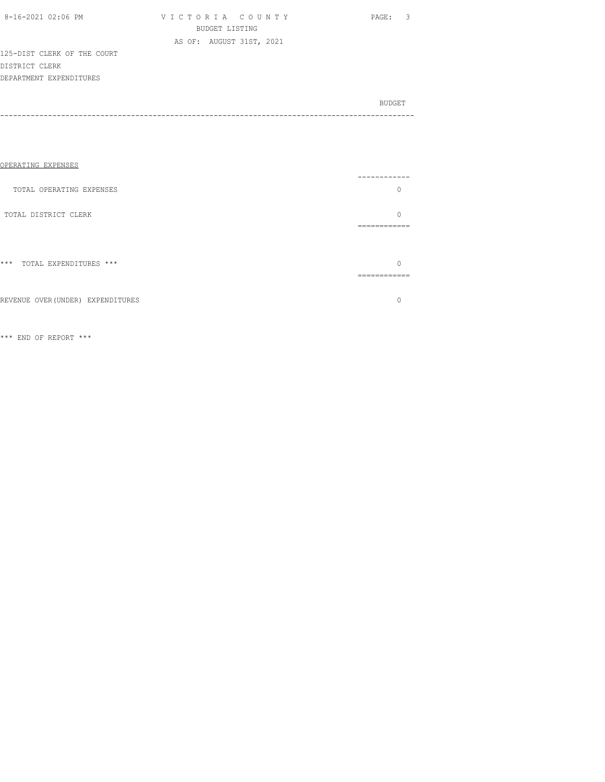| 8-16-2021 02:06 PM |  |
|--------------------|--|
|                    |  |

V I C T O R I A C O U N T Y PAGE: 3 BUDGET LISTING AS OF: AUGUST 31ST, 2021

125-DIST CLERK OF THE COURT DISTRICT CLERK DEPARTMENT EXPENDITURES

BUDGET AND RESERVE AND RESERVE AND RESERVE AND RESERVE AND RESERVE AND RESERVE AND RESERVE AND RESERVE AND RESERVE AND RESERVE AND RESERVE AND RESERVE AND RESERVE AND RESERVE AND RESPONDING A REPORT OF A REPORT OF A REPORT -----------------------------------------------------------------------------------------------

| OPERATING EXPENSES                |       |
|-----------------------------------|-------|
| TOTAL OPERATING EXPENSES          |       |
| TOTAL DISTRICT CLERK              | _____ |
| $***$<br>TOTAL EXPENDITURES ***   |       |
| REVENUE OVER (UNDER) EXPENDITURES |       |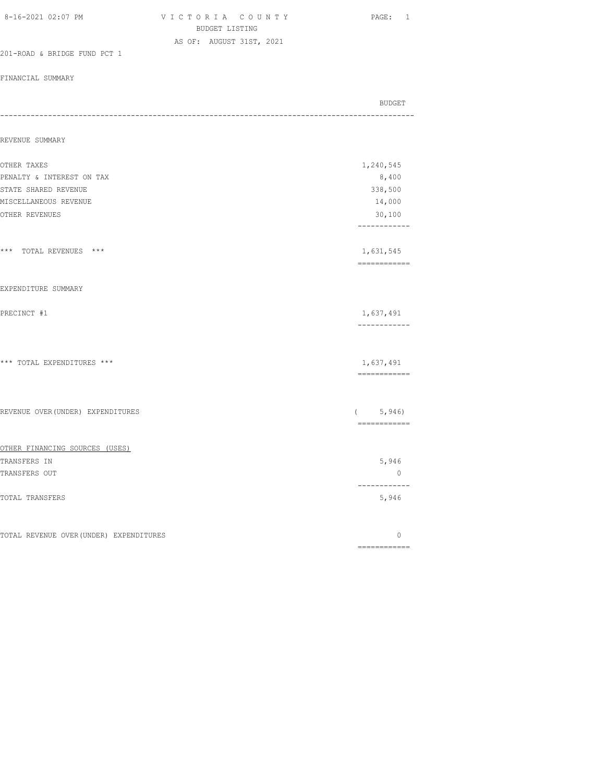| 8-16-2021 02:07 PM                      | VICTORIA COUNTY<br>BUDGET LISTING | PAGE: 1                                                                                                                                                                                                                                                                                                                                                                                                                                                                                             |
|-----------------------------------------|-----------------------------------|-----------------------------------------------------------------------------------------------------------------------------------------------------------------------------------------------------------------------------------------------------------------------------------------------------------------------------------------------------------------------------------------------------------------------------------------------------------------------------------------------------|
|                                         | AS OF: AUGUST 31ST, 2021          |                                                                                                                                                                                                                                                                                                                                                                                                                                                                                                     |
| 201-ROAD & BRIDGE FUND PCT 1            |                                   |                                                                                                                                                                                                                                                                                                                                                                                                                                                                                                     |
| FINANCIAL SUMMARY                       |                                   |                                                                                                                                                                                                                                                                                                                                                                                                                                                                                                     |
|                                         |                                   | <b>BUDGET</b>                                                                                                                                                                                                                                                                                                                                                                                                                                                                                       |
| REVENUE SUMMARY                         |                                   |                                                                                                                                                                                                                                                                                                                                                                                                                                                                                                     |
| OTHER TAXES                             |                                   | 1,240,545                                                                                                                                                                                                                                                                                                                                                                                                                                                                                           |
| PENALTY & INTEREST ON TAX               |                                   | 8,400                                                                                                                                                                                                                                                                                                                                                                                                                                                                                               |
| STATE SHARED REVENUE                    |                                   | 338,500                                                                                                                                                                                                                                                                                                                                                                                                                                                                                             |
| MISCELLANEOUS REVENUE                   |                                   | 14,000                                                                                                                                                                                                                                                                                                                                                                                                                                                                                              |
| OTHER REVENUES                          |                                   | 30,100<br>------------                                                                                                                                                                                                                                                                                                                                                                                                                                                                              |
| *** TOTAL REVENUES ***                  |                                   | 1,631,545<br>$\begin{array}{cccccccccc} \multicolumn{2}{c}{} & \multicolumn{2}{c}{} & \multicolumn{2}{c}{} & \multicolumn{2}{c}{} & \multicolumn{2}{c}{} & \multicolumn{2}{c}{} & \multicolumn{2}{c}{} & \multicolumn{2}{c}{} & \multicolumn{2}{c}{} & \multicolumn{2}{c}{} & \multicolumn{2}{c}{} & \multicolumn{2}{c}{} & \multicolumn{2}{c}{} & \multicolumn{2}{c}{} & \multicolumn{2}{c}{} & \multicolumn{2}{c}{} & \multicolumn{2}{c}{} & \multicolumn{2}{c}{} & \multicolumn{2}{c}{} & \mult$ |
| EXPENDITURE SUMMARY                     |                                   |                                                                                                                                                                                                                                                                                                                                                                                                                                                                                                     |
| PRECINCT #1                             |                                   | 1,637,491<br>------------                                                                                                                                                                                                                                                                                                                                                                                                                                                                           |
| *** TOTAL EXPENDITURES ***              |                                   | 1,637,491                                                                                                                                                                                                                                                                                                                                                                                                                                                                                           |
|                                         |                                   | ============                                                                                                                                                                                                                                                                                                                                                                                                                                                                                        |
| REVENUE OVER (UNDER) EXPENDITURES       |                                   | (5, 946)<br>============                                                                                                                                                                                                                                                                                                                                                                                                                                                                            |
| OTHER FINANCING SOURCES (USES)          |                                   |                                                                                                                                                                                                                                                                                                                                                                                                                                                                                                     |
| TRANSFERS IN                            |                                   | 5,946                                                                                                                                                                                                                                                                                                                                                                                                                                                                                               |
| TRANSFERS OUT                           |                                   | 0<br>------------                                                                                                                                                                                                                                                                                                                                                                                                                                                                                   |
| TOTAL TRANSFERS                         |                                   | 5,946                                                                                                                                                                                                                                                                                                                                                                                                                                                                                               |
| TOTAL REVENUE OVER (UNDER) EXPENDITURES |                                   | $\mathbb O$                                                                                                                                                                                                                                                                                                                                                                                                                                                                                         |
|                                         |                                   | ============                                                                                                                                                                                                                                                                                                                                                                                                                                                                                        |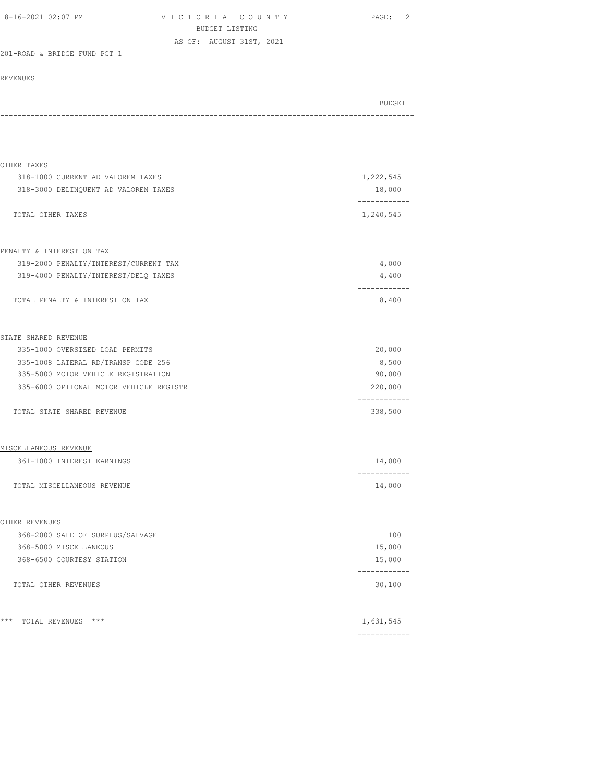| 8-16-2021 02:07 PM | VICTORIA COUNTY          | PAGE: |
|--------------------|--------------------------|-------|
|                    | BUDGET LISTING           |       |
|                    | AS OF: AUGUST 31ST, 2021 |       |

201-ROAD & BRIDGE FUND PCT 1

| BUDGET |
|--------|
|        |
|        |

| OTHER TAXES                             |                         |
|-----------------------------------------|-------------------------|
| 318-1000 CURRENT AD VALOREM TAXES       | 1,222,545               |
| 318-3000 DELINQUENT AD VALOREM TAXES    | 18,000                  |
| TOTAL OTHER TAXES                       | 1,240,545               |
|                                         |                         |
| PENALTY & INTEREST ON TAX               |                         |
| 319-2000 PENALTY/INTEREST/CURRENT TAX   | 4,000                   |
| 319-4000 PENALTY/INTEREST/DELQ TAXES    | 4,400                   |
| TOTAL PENALTY & INTEREST ON TAX         | 8,400                   |
| STATE SHARED REVENUE                    |                         |
| 335-1000 OVERSIZED LOAD PERMITS         | 20,000                  |
| 335-1008 LATERAL RD/TRANSP CODE 256     | 8,500                   |
| 335-5000 MOTOR VEHICLE REGISTRATION     | 90,000                  |
| 335-6000 OPTIONAL MOTOR VEHICLE REGISTR | 220,000                 |
| TOTAL STATE SHARED REVENUE              | ------------<br>338,500 |
| MISCELLANEOUS REVENUE                   |                         |
| 361-1000 INTEREST EARNINGS              | 14,000                  |
| TOTAL MISCELLANEOUS REVENUE             | 14,000                  |
| OTHER REVENUES                          |                         |
| 368-2000 SALE OF SURPLUS/SALVAGE        | 100                     |
| 368-5000 MISCELLANEOUS                  | 15,000                  |
| 368-6500 COURTESY STATION               | 15,000                  |
|                                         |                         |
| TOTAL OTHER REVENUES                    | 30,100                  |
| * * *<br>TOTAL REVENUES ***             | 1,631,545               |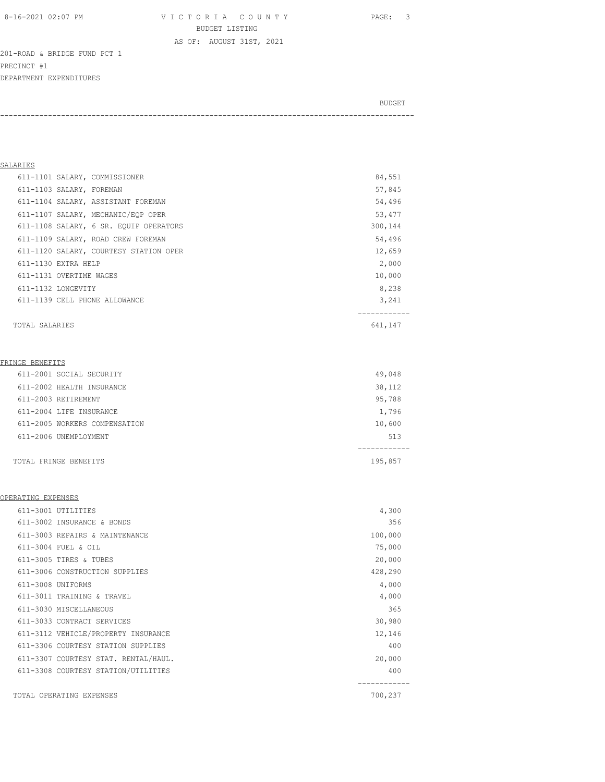8-16-2021 02:07 PM V I C T O R I A C O U N T Y PAGE: 3 BUDGET LISTING

AS OF: AUGUST 31ST, 2021

201-ROAD & BRIDGE FUND PCT 1 PRECINCT #1 DEPARTMENT EXPENDITURES

| BUDGET |
|--------|
|        |

#### SALARIES

| 611-1139 CELL PHONE ALLOWANCE          | 3,241   |
|----------------------------------------|---------|
| 611-1132 LONGEVITY                     | 8,238   |
| 611-1131 OVERTIME WAGES                | 10,000  |
| 611-1130 EXTRA HELP                    | 2,000   |
| 611-1120 SALARY, COURTESY STATION OPER | 12,659  |
| 611-1109 SALARY, ROAD CREW FOREMAN     | 54,496  |
| 611-1108 SALARY, 6 SR. EQUIP OPERATORS | 300,144 |
| 611-1107 SALARY, MECHANIC/EOP OPER     | 53,477  |
| 611-1104 SALARY, ASSISTANT FOREMAN     | 54,496  |
| 611-1103 SALARY, FOREMAN               | 57,845  |
| 611-1101 SALARY, COMMISSIONER          | 84,551  |
|                                        |         |

TOTAL SALARIES 641,147

#### FRINGE BENEFITS

| 611-2001 SOCIAL SECURITY      | 49,048  |
|-------------------------------|---------|
| 611-2002 HEALTH INSURANCE     | 38,112  |
| 611-2003 RETIREMENT           | 95,788  |
| 611-2004 LIFE INSURANCE       | 1,796   |
| 611-2005 WORKERS COMPENSATION | 10,600  |
| 611-2006 UNEMPLOYMENT         | 513     |
|                               |         |
| TOTAL FRINGE BENEFITS         | 195,857 |

#### OPERATING EXPENSES

| 611-3001 UTILITIES                   | 4,300   |
|--------------------------------------|---------|
| 611-3002 INSURANCE & BONDS           | 356     |
| 611-3003 REPAIRS & MAINTENANCE       | 100,000 |
| 611-3004 FUEL & OIL                  | 75,000  |
| 611-3005 TIRES & TUBES               | 20,000  |
| 611-3006 CONSTRUCTION SUPPLIES       | 428,290 |
| 611-3008 UNIFORMS                    | 4,000   |
| 611-3011 TRAINING & TRAVEL           | 4,000   |
| 611-3030 MISCELLANEOUS               | 365     |
| 611-3033 CONTRACT SERVICES           | 30,980  |
| 611-3112 VEHICLE/PROPERTY INSURANCE  | 12,146  |
| 611-3306 COURTESY STATION SUPPLIES   | 400     |
| 611-3307 COURTESY STAT. RENTAL/HAUL. | 20,000  |
| 611-3308 COURTESY STATION/UTILITIES  | 400     |
|                                      |         |
| TOTAL OPERATING EXPENSES             | 700,237 |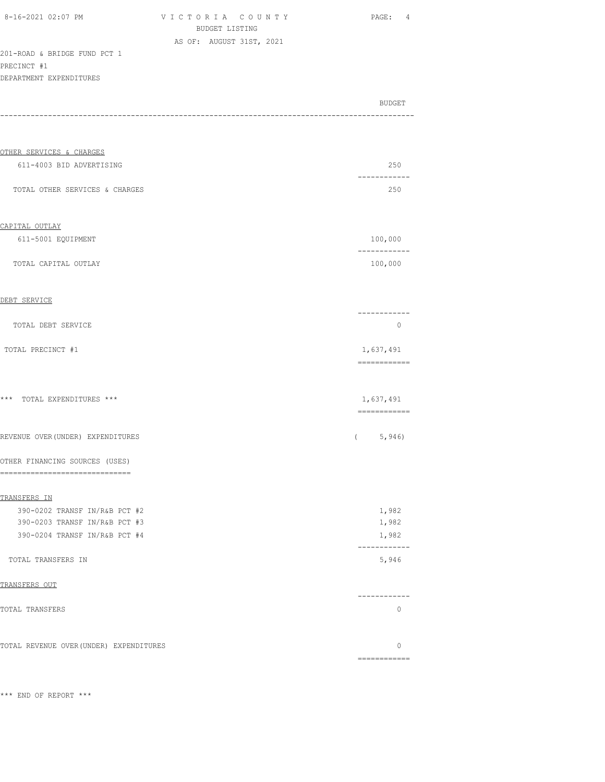VICTORIA COUNTY PAGE: 4 BUDGET LISTING AS OF: AUGUST 31ST, 2021

201-ROAD & BRIDGE FUND PCT 1 PRECINCT #1

| DEPARTMENT EXPENDITURES                                        |                           |
|----------------------------------------------------------------|---------------------------|
|                                                                | BUDGET                    |
|                                                                |                           |
| OTHER SERVICES & CHARGES                                       |                           |
| 611-4003 BID ADVERTISING                                       | 250                       |
| TOTAL OTHER SERVICES & CHARGES                                 | 250                       |
| CAPITAL OUTLAY                                                 |                           |
| 611-5001 EQUIPMENT                                             | 100,000<br>-----------    |
| TOTAL CAPITAL OUTLAY                                           | 100,000                   |
| DEBT SERVICE                                                   |                           |
| TOTAL DEBT SERVICE                                             | . <u>.</u><br>$\circ$     |
| TOTAL PRECINCT #1                                              | 1,637,491<br>============ |
| *** TOTAL EXPENDITURES ***                                     | 1,637,491                 |
| REVENUE OVER (UNDER) EXPENDITURES                              | -------------<br>(5, 946) |
| OTHER FINANCING SOURCES (USES)<br>--------------------         |                           |
| TRANSFERS IN                                                   |                           |
| 390-0202 TRANSF IN/R&B PCT #2                                  | 1,982                     |
| 390-0203 TRANSF IN/R&B PCT #3<br>390-0204 TRANSF IN/R&B PCT #4 | 1,982<br>1,982            |
| TOTAL TRANSFERS IN                                             | 5,946                     |
| TRANSFERS OUT                                                  |                           |
| TOTAL TRANSFERS                                                | -----------<br>0          |
| TOTAL REVENUE OVER (UNDER) EXPENDITURES                        | 0                         |
|                                                                | ============              |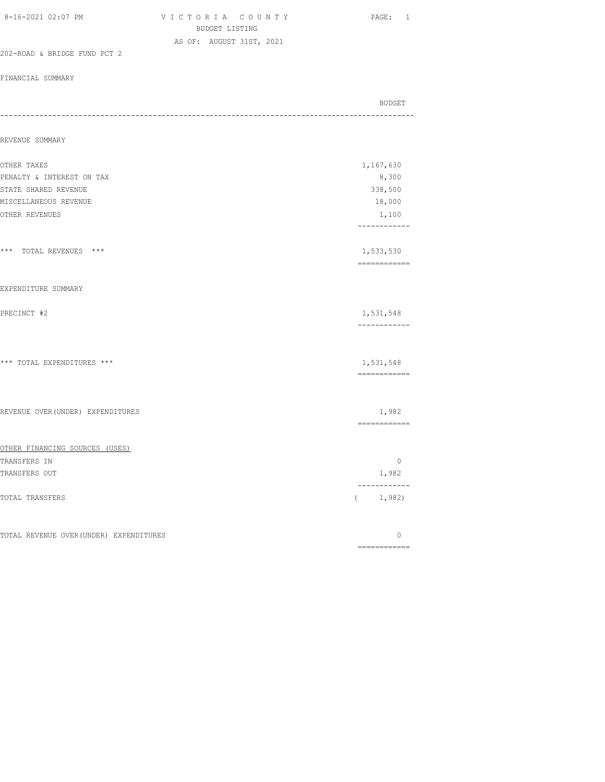| 8-16-2021 02:07 PM                      | VICTORIA COUNTY<br>BUDGET LISTING | PAGE: 1                   |
|-----------------------------------------|-----------------------------------|---------------------------|
|                                         | AS OF: AUGUST 31ST, 2021          |                           |
| 202-ROAD & BRIDGE FUND PCT 2            |                                   |                           |
| FINANCIAL SUMMARY                       |                                   |                           |
|                                         |                                   | <b>BUDGET</b>             |
| REVENUE SUMMARY                         |                                   |                           |
| OTHER TAXES                             |                                   | 1,167,630                 |
| PENALTY & INTEREST ON TAX               |                                   | 8,300                     |
| STATE SHARED REVENUE                    |                                   | 338,500                   |
| MISCELLANEOUS REVENUE                   |                                   | 18,000                    |
| OTHER REVENUES                          |                                   | 1,100<br>------------     |
| *** TOTAL REVENUES ***                  |                                   | 1,533,530                 |
| EXPENDITURE SUMMARY                     |                                   |                           |
| PRECINCT #2                             |                                   | 1,531,548<br>------------ |
| *** TOTAL EXPENDITURES ***              |                                   | 1,531,548<br>============ |
| REVENUE OVER (UNDER) EXPENDITURES       |                                   | 1,982<br>-------------    |
| OTHER FINANCING SOURCES (USES)          |                                   |                           |
| TRANSFERS IN                            |                                   | $\circ$                   |
| TRANSFERS OUT                           |                                   | 1,982                     |
| TOTAL TRANSFERS                         |                                   | ------------<br>(1, 982)  |
| TOTAL REVENUE OVER (UNDER) EXPENDITURES |                                   | 0<br>============         |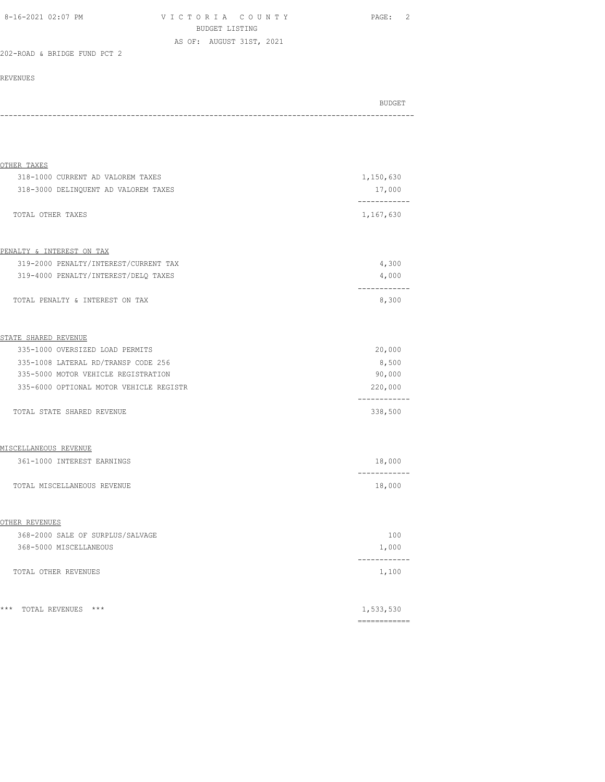| 8-16-2021 02:07 PM | VICTORIA COUNTY          | PAGE: 2 |
|--------------------|--------------------------|---------|
|                    | BUDGET LISTING           |         |
|                    | AS OF: AUGUST 31ST, 2021 |         |

#### 202-ROAD & BRIDGE FUND PCT 2

| BUDGET |
|--------|
|        |
| - - -  |

| OTHER TAXES                             |           |
|-----------------------------------------|-----------|
| 318-1000 CURRENT AD VALOREM TAXES       | 1,150,630 |
| 318-3000 DELINQUENT AD VALOREM TAXES    | 17,000    |
| TOTAL OTHER TAXES                       | 1,167,630 |
|                                         |           |
| PENALTY & INTEREST ON TAX               |           |
| 319-2000 PENALTY/INTEREST/CURRENT TAX   | 4,300     |
| 319-4000 PENALTY/INTEREST/DELQ TAXES    | 4,000     |
| TOTAL PENALTY & INTEREST ON TAX         | 8,300     |
| STATE SHARED REVENUE                    |           |
| 335-1000 OVERSIZED LOAD PERMITS         | 20,000    |
| 335-1008 LATERAL RD/TRANSP CODE 256     | 8,500     |
| 335-5000 MOTOR VEHICLE REGISTRATION     | 90,000    |
| 335-6000 OPTIONAL MOTOR VEHICLE REGISTR | 220,000   |
| TOTAL STATE SHARED REVENUE              | 338,500   |
| MISCELLANEOUS REVENUE                   |           |
| 361-1000 INTEREST EARNINGS              | 18,000    |
| TOTAL MISCELLANEOUS REVENUE             | 18,000    |
| OTHER REVENUES                          |           |
| 368-2000 SALE OF SURPLUS/SALVAGE        | 100       |
| 368-5000 MISCELLANEOUS                  | 1,000     |
| TOTAL OTHER REVENUES                    | 1,100     |
| $***$<br>TOTAL REVENUES ***             | 1,533,530 |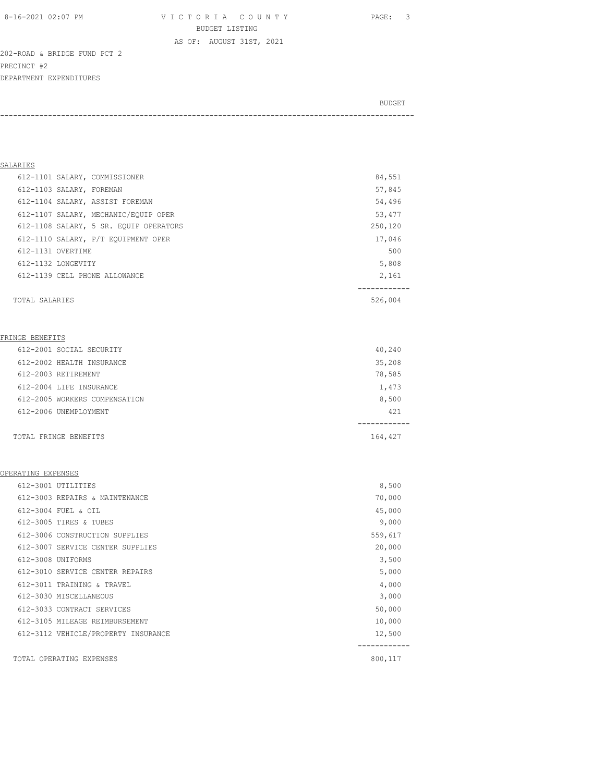8-16-2021 02:07 PM V I C T O R I A C O U N T Y PAGE: 3 BUDGET LISTING

AS OF: AUGUST 31ST, 2021

202-ROAD & BRIDGE FUND PCT 2 PRECINCT #2 DEPARTMENT EXPENDITURES

| BUDGET |
|--------|
|        |

| SALARIES                               |         |
|----------------------------------------|---------|
| 612-1101 SALARY, COMMISSIONER          | 84,551  |
| 612-1103 SALARY, FOREMAN               | 57,845  |
| 612-1104 SALARY, ASSIST FOREMAN        | 54,496  |
| 612-1107 SALARY, MECHANIC/EOUIP OPER   | 53,477  |
| 612-1108 SALARY, 5 SR. EQUIP OPERATORS | 250,120 |
| 612-1110 SALARY, P/T EQUIPMENT OPER    | 17,046  |
| 612-1131 OVERTIME                      | 500     |
| 612-1132 LONGEVITY                     | 5,808   |
| 612-1139 CELL PHONE ALLOWANCE          | 2,161   |
|                                        |         |
| TOTAL SALARIES                         | 526,004 |

#### FRINGE BENEFITS

| 612-2001 SOCIAL SECURITY      | 40,240  |
|-------------------------------|---------|
| 612-2002 HEALTH INSURANCE     | 35,208  |
| 612-2003 RETIREMENT           | 78,585  |
| 612-2004 LIFE INSURANCE       | 1,473   |
| 612-2005 WORKERS COMPENSATION | 8,500   |
| 612-2006 UNEMPLOYMENT         | 421     |
|                               |         |
| TOTAL FRINGE BENEFITS         | 164,427 |

#### OPERATING EXPENSES

| 612-3001 UTILITIES                  | 8,500   |
|-------------------------------------|---------|
| 612-3003 REPAIRS & MAINTENANCE      | 70,000  |
| 612-3004 FUEL & OIL                 | 45,000  |
| 612-3005 TIRES & TUBES              | 9,000   |
| 612-3006 CONSTRUCTION SUPPLIES      | 559,617 |
| 612-3007 SERVICE CENTER SUPPLIES    | 20,000  |
| 612-3008 UNIFORMS                   | 3,500   |
| 612-3010 SERVICE CENTER REPAIRS     | 5,000   |
| 612-3011 TRAINING & TRAVEL          | 4,000   |
| 612-3030 MISCELLANEOUS              | 3,000   |
| 612-3033 CONTRACT SERVICES          | 50,000  |
| 612-3105 MILEAGE REIMBURSEMENT      | 10,000  |
| 612-3112 VEHICLE/PROPERTY INSURANCE | 12,500  |
|                                     |         |
| TOTAL OPERATING EXPENSES            | 800,117 |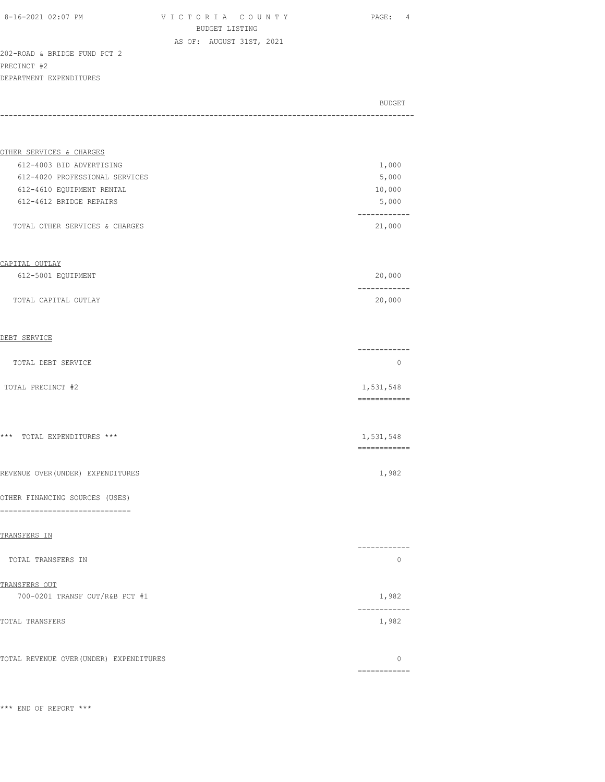8-16-2021 02:07 PM V I C T O R I A C O U N T Y PAGE: 4 BUDGET LISTING AS OF: AUGUST 31ST, 2021

202-ROAD & BRIDGE FUND PCT 2 PRECINCT #2 DEPARTMENT EXPENDITURES

| DELAKTMEMI PVLEMNIIAKES |  |
|-------------------------|--|
|                         |  |
| BUDGET                  |  |
|                         |  |

| OTHER SERVICES & CHARGES       |        |
|--------------------------------|--------|
| 612-4003 BID ADVERTISING       | 1,000  |
| 612-4020 PROFESSIONAL SERVICES | 5,000  |
| 612-4610 EQUIPMENT RENTAL      | 10,000 |
| 612-4612 BRIDGE REPAIRS        | 5,000  |
| TOTAL OTHER SERVICES & CHARGES | 21,000 |

#### CAPITAL OUTLAY

| 612-5001 EOUIPMENT   | 20,000 |
|----------------------|--------|
|                      |        |
| TOTAL CAPITAL OUTLAY | 20,000 |

#### DEBT SERVICE

| TOTAL DEBT SERVICE |           |
|--------------------|-----------|
| TOTAL PRECINCT #2  | 1,531,548 |

============

============

\*\*\* TOTAL EXPENDITURES \*\*\* 1,531,548

REVENUE OVER(UNDER) EXPENDITURES

#### OTHER FINANCING SOURCES (USES)

==============================

#### TRANSFERS IN

| TOTAL TRANSFERS IN             |       |
|--------------------------------|-------|
| TRANSFERS OUT                  |       |
| 700-0201 TRANSF OUT/R&B PCT #1 | 1,982 |
| TOTAL TRANSFERS                | 1,982 |
|                                |       |

TOTAL REVENUE OVER(UNDER) EXPENDITURES 0 ============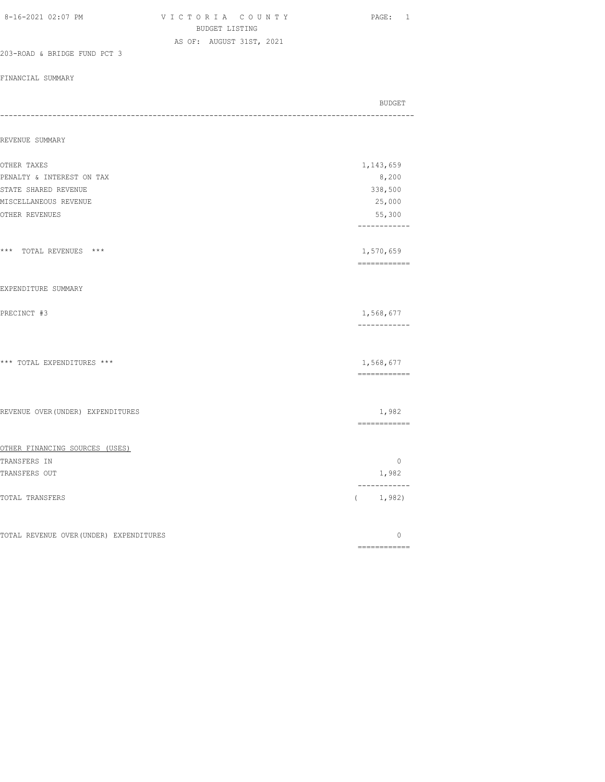| 8-16-2021 02:07 PM                      | VICTORIA COUNTY<br>BUDGET LISTING | PAGE: 1                   |
|-----------------------------------------|-----------------------------------|---------------------------|
|                                         | AS OF: AUGUST 31ST, 2021          |                           |
| 203-ROAD & BRIDGE FUND PCT 3            |                                   |                           |
| FINANCIAL SUMMARY                       |                                   |                           |
|                                         |                                   | BUDGET                    |
| REVENUE SUMMARY                         |                                   |                           |
| OTHER TAXES                             |                                   | 1,143,659                 |
| PENALTY & INTEREST ON TAX               |                                   | 8,200                     |
| STATE SHARED REVENUE                    |                                   | 338,500                   |
| MISCELLANEOUS REVENUE                   |                                   | 25,000                    |
| OTHER REVENUES                          |                                   | 55,300<br>------------    |
| *** TOTAL REVENUES ***                  |                                   | 1,570,659<br>------------ |
| EXPENDITURE SUMMARY                     |                                   |                           |
| PRECINCT #3                             |                                   | 1,568,677<br>------------ |
| *** TOTAL EXPENDITURES ***              |                                   | 1,568,677<br>============ |
| REVENUE OVER (UNDER) EXPENDITURES       |                                   | 1,982<br>============     |
| OTHER FINANCING SOURCES (USES)          |                                   |                           |
| TRANSFERS IN                            |                                   | $\circ$                   |
| TRANSFERS OUT                           |                                   | 1,982                     |
| TOTAL TRANSFERS                         |                                   | (1, 982)                  |
| TOTAL REVENUE OVER (UNDER) EXPENDITURES |                                   | 0                         |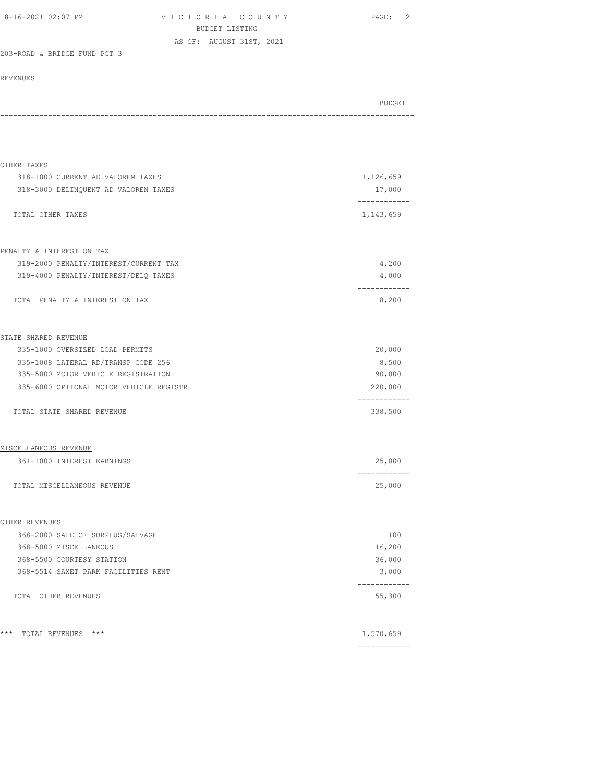| 8-16-2021 02:07 PM | VICTORIA COUNTY          | PAGE: 2 |
|--------------------|--------------------------|---------|
|                    | BUDGET LISTING           |         |
|                    | AS OF: AUGUST 31ST, 2021 |         |

#### 203-ROAD & BRIDGE FUND PCT 3

| BUDGET |
|--------|
|        |
| - - -  |

| OTHER TAXES                                                                   |                                  |
|-------------------------------------------------------------------------------|----------------------------------|
| 318-1000 CURRENT AD VALOREM TAXES                                             | 1,126,659                        |
| 318-3000 DELINQUENT AD VALOREM TAXES                                          | 17,000<br>-----------            |
| TOTAL OTHER TAXES                                                             | 1,143,659                        |
|                                                                               |                                  |
| PENALTY & INTEREST ON TAX                                                     |                                  |
| 319-2000 PENALTY/INTEREST/CURRENT TAX<br>319-4000 PENALTY/INTEREST/DELO TAXES | 4,200                            |
|                                                                               | 4,000<br>-----------             |
| TOTAL PENALTY & INTEREST ON TAX                                               | 8,200                            |
| STATE SHARED REVENUE                                                          |                                  |
| 335-1000 OVERSIZED LOAD PERMITS                                               | 20,000                           |
| 335-1008 LATERAL RD/TRANSP CODE 256                                           | 8,500                            |
| 335-5000 MOTOR VEHICLE REGISTRATION                                           | 90,000                           |
| 335-6000 OPTIONAL MOTOR VEHICLE REGISTR                                       | 220,000                          |
| TOTAL STATE SHARED REVENUE                                                    | . _ _ _ _ _ _ _ _ _ _<br>338,500 |
| MISCELLANEOUS REVENUE                                                         |                                  |
| 361-1000 INTEREST EARNINGS                                                    | 25,000                           |
|                                                                               | ------------                     |
| TOTAL MISCELLANEOUS REVENUE                                                   | 25,000                           |
| OTHER REVENUES                                                                |                                  |
| 368-2000 SALE OF SURPLUS/SALVAGE                                              | 100                              |
| 368-5000 MISCELLANEOUS                                                        | 16,200                           |
| 368-5500 COURTESY STATION                                                     | 36,000                           |
| 368-5514 SAXET PARK FACILITIES RENT                                           | 3,000                            |
|                                                                               | . <u>.</u> .                     |
| TOTAL OTHER REVENUES                                                          | 55,300                           |
|                                                                               |                                  |
| ***<br>TOTAL REVENUES ***                                                     | 1,570,659                        |
|                                                                               | -------------                    |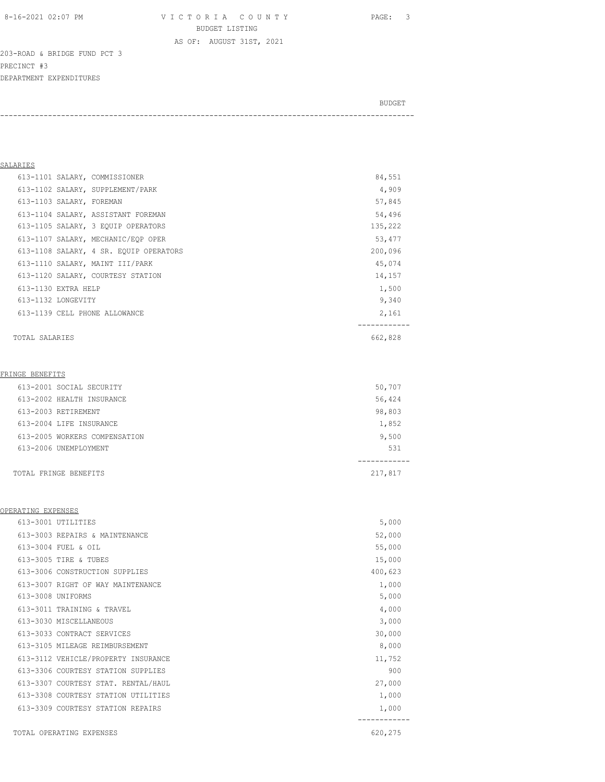8-16-2021 02:07 PM V I C T O R I A C O U N T Y PAGE: 3 BUDGET LISTING

AS OF: AUGUST 31ST, 2021

203-ROAD & BRIDGE FUND PCT 3 PRECINCT #3 DEPARTMENT EXPENDITURES

BUDGET AND RESERVE AND RESERVE AND RESERVE AND RESERVE AND RESERVE AND RESERVE AND RESERVE AND RESERVE AND RESERVE AND RESERVE AND RESERVE AND RESERVE AND RESERVE AND RESERVE AND RESPONDING A REPORT OF A REPORT OF A REPORT -----------------------------------------------------------------------------------------------

## SALARIES

| 613-1101 SALARY, COMMISSIONER          | 84,551  |
|----------------------------------------|---------|
| 613-1102 SALARY, SUPPLEMENT/PARK       | 4,909   |
| 613-1103 SALARY, FOREMAN               | 57,845  |
| 613-1104 SALARY, ASSISTANT FOREMAN     | 54,496  |
| 613-1105 SALARY, 3 EQUIP OPERATORS     | 135,222 |
| 613-1107 SALARY, MECHANIC/EOP OPER     | 53,477  |
| 613-1108 SALARY, 4 SR. EQUIP OPERATORS | 200,096 |
| 613-1110 SALARY, MAINT III/PARK        | 45,074  |
| 613-1120 SALARY, COURTESY STATION      | 14,157  |
| 613-1130 EXTRA HELP                    | 1,500   |
| 613-1132 LONGEVITY                     | 9,340   |
| 613-1139 CELL PHONE ALLOWANCE          | 2,161   |
| TOTAL SALARIES                         | 662,828 |
| FRINGE BENEFITS                        |         |
| 613-2001 SOCIAL SECURITY               | 50,707  |
| 613-2002 HEALTH INSURANCE              | 56,424  |
| 613-2003 RETIREMENT                    | 98,803  |
| 613-2004 LIFE INSURANCE                | 1,852   |

| 613-2006 UNEMPLOYMENT | 531     |
|-----------------------|---------|
|                       |         |
| TOTAL FRINGE BENEFITS | 217,817 |

613-2005 WORKERS COMPENSATION 9,500

## OPERATING EXPENSES

| 613-3001 UTILITIES                  | 5,000   |  |
|-------------------------------------|---------|--|
| 613-3003 REPAIRS & MAINTENANCE      | 52,000  |  |
| 613-3004 FUEL & OIL                 | 55,000  |  |
| 613-3005 TIRE & TUBES               | 15,000  |  |
| 613-3006 CONSTRUCTION SUPPLIES      | 400,623 |  |
| 613-3007 RIGHT OF WAY MAINTENANCE   | 1,000   |  |
| 613-3008 UNIFORMS                   | 5,000   |  |
| 613-3011 TRAINING & TRAVEL          | 4,000   |  |
| 613-3030 MISCELLANEOUS              | 3,000   |  |
| 613-3033 CONTRACT SERVICES          | 30,000  |  |
| 613-3105 MILEAGE REIMBURSEMENT      | 8,000   |  |
| 613-3112 VEHICLE/PROPERTY INSURANCE | 11,752  |  |
| 613-3306 COURTESY STATION SUPPLIES  | 900     |  |
| 613-3307 COURTESY STAT. RENTAL/HAUL | 27,000  |  |
| 613-3308 COURTESY STATION UTILITIES | 1,000   |  |
| 613-3309 COURTESY STATION REPAIRS   | 1,000   |  |
|                                     |         |  |
| TOTAL OPERATING EXPENSES            | 620,275 |  |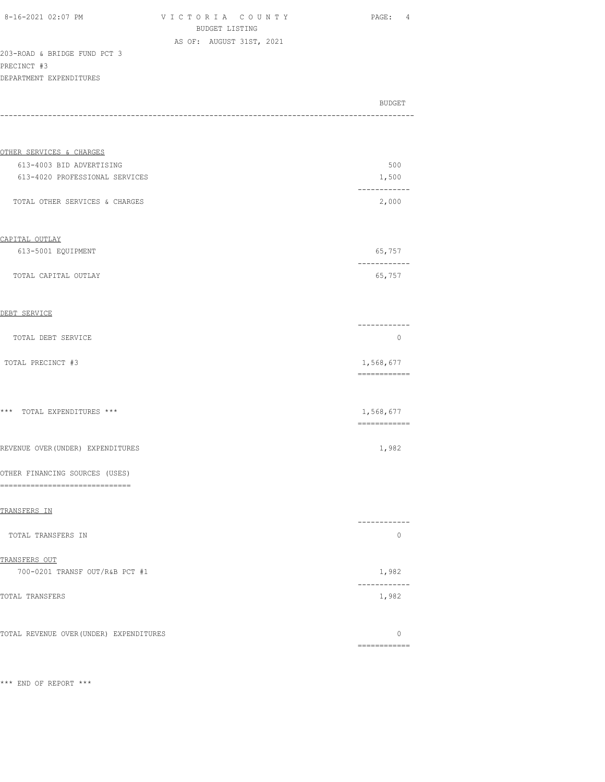| 8-16-2021 02:07 PM |  |
|--------------------|--|
|                    |  |

V I C T O R I A C O U N T Y PAGE: 4 BUDGET LISTING AS OF: AUGUST 31ST, 2021

| 203-ROAD & BRIDGE FUND PCT 3 |  |  |  |
|------------------------------|--|--|--|
| PRECINCT #3                  |  |  |  |
| DEPARTMENT EXPENDITURES      |  |  |  |

|                                                          | <b>BUDGET</b>             |
|----------------------------------------------------------|---------------------------|
|                                                          |                           |
| OTHER SERVICES & CHARGES                                 |                           |
| 613-4003 BID ADVERTISING                                 | 500                       |
| 613-4020 PROFESSIONAL SERVICES                           | 1,500                     |
| TOTAL OTHER SERVICES & CHARGES                           | -----------<br>2,000      |
| CAPITAL OUTLAY                                           |                           |
| 613-5001 EQUIPMENT                                       | 65,757                    |
| TOTAL CAPITAL OUTLAY                                     | 65,757                    |
| DEBT SERVICE                                             |                           |
| TOTAL DEBT SERVICE                                       | -----------<br>0          |
| TOTAL PRECINCT #3                                        | 1,568,677<br>============ |
| *** TOTAL EXPENDITURES ***                               | 1,568,677<br>------------ |
| REVENUE OVER (UNDER) EXPENDITURES                        | 1,982                     |
| OTHER FINANCING SOURCES (USES)<br>---------------------- |                           |
| TRANSFERS IN                                             | ---------                 |
| TOTAL TRANSFERS IN                                       | $\circ$                   |
| TRANSFERS OUT                                            |                           |
| 700-0201 TRANSF OUT/R&B PCT #1                           | 1,982                     |
| TOTAL TRANSFERS                                          | ------------<br>1,982     |
| TOTAL REVENUE OVER (UNDER) EXPENDITURES                  | 0<br>-------------        |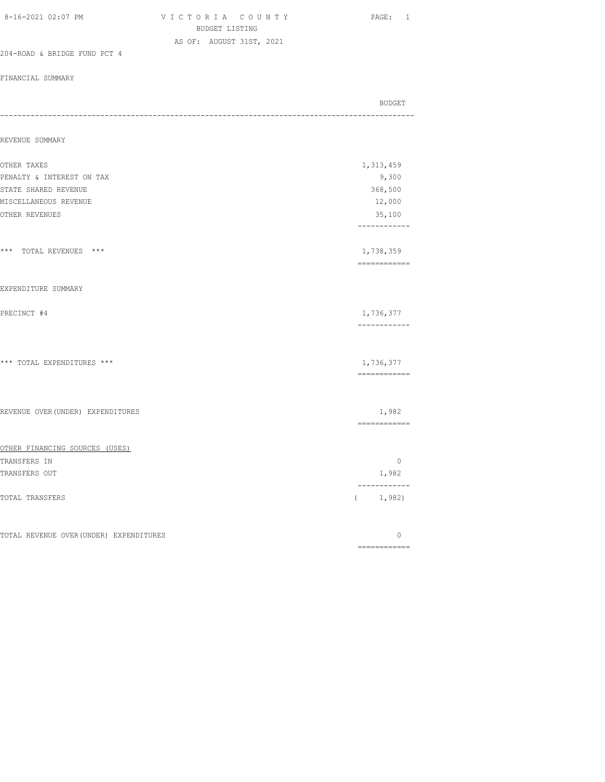| 8-16-2021 02:07 PM                      | VICTORIA COUNTY<br>BUDGET LISTING | PAGE: 1                                      |
|-----------------------------------------|-----------------------------------|----------------------------------------------|
| 204-ROAD & BRIDGE FUND PCT 4            | AS OF: AUGUST 31ST, 2021          |                                              |
| FINANCIAL SUMMARY                       |                                   |                                              |
|                                         |                                   | <b>BUDGET</b><br>--------------------------- |
| REVENUE SUMMARY                         |                                   |                                              |
| OTHER TAXES                             |                                   | 1,313,459                                    |
| PENALTY & INTEREST ON TAX               |                                   | 9,300                                        |
| STATE SHARED REVENUE                    |                                   | 368,500                                      |
| MISCELLANEOUS REVENUE                   |                                   | 12,000                                       |
| OTHER REVENUES                          |                                   | 35,100<br>------------                       |
| *** TOTAL REVENUES ***                  |                                   | 1,738,359<br>============                    |
| EXPENDITURE SUMMARY                     |                                   |                                              |
| PRECINCT #4                             |                                   | 1,736,377<br>------------                    |
| *** TOTAL EXPENDITURES ***              |                                   | 1,736,377<br>============                    |
| REVENUE OVER (UNDER) EXPENDITURES       |                                   | 1,982<br>-------------                       |
| OTHER FINANCING SOURCES (USES)          |                                   |                                              |
| TRANSFERS IN                            |                                   | $\circ$                                      |
| TRANSFERS OUT                           |                                   | 1,982<br>------------                        |
| TOTAL TRANSFERS                         |                                   | (1, 982)                                     |
| TOTAL REVENUE OVER (UNDER) EXPENDITURES |                                   | 0                                            |
|                                         |                                   | ============                                 |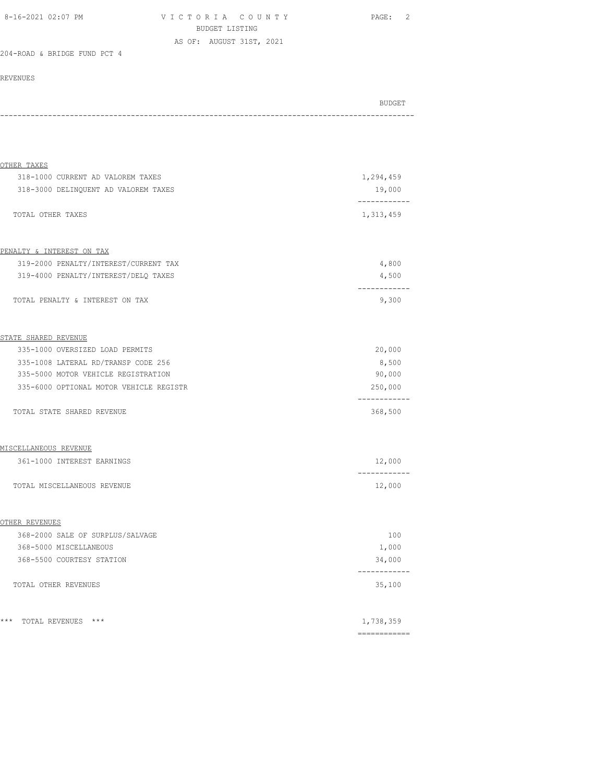| 8-16-2021 02:07 PM | VICTORIA COUNTY          | PAGE: |
|--------------------|--------------------------|-------|
|                    | BUDGET LISTING           |       |
|                    | AS OF: AUGUST 31ST, 2021 |       |

### 204-ROAD & BRIDGE FUND PCT 4

| BUDGET |
|--------|
| - - -  |

| OTHER TAXES                             |                         |
|-----------------------------------------|-------------------------|
| 318-1000 CURRENT AD VALOREM TAXES       | 1,294,459               |
| 318-3000 DELINQUENT AD VALOREM TAXES    | 19,000                  |
| TOTAL OTHER TAXES                       | 1,313,459               |
| PENALTY & INTEREST ON TAX               |                         |
| 319-2000 PENALTY/INTEREST/CURRENT TAX   | 4,800                   |
| 319-4000 PENALTY/INTEREST/DELQ TAXES    | 4,500                   |
| TOTAL PENALTY & INTEREST ON TAX         | 9,300                   |
|                                         |                         |
| STATE SHARED REVENUE                    |                         |
| 335-1000 OVERSIZED LOAD PERMITS         | 20,000                  |
| 335-1008 LATERAL RD/TRANSP CODE 256     | 8,500                   |
| 335-5000 MOTOR VEHICLE REGISTRATION     | 90,000                  |
| 335-6000 OPTIONAL MOTOR VEHICLE REGISTR | 250,000<br>------------ |
| TOTAL STATE SHARED REVENUE              | 368,500                 |
| MISCELLANEOUS REVENUE                   |                         |
| 361-1000 INTEREST EARNINGS              | 12,000                  |
| TOTAL MISCELLANEOUS REVENUE             | -------<br>12,000       |
| OTHER REVENUES                          |                         |
| 368-2000 SALE OF SURPLUS/SALVAGE        | 100                     |
| 368-5000 MISCELLANEOUS                  | 1,000                   |
| 368-5500 COURTESY STATION               | 34,000                  |
| TOTAL OTHER REVENUES                    | 35,100                  |
|                                         |                         |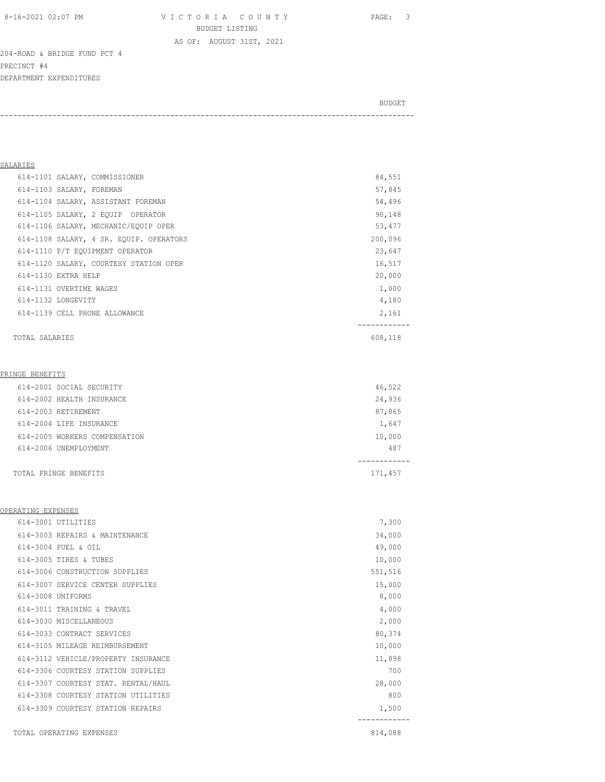8-16-2021 02:07 PM V I C T O R I A C O U N T Y PAGE: 3 BUDGET LISTING

AS OF: AUGUST 31ST, 2021

-----------------------------------------------------------------------------------------------

204-ROAD & BRIDGE FUND PCT 4 PRECINCT #4 DEPARTMENT EXPENDITURES

BUDGET AND RESERVE AND RESERVE AND RESERVE AND RESERVE AND RESERVE AND RESERVE AND RESERVE AND RESERVE AND RESERVE AND RESERVE AND RESERVE AND RESERVE AND RESERVE AND RESERVE AND RESPONDING A REPORT OF A REPORT OF A REPORT

SALARIES 614-1101 SALARY, COMMISSIONER 84,551 614-1103 SALARY, FOREMAN 57,845 614-1104 SALARY, ASSISTANT FOREMAN 54,496 614-1105 SALARY, 2 EQUIP OPERATOR 90,148 614-1106 SALARY, MECHANIC/EQUIP OPER 53,477 614-1108 SALARY, 4 SR. EQUIP. OPERATORS 200,096 614-1110 P/T EQUIPMENT OPERATOR 23,647 614-1120 SALARY, COURTESY STATION OPER 16,517 614-1130 EXTRA HELP 20,000 614-1131 OVERTIME WAGES 1,000 614-1132 LONGEVITY 4,180 614-1139 CELL PHONE ALLOWANCE 2,161 ------------ TOTAL SALARIES 608,118 FRINGE BENEFITS 614-2001 SOCIAL SECURITY 46,522 614-2002 HEALTH INSURANCE 24,936 614-2003 RETIREMENT 87,865 614-2004 LIFE INSURANCE 1,647 614-2005 WORKERS COMPENSATION 10,000 614-2006 UNEMPLOYMENT 487 ------------ TOTAL FRINGE BENEFITS 171,457

#### OPERATING EXPENSES

|                   | 614-3001 UTILITIES                  | 7,300   |  |
|-------------------|-------------------------------------|---------|--|
|                   | 614-3003 REPAIRS & MAINTENANCE      | 34,000  |  |
|                   | 614-3004 FUEL & OTL                 | 49,000  |  |
|                   | 614-3005 TIRES & TUBES              | 10,000  |  |
|                   | 614-3006 CONSTRUCTION SUPPLIES      | 551,516 |  |
|                   | 614-3007 SERVICE CENTER SUPPLIES    | 15,000  |  |
| 614-3008 UNIFORMS |                                     | 8,000   |  |
|                   | 614-3011 TRAINING & TRAVEL          | 4,000   |  |
|                   | 614-3030 MISCELLANEOUS              | 2,000   |  |
|                   | 614-3033 CONTRACT SERVICES          | 80,374  |  |
|                   | 614-3105 MILEAGE REIMBURSEMENT      | 10,000  |  |
|                   | 614-3112 VEHICLE/PROPERTY INSURANCE | 11,898  |  |
|                   | 614-3306 COURTESY STATION SUPPLIES  | 700     |  |
|                   | 614-3307 COURTESY STAT. RENTAL/HAUL | 28,000  |  |
|                   | 614-3308 COURTESY STATION UTILITIES | 800     |  |
|                   | 614-3309 COURTESY STATION REPAIRS   | 1,500   |  |
|                   | TOTAL OPERATING EXPENSES            | 814,088 |  |
|                   |                                     |         |  |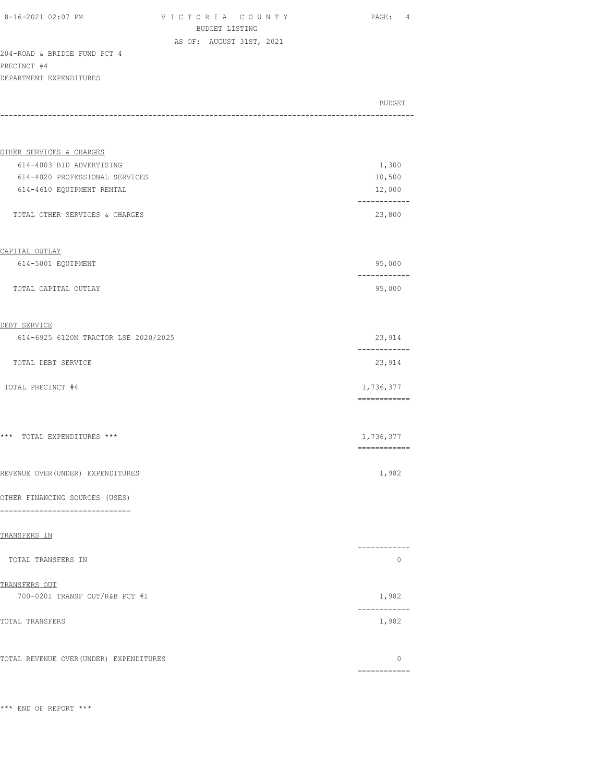VICTORIA COUNTY PAGE: 4 BUDGET LISTING AS OF: AUGUST 31ST, 2021

204-ROAD & BRIDGE FUND PCT 4 PRECINCT #4 DEPARTMENT EXPENDITURES

BUDGET AND RESERVE AND RESERVE AND RESERVE AND RESERVE AND RESERVE AND RESERVE AND RESERVE AND RESERVE AND RESERVE AND RESERVE AND RESERVE AND RESERVE AND RESERVE AND RESERVE AND RESPONDING A REPORT OF A REPORT OF A REPORT ----------------------------------------------------------------------------------------------- OTHER SERVICES & CHARGES 614-4003 BID ADVERTISING 1,300

| 10,500 |
|--------|
| 12,000 |
|        |
| 23,800 |
|        |

#### CAPITAL OUTLAY

| 614-5001 EQUIPMENT   | 95,000                |
|----------------------|-----------------------|
|                      | - - - - - - - - - - - |
| TOTAL CAPITAL OUTLAY | 95,000                |

#### DEBT SERVICE

| 614-6925 6120M TRACTOR LSE 2020/2025 | 23,914    |
|--------------------------------------|-----------|
| TOTAL DEBT SERVICE                   | 23,914    |
| TOTAL PRECINCT #4                    | 1,736,377 |

============

============

============

\*\*\* TOTAL EXPENDITURES \*\*\* 1,736,377

REVENUE OVER(UNDER) EXPENDITURES 1,982

#### OTHER FINANCING SOURCES (USES)

==============================

#### TRANSFERS IN

| TOTAL TRANSFERS IN             |       |
|--------------------------------|-------|
| TRANSFERS OUT                  |       |
| 700-0201 TRANSF OUT/R&B PCT #1 | 1,982 |
| TOTAL TRANSFERS                | 1,982 |
|                                |       |

TOTAL REVENUE OVER(UNDER) EXPENDITURES 0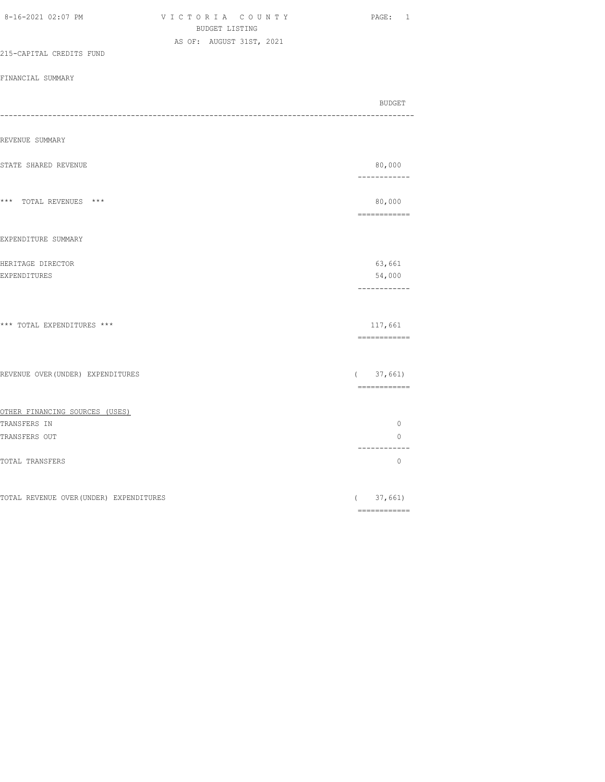| 8-16-2021 02:07 PM                             | VICTORIA COUNTY<br>BUDGET LISTING | PAGE: 1                                                                                                                                                                                                                                                                                                                                                                                                                                                                                             |
|------------------------------------------------|-----------------------------------|-----------------------------------------------------------------------------------------------------------------------------------------------------------------------------------------------------------------------------------------------------------------------------------------------------------------------------------------------------------------------------------------------------------------------------------------------------------------------------------------------------|
|                                                | AS OF: AUGUST 31ST, 2021          |                                                                                                                                                                                                                                                                                                                                                                                                                                                                                                     |
| 215-CAPITAL CREDITS FUND                       |                                   |                                                                                                                                                                                                                                                                                                                                                                                                                                                                                                     |
| FINANCIAL SUMMARY                              |                                   |                                                                                                                                                                                                                                                                                                                                                                                                                                                                                                     |
|                                                |                                   | BUDGET<br>-----------------                                                                                                                                                                                                                                                                                                                                                                                                                                                                         |
| REVENUE SUMMARY                                |                                   |                                                                                                                                                                                                                                                                                                                                                                                                                                                                                                     |
| STATE SHARED REVENUE                           |                                   | 80,000<br>------------                                                                                                                                                                                                                                                                                                                                                                                                                                                                              |
| *** TOTAL REVENUES ***                         |                                   | 80,000                                                                                                                                                                                                                                                                                                                                                                                                                                                                                              |
| EXPENDITURE SUMMARY                            |                                   |                                                                                                                                                                                                                                                                                                                                                                                                                                                                                                     |
| HERITAGE DIRECTOR<br>EXPENDITURES              |                                   | 63,661<br>54,000<br>------------                                                                                                                                                                                                                                                                                                                                                                                                                                                                    |
| *** TOTAL EXPENDITURES ***                     |                                   | 117,661<br>============                                                                                                                                                                                                                                                                                                                                                                                                                                                                             |
| REVENUE OVER (UNDER) EXPENDITURES              |                                   | (37, 661)<br>============                                                                                                                                                                                                                                                                                                                                                                                                                                                                           |
| OTHER FINANCING SOURCES (USES)<br>TRANSFERS IN |                                   | $\mathbb O$                                                                                                                                                                                                                                                                                                                                                                                                                                                                                         |
| TRANSFERS OUT                                  |                                   | $\circ$                                                                                                                                                                                                                                                                                                                                                                                                                                                                                             |
| TOTAL TRANSFERS                                |                                   | ------------<br>$\circ$                                                                                                                                                                                                                                                                                                                                                                                                                                                                             |
| TOTAL REVENUE OVER (UNDER) EXPENDITURES        |                                   | (37, 661)<br>$\begin{array}{cccccccccc} \multicolumn{2}{c}{} & \multicolumn{2}{c}{} & \multicolumn{2}{c}{} & \multicolumn{2}{c}{} & \multicolumn{2}{c}{} & \multicolumn{2}{c}{} & \multicolumn{2}{c}{} & \multicolumn{2}{c}{} & \multicolumn{2}{c}{} & \multicolumn{2}{c}{} & \multicolumn{2}{c}{} & \multicolumn{2}{c}{} & \multicolumn{2}{c}{} & \multicolumn{2}{c}{} & \multicolumn{2}{c}{} & \multicolumn{2}{c}{} & \multicolumn{2}{c}{} & \multicolumn{2}{c}{} & \multicolumn{2}{c}{} & \mult$ |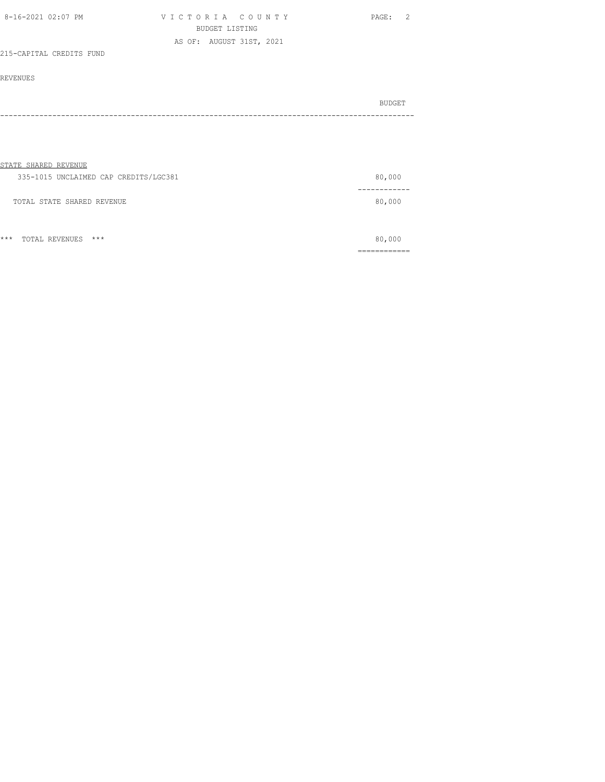| 8-16-2021 02:07 PM       | VICTORIA COUNTY          | PAGE: |
|--------------------------|--------------------------|-------|
|                          | BUDGET LISTING           |       |
|                          | AS OF: AUGUST 31ST, 2021 |       |
| 215-CAPITAL CREDITS FUND |                          |       |

#### REVENUES

|                              | BUDGET |
|------------------------------|--------|
| ---------------------------- |        |

#### STATE SHARED REVENUE

| 335-1015 UNCLAIMED CAP CREDITS/LGC381 | 80,000 |
|---------------------------------------|--------|
| TOTAL STATE SHARED REVENUE            | 80,000 |
|                                       |        |

\*\*\* TOTAL REVENUES \*\*\* 80,000 ============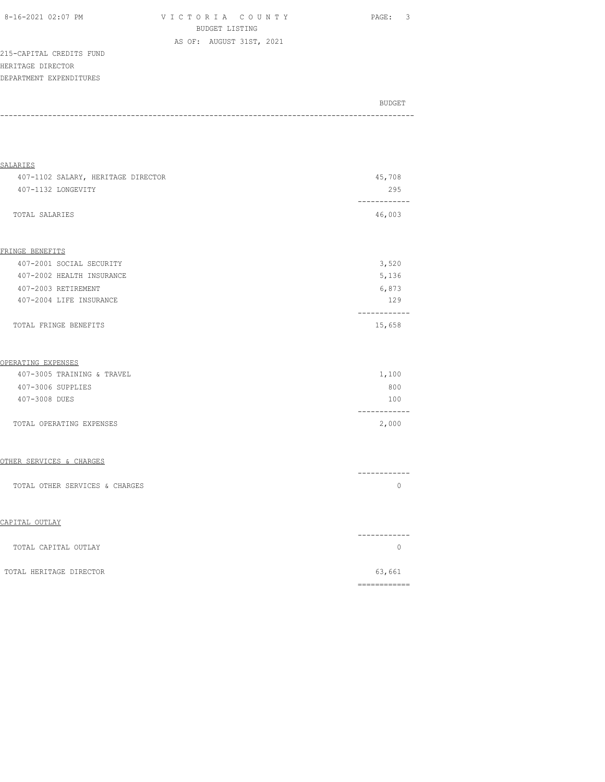| 8-16-2021 02:07 PM |  |
|--------------------|--|
|                    |  |

V I C T O R I A C O U N T Y PAGE: 3 BUDGET LISTING AS OF: AUGUST 31ST, 2021

215-CAPITAL CREDITS FUND HERITAGE DIRECTOR DEPARTMENT EXPENDITURES

| BUDGET |  |
|--------|--|
|        |  |

| <b>SALARIES</b>                    |                         |
|------------------------------------|-------------------------|
| 407-1102 SALARY, HERITAGE DIRECTOR | 45,708                  |
| 407-1132 LONGEVITY                 | 295                     |
| TOTAL SALARIES                     | -----------<br>46,003   |
|                                    |                         |
| FRINGE BENEFITS                    |                         |
| 407-2001 SOCIAL SECURITY           | 3,520                   |
| 407-2002 HEALTH INSURANCE          | 5,136                   |
| 407-2003 RETIREMENT                | 6,873                   |
| 407-2004 LIFE INSURANCE            | 129                     |
| TOTAL FRINGE BENEFITS              | ------------<br>15,658  |
| OPERATING EXPENSES                 |                         |
| 407-3005 TRAINING & TRAVEL         | 1,100                   |
| 407-3006 SUPPLIES                  | 800                     |
| 407-3008 DUES                      | 100<br>-----------      |
| TOTAL OPERATING EXPENSES           | 2,000                   |
| OTHER SERVICES & CHARGES           |                         |
| TOTAL OTHER SERVICES & CHARGES     | -----------<br>$\Omega$ |
| CAPITAL OUTLAY                     |                         |
| TOTAL CAPITAL OUTLAY               | ------------<br>$\circ$ |
| TOTAL HERITAGE DIRECTOR            | 63,661                  |
|                                    |                         |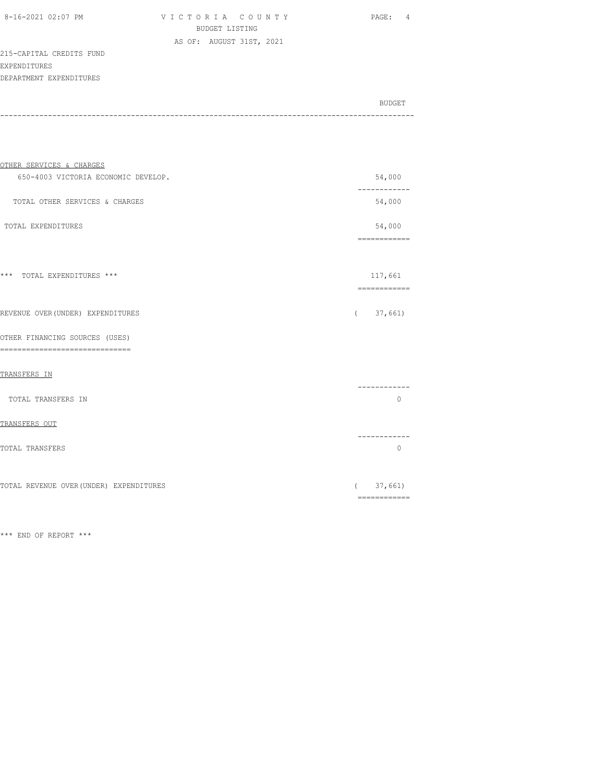| 8-16-2021 02:07 PM |  |
|--------------------|--|

VICTORIA COUNTY PAGE: 4 BUDGET LISTING AS OF: AUGUST 31ST, 2021

#### 215-CAPITAL CREDITS FUND EXPENDITURES DEPARTMENT EXPENDITURES

| BUDGET |
|--------|
|        |

| OTHER SERVICES & CHARGES                                           |                                                                                                                                                                                                                                                                                                                                                                                                                                                                                                   |
|--------------------------------------------------------------------|---------------------------------------------------------------------------------------------------------------------------------------------------------------------------------------------------------------------------------------------------------------------------------------------------------------------------------------------------------------------------------------------------------------------------------------------------------------------------------------------------|
| 650-4003 VICTORIA ECONOMIC DEVELOP.                                | 54,000                                                                                                                                                                                                                                                                                                                                                                                                                                                                                            |
| TOTAL OTHER SERVICES & CHARGES                                     | ------------<br>54,000                                                                                                                                                                                                                                                                                                                                                                                                                                                                            |
| TOTAL EXPENDITURES                                                 | 54,000                                                                                                                                                                                                                                                                                                                                                                                                                                                                                            |
| *** TOTAL EXPENDITURES ***                                         | 117,661<br>$\begin{array}{cccccccccc} \multicolumn{2}{c}{} & \multicolumn{2}{c}{} & \multicolumn{2}{c}{} & \multicolumn{2}{c}{} & \multicolumn{2}{c}{} & \multicolumn{2}{c}{} & \multicolumn{2}{c}{} & \multicolumn{2}{c}{} & \multicolumn{2}{c}{} & \multicolumn{2}{c}{} & \multicolumn{2}{c}{} & \multicolumn{2}{c}{} & \multicolumn{2}{c}{} & \multicolumn{2}{c}{} & \multicolumn{2}{c}{} & \multicolumn{2}{c}{} & \multicolumn{2}{c}{} & \multicolumn{2}{c}{} & \multicolumn{2}{c}{} & \mult$ |
| REVENUE OVER (UNDER) EXPENDITURES                                  | 37,661)<br>$\sqrt{2}$                                                                                                                                                                                                                                                                                                                                                                                                                                                                             |
| OTHER FINANCING SOURCES (USES)<br>-------------------------------- |                                                                                                                                                                                                                                                                                                                                                                                                                                                                                                   |
| TRANSFERS IN                                                       |                                                                                                                                                                                                                                                                                                                                                                                                                                                                                                   |
| TOTAL TRANSFERS IN                                                 | $\Omega$                                                                                                                                                                                                                                                                                                                                                                                                                                                                                          |
| TRANSFERS OUT                                                      |                                                                                                                                                                                                                                                                                                                                                                                                                                                                                                   |
| TOTAL TRANSFERS                                                    | ----------<br>$\circ$                                                                                                                                                                                                                                                                                                                                                                                                                                                                             |
| TOTAL REVENUE OVER (UNDER) EXPENDITURES                            | 37,661)<br>$\left($<br>$\begin{minipage}{0.9\linewidth} \begin{tabular}{l} \hline \textbf{r} & \textbf{r} & \textbf{r} \\ \hline \textbf{r} & \textbf{r} & \textbf{r} \\ \hline \textbf{r} & \textbf{r} \\ \hline \textbf{r} & \textbf{r} \\ \hline \textbf{r} & \textbf{r} \\ \hline \textbf{r} & \textbf{r} \\ \hline \textbf{r} & \textbf{r} \\ \hline \textbf{r} & \textbf{r} \\ \hline \textbf{r} & \textbf{r} \\ \hline \textbf{r} & \textbf{r} \\ \hline \textbf{r} & \textbf{r$           |
|                                                                    |                                                                                                                                                                                                                                                                                                                                                                                                                                                                                                   |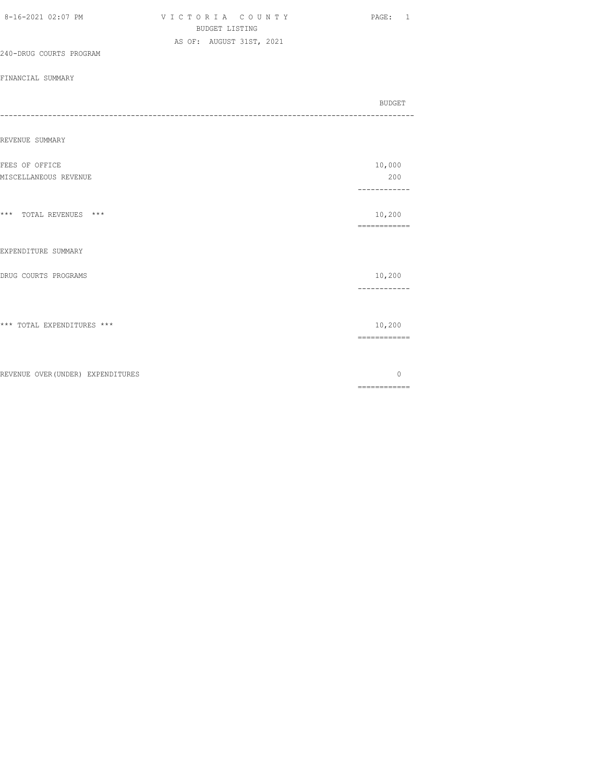| 8-16-2021 02:07 PM                      | VICTORIA COUNTY<br><b>BUDGET LISTING</b><br>AS OF: AUGUST 31ST, 2021 | PAGE: 1                                                                                                                                                                                                                                                                                                                                                                                                                                                                                                |
|-----------------------------------------|----------------------------------------------------------------------|--------------------------------------------------------------------------------------------------------------------------------------------------------------------------------------------------------------------------------------------------------------------------------------------------------------------------------------------------------------------------------------------------------------------------------------------------------------------------------------------------------|
| 240-DRUG COURTS PROGRAM                 |                                                                      |                                                                                                                                                                                                                                                                                                                                                                                                                                                                                                        |
| FINANCIAL SUMMARY                       |                                                                      |                                                                                                                                                                                                                                                                                                                                                                                                                                                                                                        |
|                                         |                                                                      | BUDGET                                                                                                                                                                                                                                                                                                                                                                                                                                                                                                 |
| REVENUE SUMMARY                         |                                                                      |                                                                                                                                                                                                                                                                                                                                                                                                                                                                                                        |
| FEES OF OFFICE<br>MISCELLANEOUS REVENUE |                                                                      | 10,000<br>200                                                                                                                                                                                                                                                                                                                                                                                                                                                                                          |
| *** TOTAL REVENUES ***                  |                                                                      | ------------<br>10,200<br>============                                                                                                                                                                                                                                                                                                                                                                                                                                                                 |
| EXPENDITURE SUMMARY                     |                                                                      |                                                                                                                                                                                                                                                                                                                                                                                                                                                                                                        |
| DRUG COURTS PROGRAMS                    |                                                                      | 10,200<br>------------                                                                                                                                                                                                                                                                                                                                                                                                                                                                                 |
| *** TOTAL EXPENDITURES ***              |                                                                      | 10,200                                                                                                                                                                                                                                                                                                                                                                                                                                                                                                 |
| REVENUE OVER (UNDER) EXPENDITURES       |                                                                      | $\mathbf{0}$<br>$\begin{array}{cccccccccc} \multicolumn{2}{c}{} & \multicolumn{2}{c}{} & \multicolumn{2}{c}{} & \multicolumn{2}{c}{} & \multicolumn{2}{c}{} & \multicolumn{2}{c}{} & \multicolumn{2}{c}{} & \multicolumn{2}{c}{} & \multicolumn{2}{c}{} & \multicolumn{2}{c}{} & \multicolumn{2}{c}{} & \multicolumn{2}{c}{} & \multicolumn{2}{c}{} & \multicolumn{2}{c}{} & \multicolumn{2}{c}{} & \multicolumn{2}{c}{} & \multicolumn{2}{c}{} & \multicolumn{2}{c}{} & \multicolumn{2}{c}{} & \mult$ |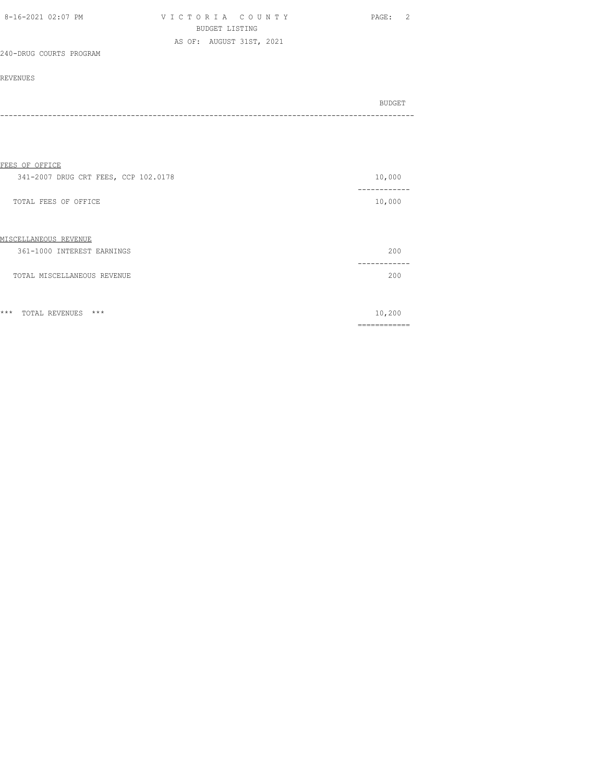| 8-16-2021 02:07 PM      | VICTORIA COUNTY          | PAGE: 2 |
|-------------------------|--------------------------|---------|
|                         | BUDGET LISTING           |         |
|                         | AS OF: AUGUST 31ST, 2021 |         |
| 240-DRUG COURTS PROGRAM |                          |         |

| BUDGET |
|--------|
|        |
|        |

| FEES OF OFFICE                                      |                    |
|-----------------------------------------------------|--------------------|
| 341-2007 DRUG CRT FEES, CCP 102.0178                | 10,000             |
| TOTAL FEES OF OFFICE                                | 10,000             |
| MISCELLANEOUS REVENUE<br>361-1000 INTEREST EARNINGS | 200                |
| TOTAL MISCELLANEOUS REVENUE                         | ------<br>200      |
| $***$<br>$***$<br>TOTAL REVENUES                    | 10,200<br>-------- |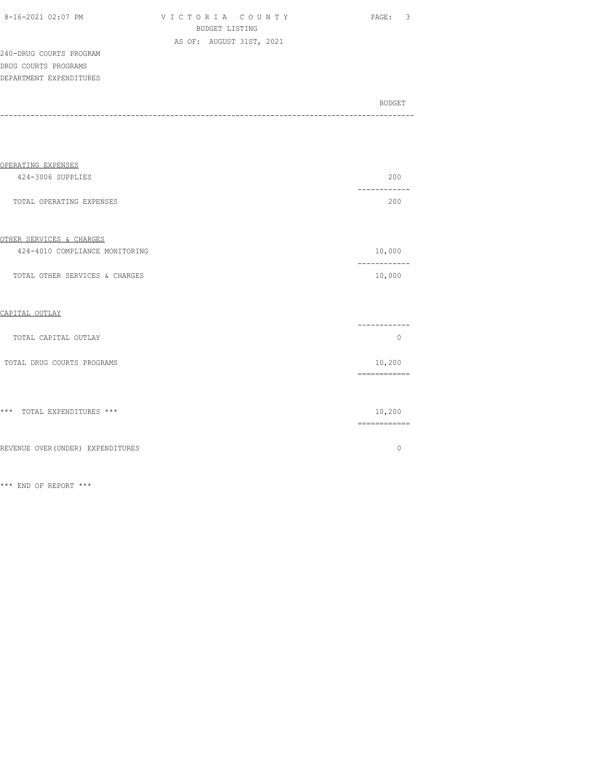| 8-16-2021 02:07 PM |  |
|--------------------|--|
|                    |  |

VICTORIA COUNTY PAGE: 3 BUDGET LISTING AS OF: AUGUST 31ST, 2021

240-DRUG COURTS PROGRAM DRUG COURTS PROGRAMS DEPARTMENT EXPENDITURES

| BUDGET |
|--------|
|        |

| OPERATING EXPENSES                |                        |
|-----------------------------------|------------------------|
| 424-3006 SUPPLIES                 | 200                    |
| TOTAL OPERATING EXPENSES          | --------<br>200        |
| OTHER SERVICES & CHARGES          |                        |
| 424-4010 COMPLIANCE MONITORING    | 10,000                 |
| TOTAL OTHER SERVICES & CHARGES    | 10,000                 |
| CAPITAL OUTLAY                    |                        |
| TOTAL CAPITAL OUTLAY              | $\circ$                |
| TOTAL DRUG COURTS PROGRAMS        | 10,200<br>============ |
| *** TOTAL EXPENDITURES ***        | 10,200<br>============ |
| REVENUE OVER (UNDER) EXPENDITURES | $\circ$                |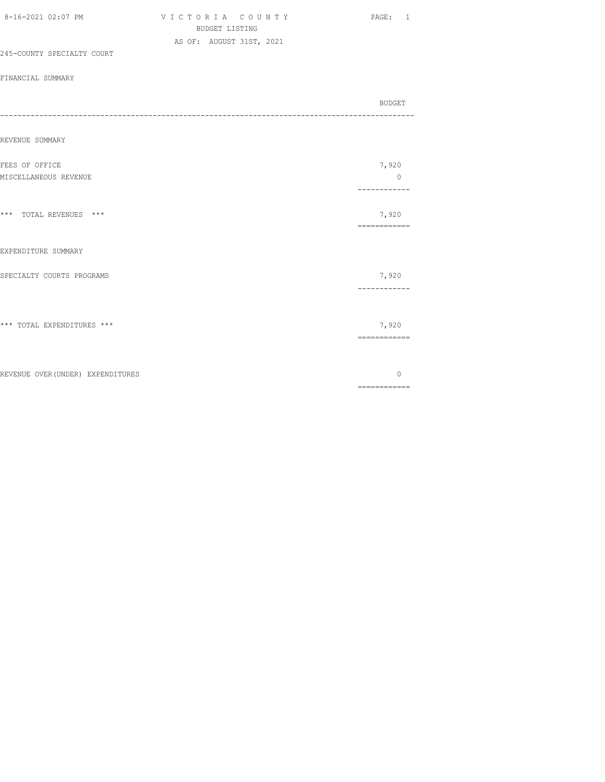| 8-16-2021 02:07 PM                      | VICTORIA COUNTY<br><b>BUDGET LISTING</b><br>AS OF: AUGUST 31ST, 2021 | PAGE: 1                                                                                                                                                                                                                                                                                                                                                                                                                                                                                                |
|-----------------------------------------|----------------------------------------------------------------------|--------------------------------------------------------------------------------------------------------------------------------------------------------------------------------------------------------------------------------------------------------------------------------------------------------------------------------------------------------------------------------------------------------------------------------------------------------------------------------------------------------|
| 245-COUNTY SPECIALTY COURT              |                                                                      |                                                                                                                                                                                                                                                                                                                                                                                                                                                                                                        |
| FINANCIAL SUMMARY                       |                                                                      |                                                                                                                                                                                                                                                                                                                                                                                                                                                                                                        |
|                                         |                                                                      | BUDGET                                                                                                                                                                                                                                                                                                                                                                                                                                                                                                 |
| REVENUE SUMMARY                         |                                                                      |                                                                                                                                                                                                                                                                                                                                                                                                                                                                                                        |
| FEES OF OFFICE<br>MISCELLANEOUS REVENUE |                                                                      | 7,920<br>$\mathbb O$<br>------------                                                                                                                                                                                                                                                                                                                                                                                                                                                                   |
| *** TOTAL REVENUES ***                  |                                                                      | 7,920<br>============                                                                                                                                                                                                                                                                                                                                                                                                                                                                                  |
| EXPENDITURE SUMMARY                     |                                                                      |                                                                                                                                                                                                                                                                                                                                                                                                                                                                                                        |
| SPECIALTY COURTS PROGRAMS               |                                                                      | 7,920<br>------------                                                                                                                                                                                                                                                                                                                                                                                                                                                                                  |
| *** TOTAL EXPENDITURES ***              |                                                                      | 7,920                                                                                                                                                                                                                                                                                                                                                                                                                                                                                                  |
| REVENUE OVER (UNDER) EXPENDITURES       |                                                                      | $\mathbf{0}$<br>$\begin{array}{cccccccccc} \multicolumn{2}{c}{} & \multicolumn{2}{c}{} & \multicolumn{2}{c}{} & \multicolumn{2}{c}{} & \multicolumn{2}{c}{} & \multicolumn{2}{c}{} & \multicolumn{2}{c}{} & \multicolumn{2}{c}{} & \multicolumn{2}{c}{} & \multicolumn{2}{c}{} & \multicolumn{2}{c}{} & \multicolumn{2}{c}{} & \multicolumn{2}{c}{} & \multicolumn{2}{c}{} & \multicolumn{2}{c}{} & \multicolumn{2}{c}{} & \multicolumn{2}{c}{} & \multicolumn{2}{c}{} & \multicolumn{2}{c}{} & \mult$ |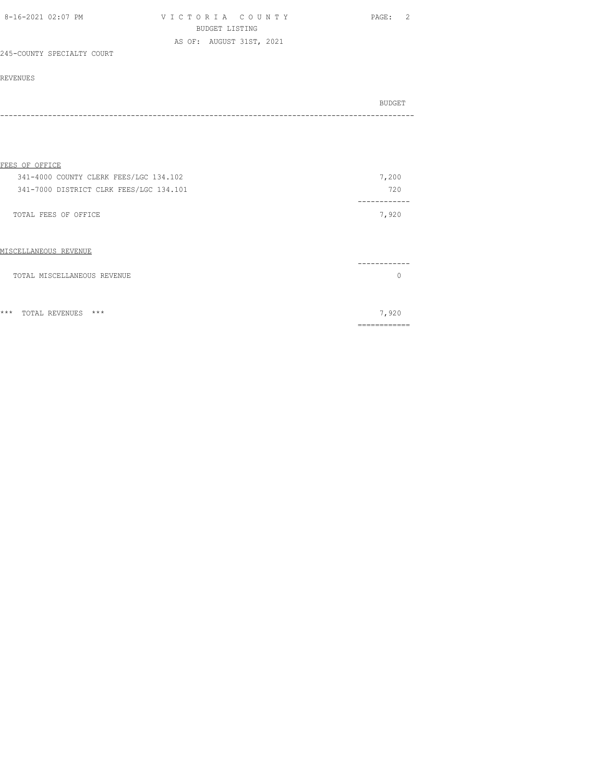| 8-16-2021 02:07 PM         | VICTORIA COUNTY          | PAGE: 2 |
|----------------------------|--------------------------|---------|
|                            | BUDGET LISTING           |         |
|                            | AS OF: AUGUST 31ST, 2021 |         |
| 245-COUNTY SPECIALTY COURT |                          |         |

#### REVENUES

|         | BUDGET |
|---------|--------|
| ------- |        |

#### FEES OF OFFICE

| 341-4000 COUNTY CLERK FEES/LGC 134.102  | 7,200 |
|-----------------------------------------|-------|
| 341-7000 DISTRICT CLRK FEES/LGC 134.101 | 720   |
|                                         |       |
| TOTAL FEES OF OFFICE                    | 7,920 |
|                                         |       |
|                                         |       |

# ------------ TOTAL MISCELLANEOUS REVENUE **0**

\*\*\* TOTAL REVENUES \*\*\* 7,920

MISCELLANEOUS REVENUE

============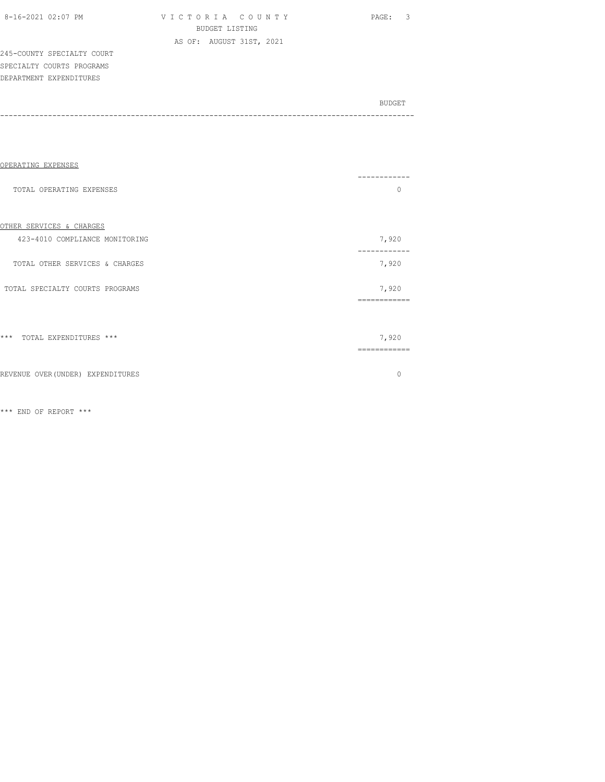V I C T O R I A C O U N T Y PAGE: 3 BUDGET LISTING AS OF: AUGUST 31ST, 2021

245-COUNTY SPECIALTY COURT SPECIALTY COURTS PROGRAMS DEPARTMENT EXPENDITURES

BUDGET AND RESERVE AND RESERVE AND RESERVE AND RESERVE AND RESERVE AND RESERVE AND RESERVE AND RESERVE AND RESERVE AND RESERVE AND RESERVE AND RESERVE AND RESERVE AND RESERVE AND RESPONDING A REPORT OF A REPORT OF A REPORT -----------------------------------------------------------------------------------------------

| OPERATING EXPENSES                |                       |
|-----------------------------------|-----------------------|
| TOTAL OPERATING EXPENSES          | ---------<br>$\Omega$ |
| OTHER SERVICES & CHARGES          |                       |
| 423-4010 COMPLIANCE MONITORING    | 7,920                 |
| TOTAL OTHER SERVICES & CHARGES    | 7,920                 |
| TOTAL SPECIALTY COURTS PROGRAMS   | 7,920<br>============ |
|                                   |                       |
| *** TOTAL EXPENDITURES ***        | 7,920                 |
| REVENUE OVER (UNDER) EXPENDITURES | $\Omega$              |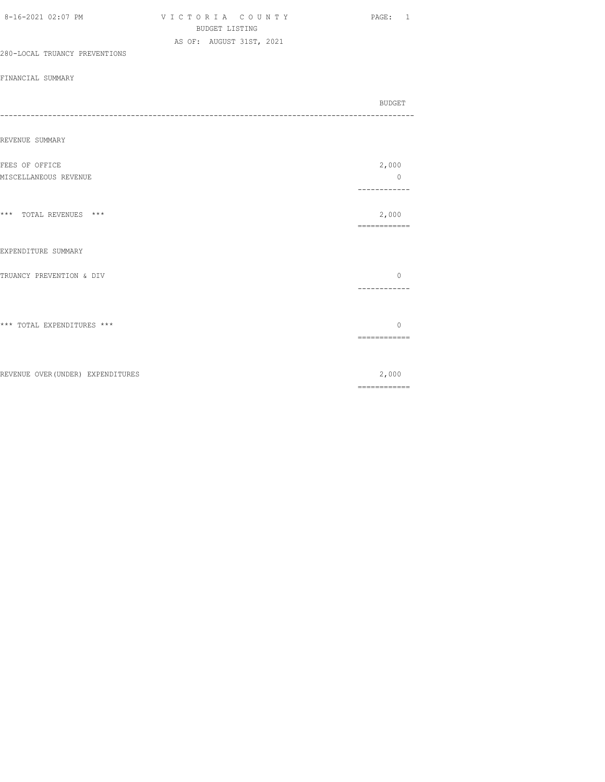| 8-16-2021 02:07 PM                | VICTORIA COUNTY<br><b>BUDGET LISTING</b><br>AS OF: AUGUST 31ST, 2021 | PAGE: 1                                                                                                                                                                                                                                                                                                                                                                                                                                                                                         |
|-----------------------------------|----------------------------------------------------------------------|-------------------------------------------------------------------------------------------------------------------------------------------------------------------------------------------------------------------------------------------------------------------------------------------------------------------------------------------------------------------------------------------------------------------------------------------------------------------------------------------------|
| 280-LOCAL TRUANCY PREVENTIONS     |                                                                      |                                                                                                                                                                                                                                                                                                                                                                                                                                                                                                 |
| FINANCIAL SUMMARY                 |                                                                      |                                                                                                                                                                                                                                                                                                                                                                                                                                                                                                 |
|                                   |                                                                      | BUDGET                                                                                                                                                                                                                                                                                                                                                                                                                                                                                          |
| REVENUE SUMMARY                   |                                                                      |                                                                                                                                                                                                                                                                                                                                                                                                                                                                                                 |
| FEES OF OFFICE                    |                                                                      | 2,000                                                                                                                                                                                                                                                                                                                                                                                                                                                                                           |
| MISCELLANEOUS REVENUE             |                                                                      | $\mathbb O$<br>------------                                                                                                                                                                                                                                                                                                                                                                                                                                                                     |
| *** TOTAL REVENUES ***            |                                                                      | 2,000<br>============                                                                                                                                                                                                                                                                                                                                                                                                                                                                           |
| EXPENDITURE SUMMARY               |                                                                      |                                                                                                                                                                                                                                                                                                                                                                                                                                                                                                 |
| TRUANCY PREVENTION & DIV          |                                                                      | $\circ$<br>-----------                                                                                                                                                                                                                                                                                                                                                                                                                                                                          |
| *** TOTAL EXPENDITURES ***        |                                                                      | $\Omega$<br>============                                                                                                                                                                                                                                                                                                                                                                                                                                                                        |
| REVENUE OVER (UNDER) EXPENDITURES |                                                                      | 2,000<br>$\begin{array}{cccccccccc} \multicolumn{2}{c}{} & \multicolumn{2}{c}{} & \multicolumn{2}{c}{} & \multicolumn{2}{c}{} & \multicolumn{2}{c}{} & \multicolumn{2}{c}{} & \multicolumn{2}{c}{} & \multicolumn{2}{c}{} & \multicolumn{2}{c}{} & \multicolumn{2}{c}{} & \multicolumn{2}{c}{} & \multicolumn{2}{c}{} & \multicolumn{2}{c}{} & \multicolumn{2}{c}{} & \multicolumn{2}{c}{} & \multicolumn{2}{c}{} & \multicolumn{2}{c}{} & \multicolumn{2}{c}{} & \multicolumn{2}{c}{} & \mult$ |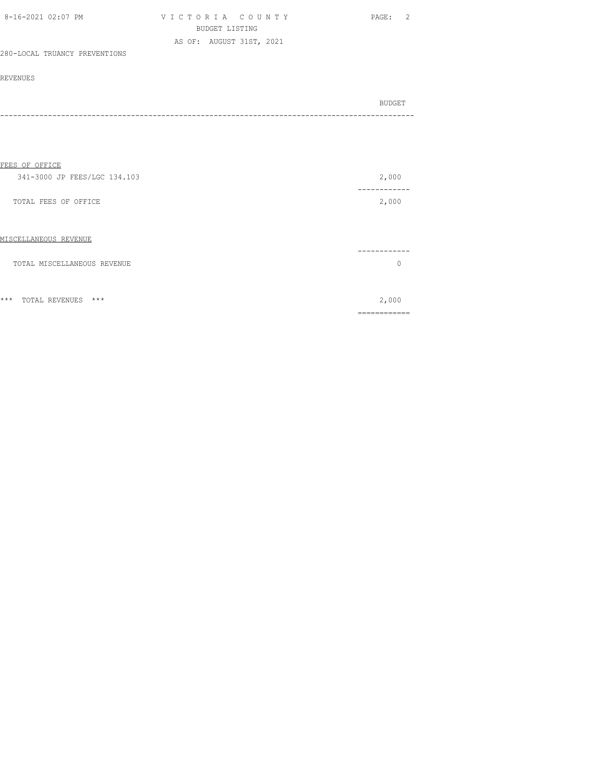| 8-16-2021 02:07 PM            | VICTORIA COUNTY          | PAGE: 2 |
|-------------------------------|--------------------------|---------|
|                               | BUDGET LISTING           |         |
|                               | AS OF: AUGUST 31ST, 2021 |         |
| 280-LOCAL TRUANCY PREVENTIONS |                          |         |

| BUDGET |
|--------|
|        |
|        |

| FEES OF OFFICE                   |                |
|----------------------------------|----------------|
| 341-3000 JP FEES/LGC 134.103     | 2,000          |
| TOTAL FEES OF OFFICE             | -----<br>2,000 |
| MISCELLANEOUS REVENUE            |                |
| TOTAL MISCELLANEOUS REVENUE      | U              |
|                                  |                |
| $***$<br>$***$<br>TOTAL REVENUES | 2,000          |
|                                  |                |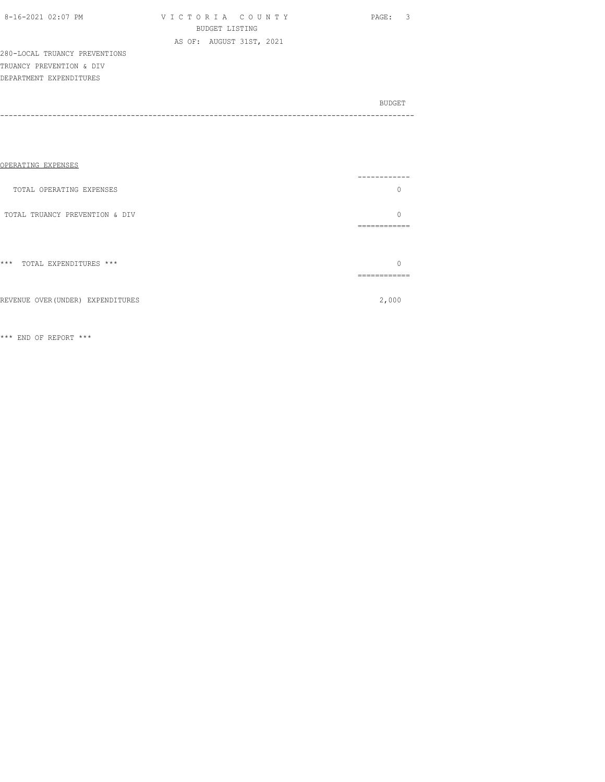| 8-16-2021 02:07 PM |  |
|--------------------|--|
|                    |  |

V I C T O R I A C O U N T Y PAGE: 3 BUDGET LISTING AS OF: AUGUST 31ST, 2021

280-LOCAL TRUANCY PREVENTIONS TRUANCY PREVENTION & DIV DEPARTMENT EXPENDITURES

BUDGET AND RESERVE AND RESERVE AND RESERVE AND RESERVE AND RESERVE AND RESERVE AND RESERVE AND RESERVE AND RESERVE AND RESERVE AND RESERVE AND RESERVE AND RESERVE AND RESERVE AND RESPONDING A REPORT OF A REPORT OF A REPORT -----------------------------------------------------------------------------------------------

| OPERATING EXPENSES              |                 |
|---------------------------------|-----------------|
| TOTAL OPERATING EXPENSES        |                 |
| TOTAL TRUANCY PREVENTION & DIV  | --------------- |
|                                 |                 |
| $***$<br>TOTAL EXPENDITURES *** | -----------     |
|                                 |                 |

REVENUE OVER(UNDER) EXPENDITURES 2,000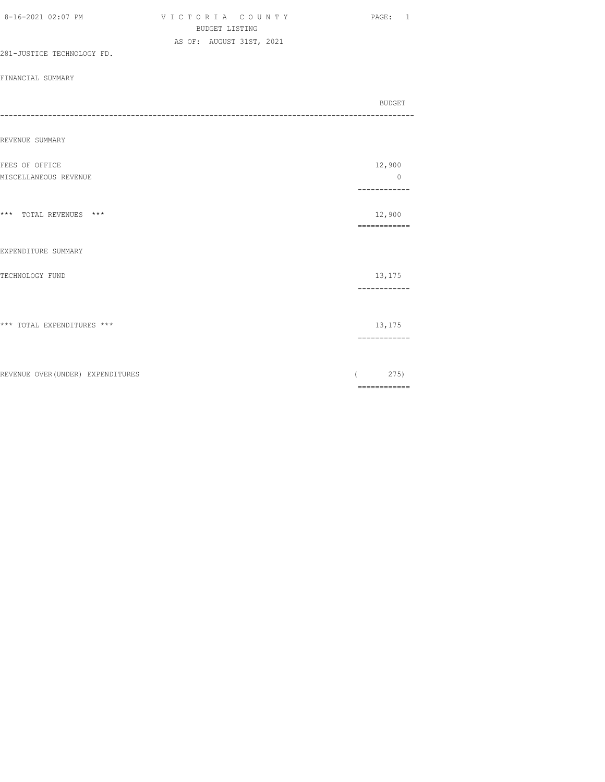|                                   | <b>BUDGET LISTING</b>    |                                                                                                                                                                                                                                                                                                                                                                                                                                                                                                  |
|-----------------------------------|--------------------------|--------------------------------------------------------------------------------------------------------------------------------------------------------------------------------------------------------------------------------------------------------------------------------------------------------------------------------------------------------------------------------------------------------------------------------------------------------------------------------------------------|
| 281-JUSTICE TECHNOLOGY FD.        | AS OF: AUGUST 31ST, 2021 |                                                                                                                                                                                                                                                                                                                                                                                                                                                                                                  |
|                                   |                          |                                                                                                                                                                                                                                                                                                                                                                                                                                                                                                  |
| FINANCIAL SUMMARY                 |                          |                                                                                                                                                                                                                                                                                                                                                                                                                                                                                                  |
| --------------------              |                          | BUDGET                                                                                                                                                                                                                                                                                                                                                                                                                                                                                           |
|                                   |                          |                                                                                                                                                                                                                                                                                                                                                                                                                                                                                                  |
| REVENUE SUMMARY                   |                          |                                                                                                                                                                                                                                                                                                                                                                                                                                                                                                  |
| FEES OF OFFICE                    |                          | 12,900                                                                                                                                                                                                                                                                                                                                                                                                                                                                                           |
| MISCELLANEOUS REVENUE             |                          | $\circ$<br>.                                                                                                                                                                                                                                                                                                                                                                                                                                                                                     |
|                                   |                          |                                                                                                                                                                                                                                                                                                                                                                                                                                                                                                  |
| *** TOTAL REVENUES ***            |                          | 12,900<br>------------                                                                                                                                                                                                                                                                                                                                                                                                                                                                           |
| EXPENDITURE SUMMARY               |                          |                                                                                                                                                                                                                                                                                                                                                                                                                                                                                                  |
| TECHNOLOGY FUND                   |                          | 13,175                                                                                                                                                                                                                                                                                                                                                                                                                                                                                           |
|                                   |                          | ------------                                                                                                                                                                                                                                                                                                                                                                                                                                                                                     |
|                                   |                          |                                                                                                                                                                                                                                                                                                                                                                                                                                                                                                  |
| *** TOTAL EXPENDITURES ***        |                          | 13,175<br>$\begin{array}{cccccccccc} \multicolumn{2}{c}{} & \multicolumn{2}{c}{} & \multicolumn{2}{c}{} & \multicolumn{2}{c}{} & \multicolumn{2}{c}{} & \multicolumn{2}{c}{} & \multicolumn{2}{c}{} & \multicolumn{2}{c}{} & \multicolumn{2}{c}{} & \multicolumn{2}{c}{} & \multicolumn{2}{c}{} & \multicolumn{2}{c}{} & \multicolumn{2}{c}{} & \multicolumn{2}{c}{} & \multicolumn{2}{c}{} & \multicolumn{2}{c}{} & \multicolumn{2}{c}{} & \multicolumn{2}{c}{} & \multicolumn{2}{c}{} & \mult$ |
|                                   |                          |                                                                                                                                                                                                                                                                                                                                                                                                                                                                                                  |
| REVENUE OVER (UNDER) EXPENDITURES |                          | 275)                                                                                                                                                                                                                                                                                                                                                                                                                                                                                             |
|                                   |                          | $\begin{array}{cccccccccc} \multicolumn{2}{c}{} & \multicolumn{2}{c}{} & \multicolumn{2}{c}{} & \multicolumn{2}{c}{} & \multicolumn{2}{c}{} & \multicolumn{2}{c}{} & \multicolumn{2}{c}{} & \multicolumn{2}{c}{} & \multicolumn{2}{c}{} & \multicolumn{2}{c}{} & \multicolumn{2}{c}{} & \multicolumn{2}{c}{} & \multicolumn{2}{c}{} & \multicolumn{2}{c}{} & \multicolumn{2}{c}{} & \multicolumn{2}{c}{} & \multicolumn{2}{c}{} & \multicolumn{2}{c}{} & \multicolumn{2}{c}{} & \mult$           |

8-16-2021 02:07 PM V I C T O R I A C O U N T Y PAGE: 1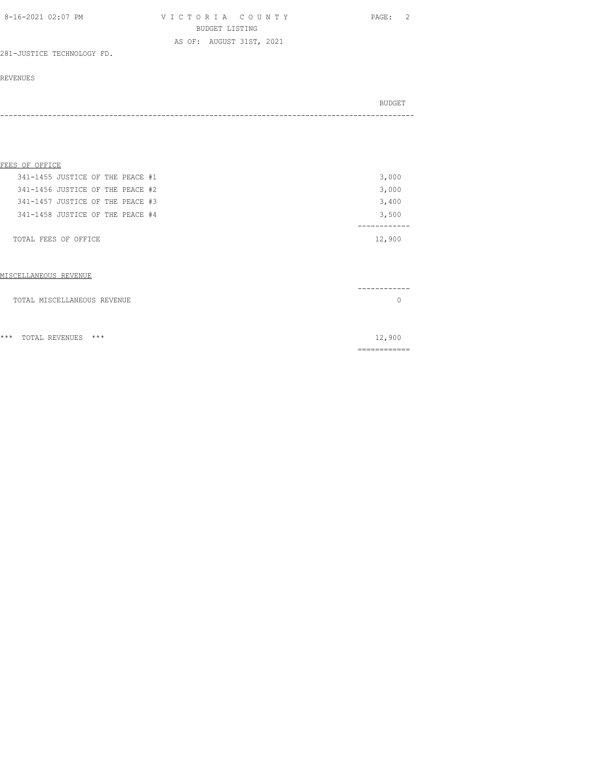| 8-16-2021 02:07 PM | VICTORIA COUNTY          | PAGE: 2 |
|--------------------|--------------------------|---------|
|                    | BUDGET LISTING           |         |
|                    | AS OF: AUGUST 31ST, 2021 |         |

281-JUSTICE TECHNOLOGY FD.

#### REVENUES

| BUDGET |
|--------|
| - - -  |

#### FEES OF OFFICE

| TOTAL FEES OF OFFICE             |  |  |  | 12,900 |
|----------------------------------|--|--|--|--------|
| 341-1458 JUSTICE OF THE PEACE #4 |  |  |  | 3,500  |
| 341-1457 JUSTICE OF THE PEACE #3 |  |  |  | 3,400  |
| 341-1456 JUSTICE OF THE PEACE #2 |  |  |  | 3,000  |
| 341-1455 JUSTICE OF THE PEACE #1 |  |  |  | 3,000  |

#### MISCELLANEOUS REVENUE

|     | TOTAL MISCELLANEOUS REVENUE |        |
|-----|-----------------------------|--------|
|     |                             |        |
| *** | TOTAL REVENUES ***          | 12,900 |

============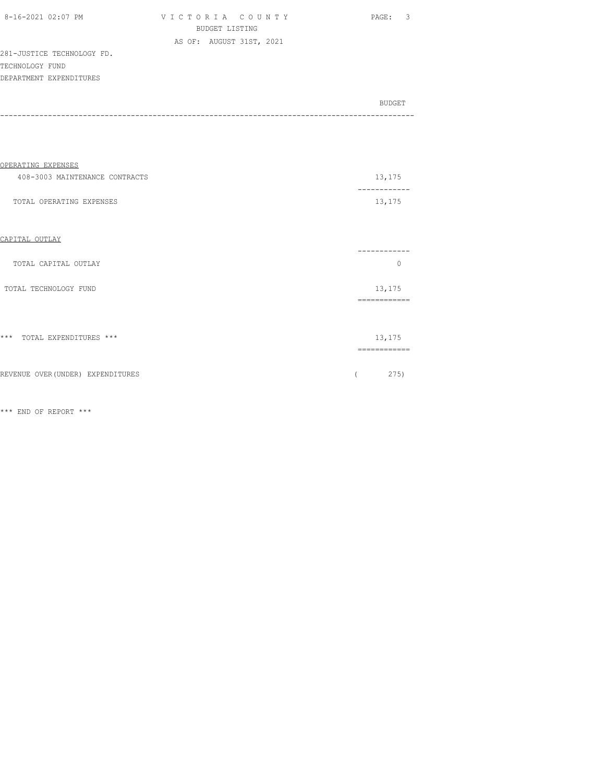| 8-16-2021 02:07 PM         | VICTORIA COUNTY          | - 3<br>PAGE:  |
|----------------------------|--------------------------|---------------|
|                            | BUDGET LISTING           |               |
|                            | AS OF: AUGUST 31ST, 2021 |               |
| 281-JUSTICE TECHNOLOGY FD. |                          |               |
| TECHNOLOGY FUND            |                          |               |
| DEPARTMENT EXPENDITURES    |                          |               |
|                            |                          |               |
|                            |                          | <b>BUDGET</b> |

| OPERATING EXPENSES                |                        |
|-----------------------------------|------------------------|
| 408-3003 MAINTENANCE CONTRACTS    | 13,175                 |
| TOTAL OPERATING EXPENSES          | 13,175                 |
| CAPITAL OUTLAY                    |                        |
| TOTAL CAPITAL OUTLAY              | .<br>$\Omega$          |
| TOTAL TECHNOLOGY FUND             | 13,175<br>============ |
|                                   |                        |
| *** TOTAL EXPENDITURES ***        | 13,175<br>============ |
| REVENUE OVER (UNDER) EXPENDITURES | 275)                   |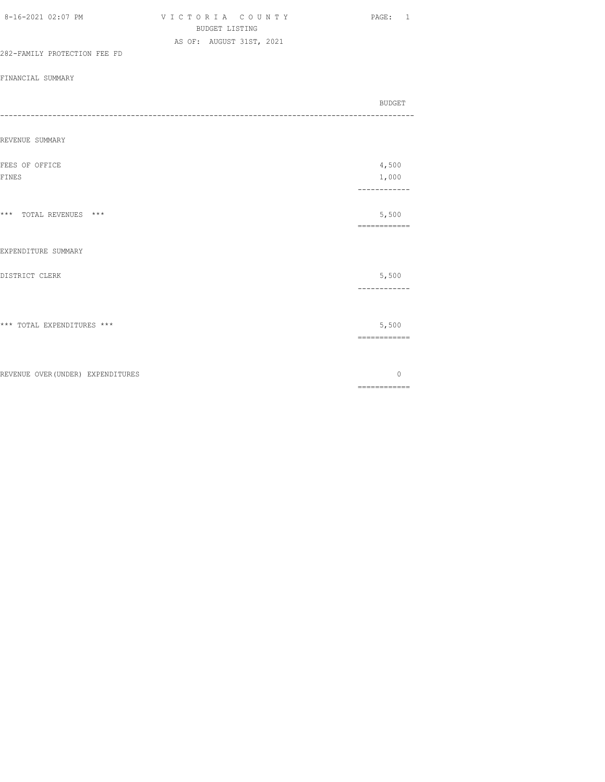|                                   | <b>BUDGET LISTING</b>    |                                                                                                                                                                                                                                                                                                                                                                                                                                                                                        |
|-----------------------------------|--------------------------|----------------------------------------------------------------------------------------------------------------------------------------------------------------------------------------------------------------------------------------------------------------------------------------------------------------------------------------------------------------------------------------------------------------------------------------------------------------------------------------|
|                                   | AS OF: AUGUST 31ST, 2021 |                                                                                                                                                                                                                                                                                                                                                                                                                                                                                        |
| 282-FAMILY PROTECTION FEE FD      |                          |                                                                                                                                                                                                                                                                                                                                                                                                                                                                                        |
| FINANCIAL SUMMARY                 |                          |                                                                                                                                                                                                                                                                                                                                                                                                                                                                                        |
|                                   |                          |                                                                                                                                                                                                                                                                                                                                                                                                                                                                                        |
| -----------------------           |                          | <b>BUDGET</b>                                                                                                                                                                                                                                                                                                                                                                                                                                                                          |
|                                   |                          |                                                                                                                                                                                                                                                                                                                                                                                                                                                                                        |
| REVENUE SUMMARY                   |                          |                                                                                                                                                                                                                                                                                                                                                                                                                                                                                        |
|                                   |                          |                                                                                                                                                                                                                                                                                                                                                                                                                                                                                        |
| FEES OF OFFICE<br><b>FINES</b>    |                          | 4,500<br>1,000                                                                                                                                                                                                                                                                                                                                                                                                                                                                         |
|                                   |                          | ------------                                                                                                                                                                                                                                                                                                                                                                                                                                                                           |
|                                   |                          |                                                                                                                                                                                                                                                                                                                                                                                                                                                                                        |
| *** TOTAL REVENUES ***            |                          | 5,500                                                                                                                                                                                                                                                                                                                                                                                                                                                                                  |
|                                   |                          | ============                                                                                                                                                                                                                                                                                                                                                                                                                                                                           |
| EXPENDITURE SUMMARY               |                          |                                                                                                                                                                                                                                                                                                                                                                                                                                                                                        |
|                                   |                          |                                                                                                                                                                                                                                                                                                                                                                                                                                                                                        |
| DISTRICT CLERK                    |                          | 5,500                                                                                                                                                                                                                                                                                                                                                                                                                                                                                  |
|                                   |                          | ------------                                                                                                                                                                                                                                                                                                                                                                                                                                                                           |
|                                   |                          |                                                                                                                                                                                                                                                                                                                                                                                                                                                                                        |
| *** TOTAL EXPENDITURES ***        |                          | 5,500                                                                                                                                                                                                                                                                                                                                                                                                                                                                                  |
|                                   |                          | $\begin{array}{cccccccccc} \multicolumn{2}{c}{} & \multicolumn{2}{c}{} & \multicolumn{2}{c}{} & \multicolumn{2}{c}{} & \multicolumn{2}{c}{} & \multicolumn{2}{c}{} & \multicolumn{2}{c}{} & \multicolumn{2}{c}{} & \multicolumn{2}{c}{} & \multicolumn{2}{c}{} & \multicolumn{2}{c}{} & \multicolumn{2}{c}{} & \multicolumn{2}{c}{} & \multicolumn{2}{c}{} & \multicolumn{2}{c}{} & \multicolumn{2}{c}{} & \multicolumn{2}{c}{} & \multicolumn{2}{c}{} & \multicolumn{2}{c}{} & \mult$ |
|                                   |                          |                                                                                                                                                                                                                                                                                                                                                                                                                                                                                        |
| REVENUE OVER (UNDER) EXPENDITURES |                          | $\mathbf{0}$                                                                                                                                                                                                                                                                                                                                                                                                                                                                           |
|                                   |                          | $\begin{array}{cccccccccc} \multicolumn{2}{c}{} & \multicolumn{2}{c}{} & \multicolumn{2}{c}{} & \multicolumn{2}{c}{} & \multicolumn{2}{c}{} & \multicolumn{2}{c}{} & \multicolumn{2}{c}{} & \multicolumn{2}{c}{} & \multicolumn{2}{c}{} & \multicolumn{2}{c}{} & \multicolumn{2}{c}{} & \multicolumn{2}{c}{} & \multicolumn{2}{c}{} & \multicolumn{2}{c}{} & \multicolumn{2}{c}{} & \multicolumn{2}{c}{} & \multicolumn{2}{c}{} & \multicolumn{2}{c}{} & \multicolumn{2}{c}{} & \mult$ |

8-16-2021 02:07 PM V I C T O R I A C O U N T Y PAGE: 1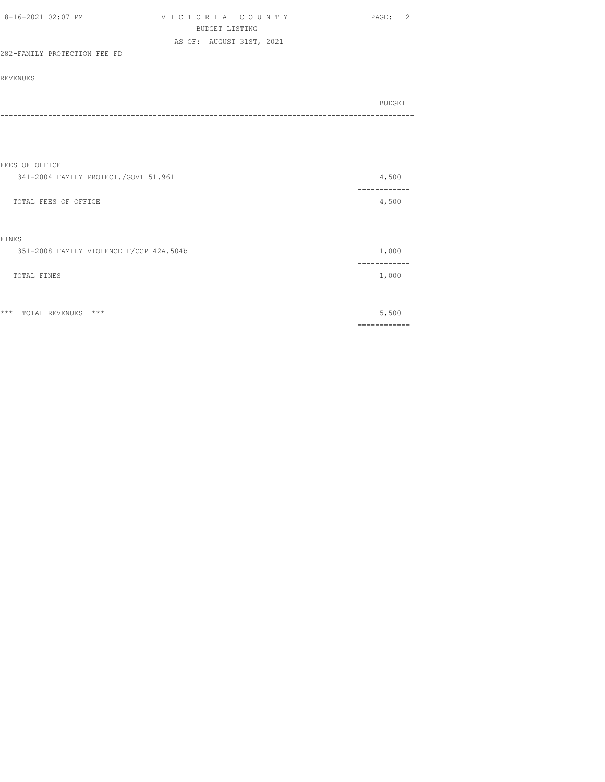| 8-16-2021 02:07 PM |                              |  | VICTORIA COUNTY          |  | PAGE: |  |
|--------------------|------------------------------|--|--------------------------|--|-------|--|
|                    |                              |  | BUDGET LISTING           |  |       |  |
|                    |                              |  | AS OF: AUGUST 31ST, 2021 |  |       |  |
|                    | 282-FAMILY PROTECTION FEE FD |  |                          |  |       |  |

| BUDGET |
|--------|
| ----   |

| FEES OF OFFICE                                   |                  |
|--------------------------------------------------|------------------|
| 341-2004 FAMILY PROTECT./GOVT 51.961             | 4,500            |
| TOTAL FEES OF OFFICE                             | 4,500            |
| FINES<br>351-2008 FAMILY VIOLENCE F/CCP 42A.504b | 1,000            |
| TOTAL FINES                                      | 1,000            |
| $***$<br>$***$<br>TOTAL REVENUES                 | 5,500<br>======= |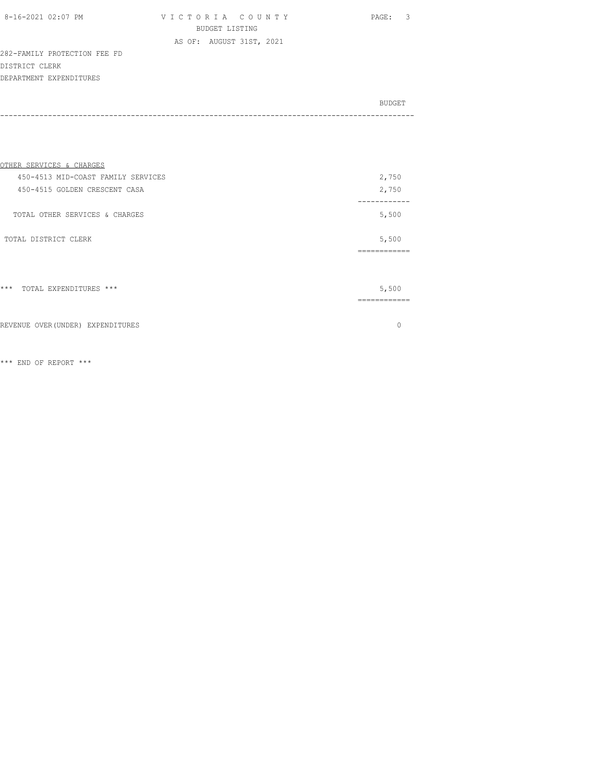| 8-16-2021 02:07 PM |  |
|--------------------|--|
|                    |  |

VICTORIA COUNTY PAGE: 3 BUDGET LISTING AS OF: AUGUST 31ST, 2021

282-FAMILY PROTECTION FEE FD DISTRICT CLERK DEPARTMENT EXPENDITURES

| BUDGET |
|--------|
|        |

| OTHER SERVICES & CHARGES           |                       |
|------------------------------------|-----------------------|
| 450-4513 MID-COAST FAMILY SERVICES | 2,750                 |
| 450-4515 GOLDEN CRESCENT CASA      | 2,750                 |
| TOTAL OTHER SERVICES & CHARGES     | 5,500                 |
| TOTAL DISTRICT CLERK               | 5,500                 |
|                                    | .==========           |
| $***$<br>TOTAL EXPENDITURES ***    | 5,500<br>------------ |
| REVENUE OVER (UNDER) EXPENDITURES  |                       |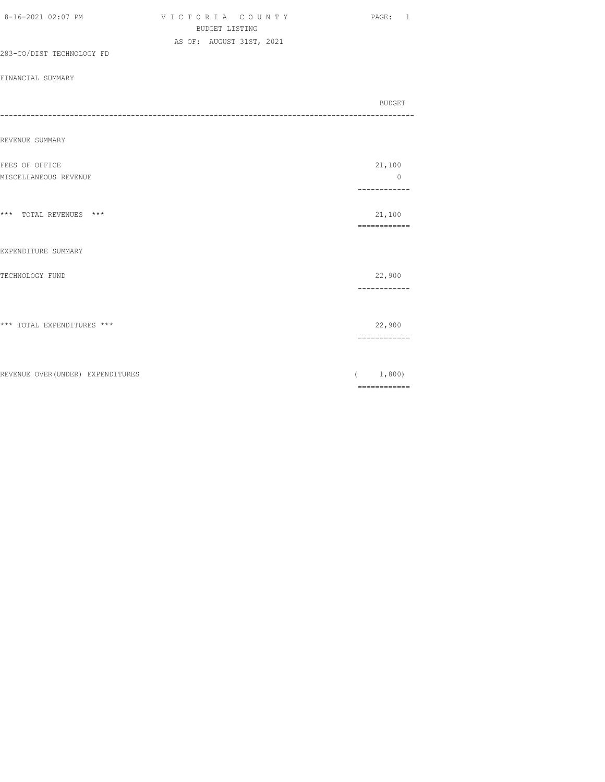|                                   | <b>BUDGET LISTING</b>    |                                                                                                                                                                                                                                                                                                                                                                                                                                                                                        |
|-----------------------------------|--------------------------|----------------------------------------------------------------------------------------------------------------------------------------------------------------------------------------------------------------------------------------------------------------------------------------------------------------------------------------------------------------------------------------------------------------------------------------------------------------------------------------|
| 283-CO/DIST TECHNOLOGY FD         | AS OF: AUGUST 31ST, 2021 |                                                                                                                                                                                                                                                                                                                                                                                                                                                                                        |
|                                   |                          |                                                                                                                                                                                                                                                                                                                                                                                                                                                                                        |
| FINANCIAL SUMMARY                 |                          |                                                                                                                                                                                                                                                                                                                                                                                                                                                                                        |
|                                   |                          | BUDGET                                                                                                                                                                                                                                                                                                                                                                                                                                                                                 |
| --------------------              |                          |                                                                                                                                                                                                                                                                                                                                                                                                                                                                                        |
| REVENUE SUMMARY                   |                          |                                                                                                                                                                                                                                                                                                                                                                                                                                                                                        |
| FEES OF OFFICE                    |                          | 21,100                                                                                                                                                                                                                                                                                                                                                                                                                                                                                 |
| MISCELLANEOUS REVENUE             |                          | $\circ$<br>------------                                                                                                                                                                                                                                                                                                                                                                                                                                                                |
| *** TOTAL REVENUES ***            |                          | 21,100                                                                                                                                                                                                                                                                                                                                                                                                                                                                                 |
|                                   |                          | ------------                                                                                                                                                                                                                                                                                                                                                                                                                                                                           |
| EXPENDITURE SUMMARY               |                          |                                                                                                                                                                                                                                                                                                                                                                                                                                                                                        |
| TECHNOLOGY FUND                   |                          | 22,900                                                                                                                                                                                                                                                                                                                                                                                                                                                                                 |
|                                   |                          | ------------                                                                                                                                                                                                                                                                                                                                                                                                                                                                           |
| *** TOTAL EXPENDITURES ***        |                          | 22,900                                                                                                                                                                                                                                                                                                                                                                                                                                                                                 |
|                                   |                          | $\begin{array}{cccccccccc} \multicolumn{2}{c}{} & \multicolumn{2}{c}{} & \multicolumn{2}{c}{} & \multicolumn{2}{c}{} & \multicolumn{2}{c}{} & \multicolumn{2}{c}{} & \multicolumn{2}{c}{} & \multicolumn{2}{c}{} & \multicolumn{2}{c}{} & \multicolumn{2}{c}{} & \multicolumn{2}{c}{} & \multicolumn{2}{c}{} & \multicolumn{2}{c}{} & \multicolumn{2}{c}{} & \multicolumn{2}{c}{} & \multicolumn{2}{c}{} & \multicolumn{2}{c}{} & \multicolumn{2}{c}{} & \multicolumn{2}{c}{} & \mult$ |
| REVENUE OVER (UNDER) EXPENDITURES |                          | 1,800)<br>$\left($                                                                                                                                                                                                                                                                                                                                                                                                                                                                     |
|                                   |                          | $\begin{array}{cccccccccc} \multicolumn{2}{c}{} & \multicolumn{2}{c}{} & \multicolumn{2}{c}{} & \multicolumn{2}{c}{} & \multicolumn{2}{c}{} & \multicolumn{2}{c}{} & \multicolumn{2}{c}{} & \multicolumn{2}{c}{} & \multicolumn{2}{c}{} & \multicolumn{2}{c}{} & \multicolumn{2}{c}{} & \multicolumn{2}{c}{} & \multicolumn{2}{c}{} & \multicolumn{2}{c}{} & \multicolumn{2}{c}{} & \multicolumn{2}{c}{} & \multicolumn{2}{c}{} & \multicolumn{2}{c}{} & \multicolumn{2}{c}{} & \mult$ |

8-16-2021 02:07 PM V I C T O R I A C O U N T Y PAGE: 1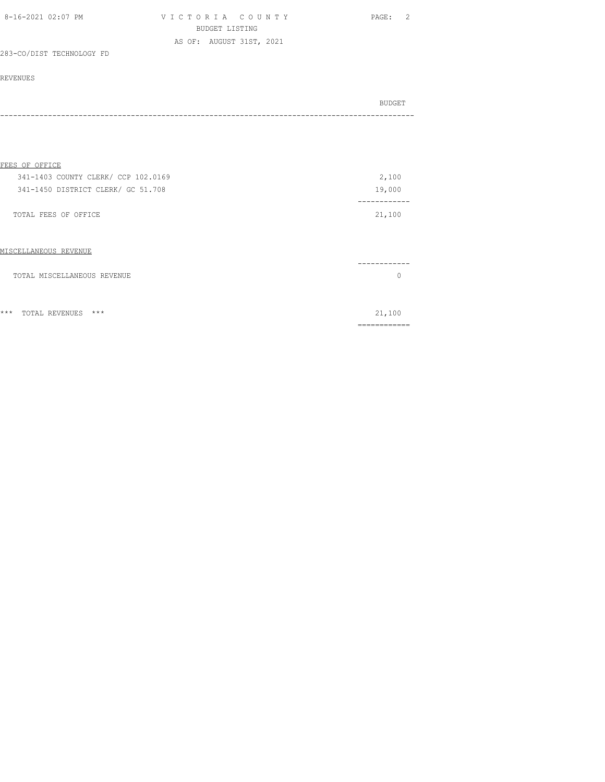| 8-16-2021 02:07 PM | VICTORIA COUNTY          | PAGE: 2 |
|--------------------|--------------------------|---------|
|                    | BUDGET LISTING           |         |
|                    | AS OF: AUGUST 31ST, 2021 |         |

## 283-CO/DIST TECHNOLOGY FD

#### REVENUES

| BUDGET |
|--------|
|        |

#### FEES OF OFFICE

| 341-1403 COUNTY CLERK/ CCP 102.0169 | 2,100  |
|-------------------------------------|--------|
| 341-1450 DISTRICT CLERK/ GC 51.708  | 19,000 |
|                                     |        |
| TOTAL FEES OF OFFICE                | 21,100 |

#### MISCELLANEOUS REVENUE

|                             | ------ |  |
|-----------------------------|--------|--|
| TOTAL MISCELLANEOUS REVENUE |        |  |
|                             |        |  |
|                             |        |  |
|                             |        |  |

\*\*\* TOTAL REVENUES \*\*\* 21,100

============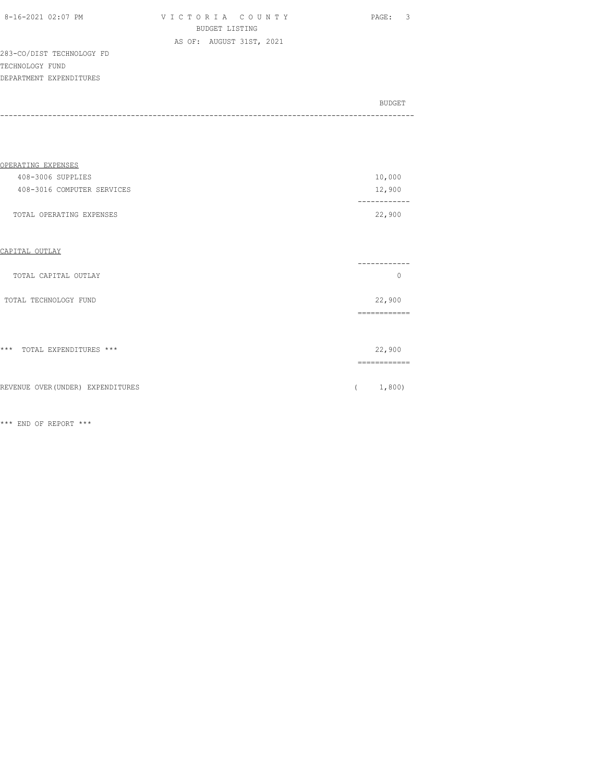| 8-16-2021 02:07 PM |  |
|--------------------|--|

VICTORIA COUNTY PAGE: 3 BUDGET LISTING AS OF: AUGUST 31ST, 2021

283-CO/DIST TECHNOLOGY FD TECHNOLOGY FUND DEPARTMENT EXPENDITURES

| BUDGET |
|--------|
|        |
|        |

| OPERATING EXPENSES         |         |
|----------------------------|---------|
| 408-3006 SUPPLIES          | 10,000  |
| 408-3016 COMPUTER SERVICES | 12,900  |
|                            | ------- |
| TOTAL OPERATING EXPENSES   | 22,900  |

# CAPITAL OUTLAY

| TOTAL CAPITAL OUTLAY              | 0                  |
|-----------------------------------|--------------------|
| TOTAL TECHNOLOGY FUND             | 22,900<br>-------- |
| $***$<br>TOTAL EXPENDITURES ***   | 22,900             |
| REVENUE OVER (UNDER) EXPENDITURES | 1,800)             |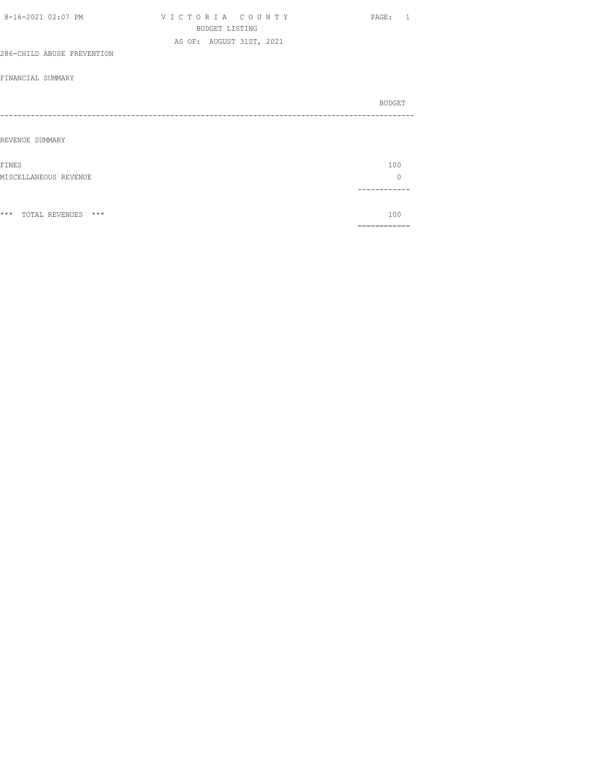| 8-16-2021 02:07 PM         | VICTORIA COUNTY          | PAGE: 1 |
|----------------------------|--------------------------|---------|
|                            | <b>BUDGET LISTING</b>    |         |
|                            | AS OF: AUGUST 31ST, 2021 |         |
| 286-CHILD ABUSE PREVENTION |                          |         |
|                            |                          |         |
| FINANCIAL SUMMARY          |                          |         |
|                            |                          |         |
|                            |                          | BUDGET  |
|                            |                          |         |
|                            |                          |         |
| REVENUE SUMMARY            |                          |         |
| FINES                      |                          | 100     |
| MISCELLANEOUS REVENUE      |                          | $\circ$ |
|                            |                          |         |
|                            |                          |         |
| *** TOTAL REVENUES ***     |                          | 100     |
|                            |                          |         |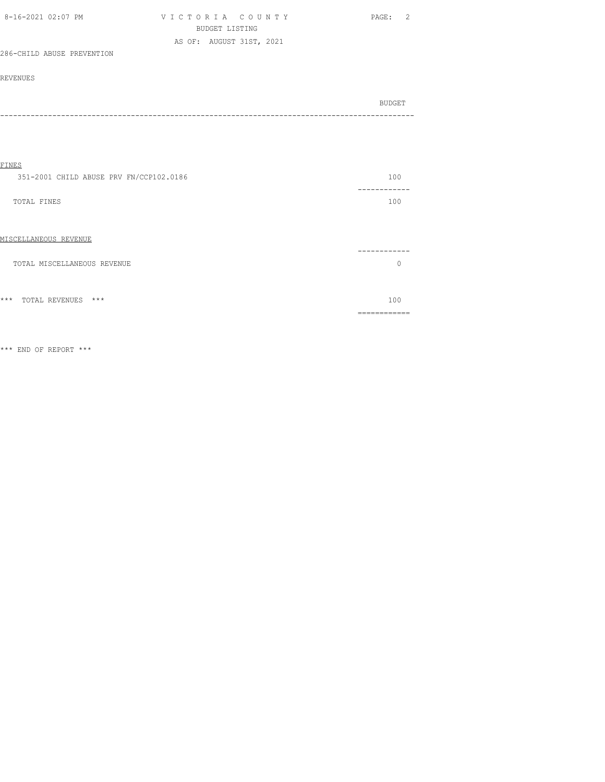| 8-16-2021 02:07 PM         | VICTORIA COUNTY          | PAGE: |  |
|----------------------------|--------------------------|-------|--|
|                            | BUDGET LISTING           |       |  |
|                            | AS OF: AUGUST 31ST, 2021 |       |  |
| 286-CHILD ABUSE PREVENTION |                          |       |  |

# REVENUES

| BUDGET |
|--------|
|        |

| 100          |
|--------------|
|              |
| 100          |
|              |
|              |
|              |
|              |
| O            |
|              |
|              |
| 100          |
| ------------ |
|              |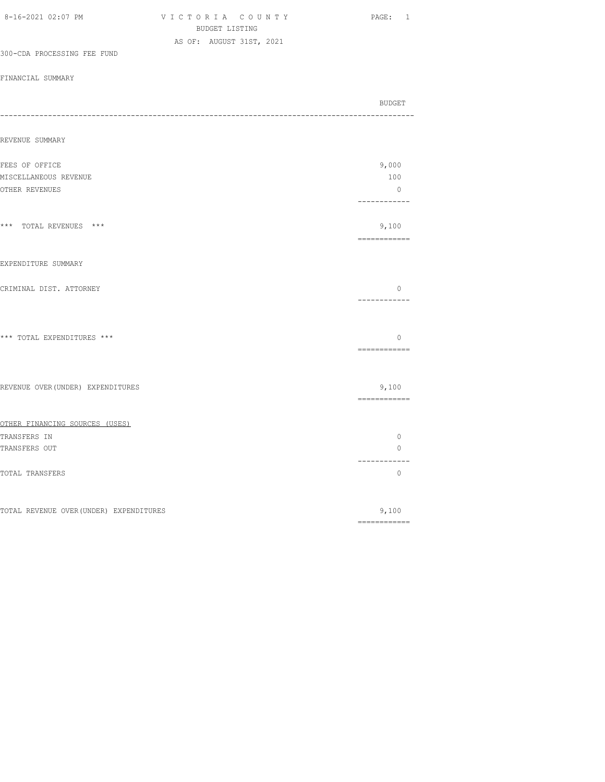| 8-16-2021 02:07 PM                      | VICTORIA COUNTY<br>BUDGET LISTING | PAGE: 1                                                                                                                                                                                                                                                                                                                                                                                                                                                                                         |
|-----------------------------------------|-----------------------------------|-------------------------------------------------------------------------------------------------------------------------------------------------------------------------------------------------------------------------------------------------------------------------------------------------------------------------------------------------------------------------------------------------------------------------------------------------------------------------------------------------|
|                                         | AS OF: AUGUST 31ST, 2021          |                                                                                                                                                                                                                                                                                                                                                                                                                                                                                                 |
| 300-CDA PROCESSING FEE FUND             |                                   |                                                                                                                                                                                                                                                                                                                                                                                                                                                                                                 |
| FINANCIAL SUMMARY                       |                                   |                                                                                                                                                                                                                                                                                                                                                                                                                                                                                                 |
| ----                                    |                                   | BUDGET                                                                                                                                                                                                                                                                                                                                                                                                                                                                                          |
| REVENUE SUMMARY                         |                                   |                                                                                                                                                                                                                                                                                                                                                                                                                                                                                                 |
| FEES OF OFFICE                          |                                   | 9,000                                                                                                                                                                                                                                                                                                                                                                                                                                                                                           |
| MISCELLANEOUS REVENUE                   |                                   | 100                                                                                                                                                                                                                                                                                                                                                                                                                                                                                             |
| OTHER REVENUES                          |                                   | $\overline{0}$<br>------------                                                                                                                                                                                                                                                                                                                                                                                                                                                                  |
| *** TOTAL REVENUES ***                  |                                   | 9,100<br>$\begin{array}{cccccccccc} \multicolumn{2}{c}{} & \multicolumn{2}{c}{} & \multicolumn{2}{c}{} & \multicolumn{2}{c}{} & \multicolumn{2}{c}{} & \multicolumn{2}{c}{} & \multicolumn{2}{c}{} & \multicolumn{2}{c}{} & \multicolumn{2}{c}{} & \multicolumn{2}{c}{} & \multicolumn{2}{c}{} & \multicolumn{2}{c}{} & \multicolumn{2}{c}{} & \multicolumn{2}{c}{} & \multicolumn{2}{c}{} & \multicolumn{2}{c}{} & \multicolumn{2}{c}{} & \multicolumn{2}{c}{} & \multicolumn{2}{c}{} & \mult$ |
| EXPENDITURE SUMMARY                     |                                   |                                                                                                                                                                                                                                                                                                                                                                                                                                                                                                 |
| CRIMINAL DIST. ATTORNEY                 |                                   | $\circ$<br>------------                                                                                                                                                                                                                                                                                                                                                                                                                                                                         |
| *** TOTAL EXPENDITURES ***              |                                   | $\circ$<br>============                                                                                                                                                                                                                                                                                                                                                                                                                                                                         |
| REVENUE OVER (UNDER) EXPENDITURES       |                                   | 9,100<br>------------                                                                                                                                                                                                                                                                                                                                                                                                                                                                           |
| OTHER FINANCING SOURCES (USES)          |                                   |                                                                                                                                                                                                                                                                                                                                                                                                                                                                                                 |
| TRANSFERS IN                            |                                   | $\circ$                                                                                                                                                                                                                                                                                                                                                                                                                                                                                         |
| TRANSFERS OUT                           |                                   | $\circ$<br>-----------                                                                                                                                                                                                                                                                                                                                                                                                                                                                          |
| TOTAL TRANSFERS                         |                                   | $\mathbf{0}$                                                                                                                                                                                                                                                                                                                                                                                                                                                                                    |
| TOTAL REVENUE OVER (UNDER) EXPENDITURES |                                   | 9,100                                                                                                                                                                                                                                                                                                                                                                                                                                                                                           |
|                                         |                                   | $\begin{array}{cccccccccc} \multicolumn{2}{c}{} & \multicolumn{2}{c}{} & \multicolumn{2}{c}{} & \multicolumn{2}{c}{} & \multicolumn{2}{c}{} & \multicolumn{2}{c}{} & \multicolumn{2}{c}{} & \multicolumn{2}{c}{} & \multicolumn{2}{c}{} & \multicolumn{2}{c}{} & \multicolumn{2}{c}{} & \multicolumn{2}{c}{} & \multicolumn{2}{c}{} & \multicolumn{2}{c}{} & \multicolumn{2}{c}{} & \multicolumn{2}{c}{} & \multicolumn{2}{c}{} & \multicolumn{2}{c}{} & \multicolumn{2}{c}{} & \mult$          |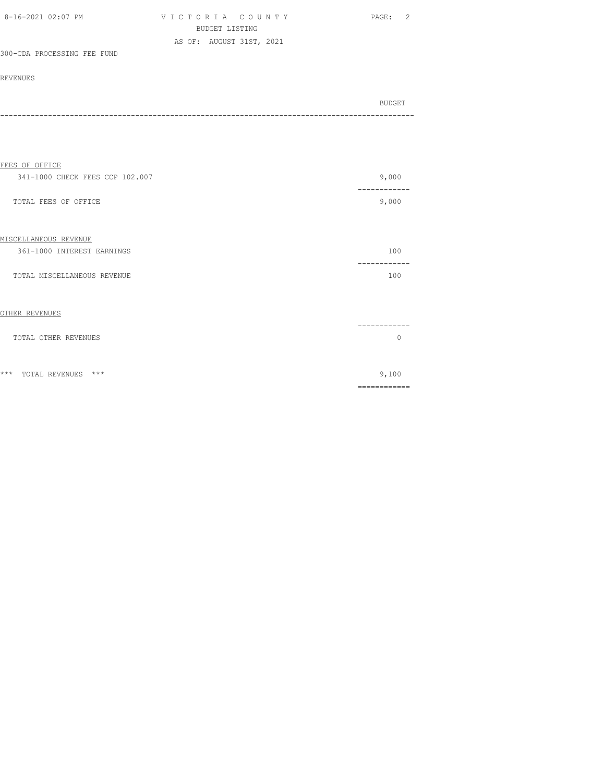| 8-16-2021 02:07 PM          | VICTORIA COUNTY          | PAGE: 2 |
|-----------------------------|--------------------------|---------|
|                             | BUDGET LISTING           |         |
|                             | AS OF: AUGUST 31ST, 2021 |         |
| 300-CDA PROCESSING FEE FUND |                          |         |

#### REVENUES

| BUDGET |
|--------|
| ----   |
|        |

| FEES OF OFFICE                        |                       |
|---------------------------------------|-----------------------|
| 341-1000 CHECK FEES CCP 102.007       | 9,000                 |
| TOTAL FEES OF OFFICE                  | ----------<br>9,000   |
| MISCELLANEOUS REVENUE                 |                       |
| 361-1000 INTEREST EARNINGS            | 100                   |
| TOTAL MISCELLANEOUS REVENUE           | 100                   |
| OTHER REVENUES                        |                       |
| TOTAL OTHER REVENUES                  | 0                     |
| $***$<br>***<br><b>TOTAL REVENUES</b> | 9,100<br>============ |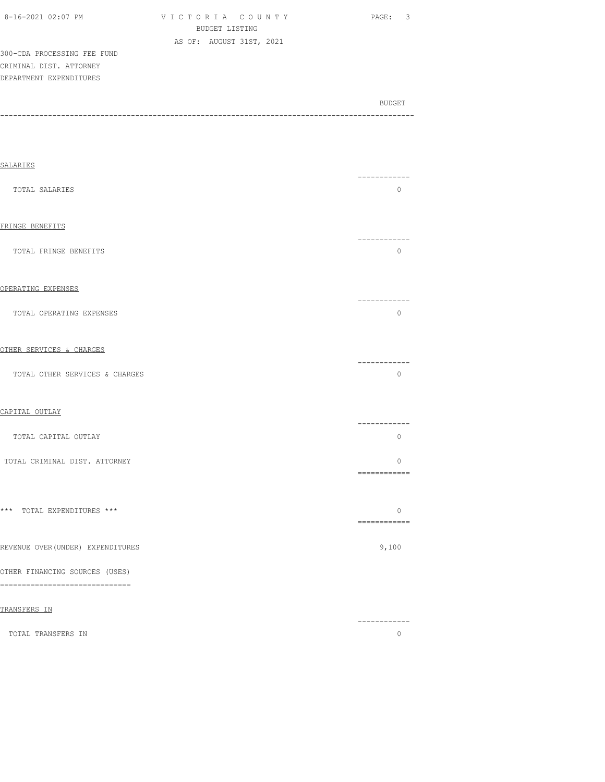|  | 8-16-2021 02:07 PM |  |
|--|--------------------|--|

V I C T O R I A C O U N T Y PAGE: 3 BUDGET LISTING AS OF: AUGUST 31ST, 2021

300-CDA PROCESSING FEE FUND CRIMINAL DIST. ATTORNEY DEPARTMENT EXPENDITURES

BUDGET AND RESERVE AND RESERVE AND RESERVE AND RESERVE AND RESERVE AND RESERVE AND RESERVE AND RESERVE AND RESERVE AND RESERVE AND RESERVE AND RESERVE AND RESERVE AND RESERVE AND RESPONDING A REPORT OF A REPORT OF A REPORT -----------------------------------------------------------------------------------------------

| <b>SALARIES</b>                                                     |                         |
|---------------------------------------------------------------------|-------------------------|
|                                                                     | ------------            |
| TOTAL SALARIES                                                      | $\mathbf{0}$            |
| FRINGE BENEFITS                                                     | ------------            |
| TOTAL FRINGE BENEFITS                                               | $\overline{0}$          |
| OPERATING EXPENSES                                                  |                         |
| TOTAL OPERATING EXPENSES                                            | -----------<br>$\circ$  |
| OTHER SERVICES & CHARGES                                            |                         |
| TOTAL OTHER SERVICES & CHARGES                                      | ------------<br>$\circ$ |
| CAPITAL OUTLAY                                                      |                         |
| TOTAL CAPITAL OUTLAY                                                | ------------<br>$\circ$ |
| TOTAL CRIMINAL DIST. ATTORNEY                                       | $\circ$<br>============ |
|                                                                     |                         |
| *** TOTAL EXPENDITURES ***                                          | $\circ$<br>============ |
| REVENUE OVER (UNDER) EXPENDITURES                                   | 9,100                   |
| OTHER FINANCING SOURCES (USES)<br>================================= |                         |
| TRANSFERS IN                                                        | ------------            |
| TOTAL TRANSFERS IN                                                  | $\circ$                 |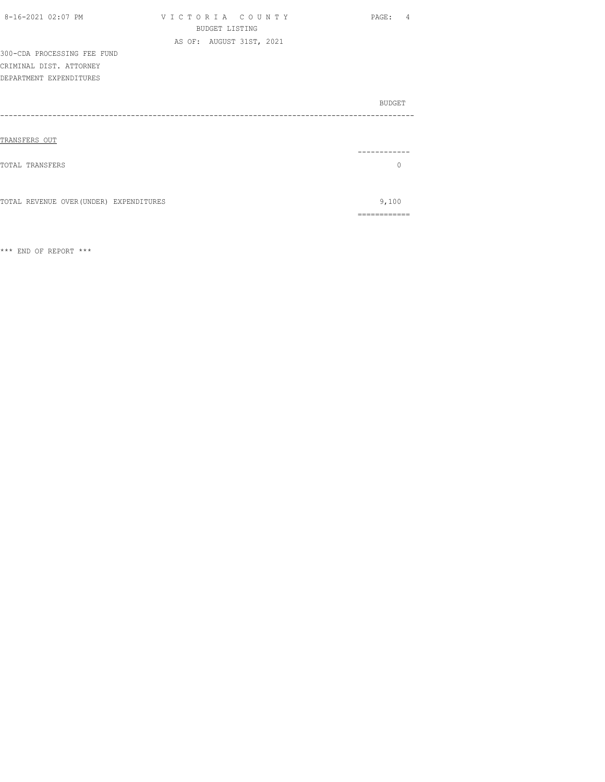| 8-16-2021 02:07 PM                      | VICTORIA COUNTY          | PAGE: 4       |
|-----------------------------------------|--------------------------|---------------|
|                                         | <b>BUDGET LISTING</b>    |               |
|                                         | AS OF: AUGUST 31ST, 2021 |               |
| 300-CDA PROCESSING FEE FUND             |                          |               |
| CRIMINAL DIST. ATTORNEY                 |                          |               |
| DEPARTMENT EXPENDITURES                 |                          |               |
|                                         |                          | <b>BUDGET</b> |
|                                         |                          |               |
|                                         |                          |               |
| TRANSFERS OUT                           |                          |               |
|                                         |                          |               |
| TOTAL TRANSFERS                         |                          | $\Omega$      |
|                                         |                          |               |
|                                         |                          |               |
| TOTAL REVENUE OVER (UNDER) EXPENDITURES |                          | 9,100         |
|                                         |                          | .=========    |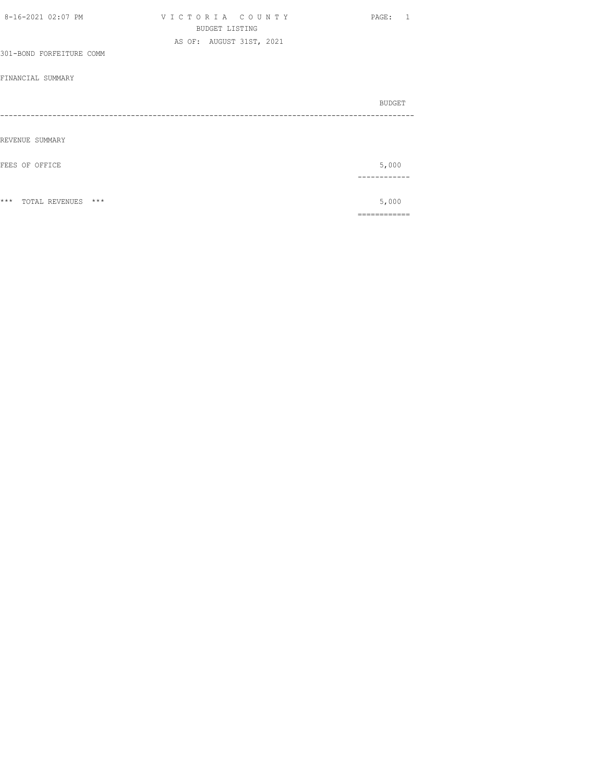| 8-16-2021 02:07 PM          | VICTORIA COUNTY          | PAGE: 1 |
|-----------------------------|--------------------------|---------|
|                             | <b>BUDGET LISTING</b>    |         |
|                             | AS OF: AUGUST 31ST, 2021 |         |
| 301-BOND FORFEITURE COMM    |                          |         |
|                             |                          |         |
| FINANCIAL SUMMARY           |                          |         |
|                             |                          | BUDGET  |
|                             |                          |         |
|                             |                          |         |
| REVENUE SUMMARY             |                          |         |
| FEES OF OFFICE              |                          | 5,000   |
|                             |                          |         |
|                             |                          |         |
| $***$<br>TOTAL REVENUES *** |                          | 5,000   |
|                             |                          |         |
|                             |                          |         |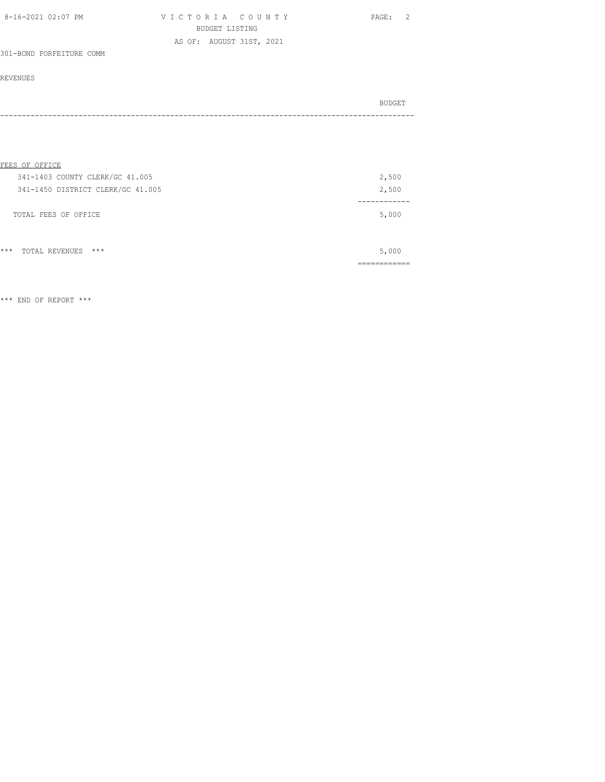| 8-16-2021 02:07 PM | VICTORIA COUNTY          | PAGE: 2 |
|--------------------|--------------------------|---------|
|                    | BUDGET LISTING           |         |
|                    | AS OF: AUGUST 31ST, 2021 |         |

# 301-BOND FORFEITURE COMM

# REVENUES

| - - - - |  |  | BUDGET |
|---------|--|--|--------|
|         |  |  |        |

| FEES OF OFFICE                    |       |
|-----------------------------------|-------|
| 341-1403 COUNTY CLERK/GC 41.005   | 2,500 |
| 341-1450 DISTRICT CLERK/GC 41.005 | 2,500 |
|                                   |       |
| TOTAL FEES OF OFFICE              | 5,000 |
|                                   |       |
|                                   |       |
| $***$<br>$***$<br>TOTAL REVENUES  | 5,000 |

============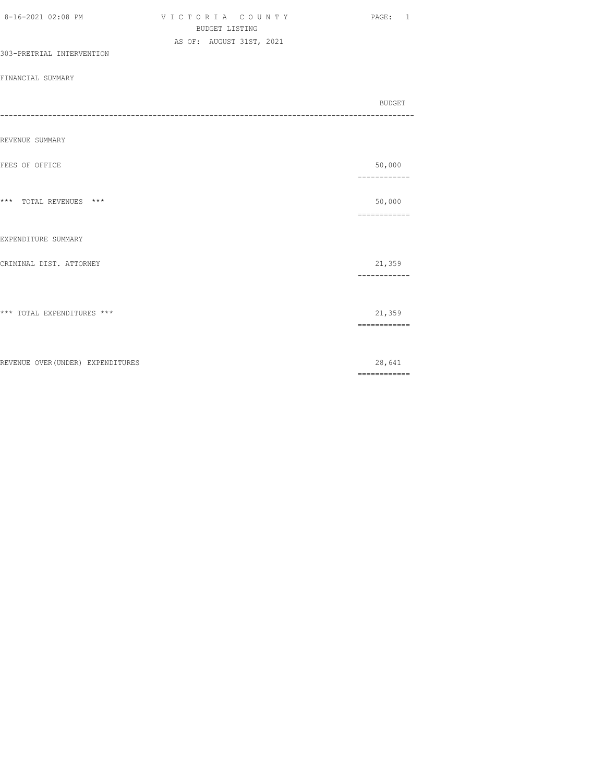| 8-16-2021 02:08 PM                | VICTORIA COUNTY<br><b>BUDGET LISTING</b> | PAGE: 1                                                                                                                                                                                                                                                                                                                                                                                                                                                                                          |
|-----------------------------------|------------------------------------------|--------------------------------------------------------------------------------------------------------------------------------------------------------------------------------------------------------------------------------------------------------------------------------------------------------------------------------------------------------------------------------------------------------------------------------------------------------------------------------------------------|
| 303-PRETRIAL INTERVENTION         | AS OF: AUGUST 31ST, 2021                 |                                                                                                                                                                                                                                                                                                                                                                                                                                                                                                  |
| FINANCIAL SUMMARY                 |                                          |                                                                                                                                                                                                                                                                                                                                                                                                                                                                                                  |
|                                   |                                          | BUDGET                                                                                                                                                                                                                                                                                                                                                                                                                                                                                           |
|                                   |                                          |                                                                                                                                                                                                                                                                                                                                                                                                                                                                                                  |
| REVENUE SUMMARY                   |                                          |                                                                                                                                                                                                                                                                                                                                                                                                                                                                                                  |
| FEES OF OFFICE                    |                                          | 50,000<br>------------                                                                                                                                                                                                                                                                                                                                                                                                                                                                           |
| *** TOTAL REVENUES ***            |                                          | 50,000<br>$\begin{array}{cccccccccc} \multicolumn{2}{c}{} & \multicolumn{2}{c}{} & \multicolumn{2}{c}{} & \multicolumn{2}{c}{} & \multicolumn{2}{c}{} & \multicolumn{2}{c}{} & \multicolumn{2}{c}{} & \multicolumn{2}{c}{} & \multicolumn{2}{c}{} & \multicolumn{2}{c}{} & \multicolumn{2}{c}{} & \multicolumn{2}{c}{} & \multicolumn{2}{c}{} & \multicolumn{2}{c}{} & \multicolumn{2}{c}{} & \multicolumn{2}{c}{} & \multicolumn{2}{c}{} & \multicolumn{2}{c}{} & \multicolumn{2}{c}{} & \mult$ |
| EXPENDITURE SUMMARY               |                                          |                                                                                                                                                                                                                                                                                                                                                                                                                                                                                                  |
| CRIMINAL DIST. ATTORNEY           |                                          | 21,359<br>------------                                                                                                                                                                                                                                                                                                                                                                                                                                                                           |
|                                   |                                          |                                                                                                                                                                                                                                                                                                                                                                                                                                                                                                  |
| *** TOTAL EXPENDITURES ***        |                                          | 21,359<br>$\begin{array}{cccccccccc} \multicolumn{2}{c}{} & \multicolumn{2}{c}{} & \multicolumn{2}{c}{} & \multicolumn{2}{c}{} & \multicolumn{2}{c}{} & \multicolumn{2}{c}{} & \multicolumn{2}{c}{} & \multicolumn{2}{c}{} & \multicolumn{2}{c}{} & \multicolumn{2}{c}{} & \multicolumn{2}{c}{} & \multicolumn{2}{c}{} & \multicolumn{2}{c}{} & \multicolumn{2}{c}{} & \multicolumn{2}{c}{} & \multicolumn{2}{c}{} & \multicolumn{2}{c}{} & \multicolumn{2}{c}{} & \multicolumn{2}{c}{} & \mult$ |
|                                   |                                          |                                                                                                                                                                                                                                                                                                                                                                                                                                                                                                  |
| REVENUE OVER (UNDER) EXPENDITURES |                                          | 28,641<br>$\begin{array}{cccccccccc} \multicolumn{2}{c}{} & \multicolumn{2}{c}{} & \multicolumn{2}{c}{} & \multicolumn{2}{c}{} & \multicolumn{2}{c}{} & \multicolumn{2}{c}{} & \multicolumn{2}{c}{} & \multicolumn{2}{c}{} & \multicolumn{2}{c}{} & \multicolumn{2}{c}{} & \multicolumn{2}{c}{} & \multicolumn{2}{c}{} & \multicolumn{2}{c}{} & \multicolumn{2}{c}{} & \multicolumn{2}{c}{} & \multicolumn{2}{c}{} & \multicolumn{2}{c}{} & \multicolumn{2}{c}{} & \multicolumn{2}{c}{} & \mult$ |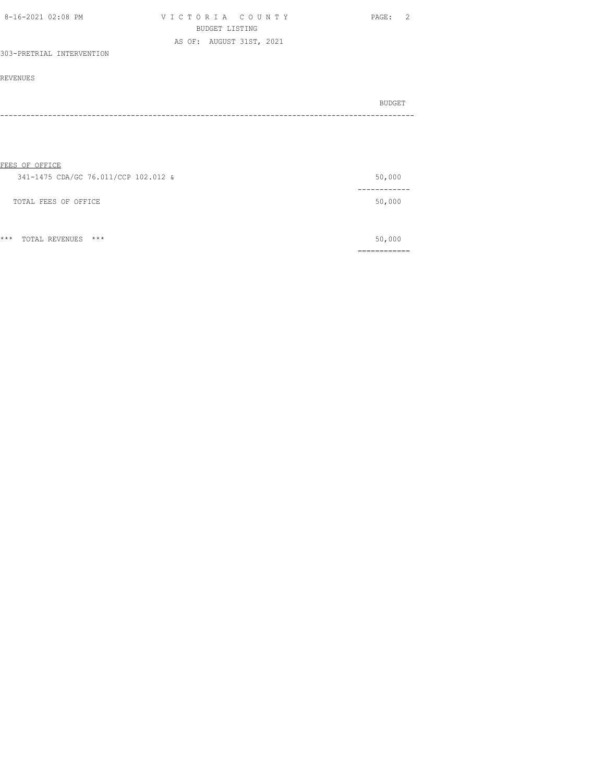| 8-16-2021 02:08 PM        | VICTORIA COUNTY          | PAGE: |
|---------------------------|--------------------------|-------|
|                           | BUDGET LISTING           |       |
|                           | AS OF: AUGUST 31ST, 2021 |       |
| 303-PRETRIAL INTERVENTION |                          |       |

#### REVENUES

| BUDGET |
|--------|
| $ -$   |

# FEES OF OFFICE

| 341-1475 CDA/GC 76.011/CCP 102.012 & | 50,000  |
|--------------------------------------|---------|
|                                      | ------- |
| TOTAL FEES OF OFFICE                 | 50,000  |
|                                      |         |
|                                      |         |

\*\*\* TOTAL REVENUES \*\*\* 50,000 ============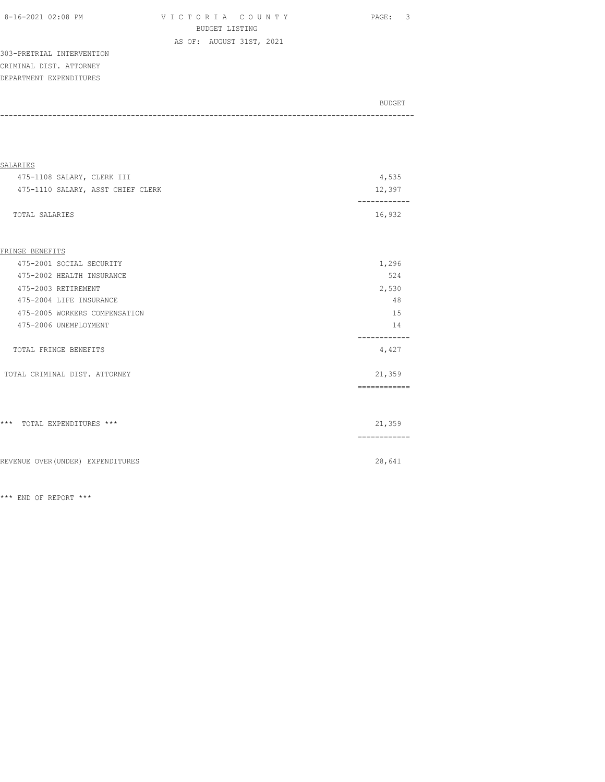VICTORIA COUNTY PAGE: 3 BUDGET LISTING AS OF: AUGUST 31ST, 2021

303-PRETRIAL INTERVENTION CRIMINAL DIST. ATTORNEY DEPARTMENT EXPENDITURES

| BUDGET |
|--------|
| ----   |
|        |

| SALARIES                          |        |
|-----------------------------------|--------|
| 475-1108 SALARY, CLERK III        | 4,535  |
| 475-1110 SALARY, ASST CHIEF CLERK | 12,397 |
|                                   |        |
| TOTAL SALARIES                    | 16,932 |

### FRINGE BENEFITS

| 475-2001 SOCIAL SECURITY      | 1,296       |
|-------------------------------|-------------|
| 475-2002 HEALTH INSURANCE     | 524         |
| 475-2003 RETIREMENT           | 2,530       |
| 475-2004 LIFE INSURANCE       | 48          |
| 475-2005 WORKERS COMPENSATION | 15          |
| 475-2006 UNEMPLOYMENT         | 14          |
| TOTAL FRINGE BENEFITS         | 4,427       |
| TOTAL CRIMINAL DIST. ATTORNEY | 21,359      |
|                               |             |
|                               |             |
| *** TOTAL EXPENDITURES ***    | 21,359      |
|                               | ----------- |
|                               |             |

REVENUE OVER(UNDER) EXPENDITURES 28,641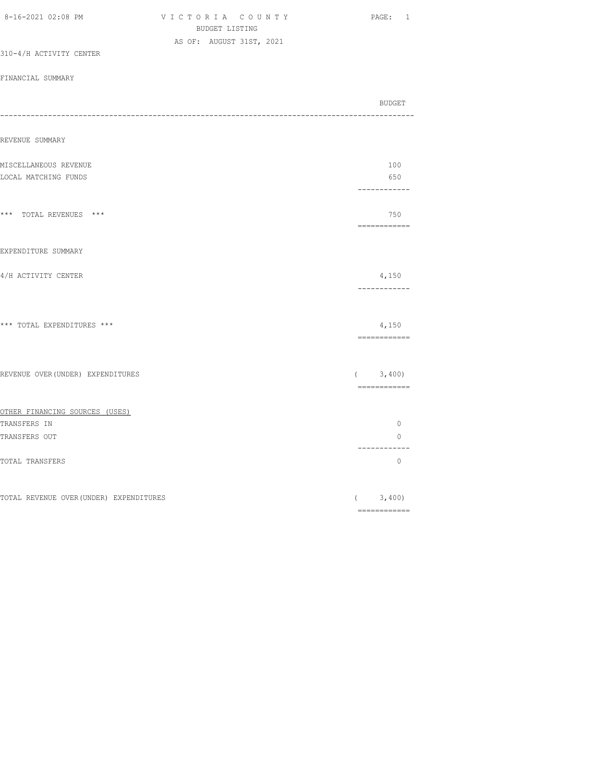| 8-16-2021 02:08 PM                      | VICTORIA COUNTY<br>BUDGET LISTING | PAGE: 1                                                                                                                                                                                                                                                                                                                                                                                                                                                                                |
|-----------------------------------------|-----------------------------------|----------------------------------------------------------------------------------------------------------------------------------------------------------------------------------------------------------------------------------------------------------------------------------------------------------------------------------------------------------------------------------------------------------------------------------------------------------------------------------------|
|                                         | AS OF: AUGUST 31ST, 2021          |                                                                                                                                                                                                                                                                                                                                                                                                                                                                                        |
| 310-4/H ACTIVITY CENTER                 |                                   |                                                                                                                                                                                                                                                                                                                                                                                                                                                                                        |
| FINANCIAL SUMMARY                       |                                   |                                                                                                                                                                                                                                                                                                                                                                                                                                                                                        |
|                                         |                                   | BUDGET                                                                                                                                                                                                                                                                                                                                                                                                                                                                                 |
|                                         |                                   | -----------------------------                                                                                                                                                                                                                                                                                                                                                                                                                                                          |
| REVENUE SUMMARY                         |                                   |                                                                                                                                                                                                                                                                                                                                                                                                                                                                                        |
| MISCELLANEOUS REVENUE                   |                                   | 100                                                                                                                                                                                                                                                                                                                                                                                                                                                                                    |
| LOCAL MATCHING FUNDS                    |                                   | 650                                                                                                                                                                                                                                                                                                                                                                                                                                                                                    |
|                                         |                                   | ------------                                                                                                                                                                                                                                                                                                                                                                                                                                                                           |
| *** TOTAL REVENUES ***                  |                                   | 750                                                                                                                                                                                                                                                                                                                                                                                                                                                                                    |
| EXPENDITURE SUMMARY                     |                                   |                                                                                                                                                                                                                                                                                                                                                                                                                                                                                        |
| 4/H ACTIVITY CENTER                     |                                   | 4,150<br>------------                                                                                                                                                                                                                                                                                                                                                                                                                                                                  |
| *** TOTAL EXPENDITURES ***              |                                   | 4,150                                                                                                                                                                                                                                                                                                                                                                                                                                                                                  |
|                                         |                                   | $\begin{array}{cccccccccc} \multicolumn{2}{c}{} & \multicolumn{2}{c}{} & \multicolumn{2}{c}{} & \multicolumn{2}{c}{} & \multicolumn{2}{c}{} & \multicolumn{2}{c}{} & \multicolumn{2}{c}{} & \multicolumn{2}{c}{} & \multicolumn{2}{c}{} & \multicolumn{2}{c}{} & \multicolumn{2}{c}{} & \multicolumn{2}{c}{} & \multicolumn{2}{c}{} & \multicolumn{2}{c}{} & \multicolumn{2}{c}{} & \multicolumn{2}{c}{} & \multicolumn{2}{c}{} & \multicolumn{2}{c}{} & \multicolumn{2}{c}{} & \mult$ |
| REVENUE OVER (UNDER) EXPENDITURES       |                                   | (3, 400)<br>============                                                                                                                                                                                                                                                                                                                                                                                                                                                               |
| OTHER FINANCING SOURCES (USES)          |                                   |                                                                                                                                                                                                                                                                                                                                                                                                                                                                                        |
| TRANSFERS IN                            |                                   | $\circ$                                                                                                                                                                                                                                                                                                                                                                                                                                                                                |
| TRANSFERS OUT                           |                                   | $\Omega$<br>------------                                                                                                                                                                                                                                                                                                                                                                                                                                                               |
| TOTAL TRANSFERS                         |                                   | $\circ$                                                                                                                                                                                                                                                                                                                                                                                                                                                                                |
| TOTAL REVENUE OVER (UNDER) EXPENDITURES |                                   | (3, 400)                                                                                                                                                                                                                                                                                                                                                                                                                                                                               |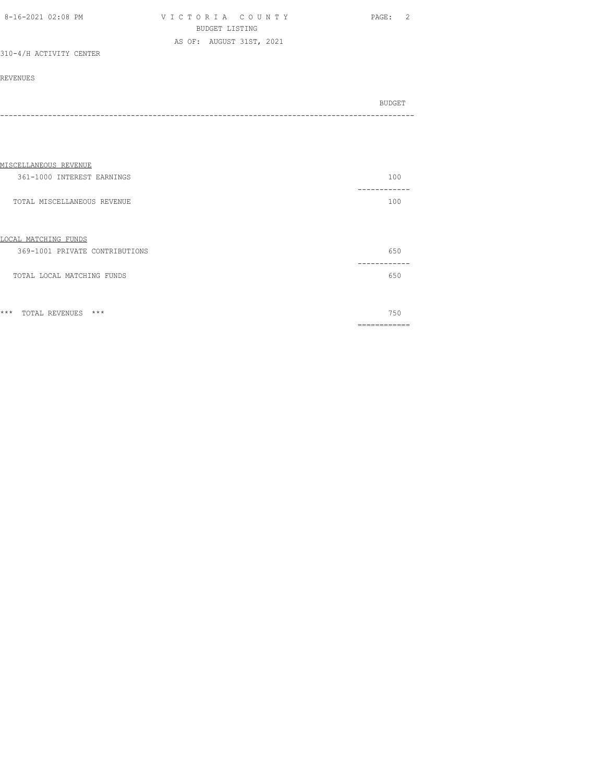| 8-16-2021 02:08 PM | VICTORIA COUNTY          | PAGE: 2 |
|--------------------|--------------------------|---------|
|                    | BUDGET LISTING           |         |
|                    | AS OF: AUGUST 31ST, 2021 |         |

# 310-4/H ACTIVITY CENTER

## REVENUES

| BUDGET |
|--------|
|        |

| MISCELLANEOUS REVENUE                                  |     |
|--------------------------------------------------------|-----|
| 361-1000 INTEREST EARNINGS                             | 100 |
| TOTAL MISCELLANEOUS REVENUE                            | 100 |
| LOCAL MATCHING FUNDS<br>369-1001 PRIVATE CONTRIBUTIONS | 650 |
| TOTAL LOCAL MATCHING FUNDS                             | 650 |
| $***$<br>$***$<br>TOTAL REVENUES                       | 750 |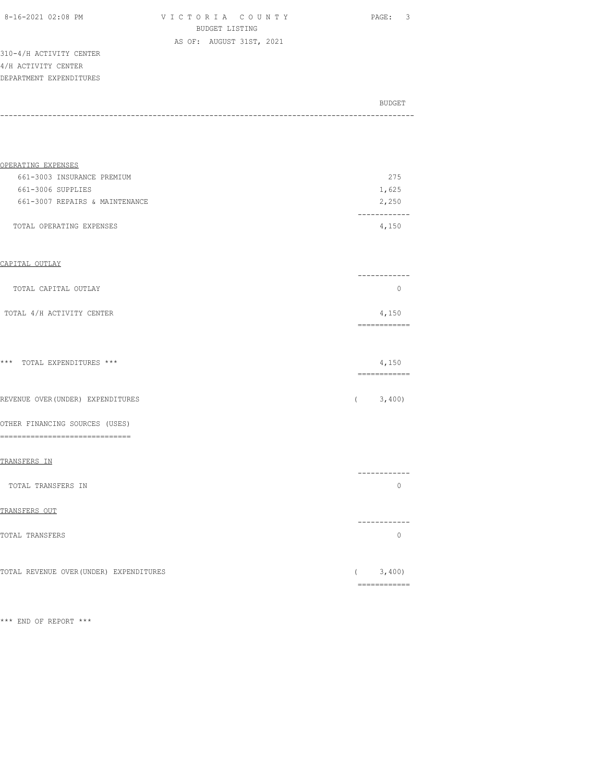|  | 8-16-2021 02:08 PM |  |  |
|--|--------------------|--|--|
|  |                    |  |  |

VICTORIA COUNTY PAGE: 3 BUDGET LISTING AS OF: AUGUST 31ST, 2021

310-4/H ACTIVITY CENTER 4/H ACTIVITY CENTER DEPARTMENT EXPENDITURES

| BUDGET |
|--------|
|        |
|        |

| OPERATING EXPENSES             |       |
|--------------------------------|-------|
| 661-3003 INSURANCE PREMIUM     | 275   |
| 661-3006 SUPPLIES              | 1,625 |
| 661-3007 REPAIRS & MAINTENANCE | 2,250 |
|                                |       |
| TOTAL OPERATING EXPENSES       | 4,150 |
|                                |       |

### CAPITAL OUTLAY

| TOTAL CAPITAL OUTLAY      |       |
|---------------------------|-------|
| TOTAL 4/H ACTIVITY CENTER | 4,150 |

============

#### \*\*\* TOTAL EXPENDITURES \*\*\* 4,150

| _____________<br>______________ |  |
|---------------------------------|--|
|                                 |  |
|                                 |  |
|                                 |  |

REVENUE OVER(UNDER) EXPENDITURES ( 3,400)

OTHER FINANCING SOURCES (USES) ==============================

### TRANSFERS IN

|                    | -------- |  |
|--------------------|----------|--|
| TOTAL TRANSFERS IN |          |  |
| TRANSFERS OUT      |          |  |
|                    | ------   |  |
| TOTAL TRANSFERS    |          |  |
|                    |          |  |

TOTAL REVENUE OVER(UNDER) EXPENDITURES (3,400) ============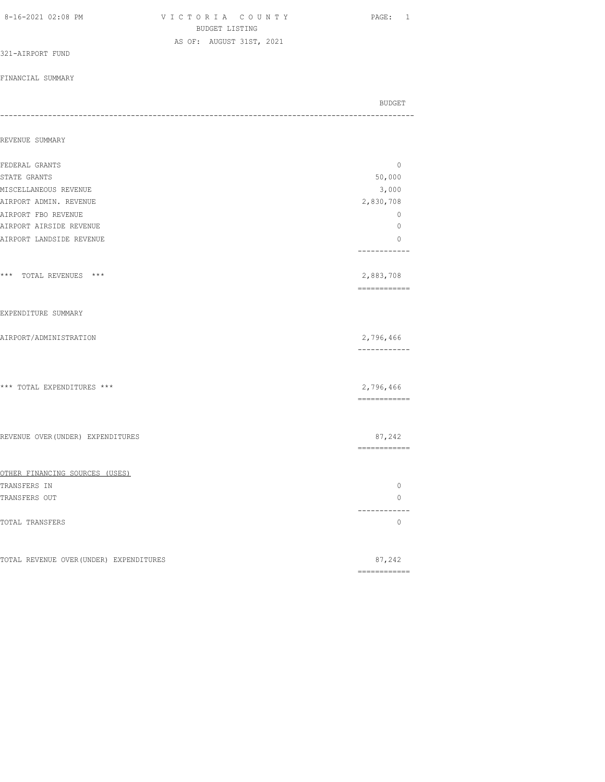| 8-16-2021 02:08 PM                      | VICTORIA COUNTY<br>BUDGET LISTING | PAGE: 1                             |
|-----------------------------------------|-----------------------------------|-------------------------------------|
|                                         | AS OF: AUGUST 31ST, 2021          |                                     |
| 321-AIRPORT FUND                        |                                   |                                     |
| FINANCIAL SUMMARY                       |                                   |                                     |
|                                         |                                   | BUDGET<br>------------------------- |
| REVENUE SUMMARY                         |                                   |                                     |
| FEDERAL GRANTS                          |                                   | 0                                   |
| STATE GRANTS                            |                                   | 50,000                              |
| MISCELLANEOUS REVENUE                   |                                   | 3,000                               |
| AIRPORT ADMIN. REVENUE                  |                                   | 2,830,708                           |
| AIRPORT FBO REVENUE                     |                                   | 0                                   |
| AIRPORT AIRSIDE REVENUE                 |                                   | 0                                   |
| AIRPORT LANDSIDE REVENUE                |                                   | 0<br>------------                   |
| *** TOTAL REVENUES ***                  |                                   | 2,883,708<br>-------------          |
| EXPENDITURE SUMMARY                     |                                   |                                     |
| AIRPORT/ADMINISTRATION                  |                                   | 2,796,466<br>------------           |
|                                         |                                   |                                     |
| *** TOTAL EXPENDITURES ***              |                                   | 2,796,466<br>============           |
| REVENUE OVER (UNDER) EXPENDITURES       |                                   | 87,242<br>============              |
| OTHER FINANCING SOURCES (USES)          |                                   |                                     |
| TRANSFERS IN                            |                                   | 0                                   |
| TRANSFERS OUT                           |                                   | 0<br>---------                      |
| TOTAL TRANSFERS                         |                                   | 0                                   |
| TOTAL REVENUE OVER (UNDER) EXPENDITURES |                                   | 87,242                              |

============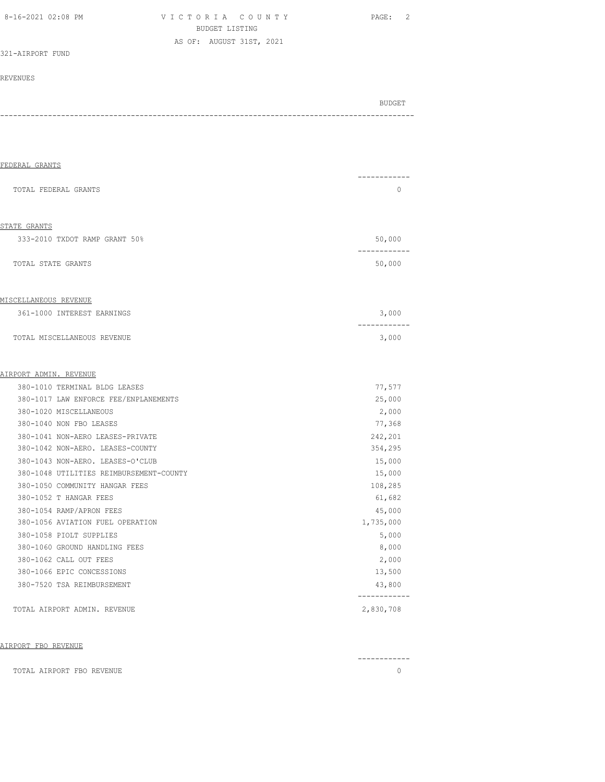| 8-16-2021 02:08 PM |  |  |
|--------------------|--|--|
|--------------------|--|--|

VICTORIA COUNTY PAGE: 2 BUDGET LISTING AS OF: AUGUST 31ST, 2021

321-AIRPORT FUND

# REVENUES

BUDGET AND RESERVE AND RESERVE AND RESERVE AND RESERVE AND RESERVE AND RESERVE AND RESERVE AND RESERVE AND RESERVE AND RESERVE AND RESERVE AND RESERVE AND RESERVE AND RESERVE AND RESPONDING A REPORT OF A REPORT OF A REPORT -----------------------------------------------------------------------------------------------

| TOTAL FEDERAL GRANTS                                                        | $\Omega$                  |
|-----------------------------------------------------------------------------|---------------------------|
| STATE GRANTS                                                                |                           |
| 333-2010 TXDOT RAMP GRANT 50%                                               | 50,000                    |
| TOTAL STATE GRANTS                                                          | 50,000                    |
| <u>MISCELLANEOUS REVENUE</u>                                                |                           |
| 361-1000 INTEREST EARNINGS                                                  | 3,000                     |
| TOTAL MISCELLANEOUS REVENUE                                                 | 3,000                     |
| AIRPORT ADMIN. REVENUE                                                      |                           |
| 380-1010 TERMINAL BLDG LEASES                                               | 77,577                    |
| 380-1017 LAW ENFORCE FEE/ENPLANEMENTS                                       | 25,000                    |
| 380-1020 MISCELLANEOUS                                                      | 2,000                     |
| 380-1040 NON FBO LEASES                                                     | 77,368                    |
| 380-1041 NON-AERO LEASES-PRIVATE                                            | 242,201                   |
| 380-1042 NON-AERO. LEASES-COUNTY                                            | 354,295                   |
| 380-1043 NON-AERO. LEASES-O'CLUB<br>380-1048 UTILITIES REIMBURSEMENT-COUNTY | 15,000<br>15,000          |
| 380-1050 COMMUNITY HANGAR FEES                                              | 108,285                   |
| 380-1052 T HANGAR FEES                                                      | 61,682                    |
| 380-1054 RAMP/APRON FEES                                                    | 45,000                    |
| 380-1056 AVIATION FUEL OPERATION                                            | 1,735,000                 |
| 380-1058 PIOLT SUPPLIES                                                     | 5,000                     |
| 380-1060 GROUND HANDLING FEES                                               | 8,000                     |
| 380-1062 CALL OUT FEES                                                      | 2,000                     |
| 380-1066 EPIC CONCESSIONS                                                   | 13,500                    |
| 380-7520 TSA REIMBURSEMENT                                                  | 43,800                    |
| TOTAL AIRPORT ADMIN. REVENUE                                                | ------------<br>2,830,708 |

### AIRPORT FBO REVENUE

|                                          | ------------ |
|------------------------------------------|--------------|
| L AIRPORT FBO REVENUE<br>TOTAI<br>101111 |              |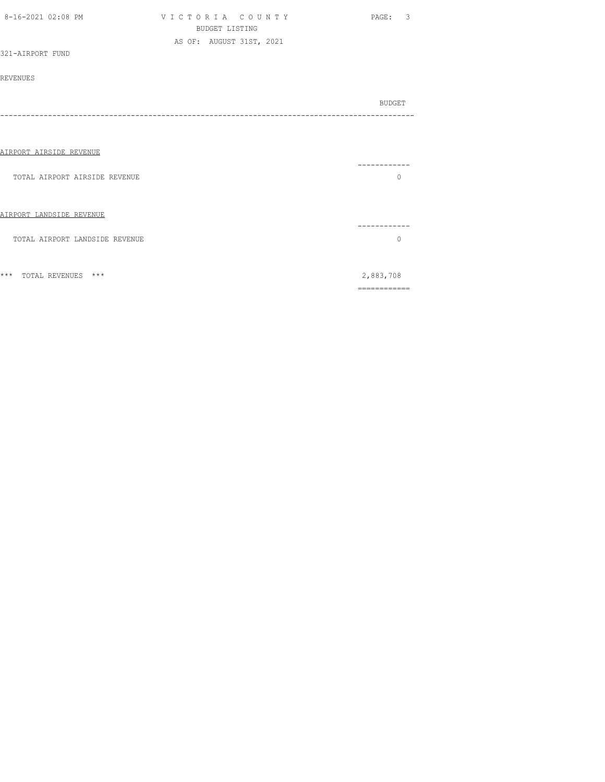| 8-16-2021 02:08 PM             | VICTORIA COUNTY<br><b>BUDGET LISTING</b> | PAGE: 3      |
|--------------------------------|------------------------------------------|--------------|
|                                | AS OF: AUGUST 31ST, 2021                 |              |
| 321-AIRPORT FUND               |                                          |              |
|                                |                                          |              |
| <b>REVENUES</b>                |                                          |              |
|                                |                                          |              |
|                                |                                          | BUDGET       |
|                                |                                          |              |
|                                |                                          |              |
|                                |                                          |              |
| AIRPORT AIRSIDE REVENUE        |                                          |              |
|                                |                                          |              |
| TOTAL AIRPORT AIRSIDE REVENUE  |                                          | $\mathbf{0}$ |
|                                |                                          |              |
|                                |                                          |              |
|                                |                                          |              |
| AIRPORT LANDSIDE REVENUE       |                                          |              |
|                                |                                          | -------      |
| TOTAL AIRPORT LANDSIDE REVENUE |                                          | $\circ$      |
|                                |                                          |              |
|                                |                                          |              |
| *** TOTAL REVENUES ***         |                                          | 2,883,708    |

============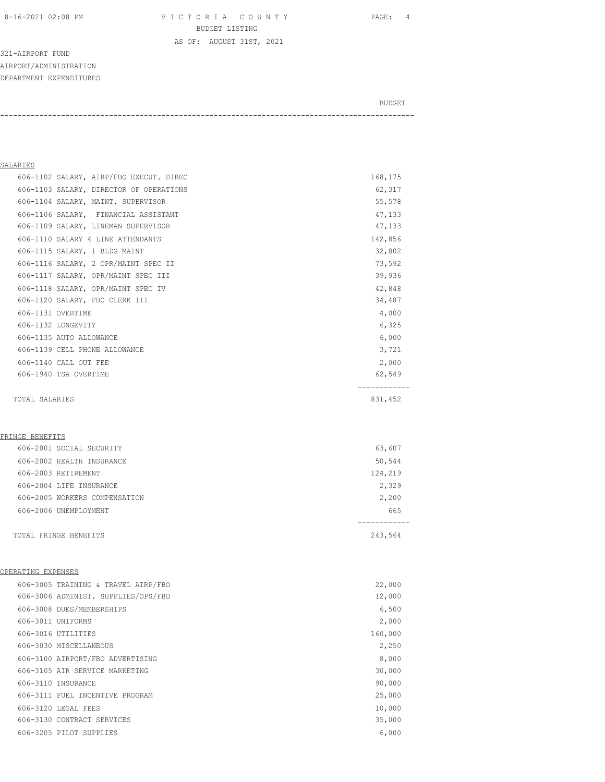8-16-2021 02:08 PM V I C T O R I A C O U N T Y PAGE: 4 BUDGET LISTING

AS OF: AUGUST 31ST, 2021

321-AIRPORT FUND AIRPORT/ADMINISTRATION DEPARTMENT EXPENDITURES

BUDGET AND RESERVE AND RESERVE AND RESERVE AND RESERVE AND RESERVE AND RESERVE AND RESERVE AND RESERVE AND RESERVE AND RESERVE AND RESERVE AND RESERVE AND RESERVE AND RESERVE AND RESPONDING A REPORT OF A REPORT OF A REPORT

-----------------------------------------------------------------------------------------------

# SALARIES

| 606-1102 SALARY, AIRP/FBO EXECUT. DIREC | 168,175 |
|-----------------------------------------|---------|
| 606-1103 SALARY, DIRECTOR OF OPERATIONS | 62,317  |
| 606-1104 SALARY, MAINT. SUPERVISOR      | 55,578  |
| 606-1106 SALARY, FINANCIAL ASSISTANT    | 47,133  |
| 606-1109 SALARY, LINEMAN SUPERVISOR     | 47,133  |
| 606-1110 SALARY 4 LINE ATTENDANTS       | 142,856 |
| 606-1115 SALARY, 1 BLDG MAINT           | 32,802  |
| 606-1116 SALARY, 2 OPR/MAINT SPEC II    | 73,592  |
| 606-1117 SALARY, OPR/MAINT SPEC III     | 39,936  |
| 606-1118 SALARY, OPR/MAINT SPEC IV      | 42,848  |
| 606-1120 SALARY, FBO CLERK III          | 34,487  |
| 606-1131 OVERTIME                       | 4,000   |
| 606-1132 LONGEVITY                      | 6,325   |
| 606-1135 AUTO ALLOWANCE                 | 6,000   |
| 606-1139 CELL PHONE ALLOWANCE           | 3,721   |
| 606-1140 CALL OUT FEE                   | 2,000   |
| 606-1940 TSA OVERTIME                   | 62,549  |
| TOTAL SALARIES                          | 831,452 |

#### FRINGE BENEFITS

| 606-2004 LIFE INSURANCE       | 2,329   |
|-------------------------------|---------|
| 606-2005 WORKERS COMPENSATION | 2,200   |
| 606-2006 UNEMPLOYMENT         | 665     |
| TOTAL FRINGE BENEFITS         | 243,564 |

# OPERATING EXPENSES

| 606-3005 TRAINING & TRAVEL AIRP/FBO | 22,000  |
|-------------------------------------|---------|
| 606-3006 ADMINIST. SUPPLIES/OPS/FBO | 12,000  |
| 606-3008 DUES/MEMBERSHIPS           | 6,500   |
| 606-3011 UNIFORMS                   | 2,000   |
| 606-3016 UTILITIES                  | 160,000 |
| 606-3030 MISCELLANEOUS              | 2,250   |
| 606-3100 AIRPORT/FBO ADVERTISING    | 8,000   |
| 606-3105 AIR SERVICE MARKETING      | 30,000  |
| 606-3110 INSURANCE                  | 90,000  |
| 606-3111 FUEL INCENTIVE PROGRAM     | 25,000  |
| 606-3120 LEGAL FEES                 | 10,000  |
| 606-3130 CONTRACT SERVICES          | 35,000  |
| 606-3205 PTLOT SUPPLIES             | 6,000   |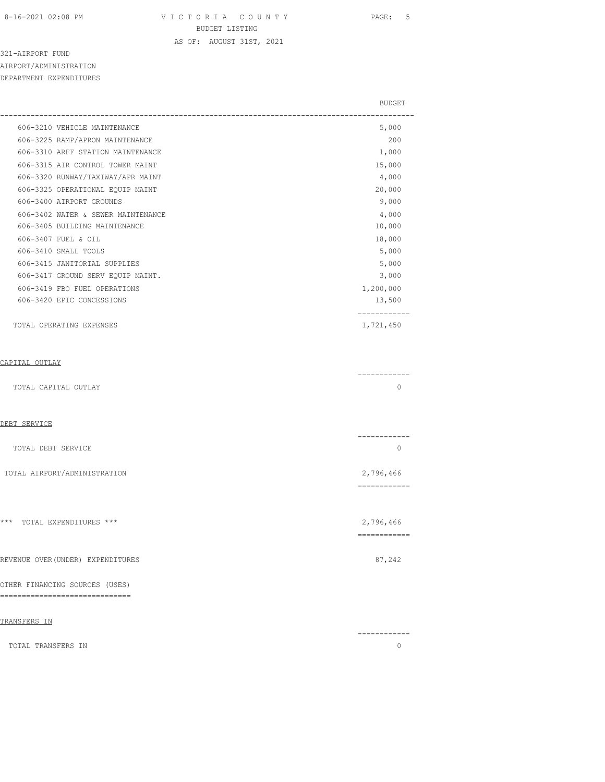8-16-2021 02:08 PM V I C T O R I A C O U N T Y PAGE: 5 BUDGET LISTING

AS OF: AUGUST 31ST, 2021

------------

321-AIRPORT FUND AIRPORT/ADMINISTRATION DEPARTMENT EXPENDITURES

|                                    | <b>BUDGET</b> |
|------------------------------------|---------------|
| 606-3210 VEHICLE MAINTENANCE       | 5,000         |
| 606-3225 RAMP/APRON MAINTENANCE    | 200           |
| 606-3310 ARFF STATION MAINTENANCE  | 1,000         |
| 606-3315 AIR CONTROL TOWER MAINT   | 15,000        |
| 606-3320 RUNWAY/TAXIWAY/APR MAINT  | 4,000         |
| 606-3325 OPERATIONAL EQUIP MAINT   | 20,000        |
| 606-3400 AIRPORT GROUNDS           | 9,000         |
| 606-3402 WATER & SEWER MAINTENANCE | 4,000         |
| 606-3405 BUILDING MAINTENANCE      | 10,000        |
| 606-3407 FUEL & OIL                | 18,000        |
| 606-3410 SMALL TOOLS               | 5,000         |
| 606-3415 JANITORIAL SUPPLIES       | 5,000         |
| 606-3417 GROUND SERV EQUIP MAINT.  | 3,000         |
| 606-3419 FBO FUEL OPERATIONS       | 1,200,000     |
| 606-3420 EPIC CONCESSIONS          | 13,500        |
| TOTAL OPERATING EXPENSES           | 1,721,450     |
| CAPITAL OUTLAY                     |               |
| TOTAL CAPITAL OUTLAY               | $\Omega$      |
| DEBT SERVICE                       |               |

| ∟שע אום דחם |
|-------------|
|             |
|             |
|             |

| TOTAL DEBT SERVICE           |           |
|------------------------------|-----------|
| TOTAL AIRPORT/ADMINISTRATION | 2,796,466 |
|                              |           |

| *** TOTAL EXPENDITURES *** | 2,796,466 |
|----------------------------|-----------|

|                                | REVENUE OVER(UNDER) EXPENDITURES |  |  | 87,242 |
|--------------------------------|----------------------------------|--|--|--------|
|                                |                                  |  |  |        |
| OTHER FINANCING SOURCES (USES) |                                  |  |  |        |

# ==============================

| TRANSFERS IN |                    |  |  |
|--------------|--------------------|--|--|
|              |                    |  |  |
|              | TOTAL TRANSFERS IN |  |  |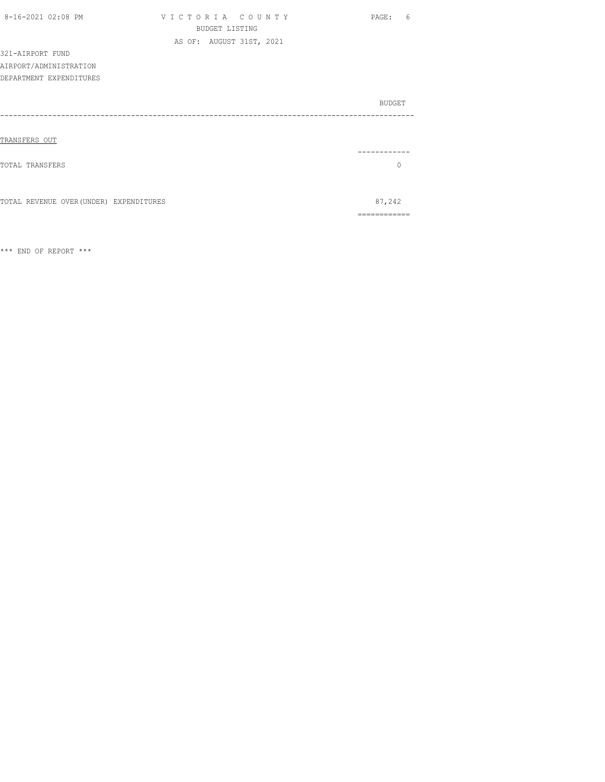| 8-16-2021 02:08 PM                      | VICTORIA COUNTY          | PAGE:         | 6 |
|-----------------------------------------|--------------------------|---------------|---|
|                                         | <b>BUDGET LISTING</b>    |               |   |
|                                         | AS OF: AUGUST 31ST, 2021 |               |   |
| 321-AIRPORT FUND                        |                          |               |   |
| AIRPORT/ADMINISTRATION                  |                          |               |   |
| DEPARTMENT EXPENDITURES                 |                          |               |   |
|                                         |                          |               |   |
|                                         |                          | <b>BUDGET</b> |   |
|                                         |                          |               |   |
|                                         |                          |               |   |
| TRANSFERS OUT                           |                          |               |   |
|                                         |                          |               |   |
| TOTAL TRANSFERS                         |                          | $\Omega$      |   |
|                                         |                          |               |   |
|                                         |                          |               |   |
| TOTAL REVENUE OVER (UNDER) EXPENDITURES |                          | 87,242        |   |
|                                         |                          | -----------   |   |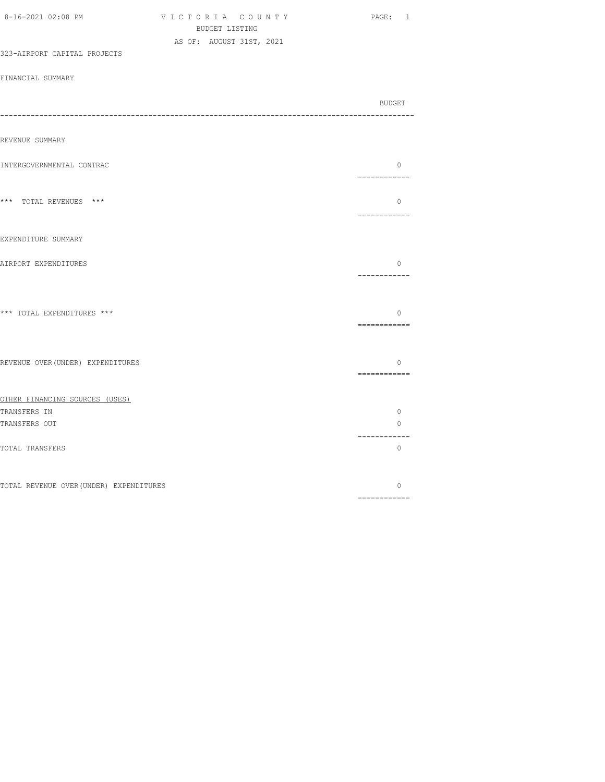| 8-16-2021 02:08 PM                      | VICTORIA COUNTY<br>BUDGET LISTING | PAGE: 1                 |
|-----------------------------------------|-----------------------------------|-------------------------|
| 323-AIRPORT CAPITAL PROJECTS            | AS OF: AUGUST 31ST, 2021          |                         |
| FINANCIAL SUMMARY                       |                                   |                         |
|                                         |                                   | BUDGET                  |
|                                         |                                   |                         |
| REVENUE SUMMARY                         |                                   |                         |
| INTERGOVERNMENTAL CONTRAC               |                                   | $\circ$<br>------------ |
| *** TOTAL REVENUES ***                  |                                   | $\circ$<br>============ |
| EXPENDITURE SUMMARY                     |                                   |                         |
| AIRPORT EXPENDITURES                    |                                   | $\circ$<br>------------ |
| *** TOTAL EXPENDITURES ***              |                                   | $\circ$<br>============ |
| REVENUE OVER (UNDER) EXPENDITURES       |                                   | $\circ$                 |
| OTHER FINANCING SOURCES (USES)          |                                   |                         |
| TRANSFERS IN                            |                                   | $\circ$                 |
| TRANSFERS OUT                           |                                   | 0                       |
| TOTAL TRANSFERS                         |                                   | ------------<br>$\circ$ |
| TOTAL REVENUE OVER (UNDER) EXPENDITURES |                                   | $\circ$                 |
|                                         |                                   | ============            |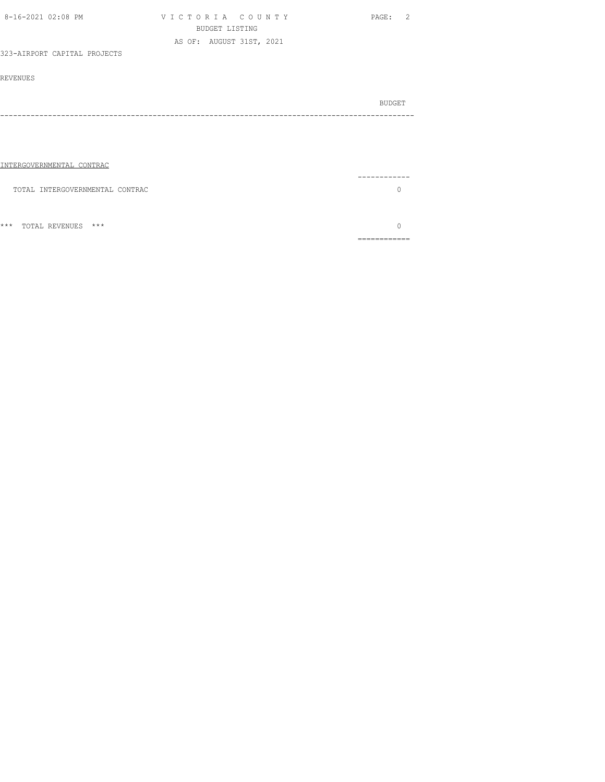| 8-16-2021 02:08 PM              | VICTORIA COUNTY<br><b>BUDGET LISTING</b><br>AS OF: AUGUST 31ST, 2021 | PAGE: 2                  |
|---------------------------------|----------------------------------------------------------------------|--------------------------|
| 323-AIRPORT CAPITAL PROJECTS    |                                                                      |                          |
| <b>REVENUES</b>                 |                                                                      |                          |
|                                 |                                                                      | BUDGET                   |
|                                 |                                                                      |                          |
|                                 |                                                                      |                          |
| INTERGOVERNMENTAL CONTRAC       |                                                                      |                          |
| TOTAL INTERGOVERNMENTAL CONTRAC |                                                                      | $\bigcap$                |
|                                 |                                                                      |                          |
| TOTAL REVENUES ***<br>$***$     |                                                                      | $\Omega$<br>============ |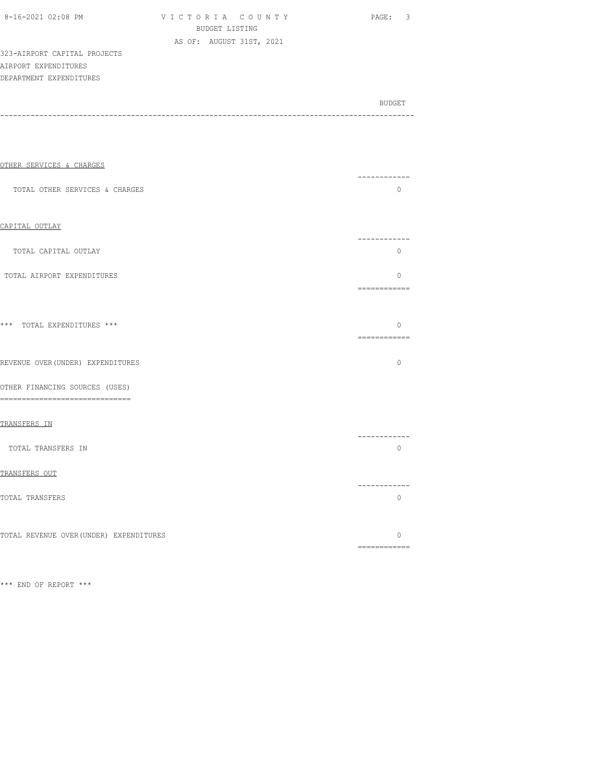| 8-16-2021 02:08 PM |  |
|--------------------|--|
|                    |  |

V I C T O R I A C O U N T Y PAGE: 3 BUDGET LISTING AS OF: AUGUST 31ST, 2021

323-AIRPORT CAPITAL PROJECTS AIRPORT EXPENDITURES DEPARTMENT EXPENDITURES

BUDGET AND RESERVE AND RESERVE AND RESERVE AND RESERVE AND RESERVE AND RESERVE AND RESERVE AND RESERVE AND RESERVE AND RESERVE AND RESERVE AND RESERVE AND RESERVE AND RESERVE AND RESPONDING A REPORT OF A REPORT OF A REPORT -----------------------------------------------------------------------------------------------

| OTHER SERVICES & CHARGES                                           | ----------                                                                                                                                                                                                                                                                                                                                                                                                                                                                                         |
|--------------------------------------------------------------------|----------------------------------------------------------------------------------------------------------------------------------------------------------------------------------------------------------------------------------------------------------------------------------------------------------------------------------------------------------------------------------------------------------------------------------------------------------------------------------------------------|
| TOTAL OTHER SERVICES & CHARGES                                     | $\Omega$                                                                                                                                                                                                                                                                                                                                                                                                                                                                                           |
| CAPITAL OUTLAY                                                     |                                                                                                                                                                                                                                                                                                                                                                                                                                                                                                    |
| TOTAL CAPITAL OUTLAY                                               | .<br>$\circ$                                                                                                                                                                                                                                                                                                                                                                                                                                                                                       |
| TOTAL AIRPORT EXPENDITURES                                         | $\Omega$<br>============                                                                                                                                                                                                                                                                                                                                                                                                                                                                           |
| *** TOTAL EXPENDITURES ***                                         | $\Omega$                                                                                                                                                                                                                                                                                                                                                                                                                                                                                           |
| REVENUE OVER (UNDER) EXPENDITURES                                  | $\circ$                                                                                                                                                                                                                                                                                                                                                                                                                                                                                            |
| OTHER FINANCING SOURCES (USES)<br>-------------------------------- |                                                                                                                                                                                                                                                                                                                                                                                                                                                                                                    |
| TRANSFERS IN                                                       |                                                                                                                                                                                                                                                                                                                                                                                                                                                                                                    |
| TOTAL TRANSFERS IN                                                 | . _ _ _ _ _ _ _ _ _ _ _<br>$\Omega$                                                                                                                                                                                                                                                                                                                                                                                                                                                                |
| TRANSFERS OUT                                                      |                                                                                                                                                                                                                                                                                                                                                                                                                                                                                                    |
| TOTAL TRANSFERS                                                    | . _ _ _ _ _ _ _ _ _ _ _<br>$\Omega$                                                                                                                                                                                                                                                                                                                                                                                                                                                                |
| TOTAL REVENUE OVER (UNDER) EXPENDITURES                            | $\Omega$<br>$\begin{array}{cccccccccc} \multicolumn{2}{c}{} & \multicolumn{2}{c}{} & \multicolumn{2}{c}{} & \multicolumn{2}{c}{} & \multicolumn{2}{c}{} & \multicolumn{2}{c}{} & \multicolumn{2}{c}{} & \multicolumn{2}{c}{} & \multicolumn{2}{c}{} & \multicolumn{2}{c}{} & \multicolumn{2}{c}{} & \multicolumn{2}{c}{} & \multicolumn{2}{c}{} & \multicolumn{2}{c}{} & \multicolumn{2}{c}{} & \multicolumn{2}{c}{} & \multicolumn{2}{c}{} & \multicolumn{2}{c}{} & \multicolumn{2}{c}{} & \mult$ |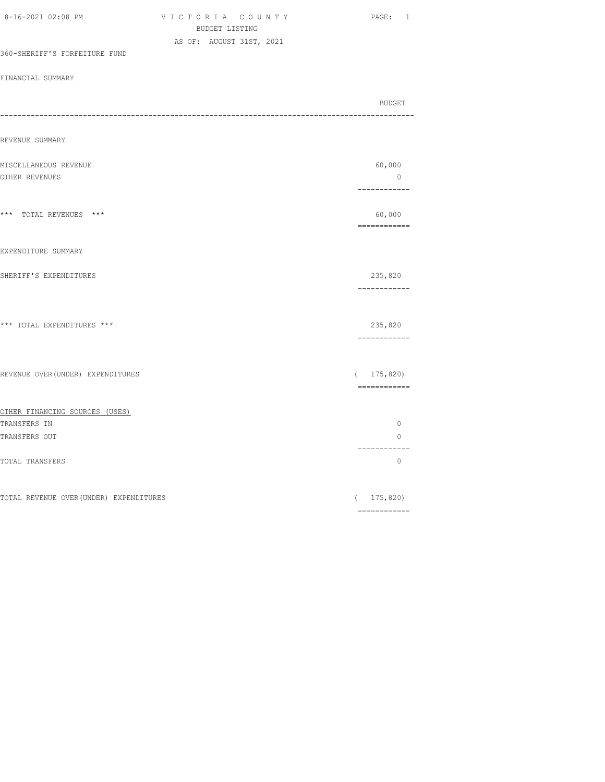| <b>BUDGET LISTING</b>                   |                                                                                                                                                                                                                                                                                                                                                                                                                                                                                        |
|-----------------------------------------|----------------------------------------------------------------------------------------------------------------------------------------------------------------------------------------------------------------------------------------------------------------------------------------------------------------------------------------------------------------------------------------------------------------------------------------------------------------------------------------|
| AS OF: AUGUST 31ST, 2021                |                                                                                                                                                                                                                                                                                                                                                                                                                                                                                        |
| 360-SHERIFF'S FORFEITURE FUND           |                                                                                                                                                                                                                                                                                                                                                                                                                                                                                        |
| FINANCIAL SUMMARY                       |                                                                                                                                                                                                                                                                                                                                                                                                                                                                                        |
|                                         | BUDGET                                                                                                                                                                                                                                                                                                                                                                                                                                                                                 |
| ---                                     |                                                                                                                                                                                                                                                                                                                                                                                                                                                                                        |
| REVENUE SUMMARY                         |                                                                                                                                                                                                                                                                                                                                                                                                                                                                                        |
| MISCELLANEOUS REVENUE                   | 60,000                                                                                                                                                                                                                                                                                                                                                                                                                                                                                 |
| OTHER REVENUES                          | $\overline{0}$<br>------------                                                                                                                                                                                                                                                                                                                                                                                                                                                         |
|                                         |                                                                                                                                                                                                                                                                                                                                                                                                                                                                                        |
| *** TOTAL REVENUES ***                  | 60,000<br>============                                                                                                                                                                                                                                                                                                                                                                                                                                                                 |
| EXPENDITURE SUMMARY                     |                                                                                                                                                                                                                                                                                                                                                                                                                                                                                        |
| SHERIFF'S EXPENDITURES                  | 235,820<br>------------                                                                                                                                                                                                                                                                                                                                                                                                                                                                |
| *** TOTAL EXPENDITURES ***              | 235,820<br>============                                                                                                                                                                                                                                                                                                                                                                                                                                                                |
| REVENUE OVER (UNDER) EXPENDITURES       | (175, 820)<br>============                                                                                                                                                                                                                                                                                                                                                                                                                                                             |
| OTHER FINANCING SOURCES (USES)          |                                                                                                                                                                                                                                                                                                                                                                                                                                                                                        |
| TRANSFERS IN                            | $\circ$                                                                                                                                                                                                                                                                                                                                                                                                                                                                                |
| TRANSFERS OUT                           | $\circ$<br>------------                                                                                                                                                                                                                                                                                                                                                                                                                                                                |
| TOTAL TRANSFERS                         | $\circ$                                                                                                                                                                                                                                                                                                                                                                                                                                                                                |
| TOTAL REVENUE OVER (UNDER) EXPENDITURES | (175, 820)                                                                                                                                                                                                                                                                                                                                                                                                                                                                             |
|                                         | $\begin{array}{cccccccccc} \multicolumn{2}{c}{} & \multicolumn{2}{c}{} & \multicolumn{2}{c}{} & \multicolumn{2}{c}{} & \multicolumn{2}{c}{} & \multicolumn{2}{c}{} & \multicolumn{2}{c}{} & \multicolumn{2}{c}{} & \multicolumn{2}{c}{} & \multicolumn{2}{c}{} & \multicolumn{2}{c}{} & \multicolumn{2}{c}{} & \multicolumn{2}{c}{} & \multicolumn{2}{c}{} & \multicolumn{2}{c}{} & \multicolumn{2}{c}{} & \multicolumn{2}{c}{} & \multicolumn{2}{c}{} & \multicolumn{2}{c}{} & \mult$ |

8-16-2021 02:08 PM V I C T O R I A C O U N T Y PAGE: 1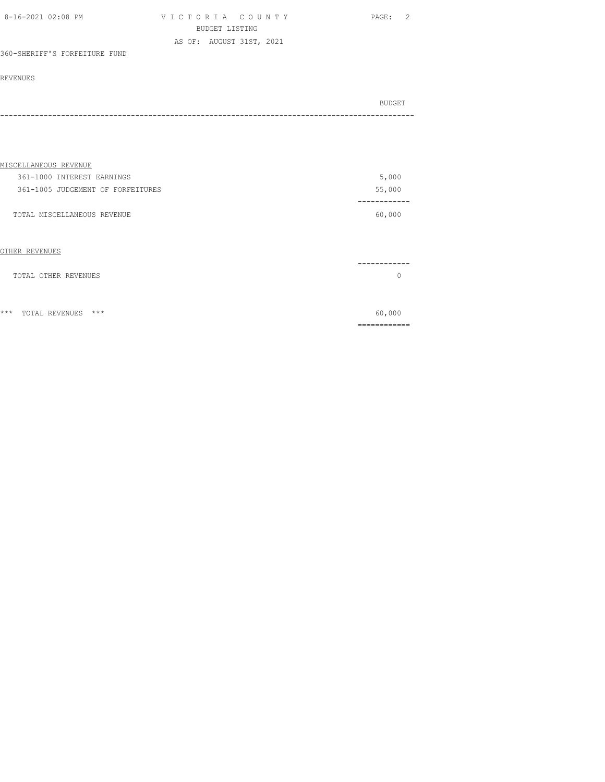| 8-16-2021 02:08 PM            | VICTORIA COUNTY          | - 2<br>PAGE: |
|-------------------------------|--------------------------|--------------|
|                               | BUDGET LISTING           |              |
|                               | AS OF: AUGUST 31ST, 2021 |              |
| 360-SHERIFF'S FORFEITURE FUND |                          |              |

#### REVENUES

| BUDGET |
|--------|
| ----   |

| <u>MISCELLANEOUS REVENUE</u>      |        |
|-----------------------------------|--------|
| 361-1000 INTEREST EARNINGS        | 5,000  |
| 361-1005 JUDGEMENT OF FORFEITURES | 55,000 |
|                                   |        |
| TOTAL MISCELLANEOUS REVENUE       | 60,000 |
|                                   |        |

# OTHER REVENUES ------------ TOTAL OTHER REVENUES 0 \*\*\* TOTAL REVENUES \*\*\* 60,000

============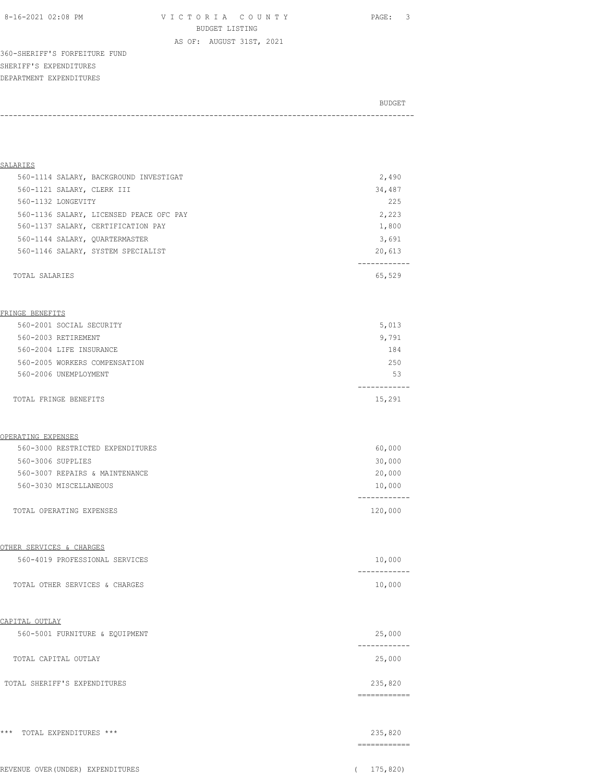8-16-2021 02:08 PM V I C T O R I A C O U N T Y PAGE: 3 BUDGET LISTING

AS OF: AUGUST 31ST, 2021

360-SHERIFF'S FORFEITURE FUND SHERIFF'S EXPENDITURES DEPARTMENT EXPENDITURES

BUDGET AND RESERVE AND RESERVE AND RESERVE AND RESERVE AND RESERVE AND RESERVE AND RESERVE AND RESERVE AND RESERVE AND RESERVE AND RESERVE AND RESERVE AND RESERVE AND RESERVE AND RESPONDING A REPORT OF A REPORT OF A REPORT -----------------------------------------------------------------------------------------------

| SALARIES                                |               |
|-----------------------------------------|---------------|
| 560-1114 SALARY, BACKGROUND INVESTIGAT  | 2,490         |
| 560-1121 SALARY, CLERK III              | 34,487        |
| 560-1132 LONGEVITY                      | 225           |
| 560-1136 SALARY, LICENSED PEACE OFC PAY | 2,223         |
| 560-1137 SALARY, CERTIFICATION PAY      | 1,800         |
| 560-1144 SALARY, QUARTERMASTER          | 3,691         |
| 560-1146 SALARY, SYSTEM SPECIALIST      | 20,613        |
|                                         |               |
| TOTAL SALARIES                          | 65,529        |
|                                         |               |
|                                         |               |
| FRINGE BENEFITS                         |               |
| 560-2001 SOCIAL SECURITY                | 5,013         |
| 560-2003 RETIREMENT                     | 9,791         |
| 560-2004 LIFE INSURANCE                 | 184           |
| 560-2005 WORKERS COMPENSATION           | 250           |
| 560-2006 UNEMPLOYMENT                   | 53            |
|                                         |               |
| TOTAL FRINGE BENEFITS                   | 15,291        |
|                                         |               |
|                                         |               |
| OPERATING EXPENSES                      |               |
| 560-3000 RESTRICTED EXPENDITURES        | 60,000        |
| 560-3006 SUPPLIES                       | 30,000        |
| 560-3007 REPAIRS & MAINTENANCE          | 20,000        |
| 560-3030 MISCELLANEOUS                  | 10,000        |
|                                         | ----------    |
| TOTAL OPERATING EXPENSES                | 120,000       |
|                                         |               |
|                                         |               |
| OTHER SERVICES & CHARGES                |               |
| 560-4019 PROFESSIONAL SERVICES          | 10,000        |
|                                         |               |
| TOTAL OTHER SERVICES & CHARGES          | 10,000        |
|                                         |               |
|                                         |               |
| CAPITAL OUTLAY                          |               |
| 560-5001 FURNITURE & EQUIPMENT          | 25,000        |
|                                         |               |
| TOTAL CAPITAL OUTLAY                    | 25,000        |
|                                         |               |
| TOTAL SHERIFF'S EXPENDITURES            | 235,820       |
|                                         | ------------- |
|                                         |               |
|                                         |               |
| *** TOTAL EXPENDITURES ***              | 235,820       |
|                                         | ============  |
|                                         |               |

|  | REVENUE OVER(UNDER) EXPENDITURES | 175,820) |
|--|----------------------------------|----------|
|  |                                  |          |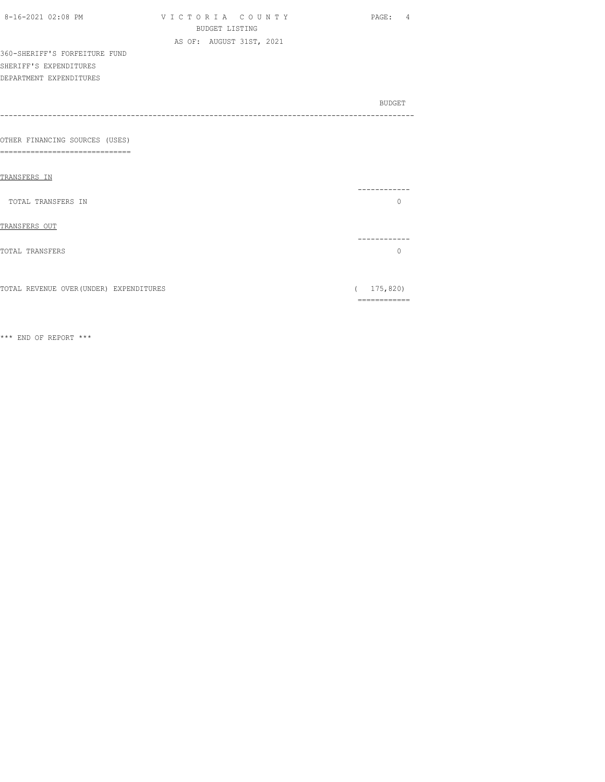| 8-16-2021 02:08 PM                                             | VICTORIA COUNTY<br><b>BUDGET LISTING</b> | PAGE: 4                 |
|----------------------------------------------------------------|------------------------------------------|-------------------------|
|                                                                | AS OF: AUGUST 31ST, 2021                 |                         |
| 360-SHERIFF'S FORFEITURE FUND                                  |                                          |                         |
| SHERIFF'S EXPENDITURES                                         |                                          |                         |
| DEPARTMENT EXPENDITURES                                        |                                          |                         |
|                                                                |                                          |                         |
|                                                                |                                          | BUDGET                  |
|                                                                |                                          |                         |
|                                                                |                                          |                         |
| OTHER FINANCING SOURCES (USES)<br>---------------------<br>=== |                                          |                         |
|                                                                |                                          |                         |
| TRANSFERS IN                                                   |                                          |                         |
|                                                                |                                          |                         |
| TOTAL TRANSFERS IN                                             |                                          | $\Omega$                |
|                                                                |                                          |                         |
| TRANSFERS OUT                                                  |                                          |                         |
| TOTAL TRANSFERS                                                |                                          | -----------<br>$\Omega$ |
|                                                                |                                          |                         |
|                                                                |                                          |                         |
| TOTAL REVENUE OVER (UNDER) EXPENDITURES                        |                                          | (175, 820)              |
|                                                                |                                          | ============            |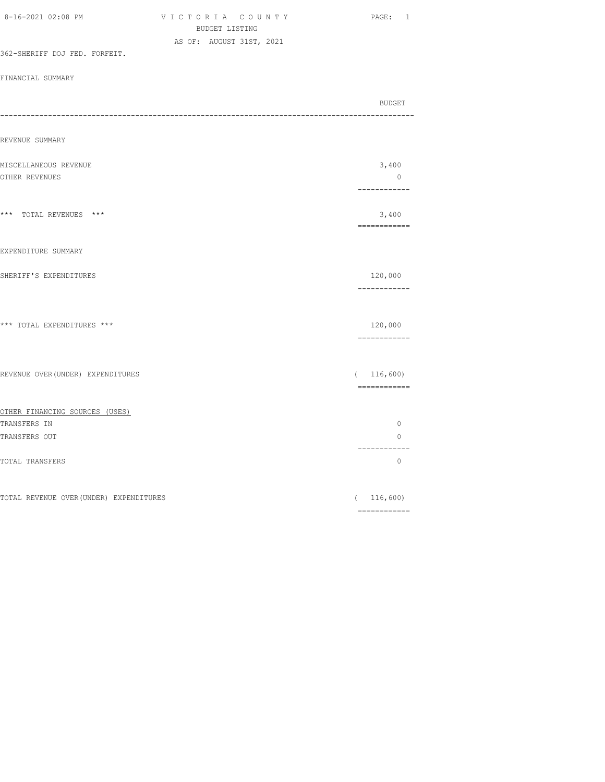| <b>BUDGET LISTING</b>                   |                                                                                                                                                                                                                                                                                                                                                                                                                                                                                        |
|-----------------------------------------|----------------------------------------------------------------------------------------------------------------------------------------------------------------------------------------------------------------------------------------------------------------------------------------------------------------------------------------------------------------------------------------------------------------------------------------------------------------------------------------|
| AS OF: AUGUST 31ST, 2021                |                                                                                                                                                                                                                                                                                                                                                                                                                                                                                        |
| 362-SHERIFF DOJ FED. FORFEIT.           |                                                                                                                                                                                                                                                                                                                                                                                                                                                                                        |
| FINANCIAL SUMMARY                       |                                                                                                                                                                                                                                                                                                                                                                                                                                                                                        |
|                                         |                                                                                                                                                                                                                                                                                                                                                                                                                                                                                        |
|                                         | <b>BUDGET</b>                                                                                                                                                                                                                                                                                                                                                                                                                                                                          |
|                                         |                                                                                                                                                                                                                                                                                                                                                                                                                                                                                        |
| REVENUE SUMMARY                         |                                                                                                                                                                                                                                                                                                                                                                                                                                                                                        |
|                                         |                                                                                                                                                                                                                                                                                                                                                                                                                                                                                        |
| MISCELLANEOUS REVENUE                   | 3,400                                                                                                                                                                                                                                                                                                                                                                                                                                                                                  |
| OTHER REVENUES                          | $\overline{0}$                                                                                                                                                                                                                                                                                                                                                                                                                                                                         |
|                                         | ------------                                                                                                                                                                                                                                                                                                                                                                                                                                                                           |
|                                         |                                                                                                                                                                                                                                                                                                                                                                                                                                                                                        |
| *** TOTAL REVENUES ***                  | 3,400<br>============                                                                                                                                                                                                                                                                                                                                                                                                                                                                  |
|                                         |                                                                                                                                                                                                                                                                                                                                                                                                                                                                                        |
| EXPENDITURE SUMMARY                     |                                                                                                                                                                                                                                                                                                                                                                                                                                                                                        |
|                                         |                                                                                                                                                                                                                                                                                                                                                                                                                                                                                        |
| SHERIFF'S EXPENDITURES                  | 120,000                                                                                                                                                                                                                                                                                                                                                                                                                                                                                |
|                                         | ------------                                                                                                                                                                                                                                                                                                                                                                                                                                                                           |
|                                         |                                                                                                                                                                                                                                                                                                                                                                                                                                                                                        |
| *** TOTAL EXPENDITURES ***              | 120,000                                                                                                                                                                                                                                                                                                                                                                                                                                                                                |
|                                         | ============                                                                                                                                                                                                                                                                                                                                                                                                                                                                           |
|                                         |                                                                                                                                                                                                                                                                                                                                                                                                                                                                                        |
|                                         |                                                                                                                                                                                                                                                                                                                                                                                                                                                                                        |
| REVENUE OVER (UNDER) EXPENDITURES       | (116, 600)                                                                                                                                                                                                                                                                                                                                                                                                                                                                             |
|                                         | $\begin{array}{cccccccccc} \multicolumn{2}{c}{} & \multicolumn{2}{c}{} & \multicolumn{2}{c}{} & \multicolumn{2}{c}{} & \multicolumn{2}{c}{} & \multicolumn{2}{c}{} & \multicolumn{2}{c}{} & \multicolumn{2}{c}{} & \multicolumn{2}{c}{} & \multicolumn{2}{c}{} & \multicolumn{2}{c}{} & \multicolumn{2}{c}{} & \multicolumn{2}{c}{} & \multicolumn{2}{c}{} & \multicolumn{2}{c}{} & \multicolumn{2}{c}{} & \multicolumn{2}{c}{} & \multicolumn{2}{c}{} & \multicolumn{2}{c}{} & \mult$ |
| OTHER FINANCING SOURCES (USES)          |                                                                                                                                                                                                                                                                                                                                                                                                                                                                                        |
| TRANSFERS IN                            | $\circ$                                                                                                                                                                                                                                                                                                                                                                                                                                                                                |
| TRANSFERS OUT                           | $\circ$                                                                                                                                                                                                                                                                                                                                                                                                                                                                                |
|                                         | ------------                                                                                                                                                                                                                                                                                                                                                                                                                                                                           |
| TOTAL TRANSFERS                         | $\circ$                                                                                                                                                                                                                                                                                                                                                                                                                                                                                |
|                                         |                                                                                                                                                                                                                                                                                                                                                                                                                                                                                        |
| TOTAL REVENUE OVER (UNDER) EXPENDITURES | (116, 600)                                                                                                                                                                                                                                                                                                                                                                                                                                                                             |
|                                         | $\begin{array}{cccccccccccccc} \multicolumn{2}{c}{} & \multicolumn{2}{c}{} & \multicolumn{2}{c}{} & \multicolumn{2}{c}{} & \multicolumn{2}{c}{} & \multicolumn{2}{c}{} & \multicolumn{2}{c}{} & \multicolumn{2}{c}{} & \multicolumn{2}{c}{} & \multicolumn{2}{c}{} & \multicolumn{2}{c}{} & \multicolumn{2}{c}{} & \multicolumn{2}{c}{} & \multicolumn{2}{c}{} & \multicolumn{2}{c}{} & \multicolumn{2}{c}{} & \multicolumn{2}{c}{} & \multicolumn{2}{c}{} & \multicolumn{2}{c}{} & \$ |
|                                         |                                                                                                                                                                                                                                                                                                                                                                                                                                                                                        |

8-16-2021 02:08 PM V I C T O R I A C O U N T Y PAGE: 1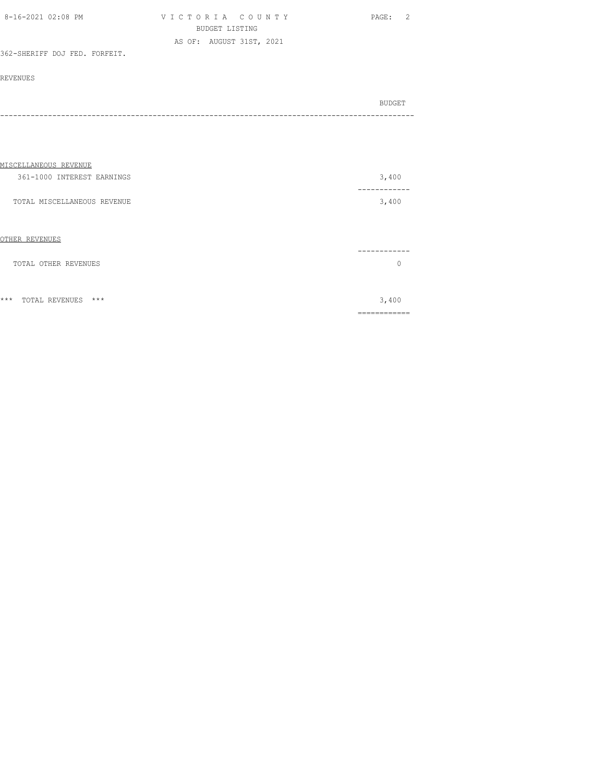| 8-16-2021 02:08 PM            | VICTORIA COUNTY          | PAGE: 2 |
|-------------------------------|--------------------------|---------|
|                               | BUDGET LISTING           |         |
|                               | AS OF: AUGUST 31ST, 2021 |         |
| 362-SHERIFF DOJ FED. FORFEIT. |                          |         |

#### REVENUES

| BUDGET<br>---- |
|----------------|
|                |

| MISCELLANEOUS REVENUE          |                  |
|--------------------------------|------------------|
| 361-1000 INTEREST EARNINGS     | 3,400            |
| TOTAL MISCELLANEOUS REVENUE    | -------<br>3,400 |
| OTHER REVENUES                 |                  |
| TOTAL OTHER REVENUES           | $\Omega$         |
|                                |                  |
| $***$<br>***<br>TOTAL REVENUES | 3,400            |
|                                |                  |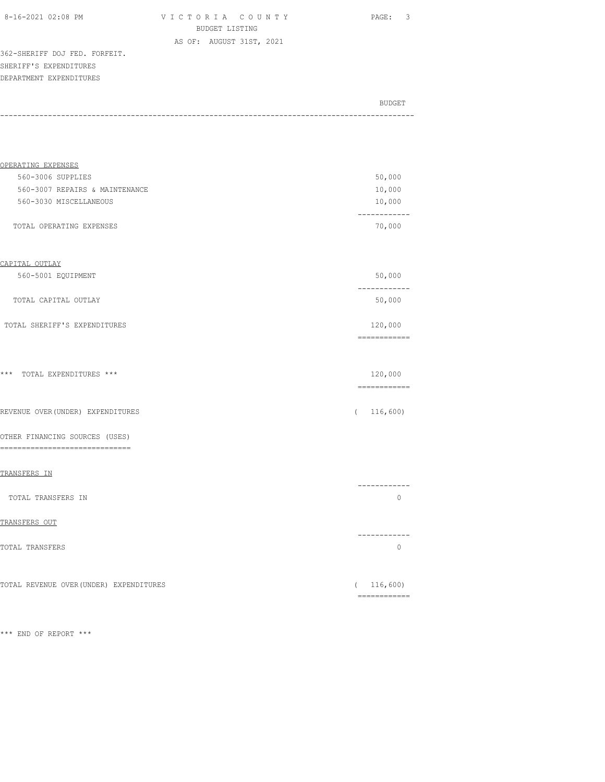| 8-16-2021 02:08 PM |  |
|--------------------|--|
|                    |  |

VICTORIA COUNTY PAGE: 3 BUDGET LISTING AS OF: AUGUST 31ST, 2021

362-SHERIFF DOJ FED. FORFEIT. SHERIFF'S EXPENDITURES DEPARTMENT EXPENDITURES

| BUDGET |
|--------|
|        |
|        |

| OPERATING EXPENSES                                    |          |                                                                                                                                                                                                                                                                                                                                                                                                                                                                                                   |
|-------------------------------------------------------|----------|---------------------------------------------------------------------------------------------------------------------------------------------------------------------------------------------------------------------------------------------------------------------------------------------------------------------------------------------------------------------------------------------------------------------------------------------------------------------------------------------------|
| 560-3006 SUPPLIES                                     |          | 50,000                                                                                                                                                                                                                                                                                                                                                                                                                                                                                            |
| 560-3007 REPAIRS & MAINTENANCE                        |          | 10,000                                                                                                                                                                                                                                                                                                                                                                                                                                                                                            |
| 560-3030 MISCELLANEOUS                                |          | 10,000                                                                                                                                                                                                                                                                                                                                                                                                                                                                                            |
| TOTAL OPERATING EXPENSES                              |          | ------------<br>70,000                                                                                                                                                                                                                                                                                                                                                                                                                                                                            |
| CAPITAL OUTLAY                                        |          |                                                                                                                                                                                                                                                                                                                                                                                                                                                                                                   |
| 560-5001 EQUIPMENT                                    |          | 50,000                                                                                                                                                                                                                                                                                                                                                                                                                                                                                            |
| TOTAL CAPITAL OUTLAY                                  |          | ------------<br>50,000                                                                                                                                                                                                                                                                                                                                                                                                                                                                            |
| TOTAL SHERIFF'S EXPENDITURES                          |          | 120,000<br>------------                                                                                                                                                                                                                                                                                                                                                                                                                                                                           |
| *** TOTAL EXPENDITURES ***                            |          | 120,000<br>$\begin{array}{cccccccccc} \multicolumn{2}{c}{} & \multicolumn{2}{c}{} & \multicolumn{2}{c}{} & \multicolumn{2}{c}{} & \multicolumn{2}{c}{} & \multicolumn{2}{c}{} & \multicolumn{2}{c}{} & \multicolumn{2}{c}{} & \multicolumn{2}{c}{} & \multicolumn{2}{c}{} & \multicolumn{2}{c}{} & \multicolumn{2}{c}{} & \multicolumn{2}{c}{} & \multicolumn{2}{c}{} & \multicolumn{2}{c}{} & \multicolumn{2}{c}{} & \multicolumn{2}{c}{} & \multicolumn{2}{c}{} & \multicolumn{2}{c}{} & \mult$ |
| REVENUE OVER (UNDER) EXPENDITURES                     | $\left($ | 116,600)                                                                                                                                                                                                                                                                                                                                                                                                                                                                                          |
| OTHER FINANCING SOURCES (USES)<br>------------------- |          |                                                                                                                                                                                                                                                                                                                                                                                                                                                                                                   |
| TRANSFERS IN                                          |          |                                                                                                                                                                                                                                                                                                                                                                                                                                                                                                   |
| TOTAL TRANSFERS IN                                    |          | ------------<br>$\circ$                                                                                                                                                                                                                                                                                                                                                                                                                                                                           |
| TRANSFERS OUT                                         |          |                                                                                                                                                                                                                                                                                                                                                                                                                                                                                                   |
| TOTAL TRANSFERS                                       |          | ----------<br>$\circ$                                                                                                                                                                                                                                                                                                                                                                                                                                                                             |
| TOTAL REVENUE OVER (UNDER) EXPENDITURES               |          | (116, 600)<br>-------------                                                                                                                                                                                                                                                                                                                                                                                                                                                                       |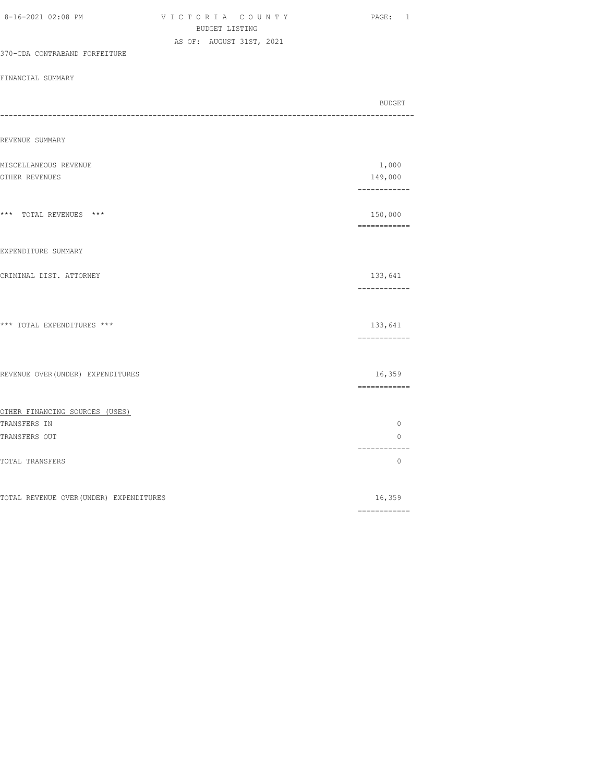| BUDGET LISTING                          |                                                                                                                                                                                                                                                                                                                                                                                                                                                                                                  |
|-----------------------------------------|--------------------------------------------------------------------------------------------------------------------------------------------------------------------------------------------------------------------------------------------------------------------------------------------------------------------------------------------------------------------------------------------------------------------------------------------------------------------------------------------------|
| AS OF: AUGUST 31ST, 2021                |                                                                                                                                                                                                                                                                                                                                                                                                                                                                                                  |
| 370-CDA CONTRABAND FORFEITURE           |                                                                                                                                                                                                                                                                                                                                                                                                                                                                                                  |
| FINANCIAL SUMMARY                       |                                                                                                                                                                                                                                                                                                                                                                                                                                                                                                  |
|                                         |                                                                                                                                                                                                                                                                                                                                                                                                                                                                                                  |
|                                         | BUDGET                                                                                                                                                                                                                                                                                                                                                                                                                                                                                           |
|                                         |                                                                                                                                                                                                                                                                                                                                                                                                                                                                                                  |
| REVENUE SUMMARY                         |                                                                                                                                                                                                                                                                                                                                                                                                                                                                                                  |
| MISCELLANEOUS REVENUE                   | 1,000                                                                                                                                                                                                                                                                                                                                                                                                                                                                                            |
| OTHER REVENUES                          | 149,000                                                                                                                                                                                                                                                                                                                                                                                                                                                                                          |
|                                         | ------------                                                                                                                                                                                                                                                                                                                                                                                                                                                                                     |
| *** TOTAL REVENUES ***                  | 150,000                                                                                                                                                                                                                                                                                                                                                                                                                                                                                          |
|                                         | ============                                                                                                                                                                                                                                                                                                                                                                                                                                                                                     |
|                                         |                                                                                                                                                                                                                                                                                                                                                                                                                                                                                                  |
| EXPENDITURE SUMMARY                     |                                                                                                                                                                                                                                                                                                                                                                                                                                                                                                  |
| CRIMINAL DIST. ATTORNEY                 | 133,641                                                                                                                                                                                                                                                                                                                                                                                                                                                                                          |
|                                         | ------------                                                                                                                                                                                                                                                                                                                                                                                                                                                                                     |
|                                         |                                                                                                                                                                                                                                                                                                                                                                                                                                                                                                  |
| *** TOTAL EXPENDITURES ***              | 133,641                                                                                                                                                                                                                                                                                                                                                                                                                                                                                          |
|                                         | $\begin{array}{cccccccccc} \multicolumn{2}{c}{} & \multicolumn{2}{c}{} & \multicolumn{2}{c}{} & \multicolumn{2}{c}{} & \multicolumn{2}{c}{} & \multicolumn{2}{c}{} & \multicolumn{2}{c}{} & \multicolumn{2}{c}{} & \multicolumn{2}{c}{} & \multicolumn{2}{c}{} & \multicolumn{2}{c}{} & \multicolumn{2}{c}{} & \multicolumn{2}{c}{} & \multicolumn{2}{c}{} & \multicolumn{2}{c}{} & \multicolumn{2}{c}{} & \multicolumn{2}{c}{} & \multicolumn{2}{c}{} & \multicolumn{2}{c}{} & \mult$           |
|                                         |                                                                                                                                                                                                                                                                                                                                                                                                                                                                                                  |
| REVENUE OVER (UNDER) EXPENDITURES       | 16,359                                                                                                                                                                                                                                                                                                                                                                                                                                                                                           |
|                                         |                                                                                                                                                                                                                                                                                                                                                                                                                                                                                                  |
| OTHER FINANCING SOURCES (USES)          |                                                                                                                                                                                                                                                                                                                                                                                                                                                                                                  |
| TRANSFERS IN                            | $\circ$                                                                                                                                                                                                                                                                                                                                                                                                                                                                                          |
| TRANSFERS OUT                           | $\circ$                                                                                                                                                                                                                                                                                                                                                                                                                                                                                          |
|                                         | ------------                                                                                                                                                                                                                                                                                                                                                                                                                                                                                     |
| TOTAL TRANSFERS                         | 0                                                                                                                                                                                                                                                                                                                                                                                                                                                                                                |
|                                         |                                                                                                                                                                                                                                                                                                                                                                                                                                                                                                  |
| TOTAL REVENUE OVER (UNDER) EXPENDITURES | 16,359<br>$\begin{array}{cccccccccc} \multicolumn{2}{c}{} & \multicolumn{2}{c}{} & \multicolumn{2}{c}{} & \multicolumn{2}{c}{} & \multicolumn{2}{c}{} & \multicolumn{2}{c}{} & \multicolumn{2}{c}{} & \multicolumn{2}{c}{} & \multicolumn{2}{c}{} & \multicolumn{2}{c}{} & \multicolumn{2}{c}{} & \multicolumn{2}{c}{} & \multicolumn{2}{c}{} & \multicolumn{2}{c}{} & \multicolumn{2}{c}{} & \multicolumn{2}{c}{} & \multicolumn{2}{c}{} & \multicolumn{2}{c}{} & \multicolumn{2}{c}{} & \mult$ |
|                                         |                                                                                                                                                                                                                                                                                                                                                                                                                                                                                                  |

8-16-2021 02:08 PM V I C T O R I A C O U N T Y PAGE: 1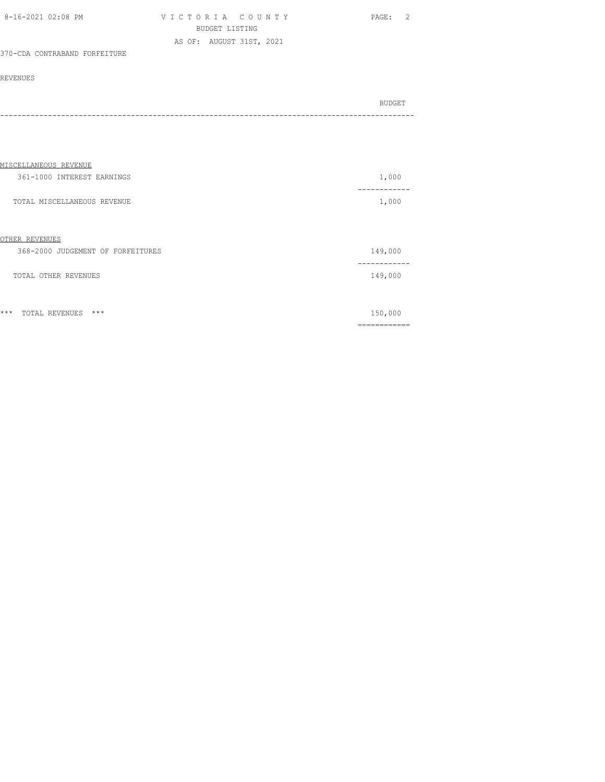| 8-16-2021 02:08 PM | VICTORIA COUNTY          | PAGE: | $\overline{2}$ |
|--------------------|--------------------------|-------|----------------|
|                    | BUDGET LISTING           |       |                |
|                    | AS OF: AUGUST 31ST, 2021 |       |                |

# 370-CDA CONTRABAND FORFEITURE

#### REVENUES

| BUDGET |
|--------|
|        |
|        |

| MISCELLANEOUS REVENUE             |           |
|-----------------------------------|-----------|
| 361-1000 INTEREST EARNINGS        | 1,000     |
| TOTAL MISCELLANEOUS REVENUE       | 1,000     |
|                                   |           |
| OTHER REVENUES                    |           |
| 368-2000 JUDGEMENT OF FORFEITURES | 149,000   |
| TOTAL OTHER REVENUES              | 149,000   |
|                                   |           |
| $***$<br>$***$<br>TOTAL REVENUES  | 150,000   |
|                                   | --------- |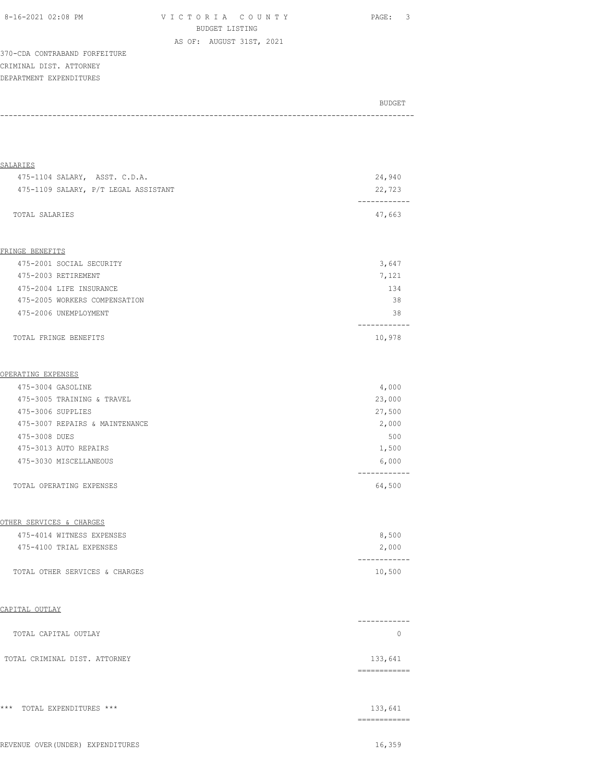V I C T O R I A C O U N T Y PAGE: 3 BUDGET LISTING

AS OF: AUGUST 31ST, 2021

370-CDA CONTRABAND FORFEITURE CRIMINAL DIST. ATTORNEY DEPARTMENT EXPENDITURES

| BUDGET |  |
|--------|--|
|        |  |

| <b>SALARIES</b>                      |                         |
|--------------------------------------|-------------------------|
| 475-1104 SALARY, ASST. C.D.A.        | 24,940                  |
| 475-1109 SALARY, P/T LEGAL ASSISTANT | 22,723<br>------------  |
| TOTAL SALARIES                       | 47,663                  |
| FRINGE BENEFITS                      |                         |
| 475-2001 SOCIAL SECURITY             | 3,647                   |
| 475-2003 RETIREMENT                  | 7,121                   |
| 475-2004 LIFE INSURANCE              | 134                     |
| 475-2005 WORKERS COMPENSATION        | 38                      |
| 475-2006 UNEMPLOYMENT                | 38                      |
| TOTAL FRINGE BENEFITS                | ----------<br>10,978    |
|                                      |                         |
| OPERATING EXPENSES                   |                         |
| 475-3004 GASOLINE                    | 4,000                   |
| 475-3005 TRAINING & TRAVEL           | 23,000                  |
| 475-3006 SUPPLIES                    | 27,500                  |
| 475-3007 REPAIRS & MAINTENANCE       | 2,000                   |
| 475-3008 DUES                        | 500                     |
| 475-3013 AUTO REPAIRS                | 1,500                   |
| 475-3030 MISCELLANEOUS               | 6,000                   |
| TOTAL OPERATING EXPENSES             | 64,500                  |
| OTHER SERVICES & CHARGES             |                         |
| 475-4014 WITNESS EXPENSES            | 8,500                   |
| 475-4100 TRIAL EXPENSES              | 2,000                   |
| TOTAL OTHER SERVICES & CHARGES       | ----------<br>10,500    |
| CAPITAL OUTLAY                       |                         |
| TOTAL CAPITAL OUTLAY                 | ------------<br>$\circ$ |
|                                      |                         |
| TOTAL CRIMINAL DIST. ATTORNEY        | 133,641<br>------------ |
| *** TOTAL EXPENDITURES ***           | 133,641                 |
|                                      | ============            |
| REVENUE OVER (UNDER) EXPENDITURES    | 16,359                  |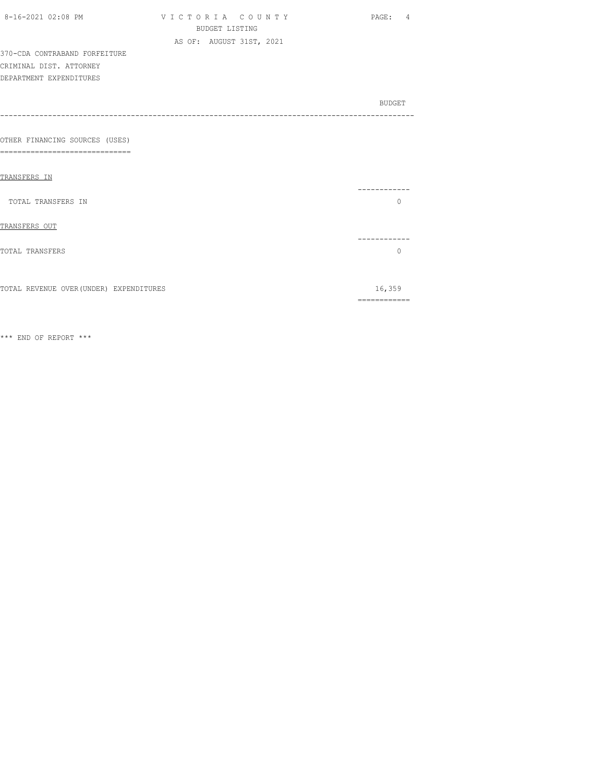| 8-16-2021 02:08 PM                      | VICTORIA COUNTY          | PAGE: 4      |
|-----------------------------------------|--------------------------|--------------|
|                                         | <b>BUDGET LISTING</b>    |              |
|                                         | AS OF: AUGUST 31ST, 2021 |              |
| 370-CDA CONTRABAND FORFEITURE           |                          |              |
| CRIMINAL DIST. ATTORNEY                 |                          |              |
| DEPARTMENT EXPENDITURES                 |                          |              |
|                                         |                          |              |
|                                         |                          | BUDGET       |
|                                         |                          |              |
|                                         |                          |              |
| OTHER FINANCING SOURCES (USES)          |                          |              |
| --------------------<br>$===$           |                          |              |
|                                         |                          |              |
| TRANSFERS IN                            |                          |              |
|                                         |                          | .            |
| TOTAL TRANSFERS IN                      |                          | $\Omega$     |
|                                         |                          |              |
| TRANSFERS OUT                           |                          |              |
|                                         |                          | ----------   |
| <b>TOTAL TRANSFERS</b>                  |                          | $\Omega$     |
|                                         |                          |              |
|                                         |                          |              |
| TOTAL REVENUE OVER (UNDER) EXPENDITURES |                          | 16,359       |
|                                         |                          | ============ |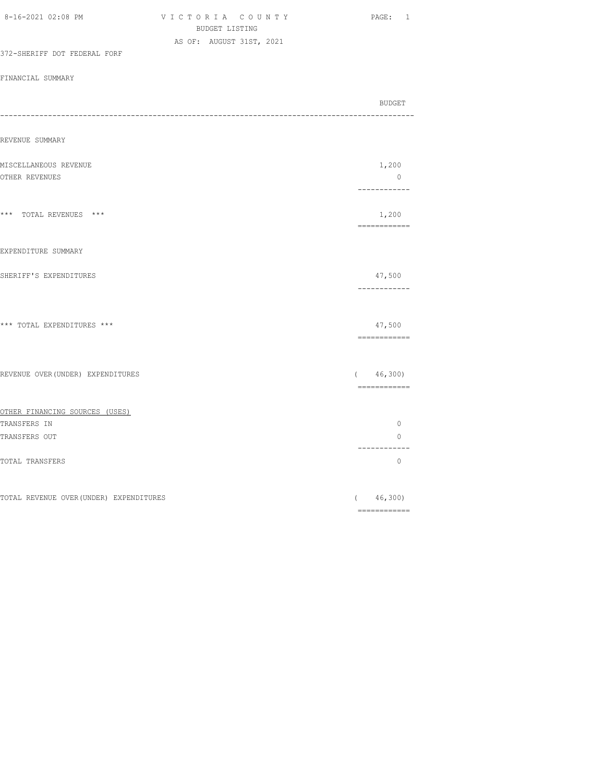| AS OF: AUGUST 31ST, 2021<br>372-SHERIFF DOT FEDERAL FORF |                                |
|----------------------------------------------------------|--------------------------------|
|                                                          |                                |
|                                                          |                                |
| FINANCIAL SUMMARY                                        |                                |
|                                                          |                                |
| -----                                                    | BUDGET                         |
| REVENUE SUMMARY                                          |                                |
|                                                          |                                |
| MISCELLANEOUS REVENUE                                    | 1,200                          |
| OTHER REVENUES                                           | $\overline{0}$<br>------------ |
|                                                          |                                |
| *** TOTAL REVENUES ***                                   | 1,200<br>-------------         |
| EXPENDITURE SUMMARY                                      |                                |
| SHERIFF'S EXPENDITURES                                   | 47,500<br>------------         |
| *** TOTAL EXPENDITURES ***                               | 47,500<br>============         |
| REVENUE OVER (UNDER) EXPENDITURES                        | ( 46, 300)                     |
|                                                          |                                |
| OTHER FINANCING SOURCES (USES)                           |                                |
| TRANSFERS IN                                             | $\circ$                        |
| TRANSFERS OUT                                            | $\circ$<br>------------        |
| TOTAL TRANSFERS                                          | $\circ$                        |
| TOTAL REVENUE OVER (UNDER) EXPENDITURES                  | (46, 300)                      |

8-16-2021 02:08 PM V I C T O R I A C O U N T Y PAGE: 1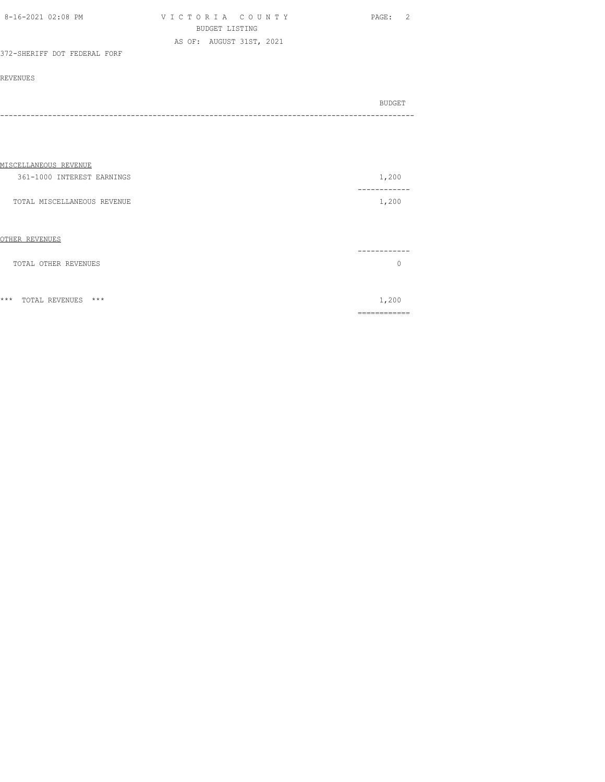| 8-16-2021 02:08 PM           | VICTORIA COUNTY          | PAGE: 2 |
|------------------------------|--------------------------|---------|
|                              | BUDGET LISTING           |         |
|                              | AS OF: AUGUST 31ST, 2021 |         |
| 372-SHERIFF DOT FEDERAL FORF |                          |         |

|         | BUDGET |
|---------|--------|
| ------- |        |

| MISCELLANEOUS REVENUE          |                 |
|--------------------------------|-----------------|
| 361-1000 INTEREST EARNINGS     | 1,200           |
| TOTAL MISCELLANEOUS REVENUE    | ------<br>1,200 |
| OTHER REVENUES                 |                 |
| TOTAL OTHER REVENUES           |                 |
|                                |                 |
| $***$<br>***<br>TOTAL REVENUES | 1,200           |
|                                |                 |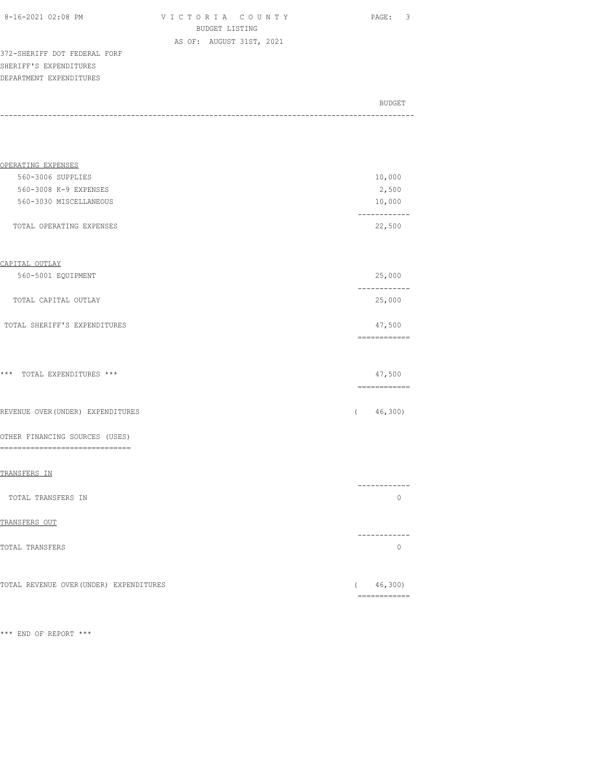| 8-16-2021 02:08 PM |  |
|--------------------|--|
|                    |  |

V I C T O R I A C O U N T Y PAGE: 3 BUDGET LISTING AS OF: AUGUST 31ST, 2021

372-SHERIFF DOT FEDERAL FORF SHERIFF'S EXPENDITURES DEPARTMENT EXPENDITURES

| BUDGET |
|--------|
|        |

| OPERATING EXPENSES                                                |                            |
|-------------------------------------------------------------------|----------------------------|
| 560-3006 SUPPLIES                                                 | 10,000                     |
| 560-3008 K-9 EXPENSES                                             | 2,500                      |
| 560-3030 MISCELLANEOUS                                            | 10,000                     |
| TOTAL OPERATING EXPENSES                                          | ------------<br>22,500     |
| CAPITAL OUTLAY                                                    |                            |
| 560-5001 EQUIPMENT                                                | 25,000                     |
| TOTAL CAPITAL OUTLAY                                              | ------------<br>25,000     |
| TOTAL SHERIFF'S EXPENDITURES                                      | 47,500                     |
|                                                                   |                            |
| *** TOTAL EXPENDITURES ***                                        | 47,500                     |
| REVENUE OVER (UNDER) EXPENDITURES                                 | (46, 300)                  |
| OTHER FINANCING SOURCES (USES)<br>------------------------------- |                            |
| TRANSFERS IN                                                      |                            |
| TOTAL TRANSFERS IN                                                | ------------<br>$\circ$    |
| TRANSFERS OUT                                                     |                            |
| TOTAL TRANSFERS                                                   | -----------<br>$\circ$     |
| TOTAL REVENUE OVER (UNDER) EXPENDITURES                           | (46, 300)<br>------------- |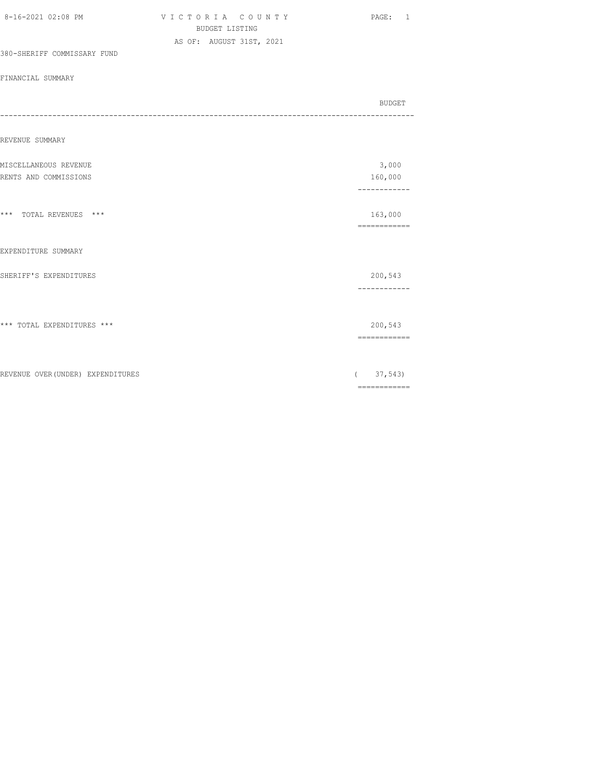|                                   | <b>BUDGET LISTING</b>    |  |          |                                                                                                                                                                                                                                                                                                                                                                                                                                                                                        |
|-----------------------------------|--------------------------|--|----------|----------------------------------------------------------------------------------------------------------------------------------------------------------------------------------------------------------------------------------------------------------------------------------------------------------------------------------------------------------------------------------------------------------------------------------------------------------------------------------------|
|                                   | AS OF: AUGUST 31ST, 2021 |  |          |                                                                                                                                                                                                                                                                                                                                                                                                                                                                                        |
| 380-SHERIFF COMMISSARY FUND       |                          |  |          |                                                                                                                                                                                                                                                                                                                                                                                                                                                                                        |
| FINANCIAL SUMMARY                 |                          |  |          |                                                                                                                                                                                                                                                                                                                                                                                                                                                                                        |
|                                   |                          |  |          | <b>BUDGET</b>                                                                                                                                                                                                                                                                                                                                                                                                                                                                          |
| REVENUE SUMMARY                   |                          |  |          |                                                                                                                                                                                                                                                                                                                                                                                                                                                                                        |
| MISCELLANEOUS REVENUE             |                          |  |          | 3,000                                                                                                                                                                                                                                                                                                                                                                                                                                                                                  |
| RENTS AND COMMISSIONS             |                          |  |          | 160,000<br>------------                                                                                                                                                                                                                                                                                                                                                                                                                                                                |
|                                   |                          |  |          |                                                                                                                                                                                                                                                                                                                                                                                                                                                                                        |
| *** TOTAL REVENUES ***            |                          |  |          | 163,000<br>============                                                                                                                                                                                                                                                                                                                                                                                                                                                                |
|                                   |                          |  |          |                                                                                                                                                                                                                                                                                                                                                                                                                                                                                        |
| EXPENDITURE SUMMARY               |                          |  |          |                                                                                                                                                                                                                                                                                                                                                                                                                                                                                        |
| SHERIFF'S EXPENDITURES            |                          |  |          | 200,543                                                                                                                                                                                                                                                                                                                                                                                                                                                                                |
|                                   |                          |  |          | ------------                                                                                                                                                                                                                                                                                                                                                                                                                                                                           |
| *** TOTAL EXPENDITURES ***        |                          |  |          | 200,543                                                                                                                                                                                                                                                                                                                                                                                                                                                                                |
|                                   |                          |  |          | ------------                                                                                                                                                                                                                                                                                                                                                                                                                                                                           |
|                                   |                          |  |          |                                                                                                                                                                                                                                                                                                                                                                                                                                                                                        |
| REVENUE OVER (UNDER) EXPENDITURES |                          |  | $\left($ | 37,543                                                                                                                                                                                                                                                                                                                                                                                                                                                                                 |
|                                   |                          |  |          | $\begin{array}{cccccccccc} \multicolumn{2}{c}{} & \multicolumn{2}{c}{} & \multicolumn{2}{c}{} & \multicolumn{2}{c}{} & \multicolumn{2}{c}{} & \multicolumn{2}{c}{} & \multicolumn{2}{c}{} & \multicolumn{2}{c}{} & \multicolumn{2}{c}{} & \multicolumn{2}{c}{} & \multicolumn{2}{c}{} & \multicolumn{2}{c}{} & \multicolumn{2}{c}{} & \multicolumn{2}{c}{} & \multicolumn{2}{c}{} & \multicolumn{2}{c}{} & \multicolumn{2}{c}{} & \multicolumn{2}{c}{} & \multicolumn{2}{c}{} & \mult$ |

8-16-2021 02:08 PM V I C T O R I A C O U N T Y PAGE: 1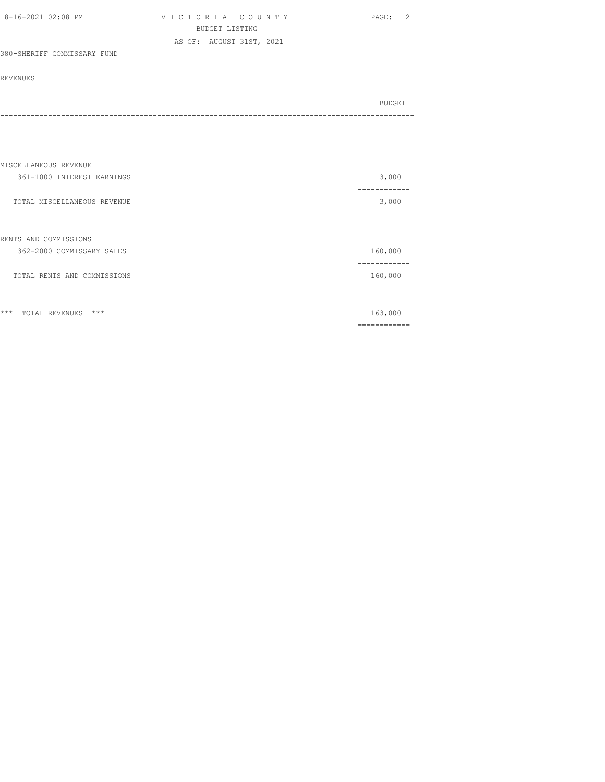| 8-16-2021 02:08 PM | VICTORIA COUNTY          | PAGE: | $\overline{2}$ |
|--------------------|--------------------------|-------|----------------|
|                    | BUDGET LISTING           |       |                |
|                    | AS OF: AUGUST 31ST, 2021 |       |                |

## 380-SHERIFF COMMISSARY FUND

| BUDGET |
|--------|
| - - -  |

| MISCELLANEOUS REVENUE            |                     |
|----------------------------------|---------------------|
| 361-1000 INTEREST EARNINGS       | 3,000               |
| TOTAL MISCELLANEOUS REVENUE      | 3,000               |
| COMMISSIONS<br>RENTS AND         |                     |
| 362-2000 COMMISSARY SALES        | 160,000             |
| TOTAL RENTS AND COMMISSIONS      | -------<br>160,000  |
| $***$<br>$***$<br>TOTAL REVENUES | 163,000<br>-------- |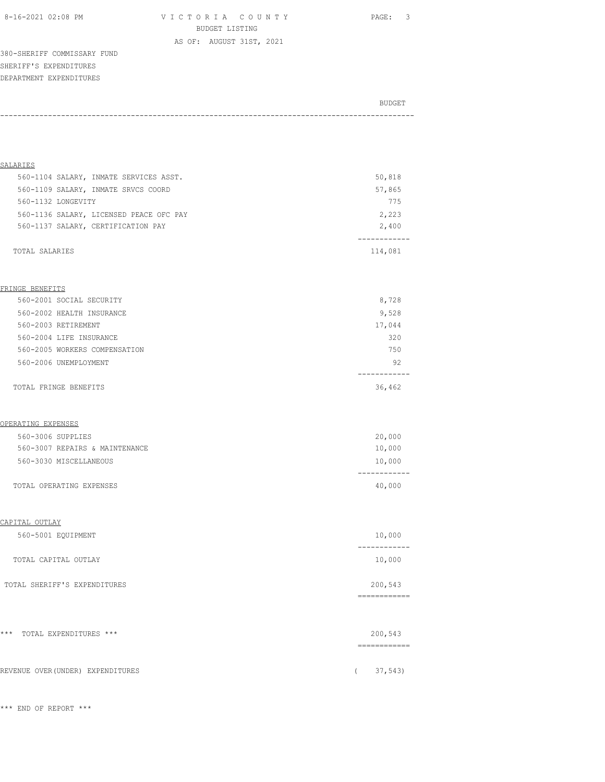8-16-2021 02:08 PM V I C T O R I A C O U N T Y PAGE: 3 BUDGET LISTING

AS OF: AUGUST 31ST, 2021

380-SHERIFF COMMISSARY FUND SHERIFF'S EXPENDITURES DEPARTMENT EXPENDITURES

|       | BUDGET |
|-------|--------|
| ----- |        |

| <b>SALARIES</b>                         |                         |
|-----------------------------------------|-------------------------|
| 560-1104 SALARY, INMATE SERVICES ASST.  | 50,818                  |
| 560-1109 SALARY, INMATE SRVCS COORD     | 57,865                  |
| 560-1132 LONGEVITY                      | 775                     |
| 560-1136 SALARY, LICENSED PEACE OFC PAY | 2,223                   |
| 560-1137 SALARY, CERTIFICATION PAY      | 2,400<br>.              |
| TOTAL SALARIES                          | 114,081                 |
| FRINGE BENEFITS                         |                         |
| 560-2001 SOCIAL SECURITY                | 8,728                   |
| 560-2002 HEALTH INSURANCE               | 9,528                   |
| 560-2003 RETIREMENT                     | 17,044                  |
| 560-2004 LIFE INSURANCE                 | 320                     |
| 560-2005 WORKERS COMPENSATION           | 750                     |
| 560-2006 UNEMPLOYMENT                   | 92                      |
| TOTAL FRINGE BENEFITS                   | 36,462                  |
| OPERATING EXPENSES                      |                         |
| 560-3006 SUPPLIES                       | 20,000                  |
| 560-3007 REPAIRS & MAINTENANCE          | 10,000                  |
| 560-3030 MISCELLANEOUS                  | 10,000                  |
|                                         | ----------              |
| TOTAL OPERATING EXPENSES                | 40,000                  |
| CAPITAL OUTLAY                          |                         |
| 560-5001 EQUIPMENT                      | 10,000                  |
| TOTAL CAPITAL OUTLAY                    | 10,000                  |
| TOTAL SHERIFF'S EXPENDITURES            | 200,543                 |
|                                         |                         |
| *** TOTAL EXPENDITURES ***              | 200,543<br>============ |
| REVENUE OVER (UNDER) EXPENDITURES       | 37,543<br>$\left($      |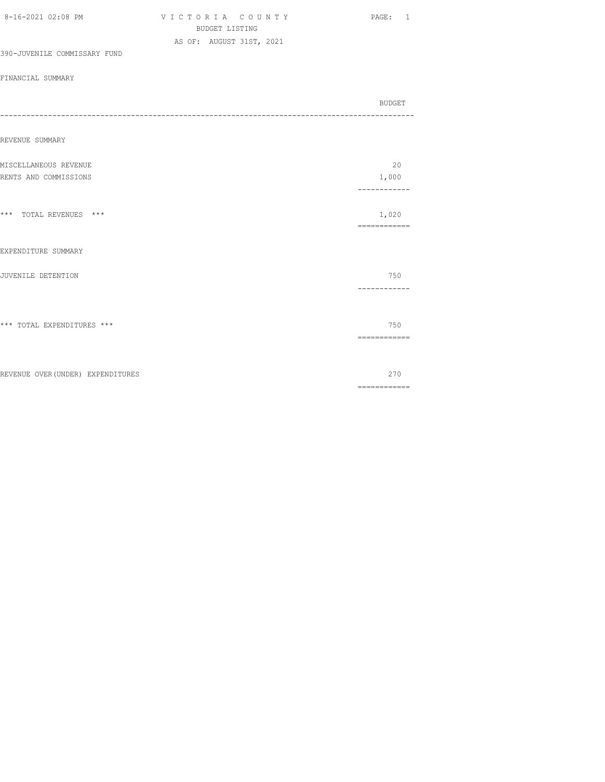| 8-16-2021 02:08 PM                | VICTORIA COUNTY<br><b>BUDGET LISTING</b><br>AS OF: AUGUST 31ST, 2021 | PAGE: 1                                                                                                                                                                                                                                                                                                                                                                                                                                                                                         |
|-----------------------------------|----------------------------------------------------------------------|-------------------------------------------------------------------------------------------------------------------------------------------------------------------------------------------------------------------------------------------------------------------------------------------------------------------------------------------------------------------------------------------------------------------------------------------------------------------------------------------------|
| 390-JUVENILE COMMISSARY FUND      |                                                                      |                                                                                                                                                                                                                                                                                                                                                                                                                                                                                                 |
| FINANCIAL SUMMARY                 |                                                                      |                                                                                                                                                                                                                                                                                                                                                                                                                                                                                                 |
|                                   |                                                                      | <b>BUDGET</b><br>-------------                                                                                                                                                                                                                                                                                                                                                                                                                                                                  |
| REVENUE SUMMARY                   |                                                                      |                                                                                                                                                                                                                                                                                                                                                                                                                                                                                                 |
| MISCELLANEOUS REVENUE             |                                                                      | 20                                                                                                                                                                                                                                                                                                                                                                                                                                                                                              |
| RENTS AND COMMISSIONS             |                                                                      | 1,000<br>------------                                                                                                                                                                                                                                                                                                                                                                                                                                                                           |
| *** TOTAL REVENUES ***            |                                                                      | 1,020<br>$\begin{array}{cccccccccc} \multicolumn{2}{c}{} & \multicolumn{2}{c}{} & \multicolumn{2}{c}{} & \multicolumn{2}{c}{} & \multicolumn{2}{c}{} & \multicolumn{2}{c}{} & \multicolumn{2}{c}{} & \multicolumn{2}{c}{} & \multicolumn{2}{c}{} & \multicolumn{2}{c}{} & \multicolumn{2}{c}{} & \multicolumn{2}{c}{} & \multicolumn{2}{c}{} & \multicolumn{2}{c}{} & \multicolumn{2}{c}{} & \multicolumn{2}{c}{} & \multicolumn{2}{c}{} & \multicolumn{2}{c}{} & \multicolumn{2}{c}{} & \mult$ |
| EXPENDITURE SUMMARY               |                                                                      |                                                                                                                                                                                                                                                                                                                                                                                                                                                                                                 |
| JUVENILE DETENTION                |                                                                      | 750<br>------------                                                                                                                                                                                                                                                                                                                                                                                                                                                                             |
| *** TOTAL EXPENDITURES ***        |                                                                      | 750<br>============                                                                                                                                                                                                                                                                                                                                                                                                                                                                             |
| REVENUE OVER (UNDER) EXPENDITURES |                                                                      | 270<br>$\begin{array}{cccccccccc} \multicolumn{2}{c}{} & \multicolumn{2}{c}{} & \multicolumn{2}{c}{} & \multicolumn{2}{c}{} & \multicolumn{2}{c}{} & \multicolumn{2}{c}{} & \multicolumn{2}{c}{} & \multicolumn{2}{c}{} & \multicolumn{2}{c}{} & \multicolumn{2}{c}{} & \multicolumn{2}{c}{} & \multicolumn{2}{c}{} & \multicolumn{2}{c}{} & \multicolumn{2}{c}{} & \multicolumn{2}{c}{} & \multicolumn{2}{c}{} & \multicolumn{2}{c}{} & \multicolumn{2}{c}{} & \multicolumn{2}{c}{} & \mult$   |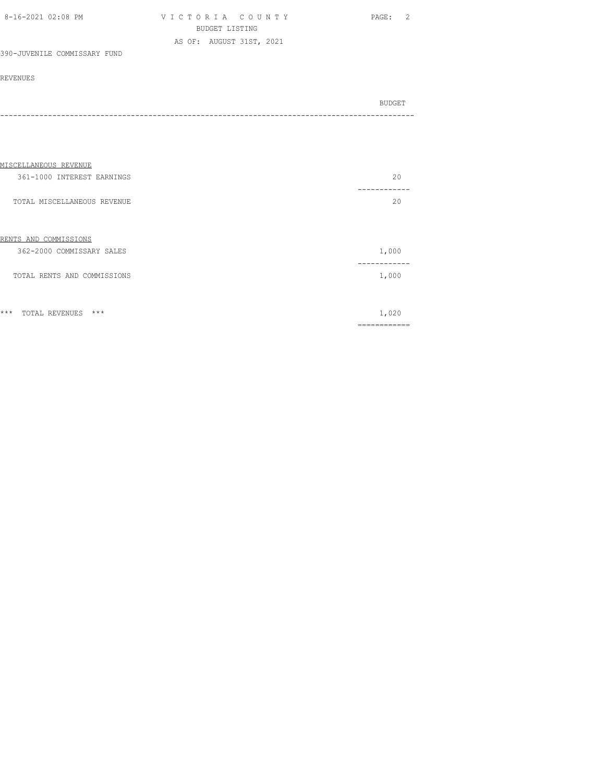| 8-16-2021 02:08 PM | VICTORIA COUNTY          | PAGE: 2 |
|--------------------|--------------------------|---------|
|                    | BUDGET LISTING           |         |
|                    | AS OF: AUGUST 31ST, 2021 |         |

### 390-JUVENILE COMMISSARY FUND

|  |  | BUDGET |
|--|--|--------|
|  |  |        |

| MISCELLANEOUS REVENUE            |          |
|----------------------------------|----------|
| 361-1000 INTEREST EARNINGS       | 20       |
|                                  |          |
| TOTAL MISCELLANEOUS REVENUE      | 20       |
|                                  |          |
| RENTS AND COMMISSIONS            |          |
| 362-2000 COMMISSARY SALES        | 1,000    |
|                                  |          |
| TOTAL RENTS AND COMMISSIONS      | 1,000    |
|                                  |          |
| $***$<br>$***$<br>TOTAL REVENUES | 1,020    |
|                                  |          |
|                                  | -------- |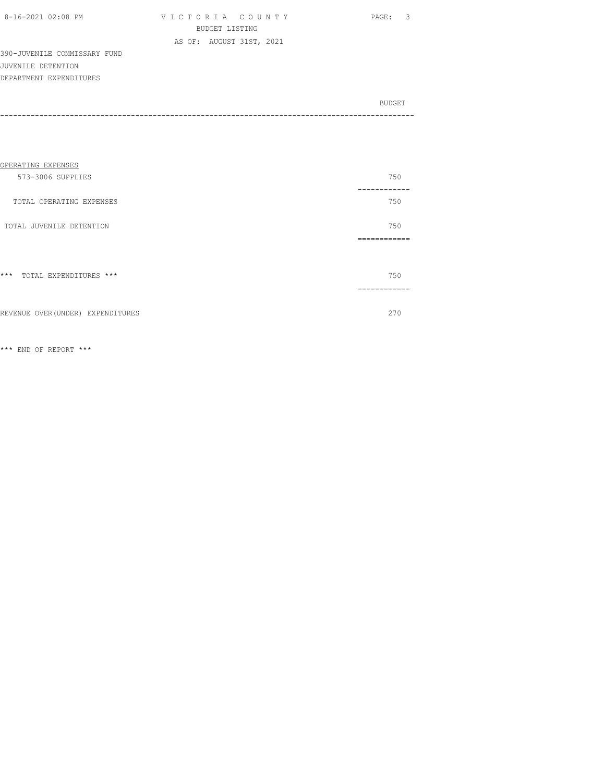| 8-16-2021 02:08 PM |  |
|--------------------|--|

VICTORIA COUNTY PAGE: 3 BUDGET LISTING AS OF: AUGUST 31ST, 2021

390-JUVENILE COMMISSARY FUND JUVENILE DETENTION DEPARTMENT EXPENDITURES

BUDGET AND RESERVE AND RESERVE AND RESERVE AND RESERVE AND RESERVE AND RESERVE AND RESERVE AND RESERVE AND RESERVE AND RESERVE AND RESERVE AND RESERVE AND RESERVE AND RESERVE AND RESPONDING A REPORT OF A REPORT OF A REPORT -----------------------------------------------------------------------------------------------

| OPERATING EXPENSES              |                |
|---------------------------------|----------------|
| 573-3006 SUPPLIES               | 750<br>------- |
| TOTAL OPERATING EXPENSES        | 750            |
| TOTAL JUVENILE DETENTION        | 750            |
|                                 | ------------   |
|                                 |                |
| $***$<br>TOTAL EXPENDITURES *** | 750            |
|                                 | ------------   |
|                                 |                |

REVENUE OVER(UNDER) EXPENDITURES 270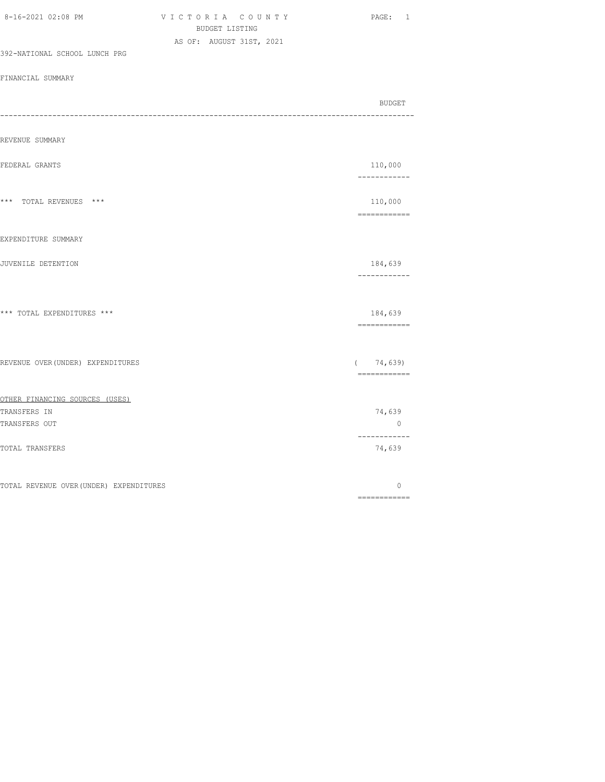| 8-16-2021 02:08 PM                      | VICTORIA COUNTY<br>BUDGET LISTING | PAGE: 1                                                                                                                                                                                                                                                                                                                                                                                                                                                                                           |
|-----------------------------------------|-----------------------------------|---------------------------------------------------------------------------------------------------------------------------------------------------------------------------------------------------------------------------------------------------------------------------------------------------------------------------------------------------------------------------------------------------------------------------------------------------------------------------------------------------|
| 392-NATIONAL SCHOOL LUNCH PRG           | AS OF: AUGUST 31ST, 2021          |                                                                                                                                                                                                                                                                                                                                                                                                                                                                                                   |
| FINANCIAL SUMMARY                       |                                   |                                                                                                                                                                                                                                                                                                                                                                                                                                                                                                   |
|                                         |                                   | BUDGET                                                                                                                                                                                                                                                                                                                                                                                                                                                                                            |
| REVENUE SUMMARY                         |                                   |                                                                                                                                                                                                                                                                                                                                                                                                                                                                                                   |
| FEDERAL GRANTS                          |                                   | 110,000<br>------------                                                                                                                                                                                                                                                                                                                                                                                                                                                                           |
| *** TOTAL REVENUES ***                  |                                   | 110,000<br>$\begin{array}{cccccccccc} \multicolumn{2}{c}{} & \multicolumn{2}{c}{} & \multicolumn{2}{c}{} & \multicolumn{2}{c}{} & \multicolumn{2}{c}{} & \multicolumn{2}{c}{} & \multicolumn{2}{c}{} & \multicolumn{2}{c}{} & \multicolumn{2}{c}{} & \multicolumn{2}{c}{} & \multicolumn{2}{c}{} & \multicolumn{2}{c}{} & \multicolumn{2}{c}{} & \multicolumn{2}{c}{} & \multicolumn{2}{c}{} & \multicolumn{2}{c}{} & \multicolumn{2}{c}{} & \multicolumn{2}{c}{} & \multicolumn{2}{c}{} & \mult$ |
| EXPENDITURE SUMMARY                     |                                   |                                                                                                                                                                                                                                                                                                                                                                                                                                                                                                   |
| JUVENILE DETENTION                      |                                   | 184,639<br>------------                                                                                                                                                                                                                                                                                                                                                                                                                                                                           |
| *** TOTAL EXPENDITURES ***              |                                   | 184,639<br>============                                                                                                                                                                                                                                                                                                                                                                                                                                                                           |
| REVENUE OVER (UNDER) EXPENDITURES       |                                   | (74, 639)<br>============                                                                                                                                                                                                                                                                                                                                                                                                                                                                         |
| OTHER FINANCING SOURCES (USES)          |                                   |                                                                                                                                                                                                                                                                                                                                                                                                                                                                                                   |
| TRANSFERS IN<br>TRANSFERS OUT           |                                   | 74,639<br>$\circ$                                                                                                                                                                                                                                                                                                                                                                                                                                                                                 |
| TOTAL TRANSFERS                         |                                   | ------------<br>74,639                                                                                                                                                                                                                                                                                                                                                                                                                                                                            |
| TOTAL REVENUE OVER (UNDER) EXPENDITURES |                                   | $\circ$<br>============                                                                                                                                                                                                                                                                                                                                                                                                                                                                           |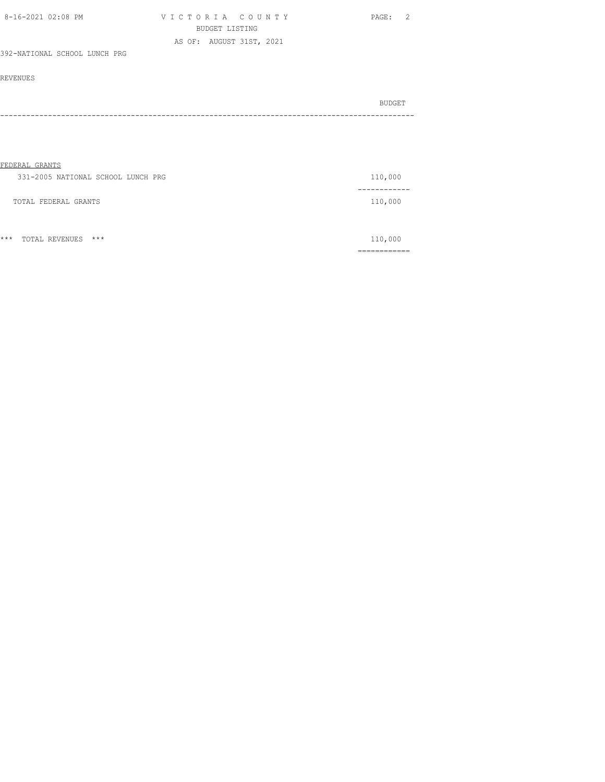| 8-16-2021 02:08 PM            | VICTORIA COUNTY          | PAGE: 2 |
|-------------------------------|--------------------------|---------|
|                               | BUDGET LISTING           |         |
|                               | AS OF: AUGUST 31ST, 2021 |         |
| 392-NATIONAL SCHOOL LUNCH PRG |                          |         |

| BUDGET |
|--------|
| ----   |

| FEDERAL GRANTS                     |            |
|------------------------------------|------------|
| 331-2005 NATIONAL SCHOOL LUNCH PRG | 110,000    |
|                                    | ---------- |
| TOTAL FEDERAL GRANTS               | 110,000    |
|                                    |            |
|                                    |            |

|       |                   |     | ____________<br>_____________ |
|-------|-------------------|-----|-------------------------------|
| $***$ | TOTAL<br>REVENUES | *** | .                             |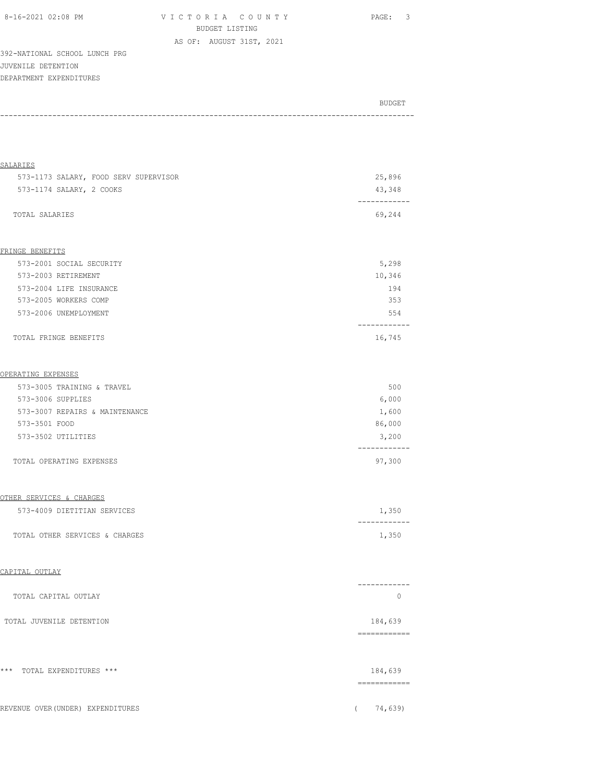| 8-16-2021 02:08 PM | VICTORIA COUNTY          | PAGE: 3 |
|--------------------|--------------------------|---------|
|                    | BUDGET LISTING           |         |
|                    | AS OF: AUGUST 31ST, 2021 |         |

392-NATIONAL SCHOOL LUNCH PRG JUVENILE DETENTION DEPARTMENT EXPENDITURES

| BUDGET |
|--------|
|        |

| <b>SALARIES</b>                       |                                                                                                                                                                                                                                                                                                                                                                                                                                                                                                   |
|---------------------------------------|---------------------------------------------------------------------------------------------------------------------------------------------------------------------------------------------------------------------------------------------------------------------------------------------------------------------------------------------------------------------------------------------------------------------------------------------------------------------------------------------------|
| 573-1173 SALARY, FOOD SERV SUPERVISOR | 25,896                                                                                                                                                                                                                                                                                                                                                                                                                                                                                            |
| 573-1174 SALARY, 2 COOKS              | 43,348<br>------------                                                                                                                                                                                                                                                                                                                                                                                                                                                                            |
| TOTAL SALARIES                        | 69,244                                                                                                                                                                                                                                                                                                                                                                                                                                                                                            |
| FRINGE BENEFITS                       |                                                                                                                                                                                                                                                                                                                                                                                                                                                                                                   |
| 573-2001 SOCIAL SECURITY              | 5,298                                                                                                                                                                                                                                                                                                                                                                                                                                                                                             |
| 573-2003 RETIREMENT                   | 10,346                                                                                                                                                                                                                                                                                                                                                                                                                                                                                            |
| 573-2004 LIFE INSURANCE               | 194                                                                                                                                                                                                                                                                                                                                                                                                                                                                                               |
| 573-2005 WORKERS COMP                 | 353                                                                                                                                                                                                                                                                                                                                                                                                                                                                                               |
| 573-2006 UNEMPLOYMENT                 | 554<br>----------                                                                                                                                                                                                                                                                                                                                                                                                                                                                                 |
| TOTAL FRINGE BENEFITS                 | 16,745                                                                                                                                                                                                                                                                                                                                                                                                                                                                                            |
| OPERATING EXPENSES                    |                                                                                                                                                                                                                                                                                                                                                                                                                                                                                                   |
| 573-3005 TRAINING & TRAVEL            | 500                                                                                                                                                                                                                                                                                                                                                                                                                                                                                               |
| 573-3006 SUPPLIES                     | 6,000                                                                                                                                                                                                                                                                                                                                                                                                                                                                                             |
| 573-3007 REPAIRS & MAINTENANCE        | 1,600                                                                                                                                                                                                                                                                                                                                                                                                                                                                                             |
| 573-3501 FOOD                         | 86,000                                                                                                                                                                                                                                                                                                                                                                                                                                                                                            |
| 573-3502 UTILITIES                    | 3,200                                                                                                                                                                                                                                                                                                                                                                                                                                                                                             |
| TOTAL OPERATING EXPENSES              | 97,300                                                                                                                                                                                                                                                                                                                                                                                                                                                                                            |
| OTHER SERVICES & CHARGES              |                                                                                                                                                                                                                                                                                                                                                                                                                                                                                                   |
| 573-4009 DIETITIAN SERVICES           | 1,350                                                                                                                                                                                                                                                                                                                                                                                                                                                                                             |
| TOTAL OTHER SERVICES & CHARGES        | -----------<br>1,350                                                                                                                                                                                                                                                                                                                                                                                                                                                                              |
| CAPITAL OUTLAY                        |                                                                                                                                                                                                                                                                                                                                                                                                                                                                                                   |
| TOTAL CAPITAL OUTLAY                  | -------<br>$\circ$                                                                                                                                                                                                                                                                                                                                                                                                                                                                                |
| TOTAL JUVENILE DETENTION              | 184,639<br>$\begin{array}{cccccccccc} \multicolumn{2}{c}{} & \multicolumn{2}{c}{} & \multicolumn{2}{c}{} & \multicolumn{2}{c}{} & \multicolumn{2}{c}{} & \multicolumn{2}{c}{} & \multicolumn{2}{c}{} & \multicolumn{2}{c}{} & \multicolumn{2}{c}{} & \multicolumn{2}{c}{} & \multicolumn{2}{c}{} & \multicolumn{2}{c}{} & \multicolumn{2}{c}{} & \multicolumn{2}{c}{} & \multicolumn{2}{c}{} & \multicolumn{2}{c}{} & \multicolumn{2}{c}{} & \multicolumn{2}{c}{} & \multicolumn{2}{c}{} & \mult$ |
| $***$<br>TOTAL EXPENDITURES ***       | 184,639                                                                                                                                                                                                                                                                                                                                                                                                                                                                                           |
|                                       | ============                                                                                                                                                                                                                                                                                                                                                                                                                                                                                      |
| REVENUE OVER (UNDER) EXPENDITURES     | 74,639)<br>$\left($                                                                                                                                                                                                                                                                                                                                                                                                                                                                               |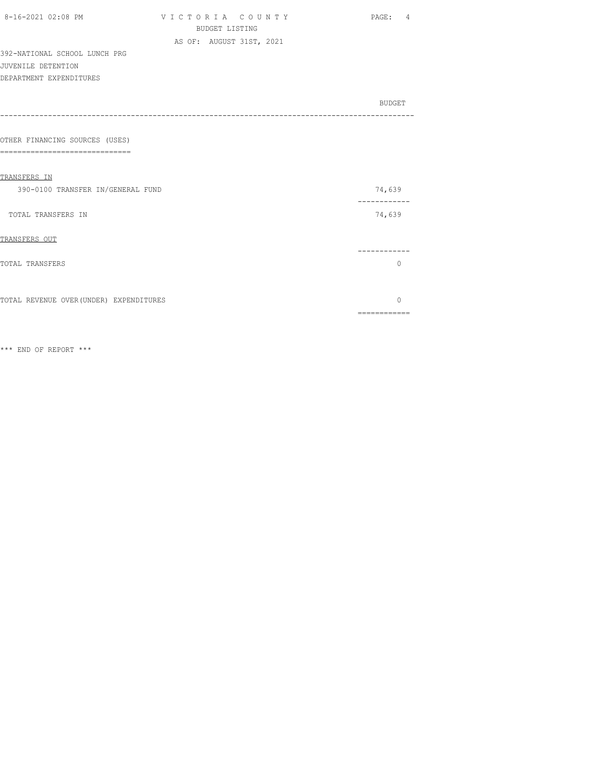| 8-16-2021 02:08 PM                      | VICTORIA COUNTY          | PAGE: 4      |
|-----------------------------------------|--------------------------|--------------|
|                                         | <b>BUDGET LISTING</b>    |              |
|                                         | AS OF: AUGUST 31ST, 2021 |              |
| 392-NATIONAL SCHOOL LUNCH PRG           |                          |              |
| JUVENILE DETENTION                      |                          |              |
| DEPARTMENT EXPENDITURES                 |                          |              |
|                                         |                          |              |
|                                         |                          | BUDGET       |
|                                         |                          |              |
| OTHER FINANCING SOURCES (USES)          |                          |              |
| $=$ $=$ $=$<br>-------------------      |                          |              |
|                                         |                          |              |
| TRANSFERS IN                            |                          |              |
| 390-0100 TRANSFER IN/GENERAL FUND       |                          | 74,639       |
|                                         |                          | ------------ |
| TOTAL TRANSFERS IN                      |                          | 74,639       |
|                                         |                          |              |
| TRANSFERS OUT                           |                          |              |
|                                         |                          |              |
| TOTAL TRANSFERS                         |                          | 0            |
|                                         |                          |              |
| TOTAL REVENUE OVER (UNDER) EXPENDITURES |                          | $\Omega$     |
|                                         |                          | ============ |
|                                         |                          |              |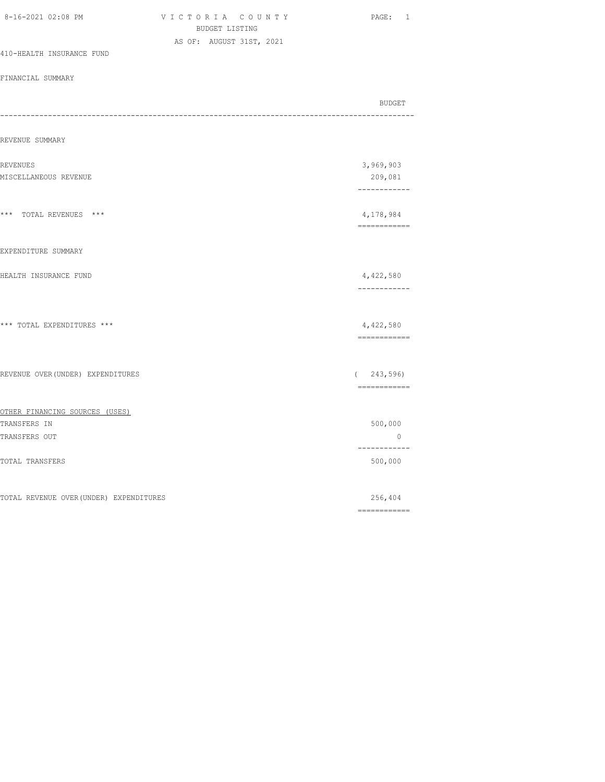| VICTORIA COUNTY<br>BUDGET LISTING       | PAGE: 1                    |
|-----------------------------------------|----------------------------|
| AS OF: AUGUST 31ST, 2021                |                            |
|                                         |                            |
|                                         |                            |
|                                         | BUDGET                     |
|                                         |                            |
|                                         | 3,969,903                  |
|                                         | 209,081<br>------------    |
|                                         | 4,178,984<br>============  |
|                                         |                            |
|                                         | 4,422,580<br>------------  |
|                                         | 4,422,580<br>============  |
| REVENUE OVER (UNDER) EXPENDITURES       | (243, 596)<br>------------ |
|                                         |                            |
|                                         | 500,000<br>$\overline{0}$  |
|                                         | ------------<br>500,000    |
| TOTAL REVENUE OVER (UNDER) EXPENDITURES | 256,404                    |
|                                         |                            |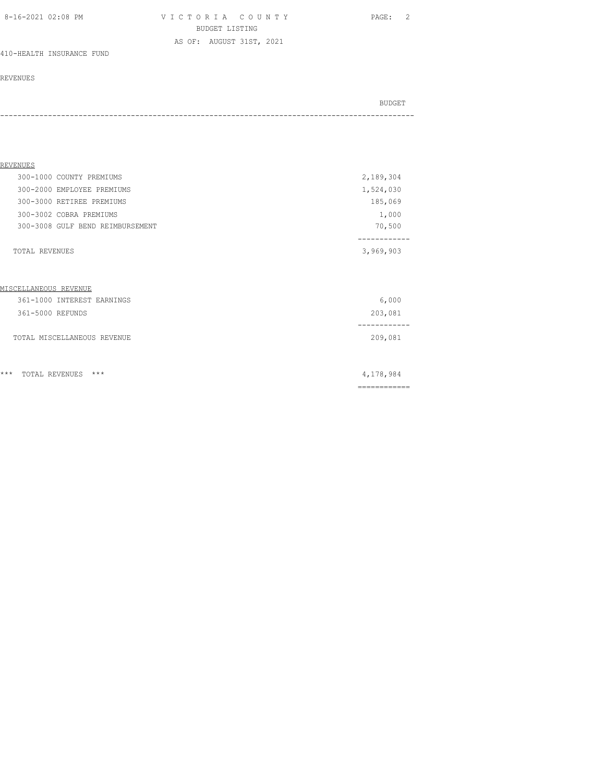V I C T O R I A C O U N T Y PAGE: 2 BUDGET LISTING AS OF: AUGUST 31ST, 2021

410-HEALTH INSURANCE FUND

### REVENUES

| REVENUES                         |                           |
|----------------------------------|---------------------------|
| 300-1000 COUNTY PREMIUMS         | 2,189,304                 |
| 300-2000 EMPLOYEE PREMIUMS       | 1,524,030                 |
| 300-3000 RETIREE PREMIUMS        | 185,069                   |
| 300-3002 COBRA PREMIUMS          | 1,000                     |
| 300-3008 GULF BEND REIMBURSEMENT | 70,500                    |
| <b>TOTAL REVENUES</b>            | 3,969,903                 |
| MISCELLANEOUS REVENUE            |                           |
| 361-1000 INTEREST EARNINGS       | 6,000                     |
| 361-5000 REFUNDS                 | 203,081                   |
| TOTAL MISCELLANEOUS REVENUE      | 209,081                   |
| $***$<br>$***$<br>TOTAL REVENUES | 4,178,984<br>------------ |
|                                  |                           |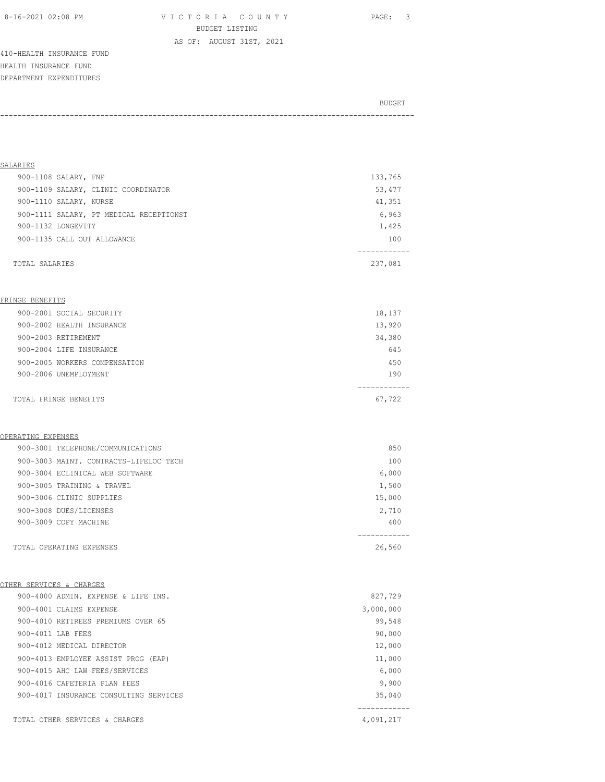8-16-2021 02:08 PM V I C T O R I A C O U N T Y PAGE: 3 BUDGET LISTING

AS OF: AUGUST 31ST, 2021

410-HEALTH INSURANCE FUND HEALTH INSURANCE FUND DEPARTMENT EXPENDITURES

# BUDGET AND RESERVE AND RESERVE AND RESERVE AND RESERVE AND RESERVE AND RESERVE AND RESERVE AND RESERVE AND RESERVE AND RESERVE AND RESERVE AND RESERVE AND RESERVE AND RESERVE AND RESPONDING A REPORT OF A REPORT OF A REPORT -----------------------------------------------------------------------------------------------

| SALARIES                                |         |
|-----------------------------------------|---------|
| 900-1108 SALARY, FNP                    | 133,765 |
| 900-1109 SALARY, CLINIC COORDINATOR     | 53,477  |
| 900-1110 SALARY, NURSE                  | 41,351  |
| 900-1111 SALARY, PT MEDICAL RECEPTIONST | 6,963   |
| 900-1132 LONGEVITY                      | 1,425   |
| 900-1135 CALL OUT ALLOWANCE             | 100     |
|                                         |         |
| TOTAL SALARIES                          | 237,081 |

### FRINGE BENEFITS

| 900-2001 SOCIAL SECURITY      | 18,137 |
|-------------------------------|--------|
| 900-2002 HEALTH INSURANCE     | 13,920 |
| 900-2003 RETIREMENT           | 34,380 |
| 900-2004 LIFE INSURANCE       | 645    |
| 900-2005 WORKERS COMPENSATION | 450    |
| 900-2006 UNEMPLOYMENT         | 190    |
|                               |        |
| TOTAL FRINGE BENEFITS         | 67,722 |

### OPERATING EXPENSES

| 900-3001 TELEPHONE/COMMUNICATIONS      | 850    |
|----------------------------------------|--------|
| 900-3003 MAINT. CONTRACTS-LIFELOC TECH | 100    |
| 900-3004 ECLINICAL WEB SOFTWARE        | 6,000  |
| 900-3005 TRAINING & TRAVEL             | 1,500  |
| 900-3006 CLINIC SUPPLIES               | 15,000 |
| 900-3008 DUES/LICENSES                 | 2,710  |
| 900-3009 COPY MACHINE                  | 400    |
|                                        |        |
| TOTAL OPERATING EXPENSES               | 26,560 |

# OTHER SERVICES & CHARGES

| 900-4000 ADMIN. EXPENSE & LIFE INS.    | 827,729   |
|----------------------------------------|-----------|
| 900-4001 CLAIMS EXPENSE                | 3,000,000 |
| 900-4010 RETIREES PREMIUMS OVER 65     | 99,548    |
| 900-4011 LAB FEES                      | 90,000    |
| 900-4012 MEDICAL DIRECTOR              | 12,000    |
| 900-4013 EMPLOYEE ASSIST PROG (EAP)    | 11,000    |
| 900-4015 AHC LAW FEES/SERVICES         | 6,000     |
| 900-4016 CAFETERIA PLAN FEES           | 9,900     |
| 900-4017 INSURANCE CONSULTING SERVICES | 35,040    |
|                                        |           |
| TOTAL OTHER SERVICES & CHARGES         | 4,091,217 |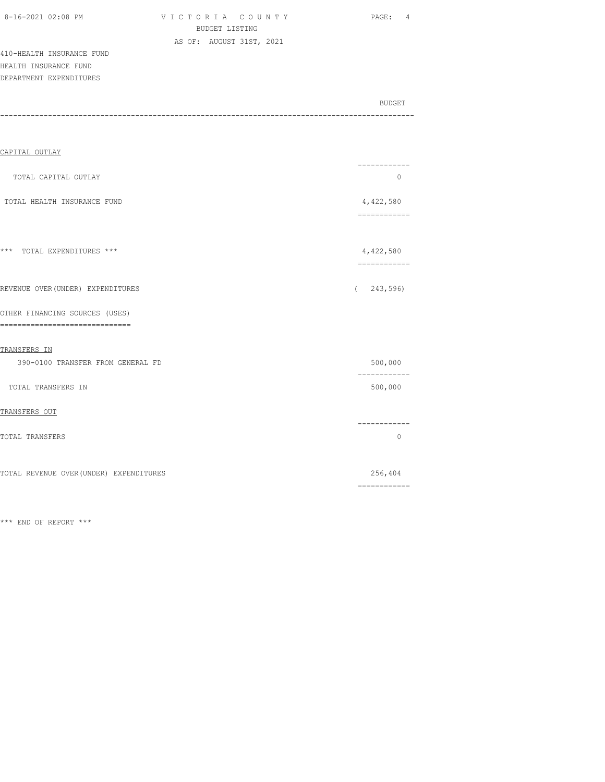| 8-16-2021 02:08 PM |  |
|--------------------|--|
|                    |  |

V I C T O R I A C O U N T Y PAGE: 4 BUDGET LISTING AS OF: AUGUST 31ST, 2021

410-HEALTH INSURANCE FUND HEALTH INSURANCE FUND DEPARTMENT EXPENDITURES

| BUDGET<br>------- |
|-------------------|
|                   |

| CAPITAL OUTLAY                                                     |                                                                                                                                                                                                                                                                                                                                                                                                                                                                                        |
|--------------------------------------------------------------------|----------------------------------------------------------------------------------------------------------------------------------------------------------------------------------------------------------------------------------------------------------------------------------------------------------------------------------------------------------------------------------------------------------------------------------------------------------------------------------------|
| TOTAL CAPITAL OUTLAY                                               | . _ _ _ _ _ _ _ _ _ _ _<br>$\circ$                                                                                                                                                                                                                                                                                                                                                                                                                                                     |
| TOTAL HEALTH INSURANCE FUND                                        | 4,422,580                                                                                                                                                                                                                                                                                                                                                                                                                                                                              |
| *** TOTAL EXPENDITURES ***                                         | 4,422,580<br>============                                                                                                                                                                                                                                                                                                                                                                                                                                                              |
| REVENUE OVER (UNDER) EXPENDITURES                                  | 243,596)<br>$\left($                                                                                                                                                                                                                                                                                                                                                                                                                                                                   |
| OTHER FINANCING SOURCES (USES)<br>-------------------------------- |                                                                                                                                                                                                                                                                                                                                                                                                                                                                                        |
| TRANSFERS IN<br>390-0100 TRANSFER FROM GENERAL FD                  | 500,000                                                                                                                                                                                                                                                                                                                                                                                                                                                                                |
| TOTAL TRANSFERS IN                                                 | ------------<br>500,000                                                                                                                                                                                                                                                                                                                                                                                                                                                                |
| TRANSFERS OUT                                                      |                                                                                                                                                                                                                                                                                                                                                                                                                                                                                        |
| TOTAL TRANSFERS                                                    | . _ _ _ _ _ _ _ _ _ _<br>$\circ$                                                                                                                                                                                                                                                                                                                                                                                                                                                       |
| TOTAL REVENUE OVER (UNDER) EXPENDITURES                            | 256,404                                                                                                                                                                                                                                                                                                                                                                                                                                                                                |
|                                                                    | $\begin{array}{cccccccccc} \multicolumn{2}{c}{} & \multicolumn{2}{c}{} & \multicolumn{2}{c}{} & \multicolumn{2}{c}{} & \multicolumn{2}{c}{} & \multicolumn{2}{c}{} & \multicolumn{2}{c}{} & \multicolumn{2}{c}{} & \multicolumn{2}{c}{} & \multicolumn{2}{c}{} & \multicolumn{2}{c}{} & \multicolumn{2}{c}{} & \multicolumn{2}{c}{} & \multicolumn{2}{c}{} & \multicolumn{2}{c}{} & \multicolumn{2}{c}{} & \multicolumn{2}{c}{} & \multicolumn{2}{c}{} & \multicolumn{2}{c}{} & \mult$ |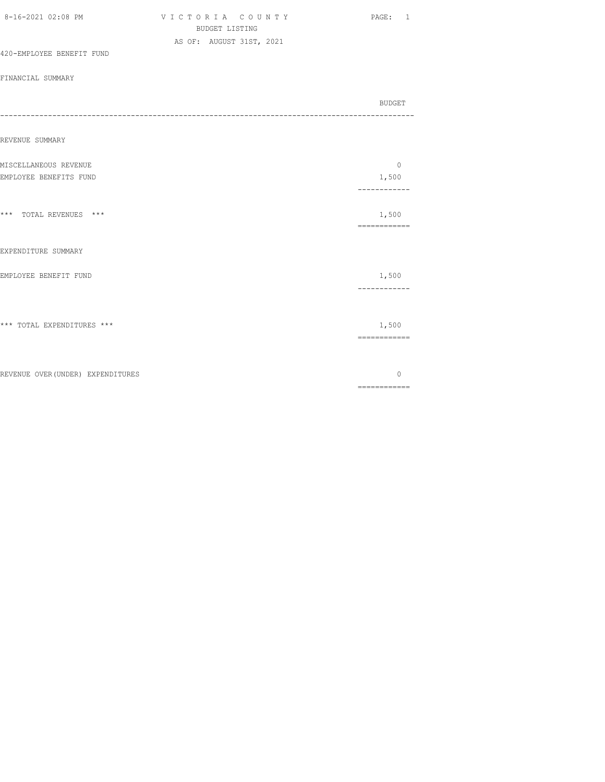| 8-16-2021 02:08 PM                | VICTORIA COUNTY<br><b>BUDGET LISTING</b><br>AS OF: AUGUST 31ST, 2021 | PAGE: 1                                                                                                                                                                                                                                                                                                                                                                                                                                                                                         |
|-----------------------------------|----------------------------------------------------------------------|-------------------------------------------------------------------------------------------------------------------------------------------------------------------------------------------------------------------------------------------------------------------------------------------------------------------------------------------------------------------------------------------------------------------------------------------------------------------------------------------------|
| 420-EMPLOYEE BENEFIT FUND         |                                                                      |                                                                                                                                                                                                                                                                                                                                                                                                                                                                                                 |
| FINANCIAL SUMMARY                 |                                                                      |                                                                                                                                                                                                                                                                                                                                                                                                                                                                                                 |
|                                   |                                                                      | <b>BUDGET</b><br>---------------                                                                                                                                                                                                                                                                                                                                                                                                                                                                |
| REVENUE SUMMARY                   |                                                                      |                                                                                                                                                                                                                                                                                                                                                                                                                                                                                                 |
| MISCELLANEOUS REVENUE             |                                                                      | $\Omega$                                                                                                                                                                                                                                                                                                                                                                                                                                                                                        |
| EMPLOYEE BENEFITS FUND            |                                                                      | 1,500<br>------------                                                                                                                                                                                                                                                                                                                                                                                                                                                                           |
| *** TOTAL REVENUES ***            |                                                                      | 1,500<br>$\begin{array}{cccccccccc} \multicolumn{2}{c}{} & \multicolumn{2}{c}{} & \multicolumn{2}{c}{} & \multicolumn{2}{c}{} & \multicolumn{2}{c}{} & \multicolumn{2}{c}{} & \multicolumn{2}{c}{} & \multicolumn{2}{c}{} & \multicolumn{2}{c}{} & \multicolumn{2}{c}{} & \multicolumn{2}{c}{} & \multicolumn{2}{c}{} & \multicolumn{2}{c}{} & \multicolumn{2}{c}{} & \multicolumn{2}{c}{} & \multicolumn{2}{c}{} & \multicolumn{2}{c}{} & \multicolumn{2}{c}{} & \multicolumn{2}{c}{} & \mult$ |
| EXPENDITURE SUMMARY               |                                                                      |                                                                                                                                                                                                                                                                                                                                                                                                                                                                                                 |
| EMPLOYEE BENEFIT FUND             |                                                                      | 1,500<br>------------                                                                                                                                                                                                                                                                                                                                                                                                                                                                           |
| *** TOTAL EXPENDITURES ***        |                                                                      | 1,500<br>============                                                                                                                                                                                                                                                                                                                                                                                                                                                                           |
| REVENUE OVER (UNDER) EXPENDITURES |                                                                      | 0<br>$\begin{array}{cccccccccc} \multicolumn{2}{c}{} & \multicolumn{2}{c}{} & \multicolumn{2}{c}{} & \multicolumn{2}{c}{} & \multicolumn{2}{c}{} & \multicolumn{2}{c}{} & \multicolumn{2}{c}{} & \multicolumn{2}{c}{} & \multicolumn{2}{c}{} & \multicolumn{2}{c}{} & \multicolumn{2}{c}{} & \multicolumn{2}{c}{} & \multicolumn{2}{c}{} & \multicolumn{2}{c}{} & \multicolumn{2}{c}{} & \multicolumn{2}{c}{} & \multicolumn{2}{c}{} & \multicolumn{2}{c}{} & \multicolumn{2}{c}{} & \mult$     |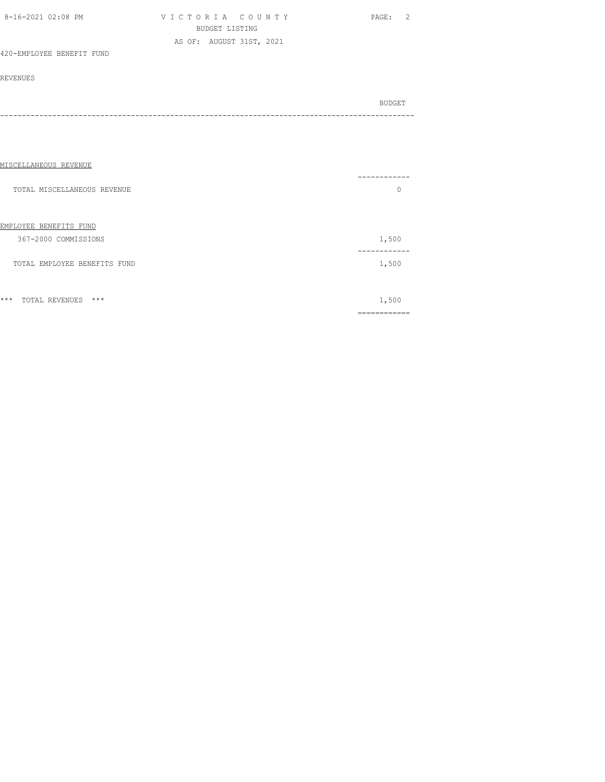| 8-16-2021 02:08 PM        | VICTORIA COUNTY          | PAGE: 2 |
|---------------------------|--------------------------|---------|
|                           | BUDGET LISTING           |         |
|                           | AS OF: AUGUST 31ST, 2021 |         |
| 420-EMPLOYEE BENEFIT FUND |                          |         |

| BUDGET |
|--------|
|        |
|        |

| --------<br>0 |
|---------------|
| 1,500         |
| 1,500         |
| 1,500         |
|               |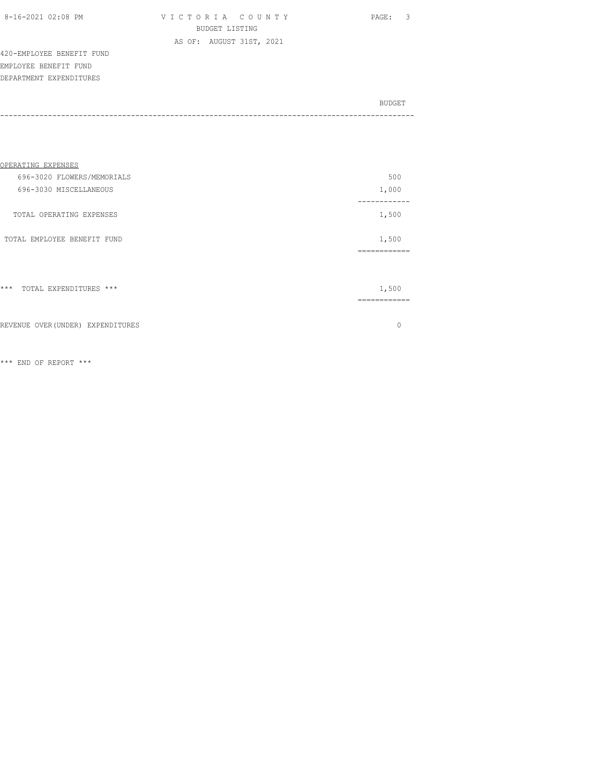| 8-16-2021 02:08 PM |  |  |
|--------------------|--|--|
|                    |  |  |

V I C T O R I A C O U N T Y PAGE: 3 BUDGET LISTING AS OF: AUGUST 31ST, 2021

420-EMPLOYEE BENEFIT FUND EMPLOYEE BENEFIT FUND DEPARTMENT EXPENDITURES

| BUDGET |
|--------|
|        |
|        |

| OPERATING EXPENSES                   |          |
|--------------------------------------|----------|
| 696-3020 FLOWERS/MEMORIALS           | 500      |
| 696-3030 MISCELLANEOUS               | 1,000    |
| TOTAL OPERATING EXPENSES             | 1,500    |
| TOTAL EMPLOYEE BENEFIT FUND          | 1,500    |
|                                      | -------- |
| $***$<br>TOTAL EXPENDITURES ***      | 1,500    |
|                                      | -------- |
| REVENUE OVER (UNDER)<br>EXPENDITURES |          |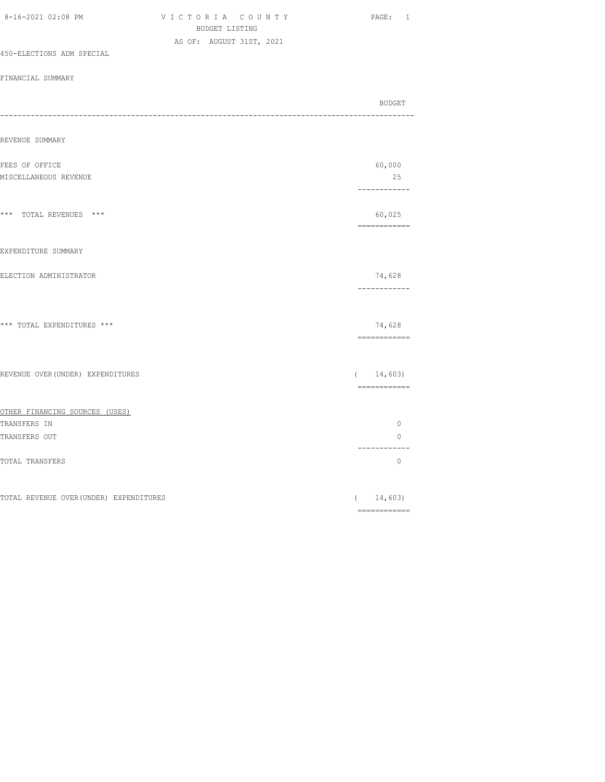| 8-16-2021 02:08 PM                      | VICTORIA COUNTY<br>BUDGET LISTING |            | PAGE: 1                                                                                                                                                                                                                                                                                                                                                                                                                                                                                             |
|-----------------------------------------|-----------------------------------|------------|-----------------------------------------------------------------------------------------------------------------------------------------------------------------------------------------------------------------------------------------------------------------------------------------------------------------------------------------------------------------------------------------------------------------------------------------------------------------------------------------------------|
|                                         | AS OF: AUGUST 31ST, 2021          |            |                                                                                                                                                                                                                                                                                                                                                                                                                                                                                                     |
| 450-ELECTIONS ADM SPECIAL               |                                   |            |                                                                                                                                                                                                                                                                                                                                                                                                                                                                                                     |
| FINANCIAL SUMMARY                       |                                   |            |                                                                                                                                                                                                                                                                                                                                                                                                                                                                                                     |
|                                         |                                   |            | BUDGET                                                                                                                                                                                                                                                                                                                                                                                                                                                                                              |
| REVENUE SUMMARY                         |                                   |            |                                                                                                                                                                                                                                                                                                                                                                                                                                                                                                     |
| FEES OF OFFICE                          |                                   |            | 60,000                                                                                                                                                                                                                                                                                                                                                                                                                                                                                              |
| MISCELLANEOUS REVENUE                   |                                   |            | 25<br>------------                                                                                                                                                                                                                                                                                                                                                                                                                                                                                  |
| *** TOTAL REVENUES ***                  |                                   |            | 60,025<br>============                                                                                                                                                                                                                                                                                                                                                                                                                                                                              |
| EXPENDITURE SUMMARY                     |                                   |            |                                                                                                                                                                                                                                                                                                                                                                                                                                                                                                     |
| ELECTION ADMINISTRATOR                  |                                   |            | 74,628<br>------------                                                                                                                                                                                                                                                                                                                                                                                                                                                                              |
| *** TOTAL EXPENDITURES ***              |                                   |            | 74,628<br>============                                                                                                                                                                                                                                                                                                                                                                                                                                                                              |
| REVENUE OVER (UNDER) EXPENDITURES       |                                   | $\sqrt{2}$ | 14,603)<br>============                                                                                                                                                                                                                                                                                                                                                                                                                                                                             |
| OTHER FINANCING SOURCES (USES)          |                                   |            |                                                                                                                                                                                                                                                                                                                                                                                                                                                                                                     |
| TRANSFERS IN<br>TRANSFERS OUT           |                                   |            | $\circ$<br>$\circ$                                                                                                                                                                                                                                                                                                                                                                                                                                                                                  |
|                                         |                                   |            | ------------                                                                                                                                                                                                                                                                                                                                                                                                                                                                                        |
| TOTAL TRANSFERS                         |                                   |            | $\circ$                                                                                                                                                                                                                                                                                                                                                                                                                                                                                             |
| TOTAL REVENUE OVER (UNDER) EXPENDITURES |                                   |            | (14, 603)<br>$\begin{array}{cccccccccc} \multicolumn{2}{c}{} & \multicolumn{2}{c}{} & \multicolumn{2}{c}{} & \multicolumn{2}{c}{} & \multicolumn{2}{c}{} & \multicolumn{2}{c}{} & \multicolumn{2}{c}{} & \multicolumn{2}{c}{} & \multicolumn{2}{c}{} & \multicolumn{2}{c}{} & \multicolumn{2}{c}{} & \multicolumn{2}{c}{} & \multicolumn{2}{c}{} & \multicolumn{2}{c}{} & \multicolumn{2}{c}{} & \multicolumn{2}{c}{} & \multicolumn{2}{c}{} & \multicolumn{2}{c}{} & \multicolumn{2}{c}{} & \mult$ |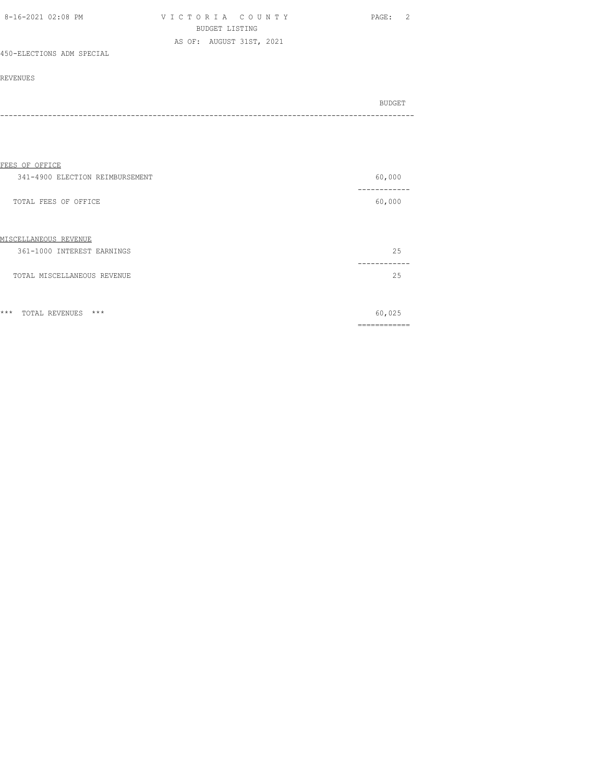| 8-16-2021 02:08 PM        | VICTORIA COUNTY          | PAGE: |
|---------------------------|--------------------------|-------|
|                           | BUDGET LISTING           |       |
|                           | AS OF: AUGUST 31ST, 2021 |       |
| 450-ELECTIONS ADM SPECIAL |                          |       |

| BUDGET |
|--------|
|        |
| - - -  |

| FEES OF OFFICE                   |                      |
|----------------------------------|----------------------|
| 341-4900 ELECTION REIMBURSEMENT  | 60,000               |
| TOTAL FEES OF OFFICE             | 60,000               |
| MISCELLANEOUS REVENUE            |                      |
| 361-1000 INTEREST EARNINGS       | 25                   |
| TOTAL MISCELLANEOUS REVENUE      | 25                   |
| $***$<br>$***$<br>TOTAL REVENUES | 60,025<br>========== |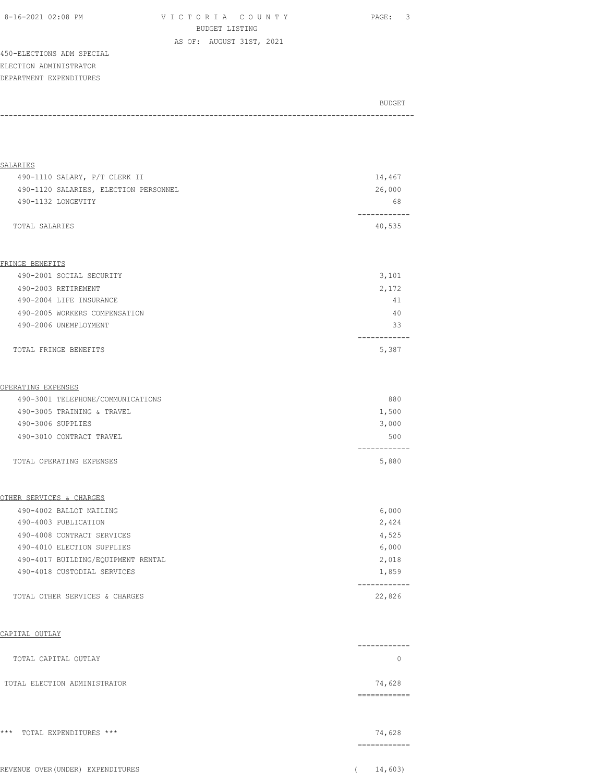|  | 8-16-2021 02:08 PM |  |
|--|--------------------|--|
|  |                    |  |

V I C T O R I A C O U N T Y PAGE: 3 BUDGET LISTING

AS OF: AUGUST 31ST, 2021

450-ELECTIONS ADM SPECIAL ELECTION ADMINISTRATOR DEPARTMENT EXPENDITURES

| <b>BUDGET</b> |
|---------------|
|               |
|               |

| SALARIES                              |                         |
|---------------------------------------|-------------------------|
| 490-1110 SALARY, P/T CLERK II         | 14,467                  |
| 490-1120 SALARIES, ELECTION PERSONNEL | 26,000                  |
| 490-1132 LONGEVITY                    | 68                      |
| TOTAL SALARIES                        | ---------<br>40,535     |
|                                       |                         |
| FRINGE BENEFITS                       |                         |
| 490-2001 SOCIAL SECURITY              | 3,101                   |
| 490-2003 RETIREMENT                   | 2,172                   |
| 490-2004 LIFE INSURANCE               | 41                      |
| 490-2005 WORKERS COMPENSATION         | 40                      |
| 490-2006 UNEMPLOYMENT                 | 33                      |
| TOTAL FRINGE BENEFITS                 | 5,387                   |
| OPERATING EXPENSES                    |                         |
| 490-3001 TELEPHONE/COMMUNICATIONS     | 880                     |
| 490-3005 TRAINING & TRAVEL            | 1,500                   |
| 490-3006 SUPPLIES                     | 3,000                   |
| 490-3010 CONTRACT TRAVEL              | 500                     |
| TOTAL OPERATING EXPENSES              | 5,880                   |
| OTHER SERVICES & CHARGES              |                         |
| 490-4002 BALLOT MAILING               | 6,000                   |
| 490-4003 PUBLICATION                  | 2,424                   |
| 490-4008 CONTRACT SERVICES            | 4,525                   |
| 490-4010 ELECTION SUPPLIES            | 6,000                   |
| 490-4017 BUILDING/EQUIPMENT RENTAL    | 2,018                   |
| 490-4018 CUSTODIAL SERVICES           | 1,859                   |
| TOTAL OTHER SERVICES & CHARGES        | ------------<br>22,826  |
| CAPITAL OUTLAY                        |                         |
| TOTAL CAPITAL OUTLAY                  | ---------<br>$\circ$    |
| TOTAL ELECTION ADMINISTRATOR          | 74,628                  |
|                                       |                         |
| *** TOTAL EXPENDITURES ***            | 74,628<br>------------- |
| REVENUE OVER (UNDER) EXPENDITURES     | 14,603)                 |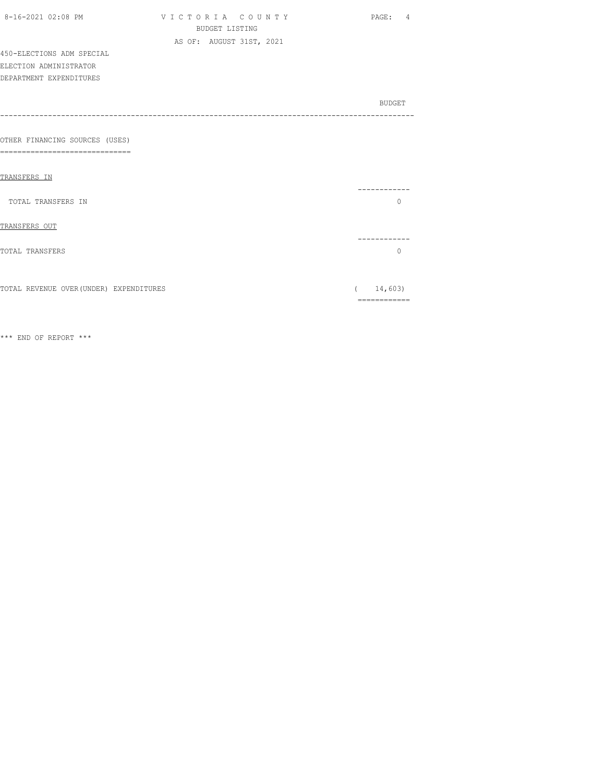| 8-16-2021 02:08 PM                      | VICTORIA COUNTY          | PAGE: 4      |
|-----------------------------------------|--------------------------|--------------|
|                                         | <b>BUDGET LISTING</b>    |              |
|                                         | AS OF: AUGUST 31ST, 2021 |              |
| 450-ELECTIONS ADM SPECIAL               |                          |              |
| ELECTION ADMINISTRATOR                  |                          |              |
| DEPARTMENT EXPENDITURES                 |                          |              |
|                                         |                          |              |
|                                         |                          | BUDGET       |
|                                         |                          |              |
|                                         |                          |              |
| OTHER FINANCING SOURCES (USES)          |                          |              |
| -----------------------<br>=====        |                          |              |
|                                         |                          |              |
| TRANSFERS IN                            |                          |              |
| TOTAL TRANSFERS IN                      |                          | $\mathbf{0}$ |
|                                         |                          |              |
| TRANSFERS OUT                           |                          |              |
|                                         |                          | ----------   |
| TOTAL TRANSFERS                         |                          | $\Omega$     |
|                                         |                          |              |
|                                         |                          |              |
| TOTAL REVENUE OVER (UNDER) EXPENDITURES |                          | 14,603)      |
|                                         |                          | ============ |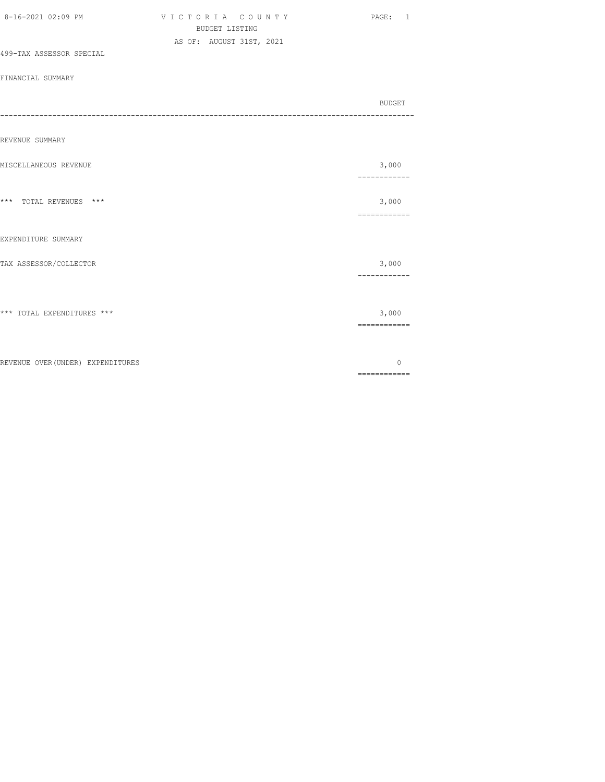|                                   | <b>BUDGET LISTING</b>    |  |                                                                                                                                                                                                                                                                                                                                                                                                                                                                                        |
|-----------------------------------|--------------------------|--|----------------------------------------------------------------------------------------------------------------------------------------------------------------------------------------------------------------------------------------------------------------------------------------------------------------------------------------------------------------------------------------------------------------------------------------------------------------------------------------|
|                                   | AS OF: AUGUST 31ST, 2021 |  |                                                                                                                                                                                                                                                                                                                                                                                                                                                                                        |
| 499-TAX ASSESSOR SPECIAL          |                          |  |                                                                                                                                                                                                                                                                                                                                                                                                                                                                                        |
| FINANCIAL SUMMARY                 |                          |  |                                                                                                                                                                                                                                                                                                                                                                                                                                                                                        |
|                                   |                          |  | BUDGET                                                                                                                                                                                                                                                                                                                                                                                                                                                                                 |
|                                   |                          |  |                                                                                                                                                                                                                                                                                                                                                                                                                                                                                        |
| REVENUE SUMMARY                   |                          |  |                                                                                                                                                                                                                                                                                                                                                                                                                                                                                        |
|                                   |                          |  |                                                                                                                                                                                                                                                                                                                                                                                                                                                                                        |
| MISCELLANEOUS REVENUE             |                          |  | 3,000                                                                                                                                                                                                                                                                                                                                                                                                                                                                                  |
|                                   |                          |  | ---------                                                                                                                                                                                                                                                                                                                                                                                                                                                                              |
| *** TOTAL REVENUES ***            |                          |  | 3,000                                                                                                                                                                                                                                                                                                                                                                                                                                                                                  |
|                                   |                          |  | $\begin{array}{cccccccccc} \multicolumn{2}{c}{} & \multicolumn{2}{c}{} & \multicolumn{2}{c}{} & \multicolumn{2}{c}{} & \multicolumn{2}{c}{} & \multicolumn{2}{c}{} & \multicolumn{2}{c}{} & \multicolumn{2}{c}{} & \multicolumn{2}{c}{} & \multicolumn{2}{c}{} & \multicolumn{2}{c}{} & \multicolumn{2}{c}{} & \multicolumn{2}{c}{} & \multicolumn{2}{c}{} & \multicolumn{2}{c}{} & \multicolumn{2}{c}{} & \multicolumn{2}{c}{} & \multicolumn{2}{c}{} & \multicolumn{2}{c}{} & \mult$ |
|                                   |                          |  |                                                                                                                                                                                                                                                                                                                                                                                                                                                                                        |
| EXPENDITURE SUMMARY               |                          |  |                                                                                                                                                                                                                                                                                                                                                                                                                                                                                        |
| TAX ASSESSOR/COLLECTOR            |                          |  | 3,000                                                                                                                                                                                                                                                                                                                                                                                                                                                                                  |
|                                   |                          |  |                                                                                                                                                                                                                                                                                                                                                                                                                                                                                        |
|                                   |                          |  |                                                                                                                                                                                                                                                                                                                                                                                                                                                                                        |
|                                   |                          |  |                                                                                                                                                                                                                                                                                                                                                                                                                                                                                        |
| *** TOTAL EXPENDITURES ***        |                          |  | 3,000                                                                                                                                                                                                                                                                                                                                                                                                                                                                                  |
|                                   |                          |  | $\begin{array}{cccccccccc} \multicolumn{2}{c}{} & \multicolumn{2}{c}{} & \multicolumn{2}{c}{} & \multicolumn{2}{c}{} & \multicolumn{2}{c}{} & \multicolumn{2}{c}{} & \multicolumn{2}{c}{} & \multicolumn{2}{c}{} & \multicolumn{2}{c}{} & \multicolumn{2}{c}{} & \multicolumn{2}{c}{} & \multicolumn{2}{c}{} & \multicolumn{2}{c}{} & \multicolumn{2}{c}{} & \multicolumn{2}{c}{} & \multicolumn{2}{c}{} & \multicolumn{2}{c}{} & \multicolumn{2}{c}{} & \multicolumn{2}{c}{} & \mult$ |
|                                   |                          |  |                                                                                                                                                                                                                                                                                                                                                                                                                                                                                        |
| REVENUE OVER (UNDER) EXPENDITURES |                          |  | $\Omega$                                                                                                                                                                                                                                                                                                                                                                                                                                                                               |
|                                   |                          |  | $\begin{array}{cccccccccc} \multicolumn{2}{c}{} & \multicolumn{2}{c}{} & \multicolumn{2}{c}{} & \multicolumn{2}{c}{} & \multicolumn{2}{c}{} & \multicolumn{2}{c}{} & \multicolumn{2}{c}{} & \multicolumn{2}{c}{} & \multicolumn{2}{c}{} & \multicolumn{2}{c}{} & \multicolumn{2}{c}{} & \multicolumn{2}{c}{} & \multicolumn{2}{c}{} & \multicolumn{2}{c}{} & \multicolumn{2}{c}{} & \multicolumn{2}{c}{} & \multicolumn{2}{c}{} & \multicolumn{2}{c}{} & \multicolumn{2}{c}{} & \mult$ |

8-16-2021 02:09 PM V I C T O R I A C O U N T Y PAGE: 1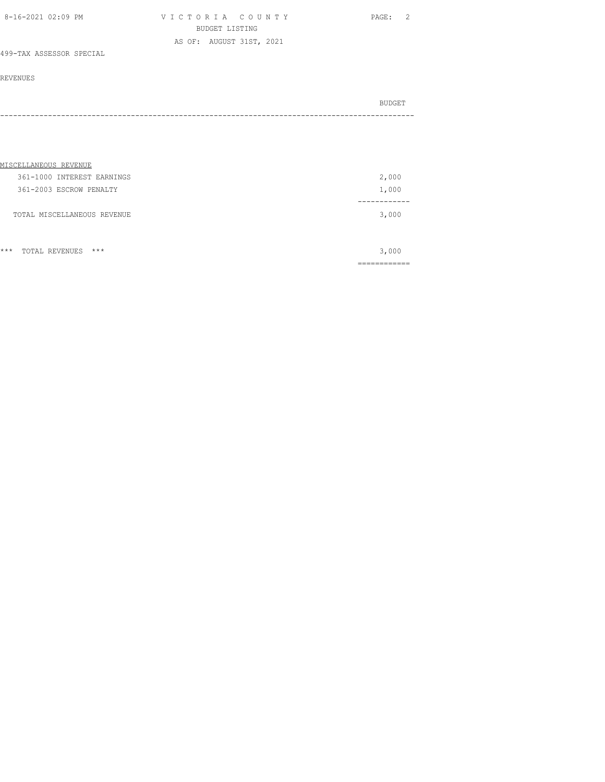| 8-16-2021 02:09 PM | VICTORIA COUNTY          | 2<br>PAGE: |
|--------------------|--------------------------|------------|
|                    | BUDGET LISTING           |            |
|                    | AS OF: AUGUST 31ST, 2021 |            |

## 499-TAX ASSESSOR SPECIAL

### REVENUES

|  | BUDGET |
|--|--------|
|  |        |

| MISCELLANEOUS REVENUE       |       |
|-----------------------------|-------|
| 361-1000 INTEREST EARNINGS  | 2,000 |
| 361-2003 ESCROW PENALTY     | 1,000 |
|                             |       |
| TOTAL MISCELLANEOUS REVENUE | 3,000 |
|                             |       |
|                             |       |

\*\*\* TOTAL REVENUES \*\*\* 3,000 ============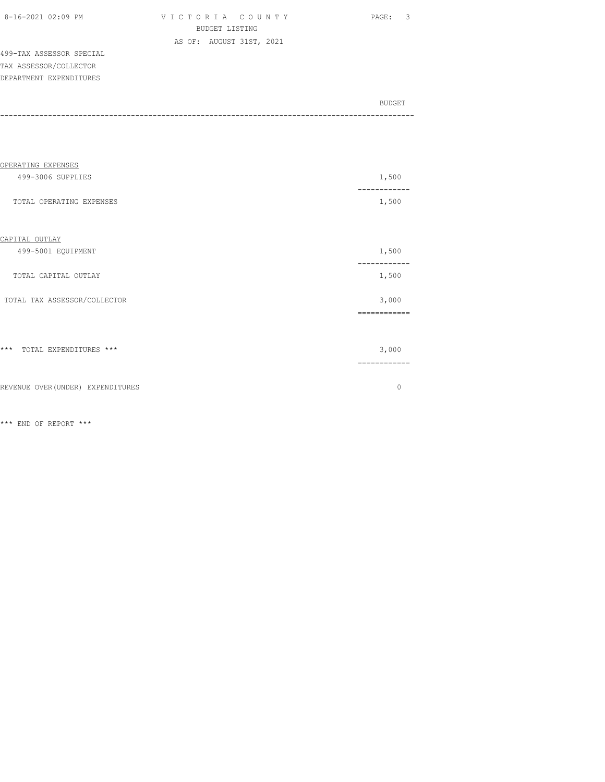| 8-16-2021 02:09 PM |  |
|--------------------|--|

V I C T O R I A C O U N T Y PAGE: 3 BUDGET LISTING AS OF: AUGUST 31ST, 2021

499-TAX ASSESSOR SPECIAL TAX ASSESSOR/COLLECTOR DEPARTMENT EXPENDITURES

| BUDGET |
|--------|
|        |
|        |

| OPERATING EXPENSES                |              |
|-----------------------------------|--------------|
| 499-3006 SUPPLIES                 | 1,500        |
| TOTAL OPERATING EXPENSES          | 1,500        |
| CAPITAL OUTLAY                    |              |
| 499-5001 EQUIPMENT                | 1,500        |
| TOTAL CAPITAL OUTLAY              | 1,500        |
| TOTAL TAX ASSESSOR/COLLECTOR      | 3,000        |
|                                   | ------------ |
| *** TOTAL EXPENDITURES ***        | 3,000        |
|                                   | ============ |
| REVENUE OVER (UNDER) EXPENDITURES | $\Omega$     |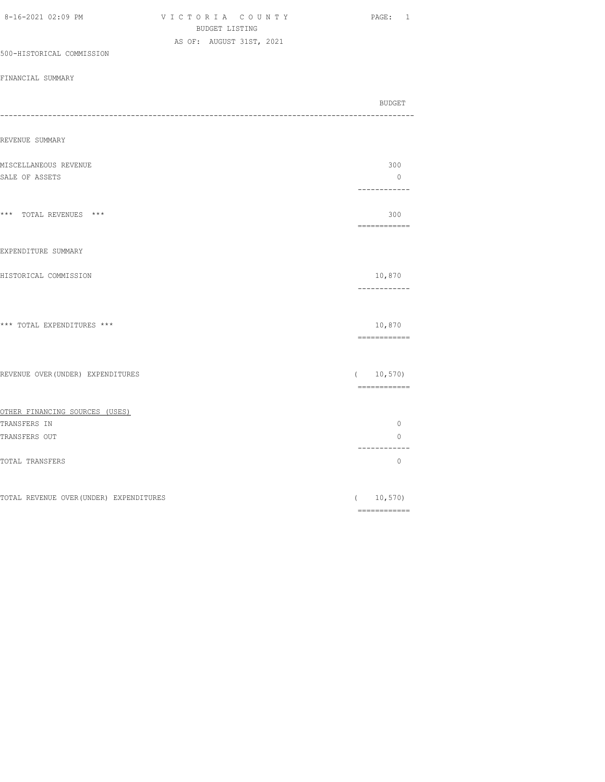| BUDGET LISTING                                        |                         |
|-------------------------------------------------------|-------------------------|
| AS OF: AUGUST 31ST, 2021<br>500-HISTORICAL COMMISSION |                         |
|                                                       |                         |
| FINANCIAL SUMMARY                                     |                         |
|                                                       | BUDGET                  |
| REVENUE SUMMARY                                       |                         |
|                                                       |                         |
| MISCELLANEOUS REVENUE                                 | 300<br>$\circ$          |
| SALE OF ASSETS                                        | ------------            |
| *** TOTAL REVENUES ***                                | 300<br>============     |
| EXPENDITURE SUMMARY                                   |                         |
| HISTORICAL COMMISSION                                 | 10,870<br>------------  |
| *** TOTAL EXPENDITURES ***                            | 10,870<br>============  |
| REVENUE OVER (UNDER) EXPENDITURES                     | (10, 570)               |
| OTHER FINANCING SOURCES (USES)                        |                         |
| TRANSFERS IN                                          | $\circ$                 |
| TRANSFERS OUT                                         | $\circ$<br>------------ |
| TOTAL TRANSFERS                                       | $\circ$                 |
| TOTAL REVENUE OVER (UNDER) EXPENDITURES               | 10,570)<br>$\left($     |
|                                                       |                         |

8-16-2021 02:09 PM V I C T O R I A C O U N T Y PAGE: 1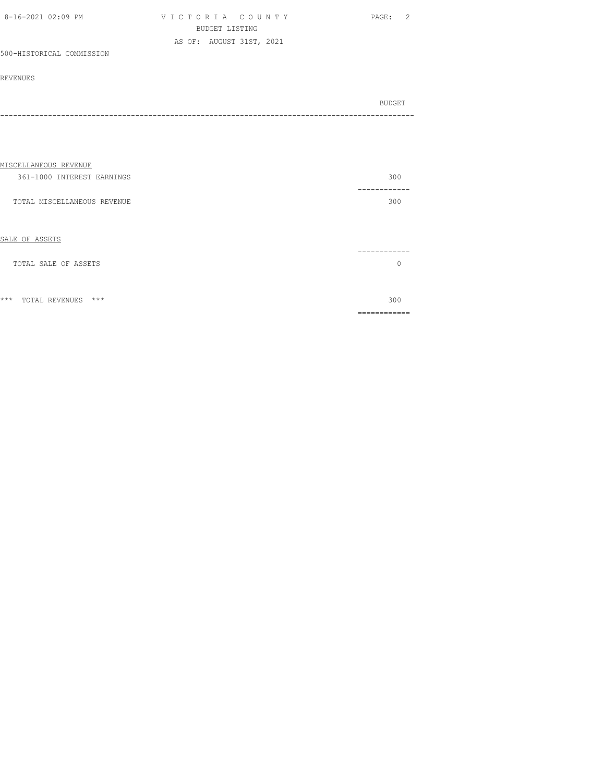| 8-16-2021 02:09 PM        | VICTORIA COUNTY          | PAGE: 2 |
|---------------------------|--------------------------|---------|
|                           | BUDGET LISTING           |         |
|                           | AS OF: AUGUST 31ST, 2021 |         |
| 500-HISTORICAL COMMISSION |                          |         |

| BUDGET |
|--------|
|        |
|        |

| MISCELLANEOUS REVENUE            |                 |
|----------------------------------|-----------------|
| 361-1000 INTEREST EARNINGS       | 300             |
| TOTAL MISCELLANEOUS REVENUE      | 300             |
| SALE OF ASSETS                   | -------         |
| TOTAL SALE OF ASSETS             | $\Omega$        |
| $***$<br>$***$<br>TOTAL REVENUES | 300<br>-------- |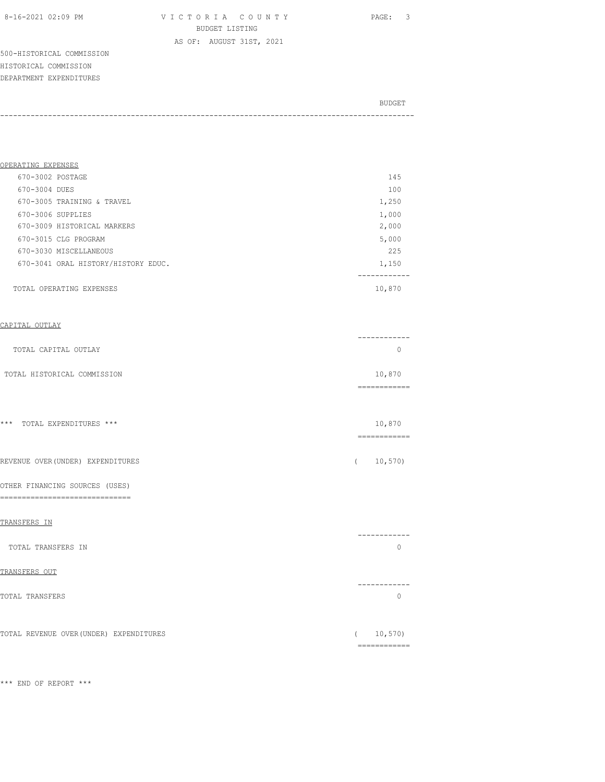8-16-2021 02:09 PM V I C T O R I A C O U N T Y PAGE: 3 BUDGET LISTING AS OF: AUGUST 31ST, 2021

500-HISTORICAL COMMISSION HISTORICAL COMMISSION DEPARTMENT EXPENDITURES

BUDGET AND RESERVE AND RESERVE AND RESERVE AND RESERVE AND RESERVE AND RESERVE AND RESERVE AND RESERVE AND RESERVE AND RESERVE AND RESERVE AND RESERVE AND RESERVE AND RESERVE AND RESPONDING A REPORT OF A REPORT OF A REPORT -----------------------------------------------------------------------------------------------

| OPERATING EXPENSES                  |        |
|-------------------------------------|--------|
| 670-3002 POSTAGE                    | 145    |
| 670-3004 DUES                       | 100    |
| 670-3005 TRAINING & TRAVEL          | 1,250  |
| 670-3006 SUPPLIES                   | 1,000  |
| 670-3009 HISTORICAL MARKERS         | 2,000  |
| 670-3015 CLG PROGRAM                | 5,000  |
| 670-3030 MISCELLANEOUS              | 225    |
| 670-3041 ORAL HISTORY/HISTORY EDUC. | 1,150  |
|                                     |        |
| TOTAL OPERATING EXPENSES            | 10,870 |
|                                     |        |

### CAPITAL OUTLAY

| TOTAL CAPITAL OUTLAY        |        |
|-----------------------------|--------|
| TOTAL HISTORICAL COMMISSION | 10,870 |
|                             |        |

| *** TOTAL EXPENDITURES *** | 10,870 |
|----------------------------|--------|

REVENUE OVER(UNDER) EXPENDITURES ( 10,570)

#### OTHER FINANCING SOURCES (USES)

==============================

| TRANSFERS IN                            |          |
|-----------------------------------------|----------|
| TOTAL TRANSFERS IN                      | ------   |
| TRANSFERS OUT                           |          |
| TOTAL TRANSFERS                         |          |
| TOTAL REVENUE OVER (UNDER) EXPENDITURES | 10, 570) |

============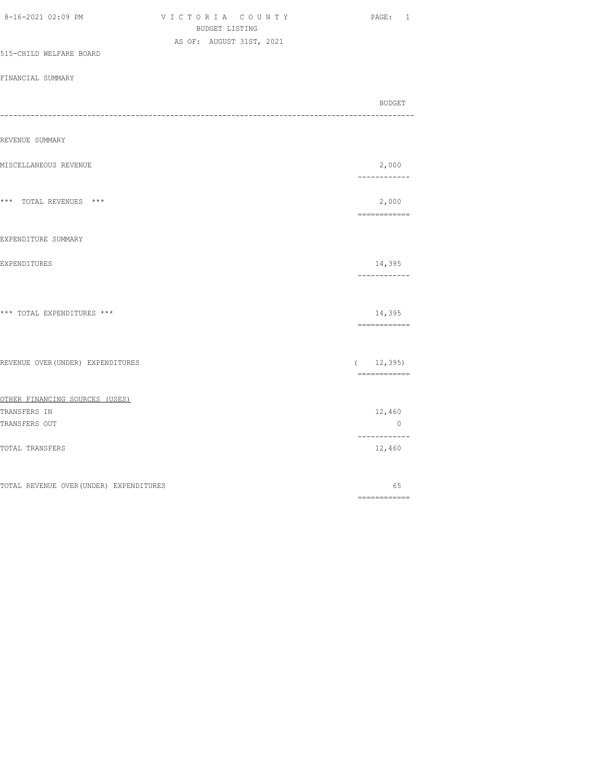| 8-16-2021 02:09 PM                      | VICTORIA COUNTY<br>BUDGET LISTING | PAGE: 1                                                                                                                                                                                                                                                                                                                                                                                                                                                                                             |
|-----------------------------------------|-----------------------------------|-----------------------------------------------------------------------------------------------------------------------------------------------------------------------------------------------------------------------------------------------------------------------------------------------------------------------------------------------------------------------------------------------------------------------------------------------------------------------------------------------------|
|                                         | AS OF: AUGUST 31ST, 2021          |                                                                                                                                                                                                                                                                                                                                                                                                                                                                                                     |
| 515-CHILD WELFARE BOARD                 |                                   |                                                                                                                                                                                                                                                                                                                                                                                                                                                                                                     |
| FINANCIAL SUMMARY                       |                                   |                                                                                                                                                                                                                                                                                                                                                                                                                                                                                                     |
|                                         |                                   | BUDGET                                                                                                                                                                                                                                                                                                                                                                                                                                                                                              |
| REVENUE SUMMARY                         |                                   |                                                                                                                                                                                                                                                                                                                                                                                                                                                                                                     |
| MISCELLANEOUS REVENUE                   |                                   | 2,000<br>------------                                                                                                                                                                                                                                                                                                                                                                                                                                                                               |
| *** TOTAL REVENUES ***                  |                                   | 2,000<br>$\begin{array}{cccccccccc} \multicolumn{2}{c}{} & \multicolumn{2}{c}{} & \multicolumn{2}{c}{} & \multicolumn{2}{c}{} & \multicolumn{2}{c}{} & \multicolumn{2}{c}{} & \multicolumn{2}{c}{} & \multicolumn{2}{c}{} & \multicolumn{2}{c}{} & \multicolumn{2}{c}{} & \multicolumn{2}{c}{} & \multicolumn{2}{c}{} & \multicolumn{2}{c}{} & \multicolumn{2}{c}{} & \multicolumn{2}{c}{} & \multicolumn{2}{c}{} & \multicolumn{2}{c}{} & \multicolumn{2}{c}{} & \multicolumn{2}{c}{} & \mult$     |
| EXPENDITURE SUMMARY                     |                                   |                                                                                                                                                                                                                                                                                                                                                                                                                                                                                                     |
| EXPENDITURES                            |                                   | 14,395<br>------------                                                                                                                                                                                                                                                                                                                                                                                                                                                                              |
| *** TOTAL EXPENDITURES ***              |                                   | 14,395<br>============                                                                                                                                                                                                                                                                                                                                                                                                                                                                              |
| REVENUE OVER (UNDER) EXPENDITURES       |                                   | (12, 395)<br>$\begin{array}{cccccccccc} \multicolumn{2}{c}{} & \multicolumn{2}{c}{} & \multicolumn{2}{c}{} & \multicolumn{2}{c}{} & \multicolumn{2}{c}{} & \multicolumn{2}{c}{} & \multicolumn{2}{c}{} & \multicolumn{2}{c}{} & \multicolumn{2}{c}{} & \multicolumn{2}{c}{} & \multicolumn{2}{c}{} & \multicolumn{2}{c}{} & \multicolumn{2}{c}{} & \multicolumn{2}{c}{} & \multicolumn{2}{c}{} & \multicolumn{2}{c}{} & \multicolumn{2}{c}{} & \multicolumn{2}{c}{} & \multicolumn{2}{c}{} & \mult$ |
| OTHER FINANCING SOURCES (USES)          |                                   |                                                                                                                                                                                                                                                                                                                                                                                                                                                                                                     |
| TRANSFERS IN<br>TRANSFERS OUT           |                                   | 12,460<br>$\overline{0}$                                                                                                                                                                                                                                                                                                                                                                                                                                                                            |
| <b>TOTAL TRANSFERS</b>                  |                                   | ------------<br>12,460                                                                                                                                                                                                                                                                                                                                                                                                                                                                              |
| TOTAL REVENUE OVER (UNDER) EXPENDITURES |                                   | 65                                                                                                                                                                                                                                                                                                                                                                                                                                                                                                  |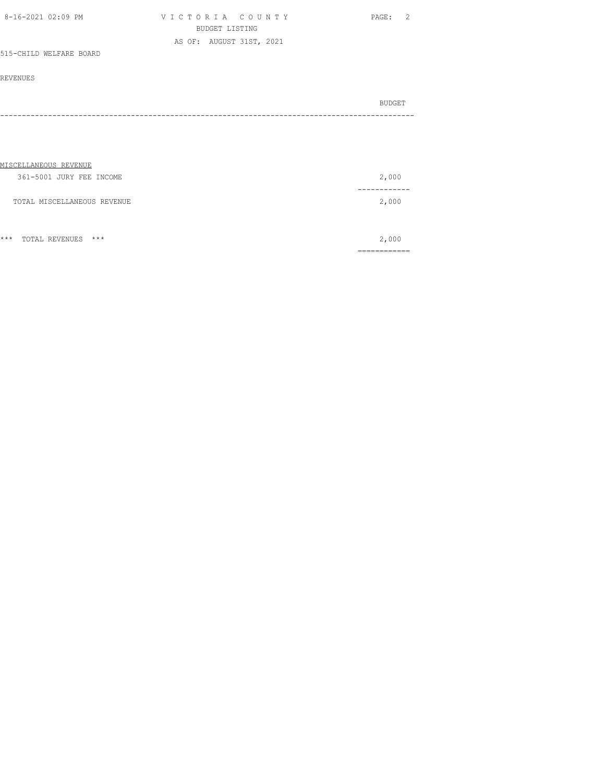| 8-16-2021 02:09 PM      | VICTORIA COUNTY          | PAGE: 2 |  |
|-------------------------|--------------------------|---------|--|
|                         | BUDGET LISTING           |         |  |
|                         | AS OF: AUGUST 31ST, 2021 |         |  |
| 515-CHILD WELFARE BOARD |                          |         |  |

| BUDGET |
|--------|
|        |
|        |

| MISCELLANEOUS REVENUE       |       |
|-----------------------------|-------|
| 361-5001 JURY FEE INCOME    | 2,000 |
|                             |       |
| TOTAL MISCELLANEOUS REVENUE | 2,000 |
|                             |       |
|                             |       |
|                             |       |

|       |                                        |     | ____________<br>_____________ |
|-------|----------------------------------------|-----|-------------------------------|
| $***$ | TOTAL<br>REVENUE.<br>ب ⊔ت⊔ ∨ ⊔ت سد ۲۰۰ | *** |                               |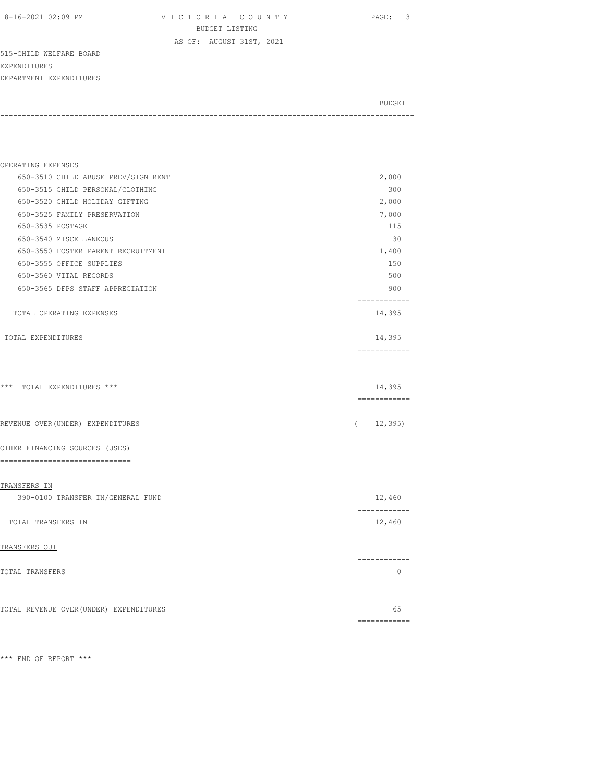8-16-2021 02:09 PM V I C T O R I A C O U N T Y PAGE: 3 BUDGET LISTING

DEPARTMENT EXPENDITURES BUDGET AND RESERVE AND RESERVE AND RESERVE AND RESERVE AND RESERVE AND RESERVE AND RESERVE AND RESERVE AND RESERVE AND RESERVE AND RESERVE AND RESERVE AND RESERVE AND RESERVE AND RESPONDING A REPORT OF A REPORT OF A REPORT -----------------------------------------------------------------------------------------------

AS OF: AUGUST 31ST, 2021

| OPERATING EXPENSES                      |                                |
|-----------------------------------------|--------------------------------|
| 650-3510 CHILD ABUSE PREV/SIGN RENT     | 2,000                          |
| 650-3515 CHILD PERSONAL/CLOTHING        | 300                            |
| 650-3520 CHILD HOLIDAY GIFTING          | 2,000                          |
| 650-3525 FAMILY PRESERVATION            | 7,000                          |
| 650-3535 POSTAGE                        | 115                            |
| 650-3540 MISCELLANEOUS                  | 30                             |
| 650-3550 FOSTER PARENT RECRUITMENT      | 1,400                          |
| 650-3555 OFFICE SUPPLIES                | 150                            |
| 650-3560 VITAL RECORDS                  | 500                            |
| 650-3565 DFPS STAFF APPRECIATION        | 900<br>. _ _ _ _ _ _ _ _ _ _ _ |
| TOTAL OPERATING EXPENSES                | 14,395                         |
| TOTAL EXPENDITURES                      | 14,395<br>-------------        |
| *** TOTAL EXPENDITURES ***              | 14,395                         |
| REVENUE OVER (UNDER) EXPENDITURES       | 12,395)<br>$\left($            |
| OTHER FINANCING SOURCES (USES)          |                                |
| ----------------------------<br>$=$ $=$ |                                |
| TRANSFERS IN                            |                                |
| 390-0100 TRANSFER IN/GENERAL FUND       | 12,460<br>------------         |
| TOTAL TRANSFERS IN                      | 12,460                         |
| TRANSFERS OUT                           |                                |
| TOTAL TRANSFERS                         | ------------<br>$\Omega$       |
| TOTAL REVENUE OVER (UNDER) EXPENDITURES | 65                             |
|                                         | -------------                  |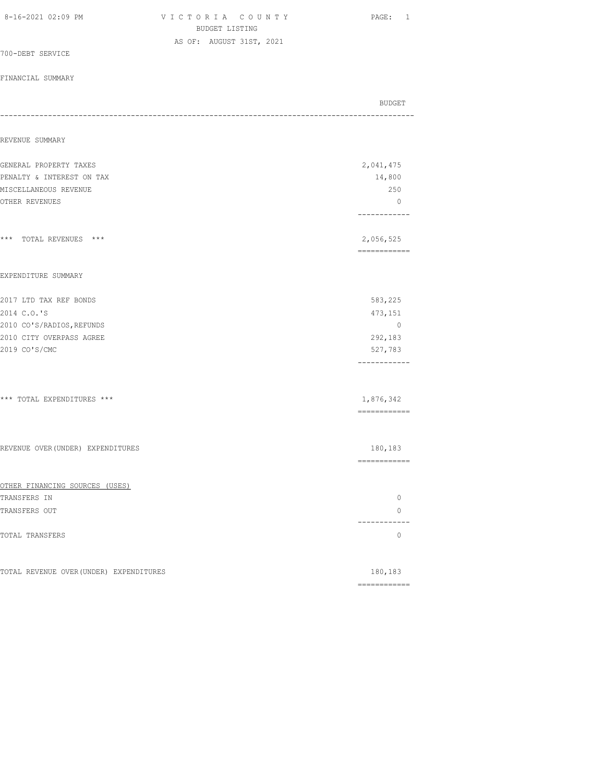| 8-16-2021 02:09 PM                      | VICTORIA COUNTY<br>BUDGET LISTING | PAGE: 1                                                                                                                                                                                                                                                                                                                                                                                                                                                                                |
|-----------------------------------------|-----------------------------------|----------------------------------------------------------------------------------------------------------------------------------------------------------------------------------------------------------------------------------------------------------------------------------------------------------------------------------------------------------------------------------------------------------------------------------------------------------------------------------------|
|                                         | AS OF: AUGUST 31ST, 2021          |                                                                                                                                                                                                                                                                                                                                                                                                                                                                                        |
| 700-DEBT SERVICE                        |                                   |                                                                                                                                                                                                                                                                                                                                                                                                                                                                                        |
| FINANCIAL SUMMARY                       |                                   |                                                                                                                                                                                                                                                                                                                                                                                                                                                                                        |
|                                         |                                   | BUDGET                                                                                                                                                                                                                                                                                                                                                                                                                                                                                 |
| REVENUE SUMMARY                         |                                   |                                                                                                                                                                                                                                                                                                                                                                                                                                                                                        |
| GENERAL PROPERTY TAXES                  |                                   | 2,041,475                                                                                                                                                                                                                                                                                                                                                                                                                                                                              |
| PENALTY & INTEREST ON TAX               |                                   | 14,800                                                                                                                                                                                                                                                                                                                                                                                                                                                                                 |
| MISCELLANEOUS REVENUE                   |                                   | 250                                                                                                                                                                                                                                                                                                                                                                                                                                                                                    |
| OTHER REVENUES                          |                                   | $\circ$<br>------------                                                                                                                                                                                                                                                                                                                                                                                                                                                                |
| *** TOTAL REVENUES ***                  |                                   | 2,056,525<br>------------                                                                                                                                                                                                                                                                                                                                                                                                                                                              |
| EXPENDITURE SUMMARY                     |                                   |                                                                                                                                                                                                                                                                                                                                                                                                                                                                                        |
| 2017 LTD TAX REF BONDS                  |                                   | 583,225                                                                                                                                                                                                                                                                                                                                                                                                                                                                                |
| 2014 C.O.'S                             |                                   | 473,151                                                                                                                                                                                                                                                                                                                                                                                                                                                                                |
| 2010 CO'S/RADIOS, REFUNDS               |                                   | $\mathbf{0}$                                                                                                                                                                                                                                                                                                                                                                                                                                                                           |
| 2010 CITY OVERPASS AGREE                |                                   | 292,183                                                                                                                                                                                                                                                                                                                                                                                                                                                                                |
| 2019 CO'S/CMC                           |                                   | 527,783<br>------------                                                                                                                                                                                                                                                                                                                                                                                                                                                                |
| *** TOTAL EXPENDITURES ***              |                                   | 1,876,342                                                                                                                                                                                                                                                                                                                                                                                                                                                                              |
|                                         |                                   | $\begin{array}{cccccccccc} \multicolumn{2}{c}{} & \multicolumn{2}{c}{} & \multicolumn{2}{c}{} & \multicolumn{2}{c}{} & \multicolumn{2}{c}{} & \multicolumn{2}{c}{} & \multicolumn{2}{c}{} & \multicolumn{2}{c}{} & \multicolumn{2}{c}{} & \multicolumn{2}{c}{} & \multicolumn{2}{c}{} & \multicolumn{2}{c}{} & \multicolumn{2}{c}{} & \multicolumn{2}{c}{} & \multicolumn{2}{c}{} & \multicolumn{2}{c}{} & \multicolumn{2}{c}{} & \multicolumn{2}{c}{} & \multicolumn{2}{c}{} & \mult$ |
| REVENUE OVER (UNDER) EXPENDITURES       |                                   | 180,183<br>============                                                                                                                                                                                                                                                                                                                                                                                                                                                                |
| OTHER FINANCING SOURCES (USES)          |                                   |                                                                                                                                                                                                                                                                                                                                                                                                                                                                                        |
| TRANSFERS IN                            |                                   | $\circ$                                                                                                                                                                                                                                                                                                                                                                                                                                                                                |
| TRANSFERS OUT                           |                                   | $\circ$<br>------------                                                                                                                                                                                                                                                                                                                                                                                                                                                                |
| TOTAL TRANSFERS                         |                                   | $\circ$                                                                                                                                                                                                                                                                                                                                                                                                                                                                                |
| TOTAL REVENUE OVER (UNDER) EXPENDITURES |                                   | 180,183                                                                                                                                                                                                                                                                                                                                                                                                                                                                                |
|                                         |                                   | ============                                                                                                                                                                                                                                                                                                                                                                                                                                                                           |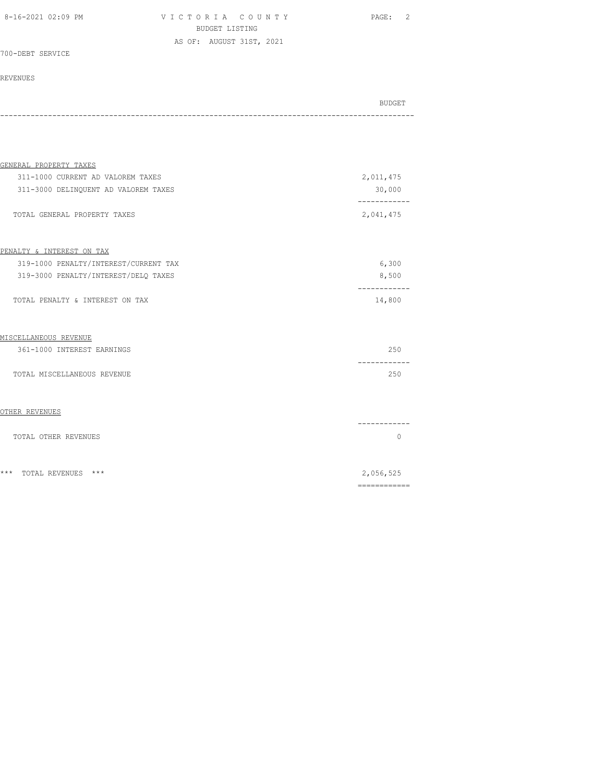VICTORIA COUNTY PAGE: 2 BUDGET LISTING AS OF: AUGUST 31ST, 2021

700-DEBT SERVICE

### REVENUES

| GENERAL PROPERTY TAXES                |                          |
|---------------------------------------|--------------------------|
| 311-1000 CURRENT AD VALOREM TAXES     | 2,011,475                |
| 311-3000 DELINQUENT AD VALOREM TAXES  | 30,000                   |
| TOTAL GENERAL PROPERTY TAXES          | -----------<br>2,041,475 |
| PENALTY & INTEREST ON TAX             |                          |
| 319-1000 PENALTY/INTEREST/CURRENT TAX | 6,300                    |
| 319-3000 PENALTY/INTEREST/DELO TAXES  | 8,500                    |
| TOTAL PENALTY & INTEREST ON TAX       | -----------<br>14,800    |
| MISCELLANEOUS REVENUE                 |                          |
| 361-1000 INTEREST EARNINGS            | 250<br>--------          |
| TOTAL MISCELLANEOUS REVENUE           | 250                      |
| OTHER REVENUES                        |                          |
| TOTAL OTHER REVENUES                  | -------<br>$\bigcap$     |
| $***$<br>TOTAL REVENUES<br>***        | 2,056,525                |
|                                       |                          |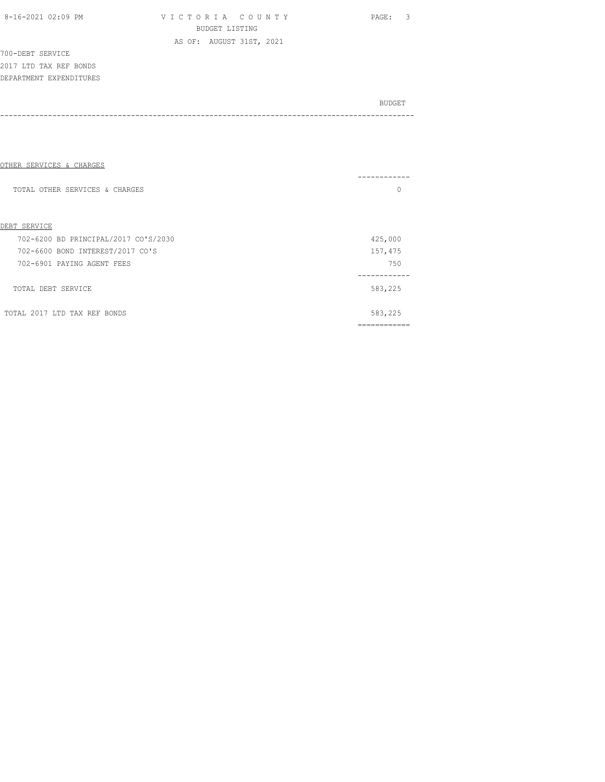| 8-16-2021 02:09 PM |  |  |
|--------------------|--|--|
|--------------------|--|--|

VICTORIA COUNTY PAGE: 3 BUDGET LISTING AS OF: AUGUST 31ST, 2021

700-DEBT SERVICE 2017 LTD TAX REF BONDS DEPARTMENT EXPENDITURES

| OTHER SERVICES & CHARGES             |         |
|--------------------------------------|---------|
|                                      |         |
| TOTAL OTHER SERVICES & CHARGES       | 0       |
|                                      |         |
|                                      |         |
| DEBT SERVICE                         |         |
| 702-6200 BD PRINCIPAL/2017 CO'S/2030 | 425,000 |
| 702-6600 BOND INTEREST/2017 CO'S     | 157,475 |
| 702-6901 PAYING AGENT FEES           | 750     |
|                                      |         |
| TOTAL DEBT SERVICE                   | 583,225 |
|                                      |         |
| TOTAL 2017 LTD TAX REF BONDS         | 583,225 |
|                                      |         |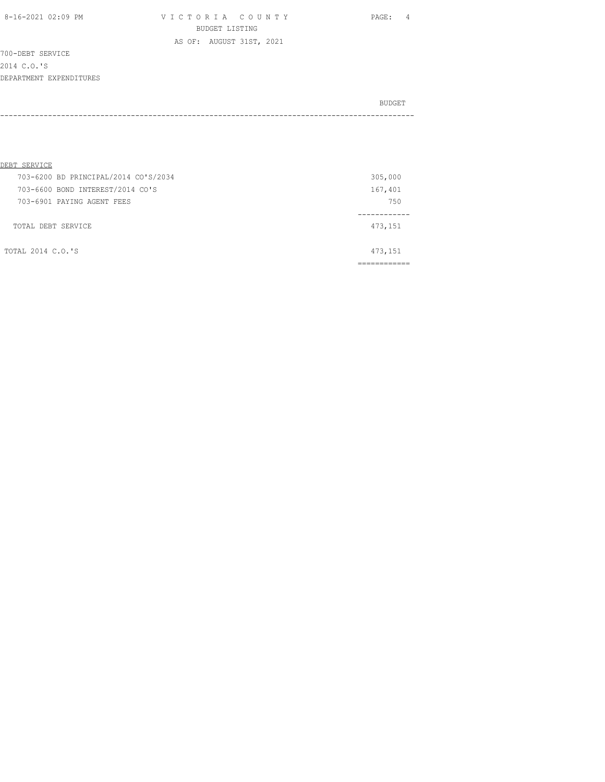8-16-2021 02:09 PM V I C T O R I A C O U N T Y PAGE: 4 BUDGET LISTING AS OF: AUGUST 31ST, 2021

700-DEBT SERVICE 2014 C.O.'S DEPARTMENT EXPENDITURES

| DEBT SERVICE       |                                      |         |         |
|--------------------|--------------------------------------|---------|---------|
|                    | 703-6200 BD PRINCIPAL/2014 CO'S/2034 |         | 305,000 |
|                    | 703-6600 BOND INTEREST/2014 CO'S     | 167,401 |         |
|                    | 703-6901 PAYING AGENT FEES           |         | 750     |
|                    |                                      |         |         |
| TOTAL DEBT SERVICE |                                      | 473,151 |         |
|                    |                                      |         |         |
| TOTAL 2014 C.O.'S  |                                      | 473,151 |         |
|                    |                                      |         |         |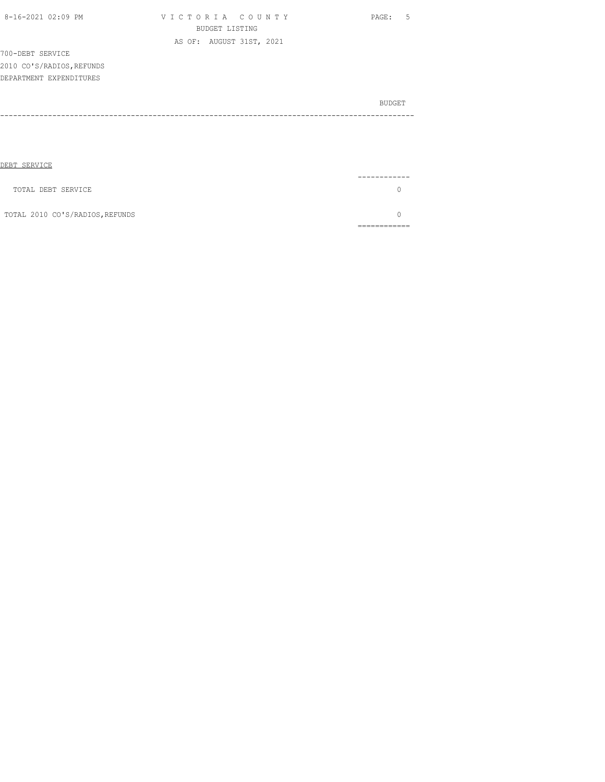| 8-16-2021 02:09 PM        | VICTORIA COUNTY          | PAGE: 5 |
|---------------------------|--------------------------|---------|
|                           | BUDGET LISTING           |         |
|                           | AS OF: AUGUST 31ST, 2021 |         |
| 700-DEBT SERVICE          |                          |         |
| 2010 CO'S/RADIOS, REFUNDS |                          |         |
| DEPARTMENT EXPENDITURES   |                          |         |
|                           |                          | BUDGET  |
|                           |                          |         |
|                           |                          |         |
|                           |                          |         |

| DEBT SERVICE                    |          |
|---------------------------------|----------|
|                                 | -------- |
| TOTAL DEBT SERVICE              |          |
| TOTAL 2010 CO'S/RADIOS, REFUNDS |          |
|                                 |          |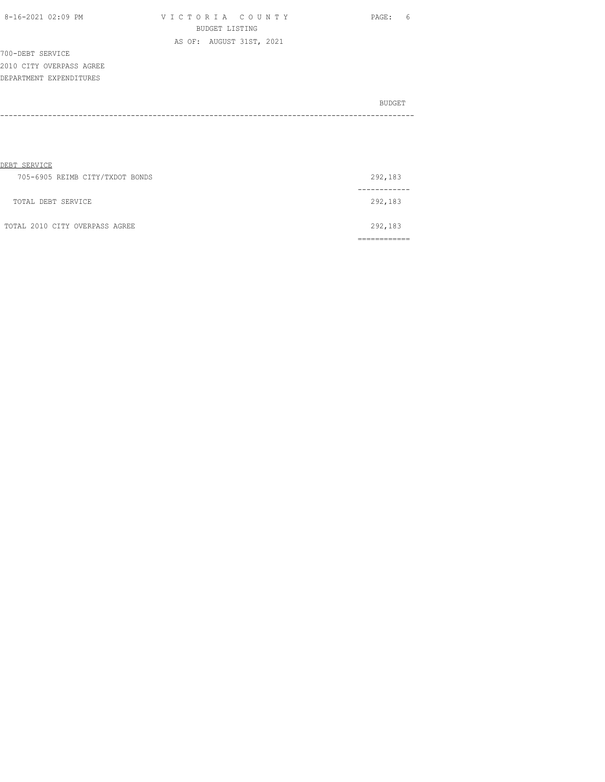| 8-16-2021 02:09 PM |  |
|--------------------|--|

| 8-16-2021 02:09 PM |                |  |  |  |  | VICTORIA COUNTY          |  |  |  |
|--------------------|----------------|--|--|--|--|--------------------------|--|--|--|
|                    | BUDGET LISTING |  |  |  |  |                          |  |  |  |
|                    |                |  |  |  |  | AS OF: AUGUST 31ST, 2021 |  |  |  |

PAGE: 6

700-DEBT SERVICE 2010 CITY OVERPASS AGREE DEPARTMENT EXPENDITURES

| BUDGET |
|--------|
|        |
|        |

| DEBT SERVICE                    |         |
|---------------------------------|---------|
| 705-6905 REIMB CITY/TXDOT BONDS | 292,183 |
|                                 |         |
| TOTAL DEBT SERVICE              | 292,183 |
|                                 |         |
| TOTAL 2010 CITY OVERPASS AGREE  | 292,183 |
|                                 |         |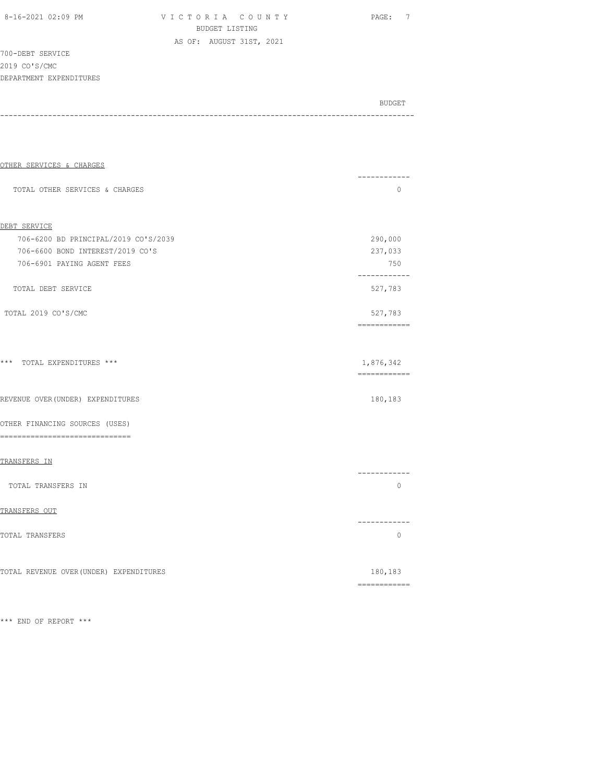V I C T O R I A C O U N T Y Y PAGE: 7 BUDGET LISTING AS OF: AUGUST 31ST, 2021

700-DEBT SERVICE 2019 CO'S/CMC

DEPARTMENT EXPENDITURES BUDGET AND RESERVE AND RESERVE AND RESERVE AND RESERVE AND RESERVE AND RESERVE AND RESERVE AND RESERVE AND RESERVE AND RESERVE AND RESERVE AND RESERVE AND RESERVE AND RESERVE AND RESPONDING A REPORT OF A REPORT OF A REPORT -----------------------------------------------------------------------------------------------

| OTHER SERVICES & CHARGES                | . _ _ _ _ _ _ _ _ _ _ _            |
|-----------------------------------------|------------------------------------|
| TOTAL OTHER SERVICES & CHARGES          | $\Omega$                           |
|                                         |                                    |
| DEBT SERVICE                            |                                    |
| 706-6200 BD PRINCIPAL/2019 CO'S/2039    | 290,000                            |
| 706-6600 BOND INTEREST/2019 CO'S        | 237,033                            |
| 706-6901 PAYING AGENT FEES              | 750<br>------------                |
| TOTAL DEBT SERVICE                      | 527,783                            |
| TOTAL 2019 CO'S/CMC                     | 527,783                            |
|                                         | ------------                       |
| *** TOTAL EXPENDITURES ***              | 1,876,342<br>============          |
| REVENUE OVER (UNDER) EXPENDITURES       | 180,183                            |
| OTHER FINANCING SOURCES (USES)          |                                    |
| ---------------------------------       |                                    |
| TRANSFERS IN                            |                                    |
| TOTAL TRANSFERS IN                      | . _ _ _ _ _ _ _ _ _ _ _<br>$\circ$ |
|                                         |                                    |
| TRANSFERS OUT                           | ------------                       |
| TOTAL TRANSFERS                         | $\Omega$                           |
|                                         |                                    |
| TOTAL REVENUE OVER (UNDER) EXPENDITURES | 180,183                            |
|                                         | ============                       |

\*\*\* END OF REPORT \*\*\*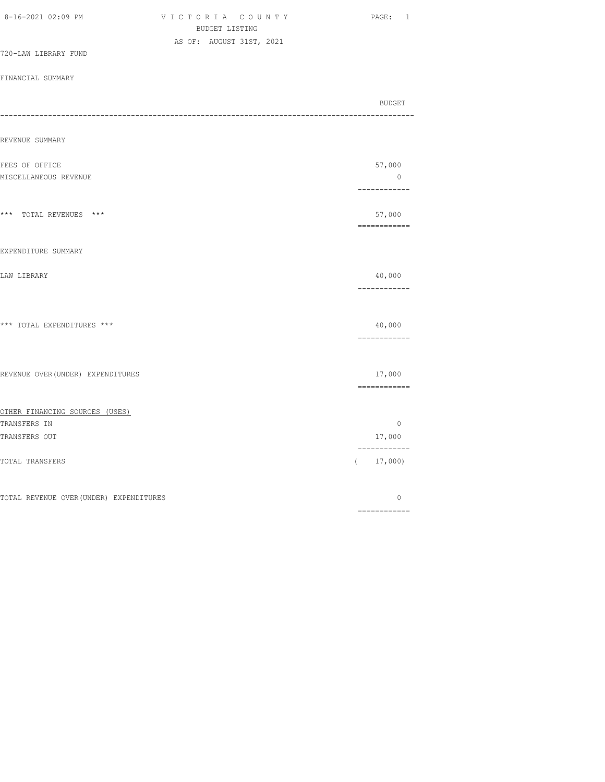| 8-16-2021 02:09 PM                      | VICTORIA COUNTY<br>BUDGET LISTING | PAGE: 1                  |
|-----------------------------------------|-----------------------------------|--------------------------|
|                                         | AS OF: AUGUST 31ST, 2021          |                          |
| 720-LAW LIBRARY FUND                    |                                   |                          |
| FINANCIAL SUMMARY                       |                                   |                          |
| ---------------------------             |                                   | BUDGET                   |
| REVENUE SUMMARY                         |                                   |                          |
| FEES OF OFFICE                          |                                   | 57,000                   |
| MISCELLANEOUS REVENUE                   |                                   | $\circ$<br>------------  |
| *** TOTAL REVENUES ***                  |                                   | 57,000<br>============   |
| EXPENDITURE SUMMARY                     |                                   |                          |
| LAW LIBRARY                             |                                   | 40,000<br>------------   |
| *** TOTAL EXPENDITURES ***              |                                   | 40,000<br>============   |
| REVENUE OVER (UNDER) EXPENDITURES       |                                   | 17,000<br>============   |
| OTHER FINANCING SOURCES (USES)          |                                   |                          |
| TRANSFERS IN<br>TRANSFERS OUT           |                                   | $\circ$<br>17,000        |
| TOTAL TRANSFERS                         |                                   | ------------<br>(17,000) |
| TOTAL REVENUE OVER (UNDER) EXPENDITURES |                                   | 0                        |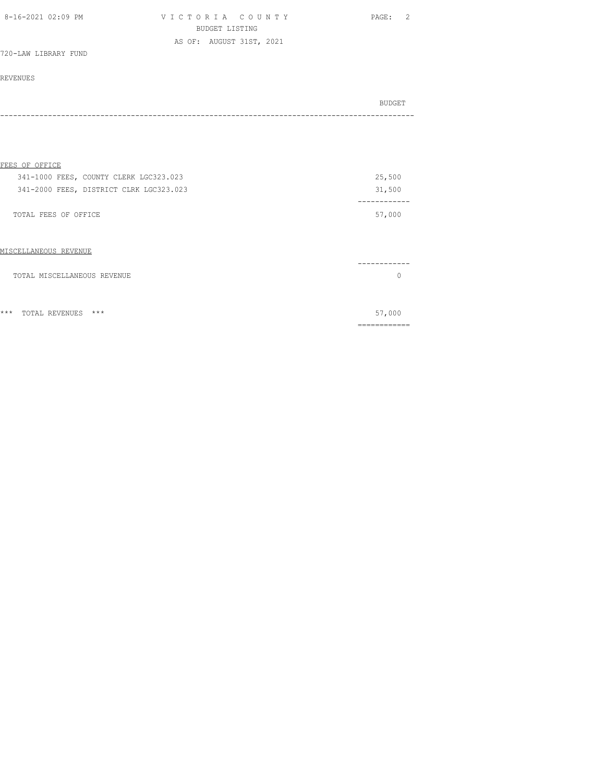| 8-16-2021 02:09 PM   | VICTORIA COUNTY          | PAGE: 2 |
|----------------------|--------------------------|---------|
|                      | BUDGET LISTING           |         |
|                      | AS OF: AUGUST 31ST, 2021 |         |
| 720-LAW LIBRARY FUND |                          |         |

### REVENUES

| BUDGET<br>---- |
|----------------|
|                |

### FEES OF OFFICE

| 341-1000 FEES, COUNTY CLERK LGC323.023  | 25,500 |
|-----------------------------------------|--------|
| 341-2000 FEES, DISTRICT CLRK LGC323.023 | 31,500 |
|                                         |        |
| TOTAL FEES OF OFFICE                    | 57,000 |
|                                         |        |

### MISCELLANEOUS REVENUE

| TOTAL MISCELLANEOUS REVENUE |  |
|-----------------------------|--|
|                             |  |
|                             |  |

\*\*\* TOTAL REVENUES \*\*\* 57,000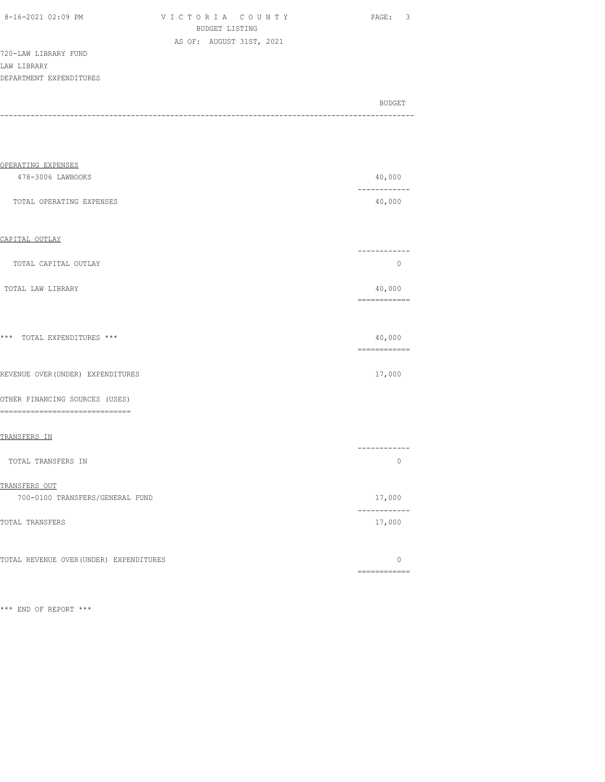| 8-16-2021 02:09 PM |  |
|--------------------|--|

VICTORIA COUNTY PAGE: 3 BUDGET LISTING AS OF: AUGUST 31ST, 2021

720-LAW LIBRARY FUND LAW LIBRARY DEPARTMENT EXPENDITURES

BUDGET AND RESERVE AND RESERVE AND RESERVE AND RESERVE AND RESERVE AND RESERVE AND RESERVE AND RESERVE AND RESERVE AND RESERVE AND RESERVE AND RESERVE AND RESERVE AND RESERVE AND RESPONDING A REPORT OF A REPORT OF A REPORT -----------------------------------------------------------------------------------------------

| OPERATING EXPENSES                                                  |                             |
|---------------------------------------------------------------------|-----------------------------|
| 478-3006 LAWBOOKS                                                   | 40,000<br>------------      |
| TOTAL OPERATING EXPENSES                                            | 40,000                      |
| CAPITAL OUTLAY                                                      |                             |
| TOTAL CAPITAL OUTLAY                                                | ------------<br>$\Omega$    |
| TOTAL LAW LIBRARY                                                   | 40,000<br>============      |
| *** TOTAL EXPENDITURES ***                                          | 40,000<br>============      |
| REVENUE OVER (UNDER) EXPENDITURES                                   | 17,000                      |
| OTHER FINANCING SOURCES (USES)<br>--------------------------------- |                             |
| TRANSFERS IN                                                        |                             |
| TOTAL TRANSFERS IN                                                  | ------------<br>$\Omega$    |
| TRANSFERS OUT                                                       |                             |
| 700-0100 TRANSFERS/GENERAL FUND                                     | 17,000                      |
| TOTAL TRANSFERS                                                     | $- - - -$<br>$--$<br>17,000 |
| TOTAL REVENUE OVER (UNDER) EXPENDITURES                             | $\Omega$                    |

\*\*\* END OF REPORT \*\*\*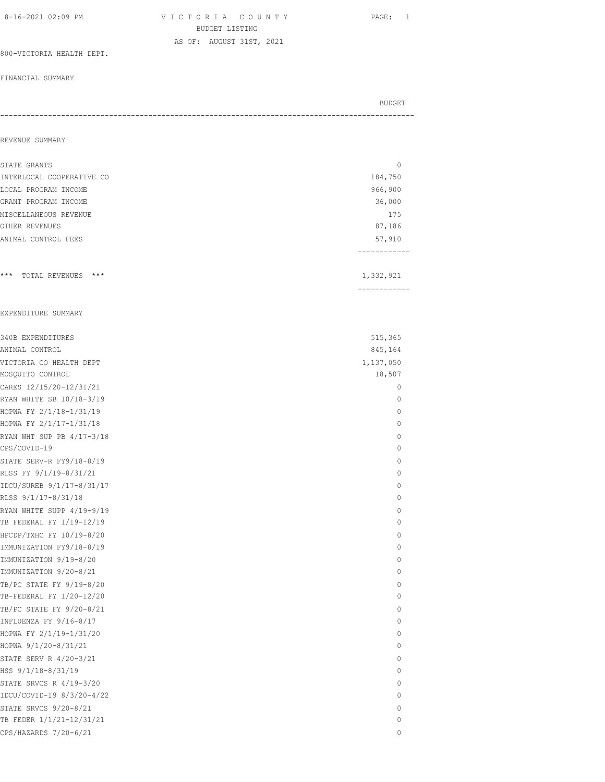| 8-16-2021 02:09 PM | VICTORIA COUNTY          | PAGE: 1 |
|--------------------|--------------------------|---------|
|                    | BUDGET LISTING           |         |
|                    | AS OF: AUGUST 31ST, 2021 |         |

### 800-VICTORIA HEALTH DEPT.

#### FINANCIAL SUMMARY

| BUDGET |
|--------|
|        |
|        |

### REVENUE SUMMARY

| STATE GRANTS                                          | $\mathbf 0$               |
|-------------------------------------------------------|---------------------------|
| INTERLOCAL COOPERATIVE CO                             | 184,750                   |
| LOCAL PROGRAM INCOME                                  | 966,900                   |
| GRANT PROGRAM INCOME                                  | 36,000                    |
| MISCELLANEOUS REVENUE                                 | 175                       |
| OTHER REVENUES                                        | 87,186                    |
| ANIMAL CONTROL FEES                                   | 57,910<br>-----------     |
| *** TOTAL REVENUES ***                                | 1,332,921<br>------------ |
| EXPENDITURE SUMMARY                                   |                           |
| 340B EXPENDITURES                                     | 515,365                   |
| ANIMAL CONTROL                                        | 845,164                   |
| VICTORIA CO HEALTH DEPT                               | 1,137,050                 |
| MOSQUITO CONTROL                                      | 18,507                    |
| CARES 12/15/20-12/31/21                               | $\mathbf 0$               |
| RYAN WHITE SB 10/18-3/19                              | 0                         |
| HOPWA FY 2/1/18-1/31/19                               | 0                         |
| HOPWA FY 2/1/17-1/31/18                               | 0                         |
| RYAN WHT SUP PB 4/17-3/18                             | 0                         |
| CPS/COVID-19                                          | 0                         |
| STATE SERV-R FY9/18-8/19                              | 0                         |
| RLSS FY 9/1/19-8/31/21                                | $\Omega$                  |
| IDCU/SUREB 9/1/17-8/31/17                             | 0                         |
| RLSS 9/1/17-8/31/18                                   | $\Omega$                  |
| RYAN WHITE SUPP 4/19-9/19<br>TB FEDERAL FY 1/19-12/19 | 0<br>0                    |
| HPCDP/TXHC FY 10/19-8/20                              | 0                         |
| IMMUNIZATION FY9/18-8/19                              | 0                         |
| IMMUNIZATION 9/19-8/20                                | 0                         |
| IMMUNIZATION 9/20-8/21                                | 0                         |
| TB/PC STATE FY 9/19-8/20                              | 0                         |
| TB-FEDERAL FY 1/20-12/20                              | $\Omega$                  |
| TB/PC STATE FY 9/20-8/21                              | $\mathbf 0$               |
| INFLUENZA FY 9/16-8/17                                | 0                         |
| HOPWA FY 2/1/19-1/31/20                               | 0                         |
| HOPWA 9/1/20-8/31/21                                  | $\Omega$                  |
| STATE SERV R 4/20-3/21                                | 0                         |
| HSS 9/1/18-8/31/19                                    | 0                         |
| STATE SRVCS R 4/19-3/20                               | 0                         |
| IDCU/COVID-19 8/3/20-4/22                             | 0                         |
| STATE SRVCS 9/20-8/21                                 | 0                         |
| TB FEDER 1/1/21-12/31/21                              | 0                         |
| CPS/HAZARDS 7/20-6/21                                 | 0                         |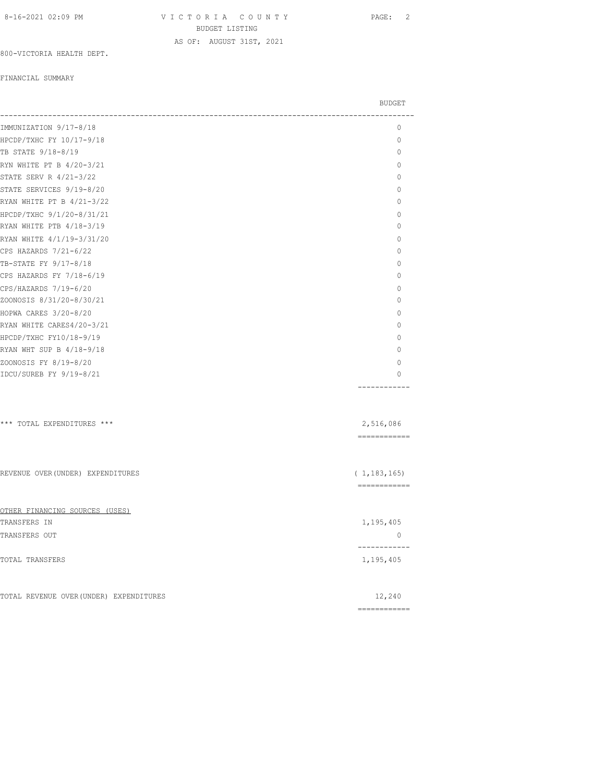VICTORIA COUNTY PAGE: 2 BUDGET LISTING AS OF: AUGUST 31ST, 2021

800-VICTORIA HEALTH DEPT.

#### FINANCIAL SUMMARY

|                                         | <b>BUDGET</b>                 |
|-----------------------------------------|-------------------------------|
| IMMUNIZATION 9/17-8/18                  | $\mathbf{0}$                  |
| HPCDP/TXHC FY 10/17-9/18                | 0                             |
| TB STATE 9/18-8/19                      | $\circ$                       |
| RYN WHITE PT B 4/20-3/21                | $\Omega$                      |
| STATE SERV R 4/21-3/22                  | $\circ$                       |
| STATE SERVICES 9/19-8/20                | 0                             |
| RYAN WHITE PT B 4/21-3/22               | $\mathbf{0}$                  |
| HPCDP/TXHC 9/1/20-8/31/21               | $\Omega$                      |
| RYAN WHITE PTB 4/18-3/19                | $\mathbf{0}$                  |
| RYAN WHITE 4/1/19-3/31/20               | $\Omega$                      |
| CPS HAZARDS 7/21-6/22                   | $\mathbf{0}$                  |
| TB-STATE FY 9/17-8/18                   | 0                             |
| CPS HAZARDS FY 7/18-6/19                | $\mathbf{0}$                  |
| CPS/HAZARDS 7/19-6/20                   | $\mathbf{0}$                  |
| ZOONOSIS 8/31/20-8/30/21                | $\Omega$                      |
| HOPWA CARES 3/20-8/20                   | 0                             |
| RYAN WHITE CARES4/20-3/21               | $\mathbf{0}$                  |
| HPCDP/TXHC FY10/18-9/19                 | $\circ$                       |
| RYAN WHT SUP B 4/18-9/18                | $\mathbf{0}$                  |
| ZOONOSIS FY 8/19-8/20                   | $\bigcap$                     |
| IDCU/SUREB FY 9/19-8/21                 | $\circ$                       |
|                                         |                               |
| *** TOTAL EXPENDITURES ***              | 2,516,086<br>============     |
| REVENUE OVER (UNDER) EXPENDITURES       | (1, 183, 165)<br>============ |
| OTHER FINANCING SOURCES (USES)          |                               |
| TRANSFERS IN                            | 1,195,405                     |
| TRANSFERS OUT                           | $\circ$<br>-----------        |
| TOTAL TRANSFERS                         | 1,195,405                     |
| TOTAL REVENUE OVER (UNDER) EXPENDITURES | 12,240                        |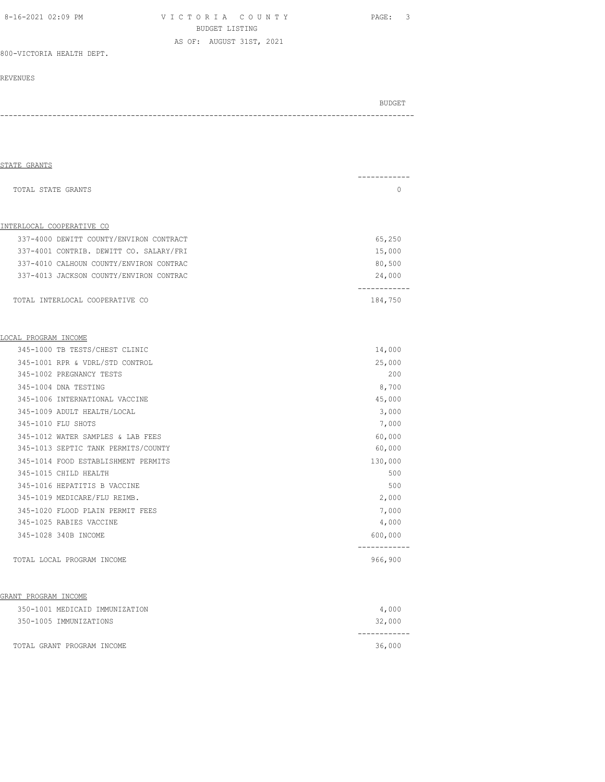V I C T O R I A C O U N T Y PAGE: 3 BUDGET LISTING AS OF: AUGUST 31ST, 2021

800-VICTORIA HEALTH DEPT.

#### REVENUES

| STATE GRANTS                            |                         |
|-----------------------------------------|-------------------------|
| TOTAL STATE GRANTS                      | -----------<br>$\Omega$ |
| INTERLOCAL COOPERATIVE CO               |                         |
| 337-4000 DEWITT COUNTY/ENVIRON CONTRACT | 65,250                  |
| 337-4001 CONTRIB. DEWITT CO. SALARY/FRI | 15,000                  |
| 337-4010 CALHOUN COUNTY/ENVIRON CONTRAC | 80,500                  |
| 337-4013 JACKSON COUNTY/ENVIRON CONTRAC | 24,000                  |
| TOTAL INTERLOCAL COOPERATIVE CO         | ------------<br>184,750 |
| LOCAL PROGRAM INCOME                    |                         |
| 345-1000 TB TESTS/CHEST CLINIC          | 14,000                  |
| 345-1001 RPR & VDRL/STD CONTROL         | 25,000                  |
| 345-1002 PREGNANCY TESTS                | 200                     |
| 345-1004 DNA TESTING                    | 8,700                   |
| 345-1006 INTERNATIONAL VACCINE          | 45,000                  |
| 345-1009 ADULT HEALTH/LOCAL             | 3,000                   |
| 345-1010 FLU SHOTS                      | 7,000                   |
| 345-1012 WATER SAMPLES & LAB FEES       | 60,000                  |
| 345-1013 SEPTIC TANK PERMITS/COUNTY     | 60,000                  |
| 345-1014 FOOD ESTABLISHMENT PERMITS     | 130,000                 |
| 345-1015 CHILD HEALTH                   | 500                     |
| 345-1016 HEPATITIS B VACCINE            | 500                     |
| 345-1019 MEDICARE/FLU REIMB.            | 2,000                   |
| 345-1020 FLOOD PLAIN PERMIT FEES        | 7,000                   |
| 345-1025 RABIES VACCINE                 | 4,000                   |
| 345-1028 340B INCOME                    | 600,000                 |
| TOTAL LOCAL PROGRAM INCOME              | 966,900                 |
| GRANT PROGRAM INCOME                    |                         |
| 350-1001 MEDICAID IMMUNIZATION          | 4,000                   |
| 350-1005 IMMUNIZATIONS                  | 32,000                  |
| TOTAL GRANT PROGRAM INCOME              | 36,000                  |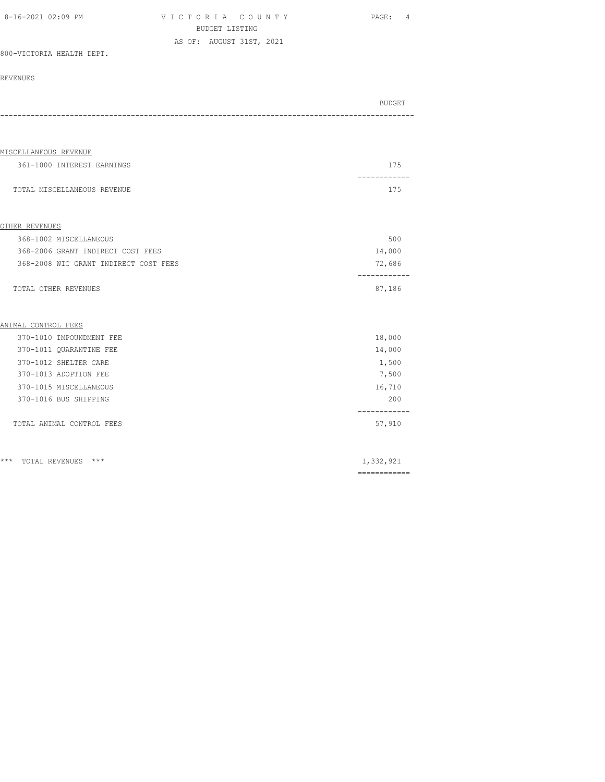| 8-16-2021 02:09 PM | VICTORIA COUNTY          | 4<br>PAGE: |
|--------------------|--------------------------|------------|
|                    | BUDGET LISTING           |            |
|                    | AS OF: AUGUST 31ST, 2021 |            |

#### 800-VICTORIA HEALTH DEPT.

#### REVENUES

| BUDGET |
|--------|
|        |

# MISCELLANEOUS REVENUE 361-1000 INTEREST EARNINGS 175 ------------ TOTAL MISCELLANEOUS REVENUE 175 OTHER REVENUES 368-1002 MISCELLANEOUS 500 368-2006 GRANT INDIRECT COST FEES 14,000 368-2008 WIC GRANT INDIRECT COST FEES 72,686 ------------ TOTAL OTHER REVENUES 87,186 ANIMAL CONTROL FEES 370-1010 IMPOUNDMENT FEE 18,000 370-1011 QUARANTINE FEE 14,000 370-1012 SHELTER CARE 1,500

| 370-1013 ADOPTION FEE     | 7,500  |
|---------------------------|--------|
| 370-1015 MISCELLANEOUS    | 16,710 |
| 370-1016 BUS SHIPPING     | 200    |
|                           |        |
| TOTAL ANIMAL CONTROL FEES | 57,910 |

\*\*\* TOTAL REVENUES \*\*\* 1,332,921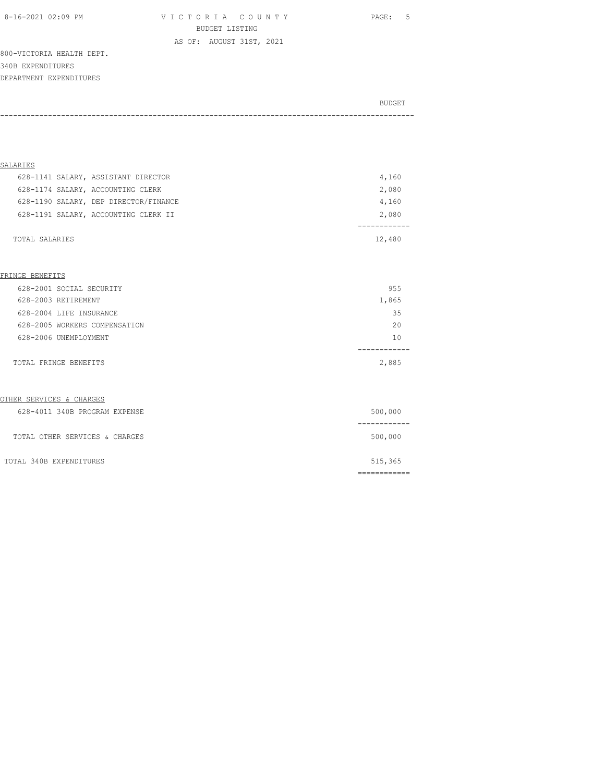8-16-2021 02:09 PM V I C T O R I A C O U N T Y PAGE: 5 BUDGET LISTING

800-VICTORIA HEALTH DEPT. 340B EXPENDITURES DEPARTMENT EXPENDITURES

| BUDGET |
|--------|
|        |

AS OF: AUGUST 31ST, 2021

| SALARIES                              |        |
|---------------------------------------|--------|
| 628-1141 SALARY, ASSISTANT DIRECTOR   | 4,160  |
| 628-1174 SALARY, ACCOUNTING CLERK     | 2,080  |
| 628-1190 SALARY, DEP DIRECTOR/FINANCE | 4,160  |
| 628-1191 SALARY, ACCOUNTING CLERK II  | 2,080  |
| TOTAL SALARIES                        | 12,480 |

#### FRINGE BENEFITS

| 628-2001 SOCIAL SECURITY      | 955   |
|-------------------------------|-------|
| 628-2003 RETIREMENT           | 1,865 |
| 628-2004 LIFE INSURANCE       | 35    |
| 628-2005 WORKERS COMPENSATION | 20    |
| 628-2006 UNEMPLOYMENT         | 10    |
| TOTAL FRINGE BENEFITS         | 2,885 |

#### OTHER SERVICES & CHARGES

| 628-4011 340B PROGRAM EXPENSE  | 500,000 |
|--------------------------------|---------|
| TOTAL OTHER SERVICES & CHARGES | 500,000 |
| TOTAL 340B EXPENDITURES        | 515,365 |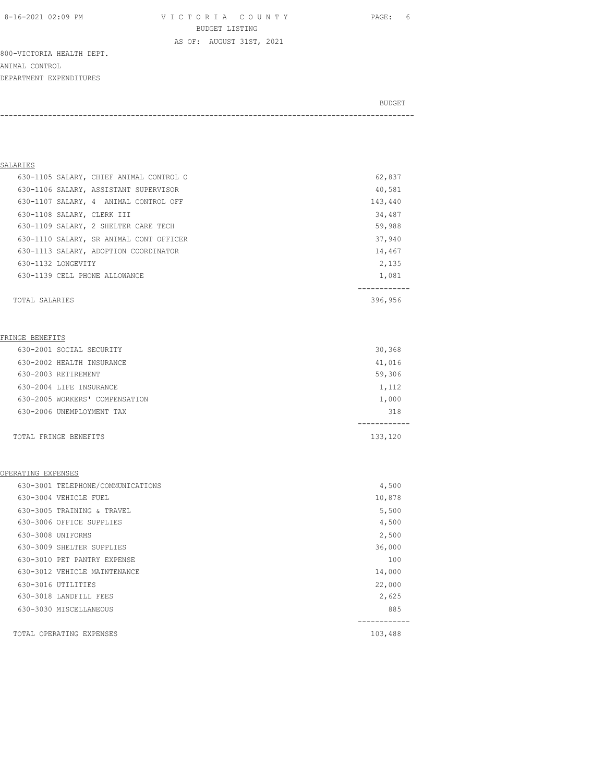8-16-2021 02:09 PM V I C T O R I A C O U N T Y PAGE: 6 BUDGET LISTING

800-VICTORIA HEALTH DEPT. ANIMAL CONTROL DEPARTMENT EXPENDITURES

BUDGET AND RESERVE AND RESERVE AND RESERVE AND RESERVE AND RESERVE AND RESERVE AND RESERVE AND RESERVE AND RESERVE AND RESERVE AND RESERVE AND RESERVE AND RESERVE AND RESERVE AND RESPONDING A REPORT OF A REPORT OF A REPORT

-----------------------------------------------------------------------------------------------

AS OF: AUGUST 31ST, 2021

### SALARIES

| 630-1105 SALARY, CHIEF ANIMAL CONTROL O | 62,837  |
|-----------------------------------------|---------|
| 630-1106 SALARY, ASSISTANT SUPERVISOR   | 40,581  |
| 630-1107 SALARY, 4 ANIMAL CONTROL OFF   | 143,440 |
| 630-1108 SALARY, CLERK III              | 34,487  |
| 630-1109 SALARY, 2 SHELTER CARE TECH    | 59,988  |
| 630-1110 SALARY, SR ANIMAL CONT OFFICER | 37,940  |
| 630-1113 SALARY, ADOPTION COORDINATOR   | 14,467  |
| 630-1132 LONGEVITY                      | 2,135   |
| 630-1139 CELL PHONE ALLOWANCE           | 1,081   |
|                                         |         |
| TOTAL SALARIES                          | 396,956 |

### FRINGE BENEFITS

| 630-2001 SOCIAL SECURITY       | 30,368  |
|--------------------------------|---------|
| 630-2002 HEALTH INSURANCE      | 41,016  |
| 630-2003 RETIREMENT            | 59,306  |
| 630-2004 LIFE INSURANCE        | 1,112   |
| 630-2005 WORKERS' COMPENSATION | 1,000   |
| 630-2006 UNEMPLOYMENT TAX      | 318     |
|                                |         |
| TOTAL FRINGE BENEFITS          | 133,120 |

### OPERATING EXPENSES

| 630-3001 TELEPHONE/COMMUNICATIONS | 4,500   |
|-----------------------------------|---------|
| 630-3004 VEHICLE FUEL             | 10,878  |
| 630-3005 TRAINING & TRAVEL        | 5,500   |
| 630-3006 OFFICE SUPPLIES          | 4,500   |
| 630-3008 UNIFORMS                 | 2,500   |
| 630-3009 SHELTER SUPPLIES         | 36,000  |
| 630-3010 PET PANTRY EXPENSE       | 100     |
| 630-3012 VEHICLE MAINTENANCE      | 14,000  |
| 630-3016 UTILITIES                | 22,000  |
| 630-3018 LANDFILL FEES            | 2,625   |
| 630-3030 MISCELLANEOUS            | 885     |
|                                   |         |
| TOTAL OPERATING EXPENSES          | 103,488 |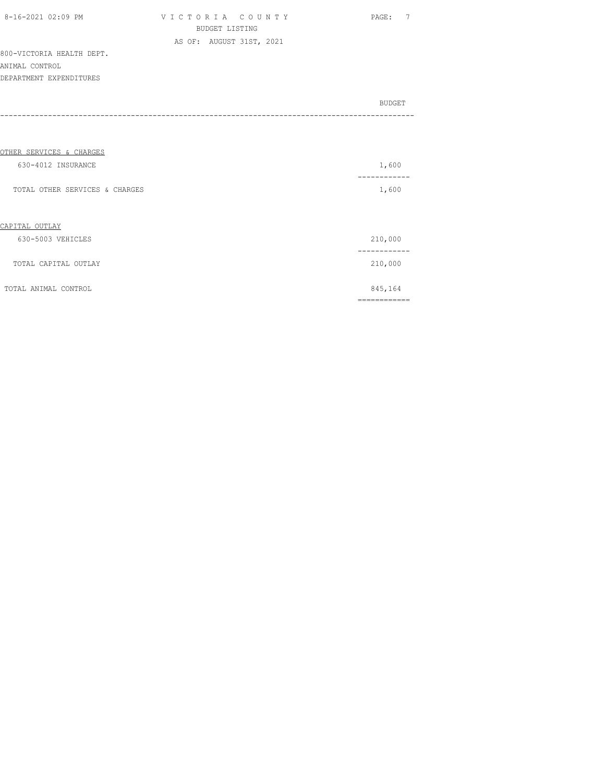| 8-16-2021 02:09 PM |  |
|--------------------|--|

V I C T O R I A C O U N T Y PAGE: 7 BUDGET LISTING AS OF: AUGUST 31ST, 2021

800-VICTORIA HEALTH DEPT. ANIMAL CONTROL DEPARTMENT EXPENDITURES

| BUDGET |
|--------|
|        |
|        |
|        |

### OTHER SERVICES & CHARGES

| 630-4012 INSURANCE                  | 1,600           |
|-------------------------------------|-----------------|
| TOTAL OTHER SERVICES & CHARGES      | ------<br>1,600 |
| CAPITAL OUTLAY<br>630-5003 VEHICLES | 210,000         |
| TOTAL CAPITAL OUTLAY                | 210,000         |
| TOTAL ANIMAL CONTROL                | 845,164         |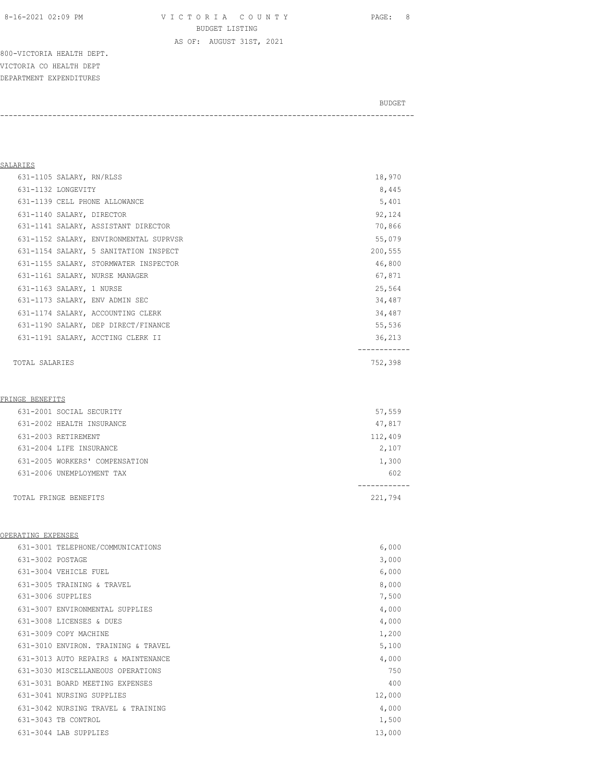800-VICTORIA HEALTH DEPT. VICTORIA CO HEALTH DEPT DEPARTMENT EXPENDITURES

BUDGET AND RESERVE AND RESERVE AND RESERVE AND RESERVE AND RESERVE AND RESERVE AND RESERVE AND RESERVE AND RESERVE AND RESERVE AND RESERVE AND RESERVE AND RESERVE AND RESERVE AND RESPONDING A REPORT OF A REPORT OF A REPORT -----------------------------------------------------------------------------------------------

### SALARIES

| 631-1105 SALARY, RN/RLSS  |                                        | 18,970  |
|---------------------------|----------------------------------------|---------|
| 631-1132 LONGEVITY        |                                        | 8,445   |
|                           | 631-1139 CELL PHONE ALLOWANCE          | 5,401   |
| 631-1140 SALARY, DIRECTOR |                                        | 92,124  |
|                           | 631-1141 SALARY, ASSISTANT DIRECTOR    | 70,866  |
|                           | 631-1152 SALARY, ENVIRONMENTAL SUPRVSR | 55,079  |
|                           | 631-1154 SALARY, 5 SANITATION INSPECT  | 200,555 |
|                           | 631-1155 SALARY, STORMWATER INSPECTOR  | 46,800  |
|                           | 631-1161 SALARY, NURSE MANAGER         | 67,871  |
| 631-1163 SALARY, 1 NURSE  |                                        | 25,564  |
|                           | 631-1173 SALARY, ENV ADMIN SEC         | 34,487  |
|                           | 631-1174 SALARY, ACCOUNTING CLERK      | 34,487  |
|                           | 631-1190 SALARY, DEP DIRECT/FINANCE    | 55,536  |
|                           | 631-1191 SALARY, ACCTING CLERK II      | 36,213  |
|                           |                                        |         |
|                           |                                        |         |

## TOTAL SALARIES 752,398

### FRINGE BENEFITS

| 631-2001 SOCIAL SECURITY       | 57,559  |
|--------------------------------|---------|
| 631-2002 HEALTH INSURANCE      | 47,817  |
| 631-2003 RETIREMENT            | 112,409 |
| 631-2004 LIFE INSURANCE        | 2,107   |
| 631-2005 WORKERS' COMPENSATION | 1,300   |
| 631-2006 UNEMPLOYMENT TAX      | 602     |
|                                |         |
| TOTAL FRINGE BENEFITS          | 221,794 |

### OPERATING EXPENSES

|                  | 631-3001 TELEPHONE/COMMUNICATIONS   | 6,000  |
|------------------|-------------------------------------|--------|
| 631-3002 POSTAGE |                                     | 3,000  |
|                  | 631-3004 VEHICLE FUEL               | 6,000  |
|                  | 631-3005 TRAINING & TRAVEL          | 8,000  |
|                  | 631-3006 SUPPLIES                   | 7,500  |
|                  | 631-3007 ENVIRONMENTAL SUPPLIES     | 4,000  |
|                  | 631-3008 LICENSES & DUES            | 4,000  |
|                  | 631-3009 COPY MACHINE               | 1,200  |
|                  | 631-3010 ENVIRON. TRAINING & TRAVEL | 5,100  |
|                  | 631-3013 AUTO REPAIRS & MAINTENANCE | 4,000  |
|                  | 631-3030 MISCELLANEOUS OPERATIONS   | 750    |
|                  | 631-3031 BOARD MEETING EXPENSES     | 400    |
|                  | 631-3041 NURSING SUPPLIES           | 12,000 |
|                  | 631-3042 NURSING TRAVEL & TRAINING  | 4,000  |
|                  | 631-3043 TB CONTROL                 | 1,500  |
|                  | 631-3044 LAB SUPPLIES               | 13,000 |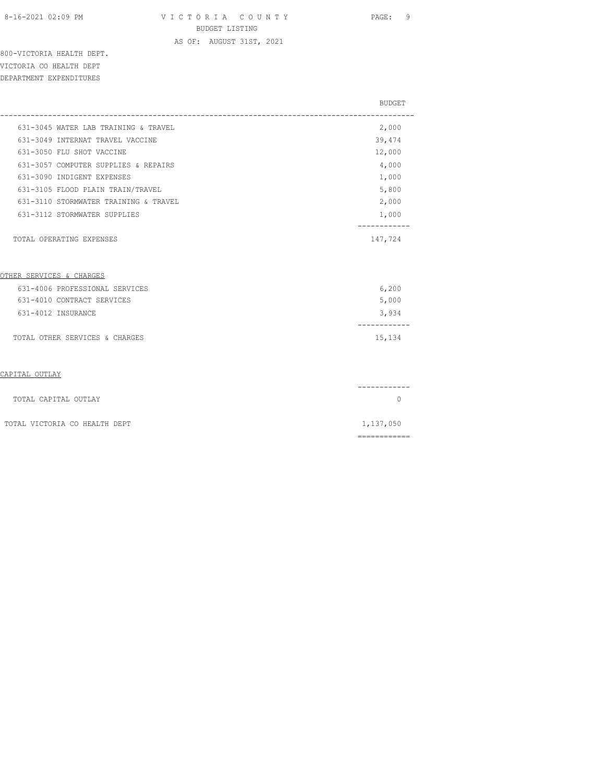AS OF: AUGUST 31ST, 2021

800-VICTORIA HEALTH DEPT. VICTORIA CO HEALTH DEPT DEPARTMENT EXPENDITURES

|                                       | BUDGET    |
|---------------------------------------|-----------|
| 631-3045 WATER LAB TRAINING & TRAVEL  | 2,000     |
| 631-3049 INTERNAT TRAVEL VACCINE      | 39,474    |
| 631-3050 FLU SHOT VACCINE             | 12,000    |
| 631-3057 COMPUTER SUPPLIES & REPAIRS  | 4,000     |
| 631-3090 INDIGENT EXPENSES            | 1,000     |
| 631-3105 FLOOD PLAIN TRAIN/TRAVEL     | 5,800     |
| 631-3110 STORMWATER TRAINING & TRAVEL | 2,000     |
| 631-3112 STORMWATER SUPPLIES          | 1,000     |
| TOTAL OPERATING EXPENSES              | 147,724   |
| OTHER SERVICES & CHARGES              |           |
| 631-4006 PROFESSIONAL SERVICES        | 6,200     |
| 631-4010 CONTRACT SERVICES            | 5,000     |
| 631-4012 INSURANCE                    | 3,934     |
| TOTAL OTHER SERVICES & CHARGES        | 15,134    |
| CAPITAL OUTLAY                        |           |
| TOTAL CAPITAL OUTLAY                  | $\Omega$  |
| TOTAL VICTORIA CO HEALTH DEPT         | 1,137,050 |
|                                       |           |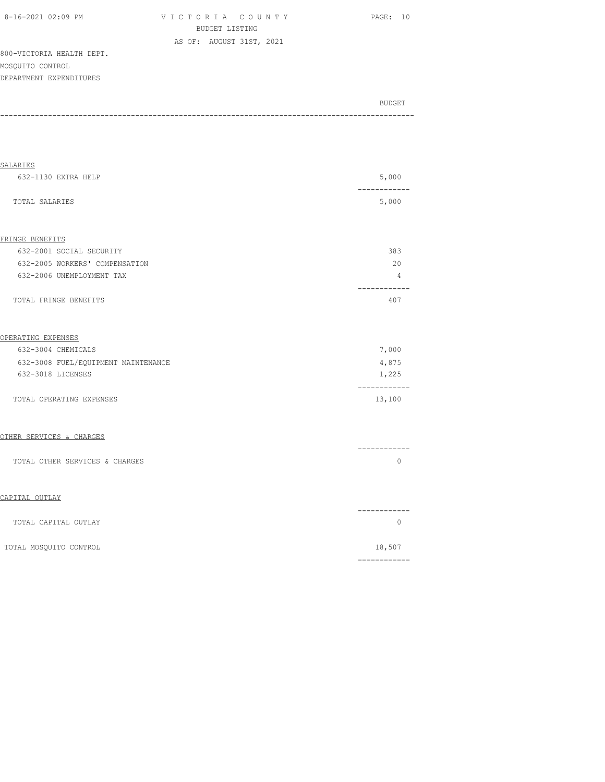V I C T O R I A C O U N T Y PAGE: 10 BUDGET LISTING AS OF: AUGUST 31ST, 2021

800-VICTORIA HEALTH DEPT. MOSQUITO CONTROL DEPARTMENT EXPENDITURES

| BUDGET |
|--------|
|        |

| <b>SALARIES</b>                     |                       |
|-------------------------------------|-----------------------|
| 632-1130 EXTRA HELP                 | 5,000                 |
| TOTAL SALARIES                      | ------<br>5,000       |
| FRINGE BENEFITS                     |                       |
| 632-2001 SOCIAL SECURITY            | 383                   |
| 632-2005 WORKERS' COMPENSATION      | 20                    |
| 632-2006 UNEMPLOYMENT TAX           | 4                     |
| TOTAL FRINGE BENEFITS               | . <u>.</u> .<br>407   |
| OPERATING EXPENSES                  |                       |
| 632-3004 CHEMICALS                  | 7,000                 |
| 632-3008 FUEL/EQUIPMENT MAINTENANCE | 4,875                 |
| 632-3018 LICENSES                   | 1,225                 |
| TOTAL OPERATING EXPENSES            | 13,100                |
| OTHER SERVICES & CHARGES            |                       |
| TOTAL OTHER SERVICES & CHARGES      | 0                     |
| CAPITAL OUTLAY                      |                       |
| TOTAL CAPITAL OUTLAY                | ----------<br>$\circ$ |
| TOTAL MOSQUITO CONTROL              | 18,507                |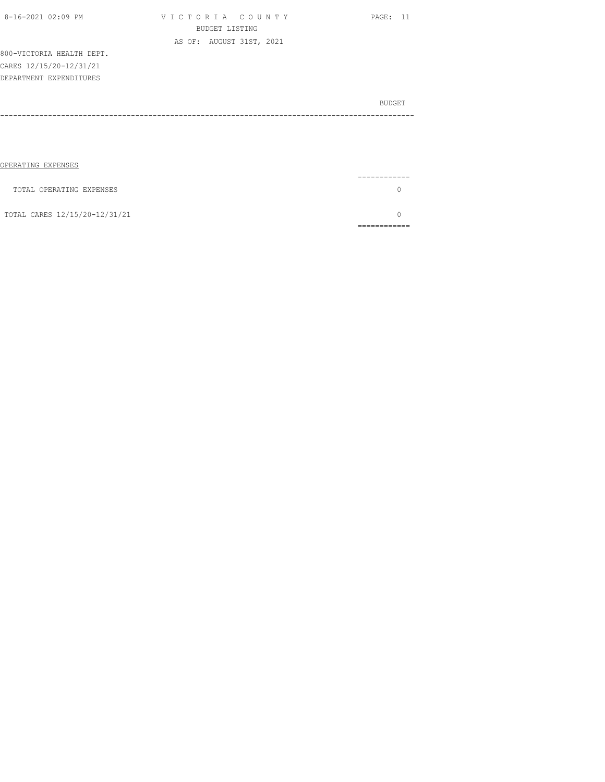| 8-16-2021 02:09 PM        | VICTORIA COUNTY          | PAGE: 11      |
|---------------------------|--------------------------|---------------|
|                           | BUDGET LISTING           |               |
|                           | AS OF: AUGUST 31ST, 2021 |               |
| 800-VICTORIA HEALTH DEPT. |                          |               |
| CARES 12/15/20-12/31/21   |                          |               |
| DEPARTMENT EXPENDITURES   |                          |               |
|                           |                          |               |
|                           |                          | <b>BUDGET</b> |
|                           |                          |               |
|                           |                          |               |
|                           |                          |               |
|                           |                          |               |
|                           |                          |               |
| OPERATING EXPENSES        |                          |               |

|                               | ------- |
|-------------------------------|---------|
| TOTAL OPERATING EXPENSES      |         |
| TOTAL CARES 12/15/20-12/31/21 |         |
|                               |         |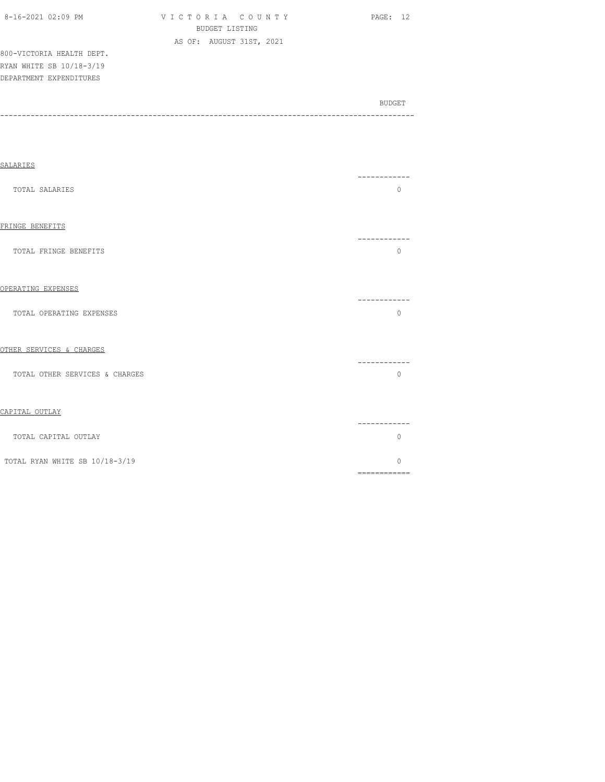| 8-16-2021 02:09 PM        | VICTORIA COUNTY          | <b>PAGE: 12</b> |  |
|---------------------------|--------------------------|-----------------|--|
|                           | BUDGET LISTING           |                 |  |
|                           | AS OF: AUGUST 31ST, 2021 |                 |  |
| 800-VICTORIA HEALTH DEPT. |                          |                 |  |
| RYAN WHITE SB 10/18-3/19  |                          |                 |  |
| DEPARTMENT EXPENDITURES   |                          |                 |  |

| SALARIES                       | ---------                                                                                                                                                                                                                                                                                                                                                                                                                                                                                          |
|--------------------------------|----------------------------------------------------------------------------------------------------------------------------------------------------------------------------------------------------------------------------------------------------------------------------------------------------------------------------------------------------------------------------------------------------------------------------------------------------------------------------------------------------|
| TOTAL SALARIES                 | $\Omega$                                                                                                                                                                                                                                                                                                                                                                                                                                                                                           |
| FRINGE BENEFITS                | ---------                                                                                                                                                                                                                                                                                                                                                                                                                                                                                          |
| TOTAL FRINGE BENEFITS          | $\Omega$                                                                                                                                                                                                                                                                                                                                                                                                                                                                                           |
| OPERATING EXPENSES             |                                                                                                                                                                                                                                                                                                                                                                                                                                                                                                    |
| TOTAL OPERATING EXPENSES       | -----------<br>$\Omega$                                                                                                                                                                                                                                                                                                                                                                                                                                                                            |
| OTHER SERVICES & CHARGES       |                                                                                                                                                                                                                                                                                                                                                                                                                                                                                                    |
| TOTAL OTHER SERVICES & CHARGES | -----------<br>$\Omega$                                                                                                                                                                                                                                                                                                                                                                                                                                                                            |
| CAPITAL OUTLAY                 |                                                                                                                                                                                                                                                                                                                                                                                                                                                                                                    |
| TOTAL CAPITAL OUTLAY           | ------------<br>$\Omega$                                                                                                                                                                                                                                                                                                                                                                                                                                                                           |
| TOTAL RYAN WHITE SB 10/18-3/19 | $\Omega$<br>$\begin{array}{cccccccccc} \multicolumn{2}{c}{} & \multicolumn{2}{c}{} & \multicolumn{2}{c}{} & \multicolumn{2}{c}{} & \multicolumn{2}{c}{} & \multicolumn{2}{c}{} & \multicolumn{2}{c}{} & \multicolumn{2}{c}{} & \multicolumn{2}{c}{} & \multicolumn{2}{c}{} & \multicolumn{2}{c}{} & \multicolumn{2}{c}{} & \multicolumn{2}{c}{} & \multicolumn{2}{c}{} & \multicolumn{2}{c}{} & \multicolumn{2}{c}{} & \multicolumn{2}{c}{} & \multicolumn{2}{c}{} & \multicolumn{2}{c}{} & \mult$ |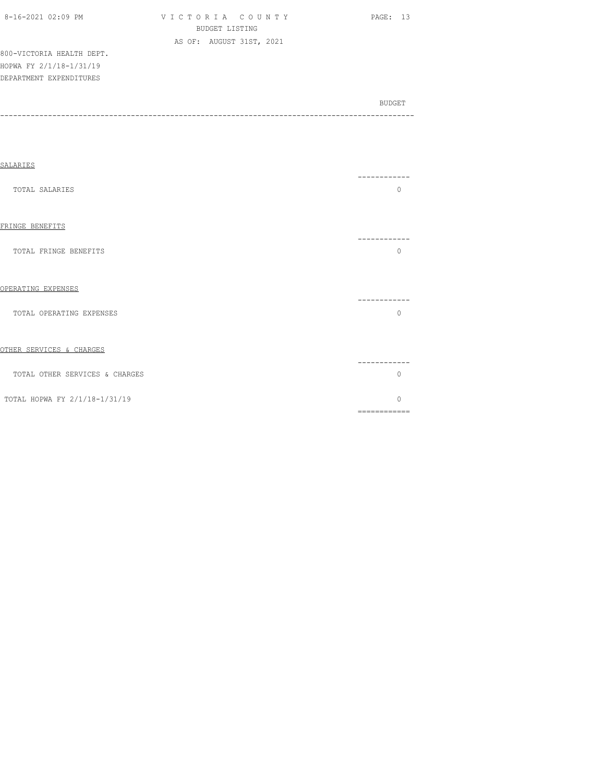| 8-16-2021 02:09 PM |  |
|--------------------|--|

VICTORIA COUNTY PAGE: 13 BUDGET LISTING AS OF: AUGUST 31ST, 2021

800-VICTORIA HEALTH DEPT. HOPWA FY 2/1/18-1/31/19 DEPARTMENT EXPENDITURES

| SALARIES                       |                          |
|--------------------------------|--------------------------|
| TOTAL SALARIES                 | ---------<br>$\Omega$    |
| FRINGE BENEFITS                | -----------              |
| TOTAL FRINGE BENEFITS          | $\Omega$                 |
| OPERATING EXPENSES             | ---------                |
| TOTAL OPERATING EXPENSES       | $\Omega$                 |
| OTHER SERVICES & CHARGES       |                          |
| TOTAL OTHER SERVICES & CHARGES | O                        |
| TOTAL HOPWA FY 2/1/18-1/31/19  | $\Omega$<br>============ |
|                                |                          |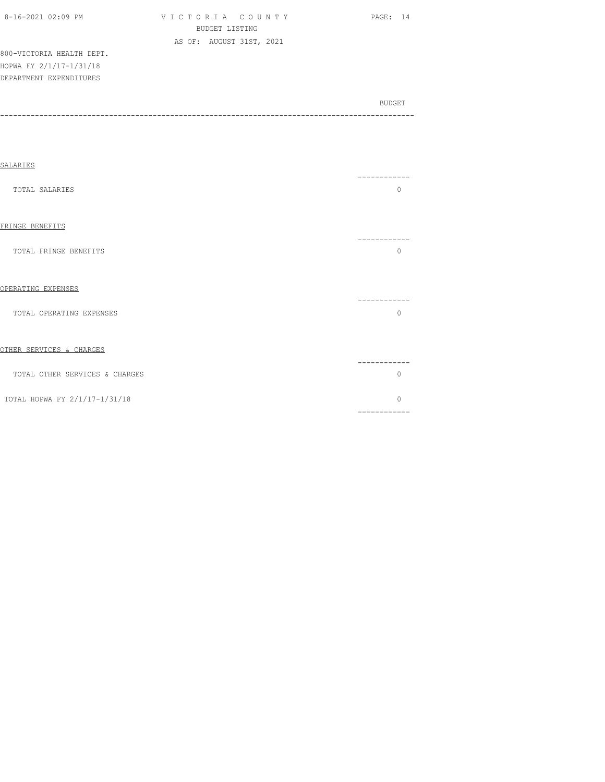| 8-16-2021 02:09 PM |  |
|--------------------|--|

VICTORIA COUNTY PAGE: 14 BUDGET LISTING AS OF: AUGUST 31ST, 2021

800-VICTORIA HEALTH DEPT. HOPWA FY 2/1/17-1/31/18 DEPARTMENT EXPENDITURES

| SALARIES                       |                        |
|--------------------------------|------------------------|
| <b>TOTAL SALARIES</b>          | $\Omega$               |
| FRINGE BENEFITS                |                        |
| TOTAL FRINGE BENEFITS          | $\Omega$               |
| OPERATING EXPENSES             |                        |
| TOTAL OPERATING EXPENSES       | ----------<br>$\Omega$ |
| OTHER SERVICES & CHARGES       |                        |
| TOTAL OTHER SERVICES & CHARGES | $\Omega$               |
| TOTAL HOPWA FY 2/1/17-1/31/18  | $\Omega$               |
|                                | ============           |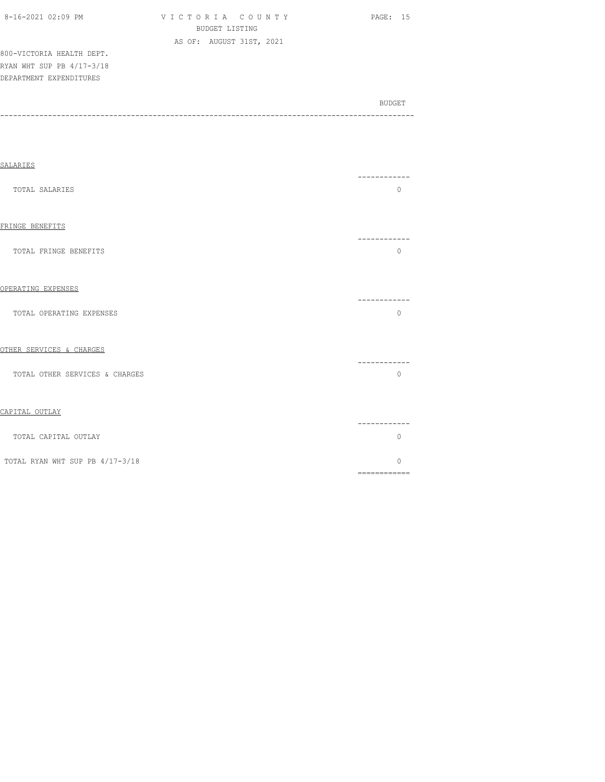| 8-16-2021 02:09 PM |  |
|--------------------|--|

VICTORIA COUNTY PAGE: 15 BUDGET LISTING AS OF: AUGUST 31ST, 2021

800-VICTORIA HEALTH DEPT. RYAN WHT SUP PB 4/17-3/18 DEPARTMENT EXPENDITURES

| SALARIES                        |                                                                                                                                                                                                                                                                                                                                                                                                                                                                               |  |
|---------------------------------|-------------------------------------------------------------------------------------------------------------------------------------------------------------------------------------------------------------------------------------------------------------------------------------------------------------------------------------------------------------------------------------------------------------------------------------------------------------------------------|--|
| <b>TOTAL SALARIES</b>           | ----------<br>$\circ$                                                                                                                                                                                                                                                                                                                                                                                                                                                         |  |
| FRINGE BENEFITS                 | ------------                                                                                                                                                                                                                                                                                                                                                                                                                                                                  |  |
| TOTAL FRINGE BENEFITS           | $\Omega$                                                                                                                                                                                                                                                                                                                                                                                                                                                                      |  |
| OPERATING EXPENSES              | ------------                                                                                                                                                                                                                                                                                                                                                                                                                                                                  |  |
| TOTAL OPERATING EXPENSES        | $\Omega$                                                                                                                                                                                                                                                                                                                                                                                                                                                                      |  |
| OTHER SERVICES & CHARGES        | ------------                                                                                                                                                                                                                                                                                                                                                                                                                                                                  |  |
| TOTAL OTHER SERVICES & CHARGES  | $\Omega$                                                                                                                                                                                                                                                                                                                                                                                                                                                                      |  |
| CAPITAL OUTLAY                  | ------------                                                                                                                                                                                                                                                                                                                                                                                                                                                                  |  |
| TOTAL CAPITAL OUTLAY            | $\Omega$                                                                                                                                                                                                                                                                                                                                                                                                                                                                      |  |
| TOTAL RYAN WHT SUP PB 4/17-3/18 | $\bigcap$<br>$\begin{minipage}{0.9\linewidth} \begin{tabular}{l} \hline \textbf{r} & \textbf{r} & \textbf{r} \\ \hline \textbf{r} & \textbf{r} & \textbf{r} \\ \hline \textbf{r} & \textbf{r} \\ \hline \textbf{r} & \textbf{r} \\ \hline \textbf{r} & \textbf{r} \\ \hline \textbf{r} & \textbf{r} \\ \hline \textbf{r} & \textbf{r} \\ \hline \textbf{r} & \textbf{r} \\ \hline \textbf{r} & \textbf{r} \\ \hline \textbf{r} & \textbf{r} \\ \hline \textbf{r} & \textbf{r$ |  |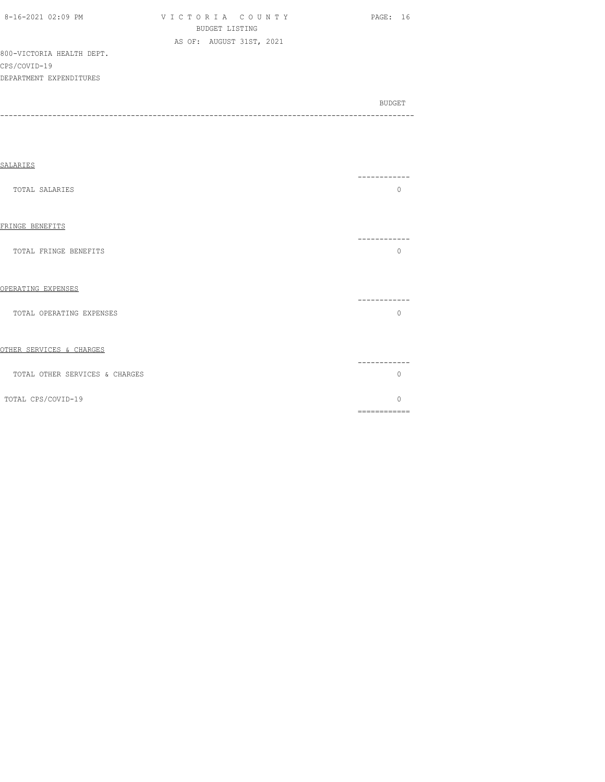| $8-16-2021$ 02:09 PM      | VICTORIA COUNTY          | PAGE: 16      |
|---------------------------|--------------------------|---------------|
|                           | BUDGET LISTING           |               |
|                           | AS OF: AUGUST 31ST, 2021 |               |
| 800-VICTORIA HEALTH DEPT. |                          |               |
| CPS/COVID-19              |                          |               |
| DEPARTMENT EXPENDITURES   |                          |               |
|                           |                          |               |
|                           |                          | <b>BUDGET</b> |
|                           |                          |               |

| SALARIES                       |                                                                                                                                                                                                                                                                                                                                                                                                                                                                                                    |  |
|--------------------------------|----------------------------------------------------------------------------------------------------------------------------------------------------------------------------------------------------------------------------------------------------------------------------------------------------------------------------------------------------------------------------------------------------------------------------------------------------------------------------------------------------|--|
| TOTAL SALARIES                 | --------<br>$\Omega$                                                                                                                                                                                                                                                                                                                                                                                                                                                                               |  |
| FRINGE BENEFITS                |                                                                                                                                                                                                                                                                                                                                                                                                                                                                                                    |  |
| TOTAL FRINGE BENEFITS          | ---------<br>$\Omega$                                                                                                                                                                                                                                                                                                                                                                                                                                                                              |  |
| OPERATING EXPENSES             |                                                                                                                                                                                                                                                                                                                                                                                                                                                                                                    |  |
| TOTAL OPERATING EXPENSES       | $\Omega$                                                                                                                                                                                                                                                                                                                                                                                                                                                                                           |  |
| OTHER SERVICES & CHARGES       |                                                                                                                                                                                                                                                                                                                                                                                                                                                                                                    |  |
| TOTAL OTHER SERVICES & CHARGES | $\Omega$                                                                                                                                                                                                                                                                                                                                                                                                                                                                                           |  |
| TOTAL CPS/COVID-19             | $\Omega$<br>$\begin{array}{cccccccccccccc} \multicolumn{2}{c}{} & \multicolumn{2}{c}{} & \multicolumn{2}{c}{} & \multicolumn{2}{c}{} & \multicolumn{2}{c}{} & \multicolumn{2}{c}{} & \multicolumn{2}{c}{} & \multicolumn{2}{c}{} & \multicolumn{2}{c}{} & \multicolumn{2}{c}{} & \multicolumn{2}{c}{} & \multicolumn{2}{c}{} & \multicolumn{2}{c}{} & \multicolumn{2}{c}{} & \multicolumn{2}{c}{} & \multicolumn{2}{c}{} & \multicolumn{2}{c}{} & \multicolumn{2}{c}{} & \multicolumn{2}{c}{} & \$ |  |
|                                |                                                                                                                                                                                                                                                                                                                                                                                                                                                                                                    |  |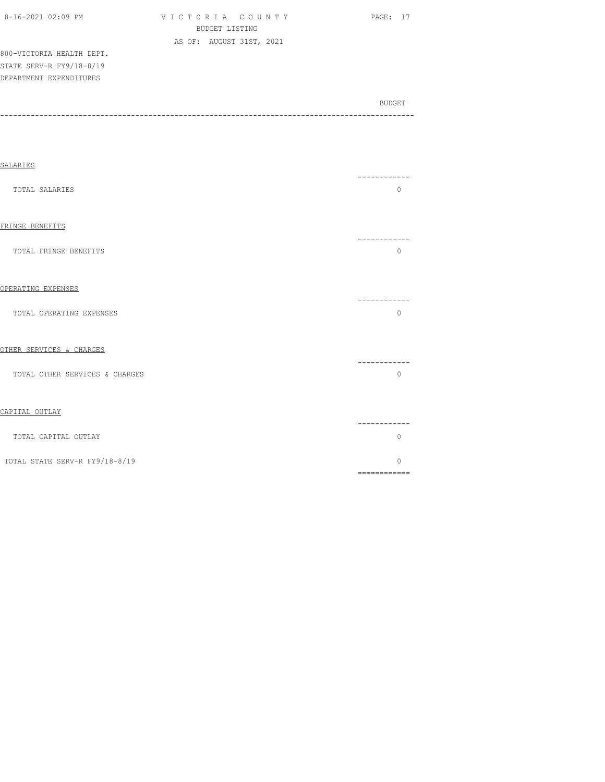| 8-16-2021 02:09 PM        | VICTORIA COUNTY          | PAGE: 17 |
|---------------------------|--------------------------|----------|
|                           | BUDGET LISTING           |          |
|                           | AS OF: AUGUST 31ST, 2021 |          |
| 800-VICTORIA HEALTH DEPT. |                          |          |
| STATE SERV-R FY9/18-8/19  |                          |          |
| DEPARTMENT EXPENDITURES   |                          |          |
|                           |                          |          |

| <b>SALARIES</b>                | --------           |
|--------------------------------|--------------------|
| TOTAL SALARIES                 | $\Omega$           |
| FRINGE BENEFITS                |                    |
| TOTAL FRINGE BENEFITS          | $\Omega$           |
| OPERATING EXPENSES             |                    |
| TOTAL OPERATING EXPENSES       | $\Omega$           |
| OTHER SERVICES & CHARGES       |                    |
| TOTAL OTHER SERVICES & CHARGES | --------<br>$\cap$ |
|                                |                    |

|--|

| TOTAL CAPITAL OUTLAY           |  |
|--------------------------------|--|
| TOTAL STATE SERV-R FY9/18-8/19 |  |
|                                |  |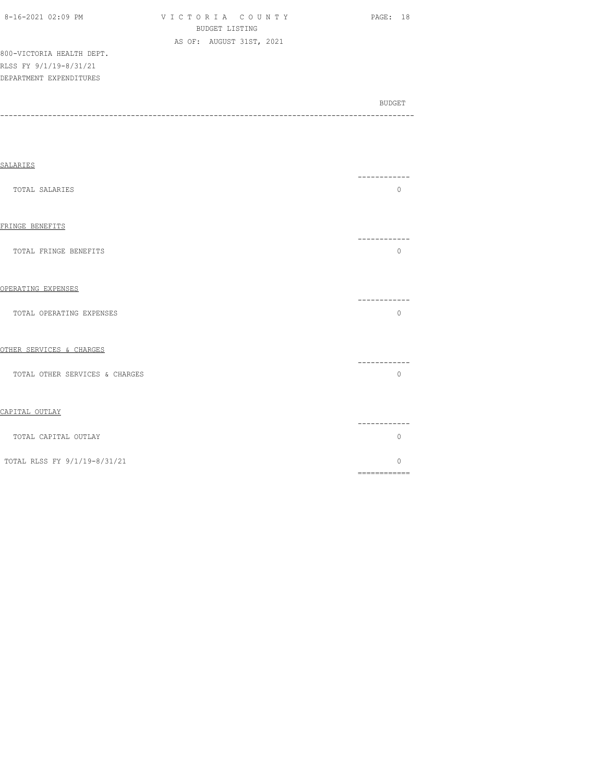| 8-16-2021 02:09 PM        | VICTORIA COUNTY          | PAGE: 18 |
|---------------------------|--------------------------|----------|
|                           | BUDGET LISTING           |          |
|                           | AS OF: AUGUST 31ST, 2021 |          |
| 800-VICTORIA HEALTH DEPT. |                          |          |
| RLSS FY 9/1/19-8/31/21    |                          |          |
| DEPARTMENT EXPENDITURES   |                          |          |

| BUDGET |
|--------|
|        |
|        |

| SALARIES                       | ---------                                                                                                                                                                                                                                                                                                                                                                                                                                                                                   |
|--------------------------------|---------------------------------------------------------------------------------------------------------------------------------------------------------------------------------------------------------------------------------------------------------------------------------------------------------------------------------------------------------------------------------------------------------------------------------------------------------------------------------------------|
| TOTAL SALARIES                 | 0                                                                                                                                                                                                                                                                                                                                                                                                                                                                                           |
| FRINGE BENEFITS                | .                                                                                                                                                                                                                                                                                                                                                                                                                                                                                           |
| TOTAL FRINGE BENEFITS          | $\circ$                                                                                                                                                                                                                                                                                                                                                                                                                                                                                     |
| OPERATING EXPENSES             | ------------                                                                                                                                                                                                                                                                                                                                                                                                                                                                                |
| TOTAL OPERATING EXPENSES       | $\circ$                                                                                                                                                                                                                                                                                                                                                                                                                                                                                     |
| OTHER SERVICES & CHARGES       | ----------                                                                                                                                                                                                                                                                                                                                                                                                                                                                                  |
| TOTAL OTHER SERVICES & CHARGES | $\Omega$                                                                                                                                                                                                                                                                                                                                                                                                                                                                                    |
| CAPITAL OUTLAY                 | ----------                                                                                                                                                                                                                                                                                                                                                                                                                                                                                  |
| TOTAL CAPITAL OUTLAY           | $\Omega$                                                                                                                                                                                                                                                                                                                                                                                                                                                                                    |
| TOTAL RLSS FY 9/1/19-8/31/21   | O<br>$\begin{array}{cccccccccc} \multicolumn{2}{c}{} & \multicolumn{2}{c}{} & \multicolumn{2}{c}{} & \multicolumn{2}{c}{} & \multicolumn{2}{c}{} & \multicolumn{2}{c}{} & \multicolumn{2}{c}{} & \multicolumn{2}{c}{} & \multicolumn{2}{c}{} & \multicolumn{2}{c}{} & \multicolumn{2}{c}{} & \multicolumn{2}{c}{} & \multicolumn{2}{c}{} & \multicolumn{2}{c}{} & \multicolumn{2}{c}{} & \multicolumn{2}{c}{} & \multicolumn{2}{c}{} & \multicolumn{2}{c}{} & \multicolumn{2}{c}{} & \mult$ |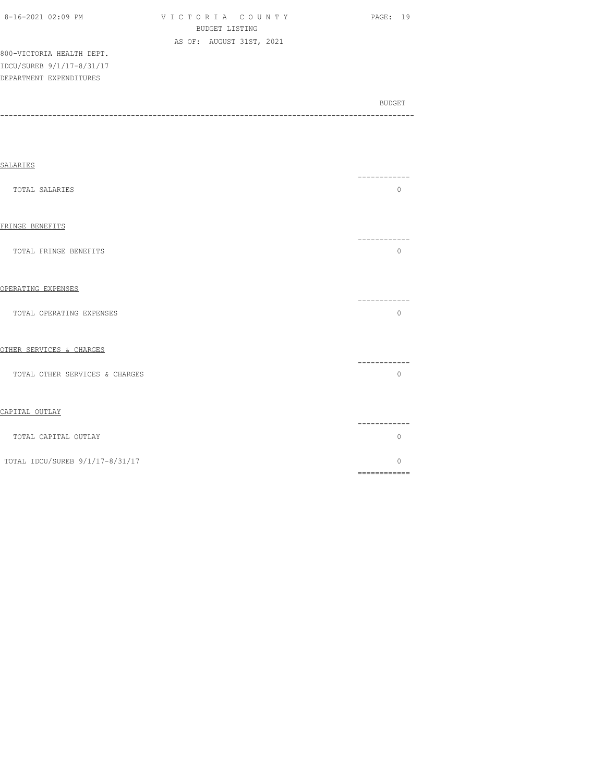| 8-16-2021 02:09 PM        | VICTORIA COUNTY          | - 19<br>PAGE: |
|---------------------------|--------------------------|---------------|
|                           | BUDGET LISTING           |               |
|                           | AS OF: AUGUST 31ST, 2021 |               |
| 800-VICTORIA HEALTH DEPT. |                          |               |
| IDCU/SUREB 9/1/17-8/31/17 |                          |               |
| DEPARTMENT EXPENDITURES   |                          |               |
|                           |                          |               |

| SALARIES                        |                                                                                                                                                                                                                                                                                                                                                                                                                                                                                             |
|---------------------------------|---------------------------------------------------------------------------------------------------------------------------------------------------------------------------------------------------------------------------------------------------------------------------------------------------------------------------------------------------------------------------------------------------------------------------------------------------------------------------------------------|
| TOTAL SALARIES                  | $\mathbf{0}$                                                                                                                                                                                                                                                                                                                                                                                                                                                                                |
| FRINGE BENEFITS                 | ----------                                                                                                                                                                                                                                                                                                                                                                                                                                                                                  |
| TOTAL FRINGE BENEFITS           | $\mathbf{0}$                                                                                                                                                                                                                                                                                                                                                                                                                                                                                |
| OPERATING EXPENSES              | -----------                                                                                                                                                                                                                                                                                                                                                                                                                                                                                 |
| TOTAL OPERATING EXPENSES        | $\mathbf{0}$                                                                                                                                                                                                                                                                                                                                                                                                                                                                                |
| OTHER SERVICES & CHARGES        | -----------                                                                                                                                                                                                                                                                                                                                                                                                                                                                                 |
| TOTAL OTHER SERVICES & CHARGES  | $\mathbf{0}$                                                                                                                                                                                                                                                                                                                                                                                                                                                                                |
| CAPITAL OUTLAY                  | -----------                                                                                                                                                                                                                                                                                                                                                                                                                                                                                 |
| TOTAL CAPITAL OUTLAY            | $\mathbf{0}$                                                                                                                                                                                                                                                                                                                                                                                                                                                                                |
| TOTAL IDCU/SUREB 9/1/17-8/31/17 | 0<br>$\begin{array}{cccccccccc} \multicolumn{2}{c}{} & \multicolumn{2}{c}{} & \multicolumn{2}{c}{} & \multicolumn{2}{c}{} & \multicolumn{2}{c}{} & \multicolumn{2}{c}{} & \multicolumn{2}{c}{} & \multicolumn{2}{c}{} & \multicolumn{2}{c}{} & \multicolumn{2}{c}{} & \multicolumn{2}{c}{} & \multicolumn{2}{c}{} & \multicolumn{2}{c}{} & \multicolumn{2}{c}{} & \multicolumn{2}{c}{} & \multicolumn{2}{c}{} & \multicolumn{2}{c}{} & \multicolumn{2}{c}{} & \multicolumn{2}{c}{} & \mult$ |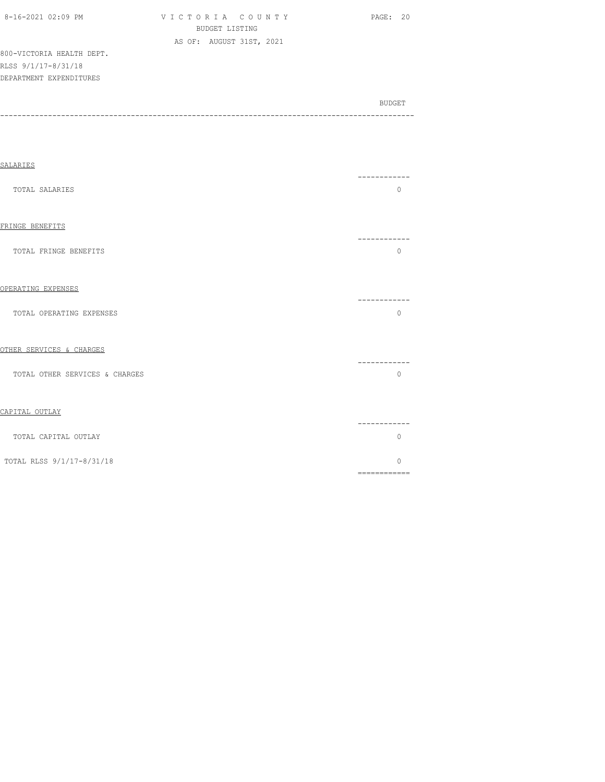| $8-16-2021$ $02:09$ PM    | VICTORIA COUNTY          | PAGE: 20 |
|---------------------------|--------------------------|----------|
|                           | BUDGET LISTING           |          |
|                           | AS OF: AUGUST 31ST, 2021 |          |
| 800-VICTORIA HEALTH DEPT. |                          |          |
| RLSS 9/1/17-8/31/18       |                          |          |
| DEPARTMENT EXPENDITURES   |                          |          |
|                           |                          |          |
|                           |                          |          |

| <b>SALARIES</b>                |                        |
|--------------------------------|------------------------|
| TOTAL SALARIES                 | -----------<br>$\circ$ |
| FRINGE BENEFITS                | ----------             |
| TOTAL FRINGE BENEFITS          | $\mathbf{0}$           |
| OPERATING EXPENSES             | ----------             |
| TOTAL OPERATING EXPENSES       | $\Omega$               |
| OTHER SERVICES & CHARGES       | -----------            |
| TOTAL OTHER SERVICES & CHARGES | $\Omega$               |
| CAPITAL OUTLAY                 | -----------            |
| TOTAL CAPITAL OUTLAY           | $\mathbf{0}$           |
| TOTAL RLSS 9/1/17-8/31/18      | $\Omega$               |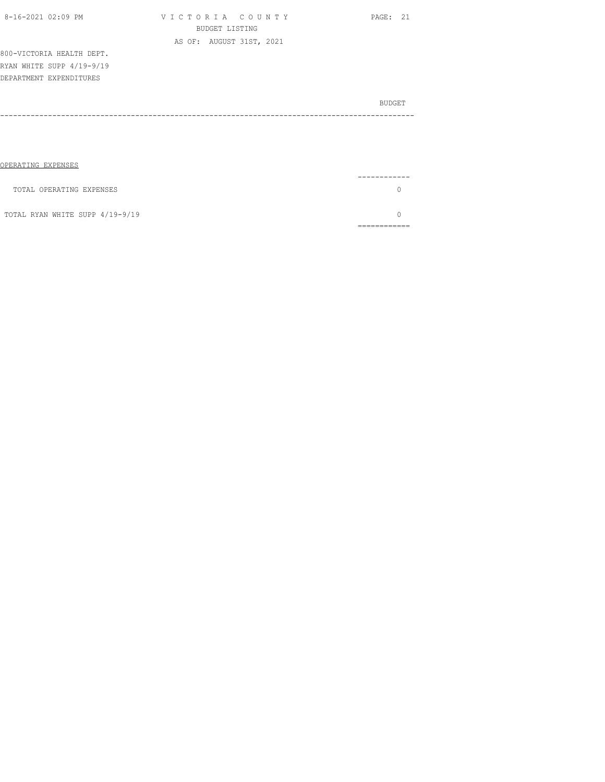| 8-16-2021 02:09 PM        | VICTORIA COUNTY<br>BUDGET LISTING | PAGE: 21 |
|---------------------------|-----------------------------------|----------|
|                           |                                   |          |
|                           | AS OF: AUGUST 31ST, 2021          |          |
| 800-VICTORIA HEALTH DEPT. |                                   |          |
| RYAN WHITE SUPP 4/19-9/19 |                                   |          |
| DEPARTMENT EXPENDITURES   |                                   |          |
|                           |                                   | BUDGET   |
|                           |                                   |          |
|                           |                                   |          |
|                           |                                   |          |
|                           |                                   |          |

| OPERATING EXPENSES              |          |
|---------------------------------|----------|
|                                 | -------- |
| TOTAL OPERATING EXPENSES        |          |
| TOTAL RYAN WHITE SUPP 4/19-9/19 |          |
|                                 |          |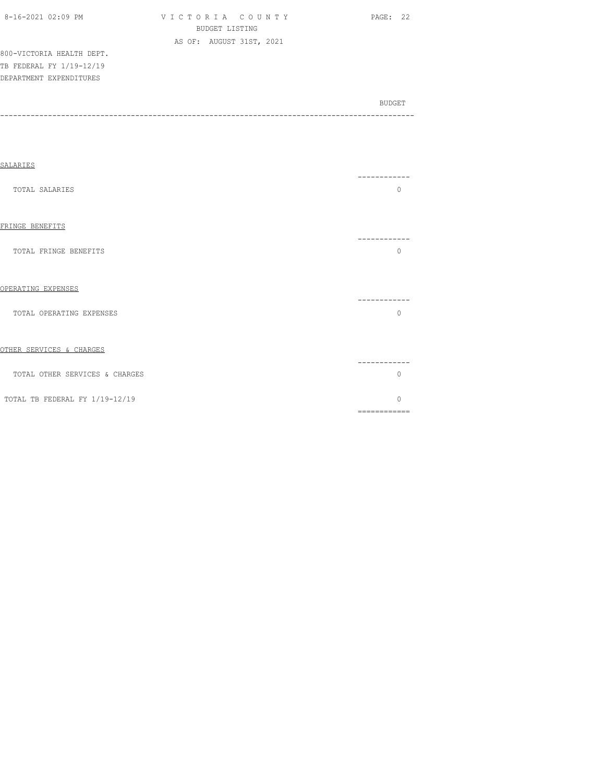| 8-16-2021 02:09 PM |  |
|--------------------|--|
|                    |  |

V I C T O R I A C O U N T Y PAGE: 22 BUDGET LISTING AS OF: AUGUST 31ST, 2021

800-VICTORIA HEALTH DEPT. TB FEDERAL FY 1/19-12/19 DEPARTMENT EXPENDITURES

| SALARIES                       |                           |
|--------------------------------|---------------------------|
| TOTAL SALARIES                 | ----------<br>$\Omega$    |
| FRINGE BENEFITS                | --------                  |
| TOTAL FRINGE BENEFITS          | $\bigcap$                 |
| OPERATING EXPENSES             | ----------                |
| TOTAL OPERATING EXPENSES       | $\circ$                   |
| OTHER SERVICES & CHARGES       |                           |
| TOTAL OTHER SERVICES & CHARGES | -----------<br>$\bigcap$  |
| TOTAL TB FEDERAL FY 1/19-12/19 | $\bigcap$<br>============ |
|                                |                           |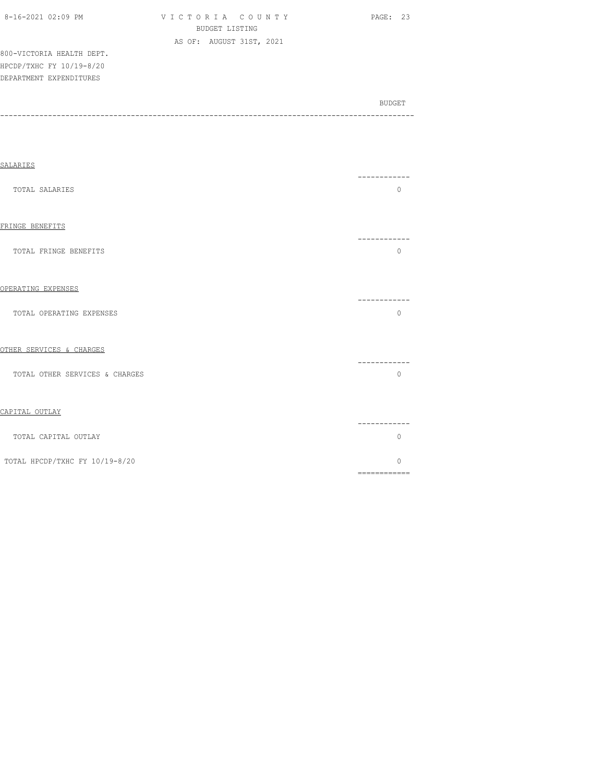| 8-16-2021 02:09 PM        | VICTORIA COUNTY          | PAGE: 23 |
|---------------------------|--------------------------|----------|
|                           | BUDGET LISTING           |          |
|                           | AS OF: AUGUST 31ST, 2021 |          |
| 800-VICTORIA HEALTH DEPT. |                          |          |
| HPCDP/TXHC FY 10/19-8/20  |                          |          |
| DEPARTMENT EXPENDITURES   |                          |          |
|                           |                          |          |

SALARIES ------------ TOTAL SALARIES 0 FRINGE BENEFITS ------------ TOTAL FRINGE BENEFITS O OPERATING EXPENSES ------------ TOTAL OPERATING EXPENSES O OTHER SERVICES & CHARGES ------------ TOTAL OTHER SERVICES & CHARGES CAPITAL OUTLAY

| AU TIUM AN TUUT                |           |
|--------------------------------|-----------|
|                                | --------- |
| TOTAL CAPITAL OUTLAY           |           |
| TOTAL HPCDP/TXHC FY 10/19-8/20 |           |
|                                |           |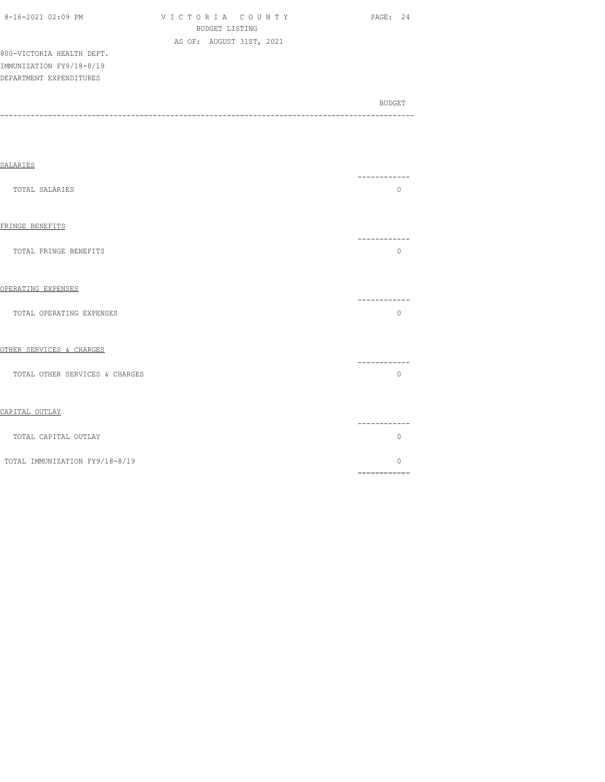| 8-16-2021 02:09 PM        | VICTORIA COUNTY          | PAGE: 24 |
|---------------------------|--------------------------|----------|
|                           | BUDGET LISTING           |          |
|                           | AS OF: AUGUST 31ST, 2021 |          |
| 800-VICTORIA HEALTH DEPT. |                          |          |
| IMMUNIZATION FY9/18-8/19  |                          |          |
| DEPARTMENT EXPENDITURES   |                          |          |
|                           |                          |          |

| <b>SALARIES</b>                |                     |
|--------------------------------|---------------------|
| TOTAL SALARIES                 | -------<br>$\Omega$ |
| FRINGE BENEFITS                |                     |
| TOTAL FRINGE BENEFITS          | $\Omega$            |
| OPERATING EXPENSES             | ----------          |
| TOTAL OPERATING EXPENSES       | $\circ$             |
| OTHER SERVICES & CHARGES       | -------             |
| TOTAL OTHER SERVICES & CHARGES | $\Omega$            |
| CAPITAL OUTLAY                 | ---------           |
| TOTAL CAPITAL OUTLAY           | $\circ$             |
| TOTAL IMMUNIZATION FY9/18-8/19 | $\circ$             |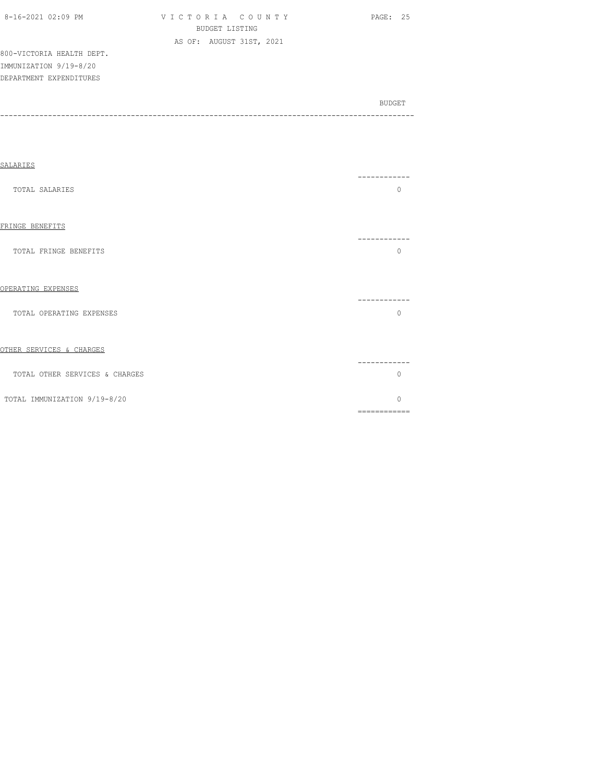| 8-16-2021 02:09 PM |  |  |
|--------------------|--|--|

VICTORIA COUNTY PAGE: 25 BUDGET LISTING AS OF: AUGUST 31ST, 2021

800-VICTORIA HEALTH DEPT. IMMUNIZATION 9/19-8/20 DEPARTMENT EXPENDITURES

| SALARIES                       |                           |
|--------------------------------|---------------------------|
| <b>TOTAL SALARIES</b>          | $\Omega$                  |
| FRINGE BENEFITS                |                           |
| TOTAL FRINGE BENEFITS          | $\Omega$                  |
| OPERATING EXPENSES             | ----------                |
| TOTAL OPERATING EXPENSES       | $\circ$                   |
| OTHER SERVICES & CHARGES       | ---------                 |
| TOTAL OTHER SERVICES & CHARGES | $\bigcap$                 |
| TOTAL IMMUNIZATION 9/19-8/20   | $\bigcap$<br>============ |
|                                |                           |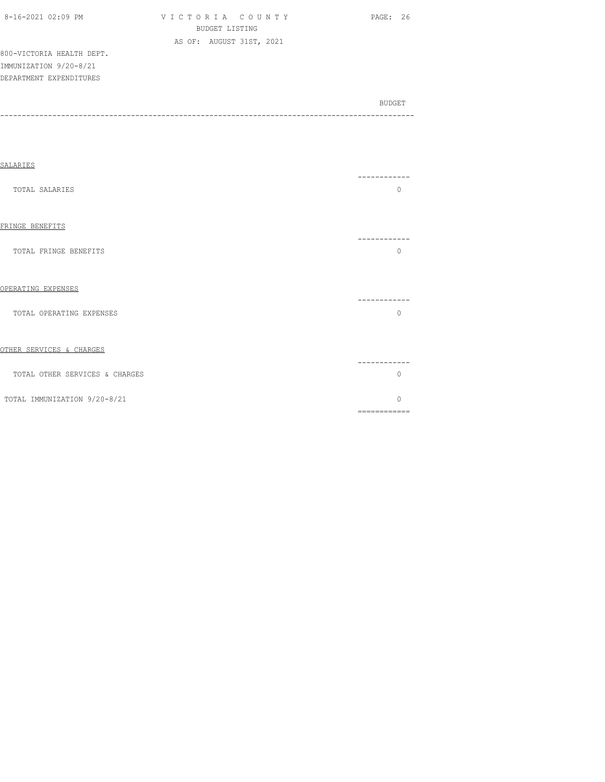| 8-16-2021 02:09 PM |  |  |
|--------------------|--|--|

VICTORIA COUNTY PAGE: 26 BUDGET LISTING AS OF: AUGUST 31ST, 2021

800-VICTORIA HEALTH DEPT. IMMUNIZATION 9/20-8/21 DEPARTMENT EXPENDITURES

| SALARIES                       |                           |
|--------------------------------|---------------------------|
| TOTAL SALARIES                 | ---------<br>$\Omega$     |
| FRINGE BENEFITS                | .                         |
| TOTAL FRINGE BENEFITS          | $\Omega$                  |
| OPERATING EXPENSES             | --------                  |
| TOTAL OPERATING EXPENSES       | $\Omega$                  |
| OTHER SERVICES & CHARGES       |                           |
| TOTAL OTHER SERVICES & CHARGES | $\bigcap$                 |
| TOTAL IMMUNIZATION 9/20-8/21   | $\bigcap$<br>============ |
|                                |                           |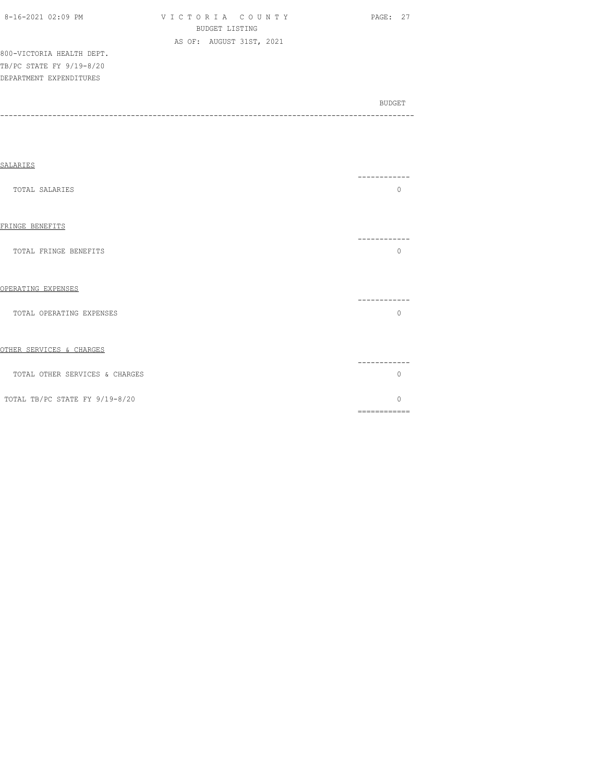| 8-16-2021 02:09 PM        | VICTORIA COUNTY          | PAGE: 27 |
|---------------------------|--------------------------|----------|
|                           | BUDGET LISTING           |          |
|                           | AS OF: AUGUST 31ST, 2021 |          |
| 800-VICTORIA HEALTH DEPT. |                          |          |
| TB/PC STATE FY 9/19-8/20  |                          |          |
| DEPARTMENT EXPENDITURES   |                          |          |

| SALARIES                       |                        |  |
|--------------------------------|------------------------|--|
| TOTAL SALARIES                 | ------<br>$\Omega$     |  |
| FRINGE BENEFITS                |                        |  |
| TOTAL FRINGE BENEFITS          | U                      |  |
| OPERATING EXPENSES             | ---------              |  |
| TOTAL OPERATING EXPENSES       | O                      |  |
| OTHER SERVICES & CHARGES       |                        |  |
| TOTAL OTHER SERVICES & CHARGES | Λ                      |  |
| TOTAL TB/PC STATE FY 9/19-8/20 | $\cap$<br>============ |  |
|                                |                        |  |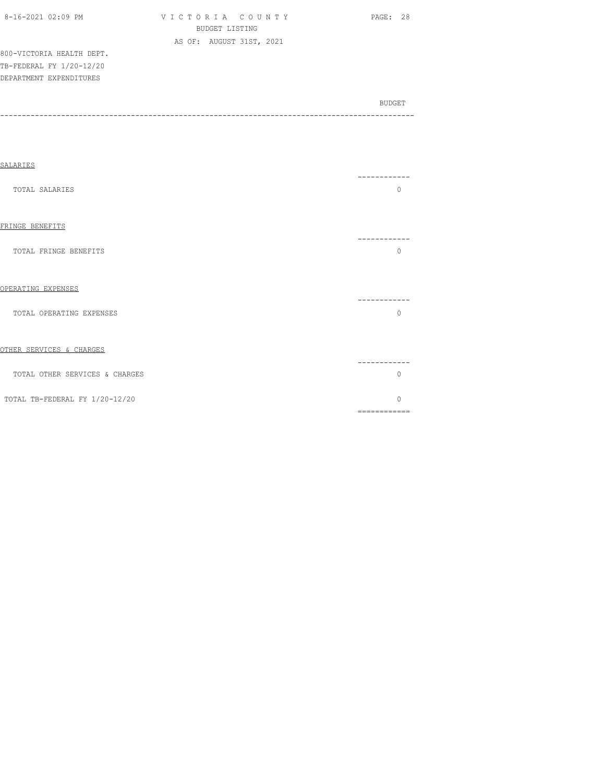| 8-16-2021 02:09 PM        | VICTORIA COUNTY          | <b>PAGE: 28</b> |
|---------------------------|--------------------------|-----------------|
|                           | BUDGET LISTING           |                 |
|                           | AS OF: AUGUST 31ST, 2021 |                 |
| 800-VICTORIA HEALTH DEPT. |                          |                 |
| TB-FEDERAL FY 1/20-12/20  |                          |                 |

DEPARTMENT EXPENDITURES

| SALARIES                       |                                                                                                                                                                                                                                                                                                                                                                                                                                                                                                    |
|--------------------------------|----------------------------------------------------------------------------------------------------------------------------------------------------------------------------------------------------------------------------------------------------------------------------------------------------------------------------------------------------------------------------------------------------------------------------------------------------------------------------------------------------|
| TOTAL SALARIES                 | -------<br>0                                                                                                                                                                                                                                                                                                                                                                                                                                                                                       |
| FRINGE BENEFITS                | --------                                                                                                                                                                                                                                                                                                                                                                                                                                                                                           |
| TOTAL FRINGE BENEFITS          | 0                                                                                                                                                                                                                                                                                                                                                                                                                                                                                                  |
| OPERATING EXPENSES             | -------                                                                                                                                                                                                                                                                                                                                                                                                                                                                                            |
| TOTAL OPERATING EXPENSES       | 0                                                                                                                                                                                                                                                                                                                                                                                                                                                                                                  |
| OTHER SERVICES & CHARGES       |                                                                                                                                                                                                                                                                                                                                                                                                                                                                                                    |
| TOTAL OTHER SERVICES & CHARGES | .<br>0                                                                                                                                                                                                                                                                                                                                                                                                                                                                                             |
| TOTAL TB-FEDERAL FY 1/20-12/20 | $\Omega$<br>$\begin{array}{cccccccccccccc} \multicolumn{2}{c}{} & \multicolumn{2}{c}{} & \multicolumn{2}{c}{} & \multicolumn{2}{c}{} & \multicolumn{2}{c}{} & \multicolumn{2}{c}{} & \multicolumn{2}{c}{} & \multicolumn{2}{c}{} & \multicolumn{2}{c}{} & \multicolumn{2}{c}{} & \multicolumn{2}{c}{} & \multicolumn{2}{c}{} & \multicolumn{2}{c}{} & \multicolumn{2}{c}{} & \multicolumn{2}{c}{} & \multicolumn{2}{c}{} & \multicolumn{2}{c}{} & \multicolumn{2}{c}{} & \multicolumn{2}{c}{} & \$ |
|                                |                                                                                                                                                                                                                                                                                                                                                                                                                                                                                                    |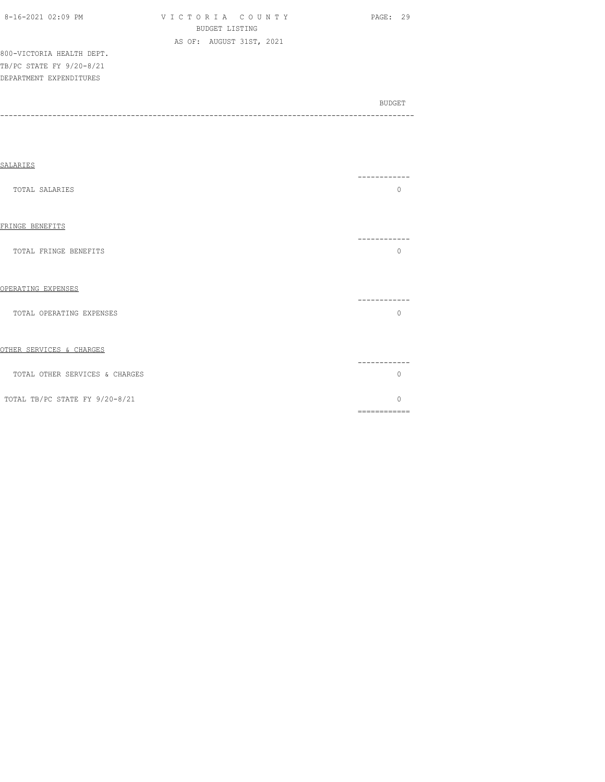| 8-16-2021 02:09 PM        | VICTORIA COUNTY          | PAGE: 29 |
|---------------------------|--------------------------|----------|
|                           | BUDGET LISTING           |          |
|                           | AS OF: AUGUST 31ST, 2021 |          |
| 800-VICTORIA HEALTH DEPT. |                          |          |
| TB/PC STATE FY 9/20-8/21  |                          |          |

DEPARTMENT EXPENDITURES

| SALARIES                       | .                         |
|--------------------------------|---------------------------|
| TOTAL SALARIES                 | $\bigcap$                 |
| FRINGE BENEFITS                |                           |
| TOTAL FRINGE BENEFITS          | $\bigcap$                 |
| OPERATING EXPENSES             | --------                  |
| TOTAL OPERATING EXPENSES       | $\Omega$                  |
| OTHER SERVICES & CHARGES       | . _ _ _ _ _ _ _ _ _ _ _   |
| TOTAL OTHER SERVICES & CHARGES | $\bigcap$                 |
| TOTAL TB/PC STATE FY 9/20-8/21 | $\bigcap$<br>============ |
|                                |                           |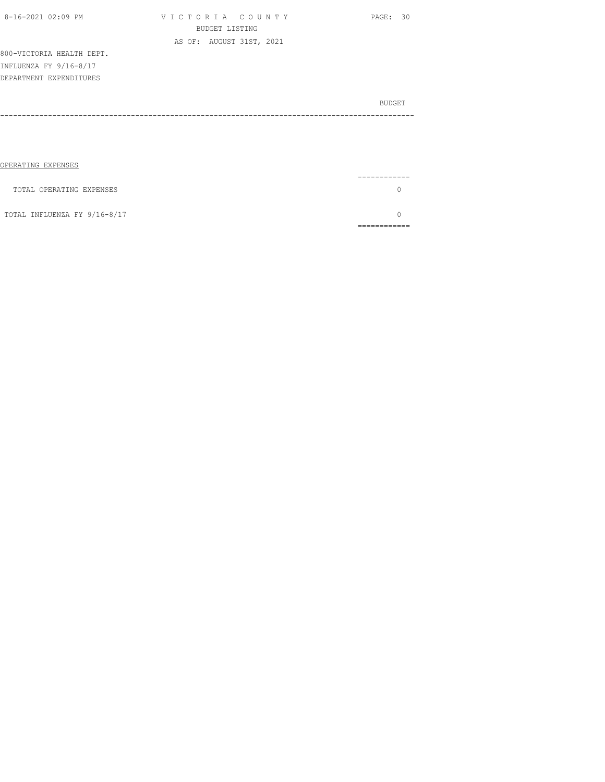| 8-16-2021 02:09 PM        | VICTORIA COUNTY          | PAGE: 30      |
|---------------------------|--------------------------|---------------|
|                           | <b>BUDGET LISTING</b>    |               |
|                           | AS OF: AUGUST 31ST, 2021 |               |
| 800-VICTORIA HEALTH DEPT. |                          |               |
| INFLUENZA FY 9/16-8/17    |                          |               |
| DEPARTMENT EXPENDITURES   |                          |               |
|                           |                          |               |
|                           |                          | <b>BUDGET</b> |
|                           |                          |               |
|                           |                          |               |
|                           |                          |               |
|                           |                          |               |
| OPERATING EXPENSES        |                          |               |

| TOTAL OPERATING EXPENSES     |  |
|------------------------------|--|
| TOTAL INFLUENZA FY 9/16-8/17 |  |
|                              |  |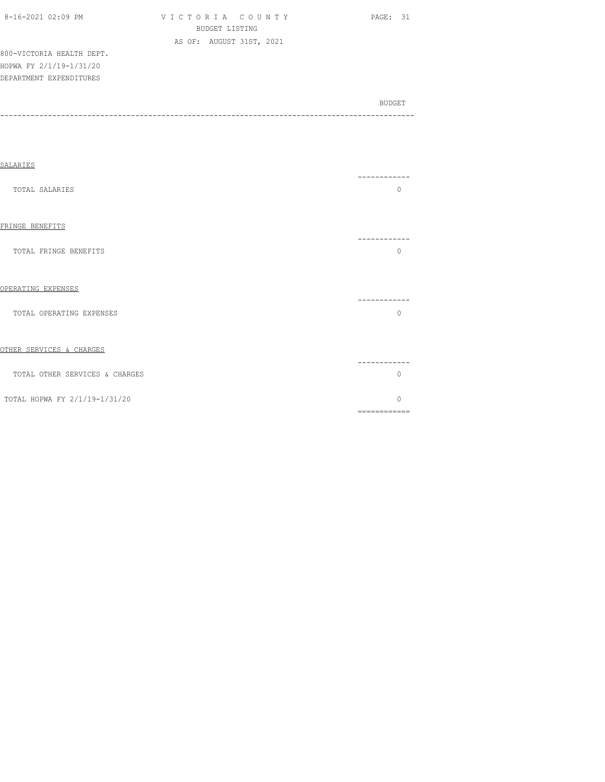| 8-16-2021 02:09 PM |  |
|--------------------|--|

V I C T O R I A C O U N T Y PAGE: 31 BUDGET LISTING AS OF: AUGUST 31ST, 2021

800-VICTORIA HEALTH DEPT. HOPWA FY 2/1/19-1/31/20 DEPARTMENT EXPENDITURES

| SALARIES                       |                                                                                                                                                                                                                                                                                                                                                                                                                                                                                                    |
|--------------------------------|----------------------------------------------------------------------------------------------------------------------------------------------------------------------------------------------------------------------------------------------------------------------------------------------------------------------------------------------------------------------------------------------------------------------------------------------------------------------------------------------------|
| TOTAL SALARIES                 | --------<br>$\Omega$                                                                                                                                                                                                                                                                                                                                                                                                                                                                               |
| FRINGE BENEFITS                | ----------                                                                                                                                                                                                                                                                                                                                                                                                                                                                                         |
| TOTAL FRINGE BENEFITS          | $\Omega$                                                                                                                                                                                                                                                                                                                                                                                                                                                                                           |
| OPERATING EXPENSES             | .                                                                                                                                                                                                                                                                                                                                                                                                                                                                                                  |
| TOTAL OPERATING EXPENSES       | $\Omega$                                                                                                                                                                                                                                                                                                                                                                                                                                                                                           |
| OTHER SERVICES & CHARGES       |                                                                                                                                                                                                                                                                                                                                                                                                                                                                                                    |
| TOTAL OTHER SERVICES & CHARGES | $\Omega$                                                                                                                                                                                                                                                                                                                                                                                                                                                                                           |
| TOTAL HOPWA FY 2/1/19-1/31/20  | $\Omega$<br>$\begin{array}{cccccccccc} \multicolumn{2}{c}{} & \multicolumn{2}{c}{} & \multicolumn{2}{c}{} & \multicolumn{2}{c}{} & \multicolumn{2}{c}{} & \multicolumn{2}{c}{} & \multicolumn{2}{c}{} & \multicolumn{2}{c}{} & \multicolumn{2}{c}{} & \multicolumn{2}{c}{} & \multicolumn{2}{c}{} & \multicolumn{2}{c}{} & \multicolumn{2}{c}{} & \multicolumn{2}{c}{} & \multicolumn{2}{c}{} & \multicolumn{2}{c}{} & \multicolumn{2}{c}{} & \multicolumn{2}{c}{} & \multicolumn{2}{c}{} & \mult$ |
|                                |                                                                                                                                                                                                                                                                                                                                                                                                                                                                                                    |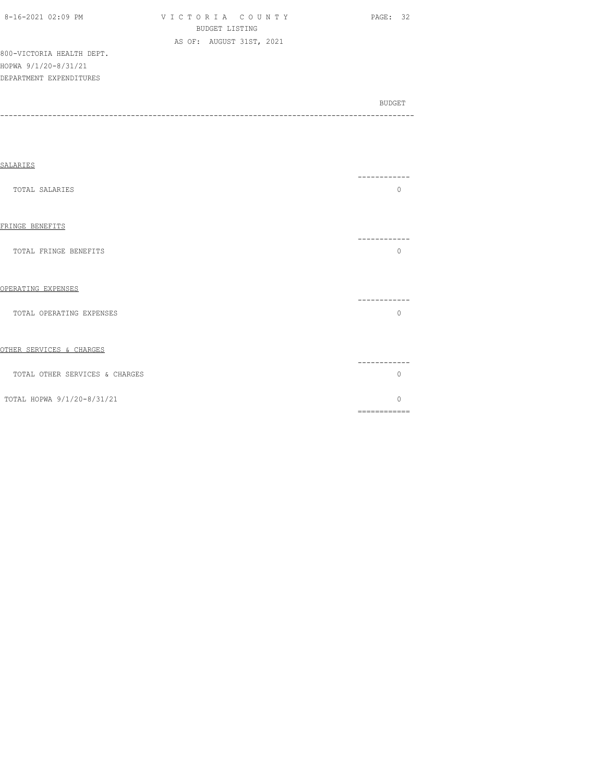|--|

V I C T O R I A C O U N T Y PAGE: 32 BUDGET LISTING AS OF: AUGUST 31ST, 2021

800-VICTORIA HEALTH DEPT. HOPWA 9/1/20-8/31/21 DEPARTMENT EXPENDITURES

| SALARIES                       |                          |
|--------------------------------|--------------------------|
| TOTAL SALARIES                 | --------<br>$\Omega$     |
| FRINGE BENEFITS                | ---------                |
| TOTAL FRINGE BENEFITS          | $\Omega$                 |
| OPERATING EXPENSES             |                          |
| TOTAL OPERATING EXPENSES       | $\Omega$                 |
| OTHER SERVICES & CHARGES       |                          |
| TOTAL OTHER SERVICES & CHARGES | $\Omega$                 |
| TOTAL HOPWA 9/1/20-8/31/21     | $\Omega$<br>============ |
|                                |                          |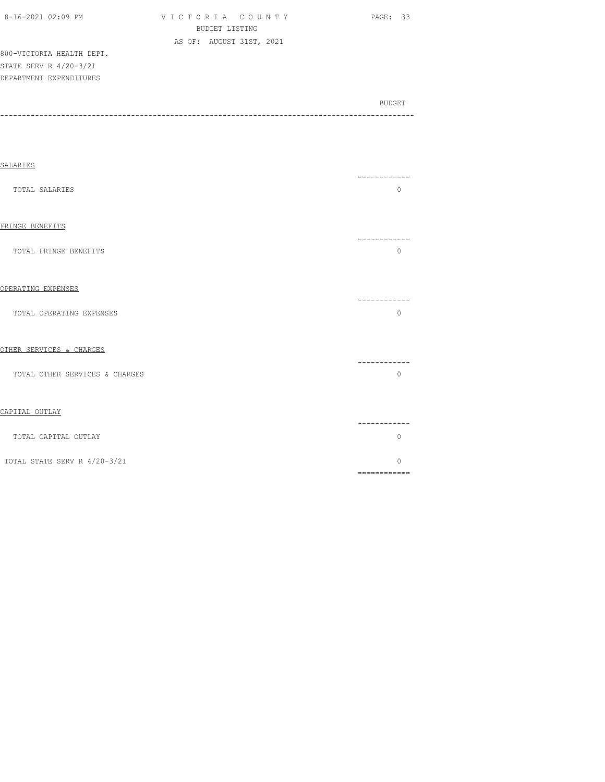| 8-16-2021 02:09 PM |  |  |
|--------------------|--|--|
|                    |  |  |

V I C T O R I A C O U N T Y PAGE: 33 BUDGET LISTING AS OF: AUGUST 31ST, 2021

800-VICTORIA HEALTH DEPT. STATE SERV R 4/20-3/21 DEPARTMENT EXPENDITURES

| SALARIES                       |                                                                                                                                                                                                                                                                                                                                                                                                                                                                                                    |  |
|--------------------------------|----------------------------------------------------------------------------------------------------------------------------------------------------------------------------------------------------------------------------------------------------------------------------------------------------------------------------------------------------------------------------------------------------------------------------------------------------------------------------------------------------|--|
| TOTAL SALARIES                 | -----------<br>$\Omega$                                                                                                                                                                                                                                                                                                                                                                                                                                                                            |  |
| FRINGE BENEFITS                |                                                                                                                                                                                                                                                                                                                                                                                                                                                                                                    |  |
| TOTAL FRINGE BENEFITS          | -----------<br>$\mathbf{0}$                                                                                                                                                                                                                                                                                                                                                                                                                                                                        |  |
| OPERATING EXPENSES             | -----------                                                                                                                                                                                                                                                                                                                                                                                                                                                                                        |  |
| TOTAL OPERATING EXPENSES       | $\Omega$                                                                                                                                                                                                                                                                                                                                                                                                                                                                                           |  |
| OTHER SERVICES & CHARGES       | ------------                                                                                                                                                                                                                                                                                                                                                                                                                                                                                       |  |
| TOTAL OTHER SERVICES & CHARGES | $\circ$                                                                                                                                                                                                                                                                                                                                                                                                                                                                                            |  |
| CAPITAL OUTLAY                 |                                                                                                                                                                                                                                                                                                                                                                                                                                                                                                    |  |
| TOTAL CAPITAL OUTLAY           | -----------<br>$\mathbf{0}$                                                                                                                                                                                                                                                                                                                                                                                                                                                                        |  |
| TOTAL STATE SERV R 4/20-3/21   | $\Omega$<br>$\begin{array}{cccccccccc} \multicolumn{2}{c}{} & \multicolumn{2}{c}{} & \multicolumn{2}{c}{} & \multicolumn{2}{c}{} & \multicolumn{2}{c}{} & \multicolumn{2}{c}{} & \multicolumn{2}{c}{} & \multicolumn{2}{c}{} & \multicolumn{2}{c}{} & \multicolumn{2}{c}{} & \multicolumn{2}{c}{} & \multicolumn{2}{c}{} & \multicolumn{2}{c}{} & \multicolumn{2}{c}{} & \multicolumn{2}{c}{} & \multicolumn{2}{c}{} & \multicolumn{2}{c}{} & \multicolumn{2}{c}{} & \multicolumn{2}{c}{} & \mult$ |  |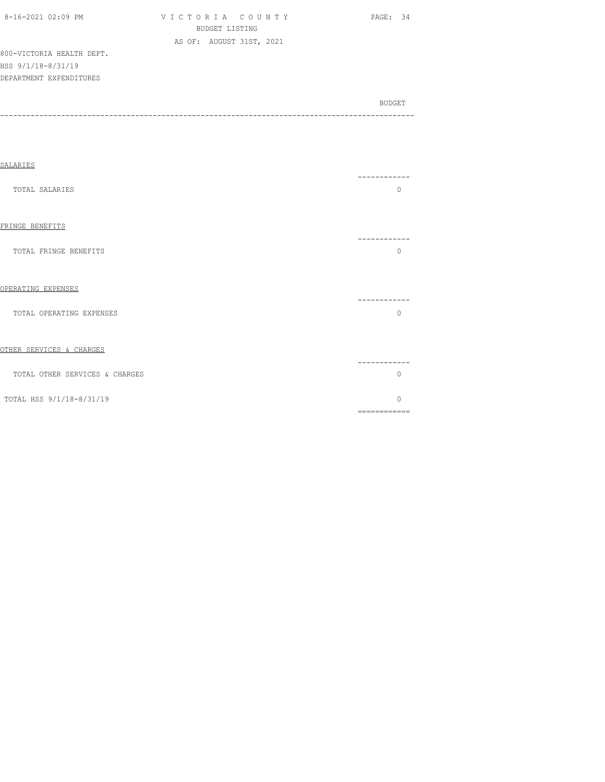| $8-16-2021$ $02:09$ PM    | VICTORIA COUNTY          | - 34<br>PAGE: |
|---------------------------|--------------------------|---------------|
|                           | BUDGET LISTING           |               |
|                           | AS OF: AUGUST 31ST, 2021 |               |
| 800-VICTORIA HEALTH DEPT. |                          |               |
| HSS 9/1/18-8/31/19        |                          |               |
| DEPARTMENT EXPENDITURES   |                          |               |
|                           |                          |               |
|                           |                          |               |

| SALARIES                       |                   |
|--------------------------------|-------------------|
| TOTAL SALARIES                 | $\Omega$          |
| FRINGE BENEFITS                |                   |
| TOTAL FRINGE BENEFITS          | O                 |
| OPERATING EXPENSES             |                   |
| TOTAL OPERATING EXPENSES       | $\Omega$          |
| OTHER SERVICES & CHARGES       |                   |
| TOTAL OTHER SERVICES & CHARGES | -----<br>$\Omega$ |
| TOTAL HSS 9/1/18-8/31/19       | $\Omega$          |
|                                | ============      |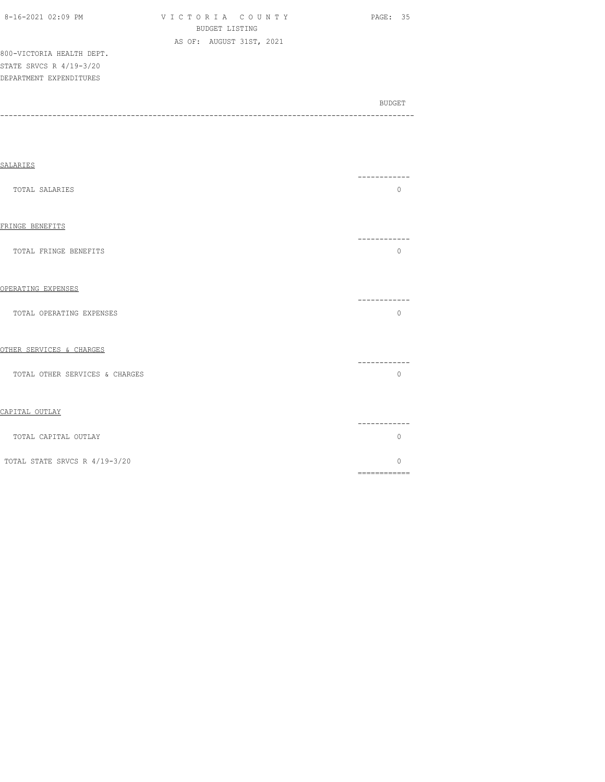| 8-16-2021 02:09 PM        | VICTORIA COUNTY          | PAGE: 35 |
|---------------------------|--------------------------|----------|
|                           | BUDGET LISTING           |          |
|                           | AS OF: AUGUST 31ST, 2021 |          |
| 800-VICTORIA HEALTH DEPT. |                          |          |
| STATE SRVCS R 4/19-3/20   |                          |          |

DEPARTMENT EXPENDITURES

| <b>SALARIES</b>                |                           |
|--------------------------------|---------------------------|
| TOTAL SALARIES                 | -----------<br>$\Omega$   |
| FRINGE BENEFITS                |                           |
| TOTAL FRINGE BENEFITS          | $\Omega$                  |
| OPERATING EXPENSES             |                           |
| TOTAL OPERATING EXPENSES       | -----------<br>$\Omega$   |
| OTHER SERVICES & CHARGES       |                           |
| TOTAL OTHER SERVICES & CHARGES | --------<br>$\Omega$      |
| CAPITAL OUTLAY                 |                           |
| TOTAL CAPITAL OUTLAY           | ----------<br>$\mathbf 0$ |
| TOTAL STATE SRVCS R 4/19-3/20  | $\Omega$                  |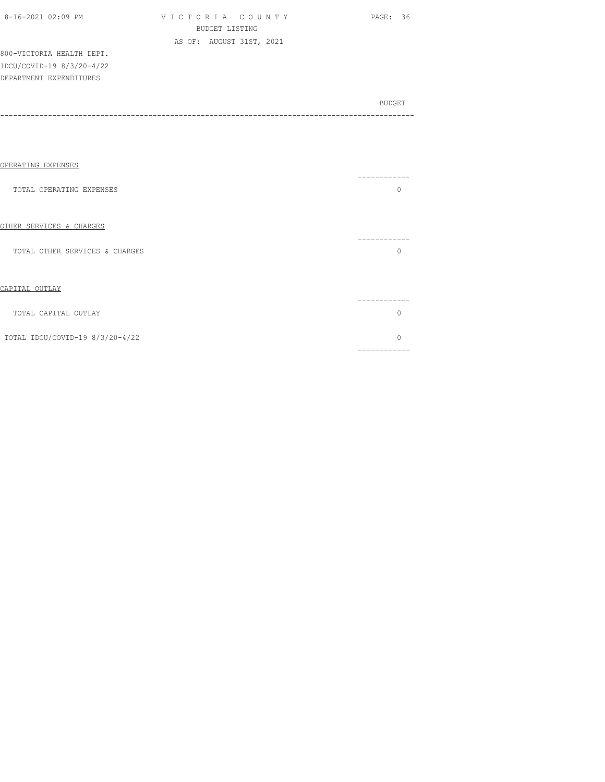| 8-16-2021 02:09 PM |  |
|--------------------|--|

VICTORIA COUNTY PAGE: 36 BUDGET LISTING AS OF: AUGUST 31ST, 2021

800-VICTORIA HEALTH DEPT. IDCU/COVID-19 8/3/20-4/22 DEPARTMENT EXPENDITURES

| OPERATING EXPENSES              |           |
|---------------------------------|-----------|
| TOTAL OPERATING EXPENSES        | --------  |
| OTHER SERVICES & CHARGES        |           |
| TOTAL OTHER SERVICES & CHARGES  |           |
| CAPITAL OUTLAY                  |           |
| TOTAL CAPITAL OUTLAY            |           |
| TOTAL IDCU/COVID-19 8/3/20-4/22 | ========= |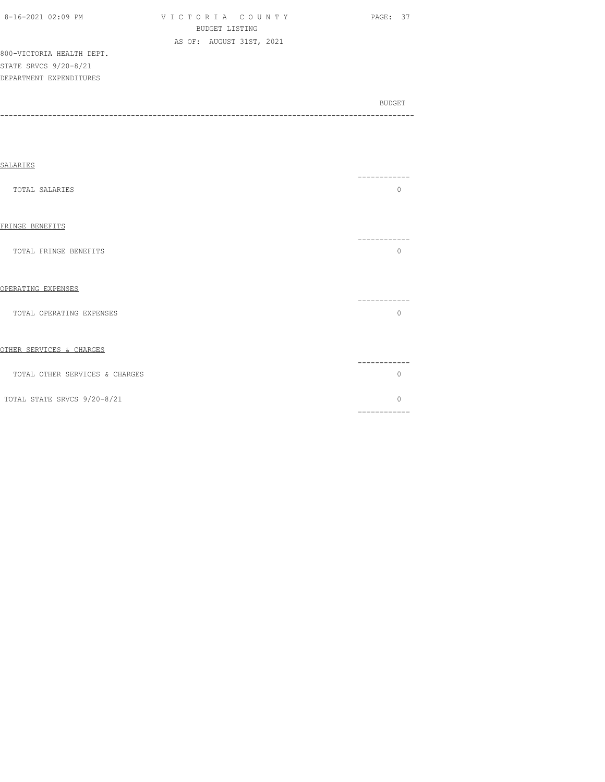| 8-16-2021 02:09 PM |  |
|--------------------|--|

V I C T O R I A C O U N T Y PAGE: 37 BUDGET LISTING AS OF: AUGUST 31ST, 2021

800-VICTORIA HEALTH DEPT. STATE SRVCS 9/20-8/21 DEPARTMENT EXPENDITURES

| SALARIES                       |                          |
|--------------------------------|--------------------------|
| TOTAL SALARIES                 | --------<br>$\Omega$     |
| FRINGE BENEFITS                | ---------                |
| TOTAL FRINGE BENEFITS          | $\Omega$                 |
| OPERATING EXPENSES             |                          |
| TOTAL OPERATING EXPENSES       | $\Omega$                 |
| OTHER SERVICES & CHARGES       |                          |
| TOTAL OTHER SERVICES & CHARGES | $\Omega$                 |
| TOTAL STATE SRVCS 9/20-8/21    | $\Omega$<br>============ |
|                                |                          |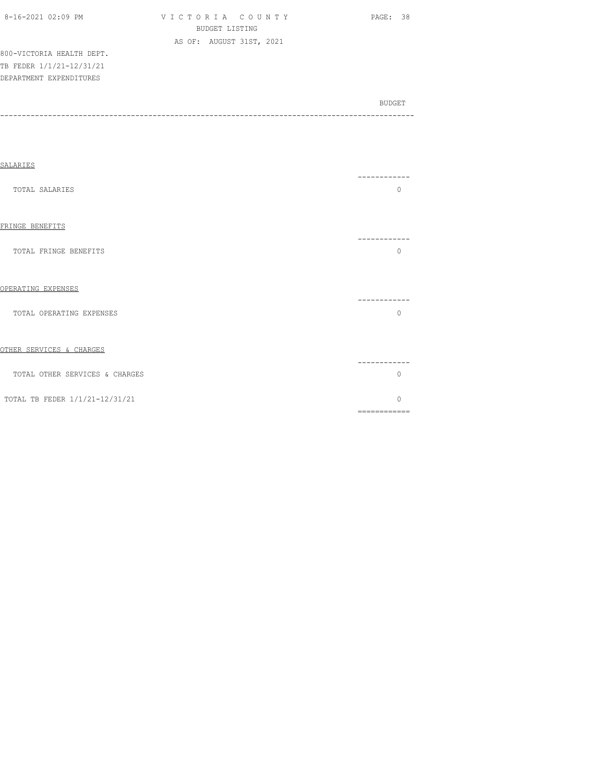| 8-16-2021 02:09 PM |  |
|--------------------|--|

V I C T O R I A C O U N T Y PAGE: 38 BUDGET LISTING AS OF: AUGUST 31ST, 2021

800-VICTORIA HEALTH DEPT. TB FEDER 1/1/21-12/31/21 DEPARTMENT EXPENDITURES

| -------<br>$\Omega$                                                                                                                                                                                                                                                                                                                                                                                                                                                                              |
|--------------------------------------------------------------------------------------------------------------------------------------------------------------------------------------------------------------------------------------------------------------------------------------------------------------------------------------------------------------------------------------------------------------------------------------------------------------------------------------------------|
| --------                                                                                                                                                                                                                                                                                                                                                                                                                                                                                         |
| $\Omega$                                                                                                                                                                                                                                                                                                                                                                                                                                                                                         |
| --------                                                                                                                                                                                                                                                                                                                                                                                                                                                                                         |
| $\mathbf{0}$                                                                                                                                                                                                                                                                                                                                                                                                                                                                                     |
| --------                                                                                                                                                                                                                                                                                                                                                                                                                                                                                         |
| $\Omega$                                                                                                                                                                                                                                                                                                                                                                                                                                                                                         |
| $\cap$<br>$\begin{array}{cccccccccc} \multicolumn{2}{c}{} & \multicolumn{2}{c}{} & \multicolumn{2}{c}{} & \multicolumn{2}{c}{} & \multicolumn{2}{c}{} & \multicolumn{2}{c}{} & \multicolumn{2}{c}{} & \multicolumn{2}{c}{} & \multicolumn{2}{c}{} & \multicolumn{2}{c}{} & \multicolumn{2}{c}{} & \multicolumn{2}{c}{} & \multicolumn{2}{c}{} & \multicolumn{2}{c}{} & \multicolumn{2}{c}{} & \multicolumn{2}{c}{} & \multicolumn{2}{c}{} & \multicolumn{2}{c}{} & \multicolumn{2}{c}{} & \mult$ |
|                                                                                                                                                                                                                                                                                                                                                                                                                                                                                                  |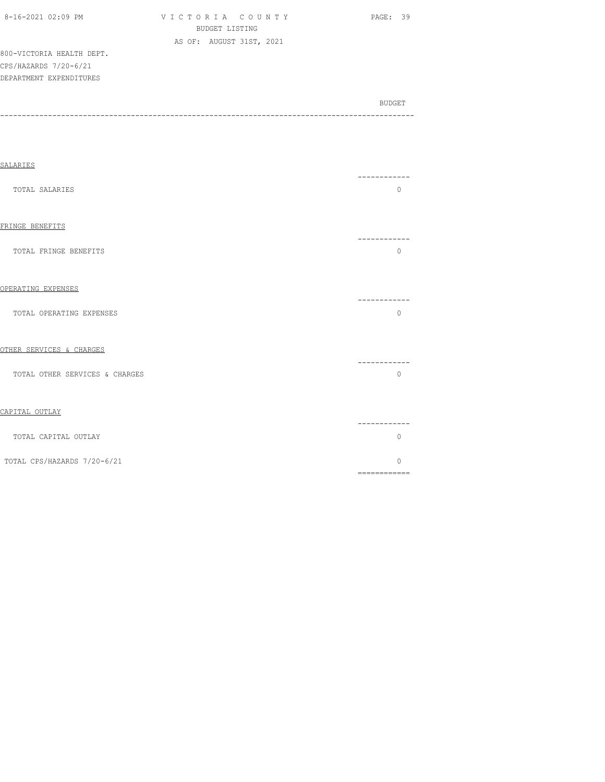| 8-16-2021 02:09 PM |  |
|--------------------|--|
|--------------------|--|

V I C T O R I A C O U N T Y PAGE: 39 BUDGET LISTING AS OF: AUGUST 31ST, 2021

800-VICTORIA HEALTH DEPT. CPS/HAZARDS 7/20-6/21 DEPARTMENT EXPENDITURES

| SALARIES                       |                                                                                                                                                                                                                                                                                                                                                                                                                                                                                                     |  |
|--------------------------------|-----------------------------------------------------------------------------------------------------------------------------------------------------------------------------------------------------------------------------------------------------------------------------------------------------------------------------------------------------------------------------------------------------------------------------------------------------------------------------------------------------|--|
| TOTAL SALARIES                 | ------------<br>$\Omega$                                                                                                                                                                                                                                                                                                                                                                                                                                                                            |  |
| FRINGE BENEFITS                | -----------                                                                                                                                                                                                                                                                                                                                                                                                                                                                                         |  |
| TOTAL FRINGE BENEFITS          | $\Omega$                                                                                                                                                                                                                                                                                                                                                                                                                                                                                            |  |
| OPERATING EXPENSES             | -----------                                                                                                                                                                                                                                                                                                                                                                                                                                                                                         |  |
| TOTAL OPERATING EXPENSES       | $\Omega$                                                                                                                                                                                                                                                                                                                                                                                                                                                                                            |  |
| OTHER SERVICES & CHARGES       | . _ _ _ _ _ _ _ _ _ _ _                                                                                                                                                                                                                                                                                                                                                                                                                                                                             |  |
| TOTAL OTHER SERVICES & CHARGES | $\mathbf{0}$                                                                                                                                                                                                                                                                                                                                                                                                                                                                                        |  |
| CAPITAL OUTLAY                 |                                                                                                                                                                                                                                                                                                                                                                                                                                                                                                     |  |
| TOTAL CAPITAL OUTLAY           | . _ _ _ _ _ _ _ _ _ _<br>0                                                                                                                                                                                                                                                                                                                                                                                                                                                                          |  |
| TOTAL CPS/HAZARDS 7/20-6/21    | $\bigcap$<br>$\begin{array}{cccccccccc} \multicolumn{2}{c}{} & \multicolumn{2}{c}{} & \multicolumn{2}{c}{} & \multicolumn{2}{c}{} & \multicolumn{2}{c}{} & \multicolumn{2}{c}{} & \multicolumn{2}{c}{} & \multicolumn{2}{c}{} & \multicolumn{2}{c}{} & \multicolumn{2}{c}{} & \multicolumn{2}{c}{} & \multicolumn{2}{c}{} & \multicolumn{2}{c}{} & \multicolumn{2}{c}{} & \multicolumn{2}{c}{} & \multicolumn{2}{c}{} & \multicolumn{2}{c}{} & \multicolumn{2}{c}{} & \multicolumn{2}{c}{} & \mult$ |  |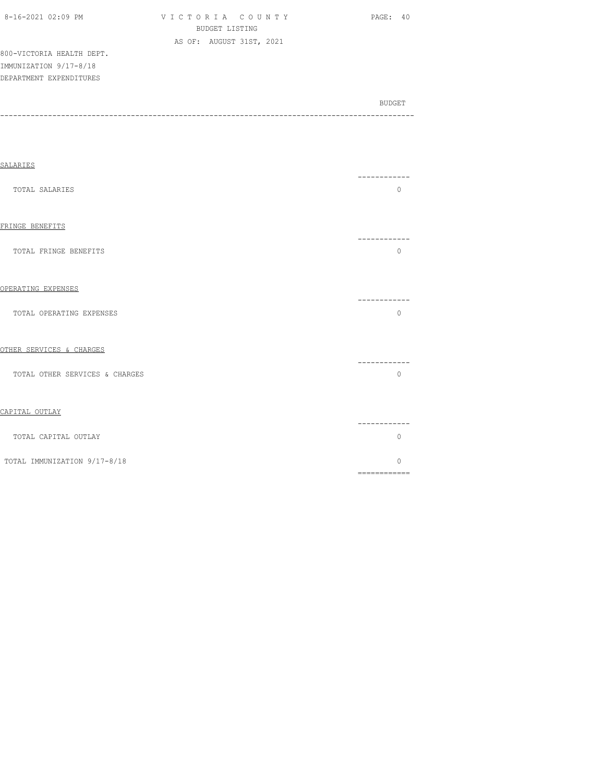| 8-16-2021 02:09 PM        | VICTORIA COUNTY          | PAGE: 40 |
|---------------------------|--------------------------|----------|
|                           | BUDGET LISTING           |          |
|                           | AS OF: AUGUST 31ST, 2021 |          |
| 800-VICTORIA HEALTH DEPT. |                          |          |
| IMMUNIZATION 9/17-8/18    |                          |          |

BUDGET AND RESERVE AND RESERVE AND RESERVE AND RESERVE AND RESERVE AND RESERVE AND RESERVE AND RESERVE AND RESERVE AND RESERVE AND RESERVE AND RESERVE AND RESERVE AND RESERVE AND RESPONDING A REPORT OF A REPORT OF A REPORT

DEPARTMENT EXPENDITURES

-----------------------------------------------------------------------------------------------

| <b>SALARIES</b>                |                                                                                                                                                                                                                                                                                                                                                                                                                                                                                                    |
|--------------------------------|----------------------------------------------------------------------------------------------------------------------------------------------------------------------------------------------------------------------------------------------------------------------------------------------------------------------------------------------------------------------------------------------------------------------------------------------------------------------------------------------------|
| TOTAL SALARIES                 | ------------<br>$\circ$                                                                                                                                                                                                                                                                                                                                                                                                                                                                            |
| FRINGE BENEFITS                | -----------                                                                                                                                                                                                                                                                                                                                                                                                                                                                                        |
| TOTAL FRINGE BENEFITS          | $\circ$                                                                                                                                                                                                                                                                                                                                                                                                                                                                                            |
| OPERATING EXPENSES             | . _ _ _ _ _ _ _ _                                                                                                                                                                                                                                                                                                                                                                                                                                                                                  |
| TOTAL OPERATING EXPENSES       | $\Omega$                                                                                                                                                                                                                                                                                                                                                                                                                                                                                           |
| OTHER SERVICES & CHARGES       | ---------                                                                                                                                                                                                                                                                                                                                                                                                                                                                                          |
| TOTAL OTHER SERVICES & CHARGES | $\mathbf{0}$                                                                                                                                                                                                                                                                                                                                                                                                                                                                                       |
| CAPITAL OUTLAY                 | --------                                                                                                                                                                                                                                                                                                                                                                                                                                                                                           |
| TOTAL CAPITAL OUTLAY           | $\Omega$                                                                                                                                                                                                                                                                                                                                                                                                                                                                                           |
| TOTAL IMMUNIZATION 9/17-8/18   | $\Omega$<br>$\begin{array}{cccccccccc} \multicolumn{2}{c}{} & \multicolumn{2}{c}{} & \multicolumn{2}{c}{} & \multicolumn{2}{c}{} & \multicolumn{2}{c}{} & \multicolumn{2}{c}{} & \multicolumn{2}{c}{} & \multicolumn{2}{c}{} & \multicolumn{2}{c}{} & \multicolumn{2}{c}{} & \multicolumn{2}{c}{} & \multicolumn{2}{c}{} & \multicolumn{2}{c}{} & \multicolumn{2}{c}{} & \multicolumn{2}{c}{} & \multicolumn{2}{c}{} & \multicolumn{2}{c}{} & \multicolumn{2}{c}{} & \multicolumn{2}{c}{} & \mult$ |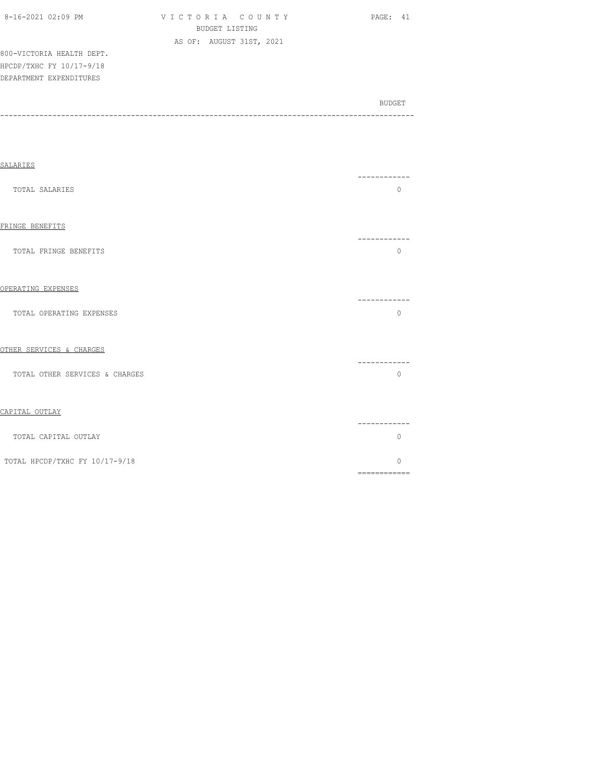| $8-16-2021$ $02:09$ PM    | VICTORIA COUNTY |                          |  | PAGE: 41 |  |
|---------------------------|-----------------|--------------------------|--|----------|--|
|                           |                 | BUDGET LISTING           |  |          |  |
|                           |                 | AS OF: AUGUST 31ST, 2021 |  |          |  |
| 800-VICTORIA HEALTH DEPT. |                 |                          |  |          |  |
| HPCDP/TXHC FY 10/17-9/18  |                 |                          |  |          |  |
| DEPARTMENT EXPENDITURES   |                 |                          |  |          |  |
|                           |                 |                          |  |          |  |

| <b>SALARIES</b>                |                                                                                                                                                                                                                                                                                                                                                                                                                                                                                                    |
|--------------------------------|----------------------------------------------------------------------------------------------------------------------------------------------------------------------------------------------------------------------------------------------------------------------------------------------------------------------------------------------------------------------------------------------------------------------------------------------------------------------------------------------------|
| TOTAL SALARIES                 | $\Omega$                                                                                                                                                                                                                                                                                                                                                                                                                                                                                           |
| FRINGE BENEFITS                |                                                                                                                                                                                                                                                                                                                                                                                                                                                                                                    |
| TOTAL FRINGE BENEFITS          | $\Omega$                                                                                                                                                                                                                                                                                                                                                                                                                                                                                           |
| OPERATING EXPENSES             |                                                                                                                                                                                                                                                                                                                                                                                                                                                                                                    |
| TOTAL OPERATING EXPENSES       | $\Omega$                                                                                                                                                                                                                                                                                                                                                                                                                                                                                           |
| OTHER SERVICES & CHARGES       | ---------                                                                                                                                                                                                                                                                                                                                                                                                                                                                                          |
| TOTAL OTHER SERVICES & CHARGES | $\Omega$                                                                                                                                                                                                                                                                                                                                                                                                                                                                                           |
| CAPITAL OUTLAY                 |                                                                                                                                                                                                                                                                                                                                                                                                                                                                                                    |
| TOTAL CAPITAL OUTLAY           | ---------<br>0                                                                                                                                                                                                                                                                                                                                                                                                                                                                                     |
| TOTAL HPCDP/TXHC FY 10/17-9/18 | $\Omega$<br>$\begin{array}{cccccccccc} \multicolumn{2}{c}{} & \multicolumn{2}{c}{} & \multicolumn{2}{c}{} & \multicolumn{2}{c}{} & \multicolumn{2}{c}{} & \multicolumn{2}{c}{} & \multicolumn{2}{c}{} & \multicolumn{2}{c}{} & \multicolumn{2}{c}{} & \multicolumn{2}{c}{} & \multicolumn{2}{c}{} & \multicolumn{2}{c}{} & \multicolumn{2}{c}{} & \multicolumn{2}{c}{} & \multicolumn{2}{c}{} & \multicolumn{2}{c}{} & \multicolumn{2}{c}{} & \multicolumn{2}{c}{} & \multicolumn{2}{c}{} & \mult$ |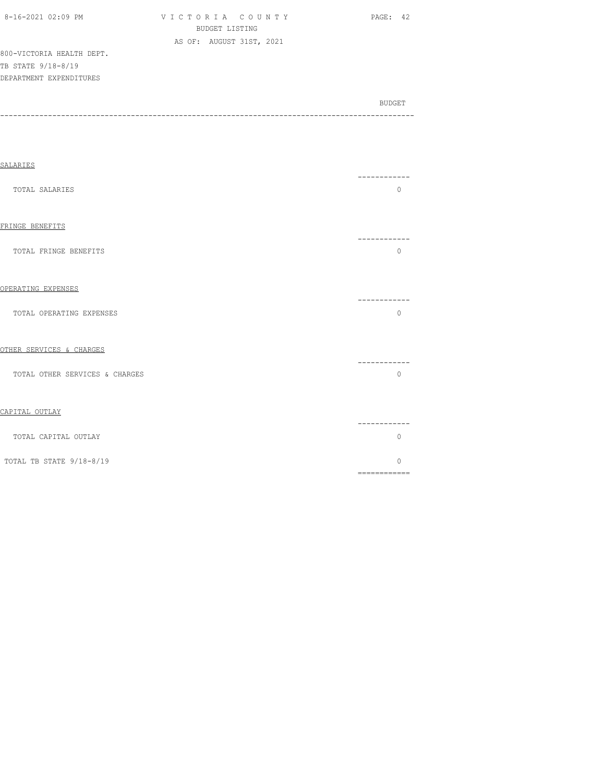| 8-16-2021 02:09 PM        | VICTORIA COUNTY          | - 42.<br>PAGE: |
|---------------------------|--------------------------|----------------|
|                           | BUDGET LISTING           |                |
|                           | AS OF: AUGUST 31ST, 2021 |                |
| 800-VICTORIA HEALTH DEPT. |                          |                |
| TB STATE 9/18-8/19        |                          |                |
| DEPARTMENT EXPENDITURES   |                          |                |
|                           |                          |                |
|                           |                          |                |

| SALARIES                       |           |
|--------------------------------|-----------|
| <b>TOTAL SALARIES</b>          | $\circ$   |
| FRINGE BENEFITS                | --------- |
| TOTAL FRINGE BENEFITS          | $\circ$   |
| OPERATING EXPENSES             | --------  |
| TOTAL OPERATING EXPENSES       | $\circ$   |
| OTHER SERVICES & CHARGES       | .         |
| TOTAL OTHER SERVICES & CHARGES | $\circ$   |
| CAPITAL OUTLAY                 | --------- |
| TOTAL CAPITAL OUTLAY           | 0         |
| TOTAL TB STATE 9/18-8/19       | $\circ$   |

============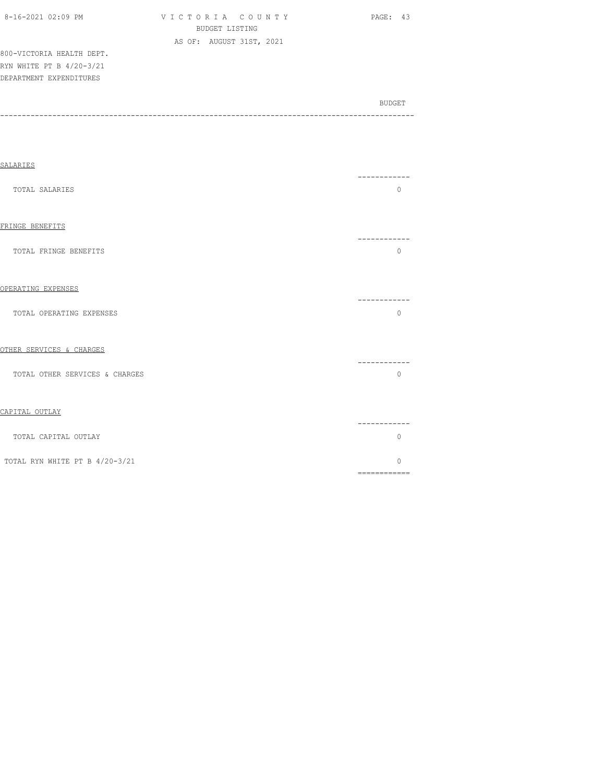| 8-16-2021 02:09 PM        | VICTORIA COUNTY          | <b>PAGE: 43</b> |
|---------------------------|--------------------------|-----------------|
|                           | BUDGET LISTING           |                 |
|                           | AS OF: AUGUST 31ST, 2021 |                 |
| 800-VICTORIA HEALTH DEPT. |                          |                 |
| RYN WHITE PT B 4/20-3/21  |                          |                 |
| DEPARTMENT EXPENDITURES   |                          |                 |

| <b>SALARIES</b>                |                                                                                                                                                                                                                                                                                                                                                                                                                                                                                                    |
|--------------------------------|----------------------------------------------------------------------------------------------------------------------------------------------------------------------------------------------------------------------------------------------------------------------------------------------------------------------------------------------------------------------------------------------------------------------------------------------------------------------------------------------------|
| TOTAL SALARIES                 | -------<br>$\mathbf{0}$                                                                                                                                                                                                                                                                                                                                                                                                                                                                            |
| FRINGE BENEFITS                |                                                                                                                                                                                                                                                                                                                                                                                                                                                                                                    |
| TOTAL FRINGE BENEFITS          | ---------<br>$\mathbf{0}$                                                                                                                                                                                                                                                                                                                                                                                                                                                                          |
| OPERATING EXPENSES             |                                                                                                                                                                                                                                                                                                                                                                                                                                                                                                    |
| TOTAL OPERATING EXPENSES       | -----------<br>$\Omega$                                                                                                                                                                                                                                                                                                                                                                                                                                                                            |
| OTHER SERVICES & CHARGES       |                                                                                                                                                                                                                                                                                                                                                                                                                                                                                                    |
| TOTAL OTHER SERVICES & CHARGES | -----------<br>$\Omega$                                                                                                                                                                                                                                                                                                                                                                                                                                                                            |
| CAPITAL OUTLAY                 |                                                                                                                                                                                                                                                                                                                                                                                                                                                                                                    |
| TOTAL CAPITAL OUTLAY           | -----------<br>$\mathbf{0}$                                                                                                                                                                                                                                                                                                                                                                                                                                                                        |
| TOTAL RYN WHITE PT B 4/20-3/21 | $\Omega$<br>$\begin{array}{cccccccccc} \multicolumn{2}{c}{} & \multicolumn{2}{c}{} & \multicolumn{2}{c}{} & \multicolumn{2}{c}{} & \multicolumn{2}{c}{} & \multicolumn{2}{c}{} & \multicolumn{2}{c}{} & \multicolumn{2}{c}{} & \multicolumn{2}{c}{} & \multicolumn{2}{c}{} & \multicolumn{2}{c}{} & \multicolumn{2}{c}{} & \multicolumn{2}{c}{} & \multicolumn{2}{c}{} & \multicolumn{2}{c}{} & \multicolumn{2}{c}{} & \multicolumn{2}{c}{} & \multicolumn{2}{c}{} & \multicolumn{2}{c}{} & \mult$ |
|                                |                                                                                                                                                                                                                                                                                                                                                                                                                                                                                                    |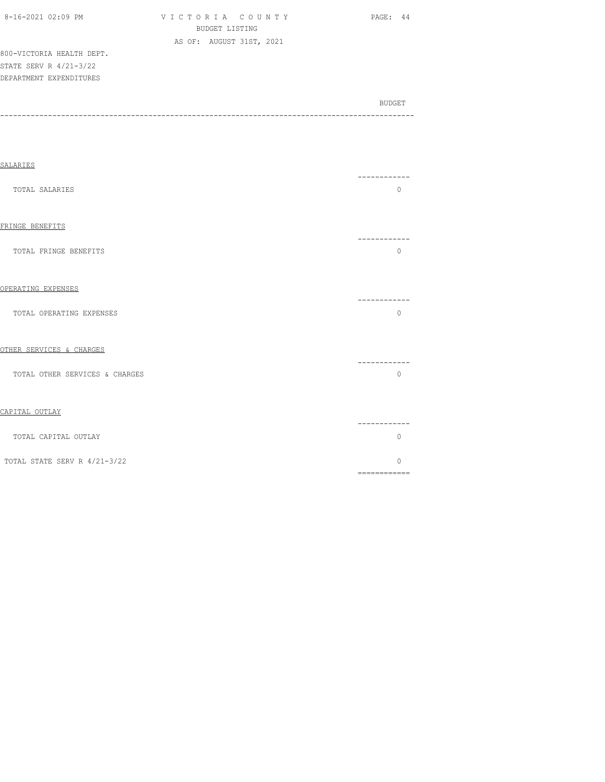| 8-16-2021 02:09 PM |  |  |
|--------------------|--|--|
|                    |  |  |

V I C T O R I A C O U N T Y PAGE: 44 BUDGET LISTING AS OF: AUGUST 31ST, 2021

800-VICTORIA HEALTH DEPT. STATE SERV R 4/21-3/22 DEPARTMENT EXPENDITURES

| SALARIES                       |                         |
|--------------------------------|-------------------------|
| TOTAL SALARIES                 | ------------<br>$\circ$ |
| FRINGE BENEFITS                |                         |
| TOTAL FRINGE BENEFITS          | -----------<br>$\Omega$ |
| OPERATING EXPENSES             |                         |
| TOTAL OPERATING EXPENSES       | -----------<br>$\circ$  |
| OTHER SERVICES & CHARGES       |                         |
| TOTAL OTHER SERVICES & CHARGES | -----------<br>$\circ$  |
| CAPITAL OUTLAY                 |                         |
| TOTAL CAPITAL OUTLAY           | -----------<br>$\Omega$ |
| TOTAL STATE SERV R 4/21-3/22   | $\Omega$                |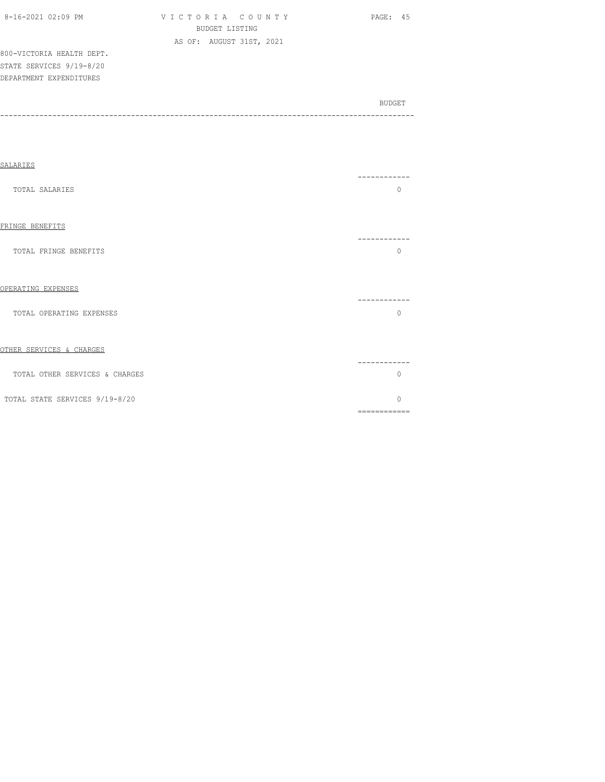|--|

VICTORIA COUNTY PAGE: 45 BUDGET LISTING AS OF: AUGUST 31ST, 2021

800-VICTORIA HEALTH DEPT. STATE SERVICES 9/19-8/20 DEPARTMENT EXPENDITURES

| SALARIES                       |                          |
|--------------------------------|--------------------------|
| TOTAL SALARIES                 | $\Omega$                 |
| FRINGE BENEFITS                |                          |
| TOTAL FRINGE BENEFITS          | $\Omega$                 |
| OPERATING EXPENSES             | --------                 |
| TOTAL OPERATING EXPENSES       | $\Omega$                 |
| OTHER SERVICES & CHARGES       |                          |
| TOTAL OTHER SERVICES & CHARGES | -------<br>$\Omega$      |
| TOTAL STATE SERVICES 9/19-8/20 | $\Omega$<br>============ |
|                                |                          |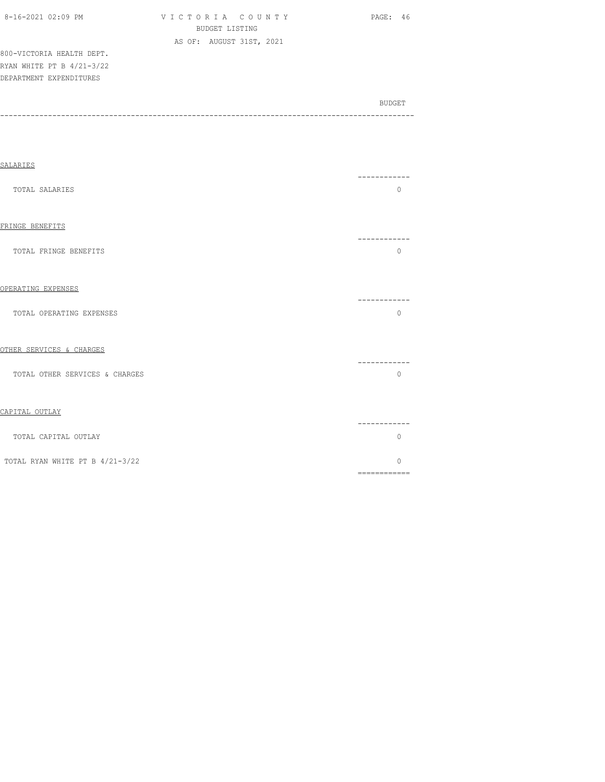| 8-16-2021 02:09 PM |  |  |  |  | VICTO |                      |    |
|--------------------|--|--|--|--|-------|----------------------|----|
|                    |  |  |  |  |       |                      | B١ |
|                    |  |  |  |  |       | $\sim$ $\sim$ $\sim$ |    |

ORIA COUNTY PAGE: 46 BUDGET LISTING AS OF: AUGUST 31ST, 2021

800-VICTORIA HEALTH DEPT. RYAN WHITE PT B 4/21-3/22 DEPARTMENT EXPENDITURES

| ------ | BUDGET |
|--------|--------|
|        |        |

| SALARIES                        |                                                                                                                                                                                                                                                                                                                                                                                                                                                                                                    |  |
|---------------------------------|----------------------------------------------------------------------------------------------------------------------------------------------------------------------------------------------------------------------------------------------------------------------------------------------------------------------------------------------------------------------------------------------------------------------------------------------------------------------------------------------------|--|
| TOTAL SALARIES                  | -------<br>$\Omega$                                                                                                                                                                                                                                                                                                                                                                                                                                                                                |  |
| FRINGE BENEFITS                 | ------------                                                                                                                                                                                                                                                                                                                                                                                                                                                                                       |  |
| TOTAL FRINGE BENEFITS           | $\Omega$                                                                                                                                                                                                                                                                                                                                                                                                                                                                                           |  |
| OPERATING EXPENSES              | -----------                                                                                                                                                                                                                                                                                                                                                                                                                                                                                        |  |
| TOTAL OPERATING EXPENSES        | $\circ$                                                                                                                                                                                                                                                                                                                                                                                                                                                                                            |  |
| OTHER SERVICES & CHARGES        | ------------                                                                                                                                                                                                                                                                                                                                                                                                                                                                                       |  |
| TOTAL OTHER SERVICES & CHARGES  | $\Omega$                                                                                                                                                                                                                                                                                                                                                                                                                                                                                           |  |
| CAPITAL OUTLAY                  | ------------                                                                                                                                                                                                                                                                                                                                                                                                                                                                                       |  |
| TOTAL CAPITAL OUTLAY            | $\Omega$                                                                                                                                                                                                                                                                                                                                                                                                                                                                                           |  |
| TOTAL RYAN WHITE PT B 4/21-3/22 | $\Omega$<br>$\begin{array}{cccccccccc} \multicolumn{2}{c}{} & \multicolumn{2}{c}{} & \multicolumn{2}{c}{} & \multicolumn{2}{c}{} & \multicolumn{2}{c}{} & \multicolumn{2}{c}{} & \multicolumn{2}{c}{} & \multicolumn{2}{c}{} & \multicolumn{2}{c}{} & \multicolumn{2}{c}{} & \multicolumn{2}{c}{} & \multicolumn{2}{c}{} & \multicolumn{2}{c}{} & \multicolumn{2}{c}{} & \multicolumn{2}{c}{} & \multicolumn{2}{c}{} & \multicolumn{2}{c}{} & \multicolumn{2}{c}{} & \multicolumn{2}{c}{} & \mult$ |  |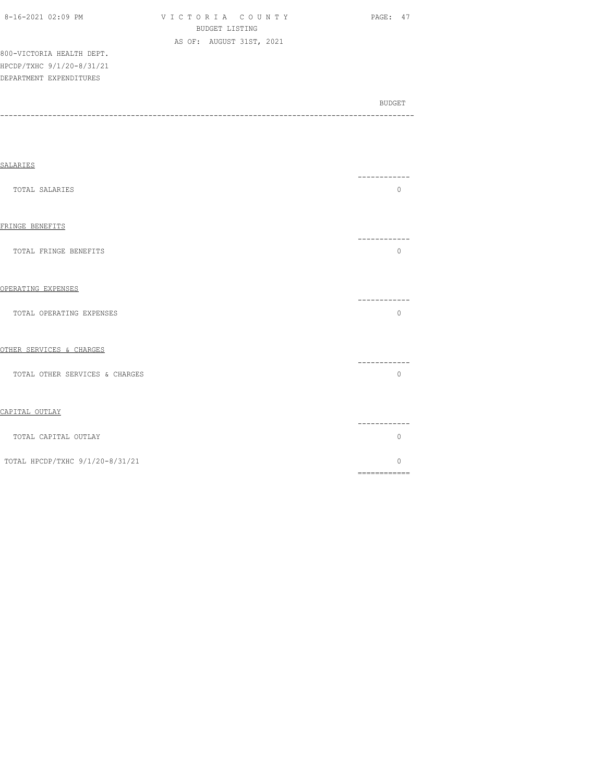| 8-16-2021 02:09 PM        | VICTORIA COUNTY |                |                          |  | PAGE: 47 |
|---------------------------|-----------------|----------------|--------------------------|--|----------|
|                           |                 | BUDGET LISTING |                          |  |          |
|                           |                 |                | AS OF: AUGUST 31ST, 2021 |  |          |
| 800-VICTORIA HEALTH DEPT. |                 |                |                          |  |          |
| HPCDP/TXHC 9/1/20-8/31/21 |                 |                |                          |  |          |
| DEPARTMENT EXPENDITURES   |                 |                |                          |  |          |

| ------- |
|---------|
|         |

| SALARIES                        |                                                                                                                                                                                                                                                                                                                                                                                                                                                                                                     |
|---------------------------------|-----------------------------------------------------------------------------------------------------------------------------------------------------------------------------------------------------------------------------------------------------------------------------------------------------------------------------------------------------------------------------------------------------------------------------------------------------------------------------------------------------|
| TOTAL SALARIES                  | ----------<br>$\Omega$                                                                                                                                                                                                                                                                                                                                                                                                                                                                              |
| FRINGE BENEFITS                 | --------                                                                                                                                                                                                                                                                                                                                                                                                                                                                                            |
| TOTAL FRINGE BENEFITS           | $\Omega$                                                                                                                                                                                                                                                                                                                                                                                                                                                                                            |
| OPERATING EXPENSES              | ----------                                                                                                                                                                                                                                                                                                                                                                                                                                                                                          |
| TOTAL OPERATING EXPENSES        | $\Omega$                                                                                                                                                                                                                                                                                                                                                                                                                                                                                            |
| OTHER SERVICES & CHARGES        |                                                                                                                                                                                                                                                                                                                                                                                                                                                                                                     |
| TOTAL OTHER SERVICES & CHARGES  | -----------<br>$\Omega$                                                                                                                                                                                                                                                                                                                                                                                                                                                                             |
| CAPITAL OUTLAY                  |                                                                                                                                                                                                                                                                                                                                                                                                                                                                                                     |
| TOTAL CAPITAL OUTLAY            | ------------<br>$\Omega$                                                                                                                                                                                                                                                                                                                                                                                                                                                                            |
| TOTAL HPCDP/TXHC 9/1/20-8/31/21 | $\bigcap$<br>$\begin{array}{cccccccccc} \multicolumn{2}{c}{} & \multicolumn{2}{c}{} & \multicolumn{2}{c}{} & \multicolumn{2}{c}{} & \multicolumn{2}{c}{} & \multicolumn{2}{c}{} & \multicolumn{2}{c}{} & \multicolumn{2}{c}{} & \multicolumn{2}{c}{} & \multicolumn{2}{c}{} & \multicolumn{2}{c}{} & \multicolumn{2}{c}{} & \multicolumn{2}{c}{} & \multicolumn{2}{c}{} & \multicolumn{2}{c}{} & \multicolumn{2}{c}{} & \multicolumn{2}{c}{} & \multicolumn{2}{c}{} & \multicolumn{2}{c}{} & \mult$ |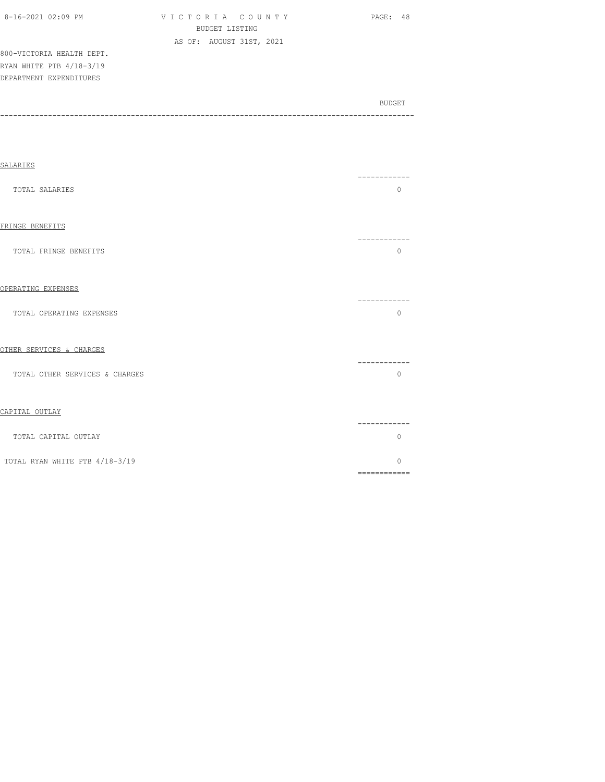| $8-16-2021$ 02:09 PM      | VICTORIA COUNTY          | PAGE: 48 |
|---------------------------|--------------------------|----------|
|                           | BUDGET LISTING           |          |
|                           | AS OF: AUGUST 31ST, 2021 |          |
| 800-VICTORIA HEALTH DEPT. |                          |          |
| RYAN WHITE PTB 4/18-3/19  |                          |          |
| DEPARTMENT EXPENDITURES   |                          |          |

| <b>SALARIES</b>                |                                                                                                                                                                                                                                                                                                                                                                                                                                                                                                    |
|--------------------------------|----------------------------------------------------------------------------------------------------------------------------------------------------------------------------------------------------------------------------------------------------------------------------------------------------------------------------------------------------------------------------------------------------------------------------------------------------------------------------------------------------|
| TOTAL SALARIES                 | ------------<br>$\circ$                                                                                                                                                                                                                                                                                                                                                                                                                                                                            |
| FRINGE BENEFITS                | ------------                                                                                                                                                                                                                                                                                                                                                                                                                                                                                       |
| TOTAL FRINGE BENEFITS          | $\circ$                                                                                                                                                                                                                                                                                                                                                                                                                                                                                            |
| OPERATING EXPENSES             |                                                                                                                                                                                                                                                                                                                                                                                                                                                                                                    |
| TOTAL OPERATING EXPENSES       | ----------<br>$\Omega$                                                                                                                                                                                                                                                                                                                                                                                                                                                                             |
| OTHER SERVICES & CHARGES       |                                                                                                                                                                                                                                                                                                                                                                                                                                                                                                    |
| TOTAL OTHER SERVICES & CHARGES | ----------<br>$\circ$                                                                                                                                                                                                                                                                                                                                                                                                                                                                              |
| CAPITAL OUTLAY                 |                                                                                                                                                                                                                                                                                                                                                                                                                                                                                                    |
| TOTAL CAPITAL OUTLAY           | ---------<br>$\Omega$                                                                                                                                                                                                                                                                                                                                                                                                                                                                              |
| TOTAL RYAN WHITE PTB 4/18-3/19 | $\Omega$<br>$\begin{array}{cccccccccc} \multicolumn{2}{c}{} & \multicolumn{2}{c}{} & \multicolumn{2}{c}{} & \multicolumn{2}{c}{} & \multicolumn{2}{c}{} & \multicolumn{2}{c}{} & \multicolumn{2}{c}{} & \multicolumn{2}{c}{} & \multicolumn{2}{c}{} & \multicolumn{2}{c}{} & \multicolumn{2}{c}{} & \multicolumn{2}{c}{} & \multicolumn{2}{c}{} & \multicolumn{2}{c}{} & \multicolumn{2}{c}{} & \multicolumn{2}{c}{} & \multicolumn{2}{c}{} & \multicolumn{2}{c}{} & \multicolumn{2}{c}{} & \mult$ |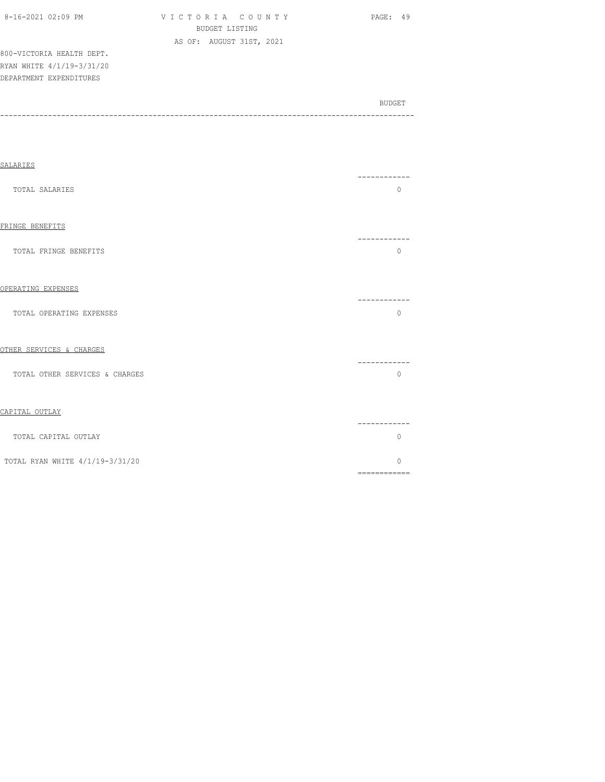| 8-16-2021 02:09 PM |  |
|--------------------|--|
|                    |  |

VICTORIA COUNTY PAGE: 49 BUDGET LISTING AS OF: AUGUST 31ST, 2021

800-VICTORIA HEALTH DEPT. RYAN WHITE 4/1/19-3/31/20 DEPARTMENT EXPENDITURES

| BUDGET |
|--------|
|        |

| SALARIES                        | ----------                   |
|---------------------------------|------------------------------|
| TOTAL SALARIES                  | $\circ$                      |
| FRINGE BENEFITS                 | -----------                  |
| TOTAL FRINGE BENEFITS           | $\mathbf{0}$                 |
| OPERATING EXPENSES              |                              |
| TOTAL OPERATING EXPENSES        | ------------<br>$\Omega$     |
| OTHER SERVICES & CHARGES        |                              |
| TOTAL OTHER SERVICES & CHARGES  | ------------<br>$\Omega$     |
| CAPITAL OUTLAY                  |                              |
| TOTAL CAPITAL OUTLAY            | ------------<br>$\mathbf{0}$ |
| TOTAL RYAN WHITE 4/1/19-3/31/20 | O                            |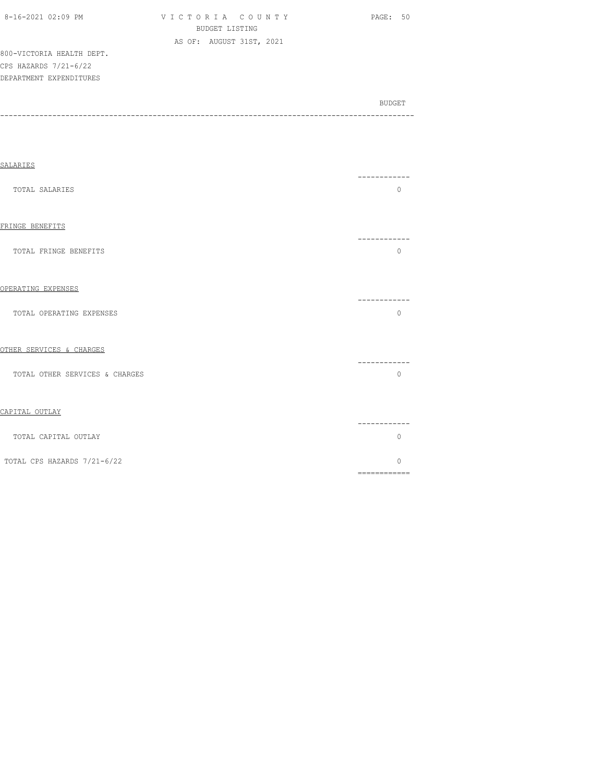| 8-16-2021 02:09 PM |  |
|--------------------|--|

V I C T O R I A C O U N T Y PAGE: 50 BUDGET LISTING AS OF: AUGUST 31ST, 2021

800-VICTORIA HEALTH DEPT. CPS HAZARDS 7/21-6/22 DEPARTMENT EXPENDITURES

| SALARIES                       |                                                                                                                                                                                                                                                                                                                                                                                                                                                                                                     |  |
|--------------------------------|-----------------------------------------------------------------------------------------------------------------------------------------------------------------------------------------------------------------------------------------------------------------------------------------------------------------------------------------------------------------------------------------------------------------------------------------------------------------------------------------------------|--|
| TOTAL SALARIES                 | ------------<br>$\Omega$                                                                                                                                                                                                                                                                                                                                                                                                                                                                            |  |
| FRINGE BENEFITS                | -----------                                                                                                                                                                                                                                                                                                                                                                                                                                                                                         |  |
| TOTAL FRINGE BENEFITS          | $\Omega$                                                                                                                                                                                                                                                                                                                                                                                                                                                                                            |  |
| OPERATING EXPENSES             | -----------                                                                                                                                                                                                                                                                                                                                                                                                                                                                                         |  |
| TOTAL OPERATING EXPENSES       | $\Omega$                                                                                                                                                                                                                                                                                                                                                                                                                                                                                            |  |
| OTHER SERVICES & CHARGES       | -----------                                                                                                                                                                                                                                                                                                                                                                                                                                                                                         |  |
| TOTAL OTHER SERVICES & CHARGES | $\mathbf{0}$                                                                                                                                                                                                                                                                                                                                                                                                                                                                                        |  |
| CAPITAL OUTLAY                 |                                                                                                                                                                                                                                                                                                                                                                                                                                                                                                     |  |
| TOTAL CAPITAL OUTLAY           | -----------<br>0                                                                                                                                                                                                                                                                                                                                                                                                                                                                                    |  |
| TOTAL CPS HAZARDS 7/21-6/22    | $\bigcap$<br>$\begin{array}{cccccccccc} \multicolumn{2}{c}{} & \multicolumn{2}{c}{} & \multicolumn{2}{c}{} & \multicolumn{2}{c}{} & \multicolumn{2}{c}{} & \multicolumn{2}{c}{} & \multicolumn{2}{c}{} & \multicolumn{2}{c}{} & \multicolumn{2}{c}{} & \multicolumn{2}{c}{} & \multicolumn{2}{c}{} & \multicolumn{2}{c}{} & \multicolumn{2}{c}{} & \multicolumn{2}{c}{} & \multicolumn{2}{c}{} & \multicolumn{2}{c}{} & \multicolumn{2}{c}{} & \multicolumn{2}{c}{} & \multicolumn{2}{c}{} & \mult$ |  |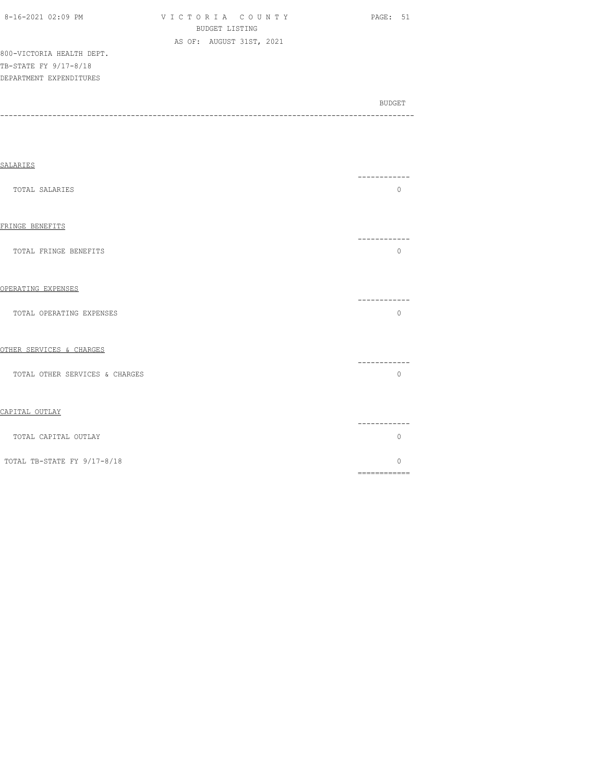| 8-16-2021 02:09 PM        | VICTORIA COUNTY          | PAGE: 51 |
|---------------------------|--------------------------|----------|
|                           | BUDGET LISTING           |          |
|                           | AS OF: AUGUST 31ST, 2021 |          |
| 800-VICTORIA HEALTH DEPT. |                          |          |
| TB-STATE FY 9/17-8/18     |                          |          |
| DEPARTMENT EXPENDITURES   |                          |          |
|                           |                          |          |

SALARIES ------------ TOTAL SALARIES 0 FRINGE BENEFITS

BUDGET AND RESERVE AND RESERVE AND RESERVE AND RESERVE AND RESERVE AND RESERVE AND RESERVE AND RESERVE AND RESERVE AND RESERVE AND RESERVE AND RESERVE AND RESERVE AND RESERVE AND RESPONDING A REPORT OF A REPORT OF A REPORT -----------------------------------------------------------------------------------------------

 ------------ TOTAL FRINGE BENEFITS 0

## OPERATING EXPENSES

|                          | _________ |
|--------------------------|-----------|
| TOTAL OPERATING EXPENSES |           |

## OTHER SERVICES & CHARGES

|                                | ________ |
|--------------------------------|----------|
| TOTAL OTHER SERVICES & CHARGES |          |

## CAPITAL OUTLAY

|                             | ------ |  |
|-----------------------------|--------|--|
| TOTAL CAPITAL OUTLAY        |        |  |
| TOTAL TB-STATE FY 9/17-8/18 |        |  |
|                             |        |  |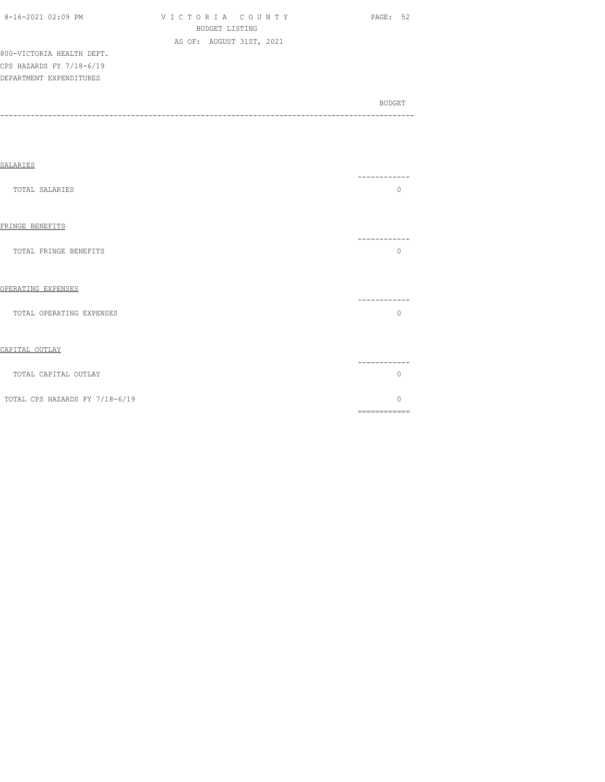| 8-16-2021 02:09 PM |  |
|--------------------|--|

V I C T O R I A C O U N T Y PAGE: 52 BUDGET LISTING AS OF: AUGUST 31ST, 2021

800-VICTORIA HEALTH DEPT. CPS HAZARDS FY 7/18-6/19 DEPARTMENT EXPENDITURES

|                                | 0                                                                                                                                                                                                                                                                                                                                                                                                                                                                                                  |
|--------------------------------|----------------------------------------------------------------------------------------------------------------------------------------------------------------------------------------------------------------------------------------------------------------------------------------------------------------------------------------------------------------------------------------------------------------------------------------------------------------------------------------------------|
| TOTAL SALARIES                 |                                                                                                                                                                                                                                                                                                                                                                                                                                                                                                    |
| FRINGE BENEFITS                | ----------                                                                                                                                                                                                                                                                                                                                                                                                                                                                                         |
| TOTAL FRINGE BENEFITS          | $\mathbf{0}$                                                                                                                                                                                                                                                                                                                                                                                                                                                                                       |
| OPERATING EXPENSES             | .                                                                                                                                                                                                                                                                                                                                                                                                                                                                                                  |
| TOTAL OPERATING EXPENSES       | $\mathbf{0}$                                                                                                                                                                                                                                                                                                                                                                                                                                                                                       |
| CAPITAL OUTLAY                 | -----------                                                                                                                                                                                                                                                                                                                                                                                                                                                                                        |
| TOTAL CAPITAL OUTLAY           | $\Omega$                                                                                                                                                                                                                                                                                                                                                                                                                                                                                           |
| TOTAL CPS HAZARDS FY 7/18-6/19 | $\Omega$<br>$\begin{array}{cccccccccc} \multicolumn{2}{c}{} & \multicolumn{2}{c}{} & \multicolumn{2}{c}{} & \multicolumn{2}{c}{} & \multicolumn{2}{c}{} & \multicolumn{2}{c}{} & \multicolumn{2}{c}{} & \multicolumn{2}{c}{} & \multicolumn{2}{c}{} & \multicolumn{2}{c}{} & \multicolumn{2}{c}{} & \multicolumn{2}{c}{} & \multicolumn{2}{c}{} & \multicolumn{2}{c}{} & \multicolumn{2}{c}{} & \multicolumn{2}{c}{} & \multicolumn{2}{c}{} & \multicolumn{2}{c}{} & \multicolumn{2}{c}{} & \mult$ |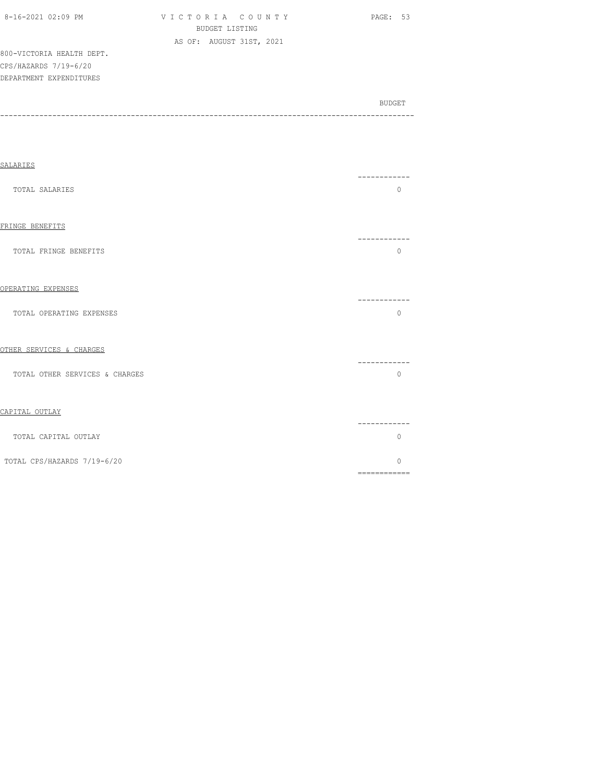|  |  | 8-16-2021 02:09 PM |
|--|--|--------------------|
|--|--|--------------------|

| 8-16-2021 02:09 PM | VICTORIA COUNTY          |
|--------------------|--------------------------|
|                    | BUDGET LISTING           |
|                    | AS OF: AUGUST 31ST, 2021 |

PAGE: 53

800-VICTORIA HEALTH DEPT. CPS/HAZARDS 7/19-6/20 DEPARTMENT EXPENDITURES

| SALARIES                       |                         |
|--------------------------------|-------------------------|
| TOTAL SALARIES                 | -----------<br>$\Omega$ |
| FRINGE BENEFITS                | ----------              |
| TOTAL FRINGE BENEFITS          | $\Omega$                |
| OPERATING EXPENSES             | -----------             |
| TOTAL OPERATING EXPENSES       | $\Omega$                |
| OTHER SERVICES & CHARGES       | ----------              |
| TOTAL OTHER SERVICES & CHARGES | $\mathbf 0$             |
| CAPITAL OUTLAY                 | -----------             |
| TOTAL CAPITAL OUTLAY           | $\mathbf 0$             |
| TOTAL CPS/HAZARDS 7/19-6/20    | $\Omega$                |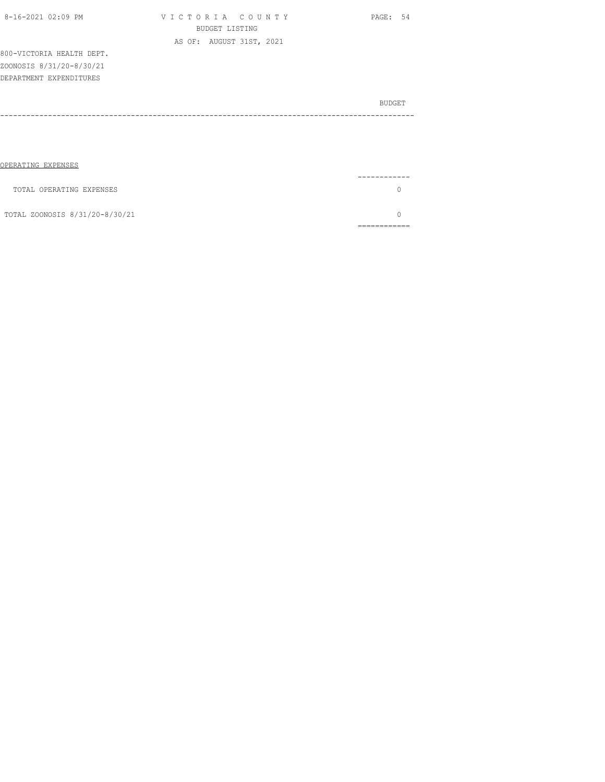| TOTAL OPERATING EXPENSES       |  |
|--------------------------------|--|
| TOTAL ZOONOSIS 8/31/20-8/30/21 |  |
|                                |  |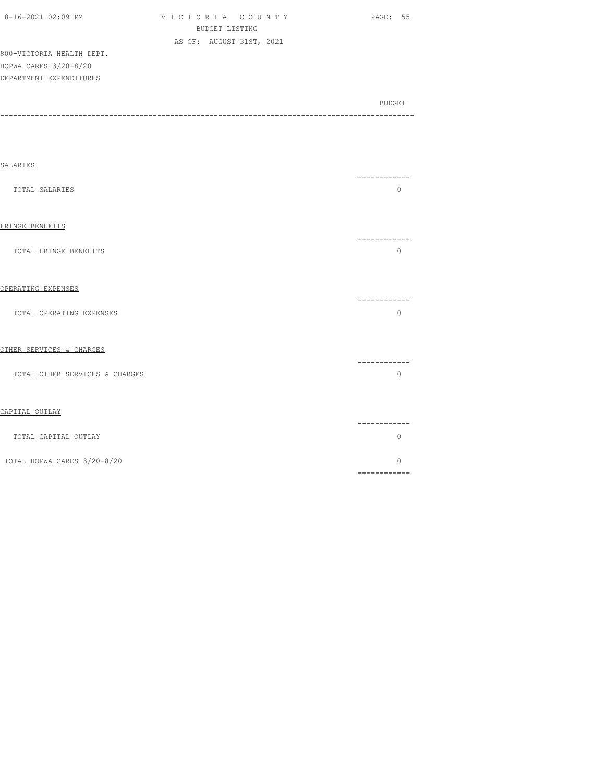| 8-16-2021 02:09 PM |  |
|--------------------|--|

VICTORIA COUNTY PAGE: 55 BUDGET LISTING AS OF: AUGUST 31ST, 2021

800-VICTORIA HEALTH DEPT. HOPWA CARES 3/20-8/20 DEPARTMENT EXPENDITURES

| <b>SALARIES</b>                |                                                                                                                                                                                                                                                                                                                                                                                                                                                                                                    |
|--------------------------------|----------------------------------------------------------------------------------------------------------------------------------------------------------------------------------------------------------------------------------------------------------------------------------------------------------------------------------------------------------------------------------------------------------------------------------------------------------------------------------------------------|
| TOTAL SALARIES                 | ---------<br>$\Omega$                                                                                                                                                                                                                                                                                                                                                                                                                                                                              |
| FRINGE BENEFITS                | ---------                                                                                                                                                                                                                                                                                                                                                                                                                                                                                          |
| TOTAL FRINGE BENEFITS          | $\Omega$                                                                                                                                                                                                                                                                                                                                                                                                                                                                                           |
| OPERATING EXPENSES             | -----------                                                                                                                                                                                                                                                                                                                                                                                                                                                                                        |
| TOTAL OPERATING EXPENSES       | $\Omega$                                                                                                                                                                                                                                                                                                                                                                                                                                                                                           |
| OTHER SERVICES & CHARGES       | .                                                                                                                                                                                                                                                                                                                                                                                                                                                                                                  |
| TOTAL OTHER SERVICES & CHARGES | $\Omega$                                                                                                                                                                                                                                                                                                                                                                                                                                                                                           |
| CAPITAL OUTLAY                 |                                                                                                                                                                                                                                                                                                                                                                                                                                                                                                    |
| TOTAL CAPITAL OUTLAY           | ---------<br>$\mathbf{0}$                                                                                                                                                                                                                                                                                                                                                                                                                                                                          |
| TOTAL HOPWA CARES 3/20-8/20    | $\Omega$<br>$\begin{array}{cccccccccc} \multicolumn{2}{c}{} & \multicolumn{2}{c}{} & \multicolumn{2}{c}{} & \multicolumn{2}{c}{} & \multicolumn{2}{c}{} & \multicolumn{2}{c}{} & \multicolumn{2}{c}{} & \multicolumn{2}{c}{} & \multicolumn{2}{c}{} & \multicolumn{2}{c}{} & \multicolumn{2}{c}{} & \multicolumn{2}{c}{} & \multicolumn{2}{c}{} & \multicolumn{2}{c}{} & \multicolumn{2}{c}{} & \multicolumn{2}{c}{} & \multicolumn{2}{c}{} & \multicolumn{2}{c}{} & \multicolumn{2}{c}{} & \mult$ |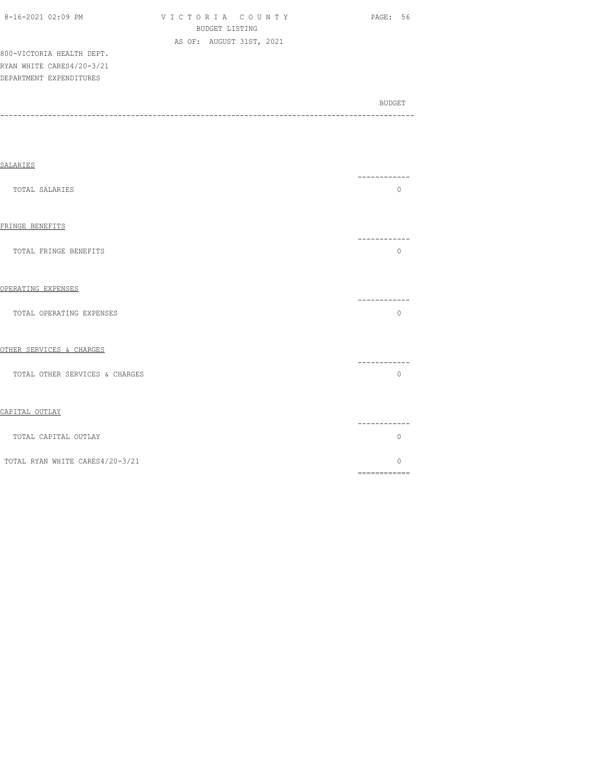| 8-16-2021 02:09 PM |  |
|--------------------|--|

VICTORIA COUNTY PAGE: 56 BUDGET LISTING AS OF: AUGUST 31ST, 2021

800-VICTORIA HEALTH DEPT. RYAN WHITE CARES4/20-3/21 DEPARTMENT EXPENDITURES

| SALARIES                        |                                                                                                                                                                                                                                                                                                                                                                                                                                                                                                    |
|---------------------------------|----------------------------------------------------------------------------------------------------------------------------------------------------------------------------------------------------------------------------------------------------------------------------------------------------------------------------------------------------------------------------------------------------------------------------------------------------------------------------------------------------|
| TOTAL SALARIES                  | --------<br>$\mathbf{0}$                                                                                                                                                                                                                                                                                                                                                                                                                                                                           |
| FRINGE BENEFITS                 | ------------                                                                                                                                                                                                                                                                                                                                                                                                                                                                                       |
| TOTAL FRINGE BENEFITS           | $\Omega$                                                                                                                                                                                                                                                                                                                                                                                                                                                                                           |
| OPERATING EXPENSES              | ----------                                                                                                                                                                                                                                                                                                                                                                                                                                                                                         |
| TOTAL OPERATING EXPENSES        | $\circ$                                                                                                                                                                                                                                                                                                                                                                                                                                                                                            |
| OTHER SERVICES & CHARGES        | ------------                                                                                                                                                                                                                                                                                                                                                                                                                                                                                       |
| TOTAL OTHER SERVICES & CHARGES  | $\Omega$                                                                                                                                                                                                                                                                                                                                                                                                                                                                                           |
| CAPITAL OUTLAY                  | ----------                                                                                                                                                                                                                                                                                                                                                                                                                                                                                         |
| TOTAL CAPITAL OUTLAY            | $\mathbf{0}$                                                                                                                                                                                                                                                                                                                                                                                                                                                                                       |
| TOTAL RYAN WHITE CARES4/20-3/21 | $\Omega$<br>$\begin{array}{cccccccccc} \multicolumn{2}{c}{} & \multicolumn{2}{c}{} & \multicolumn{2}{c}{} & \multicolumn{2}{c}{} & \multicolumn{2}{c}{} & \multicolumn{2}{c}{} & \multicolumn{2}{c}{} & \multicolumn{2}{c}{} & \multicolumn{2}{c}{} & \multicolumn{2}{c}{} & \multicolumn{2}{c}{} & \multicolumn{2}{c}{} & \multicolumn{2}{c}{} & \multicolumn{2}{c}{} & \multicolumn{2}{c}{} & \multicolumn{2}{c}{} & \multicolumn{2}{c}{} & \multicolumn{2}{c}{} & \multicolumn{2}{c}{} & \mult$ |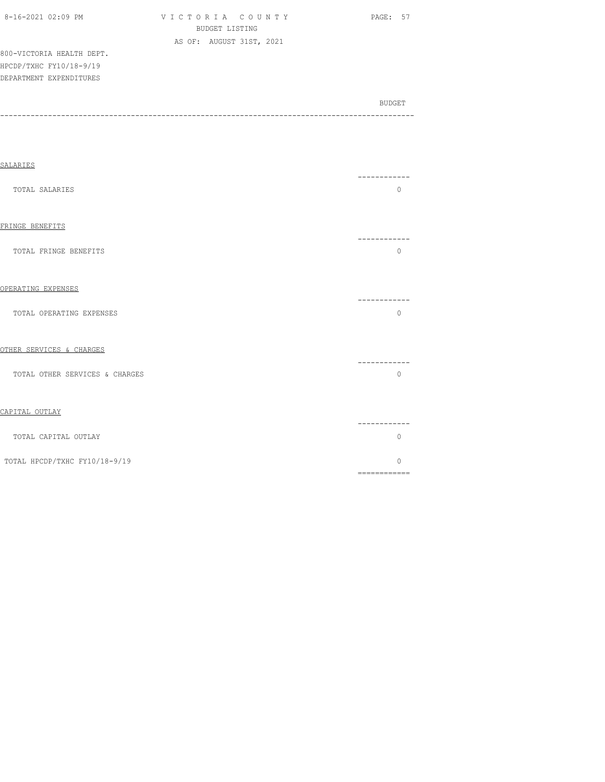| 8-16-2021 02:09 PM        | VICTORIA COUNTY          | PAGE: 57 |
|---------------------------|--------------------------|----------|
|                           | BUDGET LISTING           |          |
|                           | AS OF: AUGUST 31ST, 2021 |          |
| 800-VICTORIA HEALTH DEPT. |                          |          |
| HPCDP/TXHC FY10/18-9/19   |                          |          |
| DEPARTMENT EXPENDITURES   |                          |          |
|                           |                          |          |

SALARIES ------------ TOTAL SALARIES 0 FRINGE BENEFITS ------------ TOTAL FRINGE BENEFITS O OPERATING EXPENSES ------------ TOTAL OPERATING EXPENSES 0

## OTHER SERVICES & CHARGES ------------ TOTAL OTHER SERVICES & CHARGES

| CAPITAL OUTLAY                |        |  |
|-------------------------------|--------|--|
| TOTAL CAPITAL OUTLAY          | ______ |  |
| TOTAL HPCDP/TXHC FY10/18-9/19 |        |  |
|                               |        |  |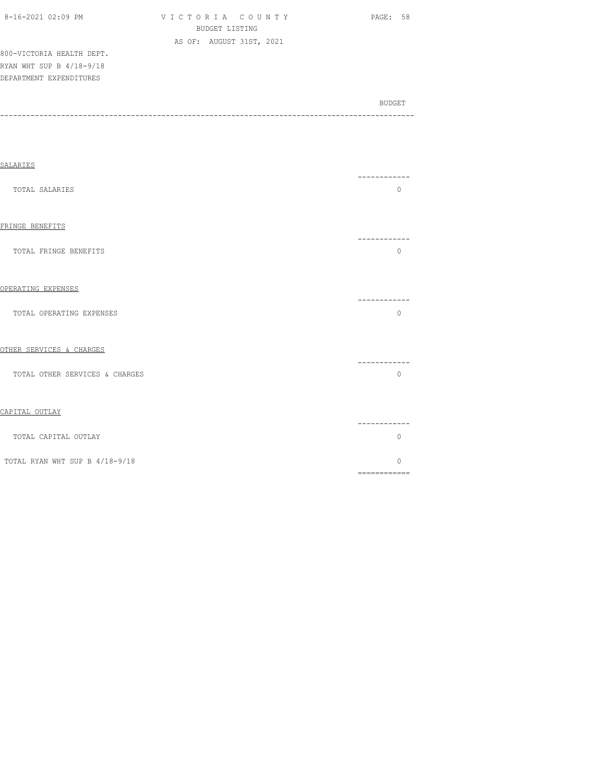| 8-16-2021 02:09 PM        | VICTORIA COUNTY |                          |  | PAGE: 58 |  |
|---------------------------|-----------------|--------------------------|--|----------|--|
|                           |                 | BUDGET LISTING           |  |          |  |
|                           |                 | AS OF: AUGUST 31ST, 2021 |  |          |  |
| 800-VICTORIA HEALTH DEPT. |                 |                          |  |          |  |
| RYAN WHT SUP B 4/18-9/18  |                 |                          |  |          |  |
| DEPARTMENT EXPENDITURES   |                 |                          |  |          |  |

| SALARIES                       |                                      |
|--------------------------------|--------------------------------------|
| TOTAL SALARIES                 | -----------<br>$\Omega$              |
| FRINGE BENEFITS                |                                      |
| TOTAL FRINGE BENEFITS          | -----------<br>$\Omega$              |
| OPERATING EXPENSES             |                                      |
| TOTAL OPERATING EXPENSES       | ----------<br>$\mathbf 0$            |
| OTHER SERVICES & CHARGES       |                                      |
| TOTAL OTHER SERVICES & CHARGES | -----------<br>$\Omega$              |
| CAPITAL OUTLAY                 |                                      |
| TOTAL CAPITAL OUTLAY           | . _ _ _ _ _ _ _ _ _ _<br>$\mathbf 0$ |
| TOTAL RYAN WHT SUP B 4/18-9/18 | $\Omega$                             |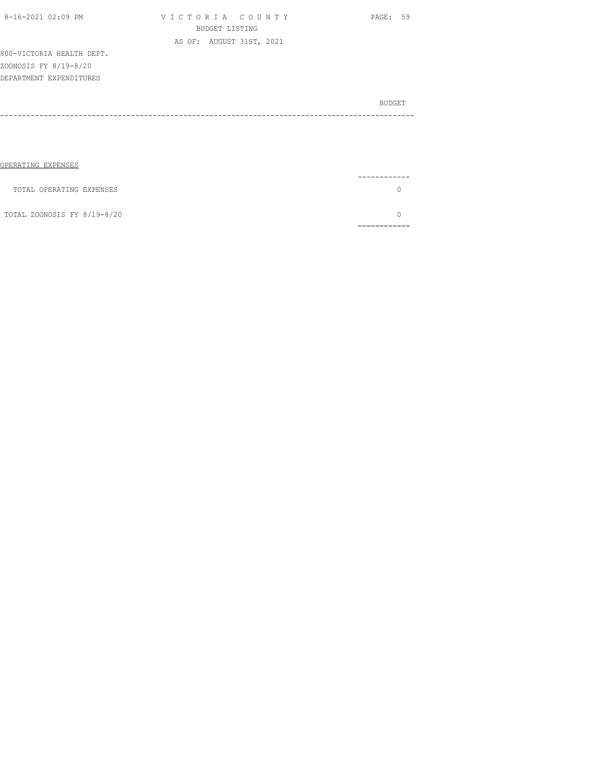| 8-16-2021 02:09 PM        | VICTORIA COUNTY          | PAGE: 59 |
|---------------------------|--------------------------|----------|
|                           | BUDGET LISTING           |          |
|                           | AS OF: AUGUST 31ST, 2021 |          |
| 800-VICTORIA HEALTH DEPT. |                          |          |
| ZOONOSIS FY 8/19-8/20     |                          |          |
| DEPARTMENT EXPENDITURES   |                          |          |
|                           |                          |          |
|                           |                          | BUDGET   |
|                           |                          |          |
|                           |                          |          |
|                           |                          |          |
|                           |                          |          |
|                           |                          |          |
| OPERATING EXPENSES        |                          |          |

| TOTAL OPERATING EXPENSES    |  |
|-----------------------------|--|
| TOTAL ZOONOSIS FY 8/19-8/20 |  |
|                             |  |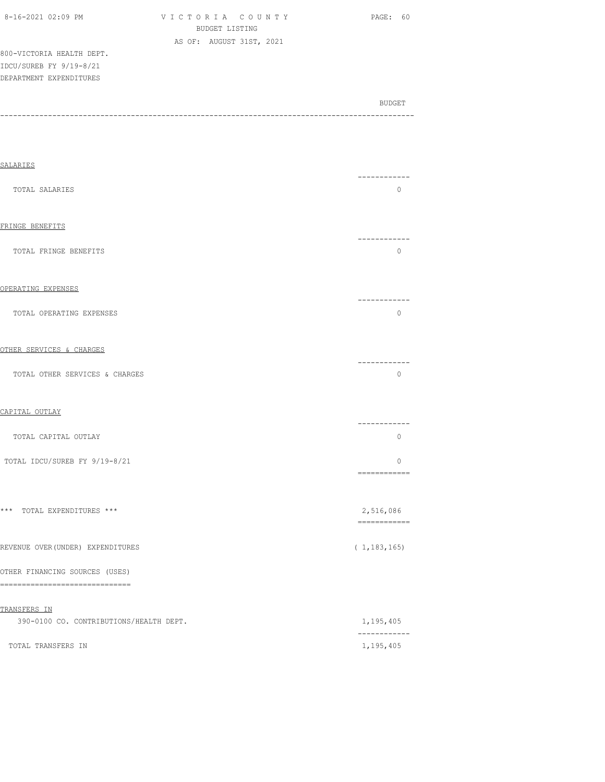| 8-16-2021 02:09 PM        | VICTORIA COUNTY          | PAGE: 60 |  |  |  |
|---------------------------|--------------------------|----------|--|--|--|
| BUDGET LISTING            |                          |          |  |  |  |
|                           | AS OF: AUGUST 31ST, 2021 |          |  |  |  |
| 800-VICTORIA HEALTH DEPT. |                          |          |  |  |  |
| IDCU/SUREB FY 9/19-8/21   |                          |          |  |  |  |
| DEPARTMENT EXPENDITURES   |                          |          |  |  |  |
|                           |                          |          |  |  |  |
|                           |                          |          |  |  |  |

| <b>SALARIES</b>                                                     |                           |
|---------------------------------------------------------------------|---------------------------|
| TOTAL SALARIES                                                      | ------------<br>$\circ$   |
| FRINGE BENEFITS                                                     | ------------              |
| TOTAL FRINGE BENEFITS                                               | 0                         |
| OPERATING EXPENSES                                                  |                           |
| TOTAL OPERATING EXPENSES                                            | ------------<br>$\circ$   |
| OTHER SERVICES & CHARGES                                            |                           |
| TOTAL OTHER SERVICES & CHARGES                                      | ------------<br>$\circ$   |
| CAPITAL OUTLAY                                                      |                           |
| TOTAL CAPITAL OUTLAY                                                | -----------<br>$\circ$    |
| TOTAL IDCU/SUREB FY 9/19-8/21                                       | $\circ$<br>============   |
| *** TOTAL EXPENDITURES ***                                          | 2,516,086<br>============ |
| REVENUE OVER (UNDER) EXPENDITURES                                   | (1, 183, 165)             |
| OTHER FINANCING SOURCES (USES)<br>================================= |                           |
| TRANSFERS IN<br>390-0100 CO. CONTRIBUTIONS/HEALTH DEPT.             |                           |
|                                                                     | 1,195,405<br>------------ |
| TOTAL TRANSFERS IN                                                  | 1,195,405                 |